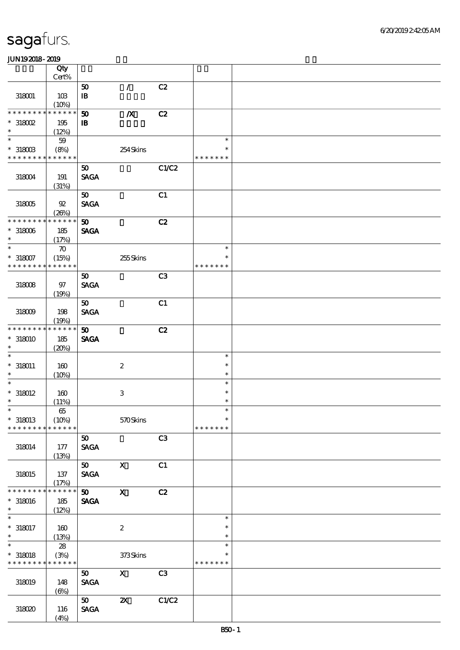|                                            | Qty                         |                             |                           |       |                  |  |
|--------------------------------------------|-----------------------------|-----------------------------|---------------------------|-------|------------------|--|
|                                            | $Cert\%$                    |                             |                           |       |                  |  |
|                                            |                             | 50                          | $\mathcal{L}$             | C2    |                  |  |
| 318001                                     | 10B                         | $\mathbf{B}$                |                           |       |                  |  |
| * * * * * * * *                            | (10%)<br>* * * * * *        | 50                          | $\boldsymbol{X}$          | C2    |                  |  |
| $*318002$                                  | 195                         | $\mathbf{B}$                |                           |       |                  |  |
| $\ast$                                     | (12%)                       |                             |                           |       |                  |  |
| $\overline{\ast}$                          | $5\!\mathbf{9}$             |                             |                           |       | $\ast$           |  |
| $*318003$                                  | (8%)                        |                             | 254Skins                  |       |                  |  |
| * * * * * * * * * * * * * *                |                             |                             |                           |       | * * * * * * *    |  |
|                                            |                             | 50                          |                           | C1/C2 |                  |  |
| 318004                                     | 191                         | <b>SAGA</b>                 |                           |       |                  |  |
|                                            | (31%)                       |                             |                           |       |                  |  |
|                                            |                             | 50                          |                           | C1    |                  |  |
| $318005$                                   | $92\,$                      | <b>SAGA</b>                 |                           |       |                  |  |
|                                            | (20%)                       |                             |                           |       |                  |  |
| * * * * * * * *                            | * * * * * *                 | $\boldsymbol{\mathfrak{D}}$ |                           | C2    |                  |  |
| $*318006$<br>$\ast$                        | 185                         | <b>SAGA</b>                 |                           |       |                  |  |
| $\ast$                                     | (17%)                       |                             |                           |       | $\ast$           |  |
| $*318007$                                  | $\boldsymbol{\pi}$<br>(15%) |                             | 255Skins                  |       | $\ast$           |  |
| * * * * * * * *                            | * * * * * *                 |                             |                           |       | * * * * * * *    |  |
|                                            |                             | 50                          |                           | C3    |                  |  |
| $318008$                                   | 97                          | <b>SAGA</b>                 |                           |       |                  |  |
|                                            | (19%)                       |                             |                           |       |                  |  |
|                                            |                             | 50 <sub>o</sub>             |                           | C1    |                  |  |
| $318009$                                   | 198                         | <b>SAGA</b>                 |                           |       |                  |  |
|                                            | (19%)                       |                             |                           |       |                  |  |
| * * * * * * * *                            | * * * * * *                 | 50 <sub>o</sub>             |                           | C2    |                  |  |
| $*318010$                                  | 185                         | <b>SAGA</b>                 |                           |       |                  |  |
| $\ast$                                     | (20%)                       |                             |                           |       |                  |  |
| $\ast$                                     |                             |                             |                           |       | $\ast$           |  |
| $*318011$<br>$\ast$                        | 160                         |                             | $\boldsymbol{2}$          |       | $\ast$           |  |
| $\ast$                                     | (10%)                       |                             |                           |       | $\ast$<br>$\ast$ |  |
| $*318012$                                  | 160                         |                             | $\,3$                     |       | $\ast$           |  |
| $\ast$                                     | (11%)                       |                             |                           |       | $\ast$           |  |
| $\ast$                                     | $6\!5$                      |                             |                           |       | $\ast$           |  |
| $*318013$                                  | (10%)                       |                             | 570Skins                  |       | $\ast$           |  |
| * * * * * * * *                            | * * * * * *                 |                             |                           |       | * * * * * * *    |  |
|                                            |                             | 50                          |                           | C3    |                  |  |
| 318014                                     | 177                         | <b>SAGA</b>                 |                           |       |                  |  |
|                                            | (13%)                       |                             |                           |       |                  |  |
|                                            |                             | 50                          | $\mathbf X$               | C1    |                  |  |
| 318015                                     | 137                         | <b>SAGA</b>                 |                           |       |                  |  |
| * * * * * * * *                            | (17%)<br>* * * * * *        |                             |                           |       |                  |  |
|                                            |                             | 50 <sub>2</sub>             | $\mathbf X$               | C2    |                  |  |
| $*318016$<br>$\ast$                        | 185<br>(12%)                | <b>SAGA</b>                 |                           |       |                  |  |
| $\overline{\phantom{0}}$                   |                             |                             |                           |       | $\ast$           |  |
| $*318017$                                  | 160                         |                             | $\boldsymbol{2}$          |       | $\ast$           |  |
| $\ast$                                     | (13%)                       |                             |                           |       | $\ast$           |  |
| $\ast$                                     | ${\bf 28}$                  |                             |                           |       | $\ast$           |  |
| $*$ 318018                                 | (3%)                        |                             | 373Skins                  |       | $\ast$           |  |
| * * * * * * * * <mark>* * * * * * *</mark> |                             |                             |                           |       | * * * * * * *    |  |
|                                            |                             | 50                          | $\mathbf{X}$              | C3    |                  |  |
| 318019                                     | 148                         | <b>SAGA</b>                 |                           |       |                  |  |
|                                            | $(\Theta)$                  |                             |                           |       |                  |  |
|                                            |                             | 50                          | $\boldsymbol{\mathsf{z}}$ | C1/C2 |                  |  |
| 318020                                     | 116                         | <b>SAGA</b>                 |                           |       |                  |  |
|                                            | (4%)                        |                             |                           |       |                  |  |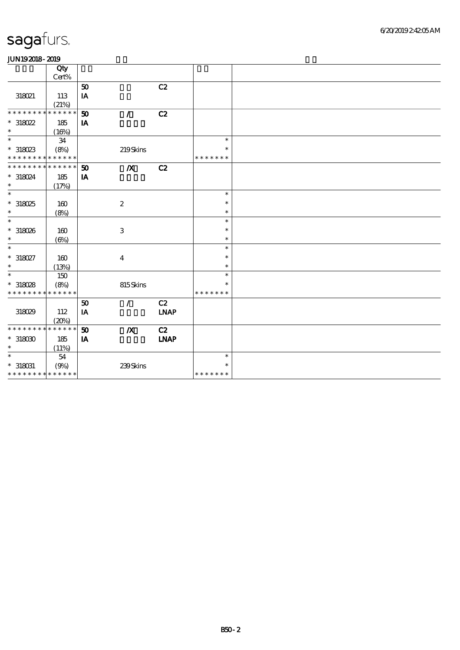|                                               | Qty          |                             |                           |             |               |  |
|-----------------------------------------------|--------------|-----------------------------|---------------------------|-------------|---------------|--|
|                                               | Cert%        |                             |                           |             |               |  |
|                                               |              | ${\bf 50}$                  |                           | C2          |               |  |
| 318021                                        | 113          | $\mathbf{I}\mathbf{A}$      |                           |             |               |  |
|                                               | (21%)        |                             |                           |             |               |  |
| * * * * * * * *                               | * * * * * *  | $\boldsymbol{\mathfrak{D}}$ | $\mathcal{L}$             | C2          |               |  |
|                                               |              |                             |                           |             |               |  |
| $*318022$<br>$\ast$                           | 185          | IA                          |                           |             |               |  |
| $\ast$                                        | (16%)        |                             |                           |             | $\ast$        |  |
|                                               | 34           |                             |                           |             |               |  |
| $*318023$                                     | (8%)         |                             | 219Skins                  |             | $\ast$        |  |
| * * * * * * * * * * * * * *                   |              |                             |                           |             | * * * * * * * |  |
| * * * * * * * * * * * * * *                   |              | 50                          | $\boldsymbol{X}$          | C2          |               |  |
| * 318024                                      | 185          | IA                          |                           |             |               |  |
| $\ast$                                        | (17%)        |                             |                           |             |               |  |
| $\ast$                                        |              |                             |                           |             | $\ast$        |  |
| $*318025$                                     | 160          |                             | $\boldsymbol{2}$          |             | $\ast$        |  |
| $\ast$                                        | (8%)         |                             |                           |             | $\ast$        |  |
| $\ast$                                        |              |                             |                           |             | $\ast$        |  |
| $*318026$                                     | 160          |                             | $\ensuremath{\mathbf{3}}$ |             | $\ast$        |  |
| $\ast$                                        | $(\Theta\%)$ |                             |                           |             | $\ast$        |  |
| $\ast$                                        |              |                             |                           |             | $\ast$        |  |
|                                               |              |                             |                           |             | $\ast$        |  |
| $*318027$<br>$\ast$                           | 160          |                             | $\boldsymbol{4}$          |             | $\ast$        |  |
|                                               | (13%)        |                             |                           |             |               |  |
| $\ast$                                        | 150          |                             |                           |             | $\ast$        |  |
| $*318028$                                     | (8%)         |                             | 815Skins                  |             | $\ast$        |  |
| * * * * * * * * * * * * * *                   |              |                             |                           |             | * * * * * * * |  |
|                                               |              | ${\bf 50}$                  | $\mathcal{L}$             | C2          |               |  |
| 318029                                        | 112          | IA                          |                           | <b>LNAP</b> |               |  |
|                                               | (20%)        |                             |                           |             |               |  |
| * * * * * * * *                               | * * * * * *  | 50                          | $\boldsymbol{X}$          | C2          |               |  |
| $*318000$                                     | 185          | IA                          |                           | <b>INAP</b> |               |  |
| $\ast$                                        | (11%)        |                             |                           |             |               |  |
| $\ast$                                        | ${\bf 54}$   |                             |                           |             | $\ast$        |  |
|                                               |              |                             |                           |             | $\ast$        |  |
| $^\ast$ 318031<br>* * * * * * * * * * * * * * | (9%)         |                             | 239Skins                  |             | * * * * * * * |  |
|                                               |              |                             |                           |             |               |  |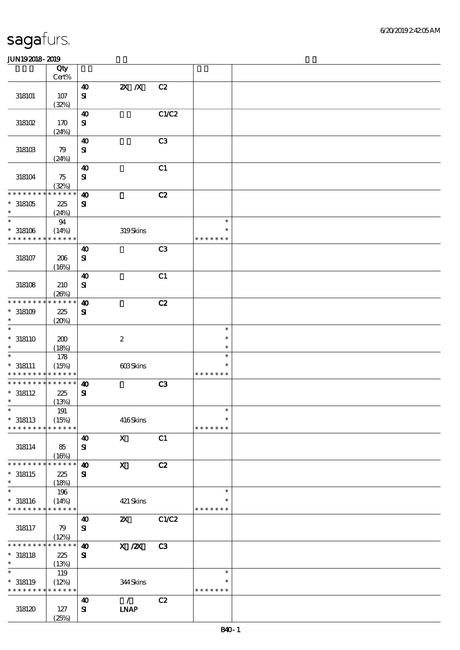|                                          | Qty                  |                                       |                           |                |                  |  |
|------------------------------------------|----------------------|---------------------------------------|---------------------------|----------------|------------------|--|
|                                          | Cert%                |                                       |                           |                |                  |  |
| 318101                                   | 107                  | $\boldsymbol{\omega}$<br>$\bf S\!I$   | $Z\!X$ $\,$ $X$           | C2             |                  |  |
|                                          | (32%)                |                                       |                           |                |                  |  |
|                                          |                      | $\boldsymbol{\omega}$                 |                           | C1/C2          |                  |  |
| 318102                                   | 170                  | ${\bf S}$                             |                           |                |                  |  |
|                                          | (24%)                |                                       |                           |                |                  |  |
| $318103$                                 | 79                   | $\boldsymbol{\omega}$<br>$\mathbf{S}$ |                           | C <sub>3</sub> |                  |  |
|                                          | (24%)                |                                       |                           |                |                  |  |
|                                          |                      | $\boldsymbol{\omega}$                 |                           | C1             |                  |  |
| 318104                                   | 75                   | $\mathbf{S}$                          |                           |                |                  |  |
| * * * * * * * *                          | (32%)<br>* * * * * * |                                       |                           |                |                  |  |
| $*318105$                                | 225                  | $\boldsymbol{\omega}$<br>${\bf S}$    |                           | C2             |                  |  |
| $\ast$                                   | (24%)                |                                       |                           |                |                  |  |
| $\ast$                                   | $94\,$               |                                       |                           |                | $\ast$           |  |
| $*318106$                                | (14%)                |                                       | 319Skins                  |                | $\ast$           |  |
| * * * * * * * *                          | * * * * * *          |                                       |                           |                | * * * * * * *    |  |
| 318107                                   | 206                  | $\boldsymbol{\omega}$<br>$\bf S\bf I$ |                           | C <sub>3</sub> |                  |  |
|                                          | (16%)                |                                       |                           |                |                  |  |
|                                          |                      | $\boldsymbol{\omega}$                 |                           | C1             |                  |  |
| 318108                                   | 210                  | ${\bf S}$                             |                           |                |                  |  |
|                                          | (20%)<br>* * * * * * |                                       |                           |                |                  |  |
| * * * * * * * *<br>$^*$ 318109 $\,$      | 225                  | $\boldsymbol{\omega}$<br>$\mathbf{S}$ |                           | C2             |                  |  |
| $\ast$                                   | (20%)                |                                       |                           |                |                  |  |
| $\ast$                                   |                      |                                       |                           |                | $\ast$           |  |
| $* 318110$                               | 200                  |                                       | $\boldsymbol{2}$          |                | $\ast$           |  |
| $\ast$<br>$\ast$                         | (18%)                |                                       |                           |                | $\ast$           |  |
| $* 318111$                               | 178<br>(15%)         |                                       | 603Skins                  |                | $\ast$<br>$\ast$ |  |
| * * * * * * * * <mark>* * * * * *</mark> |                      |                                       |                           |                | * * * * * * *    |  |
| * * * * * * * *                          | * * * * * *          | $\boldsymbol{\omega}$                 |                           | C3             |                  |  |
| $* 318112$                               | 225                  | $\mathbf{S}$                          |                           |                |                  |  |
| $\ast$<br>$*$                            | (13%)                |                                       |                           |                | $\ast$           |  |
| $* 318113$                               | 191<br>(15%)         |                                       | 416Skins                  |                | $\ast$           |  |
| * * * * * * * *                          | * * * * * *          |                                       |                           |                | * * * * * * *    |  |
|                                          |                      | 40                                    | $\mathbf{x}$              | C1             |                  |  |
| 318114                                   | 85                   | ${\bf s}$                             |                           |                |                  |  |
| * * * * * * * *                          | (16%)<br>* * * * * * |                                       |                           |                |                  |  |
| $*318115$                                | 225                  | $\boldsymbol{\omega}$<br>${\bf s}$    | $\mathbf{x}$              | C2             |                  |  |
| $\ast$                                   | (18%)                |                                       |                           |                |                  |  |
| $\ast$                                   | 196                  |                                       |                           |                | $\ast$           |  |
| $* 318116$                               | (14%)                |                                       | 421 Skins                 |                | ∗                |  |
| * * * * * * * * <mark>* * * * * *</mark> |                      |                                       | $\boldsymbol{\mathsf{z}}$ | C1/C2          | * * * * * * *    |  |
| 318117                                   | 79                   | $\boldsymbol{\omega}$<br>${\bf s}$    |                           |                |                  |  |
|                                          | (12%)                |                                       |                           |                |                  |  |
| * * * * * *                              | * * * * * *          | $\boldsymbol{\omega}$                 | $X$ / $ZX$                | C <sub>3</sub> |                  |  |
| $* 318118$                               | 225                  | ${\bf s}$                             |                           |                |                  |  |
| $\ast$<br>$\ast$                         | (13%)<br>119         |                                       |                           |                | $\ast$           |  |
| $* 318119$                               | (12%)                |                                       | 344Skins                  |                | $\ast$           |  |
| * * * * * * * * * * * * * *              |                      |                                       |                           |                | * * * * * * *    |  |
|                                          |                      | $\boldsymbol{\omega}$                 | $\mathcal{L}$             | C2             |                  |  |
| 318120                                   | 127                  | ${\bf s}$                             | <b>INAP</b>               |                |                  |  |
|                                          | (25%)                |                                       |                           |                |                  |  |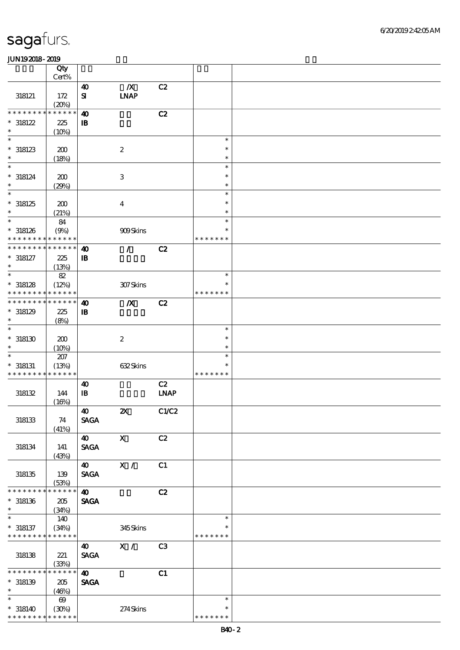|                                          | Qty                   |                                       |                                 |                |               |  |
|------------------------------------------|-----------------------|---------------------------------------|---------------------------------|----------------|---------------|--|
|                                          | Cert%                 |                                       |                                 |                |               |  |
| 318121                                   | 172<br>(20%)          | $\boldsymbol{\omega}$<br>$\mathbf{S}$ | $\boldsymbol{X}$<br><b>INAP</b> | C2             |               |  |
| * * * * * * * *                          | * * * * * *           | $\boldsymbol{\omega}$                 |                                 | C2             |               |  |
| $*318122$                                | 225                   | $\, {\bf I} \! {\bf B} \,$            |                                 |                |               |  |
| $\ast$                                   | (10%)                 |                                       |                                 |                |               |  |
| $\ast$                                   |                       |                                       |                                 |                | $\ast$        |  |
| $*318123$                                | 200                   |                                       | $\boldsymbol{2}$                |                | $\ast$        |  |
| $\ast$                                   | (18%)                 |                                       |                                 |                | $\ast$        |  |
| $\ast$                                   |                       |                                       |                                 |                | $\ast$        |  |
| $* 318124$                               | 200                   |                                       | $\,3$                           |                | $\ast$        |  |
| $\ast$                                   | (29%)                 |                                       |                                 |                | $\ast$        |  |
| $\overline{\ast}$                        |                       |                                       |                                 |                | $\ast$        |  |
| $*318125$                                | 200                   |                                       | $\boldsymbol{4}$                |                | $\ast$        |  |
| $\ast$                                   | (21%)                 |                                       |                                 |                | $\ast$        |  |
| $\ast$                                   | 84                    |                                       |                                 |                | $\ast$        |  |
| $*318126$                                | (9%)                  |                                       | 909Skins                        |                | $\ast$        |  |
| * * * * * * * *                          | * * * * * *           |                                       |                                 |                | * * * * * * * |  |
| * * * * * * * *                          | * * * * * *           | $\boldsymbol{\omega}$                 | $\mathcal{L}$                   | C2             |               |  |
| $* 318127$                               | 225                   |                                       |                                 |                |               |  |
| $\ast$                                   |                       | $\mathbf{B}$                          |                                 |                |               |  |
| $\ast$                                   | (13%)                 |                                       |                                 |                | $\ast$        |  |
|                                          | $8\!2$                |                                       |                                 |                | $\ast$        |  |
| $*318128$                                | (12%)                 |                                       | 307Skins                        |                |               |  |
| * * * * * * * *                          | * * * * * *           |                                       |                                 |                | * * * * * * * |  |
| * * * * * * * *                          | * * * * * *           | $\boldsymbol{\omega}$                 | $\boldsymbol{X}$                | C2             |               |  |
| $*318129$                                | 225                   | $\mathbf{B}$                          |                                 |                |               |  |
| $\ast$                                   | (8%)                  |                                       |                                 |                |               |  |
| $\ast$                                   |                       |                                       |                                 |                | $\ast$        |  |
| $^*$ 318130 $\,$                         | 200                   |                                       | $\boldsymbol{2}$                |                | $\ast$        |  |
|                                          | (10%)                 |                                       |                                 |                | $\ast$        |  |
|                                          | $207\,$               |                                       |                                 |                | $\ast$        |  |
| $* 318131$                               | (13%)                 |                                       | 632Skins                        |                | $\ast$        |  |
| * * * * * * * * * * * * * *              |                       |                                       |                                 |                | * * * * * * * |  |
|                                          |                       | $\boldsymbol{\omega}$                 |                                 | C2             |               |  |
| $318132$                                 | 144                   | $\mathbf{B}$                          |                                 | <b>LNAP</b>    |               |  |
|                                          | (16%)                 |                                       |                                 |                |               |  |
|                                          |                       | 40                                    | $\boldsymbol{\mathsf{z}}$       | C1/C2          |               |  |
| $318133\,$                               | 74                    | <b>SAGA</b>                           |                                 |                |               |  |
|                                          | (41%)                 |                                       |                                 |                |               |  |
|                                          |                       | $\boldsymbol{\omega}$                 | $\mathbf{x}$                    | C2             |               |  |
| 318134                                   | 141                   | <b>SAGA</b>                           |                                 |                |               |  |
|                                          | (43%)                 |                                       |                                 |                |               |  |
|                                          |                       | $\boldsymbol{\omega}$                 | X /                             | C1             |               |  |
| $318135\,$                               | 139                   | <b>SAGA</b>                           |                                 |                |               |  |
|                                          | (53%)                 |                                       |                                 |                |               |  |
| * * * * * * *                            | * * * * * *           | $\boldsymbol{\omega}$                 |                                 | C2             |               |  |
| $*318136$                                | 205                   | <b>SAGA</b>                           |                                 |                |               |  |
| $\ast$                                   | (34%)                 |                                       |                                 |                |               |  |
| $\overline{\phantom{0}}$                 | 140                   |                                       |                                 |                | $\ast$        |  |
| $* 318137$                               | (34%)                 |                                       | 345Skins                        |                | $\ast$        |  |
| * * * * * * * * * * * * * *              |                       |                                       |                                 |                | * * * * * * * |  |
|                                          |                       | $\boldsymbol{\omega}$                 | $\mathbf{X}$ /                  | C <sub>3</sub> |               |  |
| 318138                                   | 221                   | <b>SAGA</b>                           |                                 |                |               |  |
|                                          | (33%)                 |                                       |                                 |                |               |  |
| * * * * * * *                            | * * * * * *           | $\boldsymbol{\omega}$                 |                                 | C1             |               |  |
| $*318139$                                | 205                   | <b>SAGA</b>                           |                                 |                |               |  |
| $\ast$                                   | (46%)                 |                                       |                                 |                |               |  |
| $\ast$                                   | $\boldsymbol{\omega}$ |                                       |                                 |                | $\ast$        |  |
| $*318140$                                | (30%)                 |                                       | 274Skins                        |                | $\ast$        |  |
| * * * * * * * * <mark>* * * * * *</mark> |                       |                                       |                                 |                | * * * * * * * |  |
|                                          |                       |                                       |                                 |                |               |  |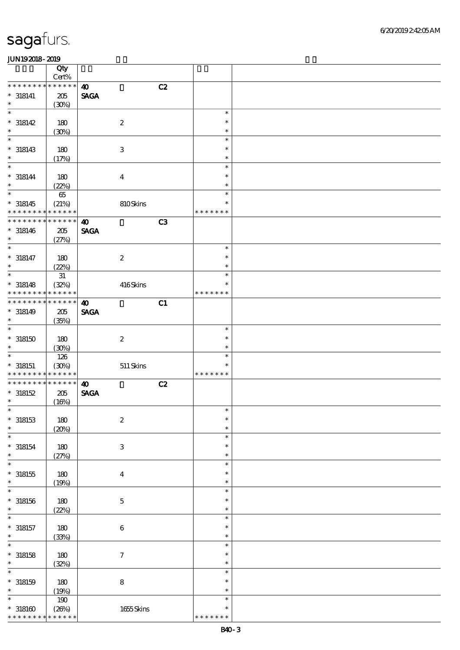|                                                    | Qty<br>$Cert\%$                |                       |    |                                   |  |
|----------------------------------------------------|--------------------------------|-----------------------|----|-----------------------------------|--|
| * * * *<br>* * *                                   | * * * * * *                    | $\boldsymbol{\omega}$ | C2 |                                   |  |
| $* 318141$                                         | $205\,$                        | <b>SAGA</b>           |    |                                   |  |
| $\ast$                                             | (30%)                          |                       |    |                                   |  |
| $\ast$<br>$* 318142$                               | 180                            | $\boldsymbol{2}$      |    | $\ast$<br>$\ast$                  |  |
| $\ast$                                             | (30%)                          |                       |    | $\ast$                            |  |
| $\ast$<br>$* 318143$                               | 180                            | $\,3\,$               |    | $\ast$<br>$\ast$                  |  |
| $\ast$                                             | (17%)                          |                       |    | $\ast$                            |  |
| $\ast$<br>$* 318144$<br>$\ast$                     | 180<br>(22%)                   | $\boldsymbol{4}$      |    | $\ast$<br>$\ast$<br>$\ast$        |  |
| $\overline{\ast}$<br>$* 318145$<br>* * * * * * * * | $6\!5$<br>(21%)<br>* * * * * * | 810Skins              |    | $\ast$<br>$\ast$<br>* * * * * * * |  |
| * * * * * * * *                                    | * * * * * *                    | $\boldsymbol{\omega}$ | C3 |                                   |  |
| $* 318146$<br>$\ast$                               | $205\,$<br>(27%)               | <b>SAGA</b>           |    |                                   |  |
| $\ast$                                             |                                |                       |    | $\ast$                            |  |
| $* 318147$<br>$\ast$                               | 180<br>(22%)                   | $\boldsymbol{2}$      |    | $\ast$<br>$\ast$                  |  |
| $\ast$                                             | 31                             |                       |    | $\ast$                            |  |
| $* 318148$<br>* * * * * * *                        | (32%)<br>* * * * * *           | 416Skins              |    | $\ast$<br>* * * * * * *           |  |
| * * * * * * *                                      | * * * * * *                    | $\boldsymbol{\omega}$ | C1 |                                   |  |
| $* 318149$<br>$\ast$                               | $205\,$<br>(35%)               | <b>SAGA</b>           |    |                                   |  |
| $\ast$                                             |                                |                       |    | $\ast$                            |  |
| $^\ast$ 318150<br>$\ast$                           | 180<br>(30%)                   | $\boldsymbol{2}$      |    | $\ast$<br>$\ast$                  |  |
| $\ast$                                             | 126                            |                       |    | $\ast$                            |  |
| $*$ 318151                                         | (30%)                          | $511\,$ Skins         |    | $\ast$                            |  |
| * * * * * * * *                                    | * * * * * *                    |                       |    | * * * * * * *                     |  |
| * * * * * * * *                                    | * * * * * *                    | $\boldsymbol{\omega}$ | C2 |                                   |  |
| $* 318152$                                         | $205\,$                        | <b>SAGA</b>           |    |                                   |  |
| $\ast$                                             | (16%)                          |                       |    |                                   |  |
| $\ast$                                             |                                |                       |    | $\ast$                            |  |
| $*318153$<br>$\ast$                                | $180$<br>(20%)                 | $\boldsymbol{2}$      |    | $\ast$<br>$\ast$                  |  |
| $\ast$                                             |                                |                       |    | $\ast$                            |  |
| $* 318154$<br>$\ast$                               | 180<br>(27%)                   | $\,3$                 |    | $\ast$<br>$\ast$                  |  |
| $\ast$                                             |                                |                       |    | $\ast$                            |  |
| $^*$ 318155<br>$\ast$                              | 180<br>(19%)                   | $\boldsymbol{4}$      |    | $\ast$<br>$\ast$                  |  |
| $\ast$                                             |                                |                       |    | $\ast$                            |  |
| $* 318156$<br>$\ast$                               | 180<br>(22%)                   | $\mathbf 5$           |    | $\ast$<br>$\ast$                  |  |
| $\ast$                                             |                                |                       |    | $\ast$                            |  |
| $* 318157$<br>$\ast$                               | 180<br>(33%)                   | $\,6\,$               |    | $\ast$<br>$\ast$                  |  |
| $\ast$                                             |                                |                       |    | $\ast$                            |  |
| $*318158$<br>$\ast$                                | 180<br>(32%)                   | $\boldsymbol{7}$      |    | $\ast$<br>$\ast$                  |  |
| $\ast$                                             |                                |                       |    | $\ast$                            |  |
| $* 318159$<br>$\ast$                               | 180                            | $\bf 8$               |    | $\ast$<br>$\ast$                  |  |
|                                                    | (19%)                          |                       |    |                                   |  |
| $\ast$                                             | 190                            |                       |    | $\ast$                            |  |
| $^\ast$ 318160                                     | (20%)<br>* * * * * *           | 1655Skins             |    | $\ast$                            |  |
| * * * * * * * *                                    |                                |                       |    | * * * * * * *                     |  |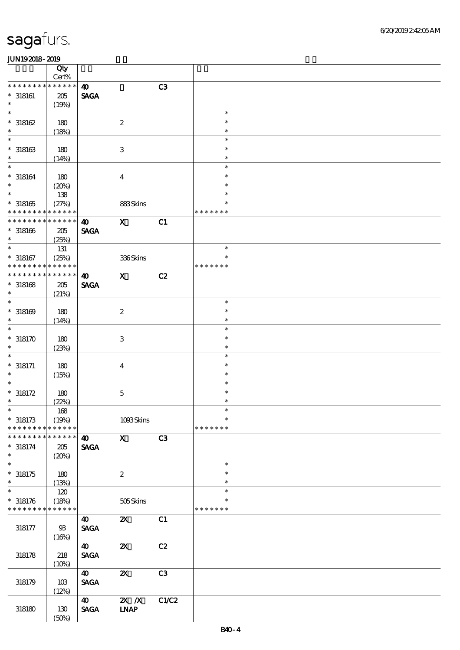|                          | Qty<br>Cert%      |                                |                              |       |               |  |
|--------------------------|-------------------|--------------------------------|------------------------------|-------|---------------|--|
| * * * * * * *            | * * * * * *       | $\boldsymbol{\omega}$          |                              | C3    |               |  |
| $^*$ 318161              | 205               | <b>SAGA</b>                    |                              |       |               |  |
| $\ast$                   | (19%)             |                                |                              |       |               |  |
| $\ast$                   |                   |                                |                              |       | $\ast$        |  |
| $*318162$                | 180               |                                | $\boldsymbol{2}$             |       | $\ast$        |  |
| $\ast$                   |                   |                                |                              |       | $\ast$        |  |
| $\ast$                   | (18%)             |                                |                              |       |               |  |
|                          |                   |                                |                              |       | $\ast$        |  |
| $* 318163$               | 180               |                                | $\ensuremath{\mathbf{3}}$    |       | $\ast$        |  |
| $\ast$                   | (14%)             |                                |                              |       | $\ast$        |  |
| $\ast$                   |                   |                                |                              |       | $\ast$        |  |
| $* 318164$               | 180               |                                | $\boldsymbol{4}$             |       | $\ast$        |  |
| $\ast$                   | (20%)             |                                |                              |       | $\ast$        |  |
| $\overline{\ast}$        | 138               |                                |                              |       | $\ast$        |  |
| $^\ast$ 318165           | (27%)             |                                | 883Skins                     |       | $\ast$        |  |
| * * * * * * * *          | * * * * * *       |                                |                              |       | * * * * * * * |  |
| * * * * * * * *          | --<br>* * * * * * | $\boldsymbol{\omega}$          | $\boldsymbol{\mathsf{X}}$    | C1    |               |  |
| $* 318166$               | 205               | <b>SAGA</b>                    |                              |       |               |  |
| $\ast$                   |                   |                                |                              |       |               |  |
| $\ast$                   | (25%)             |                                |                              |       | $\ast$        |  |
|                          | 131               |                                |                              |       |               |  |
| $* 318167$               | (25%)             |                                | 336Skins                     |       | $\ast$        |  |
| * * * * * * * *          | * * * * * *       |                                |                              |       | * * * * * * * |  |
| * * * * * * * *          | * * * * * *       | $\boldsymbol{\omega}$          | $\mathbf{x}$                 | C2    |               |  |
| $*318168$                | 205               | <b>SAGA</b>                    |                              |       |               |  |
| $\ast$                   | (21%)             |                                |                              |       |               |  |
| $\ast$                   |                   |                                |                              |       | $\ast$        |  |
| $*318169$                | 180               |                                | $\boldsymbol{2}$             |       | $\ast$        |  |
| $\ast$                   | (14%)             |                                |                              |       | $\ast$        |  |
| $\ast$                   |                   |                                |                              |       | $\ast$        |  |
| $*318170$                | 180               |                                | $\ensuremath{\mathbf{3}}$    |       | $\ast$        |  |
| $\ast$                   | (23%)             |                                |                              |       | $\ast$        |  |
| $\ast$                   |                   |                                |                              |       | $\ast$        |  |
| $* 318171$               |                   |                                |                              |       | $\ast$        |  |
| $\ast$                   | 180               |                                | $\boldsymbol{4}$             |       | $\ast$        |  |
| $\ast$                   | (15%)             |                                |                              |       | $\ast$        |  |
|                          |                   |                                |                              |       |               |  |
| $* 318172$               | 180               |                                | $\bf 5$                      |       | $\ast$        |  |
| $\ast$                   | (22%)             |                                |                              |       | $\ast$        |  |
| $\ast$                   | 168               |                                |                              |       | $\ast$        |  |
| $*318173$                | (19%)             |                                | 1093Skins                    |       | $\ast$        |  |
| * * * * * * * *          | * * * * * *       |                                |                              |       | * * * * * * * |  |
| * * * * * * *            | * * * * * *       | $\boldsymbol{\omega}$          | $\mathbf{x}$                 | C3    |               |  |
| $* 318174$               | 205               | <b>SAGA</b>                    |                              |       |               |  |
| $\ast$                   | (20%)             |                                |                              |       |               |  |
| $\overline{\phantom{0}}$ |                   |                                |                              |       | $\ast$        |  |
| $* 318175$               | 180               |                                | $\boldsymbol{2}$             |       | $\ast$        |  |
| $\ast$                   | (13%)             |                                |                              |       | $\ast$        |  |
| $\overline{\ast}$        | 120               |                                |                              |       | $\ast$        |  |
| $*318176$                | (18%)             |                                | 505Skins                     |       | ∗             |  |
| * * * * * * * *          | * * * * * *       |                                |                              |       | * * * * * * * |  |
|                          |                   |                                |                              |       |               |  |
|                          |                   | 40                             | $\boldsymbol{\mathsf{X}}$    | C1    |               |  |
| 318177                   | $93$              | $\operatorname{\mathsf{SAGA}}$ |                              |       |               |  |
|                          | (16%)             |                                |                              |       |               |  |
|                          |                   | 40                             | $\boldsymbol{\mathsf{z}}$    | C2    |               |  |
| 318178                   | 218               | $\ensuremath{\mathsf{SAGA}}$   |                              |       |               |  |
|                          | (10%)             |                                |                              |       |               |  |
|                          |                   | 40                             | $\boldsymbol{\mathsf{z}}$    | C3    |               |  |
| 318179                   | 10B               | <b>SAGA</b>                    |                              |       |               |  |
|                          | (12%)             |                                |                              |       |               |  |
|                          |                   | 40                             | $\overline{X}$ X             | C1/C2 |               |  |
| 318180                   | 130               | <b>SAGA</b>                    | $\ensuremath{\mathbf{INAP}}$ |       |               |  |
|                          | (50%)             |                                |                              |       |               |  |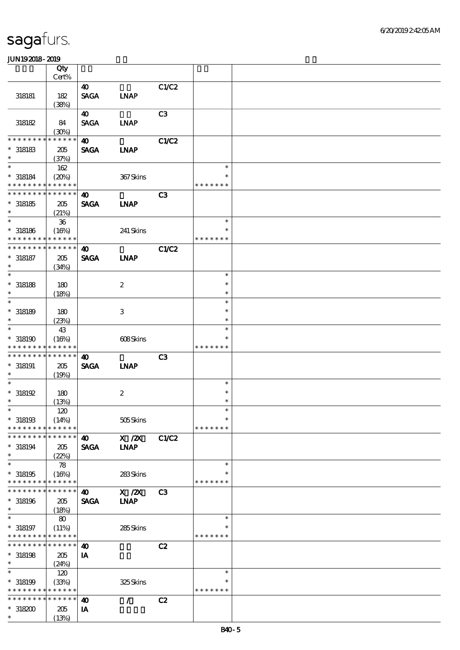|                                            | Qty             |                       |                  |                |               |  |
|--------------------------------------------|-----------------|-----------------------|------------------|----------------|---------------|--|
|                                            | $Cert\%$        |                       |                  |                |               |  |
|                                            |                 | $\boldsymbol{\omega}$ |                  | C1/C2          |               |  |
| 318181                                     | 182             | <b>SAGA</b>           | <b>INAP</b>      |                |               |  |
|                                            | (38%)           |                       |                  |                |               |  |
|                                            |                 | 40                    |                  | C3             |               |  |
| 318182                                     | 84              | <b>SAGA</b>           | <b>INAP</b>      |                |               |  |
|                                            | (30%)           |                       |                  |                |               |  |
| * * * * * * * *                            | * * * * * *     | $\boldsymbol{\omega}$ |                  | C1/C2          |               |  |
| $*$ 318183                                 | 205             | <b>SAGA</b>           | <b>INAP</b>      |                |               |  |
| $\ast$                                     | (37%)           |                       |                  |                |               |  |
| $\ast$                                     | 162             |                       |                  |                | $\ast$        |  |
| $* 318184$                                 | (20%)           |                       | 367Skins         |                | $\ast$        |  |
| * * * * * * * * <mark>* * * * * *</mark>   |                 |                       |                  |                | * * * * * * * |  |
| * * * * * * * * * * * * * *                |                 | $\boldsymbol{\omega}$ |                  | C <sub>3</sub> |               |  |
| $*318185$                                  | 205             | <b>SAGA</b>           | <b>INAP</b>      |                |               |  |
| $\ast$                                     | (21%)           |                       |                  |                |               |  |
| $\ast$                                     | ${\bf 36}$      |                       |                  |                | $\ast$        |  |
| $* 318186$                                 | (16%)           |                       | 241 Skins        |                | *             |  |
| * * * * * * * * <mark>* * * * * * *</mark> |                 |                       |                  |                | * * * * * * * |  |
| * * * * * * * *                            | $* * * * * * *$ | $\boldsymbol{\omega}$ |                  | <b>C1/C2</b>   |               |  |
| $* 318187$                                 | 205             | <b>SAGA</b>           | <b>INAP</b>      |                |               |  |
| $\ast$                                     | (34%)           |                       |                  |                |               |  |
| $\ast$                                     |                 |                       |                  |                | $\ast$        |  |
| $*$ 318188                                 | 180             |                       | $\boldsymbol{2}$ |                | $\ast$        |  |
| $\ast$                                     | (18%)           |                       |                  |                | $\ast$        |  |
| $\ast$                                     |                 |                       |                  |                | $\ast$        |  |
| $*318189$                                  | 180             |                       | 3                |                | $\ast$        |  |
| $\ast$                                     | (23%)           |                       |                  |                | $\ast$        |  |
| $\ast$                                     | 43              |                       |                  |                | $\ast$        |  |
| $*318190$                                  | (16%)           |                       | 608Skins         |                | $\ast$        |  |
| * * * * * * * *                            | * * * * * *     |                       |                  |                | * * * * * * * |  |
| * * * * * * * *                            | * * * * * *     | $\boldsymbol{\omega}$ |                  | C <sub>3</sub> |               |  |
| $* 318191$                                 | 205             | <b>SAGA</b>           | <b>INAP</b>      |                |               |  |
| $\ast$                                     | (19%)           |                       |                  |                |               |  |
| $\ast$                                     |                 |                       |                  |                | $\ast$        |  |
| $*318192$                                  | 180             |                       | $\boldsymbol{2}$ |                | $\ast$        |  |
| $\ast$                                     | (13%)           |                       |                  |                | $\ast$        |  |
|                                            | 120             |                       |                  |                |               |  |
| $*318193$                                  | (14%)           |                       | 505Skins         |                | $\ast$        |  |
| * * * * * * * *                            | * * * * * *     |                       |                  |                | * * * * * * * |  |
| * * * * * * * *                            | * * * * * *     | $\boldsymbol{\omega}$ | X / ZX           | <b>C1/C2</b>   |               |  |
| $*318194$                                  | 205             | <b>SAGA</b>           | <b>INAP</b>      |                |               |  |
| $\ast$                                     | (22%)           |                       |                  |                |               |  |
| $\ast$                                     | 78              |                       |                  |                | $\ast$        |  |
| $*318195$                                  | (16%)           |                       | 283Skins         |                | *             |  |
| * * * * * * * *                            | * * * * * *     |                       |                  |                | * * * * * * * |  |
| * * * * * * * *                            | * * * * * *     | 40                    | $X$ / $ZX$       | C <sub>3</sub> |               |  |
| $*318196$                                  | 205             | <b>SAGA</b>           | <b>LNAP</b>      |                |               |  |
| $\ast$                                     | (18%)           |                       |                  |                |               |  |
| $\ast$                                     | 80              |                       |                  |                | $\ast$        |  |
| $* 318197$                                 | (11%)           |                       | 285Skins         |                | ∗             |  |
| * * * * * * * *                            | * * * * * *     |                       |                  |                | * * * * * * * |  |
| * * * * * * * *                            | * * * * * *     | $\boldsymbol{\omega}$ |                  | C2             |               |  |
| $*318198$                                  | 205             | IA                    |                  |                |               |  |
| $\ast$                                     | (24%)           |                       |                  |                |               |  |
| $\ast$                                     | 120             |                       |                  |                | $\ast$        |  |
| $*318199$                                  | (33%)           |                       | 325Skins         |                | *             |  |
| * * * * * * * * <mark>* * * * * *</mark> * |                 |                       |                  |                | * * * * * * * |  |
| * * * * * * * *                            | * * * * * *     | $\boldsymbol{\omega}$ | $\mathcal{L}$    | C2             |               |  |
| $*318200$                                  | 205             | IA                    |                  |                |               |  |
| $\ast$                                     | (13%)           |                       |                  |                |               |  |
|                                            |                 |                       |                  |                |               |  |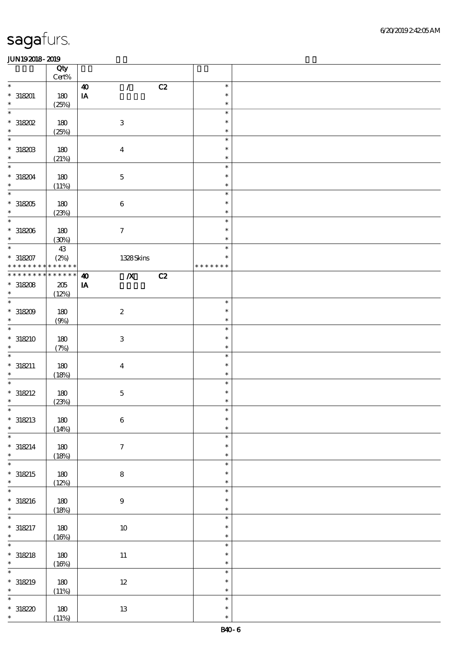|                          | Qty<br>Cert% |                                                  |    |               |  |
|--------------------------|--------------|--------------------------------------------------|----|---------------|--|
| $\ast$                   |              | $\mathcal{L}$<br>$\boldsymbol{\omega}$           | C2 | $\ast$        |  |
| $* 318201$               |              | $\mathbf{I}\mathbf{A}$                           |    | $\ast$        |  |
| $\ast$                   | 180          |                                                  |    | $\ast$        |  |
|                          | (25%)        |                                                  |    |               |  |
| $\ast$                   |              |                                                  |    | $\ast$        |  |
| $*318202$                | 180          | $\,3$                                            |    | $\ast$        |  |
| $\ast$                   | (25%)        |                                                  |    | $\ast$        |  |
| $\ast$                   |              |                                                  |    | $\ast$        |  |
| $^*$ 318203              | 180          | $\bf{4}$                                         |    | $\ast$        |  |
| $\ast$                   | (21%)        |                                                  |    | $\ast$        |  |
| $\ast$                   |              |                                                  |    | $\ast$        |  |
|                          |              |                                                  |    |               |  |
| $*318204$                | 180          | $\mathbf 5$                                      |    | $\ast$        |  |
| $\ast$                   | (11%)        |                                                  |    | $\ast$        |  |
| $\overline{\phantom{0}}$ |              |                                                  |    | $\ast$        |  |
| $^\ast$ 318205           | 180          | $\bf 6$                                          |    | $\ast$        |  |
| $\ast$                   | (23%)        |                                                  |    | $\ast$        |  |
| $\overline{\ast}$        |              |                                                  |    | $\ast$        |  |
| $*318206$                | 180          | $\tau$                                           |    | $\ast$        |  |
| $\ast$                   | (30%)        |                                                  |    | $\ast$        |  |
| $\overline{\ast}$        |              |                                                  |    | $\ast$        |  |
|                          | 43           |                                                  |    | $\ast$        |  |
| $*318207$                | (2%)         | 1328Skins                                        |    |               |  |
| * * * * * * * *          | * * * * * *  |                                                  |    | * * * * * * * |  |
| * * * * * * *            | * * * * * *  | $\overline{\mathbf{X}}$<br>$\boldsymbol{\omega}$ | C2 |               |  |
| $*318208$                | 205          | $\mathbf{I} \mathbf{A}$                          |    |               |  |
| $\ast$                   | (12%)        |                                                  |    |               |  |
| $\overline{\ast}$        |              |                                                  |    | $\ast$        |  |
| $*318209$                | 180          | $\boldsymbol{2}$                                 |    | $\ast$        |  |
| $\ast$                   | (9%)         |                                                  |    | $\ast$        |  |
| $\ast$                   |              |                                                  |    | $\ast$        |  |
|                          |              |                                                  |    | $\ast$        |  |
| $* 318210$               | 180          | $\ensuremath{\mathbf{3}}$                        |    |               |  |
| $\ast$                   | (7%)         |                                                  |    | $\ast$        |  |
| $\ast$                   |              |                                                  |    | $\ast$        |  |
| $*318211$                | 180          | $\bf{4}$                                         |    | $\ast$        |  |
| $\ast$                   | (18%)        |                                                  |    | $\ast$        |  |
| $\ast$                   |              |                                                  |    | $\ast$        |  |
| $* 318212$               | 180          | $\mathbf 5$                                      |    | $\ast$        |  |
| $\ast$                   | (23%)        |                                                  |    | $\ast$        |  |
| $\ast$                   |              |                                                  |    | $\ast$        |  |
|                          |              |                                                  |    |               |  |
| $*318213$                | 180          | $\,6\,$                                          |    | $\ast$        |  |
| $\ast$                   | (14%)        |                                                  |    | $\ast$        |  |
| $\ast$                   |              |                                                  |    | $\ast$        |  |
| $* 318214$               | $180$        | $\tau$                                           |    | $\ast$        |  |
| $\ast$                   | (18%)        |                                                  |    | $\ast$        |  |
| $\overline{\ast}$        |              |                                                  |    | $\ast$        |  |
| $* 318215$               | $180$        | $\bf 8$                                          |    | $\ast$        |  |
| $\ast$                   | (12%)        |                                                  |    | $\ast$        |  |
| $\ast$                   |              |                                                  |    | $\ast$        |  |
|                          |              |                                                  |    | $\ast$        |  |
| $* 318216$<br>$\ast$     | $180$        | $\boldsymbol{9}$                                 |    |               |  |
|                          | (18%)        |                                                  |    | $\ast$        |  |
| $\ast$                   |              |                                                  |    | $\ast$        |  |
| $* 318217$               | $180\,$      | $10\,$                                           |    | $\ast$        |  |
| $\ast$                   | (16%)        |                                                  |    | $\ast$        |  |
| $\overline{\ast}$        |              |                                                  |    | $\ast$        |  |
| $* 318218$               | 180          | $11\,$                                           |    | $\ast$        |  |
| $\ast$                   | (16%)        |                                                  |    | $\ast$        |  |
| $\ast$                   |              |                                                  |    | $\ast$        |  |
|                          |              |                                                  |    | $\ast$        |  |
| $* 318219$<br>$\ast$     | $180$        | $12\,$                                           |    |               |  |
|                          | (11%)        |                                                  |    | $\ast$        |  |
| $\ast$                   |              |                                                  |    | $\ast$        |  |
| $*31820$                 | 180          | $13\,$                                           |    | $\ast$        |  |
| $\ast$                   | (11%)        |                                                  |    | $\ast$        |  |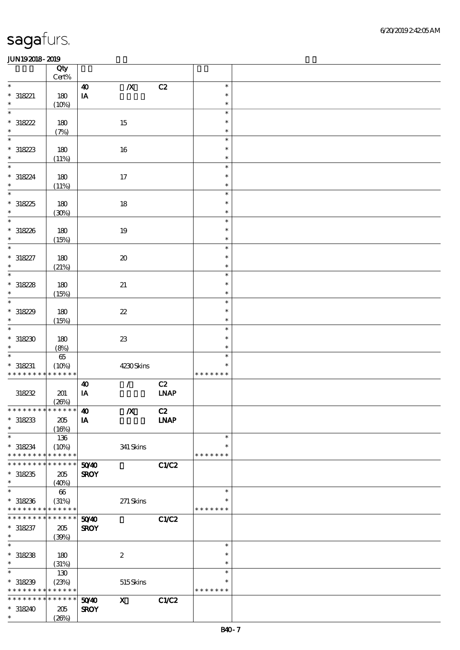|                                                         | Qty<br>Cert% |                         |                            |                              |                  |  |
|---------------------------------------------------------|--------------|-------------------------|----------------------------|------------------------------|------------------|--|
| $\ast$                                                  |              | $\boldsymbol{\omega}$   | $\pmb{X}$                  | C2                           | $\ast$           |  |
| $* 318221$                                              | $180$        | $\mathbf{I}\mathbf{A}$  |                            |                              | $\ast$           |  |
| $\ast$                                                  | (10%)        |                         |                            |                              | $\ast$           |  |
| $\ast$                                                  |              |                         |                            |                              | $\ast$           |  |
| $* 318222$                                              | 180          |                         | $15\,$                     |                              | $\ast$           |  |
| $\ast$                                                  | (7%)         |                         |                            |                              | $\ast$           |  |
| $\ast$                                                  |              |                         |                            |                              | $\ast$           |  |
| $*318223$                                               | 180          |                         | $16\,$                     |                              | $\ast$           |  |
| $\ast$                                                  | (11%)        |                         |                            |                              | $\ast$           |  |
| $\ast$                                                  |              |                         |                            |                              | $\ast$<br>$\ast$ |  |
| $* 318224$<br>$\ast$                                    | $180\,$      |                         | $17$                       |                              | $\ast$           |  |
| $\overline{\ast}$                                       | (11%)        |                         |                            |                              | $\ast$           |  |
| $*318225$                                               | 180          |                         | 18                         |                              | $\ast$           |  |
| $\ast$                                                  | (30%)        |                         |                            |                              | $\ast$           |  |
| $\overline{\ast}$                                       |              |                         |                            |                              | $\ast$           |  |
| $*318226$                                               | 180          |                         | 19                         |                              | $\ast$           |  |
| $\ast$                                                  | (15%)        |                         |                            |                              | $\ast$           |  |
| $\ast$                                                  |              |                         |                            |                              | $\ast$           |  |
| $* 318227$                                              | 180          |                         | $\pmb{\mathcal{X}}$        |                              | $\ast$           |  |
| $\ast$                                                  | (21%)        |                         |                            |                              | $\ast$           |  |
| $\ast$                                                  |              |                         |                            |                              | $\ast$           |  |
| $*318228$<br>$\ast$                                     | 180          |                         | 21                         |                              | $\ast$<br>$\ast$ |  |
| $\overline{\ast}$                                       | (15%)        |                         |                            |                              | $\ast$           |  |
| $*318229$                                               | 180          |                         | $\boldsymbol{\mathcal{Z}}$ |                              | $\ast$           |  |
| $\ast$                                                  | (15%)        |                         |                            |                              | $\ast$           |  |
| $\ast$                                                  |              |                         |                            |                              | $\ast$           |  |
| $*318230$                                               | 180          |                         | ${\bf Z}$                  |                              | $\ast$           |  |
| $\ast$                                                  | (8%)         |                         |                            |                              | $\ast$           |  |
| $\ast$                                                  | $65\,$       |                         |                            |                              | $\ast$           |  |
| $* 318231$                                              | (10%)        |                         | 4230Skins                  |                              | $\ast$           |  |
| * * * * * * * * * * * * * *                             |              |                         |                            |                              | * * * * * * *    |  |
|                                                         |              | $\boldsymbol{\omega}$   | $\mathcal{L}$              | C2                           |                  |  |
| 318232                                                  | 201          | $\mathbf{I} \mathbf{A}$ |                            | $\ensuremath{\mathbf{INAP}}$ |                  |  |
| *************** 10                                      | (20%)        |                         | $\pmb{X}$                  | C2                           |                  |  |
| $*318233$                                               | 205          | IA                      |                            | <b>LNAP</b>                  |                  |  |
| $\ast$                                                  | (16%)        |                         |                            |                              |                  |  |
| $\ast$                                                  | 136          |                         |                            |                              | $\ast$           |  |
| $*318234$                                               | (10%)        |                         | 341 Skins                  |                              | $\ast$           |  |
| * * * * * * * *                                         | * * * * * *  |                         |                            |                              | * * * * * * *    |  |
| * * * * * * * * <mark>* * * * * *</mark>                |              | 5040                    |                            | C1/C2                        |                  |  |
| $*318235$                                               | 205          | <b>SROY</b>             |                            |                              |                  |  |
| $\ast$<br>$\ast$                                        | (40%)        |                         |                            |                              |                  |  |
|                                                         | $66\,$       |                         |                            |                              | $\ast$<br>∗      |  |
| $*318236$<br>* * * * * * * * <mark>* * * * * * *</mark> | (31%)        |                         | $271$ Skins                |                              | * * * * * * *    |  |
| * * * * * * * *                                         | * * * * * *  | 5040                    |                            | C1/C2                        |                  |  |
| $* 318237$                                              | 205          | <b>SROY</b>             |                            |                              |                  |  |
| $*$                                                     | (30%)        |                         |                            |                              |                  |  |
| $\overline{\ast}$                                       |              |                         |                            |                              | $\ast$           |  |
| $*318238$                                               | 180          |                         | $\boldsymbol{2}$           |                              | $\ast$           |  |
| $\ast$                                                  | (31%)        |                         |                            |                              | $\ast$           |  |
| $\ast$                                                  | 130          |                         |                            |                              | $\ast$           |  |
| $*318239$                                               | (23%)        |                         | $515S$ kins                |                              | $\ast$           |  |
| * * * * * * * * <mark>* * * * * *</mark>                |              |                         |                            |                              | * * * * * * *    |  |
| * * * * * * * * <mark>* * * * * * *</mark>              |              | 50 <sup>/40</sup>       | $\boldsymbol{\mathrm{X}}$  | <b>C1/C2</b>                 |                  |  |
| $*318240$<br>$\ast$                                     | 205          | <b>SROY</b>             |                            |                              |                  |  |
|                                                         | (20%)        |                         |                            |                              |                  |  |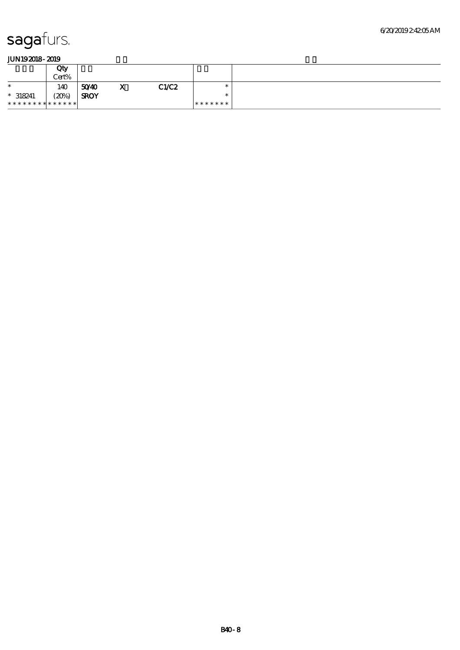|                | Qty<br>Cert% |             |   |       |         |  |
|----------------|--------------|-------------|---|-------|---------|--|
| $\ast$         | 140          | 5040        | X | C1/C2 | $\ast$  |  |
| $* 318241$     | (20%)        | <b>SROY</b> |   |       | $\ast$  |  |
| ************** |              |             |   |       | ******* |  |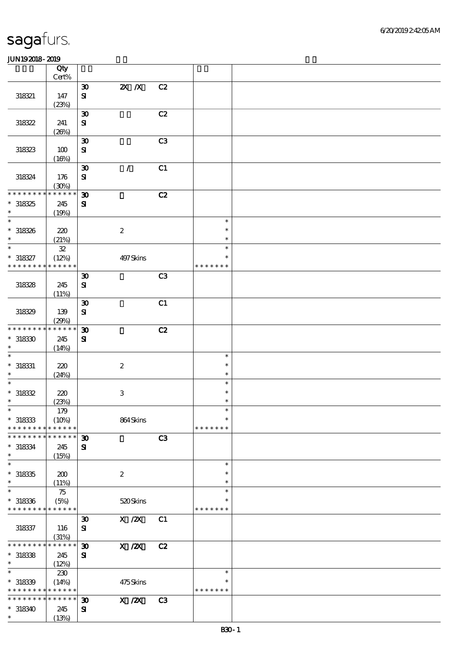|                               | Qty                  |                             |                                       |    |                  |  |
|-------------------------------|----------------------|-----------------------------|---------------------------------------|----|------------------|--|
|                               | Cert%                |                             |                                       |    |                  |  |
|                               |                      | $\boldsymbol{\mathfrak{D}}$ | $X$ $X$                               | C2 |                  |  |
| 318321                        | 147                  | $\mathbf{S}$                |                                       |    |                  |  |
|                               | (23%)                |                             |                                       |    |                  |  |
|                               |                      | $\boldsymbol{\mathfrak{D}}$ |                                       | C2 |                  |  |
| 318322                        | 241                  | ${\bf S}$                   |                                       |    |                  |  |
|                               | (20%)                |                             |                                       |    |                  |  |
|                               |                      | $\boldsymbol{\mathfrak{D}}$ |                                       | C3 |                  |  |
| 318323                        | 100                  | ${\bf S}$                   |                                       |    |                  |  |
|                               | (16%)                |                             |                                       |    |                  |  |
|                               |                      | $\boldsymbol{\mathfrak{D}}$ | $\mathcal{L}$                         | C1 |                  |  |
| 318324                        | 176                  | $\mathbf{S}$                |                                       |    |                  |  |
| * * * * * * * *               | (30%)<br>* * * * * * |                             |                                       |    |                  |  |
|                               |                      | $\boldsymbol{\mathfrak{D}}$ |                                       | C2 |                  |  |
| $*318325$                     | 245                  | ${\bf s}$                   |                                       |    |                  |  |
| $\ast$<br>$\ast$              | (19%)                |                             |                                       |    |                  |  |
|                               |                      |                             |                                       |    | $\ast$           |  |
| $* 318326$                    | 220                  |                             | $\boldsymbol{2}$                      |    | $\ast$           |  |
| $\ast$<br>$\ast$              | (21%)                |                             |                                       |    | $\ast$<br>$\ast$ |  |
|                               | ${\bf 3\!}$          |                             |                                       |    | $\ast$           |  |
| $* 318327$<br>* * * * * * * * | (12%)<br>* * * * * * |                             | 497Skins                              |    | * * * * * * *    |  |
|                               |                      |                             |                                       |    |                  |  |
|                               |                      | $\boldsymbol{\mathfrak{D}}$ |                                       | C3 |                  |  |
| 318328                        | 245                  | ${\bf S}$                   |                                       |    |                  |  |
|                               | (11%)                |                             |                                       |    |                  |  |
|                               |                      | $\boldsymbol{\mathfrak{D}}$ |                                       | C1 |                  |  |
| 318329                        | 139                  | $\mathbf{S}$                |                                       |    |                  |  |
| * * * * * * * *               | (29%)<br>* * * * * * | $\boldsymbol{\mathfrak{D}}$ |                                       | C2 |                  |  |
| $*318330$                     | 245                  | $\mathbf{S}$                |                                       |    |                  |  |
| $\ast$                        | (14%)                |                             |                                       |    |                  |  |
| $\ast$                        |                      |                             |                                       |    | $\ast$           |  |
| $*$ 318331                    | 220                  |                             | $\boldsymbol{2}$                      |    | $\ast$           |  |
| $\ast$                        | (24%)                |                             |                                       |    | $\ast$           |  |
| $\ast$                        |                      |                             |                                       |    | $\ast$           |  |
| $*318332$                     | 220                  |                             | $\,3$                                 |    | $\ast$           |  |
| $\ast$                        | (23%)                |                             |                                       |    | $\ast$           |  |
| $\ast$                        | 179                  |                             |                                       |    | $\ast$           |  |
| $*318333$                     | (10%)                |                             | 864Skins                              |    | $\ast$           |  |
| * * * * * * * *               | * * * * * *          |                             |                                       |    | * * * * * * *    |  |
| * * * * * * *                 | * * * * * *          | $\boldsymbol{\mathfrak{D}}$ |                                       | C3 |                  |  |
| $* 318334$                    | 245                  | ${\bf s}$                   |                                       |    |                  |  |
| $\ast$                        | (15%)                |                             |                                       |    |                  |  |
| $\ast$                        |                      |                             |                                       |    | $\ast$           |  |
| $*318335$                     | 200                  |                             | $\boldsymbol{2}$                      |    | $\ast$           |  |
| $\ast$                        | (11%)                |                             |                                       |    | $\ast$           |  |
| $\ast$                        | 75                   |                             |                                       |    | $\ast$           |  |
| $*318336$                     | (5%)                 |                             | 520Skins                              |    | ∗                |  |
| * * * * * * * * * * * * * *   |                      |                             |                                       |    | * * * * * * *    |  |
|                               |                      | $\boldsymbol{\mathfrak{D}}$ | $\boldsymbol{\mathrm{X}}$ / <b>2X</b> | C1 |                  |  |
| 318337                        | 116                  | $\mathbf{S}$                |                                       |    |                  |  |
|                               | (31%)                |                             |                                       |    |                  |  |
| * * * * * * * *               | $* * * * * * *$      | $\boldsymbol{\mathfrak{D}}$ | $X$ / $ZX$                            | C2 |                  |  |
| $*318338$                     | 245                  | ${\bf s}$                   |                                       |    |                  |  |
| $\ast$                        | (12%)                |                             |                                       |    |                  |  |
| $\ast$                        | 230                  |                             |                                       |    | $\ast$           |  |
| $*31839$                      | (14%)                |                             | $475$ Skins                           |    | *                |  |
| * * * * * * * *               | * * * * * *          |                             |                                       |    | * * * * * * *    |  |
| * * * * * * * *               | * * * * * *          | $\boldsymbol{\mathfrak{D}}$ | $\overline{X}$ / $\overline{Z}X$      | C3 |                  |  |
| $*318340$                     | 245                  | ${\bf s}$                   |                                       |    |                  |  |
| $\ast$                        | (13%)                |                             |                                       |    |                  |  |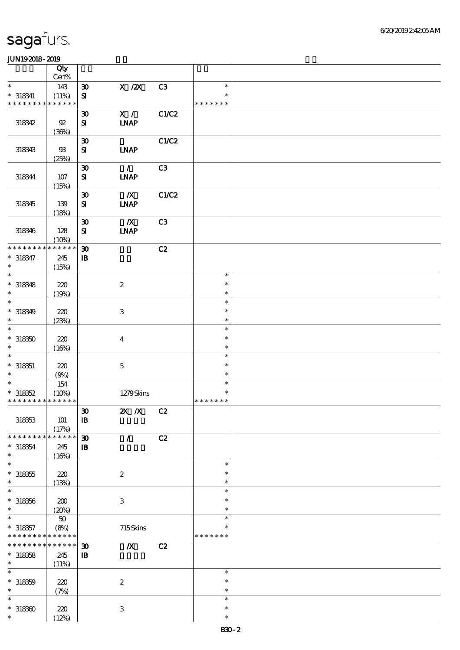|                                          | Qty          |                                          |                           |       |                         |  |
|------------------------------------------|--------------|------------------------------------------|---------------------------|-------|-------------------------|--|
| $\ast$                                   | Cert%        |                                          |                           |       | $\ast$                  |  |
| $*$ 318341                               | 143<br>(11%) | $\boldsymbol{\mathfrak{D}}$<br>${\bf S}$ | X / ZX                    | C3    | $\ast$                  |  |
| * * * * * * * * * * * * * *              |              |                                          |                           |       | * * * * * * *           |  |
|                                          |              | $\boldsymbol{\mathfrak{D}}$              | X /                       | C1/C2 |                         |  |
| 318342                                   | 92           | ${\bf s}$                                | <b>INAP</b>               |       |                         |  |
|                                          | (36%)        |                                          |                           |       |                         |  |
|                                          |              | $\boldsymbol{\mathfrak{D}}$              |                           | C1/C2 |                         |  |
| 318343                                   | $93$         | ${\bf s}$                                | <b>INAP</b>               |       |                         |  |
|                                          | (25%)        |                                          |                           |       |                         |  |
|                                          |              | $\boldsymbol{\mathfrak{D}}$              | $\mathcal{L}$             | C3    |                         |  |
| 318344                                   | 107          | $\mathbf{S}$                             | <b>INAP</b>               |       |                         |  |
|                                          | (15%)        | $\boldsymbol{\mathfrak{D}}$              | $\boldsymbol{X}$          | C1/C2 |                         |  |
| 318345                                   | 139          | ${\bf S}$                                | <b>INAP</b>               |       |                         |  |
|                                          | (18%)        |                                          |                           |       |                         |  |
|                                          |              | $\boldsymbol{\mathfrak{D}}$              | $\boldsymbol{X}$          | C3    |                         |  |
| 318346                                   | 128          | ${\bf S\!I}$                             | <b>INAP</b>               |       |                         |  |
|                                          | (10%)        |                                          |                           |       |                         |  |
| * * * * * * * *                          | * * * * * *  | $\boldsymbol{\mathfrak{D}}$              |                           | C2    |                         |  |
| $* 318347$                               | 245          | ${\bf I\!B}$                             |                           |       |                         |  |
| $\ast$                                   | (15%)        |                                          |                           |       |                         |  |
| $\ast$                                   |              |                                          |                           |       | $\ast$                  |  |
| $* 318348$<br>$\ast$                     | 220          |                                          | $\boldsymbol{2}$          |       | $\ast$<br>$\ast$        |  |
| $\ast$                                   | (19%)        |                                          |                           |       | $\ast$                  |  |
| $* 318349$                               | 220          |                                          | 3                         |       | $\ast$                  |  |
| $\ast$                                   | (23%)        |                                          |                           |       | $\ast$                  |  |
| $\ast$                                   |              |                                          |                           |       | $\ast$                  |  |
| $*318350$                                | 220          |                                          | $\boldsymbol{4}$          |       | $\ast$                  |  |
| $\ast$                                   | (16%)        |                                          |                           |       | $\ast$                  |  |
| $\ast$                                   |              |                                          |                           |       | $\ast$                  |  |
| $*$ 318351                               | 220          |                                          | $\mathbf 5$               |       | $\ast$                  |  |
| $\ast$                                   | (9%)         |                                          |                           |       | $\ast$                  |  |
| $\ast$                                   | 154          |                                          |                           |       | $\ast$                  |  |
| $*318352$<br>* * * * * * * * * * * * * * | (10%)        |                                          | 1279Skins                 |       | $\ast$<br>* * * * * * * |  |
|                                          |              | $\pmb{\mathfrak{D}}$                     |                           |       |                         |  |
| 318353                                   | 101          | $\mathbf{B}$                             | 2X / X C2                 |       |                         |  |
|                                          | (17%)        |                                          |                           |       |                         |  |
| * * * * * * *                            | * * * * * *  | $\boldsymbol{\mathfrak{D}}$              | $\mathcal{L}$             | C2    |                         |  |
| $* 318354$                               | 245          | $\mathbf{B}$                             |                           |       |                         |  |
| $\ast$                                   | (16%)        |                                          |                           |       |                         |  |
| $\ast$                                   |              |                                          |                           |       | $\ast$                  |  |
| $^\ast$ 318355                           | 220          |                                          | $\boldsymbol{2}$          |       | ∗                       |  |
| $\ast$<br>$\ast$                         | (13%)        |                                          |                           |       | $\ast$<br>$\ast$        |  |
| $* 318356$                               | 200          |                                          | $\,3\,$                   |       | $\ast$                  |  |
| $\ast$                                   | (20%)        |                                          |                           |       | $\ast$                  |  |
| $\ast$                                   | $50\,$       |                                          |                           |       | $\ast$                  |  |
| $* 318357$                               | (8%)         |                                          | 715Skins                  |       | ∗                       |  |
| * * * * * * * *                          | * * * * * *  |                                          |                           |       | * * * * * * *           |  |
| * * * * * * * *                          | $******$     | $\boldsymbol{\mathfrak{D}}$              | $\pmb{X}$                 | C2    |                         |  |
| $*318358$                                | 245          | ${\bf I\!B}$                             |                           |       |                         |  |
| $\ast$                                   | (11%)        |                                          |                           |       |                         |  |
| $\ast$                                   |              |                                          |                           |       | $\ast$                  |  |
| $* 318359$                               | 220          |                                          | $\boldsymbol{2}$          |       | $\ast$                  |  |
| $\ast$<br>$\ast$                         | (7%)         |                                          |                           |       | $\ast$<br>$\ast$        |  |
| $*318300$                                | 220          |                                          |                           |       | $\ast$                  |  |
| $\ast$                                   | (12%)        |                                          | $\ensuremath{\mathbf{3}}$ |       | $\ast$                  |  |
|                                          |              |                                          |                           |       |                         |  |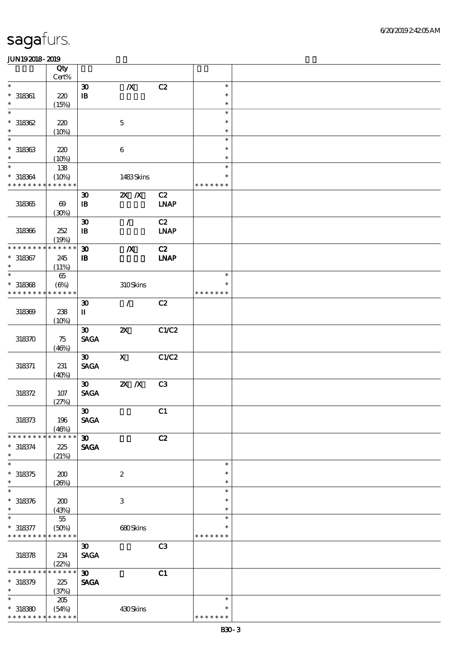|                                          | Qty                   |                             |                           |                |               |  |
|------------------------------------------|-----------------------|-----------------------------|---------------------------|----------------|---------------|--|
| $\ast$                                   | Cert%                 |                             |                           |                | $\ast$        |  |
|                                          |                       | $\boldsymbol{\mathfrak{D}}$ | $\pmb{X}$                 | C2             | $\ast$        |  |
| $* 318361$<br>$\ast$                     | 220                   | $\, {\bf I} \! {\bf B} \,$  |                           |                | $\ast$        |  |
| $\ast$                                   | (15%)                 |                             |                           |                | $\ast$        |  |
| $*318362$                                | 220                   |                             | $\mathbf 5$               |                | $\ast$        |  |
| $\ast$                                   | (10%)                 |                             |                           |                | $\ast$        |  |
| $\ast$                                   |                       |                             |                           |                | $\ast$        |  |
| $*318363$                                | 220                   |                             | $\bf 6$                   |                | $\ast$        |  |
| $\ast$                                   | (10%)                 |                             |                           |                | $\ast$        |  |
| $\ast$                                   | 138                   |                             |                           |                | $\ast$        |  |
| $* 318364$                               | (10%)                 |                             | 1483Skins                 |                | $\ast$        |  |
| * * * * * * * *                          | * * * * * *           |                             |                           |                | * * * * * * * |  |
|                                          |                       | $\boldsymbol{\mathfrak{D}}$ | $X$ $X$                   | C2             |               |  |
| $318365$                                 | $\boldsymbol{\omega}$ | $\mathbf{B}$                |                           | <b>LNAP</b>    |               |  |
|                                          | (30%)                 |                             |                           |                |               |  |
|                                          |                       | $\boldsymbol{\mathfrak{D}}$ | $\mathcal{L}$             | C2             |               |  |
| 318366                                   | 252                   | $\mathbf{B}$                |                           | <b>LNAP</b>    |               |  |
|                                          | (19%)                 |                             |                           |                |               |  |
| * * * * * * *                            | * * * * * *           | $\boldsymbol{\mathfrak{D}}$ | $\boldsymbol{X}$          | C2             |               |  |
| $* 318367$                               | 245                   | $\mathbf{B}$                |                           | <b>LNAP</b>    |               |  |
| $\ast$                                   | (11%)                 |                             |                           |                |               |  |
| $\ast$                                   | $65\,$                |                             |                           |                | $\ast$        |  |
| $*318368$                                | $(\Theta)$            |                             | 310Skins                  |                | $\ast$        |  |
| * * * * * * * *                          | * * * * * *           |                             |                           |                | * * * * * * * |  |
|                                          |                       | $\boldsymbol{\mathfrak{D}}$ | $\mathcal{L}$             | C2             |               |  |
| 318369                                   | 238                   | П                           |                           |                |               |  |
|                                          | (10%)                 |                             |                           |                |               |  |
|                                          |                       | $\boldsymbol{\mathfrak{D}}$ | $\boldsymbol{\mathsf{z}}$ | C1/C2          |               |  |
| 318370                                   | 75                    | <b>SAGA</b>                 |                           |                |               |  |
|                                          | (46%)                 |                             |                           |                |               |  |
|                                          |                       | $\boldsymbol{\mathfrak{B}}$ | $\mathbf{X}$              | C1/C2          |               |  |
| 318371                                   | 231                   | <b>SAGA</b>                 |                           |                |               |  |
|                                          | (40%)                 |                             |                           |                |               |  |
|                                          |                       | 30 <sub>o</sub>             | $Z\!X$ $\,$ $Z\!X$        | C <sub>3</sub> |               |  |
| 318372                                   | 107                   | <b>SAGA</b>                 |                           |                |               |  |
|                                          | (27%)                 |                             |                           |                |               |  |
|                                          |                       | $\boldsymbol{\mathfrak{B}}$ |                           | C1             |               |  |
| 318373                                   | 196                   | <b>SAGA</b>                 |                           |                |               |  |
| * * * * * * * *                          | (40%)<br>* * * * * *  |                             |                           |                |               |  |
|                                          |                       | $\boldsymbol{\mathfrak{D}}$ |                           | C2             |               |  |
| $* 318374$<br>$\ast$                     | 225                   | <b>SAGA</b>                 |                           |                |               |  |
| $\ast$                                   | (21%)                 |                             |                           |                | $\ast$        |  |
| $*318375$                                | 200                   |                             | $\boldsymbol{2}$          |                | $\ast$        |  |
| $\ast$                                   | (20%)                 |                             |                           |                | $\ast$        |  |
| $\ast$                                   |                       |                             |                           |                | $\ast$        |  |
| $* 318376$                               | 200                   |                             | $\ensuremath{\mathbf{3}}$ |                | $\ast$        |  |
| $\ast$                                   | (43%)                 |                             |                           |                | $\ast$        |  |
| $\ast$                                   | $55\,$                |                             |                           |                | $\ast$        |  |
| $* 318377$                               | (50%)                 |                             | 680Skins                  |                | $\ast$        |  |
| * * * * * * * * <mark>* * * * * *</mark> |                       |                             |                           |                | * * * * * * * |  |
|                                          |                       | $\boldsymbol{\mathfrak{D}}$ |                           | C <sub>3</sub> |               |  |
| 318378                                   | 234                   | <b>SAGA</b>                 |                           |                |               |  |
|                                          | (22%)                 |                             |                           |                |               |  |
| * * * * * * *                            | * * * * * *           | $\boldsymbol{\mathfrak{D}}$ |                           | C1             |               |  |
| $* 318379$                               | 225                   | <b>SAGA</b>                 |                           |                |               |  |
| $\ast$                                   | (37%)                 |                             |                           |                |               |  |
| $\ast$                                   | 205                   |                             |                           |                | $\ast$        |  |
| $*318380$                                | (54%)                 |                             | 430Skins                  |                | $\ast$        |  |
| * * * * * * * *                          | * * * * * *           |                             |                           |                | * * * * * * * |  |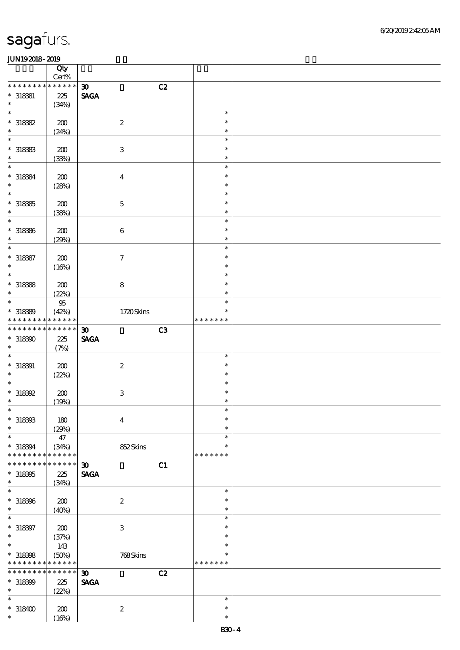|                 | Qty<br>$Cert\%$      |                                               |               |  |
|-----------------|----------------------|-----------------------------------------------|---------------|--|
| * * * * * * * * | * * * * * *          |                                               |               |  |
|                 |                      | C2<br>30 <sub>o</sub>                         |               |  |
| $* 318381$      | 225                  | <b>SAGA</b>                                   |               |  |
| $\ast$          | (34%)                |                                               |               |  |
| $\ast$          |                      |                                               | $\ast$        |  |
| $*318382$       | 200                  | $\boldsymbol{2}$                              | $\ast$        |  |
| $\ast$          | (24%)                |                                               | $\ast$        |  |
| $\ast$          |                      |                                               | $\ast$        |  |
| $*318383$       | 200                  | $\,3\,$                                       | $\ast$        |  |
| $\ast$          | (33%)                |                                               | $\ast$        |  |
| $\ast$          |                      |                                               | $\ast$        |  |
| $* 318384$      | 200                  |                                               | $\ast$        |  |
| $\ast$          |                      | $\boldsymbol{4}$                              | $\ast$        |  |
| $\ast$          | (28%)                |                                               |               |  |
|                 |                      |                                               | $\ast$        |  |
| $*318385$       | 200                  | $\mathbf 5$                                   | $\ast$        |  |
| $\ast$          | (38%)                |                                               | $\ast$        |  |
| $\ast$          |                      |                                               | $\ast$        |  |
| $* 318386$      | 200                  | $\,6\,$                                       | $\ast$        |  |
| $\ast$          | (29%)                |                                               | $\ast$        |  |
| $\ast$          |                      |                                               | $\ast$        |  |
| $* 318387$      | 200                  | $\boldsymbol{\tau}$                           | $\ast$        |  |
| $\ast$          |                      |                                               | $\ast$        |  |
| $\ast$          | (16%)                |                                               | $\ast$        |  |
|                 |                      |                                               |               |  |
| $*318388$       | 200                  | $\bf 8$                                       | $\ast$        |  |
| $\ast$          | (22%)                |                                               | $\ast$        |  |
| $\ast$          | $9\!5$               |                                               | $\ast$        |  |
| $* 318389$      | (42%)                | 1720Skins                                     | $\ast$        |  |
| * * * * * * * * | * * * * * *          |                                               | * * * * * * * |  |
| * * * * * * * * | * * * * * *          | C <sub>3</sub><br>$\boldsymbol{\mathfrak{D}}$ |               |  |
| $*318300$       | 225                  | <b>SAGA</b>                                   |               |  |
| $\ast$          | (7%)                 |                                               |               |  |
| $\ast$          |                      |                                               | $\ast$        |  |
|                 |                      |                                               | $\ast$        |  |
| $* 318391$      | 200                  | $\boldsymbol{2}$                              |               |  |
| $\ast$          | (22%)                |                                               | $\ast$        |  |
| $\ast$          |                      |                                               | $\ast$        |  |
| $*$ 318392      | 200                  | $\,3$                                         | $\ast$        |  |
| $\ast$          | (19%)                |                                               | $\ast$        |  |
| $\ast$          |                      |                                               | $\ast$        |  |
| $^\ast$ 318393  | 180                  | $\boldsymbol{4}$                              | $\ast$        |  |
| $\ast$          | (29%)                |                                               | $\ast$        |  |
| $\ast$          | 47                   |                                               | $\ast$        |  |
| $* 318394$      |                      |                                               | $\ast$        |  |
| * * * * * * * * | (34%)<br>* * * * * * | 852Skins                                      | * * * * * * * |  |
| * * * * * * *   | * * * * * *          |                                               |               |  |
|                 |                      | C1<br>$\boldsymbol{\mathfrak{D}}$             |               |  |
| $*318305$       | 225                  | <b>SAGA</b>                                   |               |  |
| $\ast$          | (34%)                |                                               |               |  |
| $\ast$          |                      |                                               | $\ast$        |  |
| $*318396$       | 200                  | $\boldsymbol{2}$                              | $\ast$        |  |
| $\ast$          | (40%)                |                                               | $\ast$        |  |
| $\ast$          |                      |                                               | $\ast$        |  |
| $* 318397$      | 200                  | $\,3$                                         | $\ast$        |  |
| $\ast$          | (37%)                |                                               | $\ast$        |  |
| $\ast$          |                      |                                               | $\ast$        |  |
|                 | 143                  |                                               |               |  |
| $* 318398$      | (50%)                | 768Skins                                      | $\ast$        |  |
| * * * * * * * * | * * * * * *          |                                               | * * * * * * * |  |
| * * * * * * *   | * * * * * *          | C2<br>$\boldsymbol{\mathfrak{D}}$             |               |  |
| $*318399$       | 225                  | <b>SAGA</b>                                   |               |  |
| $\ast$          | (22%)                |                                               |               |  |
| $\ast$          |                      |                                               | $\ast$        |  |
| $*318400$       | 200                  | $\boldsymbol{2}$                              | $\ast$        |  |
| $\ast$          | (16%)                |                                               | $\ast$        |  |
|                 |                      |                                               |               |  |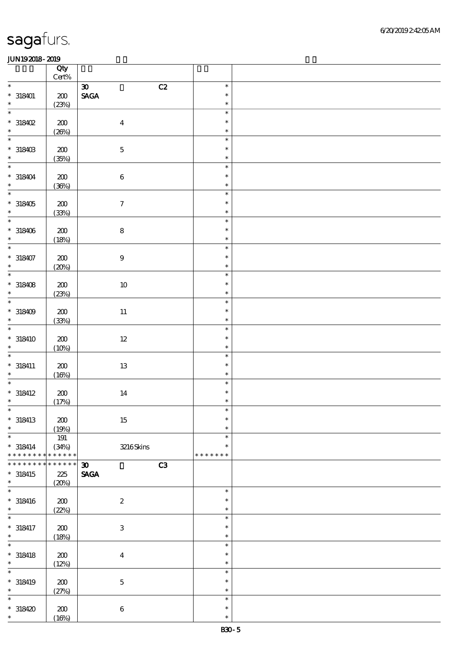|                            | Qty<br>$\mbox{Cert}\%$ |                                   |               |  |
|----------------------------|------------------------|-----------------------------------|---------------|--|
| $\ast$                     |                        | $\boldsymbol{\mathfrak{D}}$<br>C2 | $\ast$        |  |
| $* 318401$                 | ${\bf Z0}$             | $\ensuremath{\mathsf{SAGA}}$      | $\ast$        |  |
| $\ast$                     | (23%)                  |                                   | $\ast$        |  |
| $\ast$                     |                        |                                   | $\ast$        |  |
|                            |                        |                                   | $\ast$        |  |
| $*318402$                  | $200\,$                | $\overline{\mathbf{4}}$           |               |  |
| $\ast$                     | (20%)                  |                                   | $\ast$        |  |
| $\overline{\phantom{0}}$   |                        |                                   | $\ast$        |  |
| $^*$ 318403 $\,$           | $200\,$                | $\mathbf 5$                       | $\ast$        |  |
| $\ast$                     | (35%)                  |                                   | $\ast$        |  |
| $\overline{\ast}$          |                        |                                   | $\ast$        |  |
| $* 318404$                 | $200\,$                | $\,6\,$                           | $\ast$        |  |
| $\ast$                     | (36%)                  |                                   | $\ast$        |  |
| $\overline{\phantom{a}^*}$ |                        |                                   | $\ast$        |  |
|                            | $\pmb{30}$             | $\boldsymbol{7}$                  | $\ast$        |  |
| $*318405$                  |                        |                                   | $\ast$        |  |
| $\overline{\phantom{0}}$   | (33%)                  |                                   |               |  |
|                            |                        |                                   | $\ast$        |  |
| $*318406$                  | ${\bf Z0}$             | $\bf 8$                           | $\ast$        |  |
| $\ast$                     | (18%)                  |                                   | $\ast$        |  |
| $\overline{\ast}$          |                        |                                   | $\ast$        |  |
| $* 318407$                 | $200\,$                | $\boldsymbol{9}$                  | $\ast$        |  |
| $\ast$                     | (20%)                  |                                   | $\ast$        |  |
| $\overline{\ast}$          |                        |                                   | $\ast$        |  |
| $*318408$                  | 200                    | $10\,$                            | $\ast$        |  |
| $\ast$                     | (23%)                  |                                   | $\ast$        |  |
| $\overline{\ast}$          |                        |                                   | $\ast$        |  |
| $*318409$                  | ${\bf Z0}$             | $11\,$                            | $\ast$        |  |
| $\ast$                     | (33%)                  |                                   | $\ast$        |  |
| $\ast$                     |                        |                                   | $\ast$        |  |
|                            |                        |                                   | $\ast$        |  |
| $* 318410$                 | ${\bf Z0}$             | $12\,$                            |               |  |
| $\ast$                     | (10%)                  |                                   | $\ast$        |  |
| $\ast$                     |                        |                                   | $\ast$        |  |
| $* 318411$                 | 200                    | $1\!3$                            | $\ast$        |  |
| $\ast$                     | (16%)                  |                                   | $\ast$        |  |
| $\overline{\ast}$          |                        |                                   | $\ast$        |  |
| $* 318412$                 | ${\bf Z0}$             | 14                                | $\ast$        |  |
| $\ast$                     | (17%)                  |                                   | $\ast$        |  |
| $\ast$                     |                        |                                   | $\ast$        |  |
| $* 318413$                 | 200                    | 15                                | $\ast$        |  |
| $\ast$                     | (19%)                  |                                   | $\ast$        |  |
| $\ast$                     | 191                    |                                   | $\ast$        |  |
| $* 318414$                 | (34%)                  | 3216Skins                         | $\ast$        |  |
| * * * * * * * *            | * * * * * *            |                                   | * * * * * * * |  |
| * * * * * * *              | * * * * * *            | $\boldsymbol{\mathfrak{D}}$<br>C3 |               |  |
| $* 318415$                 | 225                    | <b>SAGA</b>                       |               |  |
| $\ast$                     |                        |                                   |               |  |
| $\ast$                     | (20%)                  |                                   | $\ast$        |  |
|                            |                        |                                   |               |  |
| $* 318416$                 | 200                    | $\boldsymbol{2}$                  | $\ast$        |  |
| $\ast$                     | (22%)                  |                                   | $\ast$        |  |
| $\ast$                     |                        |                                   | $\ast$        |  |
| $* 318417$                 | 200                    | $\,3$                             | $\ast$        |  |
| $\ast$                     | (18%)                  |                                   | $\ast$        |  |
| $\overline{\ast}$          |                        |                                   | $\ast$        |  |
| $*$ 318418                 | $\pmb{30}$             | $\boldsymbol{4}$                  | $\ast$        |  |
| $\ast$                     | (12%)                  |                                   | $\ast$        |  |
| $\ast$                     |                        |                                   | $\ast$        |  |
| $* 318419$                 | 200                    | $\mathbf 5$                       | $\ast$        |  |
| $\ast$                     | (27%)                  |                                   | $\ast$        |  |
| $\ast$                     |                        |                                   | $\ast$        |  |
| $*318420$                  | 200                    | $\,6\,$                           | $\ast$        |  |
| $\ast$                     |                        |                                   | $\ast$        |  |
|                            | (16%)                  |                                   |               |  |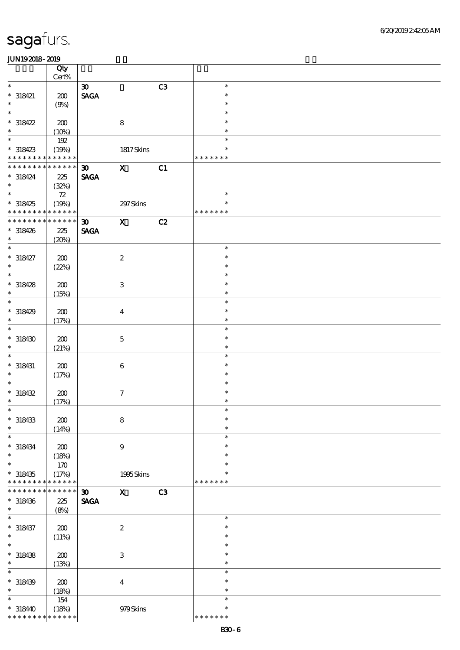|                             | Qty         |                             |                           |    |               |  |
|-----------------------------|-------------|-----------------------------|---------------------------|----|---------------|--|
| $\ast$                      | Cert%       |                             |                           |    |               |  |
|                             |             | $\boldsymbol{\mathfrak{D}}$ |                           | C3 | $\ast$        |  |
| $* 318421$                  | 200         | <b>SAGA</b>                 |                           |    | $\ast$        |  |
| $\ast$                      | (9%)        |                             |                           |    | $\ast$        |  |
| $\ast$                      |             |                             |                           |    | $\ast$        |  |
| $*318422$                   | 200         |                             | $\bf8$                    |    | $\ast$        |  |
| $\ast$                      | (10%)       |                             |                           |    | $\ast$        |  |
| $\overline{\phantom{0}}$    | 192         |                             |                           |    | $\ast$        |  |
| $*318423$                   | (19%)       |                             | 1817Skins                 |    | $\ast$        |  |
| * * * * * * * * * * * * * * |             |                             |                           |    | * * * * * * * |  |
| * * * * * * * *             | * * * * * * | $\boldsymbol{\mathfrak{D}}$ | $\mathbf{x}$              | C1 |               |  |
| $* 318424$                  | 225         | <b>SAGA</b>                 |                           |    |               |  |
| $\ast$                      | (32%)       |                             |                           |    |               |  |
| $_{*}^{-}$                  | ${\bf Z}$   |                             |                           |    | $\ast$        |  |
| $*318425$                   | (19%)       |                             | 297 Skins                 |    | $\ast$        |  |
| * * * * * * * * * * * * * * |             |                             |                           |    | * * * * * * * |  |
| * * * * * * * *             | * * * * * * |                             |                           |    |               |  |
|                             |             | $\boldsymbol{\mathfrak{D}}$ | $\mathbf{X}$              | C2 |               |  |
| $*318426$                   | 225         | <b>SAGA</b>                 |                           |    |               |  |
| $\ast$                      | (20%)       |                             |                           |    |               |  |
| $\ast$                      |             |                             |                           |    | $\ast$        |  |
| $* 318427$                  | 200         |                             | $\boldsymbol{2}$          |    | $\ast$        |  |
| $\ast$                      | (22%)       |                             |                           |    | $\ast$        |  |
| $\overline{\ast}$           |             |                             |                           |    | $\ast$        |  |
| $* 318428$                  | 200         |                             | $\ensuremath{\mathbf{3}}$ |    | $\ast$        |  |
| $\ast$                      | (15%)       |                             |                           |    | $\ast$        |  |
| $\ast$                      |             |                             |                           |    | $\ast$        |  |
| $*318429$                   | 200         |                             | $\overline{4}$            |    | $\ast$        |  |
| $\ast$                      | (17%)       |                             |                           |    | $\ast$        |  |
| $\ast$                      |             |                             |                           |    | $\ast$        |  |
| $*318430$                   | 200         |                             | $\mathbf 5$               |    | $\ast$        |  |
| $\ast$                      | (21%)       |                             |                           |    | $\ast$        |  |
| $\ast$                      |             |                             |                           |    | $\ast$        |  |
| $*$ 318431                  |             |                             |                           |    | $\ast$        |  |
| $\ast$                      | 200         |                             | $\boldsymbol{6}$          |    | $\ast$        |  |
| $\ast$                      | (17%)       |                             |                           |    | $\ast$        |  |
|                             |             |                             |                           |    | $\ast$        |  |
| $* 318432$<br>$\ast$        | 200         |                             | $\boldsymbol{7}$          |    | $\ast$        |  |
|                             | (17%)       |                             |                           |    |               |  |
| $\ast$                      |             |                             |                           |    | $\ast$        |  |
| $*318433$                   | 200         |                             | $\bf 8$                   |    | $\ast$        |  |
| $\ast$                      | (14%)       |                             |                           |    | $\ast$        |  |
| $\ast$                      |             |                             |                           |    | $\ast$        |  |
| $* 318434$                  | 200         |                             | $\boldsymbol{9}$          |    | $\ast$        |  |
| $\ast$                      | (18%)       |                             |                           |    | $\ast$        |  |
| $\ast$                      | 170         |                             |                           |    | $\ast$        |  |
| $*318435$                   | (17%)       |                             | 1995Skins                 |    | $\ast$        |  |
| * * * * * * * *             | * * * * * * |                             |                           |    | * * * * * * * |  |
| * * * * * * *               | * * * * * * | $\boldsymbol{\mathfrak{D}}$ | $\mathbf{x}$              | C3 |               |  |
| $*318436$                   | 225         | <b>SAGA</b>                 |                           |    |               |  |
| $\ast$                      | (8%)        |                             |                           |    |               |  |
| $\ast$                      |             |                             |                           |    | $\ast$        |  |
| $* 318437$                  | 200         |                             | $\boldsymbol{2}$          |    | $\ast$        |  |
| $\ast$                      | (11%)       |                             |                           |    | $\ast$        |  |
| $\ast$                      |             |                             |                           |    | $\ast$        |  |
| $*318438$                   | 200         |                             | $\,3$                     |    | $\ast$        |  |
| $\ast$                      | (13%)       |                             |                           |    | $\ast$        |  |
| $\ast$                      |             |                             |                           |    | $\ast$        |  |
|                             |             |                             |                           |    | $\ast$        |  |
| $* 318439$<br>$\ast$        | 200         |                             | $\boldsymbol{4}$          |    | $\ast$        |  |
| $\ast$                      | (18%)       |                             |                           |    | $\ast$        |  |
|                             | 154         |                             |                           |    |               |  |
| $*31840$                    | (18%)       |                             | 979Skins                  |    | $\ast$        |  |
| * * * * * * * *             | * * * * * * |                             |                           |    | * * * * * * * |  |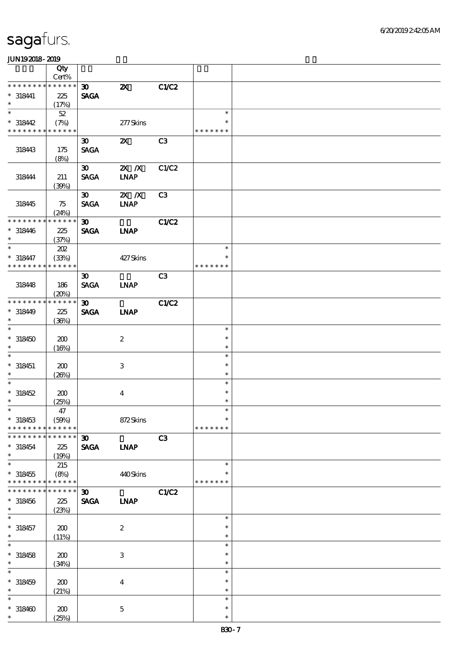|                                         | Qty                            |                                            |                           |                |                                   |  |
|-----------------------------------------|--------------------------------|--------------------------------------------|---------------------------|----------------|-----------------------------------|--|
|                                         | Cert%                          |                                            |                           |                |                                   |  |
| * * * * * * * *                         | * * * * * *                    | $\boldsymbol{\mathfrak{D}}$                | $\boldsymbol{\mathsf{z}}$ | C1/C2          |                                   |  |
| $* 318441$<br>$\ast$                    | 225<br>(17%)                   | <b>SAGA</b>                                |                           |                |                                   |  |
| $\ast$                                  | $52\,$                         |                                            |                           |                | $\ast$                            |  |
| $*318442$                               | (7%)                           |                                            | 277Skins                  |                | $\ast$                            |  |
| * * * * * * * *                         | * * * * * *                    |                                            |                           |                | * * * * * * *                     |  |
| 318443                                  | 175<br>(8%)                    | $\boldsymbol{\mathfrak{D}}$<br><b>SAGA</b> | $\boldsymbol{\mathsf{z}}$ | C3             |                                   |  |
| 318444                                  | 211<br>(30%)                   | $\boldsymbol{\mathfrak{D}}$<br><b>SACA</b> | $X$ $N$<br><b>INAP</b>    | C1/C2          |                                   |  |
| 318445                                  | 75<br>(24%)                    | $\boldsymbol{\mathfrak{D}}$<br><b>SAGA</b> | $X$ $N$<br><b>LNAP</b>    | C3             |                                   |  |
| * * * * * * * *<br>$* 318446$<br>$\ast$ | * * * * * *<br>225<br>(37%)    | $\boldsymbol{\mathfrak{D}}$<br><b>SAGA</b> | <b>INAP</b>               | C1/C2          |                                   |  |
| $\ast$<br>$* 318447$<br>* * * * * * * * | 202<br>(33%)<br>* * * * * *    |                                            | 427Skins                  |                | $\ast$<br>$\ast$<br>* * * * * * * |  |
| 318448                                  | 186<br>(20%)                   | $\boldsymbol{\mathfrak{D}}$<br><b>SAGA</b> | <b>LNAP</b>               | C <sub>3</sub> |                                   |  |
| * * * * * * * *<br>$*318449$<br>$\ast$  | * * * * * *<br>225<br>(36%)    | $\boldsymbol{\mathfrak{D}}$<br><b>SAGA</b> | <b>INAP</b>               | C1/C2          |                                   |  |
| $\ast$<br>$*318450$<br>$\ast$           | 200<br>(16%)                   |                                            | $\boldsymbol{2}$          |                | $\ast$<br>$\ast$<br>$\ast$        |  |
| $\ast$<br>$* 318451$<br>$\ast$          | 200<br>(20%)                   |                                            | 3                         |                | $\ast$<br>$\ast$<br>$\ast$        |  |
| $\ast$<br>$*318452$<br>$\ast$           | 200<br>(25%)                   |                                            | $\boldsymbol{4}$          |                | $\ast$<br>$\ast$<br>$\ast$        |  |
| $*$<br>$*318453$<br>* * * * * * * *     | $47\,$<br>(50%)<br>* * * * * * |                                            | 872Skins                  |                | $\ast$<br>$\ast$<br>* * * * * * * |  |
| * * * * * * *<br>$*318454$<br>$\ast$    | * * * * * *<br>225<br>(19%)    | 30 <sub>o</sub><br><b>SAGA</b>             | <b>INAP</b>               | C3             |                                   |  |
| $\ast$<br>$*318455$<br>* * * * * * * *  | 215<br>(8%)<br>* * * * * *     |                                            | 440Skins                  |                | $\ast$<br>$\ast$<br>* * * * * * * |  |
| * * * * * * * *<br>$* 318456$<br>$\ast$ | * * * * * *<br>225<br>(23%)    | $\boldsymbol{\mathfrak{D}}$<br><b>SAGA</b> | <b>LNAP</b>               | C1/C2          |                                   |  |
| $\ast$<br>$*318457$<br>$\ast$           | 200<br>(11%)                   |                                            | $\boldsymbol{2}$          |                | $\ast$<br>$\ast$<br>$\ast$        |  |
| $\ast$<br>$* 318458$<br>$\ast$          | 200<br>(34%)                   |                                            | $\,3$                     |                | $\ast$<br>$\ast$<br>$\ast$        |  |
| $\ast$<br>$* 318459$<br>$\ast$          | 200<br>(21%)                   |                                            | $\boldsymbol{4}$          |                | $\ast$<br>$\ast$<br>$\ast$        |  |
| $\ast$<br>$*318400$<br>$\ast$           | 200<br>(25%)                   |                                            | $\mathbf 5$               |                | $\ast$<br>$\ast$<br>$\ast$        |  |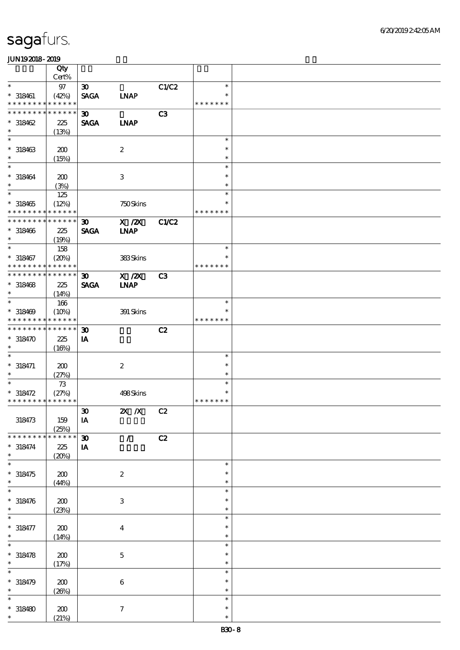|                             | Qty                  |                             |                     |                |                  |  |
|-----------------------------|----------------------|-----------------------------|---------------------|----------------|------------------|--|
|                             | Cert%                |                             |                     |                |                  |  |
| $\ast$                      | $97\,$               | $\boldsymbol{\mathfrak{D}}$ |                     | C1/C2          | $\ast$           |  |
| $* 318461$                  | (42%)                | <b>SAGA</b>                 | <b>INAP</b>         |                | $\ast$           |  |
| * * * * * * * * *           | * * * * * *          |                             |                     |                | * * * * * * *    |  |
| * * * * * * * *             | * * * * * *          | $\boldsymbol{\mathfrak{D}}$ |                     | C3             |                  |  |
| $*318462$                   | 225                  | <b>SAGA</b>                 | <b>LNAP</b>         |                |                  |  |
| $\ast$                      | (13%)                |                             |                     |                |                  |  |
| $\ast$                      |                      |                             |                     |                | $\ast$           |  |
| $* 318463$                  | 200                  |                             | $\boldsymbol{z}$    |                | $\ast$           |  |
| $\ast$                      | (15%)                |                             |                     |                | $\ast$           |  |
| $\ast$                      |                      |                             |                     |                | $\ast$           |  |
| $* 318464$                  | 200                  |                             | 3                   |                | $\ast$           |  |
| $\ast$<br>$\overline{\ast}$ | (3%)                 |                             |                     |                | $\ast$           |  |
|                             | 125                  |                             |                     |                | $\ast$           |  |
| $*318465$                   | (12%)                |                             | 750Skins            |                | $\ast$           |  |
| * * * * * * * *             | * * * * * *          |                             |                     |                | * * * * * * *    |  |
| * * * * * * * * * * * * * * |                      | 30 <sub>o</sub>             | $X$ / $ZX$          | <b>C1/C2</b>   |                  |  |
| $* 318466$                  | 225                  | <b>SAGA</b>                 | <b>INAP</b>         |                |                  |  |
| $\ast$                      | (19%)                |                             |                     |                |                  |  |
| $\ast$                      | 158                  |                             |                     |                | $\ast$           |  |
| $* 318467$                  | (20%)                |                             | 383Skins            |                | $\ast$           |  |
| * * * * * * * *             | * * * * * *          |                             |                     |                | * * * * * * *    |  |
| * * * * * * * * * * * * * * |                      | 30 <sub>o</sub>             | $X$ / $ZX$          | C <sub>3</sub> |                  |  |
| $* 318468$                  | 225                  | <b>SAGA</b>                 | <b>INAP</b>         |                |                  |  |
| $\ast$                      | (14%)                |                             |                     |                |                  |  |
| $\ast$                      | 166                  |                             |                     |                | $\ast$           |  |
| $* 318469$                  | (10%)                |                             | 391 Skins           |                | $\ast$           |  |
| * * * * * * * * * * * * * * |                      |                             |                     |                | * * * * * * *    |  |
| * * * * * * * * * * * * * * |                      | $\boldsymbol{\mathfrak{D}}$ |                     | C2             |                  |  |
| $*318470$                   | 225                  | IA                          |                     |                |                  |  |
| $\ast$                      | (16%)                |                             |                     |                |                  |  |
| $\ast$                      |                      |                             |                     |                | $\ast$           |  |
| $* 318471$                  | 200                  |                             | $\boldsymbol{2}$    |                | $\ast$           |  |
| $\ast$                      | (27%)                |                             |                     |                | $\ast$           |  |
| $\ast$                      | $73\,$               |                             |                     |                | $\ast$           |  |
| $* 318472$                  | (27%)                |                             | 498Skins            |                | $\ast$           |  |
| * * * * * * * * * * * * * * |                      |                             |                     |                | * * * * * * *    |  |
|                             |                      | $\pmb{\mathfrak{D}}$        | $X$ $N$             | C2             |                  |  |
| 318473                      | 159                  | $\mathbf{I}\mathbf{A}$      |                     |                |                  |  |
| * * * * * * *               | (25%)<br>* * * * * * |                             |                     |                |                  |  |
|                             |                      | $\boldsymbol{\mathfrak{D}}$ | $\mathcal{L}$       | C2             |                  |  |
| $* 318474$                  | 225                  | IA                          |                     |                |                  |  |
| $\ast$<br>$\ast$            | (20%)                |                             |                     |                |                  |  |
|                             |                      |                             |                     |                | $\ast$<br>$\ast$ |  |
| $* 318475$<br>$\ast$        | 200                  |                             | $\boldsymbol{2}$    |                | $\ast$           |  |
| $\ast$                      | (44%)                |                             |                     |                | $\ast$           |  |
|                             |                      |                             |                     |                | $\ast$           |  |
| $* 318476$<br>$\ast$        | 200                  |                             | $\,3$               |                | $\ast$           |  |
|                             | (23%)                |                             |                     |                | $\ast$           |  |
|                             |                      |                             |                     |                | $\ast$           |  |
| $* 318477$<br>$\ast$        | 200                  |                             | $\boldsymbol{4}$    |                | $\ast$           |  |
| $\ast$                      | (14%)                |                             |                     |                | $\ast$           |  |
|                             |                      |                             |                     |                | $\ast$           |  |
| $* 318478$<br>$\ast$        | 200                  |                             | $\mathbf 5$         |                | $\ast$           |  |
| $\ast$                      | (17%)                |                             |                     |                | $\ast$           |  |
|                             |                      |                             |                     |                | $\ast$           |  |
| $* 318479$<br>$\ast$        | 200                  |                             | $\,6\,$             |                | $\ast$           |  |
| $\ast$                      | (20%)                |                             |                     |                | $\ast$           |  |
| $*318480$                   |                      |                             |                     |                | $\ast$           |  |
| $\ast$                      | 200<br>(21%)         |                             | $\boldsymbol{\tau}$ |                | $\ast$           |  |
|                             |                      |                             |                     |                |                  |  |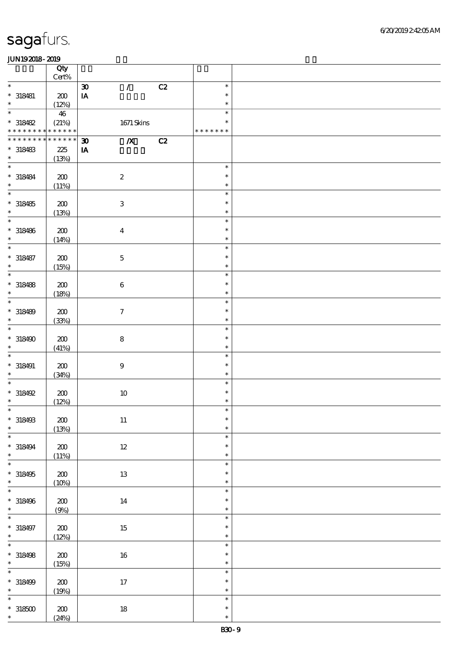|                                                  | Qty<br>$Cert\%$             |                                                              |    |                            |  |
|--------------------------------------------------|-----------------------------|--------------------------------------------------------------|----|----------------------------|--|
| $\ast$                                           |                             | $\mathcal{L}$<br>$\boldsymbol{\mathfrak{D}}$                 | C2 | $\ast$                     |  |
| $* 318481$<br>$\ast$                             | 200                         | $\mathbf{I}\mathbf{A}$                                       |    | $\ast$                     |  |
|                                                  | (12%)                       |                                                              |    | $\ast$                     |  |
| $\ast$<br>$*318482$                              | 46<br>(21%)                 | 1671 Skins                                                   |    | $\ast$<br>$\ast$           |  |
| * * * * * * * *                                  | $******$                    |                                                              |    | * * * * * * *              |  |
| * * * * * * * *<br>$*318483$<br>$\ast$           | * * * * * *<br>225<br>(13%) | $\overline{\mathbf{X}}$<br>$\boldsymbol{\mathfrak{D}}$<br>IA | C2 |                            |  |
| $\ast$                                           |                             |                                                              |    | $\ast$                     |  |
| $* 318484$<br>$\ast$                             | 200<br>(11%)                | $\boldsymbol{2}$                                             |    | $\ast$<br>$\ast$           |  |
| $\overline{\ast}$                                |                             |                                                              |    | $\ast$                     |  |
| $* 318485$<br>$\ast$                             | 200<br>(13%)                | $\ensuremath{\mathbf{3}}$                                    |    | $\ast$<br>$\ast$           |  |
| $\ast$                                           |                             |                                                              |    | $\ast$                     |  |
| $* 318486$<br>$\ast$                             | 200<br>(14%)                | $\boldsymbol{4}$                                             |    | $\ast$<br>$\ast$           |  |
| $\ast$                                           |                             |                                                              |    | $\ast$                     |  |
| $* 318487$<br>$\ast$<br>$\overline{\phantom{0}}$ | 200<br>(15%)                | $\mathbf 5$                                                  |    | $\ast$<br>$\ast$           |  |
|                                                  |                             |                                                              |    | $\ast$                     |  |
| $* 318488$<br>$\ast$<br>$\ast$                   | 200<br>(18%)                | $\boldsymbol{6}$                                             |    | $\ast$<br>$\ast$           |  |
|                                                  |                             |                                                              |    | $\ast$                     |  |
| $* 318489$<br>$\ast$                             | 200<br>(33%)                | $\tau$                                                       |    | $\ast$<br>$\ast$           |  |
| $\ast$                                           |                             |                                                              |    | $\ast$                     |  |
| $*318490$<br>$\ast$                              | 200<br>(41%)                | ${\bf 8}$                                                    |    | $\ast$<br>$\ast$           |  |
| $\ast$                                           |                             |                                                              |    | $\ast$                     |  |
| $* 318491$<br>$\ast$                             | 200<br>(34%)                | $\boldsymbol{9}$                                             |    | $\ast$<br>$\ast$           |  |
| $\ast$                                           |                             |                                                              |    | $\ast$                     |  |
| $*318492$                                        | 200                         | $10\,$                                                       |    | $\ast$                     |  |
| $\ast$                                           | (12%)                       |                                                              |    | $\ast$                     |  |
| $\ast$<br>$* 318493$                             | $\pmb{30}$                  | $11\,$                                                       |    | $\ast$<br>$\ast$           |  |
| $\ast$                                           | (13%)                       |                                                              |    | $\ast$                     |  |
| $\ast$<br>$* 318494$<br>$\ast$                   | ${\bf Z0}$                  | $12\,$                                                       |    | $\ast$<br>$\ast$<br>$\ast$ |  |
| $\overline{\ast}$                                | (11%)                       |                                                              |    | $\ast$                     |  |
| $*318495$<br>$\ast$                              | 200<br>(10%)                | $13\,$                                                       |    | $\ast$<br>$\ast$           |  |
| $\ast$                                           |                             |                                                              |    | $\ast$                     |  |
| $* 318496$<br>$\ast$                             | ${\bf Z0}$<br>(9%)          | 14                                                           |    | $\ast$<br>$\ast$           |  |
| $\overline{\phantom{0}}$                         |                             |                                                              |    | $\ast$                     |  |
| $* 318497$<br>$\ast$                             | ${\bf Z0}$<br>(12%)         | $15\,$                                                       |    | $\ast$<br>$\ast$           |  |
| $\overline{\ast}$                                |                             |                                                              |    | $\ast$                     |  |
| $* 318498$<br>$\ast$                             | 200<br>(15%)                | $16\,$                                                       |    | $\ast$<br>$\ast$           |  |
| $\ast$                                           |                             |                                                              |    | $\ast$                     |  |
| $* 318499$<br>$\ast$                             | $200\,$<br>(19%)            | $17\,$                                                       |    | $\ast$<br>$\ast$           |  |
| $\ast$                                           |                             |                                                              |    | $\ast$                     |  |
| $^\ast$ 318500<br>$\ast$                         | 200<br>(24%)                | $18\,$                                                       |    | $\ast$<br>$\ast$           |  |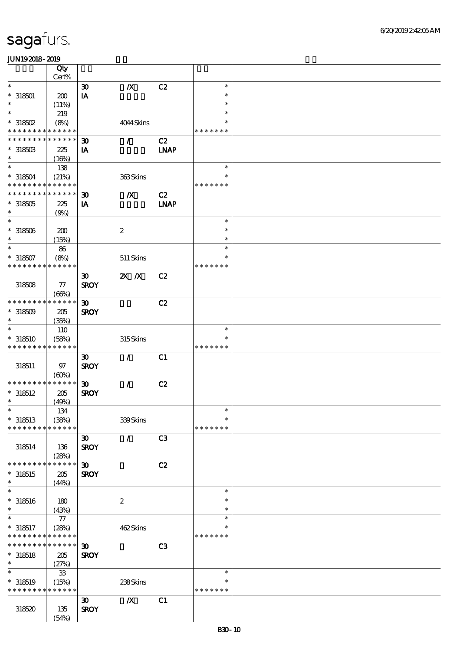|                                                        | Qty<br>Cert%    |                             |                  |                |               |  |
|--------------------------------------------------------|-----------------|-----------------------------|------------------|----------------|---------------|--|
| $\ast$                                                 |                 |                             |                  | C2             | $\ast$        |  |
|                                                        |                 | $\boldsymbol{\mathfrak{D}}$ | $\pmb{X}$        |                | $\ast$        |  |
| $* 318501$<br>$\ast$                                   | 200             | $\mathbf{I} \mathbf{A}$     |                  |                | $\ast$        |  |
| $\ast$                                                 | (11%)           |                             |                  |                | $\ast$        |  |
|                                                        | 219             |                             |                  |                | $\ast$        |  |
| $*$ 318502<br>* * * * * * * * <mark>* * * * * *</mark> | (8%)            |                             | 4044Skins        |                | * * * * * * * |  |
| * * * * * * * *                                        | * * * * * *     |                             |                  |                |               |  |
|                                                        |                 | $\boldsymbol{\mathfrak{D}}$ | $\mathcal{L}$    | C2             |               |  |
| $*318503$<br>$\ast$                                    | 225             | IA                          |                  | <b>INAP</b>    |               |  |
|                                                        | (16%)           |                             |                  |                |               |  |
| $\ast$                                                 | 138             |                             |                  |                | $\ast$        |  |
| $*318504$                                              | (21%)           |                             | 363Skins         |                | $\ast$        |  |
| * * * * * * * * * * * * * *                            |                 |                             |                  |                | * * * * * * * |  |
| * * * * * * * * * * * * * *                            |                 | $\boldsymbol{\mathfrak{D}}$ | $\boldsymbol{X}$ | C2             |               |  |
| $*318505$                                              | 225             | IA                          |                  | <b>LNAP</b>    |               |  |
| $\ast$                                                 | (9%)            |                             |                  |                |               |  |
| $\ast$                                                 |                 |                             |                  |                | $\ast$        |  |
| $^\ast$ 318506                                         | 200             |                             | $\boldsymbol{2}$ |                | $\ast$        |  |
| $\ast$                                                 | (15%)           |                             |                  |                | $\ast$        |  |
| $\ast$                                                 | ${\bf 86}$      |                             |                  |                | $\ast$        |  |
| $*318507$                                              | (8%)            |                             | 511 Skins        |                | $\ast$        |  |
| * * * * * * * *                                        | * * * * * *     |                             |                  |                | * * * * * * * |  |
|                                                        |                 | $\boldsymbol{\mathfrak{D}}$ | $X$ $N$          | C2             |               |  |
| 318508                                                 | ${\bf \pi}$     | <b>SROY</b>                 |                  |                |               |  |
|                                                        | (66%)           |                             |                  |                |               |  |
| * * * * * * * *                                        | * * * * * *     | $\boldsymbol{\mathfrak{D}}$ |                  | C2             |               |  |
| $*318509$                                              | 205             | <b>SROY</b>                 |                  |                |               |  |
| $\ast$                                                 | (35%)           |                             |                  |                |               |  |
| $\ast$                                                 | 110             |                             |                  |                | $\ast$        |  |
| $*318510$                                              | (58%)           |                             | 315Skins         |                | *             |  |
| * * * * * * * * * * * * * *                            |                 |                             |                  |                | * * * * * * * |  |
|                                                        |                 | $\boldsymbol{\mathfrak{D}}$ | $\mathcal{L}$    | C1             |               |  |
| 318511                                                 | 97              | <b>SROY</b>                 |                  |                |               |  |
|                                                        | (60%)           |                             |                  |                |               |  |
| * * * * * * * *                                        | ******          | $\boldsymbol{\mathfrak{D}}$ | $\mathcal{L}$    | C2             |               |  |
| $*318512$                                              | 205             | <b>SROY</b>                 |                  |                |               |  |
| $\ast$                                                 | (49%)           |                             |                  |                |               |  |
| $\ast$                                                 | 134             |                             |                  |                | $\ast$        |  |
| $*318513$                                              | (38%)           |                             | 339Skins         |                | $\ast$        |  |
| * * * * * * * *                                        | * * * * * *     |                             |                  |                | * * * * * * * |  |
|                                                        |                 | $\boldsymbol{\mathfrak{D}}$ | $\mathcal{L}$    | C <sub>3</sub> |               |  |
| 318514                                                 | 136             | <b>SROY</b>                 |                  |                |               |  |
|                                                        | (28%)           |                             |                  |                |               |  |
| * * * * * * * *                                        | * * * * * *     | $\boldsymbol{\mathfrak{D}}$ |                  | C2             |               |  |
| $*318515$                                              | 205             | <b>SROY</b>                 |                  |                |               |  |
| $\ast$                                                 | (44%)           |                             |                  |                |               |  |
| $\ast$                                                 |                 |                             |                  |                | $\ast$        |  |
| $* 318516$                                             | 180             |                             | $\boldsymbol{2}$ |                | $\ast$        |  |
| $\ast$                                                 | (43%)           |                             |                  |                | $\ast$        |  |
| $\ast$                                                 | $77\,$          |                             |                  |                | $\ast$        |  |
| $*318517$                                              | (28%)           |                             | 462Skins         |                | $\ast$        |  |
| * * * * * * * * <mark>* * * * * *</mark>               |                 |                             |                  |                | * * * * * * * |  |
| * * * * * * * *                                        | $* * * * * * *$ | $\boldsymbol{\mathfrak{D}}$ |                  | C <sub>3</sub> |               |  |
| $*318518$                                              | 205             | <b>SROY</b>                 |                  |                |               |  |
| $\ast$                                                 | (27%)           |                             |                  |                |               |  |
| $\ast$                                                 | ${\bf 33}$      |                             |                  |                | $\ast$        |  |
| $*318519$                                              | (15%)           |                             | 238Skins         |                | $\ast$        |  |
| * * * * * * * * <mark>* * * * * *</mark>               |                 |                             |                  |                | * * * * * * * |  |
|                                                        |                 | $\boldsymbol{\mathfrak{D}}$ | $\boldsymbol{X}$ | C1             |               |  |
| 318520                                                 | 135             | <b>SROY</b>                 |                  |                |               |  |
|                                                        | (54%)           |                             |                  |                |               |  |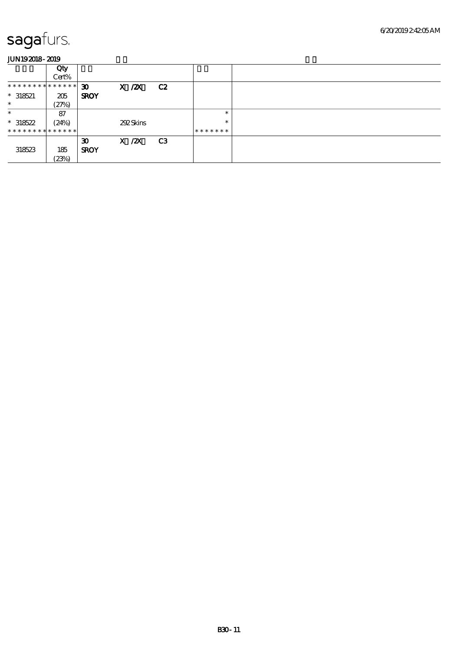|                               | Qty   |                             |            |    |         |  |
|-------------------------------|-------|-----------------------------|------------|----|---------|--|
|                               | Cert% |                             |            |    |         |  |
| * * * * * * * * * * * * * * * |       | $\boldsymbol{\mathfrak{D}}$ | $X$ / $ZX$ | C2 |         |  |
| $*318521$                     | 205   | <b>SROY</b>                 |            |    |         |  |
| $\ast$                        | (27%) |                             |            |    |         |  |
| $\ast$                        | 87    |                             |            |    | $\ast$  |  |
| $*318522$                     | (24%) |                             | 292Skins   |    | $\ast$  |  |
| * * * * * * * * * * * * * * * |       |                             |            |    | ******* |  |
|                               |       | $\boldsymbol{\mathfrak{D}}$ | $X$ / $ZX$ | C3 |         |  |
| 318523                        | 185   | <b>SROY</b>                 |            |    |         |  |
|                               | (23%) |                             |            |    |         |  |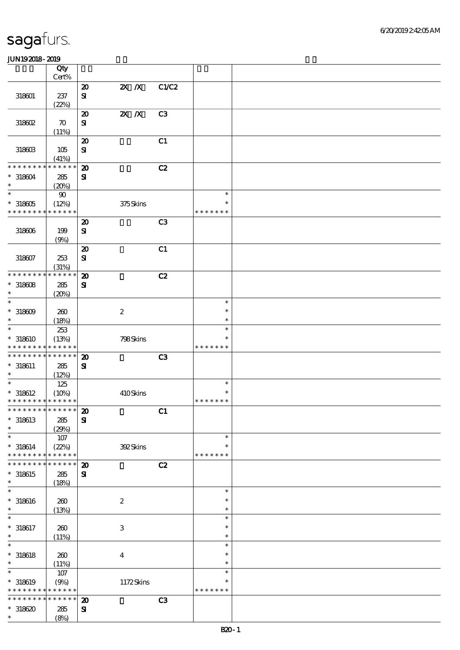|                             | Qty                        |                             |                  |                |               |  |
|-----------------------------|----------------------------|-----------------------------|------------------|----------------|---------------|--|
|                             | $\mbox{Cert}\%$            |                             |                  |                |               |  |
|                             |                            | $\pmb{\mathcal{D}}$         | $Z\!X$ $\,$ $X$  | C1/C2          |               |  |
| 318601                      | 237<br>(22%)               | $\mathbf{S}$                |                  |                |               |  |
|                             |                            | $\boldsymbol{\mathfrak{D}}$ | $X$ $N$          | C <sub>3</sub> |               |  |
| 318602                      | $\boldsymbol{\pi}$         | $\mathbf{S}$                |                  |                |               |  |
|                             | (11%)                      |                             |                  |                |               |  |
|                             |                            | $\boldsymbol{\mathsf{20}}$  |                  | C1             |               |  |
| 318603                      | 105                        | ${\bf S\!I}$                |                  |                |               |  |
|                             | (41%)                      |                             |                  |                |               |  |
| * * * * * * * *             | * * * * * *                | $\boldsymbol{\mathsf{20}}$  |                  | C2             |               |  |
| $* 318604$                  | 285                        | $\mathbf{S}$                |                  |                |               |  |
| $\ast$                      | (20%)                      |                             |                  |                |               |  |
| $\ast$                      | 90                         |                             |                  |                | $\ast$        |  |
| $^\ast$ 318605              | (12%)                      |                             | 375Skins         |                | $\ast$        |  |
| * * * * * * * *             | * * * * * *                |                             |                  |                | * * * * * * * |  |
|                             |                            | $\boldsymbol{\mathsf{20}}$  |                  | C <sub>3</sub> |               |  |
| 318606                      | 199<br>(9%)                | $\mathbf{S}\mathbf{I}$      |                  |                |               |  |
|                             |                            | $\boldsymbol{\mathsf{20}}$  |                  | C1             |               |  |
| 318607                      | 253                        | $\mathbf{S}$                |                  |                |               |  |
|                             | (31%)                      |                             |                  |                |               |  |
| * * * * * * * *             | * * * * * *                | $\boldsymbol{\mathsf{20}}$  |                  | C2             |               |  |
| $*318608$                   | 285                        | ${\bf s}$                   |                  |                |               |  |
| $\ast$                      | (20%)                      |                             |                  |                |               |  |
| $\ast$                      |                            |                             |                  |                | $\ast$        |  |
| $^\ast$ 318609              | 260                        |                             | $\boldsymbol{2}$ |                | $\ast$        |  |
| $\ast$                      | (18%)                      |                             |                  |                | $\ast$        |  |
| $\ast$                      | 253                        |                             |                  |                | $\ast$        |  |
| $* 318610$                  | (13%)                      |                             | 798Skins         |                | $\ast$        |  |
| * * * * * * * *             | * * * * * *                |                             |                  |                | * * * * * * * |  |
| * * * * * * * *             | $\ast\ast\ast\ast\ast\ast$ | $\boldsymbol{\mathbf{z}}$   |                  | C3             |               |  |
| $* 318611$<br>$\ast$        | 285                        | $\mathbf{S}$                |                  |                |               |  |
| $\ast$                      | (12%)<br>125               |                             |                  |                | $\ast$        |  |
| $*318612$                   | (10%)                      |                             | 410Skins         |                | ∗             |  |
| * * * * * * * * * * * * * * |                            |                             |                  |                | * * * * * * * |  |
| *************** 20          |                            |                             |                  | C1             |               |  |
| $* 318613$                  | 285                        | ${\bf s}$                   |                  |                |               |  |
| $\ast$                      | (29%)                      |                             |                  |                |               |  |
| $\ast$                      | 107                        |                             |                  |                | $\ast$        |  |
| $* 318614$                  | (22%)                      |                             | 392Skins         |                | $\ast$        |  |
| * * * * * * * *             | * * * * * *<br>* * * * * * |                             |                  |                | * * * * * * * |  |
| * * * * * * *               |                            | $\boldsymbol{\mathsf{20}}$  |                  | C2             |               |  |
| $* 318615$<br>$\ast$        | 285                        | ${\bf s}$                   |                  |                |               |  |
| $\ast$                      | (18%)                      |                             |                  |                | $\ast$        |  |
| $* 318616$                  | 260                        |                             | $\boldsymbol{2}$ |                | $\ast$        |  |
| $\ast$                      | (13%)                      |                             |                  |                | $\ast$        |  |
| $\ast$                      |                            |                             |                  |                | $\ast$        |  |
| $* 318617$                  | 200                        |                             | $\,3$            |                | $\ast$        |  |
| $\ast$                      | (11%)                      |                             |                  |                | $\ast$        |  |
| $\ast$                      |                            |                             |                  |                | $\ast$        |  |
| $*$ 318618                  | 260                        |                             | $\boldsymbol{4}$ |                | $\ast$        |  |
| $\ast$                      | (11%)                      |                             |                  |                | $\ast$        |  |
| $\ast$                      | $107$                      |                             |                  |                | $\ast$        |  |
| $* 318619$                  | (9%)                       |                             | 1172Skins        |                | $\ast$        |  |
| * * * * * * *               | ******                     |                             |                  |                | * * * * * * * |  |
| * * * * * * * *             | * * * * * *                | $\boldsymbol{\mathsf{20}}$  |                  | C <sub>3</sub> |               |  |
| $*318620$<br>$\ast$         | 285<br>(8%)                | $\mathbf{S}$                |                  |                |               |  |
|                             |                            |                             |                  |                |               |  |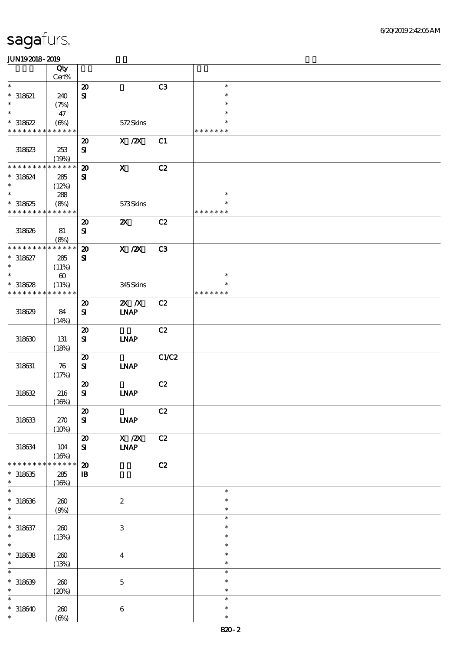|                                          | Qty                  |                                        |                              |       |                  |  |
|------------------------------------------|----------------------|----------------------------------------|------------------------------|-------|------------------|--|
| $\ast$                                   | $Cert\%$             | $\pmb{\mathcal{D}}$                    |                              | C3    | $\ast$           |  |
| $* 318621$                               | 240                  | ${\bf s}$                              |                              |       | $\ast$           |  |
| $\ast$                                   | (7%)                 |                                        |                              |       | $\ast$           |  |
| $\ast$                                   | 47                   |                                        |                              |       | $\ast$           |  |
| $*318622$                                | $(\Theta\%)$         |                                        | 572Skins                     |       | $\ast$           |  |
| * * * * * * * * * * * * * *              |                      |                                        |                              |       | * * * * * * *    |  |
|                                          |                      | $\boldsymbol{\mathbf{z}}$<br>${\bf S}$ | X / ZX                       | C1    |                  |  |
| 318623                                   | 253<br>(19%)         |                                        |                              |       |                  |  |
| * * * * * * * *                          | * * * * * *          | $\boldsymbol{\mathfrak{D}}$            | $\mathbf x$                  | C2    |                  |  |
| $* 318624$                               | 285                  | ${\bf s}$                              |                              |       |                  |  |
| $\ast$                                   | (12%)                |                                        |                              |       |                  |  |
| $\overline{\phantom{0}}$                 | 288                  |                                        |                              |       | $\ast$           |  |
| $*318625$                                | (8%)                 |                                        | 573Skins                     |       | $\ast$           |  |
| * * * * * * * * <mark>* * * * * *</mark> |                      | $\boldsymbol{\mathbf{z}}$              | $\boldsymbol{\mathsf{Z}}$    | C2    | * * * * * * *    |  |
| 318626                                   | 81                   | $\mathbf{S}$                           |                              |       |                  |  |
|                                          | (8%)                 |                                        |                              |       |                  |  |
| * * * * * * * *                          | * * * * * *          | $\boldsymbol{\mathfrak{D}}$            | $\overline{X}$ /2X           | C3    |                  |  |
| $* 318627$                               | 285                  | $\mathbf{S}$                           |                              |       |                  |  |
| $\ast$                                   | (11%)                |                                        |                              |       |                  |  |
| $\ast$                                   | $\pmb{\infty}$       |                                        |                              |       | $\ast$<br>$\ast$ |  |
| $*318628$<br>* * * * * * * *             | (11%)<br>* * * * * * |                                        | 345Skins                     |       | * * * * * * *    |  |
|                                          |                      | $\boldsymbol{\mathbf{z}}$              | $X$ $N$                      | C2    |                  |  |
| 318629                                   | 84                   | ${\bf s}$                              | $\ensuremath{\mathbf{INAP}}$ |       |                  |  |
|                                          | (14%)                |                                        |                              |       |                  |  |
|                                          |                      | $\boldsymbol{\mathfrak{D}}$            |                              | C2    |                  |  |
| 318630                                   | 131                  | ${\bf s}$                              | <b>LNAP</b>                  |       |                  |  |
|                                          | (18%)                |                                        |                              |       |                  |  |
| 318631                                   | 76                   | $\boldsymbol{\mathbf{z}}$<br>${\bf s}$ | INAP                         | C1/C2 |                  |  |
|                                          | (17%)                |                                        |                              |       |                  |  |
|                                          |                      | $\boldsymbol{\mathsf{20}}$             |                              | C2    |                  |  |
| 318632                                   | 216                  | ${\bf s}$                              | <b>INAP</b>                  |       |                  |  |
|                                          | (16%)                |                                        |                              |       |                  |  |
|                                          |                      | $\pmb{\mathcal{X}}$                    |                              | C2    |                  |  |
| 318633                                   | 270                  | ${\bf S}$                              | <b>LNAP</b>                  |       |                  |  |
|                                          | (10%)                | $\boldsymbol{\mathbf{z}}$              | $\overline{X}/\overline{Z}X$ | C2    |                  |  |
| 318634                                   | $104$                | ${\bf s}$                              | $\ensuremath{\mathbf{INAP}}$ |       |                  |  |
|                                          | (16%)                |                                        |                              |       |                  |  |
| * * * * * * * *                          | * * * * * *          | $\boldsymbol{\mathsf{20}}$             |                              | C2    |                  |  |
| $*318635$<br>$\ast$                      | 285                  | $\, {\bf I} \! {\bf B} \,$             |                              |       |                  |  |
| $\ast$                                   | (16%)                |                                        |                              |       | $\ast$           |  |
| $*318636$                                | $200$                |                                        | $\boldsymbol{2}$             |       | $\ast$           |  |
| $\ast$                                   | (9%)                 |                                        |                              |       | $\ast$           |  |
| $\ast$                                   |                      |                                        |                              |       | $\ast$           |  |
| $* 318637$                               | 260                  |                                        | $\ensuremath{\mathbf{3}}$    |       | $\ast$           |  |
| $\ast$                                   | (13%)                |                                        |                              |       | $\ast$           |  |
| $\ast$                                   |                      |                                        |                              |       | $\ast$           |  |
| $* 318638$<br>$\ast$                     | $200$                |                                        | $\boldsymbol{4}$             |       | $\ast$<br>$\ast$ |  |
| $\ast$                                   | (13%)                |                                        |                              |       | $\ast$           |  |
| $* 318639$                               | $200$                |                                        | $\mathbf 5$                  |       | $\ast$           |  |
| $\ast$                                   | (20%)                |                                        |                              |       | $\ast$           |  |
| $\ast$                                   |                      |                                        |                              |       | $\ast$           |  |
| $*318640$                                | 260                  |                                        | $\,6\,$                      |       | $\ast$           |  |
| $\ast$                                   | $(\Theta)$           |                                        |                              |       | $\ast$           |  |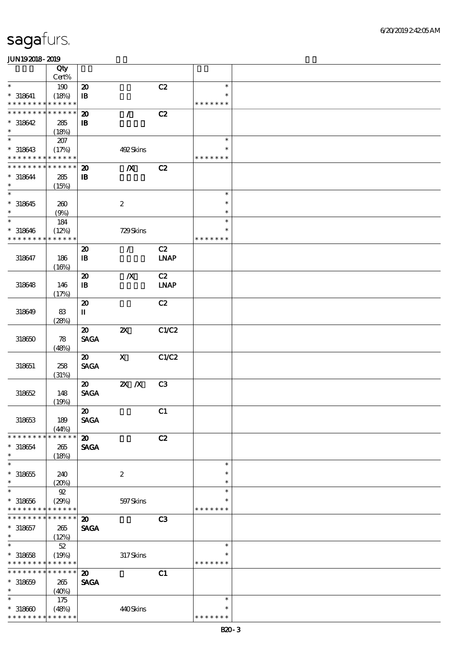|                                            | Qty                  |                             |                           |                |               |  |
|--------------------------------------------|----------------------|-----------------------------|---------------------------|----------------|---------------|--|
|                                            | Cert%                |                             |                           |                |               |  |
| $\ast$                                     |                      |                             |                           |                |               |  |
|                                            | 190                  | $\boldsymbol{\mathsf{20}}$  |                           | C2             | $\ast$        |  |
| $* 318641$                                 | (18%)                | ${\bf I\!B}$                |                           |                | $\ast$        |  |
| * * * * * * * *                            | * * * * * *          |                             |                           |                | * * * * * * * |  |
| * * * * * * * *                            | * * * * * *          | $\boldsymbol{\mathbf{z}}$   | $\overline{ }$            | C2             |               |  |
| $*318642$                                  | 285                  | $\, {\bf B}$                |                           |                |               |  |
| $\ast$                                     | (18%)                |                             |                           |                |               |  |
| $\ast$                                     |                      |                             |                           |                | $\ast$        |  |
|                                            | 207                  |                             |                           |                |               |  |
| $*318643$                                  | (17%)                |                             | 492Skins                  |                | $\ast$        |  |
| * * * * * * * * <mark>* * * * * *</mark> * |                      |                             |                           |                | * * * * * * * |  |
| * * * * * * * *                            | * * * * * *          | $\boldsymbol{\mathfrak{D}}$ | $\boldsymbol{X}$          | C2             |               |  |
| $* 318644$                                 | 285                  | ${\bf I\!B}$                |                           |                |               |  |
| $\ast$                                     |                      |                             |                           |                |               |  |
| $\ast$                                     | (15%)                |                             |                           |                | $\ast$        |  |
|                                            |                      |                             |                           |                |               |  |
| $*318645$                                  | 260                  |                             | $\boldsymbol{2}$          |                | $\ast$        |  |
| $\ast$                                     | (9%)                 |                             |                           |                | $\ast$        |  |
| $\ast$                                     | 184                  |                             |                           |                | $\ast$        |  |
| $* 318646$                                 | (12%)                |                             | 729Skins                  |                | $\ast$        |  |
| * * * * * * * *                            | * * * * * *          |                             |                           |                | * * * * * * * |  |
|                                            |                      |                             |                           |                |               |  |
|                                            |                      | $\boldsymbol{\mathsf{20}}$  | $\mathcal{L}$             | C2             |               |  |
| 318647                                     | 186                  | $\, {\bf I} \! {\bf B} \,$  |                           | <b>LNAP</b>    |               |  |
|                                            | (16%)                |                             |                           |                |               |  |
|                                            |                      | $\boldsymbol{\mathsf{20}}$  | $\boldsymbol{X}$          | C2             |               |  |
| 318648                                     | 146                  | $\, {\bf I} \! {\bf B} \,$  |                           | <b>LNAP</b>    |               |  |
|                                            |                      |                             |                           |                |               |  |
|                                            | (17%)                |                             |                           |                |               |  |
|                                            |                      | $\boldsymbol{\mathbf{z}}$   |                           | C2             |               |  |
| 318649                                     | 83                   | $\mathbf u$                 |                           |                |               |  |
|                                            | (28%)                |                             |                           |                |               |  |
|                                            |                      | $\boldsymbol{\mathfrak{D}}$ | $\boldsymbol{\mathsf{z}}$ | C1/C2          |               |  |
| 318650                                     | 78                   | <b>SAGA</b>                 |                           |                |               |  |
|                                            |                      |                             |                           |                |               |  |
|                                            | (48%)                |                             |                           |                |               |  |
|                                            |                      | $\boldsymbol{\mathfrak{D}}$ | $\boldsymbol{\mathsf{X}}$ | C1/C2          |               |  |
| 318651                                     | 258                  | <b>SAGA</b>                 |                           |                |               |  |
|                                            | (31%)                |                             |                           |                |               |  |
|                                            |                      | $\boldsymbol{\mathfrak{D}}$ | $Z\!X$ $\,$ $X$           | C <sub>3</sub> |               |  |
| 318652                                     | 148                  | <b>SAGA</b>                 |                           |                |               |  |
|                                            |                      |                             |                           |                |               |  |
|                                            | (19%)                |                             |                           |                |               |  |
|                                            |                      | $\boldsymbol{\mathfrak{D}}$ |                           | C1             |               |  |
| 318653                                     | 189                  | <b>SAGA</b>                 |                           |                |               |  |
|                                            | (44%)                |                             |                           |                |               |  |
| * * * * * * * *                            | * * * * * *          | $\boldsymbol{\mathsf{20}}$  |                           | C2             |               |  |
|                                            |                      | <b>SAGA</b>                 |                           |                |               |  |
| $* 318654$<br>$\ast$                       | 265                  |                             |                           |                |               |  |
|                                            | (18%)                |                             |                           |                |               |  |
| $\ast$                                     |                      |                             |                           |                | $\ast$        |  |
| $^\ast$ 318655                             | 240                  |                             | $\boldsymbol{2}$          |                | $\ast$        |  |
| $\ast$                                     | (20%)                |                             |                           |                | $\ast$        |  |
| $\ast$                                     | ${\mathfrak{A}}$     |                             |                           |                | $\ast$        |  |
| $* 318656$                                 |                      |                             |                           |                | $\ast$        |  |
|                                            | (29%)<br>* * * * * * |                             | 597 Skins                 |                | * * * * * * * |  |
| * * * * * * *                              |                      |                             |                           |                |               |  |
| * * * * * * *                              | * * * * * *          | $\boldsymbol{\mathfrak{D}}$ |                           | C3             |               |  |
| $* 318657$                                 | 265                  | <b>SAGA</b>                 |                           |                |               |  |
| $\ast$                                     | (12%)                |                             |                           |                |               |  |
| $\ast$                                     | $5\!2$               |                             |                           |                | $\ast$        |  |
| $* 318658$                                 | (19%)                |                             | 317Skins                  |                | $\ast$        |  |
|                                            |                      |                             |                           |                | * * * * * * * |  |
| * * * * * * * *                            | * * * * * *          |                             |                           |                |               |  |
| * * * * * * *                              | * * * * * *          | $\boldsymbol{\mathbf{z}}$   |                           | C1             |               |  |
| $* 318659$                                 | 265                  | <b>SAGA</b>                 |                           |                |               |  |
| $\ast$                                     | (40%)                |                             |                           |                |               |  |
| $\ast$                                     | $175$                |                             |                           |                | $\ast$        |  |
|                                            |                      |                             |                           |                | $\ast$        |  |
| $*318600$                                  | (48%)                |                             | 440Skins                  |                |               |  |
| * * * * * * * * <mark>* * * * * * *</mark> |                      |                             |                           |                | * * * * * * * |  |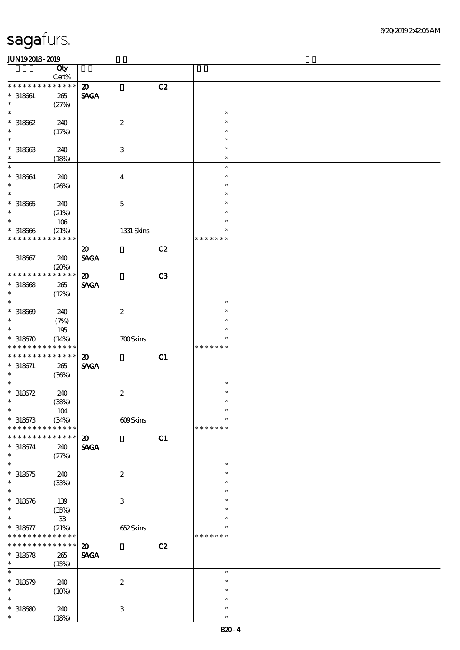|                      | Qty<br>Cert% |                                   |               |  |
|----------------------|--------------|-----------------------------------|---------------|--|
| * * * * * * * *      | * * * * * *  | C2<br>$\boldsymbol{\mathfrak{D}}$ |               |  |
| $* 318661$           | 265          | <b>SAGA</b>                       |               |  |
| $\ast$               |              |                                   |               |  |
| $\ast$               | (27%)        |                                   | $\ast$        |  |
|                      |              |                                   | $\ast$        |  |
| $*318662$            | 240          | $\boldsymbol{2}$                  |               |  |
| $\ast$               | (17%)        |                                   | $\ast$        |  |
| $\ast$               |              |                                   | $\ast$        |  |
| $*318663$            | 240          | $\ensuremath{\mathbf{3}}$         | $\ast$        |  |
| $\ast$               | (18%)        |                                   | $\ast$        |  |
| $\ast$               |              |                                   | $\ast$        |  |
| $^*$ 318664 $\,$     | 240          | $\boldsymbol{4}$                  | $\ast$        |  |
| $\ast$               | (20%)        |                                   | $\ast$        |  |
| $\ast$               |              |                                   | $\ast$        |  |
| $*318665$            | 240          | $\mathbf 5$                       | $\ast$        |  |
| $\ast$               | (21%)        |                                   | $\ast$        |  |
| $\ast$               | $106\,$      |                                   | $\ast$        |  |
| $*318666$            | (21%)        | 1331 Skins                        | $\ast$        |  |
| * * * * * * * *      | * * * * * *  |                                   | * * * * * * * |  |
|                      |              |                                   |               |  |
|                      |              | C2<br>$\boldsymbol{\mathfrak{D}}$ |               |  |
| 318667               | 240          | <b>SAGA</b>                       |               |  |
|                      | (20%)        |                                   |               |  |
| * * * * * * * *      | * * * * * *  | C3<br>$\boldsymbol{\mathfrak{D}}$ |               |  |
| $* 318668$           | 265          | <b>SAGA</b>                       |               |  |
| $\ast$               | (12%)        |                                   |               |  |
| $\ast$               |              |                                   | $\ast$        |  |
| $* 318609$           | 240          | $\boldsymbol{2}$                  | $\ast$        |  |
| $\ast$               | (7%)         |                                   | $\ast$        |  |
| $\ast$               | $195\,$      |                                   | $\ast$        |  |
| $*318670$            | (14%)        | <b>700Skins</b>                   | $\ast$        |  |
| * * * * * * * *      | * * * * * *  |                                   | * * * * * * * |  |
| * * * * * * * *      | * * * * * *  | C1<br>$\boldsymbol{\mathbf{z}}$   |               |  |
| $* 318671$           | 265          | <b>SAGA</b>                       |               |  |
| $\ast$               | (36%)        |                                   |               |  |
| $\ast$               |              |                                   | $\ast$        |  |
| $* 318672$           |              |                                   | $\ast$        |  |
| $\ast$               | 240          | $\boldsymbol{2}$                  | $\ast$        |  |
|                      | (38%)        |                                   |               |  |
| $\ast$               | $104$        |                                   | $\ast$        |  |
| $* 318673$           | (34%)        | 609Skins                          | $\ast$        |  |
| * * * * * * * *      | * * * * * *  |                                   | * * * * * * * |  |
| * * * * * * *        | * * * * * *  | C1<br>$\boldsymbol{\mathbf{z}}$   |               |  |
| $* 318674$           | 240          | <b>SAGA</b>                       |               |  |
| $\ast$               | (27%)        |                                   |               |  |
| $\ast$               |              |                                   | $\ast$        |  |
| $* 318675$           | 240          | $\boldsymbol{2}$                  | $\ast$        |  |
| $\ast$               | (33%)        |                                   | $\ast$        |  |
| $\ast$               |              |                                   | $\ast$        |  |
| $* 318676$           | 139          | $\ensuremath{\mathbf{3}}$         | $\ast$        |  |
| $\ast$               | (35%)        |                                   | $\ast$        |  |
| $\ast$               | ${\bf 33}$   |                                   | $\ast$        |  |
| $* 318677$           | (21%)        | 652Skins                          | $\ast$        |  |
| * * * * * * * *      | * * * * * *  |                                   | * * * * * * * |  |
| * * * * * * * *      | * * * * * *  | C2<br>$\boldsymbol{\mathfrak{D}}$ |               |  |
|                      |              |                                   |               |  |
| $* 318678$<br>$\ast$ | 265          | <b>SAGA</b>                       |               |  |
|                      | (15%)        |                                   |               |  |
| $\ast$               |              |                                   | $\ast$        |  |
| $*318679$            | 240          | $\boldsymbol{2}$                  | $\ast$        |  |
| $\ast$               | (10%)        |                                   | $\ast$        |  |
| $\ast$               |              |                                   | $\ast$        |  |
| $*318680$            | 240          | $\,3$                             | $\ast$        |  |
| $\ast$               | (18%)        |                                   | $\ast$        |  |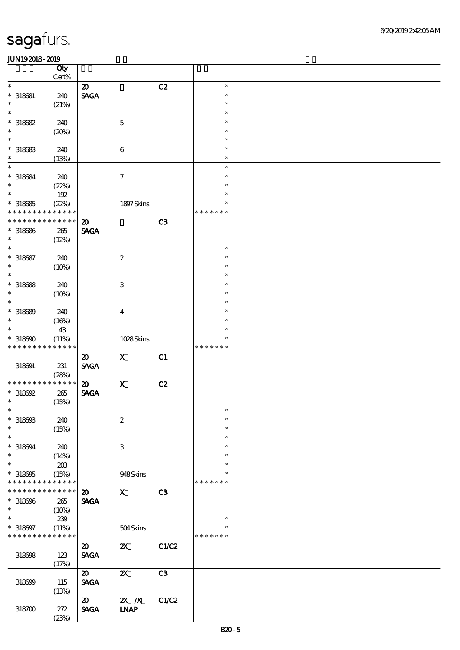|                             | Qty<br>Cert%    |                             |                              |                |               |  |
|-----------------------------|-----------------|-----------------------------|------------------------------|----------------|---------------|--|
| $\ast$                      |                 | $\boldsymbol{\mathsf{20}}$  |                              | C2             | $\ast$        |  |
|                             |                 |                             |                              |                |               |  |
| $* 318681$                  | 240             | <b>SAGA</b>                 |                              |                | $\ast$        |  |
| $\ast$                      | (21%)           |                             |                              |                | $\ast$        |  |
| $\ast$                      |                 |                             |                              |                | $\ast$        |  |
| $*318682$                   | 240             |                             | $\mathbf 5$                  |                | $\ast$        |  |
| $\ast$                      | (20%)           |                             |                              |                | $\ast$        |  |
| $\ast$                      |                 |                             |                              |                | $\ast$        |  |
|                             |                 |                             |                              |                |               |  |
| $* 318683$                  | 240             |                             | $\boldsymbol{6}$             |                | $\ast$        |  |
| $\ast$                      | (13%)           |                             |                              |                | $\ast$        |  |
| $\ast$                      |                 |                             |                              |                | $\ast$        |  |
| $* 318684$                  | 240             |                             | $\tau$                       |                | $\ast$        |  |
| $\ast$                      |                 |                             |                              |                | $\ast$        |  |
| $\overline{\ast}$           | (22%)           |                             |                              |                |               |  |
|                             | 192             |                             |                              |                | $\ast$        |  |
| $*318685$                   | (22%)           |                             | 1897 Skins                   |                | $\ast$        |  |
| * * * * * * * *             | * * * * * *     |                             |                              |                | * * * * * * * |  |
| * * * * * * * *             | * * * * * *     | $\boldsymbol{\mathbf{z}}$   |                              | C3             |               |  |
| $* 318686$                  | 265             | <b>SAGA</b>                 |                              |                |               |  |
| $\ast$                      |                 |                             |                              |                |               |  |
|                             | (12%)           |                             |                              |                |               |  |
| $\ast$                      |                 |                             |                              |                | $\ast$        |  |
| $* 318687$                  | 240             |                             | $\boldsymbol{z}$             |                | $\ast$        |  |
| $\ast$                      | (10%)           |                             |                              |                | $\ast$        |  |
| $\ast$                      |                 |                             |                              |                | $\ast$        |  |
|                             |                 |                             |                              |                |               |  |
| $*318688$                   | 240             |                             | $\ensuremath{\mathbf{3}}$    |                | $\ast$        |  |
| $\ast$                      | (10%)           |                             |                              |                | $\ast$        |  |
| $\ast$                      |                 |                             |                              |                | $\ast$        |  |
| $* 318689$                  | 240             |                             | $\overline{\mathbf{4}}$      |                | $\ast$        |  |
| $\ast$                      | (16%)           |                             |                              |                | $\ast$        |  |
| $\ast$                      |                 |                             |                              |                | $\ast$        |  |
|                             | 43              |                             |                              |                |               |  |
| $*318600$                   | (11%)           |                             | 1028Skins                    |                | $\ast$        |  |
| * * * * * * * *             | * * * * * *     |                             |                              |                | * * * * * * * |  |
|                             |                 | $\boldsymbol{\mathfrak{D}}$ | $\mathbf{X}$                 |                |               |  |
|                             |                 |                             |                              |                |               |  |
|                             |                 |                             |                              | C1             |               |  |
| 318691                      | 231             | <b>SAGA</b>                 |                              |                |               |  |
|                             | (28%)           |                             |                              |                |               |  |
| * * * * * * * *             | * * * * * *     | $\boldsymbol{\mathfrak{D}}$ | $\mathbf X$                  | C2             |               |  |
| $*318692$                   | $265\,$         | <b>SAGA</b>                 |                              |                |               |  |
| $\ast$                      | (15%)           |                             |                              |                |               |  |
| $\ast$                      |                 |                             |                              |                | $\ast$        |  |
|                             |                 |                             |                              |                | $\ast$        |  |
| $* 318693$<br>$\ast$        | 240             |                             | $\boldsymbol{2}$             |                | $\ast$        |  |
|                             | (15%)           |                             |                              |                |               |  |
| $\ast$                      |                 |                             |                              |                | $\ast$        |  |
| $*318694$                   | 240             |                             | 3                            |                | $\ast$        |  |
| $\ast$                      | (14%)           |                             |                              |                | $\ast$        |  |
| $\ast$                      | 20B             |                             |                              |                | $\ast$        |  |
|                             |                 |                             |                              |                | $\ast$        |  |
| $*318605$                   | (15%)           |                             | 948Skins                     |                | * * * * * * * |  |
| * * * * * * * * * * * * * * |                 |                             |                              |                |               |  |
| * * * * * * * *             | $* * * * * * *$ | $\boldsymbol{\mathfrak{D}}$ | $\mathbf{x}$                 | C <sub>3</sub> |               |  |
| $*318696$                   | 265             | <b>SAGA</b>                 |                              |                |               |  |
| $\ast$                      | (10%)           |                             |                              |                |               |  |
| $\ast$                      |                 |                             |                              |                | $\ast$        |  |
|                             | 239             |                             |                              |                | $\ast$        |  |
| $* 318697$                  | (11%)           |                             | 504Skins                     |                |               |  |
| * * * * * * * * * * * * * * |                 |                             |                              |                | * * * * * * * |  |
|                             |                 | $\boldsymbol{\mathfrak{D}}$ | $\boldsymbol{\mathsf{Z}}$    | C1/C2          |               |  |
| 318698                      | 123             | <b>SAGA</b>                 |                              |                |               |  |
|                             | (17%)           |                             |                              |                |               |  |
|                             |                 |                             |                              |                |               |  |
|                             |                 | $\boldsymbol{\mathfrak{D}}$ | $\boldsymbol{\mathsf{z}}$    | C3             |               |  |
| 318699                      | 115             | <b>SAGA</b>                 |                              |                |               |  |
|                             | (13%)           |                             |                              |                |               |  |
|                             |                 | $\boldsymbol{\mathfrak{D}}$ | $\overline{X}$ X             | C1/C2          |               |  |
| 318700                      | 272             | <b>SAGA</b>                 | $\ensuremath{\mathbf{INAP}}$ |                |               |  |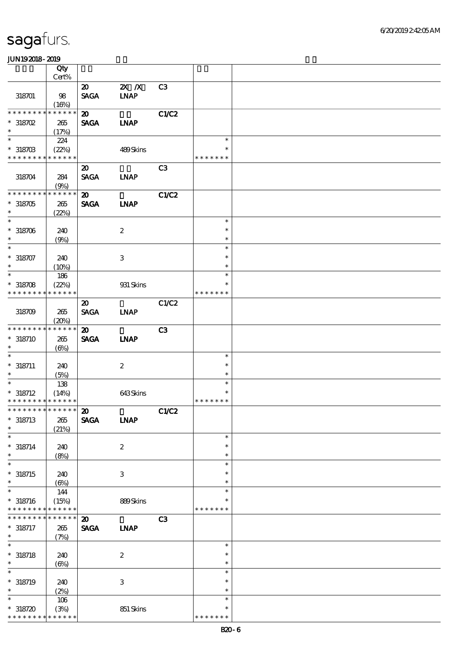|                                          | Qty                        |                             |                           |                |                    |  |
|------------------------------------------|----------------------------|-----------------------------|---------------------------|----------------|--------------------|--|
|                                          | $Cert\%$                   |                             |                           |                |                    |  |
|                                          |                            | $\boldsymbol{\mathfrak{D}}$ | $2X$ $X$                  | C <sub>3</sub> |                    |  |
| 318701                                   | 98                         | <b>SAGA</b>                 | <b>INAP</b>               |                |                    |  |
| * * * * * * * *                          | (16%)<br>* * * * * *       | $\boldsymbol{\mathfrak{D}}$ |                           |                |                    |  |
| $*318702$                                | 265                        | <b>SAGA</b>                 | <b>INAP</b>               | C1/C2          |                    |  |
| $\ast$                                   | (17%)                      |                             |                           |                |                    |  |
| $\overline{\phantom{a}}$                 | 224                        |                             |                           |                | $\ast$             |  |
| $*318703$                                | (22%)                      |                             | 489Skins                  |                | $\ast$             |  |
| * * * * * * * * * * * * * *              |                            |                             |                           |                | * * * * * * *      |  |
|                                          |                            | $\boldsymbol{\mathfrak{D}}$ |                           | C3             |                    |  |
| 318704                                   | 284                        | <b>SAGA</b>                 | <b>INAP</b>               |                |                    |  |
|                                          | (9%)                       |                             |                           |                |                    |  |
| * * * * * * * * * * * * * *              |                            | $\boldsymbol{\mathfrak{D}}$ |                           | C1/C2          |                    |  |
| $*318705$                                | 265                        | <b>SAGA</b>                 | <b>LNAP</b>               |                |                    |  |
| $\ast$<br>$\overline{\phantom{0}}$       | (22%)                      |                             |                           |                |                    |  |
|                                          |                            |                             |                           |                | $\ast$<br>$\ast$   |  |
| $*318706$<br>$\ast$                      | 240                        |                             | $\boldsymbol{z}$          |                | $\ast$             |  |
| $\overline{\ast}$                        | (9%)                       |                             |                           |                | $\ast$             |  |
| $* 318707$                               | 240                        |                             | $\ensuremath{\mathbf{3}}$ |                | $\ast$             |  |
| $\ast$                                   | (10%)                      |                             |                           |                | $\ast$             |  |
| $\ast$                                   | 186                        |                             |                           |                | $\ast$             |  |
| $* 318708$                               | (22%)                      |                             | 931 Skins                 |                | $\ast$             |  |
| * * * * * * * *                          | * * * * * *                |                             |                           |                | * * * * * * *      |  |
|                                          |                            | $\boldsymbol{\mathfrak{D}}$ |                           | C1/C2          |                    |  |
| 318709                                   | 265                        | <b>SAGA</b>                 | <b>INAP</b>               |                |                    |  |
|                                          | (20%)                      |                             |                           |                |                    |  |
| * * * * * * * * * * * * * *              |                            | $\boldsymbol{\mathfrak{D}}$ |                           | C3             |                    |  |
| $*318710$                                | 265                        | <b>SAGA</b>                 | <b>INAP</b>               |                |                    |  |
| $\ast$                                   | (6%)                       |                             |                           |                |                    |  |
| $\ast$                                   |                            |                             |                           |                | $\ast$<br>$\ast$   |  |
| $* 318711$<br>$\ast$                     | 240                        |                             | $\boldsymbol{z}$          |                | $\ast$             |  |
| $\ast$                                   | (5%)<br>138                |                             |                           |                | $\ast$             |  |
| $* 318712$                               | (14%)                      |                             | 643Skins                  |                | $\ast$             |  |
| * * * * * * * * * * * * * *              |                            |                             |                           |                | * * * * * * *      |  |
| *************** 20                       |                            |                             |                           | C1/C2          |                    |  |
| $*318713$                                | 265                        | <b>SAGA</b>                 | <b>INAP</b>               |                |                    |  |
| $\ast$                                   | (21%)                      |                             |                           |                |                    |  |
| $\ast$                                   |                            |                             |                           |                | $\ast$             |  |
| $* 318714$                               | 240                        |                             | $\boldsymbol{2}$          |                | $\ast$             |  |
| $\ast$                                   | (8%)                       |                             |                           |                | $\ast$             |  |
| $\ast$                                   |                            |                             |                           |                | $\ast$             |  |
| $* 318715$<br>$\ast$                     | 240                        |                             | 3                         |                | $\ast$<br>$\ast$   |  |
| $\ast$                                   | $(\Theta)$<br>144          |                             |                           |                | $\ast$             |  |
| $* 318716$                               | (15%)                      |                             | 889Skins                  |                |                    |  |
| * * * * * * * *                          | * * * * * *                |                             |                           |                | * * * * * * *      |  |
| * * * * * * * *                          | $\ast\ast\ast\ast\ast\ast$ | $\boldsymbol{\mathsf{20}}$  |                           | C <sub>3</sub> |                    |  |
| $* 318717$                               | 265                        | <b>SAGA</b>                 | <b>INAP</b>               |                |                    |  |
| $\ast$                                   | (7%)                       |                             |                           |                |                    |  |
| $\ast$                                   |                            |                             |                           |                | $\ast$             |  |
| $* 318718$                               | 240                        |                             | $\boldsymbol{2}$          |                | $\ast$             |  |
| $\ast$                                   | $(\Theta\%)$               |                             |                           |                | $\ast$             |  |
| $\ast$                                   |                            |                             |                           |                | $\ast$             |  |
| $* 318719$                               | 240                        |                             | $\ensuremath{\mathbf{3}}$ |                | *                  |  |
| $\ast$<br>$\ast$                         | (2%)                       |                             |                           |                | $\ast$             |  |
|                                          | 106                        |                             |                           |                | $\ast$<br>$\ast$   |  |
| $*318720$<br>* * * * * * * * * * * * * * | (3%)                       |                             | 851 Skins                 |                | * * * * *<br>$* *$ |  |
|                                          |                            |                             |                           |                |                    |  |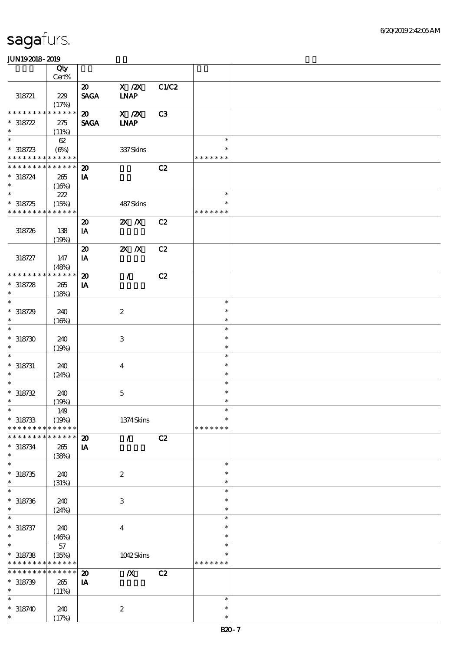|                          | Qty<br>Cert%                |                                      |                                                |       |               |  |
|--------------------------|-----------------------------|--------------------------------------|------------------------------------------------|-------|---------------|--|
|                          |                             |                                      |                                                |       |               |  |
| 318721                   | 229                         | $\boldsymbol{\omega}$<br><b>SAGA</b> | $X$ / $ZX$<br><b>INAP</b>                      | C1/C2 |               |  |
|                          | (17%)                       |                                      |                                                |       |               |  |
| ********                 | * * * * * *                 | $\boldsymbol{\mathfrak{D}}$          | $\overline{X}$ / $\overline{Z}$ $\overline{X}$ | C3    |               |  |
| $* 318722$<br>$\ast$     | 275<br>(11%)                | <b>SAGA</b>                          | <b>INAP</b>                                    |       |               |  |
| $\ast$                   | 62                          |                                      |                                                |       | $\ast$        |  |
| $*318723$                | (6%)                        |                                      | 337Skins                                       |       |               |  |
|                          | * * * * * * * * * * * * * * |                                      |                                                |       | * * * * * * * |  |
|                          | * * * * * * * * * * * * * * | $\boldsymbol{\mathfrak{D}}$          |                                                | C2    |               |  |
| $* 318724$               |                             |                                      |                                                |       |               |  |
| $\ast$                   | 265                         | IA                                   |                                                |       |               |  |
| $\overline{\phantom{1}}$ | (16%)                       |                                      |                                                |       |               |  |
|                          | 222                         |                                      |                                                |       | $\ast$        |  |
| $* 318725$               | (15%)                       |                                      | 487Skins                                       |       | $\ast$        |  |
| * * * * * * * *          | * * * * * *                 |                                      |                                                |       | * * * * * * * |  |
|                          |                             | $\boldsymbol{\mathbf{z}}$            | $X$ $N$                                        | C2    |               |  |
| 318726                   | 138                         | IA                                   |                                                |       |               |  |
|                          |                             |                                      |                                                |       |               |  |
|                          | (19%)                       |                                      |                                                |       |               |  |
|                          |                             | $\boldsymbol{\mathbf{z}}$            | $X$ $X$                                        | C2    |               |  |
| 318727                   | 147                         | IA                                   |                                                |       |               |  |
|                          | (48%)                       |                                      |                                                |       |               |  |
| * * * * * * * *          | * * * * * *                 | $\boldsymbol{\mathbf{z}}$            | $\mathcal{L}$                                  | C2    |               |  |
| $* 318728$               | 265                         | IA                                   |                                                |       |               |  |
| $\ast$                   | (18%)                       |                                      |                                                |       |               |  |
| $\ast$                   |                             |                                      |                                                |       | $\ast$        |  |
| $*318729$                | 240                         |                                      | $\boldsymbol{2}$                               |       | $\ast$        |  |
| $\ast$                   | (16%)                       |                                      |                                                |       | $\ast$        |  |
| $\ast$                   |                             |                                      |                                                |       | $\ast$        |  |
|                          |                             |                                      |                                                |       | $\ast$        |  |
| $*318730$                | 240                         |                                      | 3                                              |       |               |  |
| $\ast$                   | (19%)                       |                                      |                                                |       | $\ast$        |  |
| $\ast$                   |                             |                                      |                                                |       | $\ast$        |  |
| $* 318731$               | 240                         |                                      | $\boldsymbol{4}$                               |       | $\ast$        |  |
| $\ast$                   | (24%)                       |                                      |                                                |       | $\ast$        |  |
| $\ast$                   |                             |                                      |                                                |       | $\ast$        |  |
| $* 318732$               | 240                         |                                      | $\bf 5$                                        |       | $\ast$        |  |
| $\ast$                   | (19%)                       |                                      |                                                |       | $\ast$        |  |
| $\ast$                   |                             |                                      |                                                |       | $\ast$        |  |
|                          | 149                         |                                      |                                                |       |               |  |
| $* 318733$               | (19%)                       |                                      | $1374$ Skins                                   |       | $\ast$        |  |
| * * * * * * *            | * * * * * *                 |                                      |                                                |       | * * * * * * * |  |
| * * * * * * *            | * * * * * *                 | $\boldsymbol{\mathbf{z}}$            | $\mathcal{L}$                                  | C2    |               |  |
| $* 318734$               | 265                         | IA                                   |                                                |       |               |  |
| $\ast$                   | (38%)                       |                                      |                                                |       |               |  |
| $\ast$                   |                             |                                      |                                                |       | $\ast$        |  |
| $*318735$                | 240                         |                                      | $\boldsymbol{z}$                               |       | $\ast$        |  |
| $\ast$                   |                             |                                      |                                                |       | $\ast$        |  |
| $\ast$                   | (31%)                       |                                      |                                                |       | $\ast$        |  |
|                          |                             |                                      |                                                |       |               |  |
| $* 318736$               | 240                         |                                      | 3                                              |       | $\ast$        |  |
| $\ast$                   | (24%)                       |                                      |                                                |       | $\ast$        |  |
| $\overline{\phantom{0}}$ |                             |                                      |                                                |       | $\ast$        |  |
| $* 318737$               | 240                         |                                      | $\boldsymbol{4}$                               |       | $\ast$        |  |
| $\ast$                   | (46%)                       |                                      |                                                |       | $\ast$        |  |
| $\ast$                   | 57                          |                                      |                                                |       | $\ast$        |  |
| $*318738$                | (35%)                       |                                      | 1042Skins                                      |       |               |  |
| * * * * * * * *          | * * * * * *                 |                                      |                                                |       | * * * * * * * |  |
| * * * * * * *            | * * * * * *<br>$\ast$       |                                      |                                                |       |               |  |
|                          |                             | $\boldsymbol{\mathbf{z}}$            | $\mathbf{X}$                                   | C2    |               |  |
| $* 318739$               | 265                         | IA                                   |                                                |       |               |  |
| $\ast$                   | (11%)                       |                                      |                                                |       |               |  |
| $\ast$                   |                             |                                      |                                                |       | $\ast$        |  |
| $* 318740$               | 240                         |                                      | $\boldsymbol{2}$                               |       | $\ast$        |  |
| $\ast$                   | (17%)                       |                                      |                                                |       | $\ast$        |  |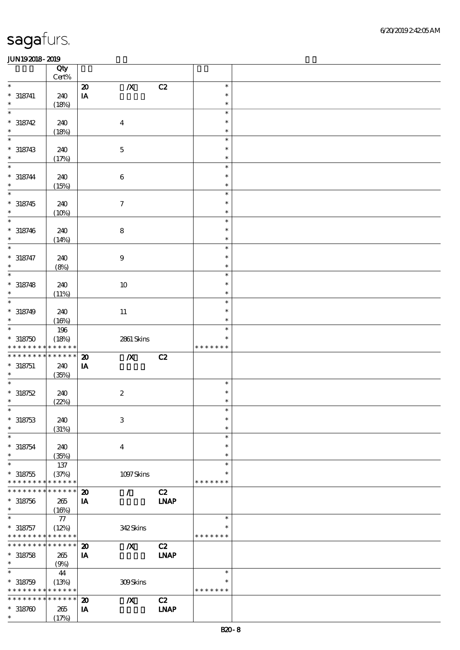|                                            | Qty<br>Cert%               |                             |                  |             |               |  |
|--------------------------------------------|----------------------------|-----------------------------|------------------|-------------|---------------|--|
| $\ast$                                     |                            | $\boldsymbol{\mathfrak{D}}$ | $\boldsymbol{X}$ | C2          | $\ast$        |  |
| $* 318741$                                 | 240                        | $\mathbf{I}\mathbf{A}$      |                  |             | $\ast$        |  |
| $\ast$                                     |                            |                             |                  |             | $\ast$        |  |
| $\ast$                                     | (18%)                      |                             |                  |             | $\ast$        |  |
|                                            |                            |                             |                  |             |               |  |
| $* 318742$                                 | 240                        |                             | $\boldsymbol{4}$ |             | $\ast$        |  |
| $\ast$                                     | (18%)                      |                             |                  |             | $\ast$        |  |
| $\ast$                                     |                            |                             |                  |             | $\ast$        |  |
| $* 318743$                                 | 240                        |                             | $\mathbf 5$      |             | $\ast$        |  |
| $\ast$                                     | (17%)                      |                             |                  |             | $\ast$        |  |
| $\ast$                                     |                            |                             |                  |             | $\ast$        |  |
| $* 318744$                                 | 240                        |                             | $\bf 6$          |             | $\ast$        |  |
| $\ast$                                     | (15%)                      |                             |                  |             | $\ast$        |  |
| $\ast$                                     |                            |                             |                  |             | $\ast$        |  |
| $* 318745$                                 | 240                        |                             | $\boldsymbol{7}$ |             | $\ast$        |  |
| $\ast$                                     |                            |                             |                  |             | $\ast$        |  |
| $\ast$                                     | (10%)                      |                             |                  |             | $\ast$        |  |
|                                            |                            |                             |                  |             |               |  |
| $* 318746$                                 | 240                        |                             | ${\bf 8}$        |             | $\ast$        |  |
| $\ast$                                     | (14%)                      |                             |                  |             | $\ast$        |  |
| $\ast$                                     |                            |                             |                  |             | $\ast$        |  |
| $* 318747$                                 | 240                        |                             | $\boldsymbol{9}$ |             | $\ast$        |  |
| $\ast$                                     | (8%)                       |                             |                  |             | $\ast$        |  |
| $\ast$                                     |                            |                             |                  |             | $\ast$        |  |
| $* 318748$                                 | 240                        |                             | 10               |             | $\ast$        |  |
| $\ast$                                     | (11%)                      |                             |                  |             | $\ast$        |  |
| $\ast$                                     |                            |                             |                  |             | $\ast$        |  |
| $* 318749$                                 | 240                        |                             | $11\,$           |             | $\ast$        |  |
| $\ast$                                     | (16%)                      |                             |                  |             | $\ast$        |  |
| $\ast$                                     | 196                        |                             |                  |             | $\ast$        |  |
| $*318750$                                  | (18%)                      |                             | 2861 Skins       |             | $\ast$        |  |
| * * * * * * * *                            | * * * * * *                |                             |                  |             | * * * * * * * |  |
| * * * * * * * *                            | * * * * * *                |                             |                  |             |               |  |
|                                            |                            | $\boldsymbol{\mathbf{z}}$   | $\boldsymbol{X}$ | C2          |               |  |
| $* 318751$                                 | 240                        | ${\bf I} {\bf A}$           |                  |             |               |  |
| $\ast$                                     | (35%)                      |                             |                  |             |               |  |
| $\ast$                                     |                            |                             |                  |             | $\ast$        |  |
| $*318752$                                  | 240                        |                             | $\boldsymbol{2}$ |             | $\ast$        |  |
| $\ast$                                     | (22%)                      |                             |                  |             | $\ast$        |  |
| $\ast$                                     |                            |                             |                  |             | $\ast$        |  |
| $* 318753$                                 | 240                        |                             | $\,3$            |             | $\ast$        |  |
| $\ast$                                     | (31%)                      |                             |                  |             | $\ast$        |  |
| $\ast$                                     |                            |                             |                  |             | $\ast$        |  |
| $^*$ 318754 $\,$                           | 240                        |                             | $\boldsymbol{4}$ |             | $\ast$        |  |
| $\ast$                                     | (35%)                      |                             |                  |             | $\ast$        |  |
| $\ast$                                     | 137                        |                             |                  |             | $\ast$        |  |
| $* 318755$                                 | (37%)                      |                             | 1097Skins        |             | $\ast$        |  |
| * * * * * * * *                            | * * * * * *                |                             |                  |             | * * * * * * * |  |
| * * * * * * *                              | * * * * * *                | $\boldsymbol{\mathbf{z}}$   | Ī.               | C2          |               |  |
| $* 318756$                                 | 265                        | IA                          |                  | <b>LNAP</b> |               |  |
| $\ast$                                     | (16%)                      |                             |                  |             |               |  |
| $\ast$                                     | ${\bf 77}$                 |                             |                  |             | $\ast$        |  |
|                                            |                            |                             |                  |             | $\ast$        |  |
| $* 318757$                                 | (12%)                      |                             | 342Skins         |             | * * * * * * * |  |
| * * * * * * * * <mark>* * * * * *</mark> * |                            |                             |                  |             |               |  |
| * * * * * * * *                            | $\ast\ast\ast\ast\ast\ast$ | $\boldsymbol{\mathfrak{D}}$ | $\boldsymbol{X}$ | C2          |               |  |
| $* 318758$                                 | 265                        | IA                          |                  | <b>LNAP</b> |               |  |
| $\ast$                                     | (9%)                       |                             |                  |             |               |  |
| $\ast$                                     | 44                         |                             |                  |             | $\ast$        |  |
| $* 318759$                                 | (13%)                      |                             | 309Skins         |             | $\ast$        |  |
| * * * * * * * *                            | * * * * * *                |                             |                  |             | * * * * * * * |  |
| * * * * * * * *                            | * * * * * *                | $\boldsymbol{\mathbf{z}}$   | $\boldsymbol{X}$ | C2          |               |  |
| $*318760$                                  | 265                        | IA                          |                  | <b>INAP</b> |               |  |
|                                            | (17%)                      |                             |                  |             |               |  |
| $\ast$                                     |                            |                             |                  |             |               |  |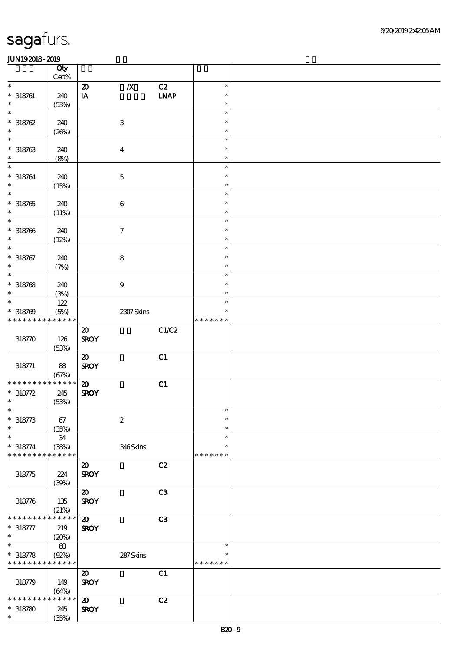|                                           | Qty<br>$Cert\%$      |                                            |                     |                |                            |  |
|-------------------------------------------|----------------------|--------------------------------------------|---------------------|----------------|----------------------------|--|
| $\ast$                                    |                      | $\boldsymbol{\mathbf{z}}$                  | $\pmb{X}$           | C2             | $\ast$                     |  |
| $* 318761$                                | 240                  | $\mathbf{I}\mathbf{A}$                     |                     | <b>LNAP</b>    | $\ast$                     |  |
| $\ast$                                    | (53%)                |                                            |                     |                | $\ast$                     |  |
| $\ast$<br>$*318762$<br>$\ast$             | 240<br>(20%)         |                                            | $\,3$               |                | $\ast$<br>$\ast$<br>$\ast$ |  |
| $\ast$                                    |                      |                                            |                     |                | $\ast$                     |  |
| $* 318763$<br>$\ast$                      | 240<br>(8%)          |                                            | $\boldsymbol{4}$    |                | $\ast$<br>$\ast$           |  |
| $\ast$                                    |                      |                                            |                     |                | $\ast$                     |  |
| $* 318764$<br>$\ast$                      | 240<br>(15%)         |                                            | $\mathbf 5$         |                | $\ast$<br>$\ast$           |  |
| $\overline{\ast}$                         |                      |                                            |                     |                | $\ast$                     |  |
| $*318765$<br>$\ast$                       | 240<br>(11%)         |                                            | $\,6\,$             |                | $\ast$<br>$\ast$           |  |
| $\ast$                                    |                      |                                            |                     |                | $\ast$                     |  |
| $* 318766$<br>$\ast$                      | 240<br>(12%)         |                                            | $\boldsymbol{\tau}$ |                | $\ast$<br>$\ast$           |  |
| $\ast$                                    |                      |                                            |                     |                | $\ast$                     |  |
| $* 318767$<br>$\ast$                      | 240<br>(7%)          |                                            | ${\bf 8}$           |                | $\ast$<br>$\ast$           |  |
| $\ast$                                    |                      |                                            |                     |                | $\ast$                     |  |
| $* 318768$<br>$\ast$                      | 240<br>(3%)          |                                            | $\boldsymbol{9}$    |                | $\ast$<br>$\ast$           |  |
| $\ast$                                    | $122$                |                                            |                     |                | $\ast$                     |  |
| $* 318769$                                | (5%)                 |                                            | 2307Skins           |                | ∗                          |  |
| * * * * * * * * * * * * * *               |                      |                                            |                     |                | * * * * * * *              |  |
| 318770                                    | 126<br>(53%)         | $\boldsymbol{\mathfrak{D}}$<br><b>SROY</b> |                     | C1/C2          |                            |  |
|                                           |                      | $\boldsymbol{\mathfrak{D}}$                |                     | C1             |                            |  |
| 318771                                    | 88<br>(67%)          | <b>SROY</b>                                |                     |                |                            |  |
| * * * * * * * *                           | $******$             | $\boldsymbol{\mathfrak{D}}$                |                     | C1             |                            |  |
| $* 318772$<br>$\ast$                      | 245<br>(53%)         | <b>SROY</b>                                |                     |                |                            |  |
| $\ast$                                    |                      |                                            |                     |                | $\ast$                     |  |
| $* 318773$<br>$\ast$                      | 67<br>(35%)          |                                            | $\boldsymbol{2}$    |                | $\ast$<br>$\ast$           |  |
| $\ast$                                    | 34                   |                                            |                     |                | $\ast$                     |  |
| $* 318774$<br>* * * * * * * *             | (38%)<br>* * * * * * |                                            | 346Skins            |                | $\ast$<br>* * * * * * *    |  |
|                                           |                      | $\boldsymbol{\mathfrak{D}}$                |                     | C2             |                            |  |
| 318775                                    | 224<br>(30%)         | <b>SROY</b>                                |                     |                |                            |  |
|                                           |                      | $\boldsymbol{\mathsf{20}}$                 |                     | C <sub>3</sub> |                            |  |
| 318776                                    | $135\,$<br>(21%)     | <b>SROY</b>                                |                     |                |                            |  |
| * * * * * *                               | * * * * * *          | $\boldsymbol{\mathbf{z}}$                  |                     | C3             |                            |  |
| $* 318777$<br>$\ast$                      | 219<br>(20%)         | <b>SROY</b>                                |                     |                |                            |  |
| $\ast$                                    | 68                   |                                            |                     |                | $\ast$                     |  |
| $* 318778$<br>* * * * * * * * * * * * * * | (Q2%)                |                                            | 287Skins            |                | *<br>* * * * * * *         |  |
|                                           |                      | $\boldsymbol{\mathfrak{D}}$                |                     | C1             |                            |  |
| 318779                                    | 149<br>(64%)         | <b>SROY</b>                                |                     |                |                            |  |
| * * * * * * *                             | * * * * * *          | $\boldsymbol{\mathbf{z}}$                  |                     | C2             |                            |  |
| $*318780$<br>$\ast$                       | 245<br>(35%)         | <b>SROY</b>                                |                     |                |                            |  |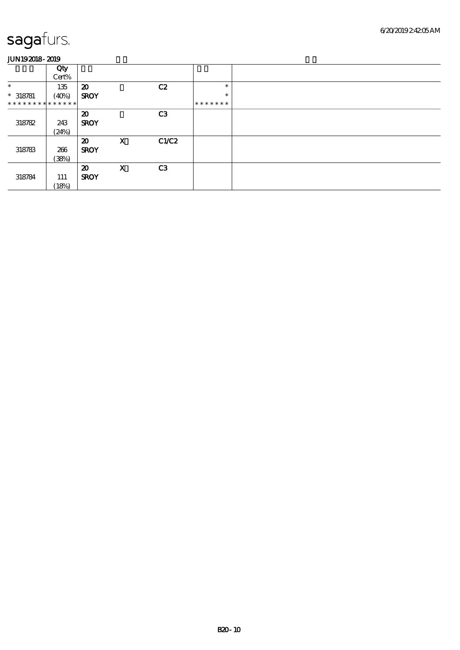|                               | Qty<br>Cert% |                             |                           |                |         |  |
|-------------------------------|--------------|-----------------------------|---------------------------|----------------|---------|--|
| $\ast$                        | 135          | $\boldsymbol{\mathfrak{D}}$ |                           | C2             | $\ast$  |  |
| $* 318781$                    | (40%)        | <b>SROY</b>                 |                           |                | $\ast$  |  |
| * * * * * * * * * * * * * * * |              |                             |                           |                | ******* |  |
|                               |              | $\boldsymbol{\mathfrak{D}}$ |                           | C <sub>3</sub> |         |  |
| 318782                        | 243          | <b>SROY</b>                 |                           |                |         |  |
|                               | (24%)        |                             |                           |                |         |  |
|                               |              | $\boldsymbol{\mathfrak{D}}$ | $\boldsymbol{\mathsf{X}}$ | C1/C2          |         |  |
| 318783                        | 266          | <b>SROY</b>                 |                           |                |         |  |
|                               | (38%)        |                             |                           |                |         |  |
|                               |              | $\boldsymbol{\mathfrak{D}}$ | $\mathbf x$               | C <sub>3</sub> |         |  |
| 318784                        | 111          | <b>SROY</b>                 |                           |                |         |  |
|                               | (18%)        |                             |                           |                |         |  |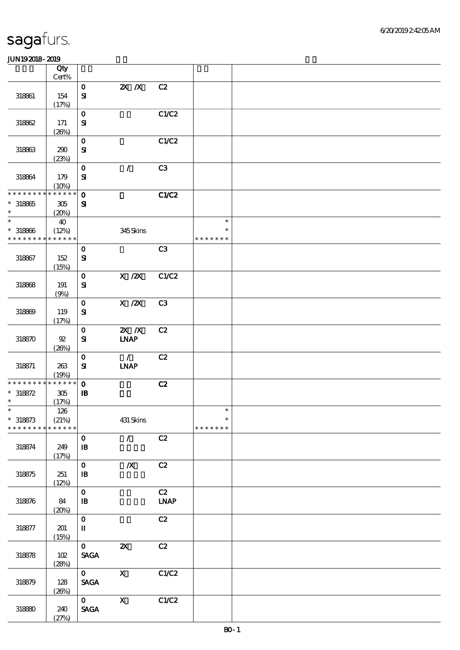|                                                          | Qty                         |                                                |                              |                   |                                   |  |
|----------------------------------------------------------|-----------------------------|------------------------------------------------|------------------------------|-------------------|-----------------------------------|--|
|                                                          | $\mbox{Cert}\%$             |                                                |                              |                   |                                   |  |
| 318861                                                   | 154<br>(17%)                | $\mathbf{O}$<br>${\bf s}$                      | $X$ $X$                      | C2                |                                   |  |
| 318862                                                   | 171                         | $\mathbf{o}$<br>${\bf S}$                      |                              | C1/C2             |                                   |  |
| 318863                                                   | (20%)<br>290                | $\mathbf{o}$<br>$\mathbf{S}$                   |                              | C1/C2             |                                   |  |
| 318864                                                   | (23%)<br>179                | $\mathbf 0$<br>$\mathbf{S}$                    | $\mathcal{L}$                | C3                |                                   |  |
| * * * * * * * *                                          | (10%)<br>* * * * * *        | $\mathbf 0$                                    |                              | C1/C2             |                                   |  |
| $*318865$<br>$\ast$<br>$\overline{\phantom{0}}$          | $305\,$<br>(20%)<br>40      | ${\bf s}$                                      |                              |                   | $\ast$                            |  |
| $* 318866$<br>* * * * * * * * <mark>* * * * * *</mark> * | (12%)                       |                                                | 345Skins                     |                   | $\ast$<br>* * * * * * *           |  |
| 318867                                                   | 152<br>(15%)                | $\mathbf{o}$<br>${\bf s}$                      |                              | C3                |                                   |  |
| 318868                                                   | 191<br>(9%)                 | $\mathbf 0$<br>${\bf S}$                       | $X \, /ZX$                   | C1/C2             |                                   |  |
| 318869                                                   | 119<br>(17%)                | $\mathbf{o}$<br>$\mathbf{S}$                   | X / ZX                       | C3                |                                   |  |
| 318870                                                   | $92\,$<br>(20%)             | $\mathbf 0$<br>${\bf s}$                       | $X$ $N$<br><b>LNAP</b>       | C2                |                                   |  |
| 318871                                                   | 263<br>(19%)                | $\mathbf 0$<br>${\bf S}$                       | $\mathcal{L}$<br><b>INAP</b> | C2                |                                   |  |
| * * * * * * * *                                          | $******$                    | $\mathbf{o}$                                   |                              | C2                |                                   |  |
| $* 318872$<br>$\ast$                                     | $305\,$<br>(17%)            | $\, {\bf I} \! {\bf B} \,$                     |                              |                   |                                   |  |
| $*$<br>$* 318873$<br>* * * * * * * *                     | 126<br>(21%)<br>* * * * * * |                                                | 431 Skins                    |                   | $\ast$<br>$\ast$<br>* * * * * * * |  |
| 318874                                                   | 249<br>(17%)                | $\mathbf{o}$<br>$\, {\bf I} \! {\bf B} \,$     | $\mathcal{L}$                | C2                |                                   |  |
| 318875                                                   | 251<br>(12%)                | $\mathbf{o}$<br>$\, {\bf I} \! {\bf B} \,$     | $\boldsymbol{X}$             | C2                |                                   |  |
| 318876                                                   | 84<br>(20%)                 | $\mathbf O$<br>$\, {\bf I} \! {\bf B} \,$      |                              | C2<br><b>LNAP</b> |                                   |  |
| 318877                                                   | 201<br>(15%)                | $\mathbf O$<br>$\mathbf I$                     |                              | C2                |                                   |  |
| 318878                                                   | 102<br>(28%)                | $\mathbf{O}$<br>$\ensuremath{\mathsf{SAGA}}$   | $\boldsymbol{\mathsf{z}}$    | C2                |                                   |  |
| 318879                                                   | 128<br>(20%)                | $\mathbf{O}$<br><b>SAGA</b>                    | $\mathbf{X}$                 | C1/C2             |                                   |  |
| 318880                                                   | 240<br>(27%)                | $\mathbf{O}$<br>$\operatorname{\mathsf{SAGA}}$ | $\mathbf X$                  | C1/C2             |                                   |  |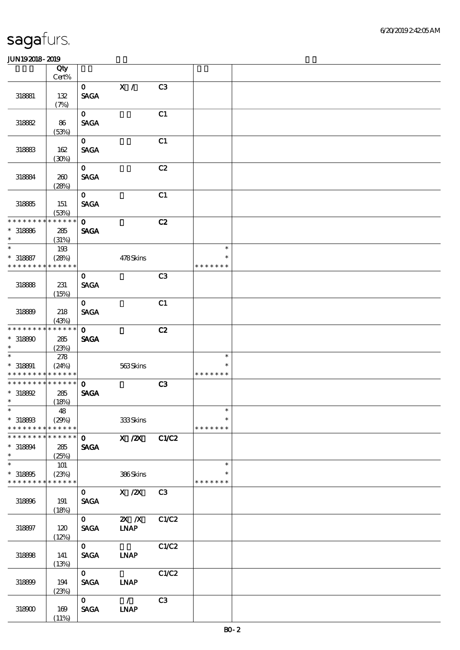|                             | Qty                  |                             |                |       |               |  |
|-----------------------------|----------------------|-----------------------------|----------------|-------|---------------|--|
|                             | Cert%                |                             |                |       |               |  |
| 318881                      | 132                  | $\mathbf{O}$<br><b>SAGA</b> | $\mathbf{X}$ / | C3    |               |  |
|                             | (7%)                 |                             |                |       |               |  |
|                             |                      | $\mathbf 0$                 |                | C1    |               |  |
| 318882                      | 86                   | <b>SAGA</b>                 |                |       |               |  |
|                             | (53%)                |                             |                |       |               |  |
|                             |                      | $\mathbf{o}$                |                | C1    |               |  |
| 318883                      | 162                  | <b>SAGA</b>                 |                |       |               |  |
|                             | (30%)                |                             |                |       |               |  |
|                             |                      | $\mathbf{o}$                |                | C2    |               |  |
| 318884                      | 260                  | <b>SAGA</b>                 |                |       |               |  |
|                             | (28%)                |                             |                |       |               |  |
|                             |                      | $\mathbf 0$                 |                | C1    |               |  |
| 318885                      | 151                  | <b>SAGA</b>                 |                |       |               |  |
| * * * * * * *               | (53%)<br>* * * * * * | $\mathbf 0$                 |                | C2    |               |  |
| $* 318886$                  | 285                  | <b>SAGA</b>                 |                |       |               |  |
| $\ast$                      | (31%)                |                             |                |       |               |  |
| $\ast$                      | 193                  |                             |                |       | $\ast$        |  |
| $* 318887$                  | (28%)                |                             | 478Skins       |       | $\ast$        |  |
| * * * * * * * *             | * * * * * *          |                             |                |       | * * * * * * * |  |
|                             |                      | $\mathbf 0$                 |                | C3    |               |  |
| 318888                      | 231                  | <b>SAGA</b>                 |                |       |               |  |
|                             | (15%)                |                             |                |       |               |  |
|                             |                      | $\mathbf{o}$                |                | C1    |               |  |
| 318899                      | 218                  | <b>SAGA</b>                 |                |       |               |  |
| * * * * * * * *             | (43%)<br>* * * * * * |                             |                |       |               |  |
|                             |                      | $\mathbf 0$                 |                | C2    |               |  |
| $*318800$<br>$\ast$         | 285<br>(23%)         | <b>SAGA</b>                 |                |       |               |  |
| $\ast$                      | 278                  |                             |                |       | $\ast$        |  |
| $* 318891$                  | (24%)                |                             | 563Skins       |       | $\ast$        |  |
| * * * * * * * *             | * * * * * *          |                             |                |       | * * * * * * * |  |
| * * * * * * * *             | * * * * * *          | $\mathbf 0$                 |                | C3    |               |  |
| $*$ 318892                  | 285                  | <b>SAGA</b>                 |                |       |               |  |
| $\ast$                      | (18%)                |                             |                |       |               |  |
| $*$                         | 48                   |                             |                |       | $\ast$        |  |
| $* 31880B$                  | (29%)                |                             | 333Skins       |       | $\ast$        |  |
| * * * * * * * *             | * * * * * *          |                             |                |       | * * * * * * * |  |
| * * * * * * * * * * * * * * |                      | $\mathbf{O}$                | X / ZX         | C1/C2 |               |  |
| $*318894$<br>$\ast$         | 285                  | <b>SAGA</b>                 |                |       |               |  |
| $\ast$                      | (25%)<br>101         |                             |                |       | $\ast$        |  |
| $*318805$                   | (23%)                |                             | 386Skins       |       | $\ast$        |  |
| * * * * * * * *             | * * * * * *          |                             |                |       | * * * * * * * |  |
|                             |                      | $\mathbf{O}$                | X / ZX         | C3    |               |  |
| 318896                      | 191                  | <b>SAGA</b>                 |                |       |               |  |
|                             | (18%)                |                             |                |       |               |  |
|                             |                      | $\mathbf{O}$                | $\mathbb{Z}$ X | C1/C2 |               |  |
| 318897                      | 120                  | <b>SAGA</b>                 | <b>INAP</b>    |       |               |  |
|                             | (12%)                |                             |                |       |               |  |
|                             |                      | $\mathbf{O}$                |                | C1/C2 |               |  |
| 318898                      | 141                  | <b>SAGA</b>                 | <b>INAP</b>    |       |               |  |
|                             | (13%)                | $\mathbf{O}$                |                | C1/C2 |               |  |
| 318899                      | 194                  | <b>SAGA</b>                 | <b>INAP</b>    |       |               |  |
|                             | (23%)                |                             |                |       |               |  |
|                             |                      | $\mathbf{o}$                | $\mathcal{L}$  | C3    |               |  |
| 318900                      | 169                  | <b>SAGA</b>                 | <b>INAP</b>    |       |               |  |
|                             | (11%)                |                             |                |       |               |  |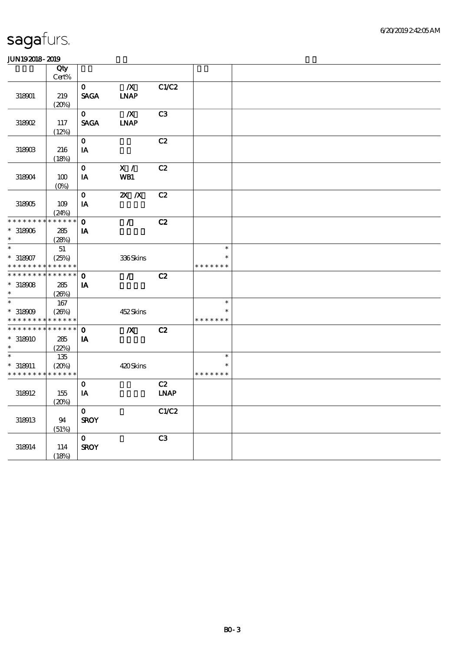| .               |             |                        |                  |             |               |  |
|-----------------|-------------|------------------------|------------------|-------------|---------------|--|
|                 | Qty         |                        |                  |             |               |  |
|                 | Cert%       |                        |                  |             |               |  |
|                 |             | $\mathbf{o}$           | $\boldsymbol{X}$ | C1/C2       |               |  |
| 318901          | 219         | <b>SAGA</b>            | <b>INAP</b>      |             |               |  |
|                 | (20%)       |                        |                  |             |               |  |
|                 |             | $\mathbf{O}$           | $\boldsymbol{X}$ | C3          |               |  |
| 318902          | 117         | <b>SAGA</b>            | <b>LNAP</b>      |             |               |  |
|                 | (12%)       |                        |                  |             |               |  |
|                 |             | $\mathbf{O}$           |                  | C2          |               |  |
| 318903          | 216         | $\mathbf{I}\mathbf{A}$ |                  |             |               |  |
|                 |             |                        |                  |             |               |  |
|                 | (18%)       |                        |                  |             |               |  |
|                 |             | $\mathbf{o}$           | X /              | C2          |               |  |
| 318904          | 100         | $\mathbf{I}\mathbf{A}$ | WB1              |             |               |  |
|                 | $(O\%)$     |                        |                  |             |               |  |
|                 |             | $\mathbf{o}$           | $X$ $N$          | C2          |               |  |
| 318905          | 109         | $\mathbf{I}\mathbf{A}$ |                  |             |               |  |
|                 | (24%)       |                        |                  |             |               |  |
| * * * * * * * * | * * * * * * | $\mathbf{o}$           | $\mathcal{L}$    | C2          |               |  |
| $*318906$       | 285         | IA                     |                  |             |               |  |
| $\ast$          | (28%)       |                        |                  |             |               |  |
| $\ast$          | 51          |                        |                  |             | $\ast$        |  |
| $* 318907$      | (25%)       |                        | 336Skins         |             | $\ast$        |  |
| * * * * * * * * | * * * * * * |                        |                  |             | * * * * * * * |  |
| * * * * * * * * | * * * * * * | $\mathbf 0$            |                  | C2          |               |  |
|                 |             |                        | $\mathcal{L}$    |             |               |  |
| $*318908$       | 285         | IA                     |                  |             |               |  |
| $\ast$          | (20%)       |                        |                  |             |               |  |
| $\ast$          | 167         |                        |                  |             | $\ast$        |  |
| $*318909$       | (20%)       |                        | 452Skins         |             | $\ast$        |  |
| * * * * * * * * | * * * * * * |                        |                  |             | * * * * * * * |  |
| * * * * * * * * | * * * * * * | $\mathbf{o}$           | $\boldsymbol{X}$ | C2          |               |  |
| $*318910$       | 285         | IA                     |                  |             |               |  |
| $\ast$          | (22%)       |                        |                  |             |               |  |
| $\ast$          | 135         |                        |                  |             | $\ast$        |  |
| $* 318911$      | (20%)       |                        | 420Skins         |             | $\ast$        |  |
| * * * * * * * * | * * * * * * |                        |                  |             | * * * * * * * |  |
|                 |             | $\mathbf{o}$           |                  | C2          |               |  |
|                 |             |                        |                  |             |               |  |
| 318912          | 155         | IA                     |                  | <b>INAP</b> |               |  |
|                 | (20%)       |                        |                  |             |               |  |
|                 |             | $\mathbf{O}$           |                  | C1/C2       |               |  |
| 318913          | 94          | <b>SROY</b>            |                  |             |               |  |
|                 | (51%)       |                        |                  |             |               |  |
|                 |             | $\mathbf{o}$           |                  | C3          |               |  |
| 318914          | 114         | <b>SROY</b>            |                  |             |               |  |
|                 | (18%)       |                        |                  |             |               |  |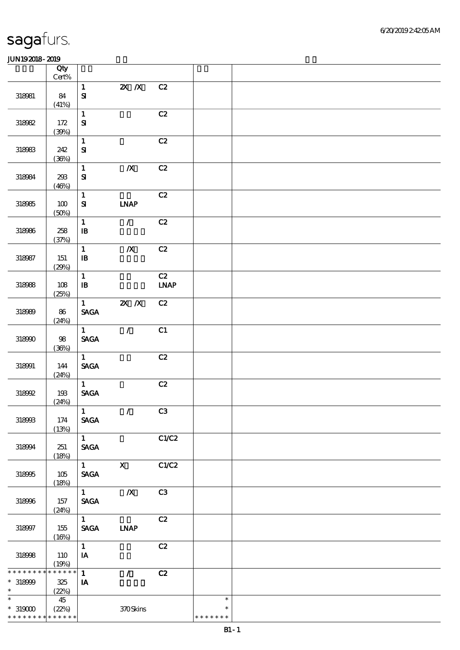|                                                                                     | Qty<br>$Cert\%$             |                                                |                              |                   |                                   |  |
|-------------------------------------------------------------------------------------|-----------------------------|------------------------------------------------|------------------------------|-------------------|-----------------------------------|--|
| 318981                                                                              | 84<br>(41%)                 | $\mathbf{1}$<br>${\bf s}$                      | $X$ $N$                      | C2                |                                   |  |
| 318982                                                                              | 172<br>(30%)                | $\mathbf 1$<br>$\mathbf{S}$                    |                              | C2                |                                   |  |
| 318983                                                                              | 242<br>(36%)                | $\mathbf{1}$<br>${\bf S}$                      |                              | C2                |                                   |  |
| 318084                                                                              | 238<br>(46%)                | $\mathbf{1}$<br>$\mathbf{S}$                   | $\boldsymbol{X}$             | C2                |                                   |  |
| 318985                                                                              | 100<br>(50%)                | $\mathbf 1$<br>$\mathbf{S}$                    | $\ensuremath{\mathbf{INAP}}$ | C2                |                                   |  |
| 318986                                                                              | 258<br>(37%)                | $\mathbf 1$<br>$\, {\bf I} \! {\bf B} \,$      | $\mathcal{L}$                | C2                |                                   |  |
| 318987                                                                              | 151<br>(29%)                | $\mathbf{1}$<br>$\, {\bf B}$                   | $\pmb{X}$                    | C2                |                                   |  |
| 318988                                                                              | 108<br>(25%)                | $\mathbf{1}$<br>$\, {\bf I} \! {\bf B} \,$     |                              | C2<br><b>LNAP</b> |                                   |  |
| 318989                                                                              | 86<br>(24%)                 | $\mathbf{1}$<br>$\operatorname{\mathsf{SAGA}}$ | $Z\!X$ $\,$ $X$              | C2                |                                   |  |
| 318990                                                                              | 98<br>(36%)                 | 1<br><b>SAGA</b>                               | $\mathcal{L}$                | C1                |                                   |  |
| 318001                                                                              | 144<br>(24%)                | $\mathbf{1}$<br>$\operatorname{\mathsf{SAGA}}$ |                              | C2                |                                   |  |
| 318992                                                                              | 193<br>(24%)                | $\mathbf{1}$<br>$\ensuremath{\mathsf{SAGA}}$   |                              | C2                |                                   |  |
| 318993                                                                              | 174<br>(13%)                | $\mathbf{1}$<br><b>SAGA</b>                    | $\mathcal{F}$                | C3                |                                   |  |
| 318994                                                                              | 251<br>(18%)                | $1 \quad$<br><b>SAGA</b>                       |                              | C1/C2             |                                   |  |
| 318995                                                                              | 105<br>(18%)                | $1 \quad \blacksquare$<br><b>SAGA</b>          | $\mathbf{X}$                 | C1/C2             |                                   |  |
| 318996                                                                              | 157<br>(24%)                | $1 \quad \blacksquare$<br><b>SAGA</b>          | $\boldsymbol{X}$             | C3                |                                   |  |
| 318997                                                                              | 155<br>(16%)                | 1<br>$\operatorname{\mathsf{SAGA}}$            | <b>INAP</b>                  | C2                |                                   |  |
| 318998                                                                              | 110<br>(19%)                | $\mathbf{1}$<br>$\mathbf{IA}$                  |                              | C2                |                                   |  |
| * * * * * * *<br>$*318999$<br>$\ast$                                                | * * * * * *<br>325<br>(22%) | $\mathbf{1}$<br>$\mathbf{I}$                   | $\mathcal{L}$                | C2                |                                   |  |
| $\overline{\phantom{a}^*}$<br>$^*$ 319000 $^{\circ}$<br>* * * * * * * * * * * * * * | 45<br>(22%)                 |                                                | 370Skins                     |                   | $\ast$<br>$\ast$<br>* * * * * * * |  |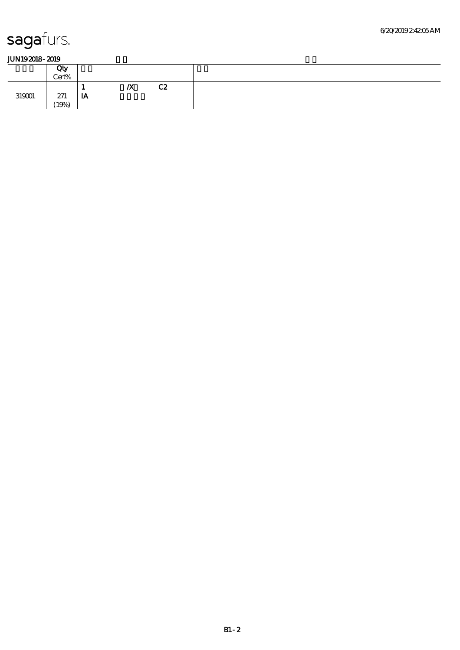|        | Qty<br>Cert% |     |                  |    |  |
|--------|--------------|-----|------------------|----|--|
|        |              | . . | $\boldsymbol{X}$ | C2 |  |
| 319001 | 271          | IA  |                  |    |  |
|        | (19%)        |     |                  |    |  |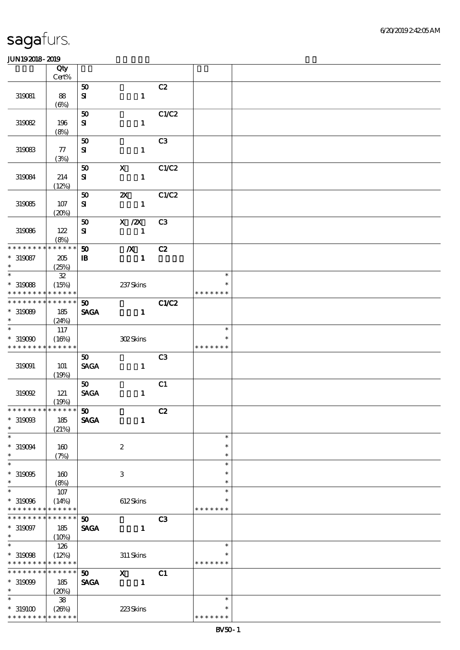|                                            | Qty                  |                             |                           |                |               |  |
|--------------------------------------------|----------------------|-----------------------------|---------------------------|----------------|---------------|--|
|                                            | $Cert\%$             |                             |                           |                |               |  |
|                                            |                      | 50                          |                           | C2             |               |  |
| 319081                                     | 88                   | ${\bf S}$                   | $\mathbf{1}$              |                |               |  |
|                                            | $(\Theta)$           | 50                          |                           | C1/C2          |               |  |
| 319082                                     | 196                  | ${\bf S}$                   | $\mathbf{1}$              |                |               |  |
|                                            | (8%)                 |                             |                           |                |               |  |
|                                            |                      | 50                          |                           | C <sub>3</sub> |               |  |
| 319083                                     | 77                   | ${\bf S\!I}$                | $\mathbf{1}$              |                |               |  |
|                                            | (3%)                 |                             |                           |                |               |  |
|                                            |                      | 50                          | $\mathbf X$               | C1/C2          |               |  |
| 319084                                     | 214                  | $\bf S$                     | $\mathbf{1}$              |                |               |  |
|                                            | (12%)                |                             |                           |                |               |  |
|                                            |                      | 50                          | $\boldsymbol{\mathsf{z}}$ | C1/C2          |               |  |
| 319085                                     | 107                  | ${\bf S}$                   | $\mathbf{1}$              |                |               |  |
|                                            | (20%)                |                             |                           |                |               |  |
|                                            |                      | 50                          | $X$ / $ZX$                | C <sub>3</sub> |               |  |
| 319086                                     | 122                  | $\mathbf{S}$                | $\mathbf{1}$              |                |               |  |
|                                            | (8%)                 |                             |                           |                |               |  |
| * * * * * * * *                            | * * * * * *          | 50                          | $\boldsymbol{X}$          | C2             |               |  |
| $*319087$<br>$\ast$                        | 205                  | $\, {\bf I} \! {\bf B} \,$  | $\mathbf{1}$              |                |               |  |
| $\overline{\ast}$                          | (25%)                |                             |                           |                | $\ast$        |  |
|                                            | ${\bf 3\!2}$         |                             |                           |                | $\ast$        |  |
| $^\ast$ 319088<br>* * * * * * * *          | (15%)<br>* * * * * * |                             | 237Skins                  |                | * * * * * * * |  |
| * * * * * * * *                            | * * * * * *          | 50                          |                           | C1/C2          |               |  |
| $*319089$                                  | 185                  | <b>SAGA</b>                 | $\mathbf{1}$              |                |               |  |
| $\ast$                                     | (24%)                |                             |                           |                |               |  |
| $\overline{\ast}$                          | 117                  |                             |                           |                | $\ast$        |  |
| * 319090                                   | (16%)                |                             | 302Skins                  |                |               |  |
| * * * * * * * *                            | * * * * * *          |                             |                           |                | * * * * * * * |  |
|                                            |                      | 50                          |                           | C <sub>3</sub> |               |  |
| 319091                                     | <b>101</b>           | <b>SAGA</b>                 | $\mathbf{1}$              |                |               |  |
|                                            | (19%)                |                             |                           |                |               |  |
|                                            |                      | 50                          |                           | C1             |               |  |
| 319092                                     | 121                  | <b>SAGA</b>                 | $\mathbf{1}$              |                |               |  |
|                                            | (19%)                |                             |                           |                |               |  |
| * * * * * * * * <mark>* * * * * * *</mark> |                      | $\pmb{\mathfrak{w}}$        |                           | C2             |               |  |
| $^\ast$ 319093                             | 185                  | <b>SAGA</b>                 | $\mathbf{1}$              |                |               |  |
| $\ast$<br>$\ast$                           | (21%)                |                             |                           |                | $\ast$        |  |
|                                            |                      |                             |                           |                | $\ast$        |  |
| $^\ast$ 319094<br>$\ast$                   | 160                  |                             | $\boldsymbol{2}$          |                | $\ast$        |  |
| $\ast$                                     | (7%)                 |                             |                           |                | $\ast$        |  |
| $*319005$                                  | 160                  |                             | $\,3$                     |                | $\ast$        |  |
| $\ast$                                     | (8%)                 |                             |                           |                | $\ast$        |  |
| $\ast$                                     | 107                  |                             |                           |                | $\ast$        |  |
| $*319006$                                  | (14%)                |                             | 612Skins                  |                | ∗             |  |
| * * * * * * * *                            | * * * * * *          |                             |                           |                | * * * * * * * |  |
| * * * * * * * *                            | * * * * * *          | 50                          |                           | C3             |               |  |
| $*319097$                                  | 185                  | <b>SAGA</b>                 | $\mathbf{1}$              |                |               |  |
| $\ast$                                     | (10%)                |                             |                           |                |               |  |
| $\overline{\phantom{0}}$                   | 126                  |                             |                           |                | $\ast$        |  |
| $*319008$                                  | (12%)                |                             | 311 Skins                 |                |               |  |
| * * * * * * * *                            | * * * * * *          |                             |                           |                | * * * * * * * |  |
| * * * * * * * *                            | * * * * * *          | $\boldsymbol{\mathfrak{D}}$ | $\boldsymbol{\mathrm{X}}$ | C1             |               |  |
| $*319099$<br>$\ast$                        | 185                  | <b>SAGA</b>                 | $\mathbf{1}$              |                |               |  |
| $\ast$                                     | (20%)                |                             |                           |                | $\ast$        |  |
|                                            | ${\bf 38}$           |                             |                           |                | $\ast$        |  |
| $*$ 319100<br>* * * * * * * *              | (20%)<br>* * * * * * |                             | 223Skins                  |                | * * * * * * * |  |
|                                            |                      |                             |                           |                |               |  |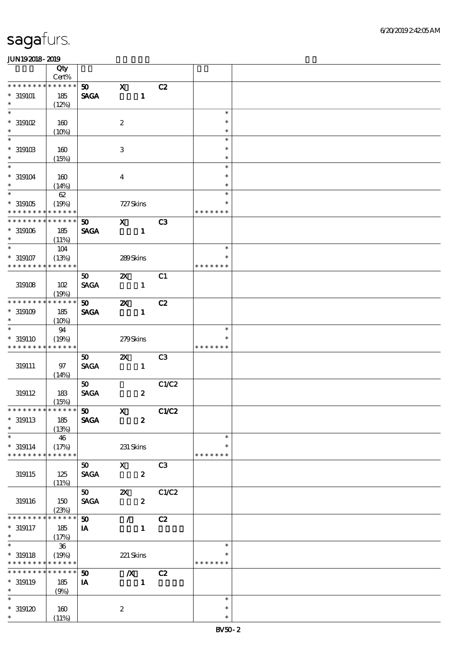|                               | Qty                  |                                |                           |                  |                |               |  |
|-------------------------------|----------------------|--------------------------------|---------------------------|------------------|----------------|---------------|--|
|                               | Cert%                |                                |                           |                  |                |               |  |
| * * * *<br>* * *              | * * * * * *          | 50 <sub>o</sub>                | $\mathbf x$               |                  | C2             |               |  |
| $*319101$                     | 185                  | $\operatorname{\mathbf{SAGA}}$ |                           | $\mathbf{1}$     |                |               |  |
| $\ast$                        | (12%)                |                                |                           |                  |                |               |  |
| $\overline{\ast}$             |                      |                                |                           |                  |                | $\ast$        |  |
| $*$ 319102                    | 160                  |                                | $\boldsymbol{2}$          |                  |                | $\ast$        |  |
| $\ast$                        | (10%)                |                                |                           |                  |                | $\ast$        |  |
| $\ast$                        |                      |                                |                           |                  |                | $\ast$        |  |
| $^*$ 319103 $\,$              | 160                  |                                | $\,3\,$                   |                  |                | $\ast$        |  |
| $\ast$                        | (15%)                |                                |                           |                  |                | $\ast$        |  |
| $\ast$                        |                      |                                |                           |                  |                | $\ast$        |  |
| $* 319104$                    | 160                  |                                | $\overline{\mathbf{4}}$   |                  |                | $\ast$        |  |
| $\ast$                        | (14%)                |                                |                           |                  |                | $\ast$        |  |
| $\overline{\phantom{1}}$      | 62                   |                                |                           |                  |                | $\ast$        |  |
| $*319105$                     | (19%)                |                                | 727 Skins                 |                  |                | $\ast$        |  |
| * * * * * * * *               | * * * * * *          |                                |                           |                  |                | * * * * * * * |  |
| * * * * * * * *               | * * * * * *          | 50                             | $\mathbf{X}$              |                  | C3             |               |  |
| $*319106$                     | 185                  | <b>SAGA</b>                    |                           | $\mathbf{1}$     |                |               |  |
| $\ast$                        | (11%)                |                                |                           |                  |                |               |  |
| $\overline{\ast}$             | 104                  |                                |                           |                  |                | $\ast$        |  |
| $* 319107$                    | (13%)                |                                | 289Skins                  |                  |                | $\ast$        |  |
| * * * * * * *                 | * * * * * *          |                                |                           |                  |                | * * * * * * * |  |
|                               |                      | 50                             | $\boldsymbol{\mathsf{X}}$ |                  | C1             |               |  |
| 319108                        | 102                  | <b>SAGA</b>                    |                           | $\mathbf{1}$     |                |               |  |
| * * * * * * *                 | (19%)<br>* * * * * * |                                |                           |                  |                |               |  |
|                               |                      | 50 <sub>o</sub>                | $\boldsymbol{\mathsf{X}}$ |                  | C2             |               |  |
| $^*$ 319109 $\,$<br>$\ast$    | 185                  | <b>SAGA</b>                    |                           | $\mathbf{1}$     |                |               |  |
| $\ast$                        | (10%)                |                                |                           |                  |                | $\ast$        |  |
|                               | 94                   |                                |                           |                  |                | $\ast$        |  |
| $* 319110$                    | (19%)                |                                | 279Skins                  |                  |                |               |  |
| * * * * * * * *               | * * * * * *          |                                |                           |                  |                | * * * * * * * |  |
|                               |                      | $50^{\circ}$                   | $\boldsymbol{\mathsf{X}}$ |                  | C <sub>3</sub> |               |  |
| 319111                        | 97                   | <b>SAGA</b>                    |                           | $\mathbf{1}$     |                |               |  |
|                               | (14%)                |                                |                           |                  |                |               |  |
|                               |                      | 50 <sub>o</sub><br><b>SAGA</b> |                           |                  | C1/C2          |               |  |
| 319112                        | 183                  |                                |                           | $\boldsymbol{z}$ |                |               |  |
| * * * * * * * * * * * * * * * | (15%)                | $\boldsymbol{\mathfrak{D}}$    | $\mathbf{X}$              |                  | C1/C2          |               |  |
| $*$ 319113                    | 185                  | <b>SAGA</b>                    |                           | $\boldsymbol{z}$ |                |               |  |
| $\ast$                        | (13%)                |                                |                           |                  |                |               |  |
| $\ast$                        | 46                   |                                |                           |                  |                | $\ast$        |  |
| $* 319114$                    | (17%)                |                                | 231 Skins                 |                  |                | $\ast$        |  |
| * * * * * * * *               | * * * * * *          |                                |                           |                  |                | * * * * * * * |  |
|                               |                      | 50                             | $\mathbf x$               |                  | C <sub>3</sub> |               |  |
| 319115                        | 125                  | <b>SAGA</b>                    |                           | $\boldsymbol{z}$ |                |               |  |
|                               | (11%)                |                                |                           |                  |                |               |  |
|                               |                      | 50                             | $\boldsymbol{\mathsf{z}}$ |                  | C1/C2          |               |  |
| 319116                        | 150                  | <b>SAGA</b>                    |                           | $\boldsymbol{z}$ |                |               |  |
|                               | (23%)                |                                |                           |                  |                |               |  |
| * * * * * * *                 | * * * * * *          | 50                             | $\mathcal{L}$             |                  | C2             |               |  |
| $* 319117$                    | 185                  | IA                             |                           | $\mathbf{1}$     |                |               |  |
| $\ast$                        | (17%)                |                                |                           |                  |                |               |  |
| $\ast$                        | 36                   |                                |                           |                  |                | $\ast$        |  |
| $* 319118$                    | (19%)                |                                | 221 Skins                 |                  |                |               |  |
| * * * * * * * *               | ******               |                                |                           |                  |                | * * * * * * * |  |
| * * * * * * *                 | * * * * * *          | $\boldsymbol{\mathfrak{D}}$    | $\boldsymbol{X}$          |                  | C2             |               |  |
| $* 319119$                    | 185                  | IA                             |                           | $\mathbf 1$      |                |               |  |
| $\ast$                        | (9%)                 |                                |                           |                  |                |               |  |
| $\ast$                        |                      |                                |                           |                  |                | $\ast$        |  |
| $^*$ 319120                   | 160                  |                                | $\boldsymbol{2}$          |                  |                | $\ast$        |  |
| $\ast$                        | (11%)                |                                |                           |                  |                | $\ast$        |  |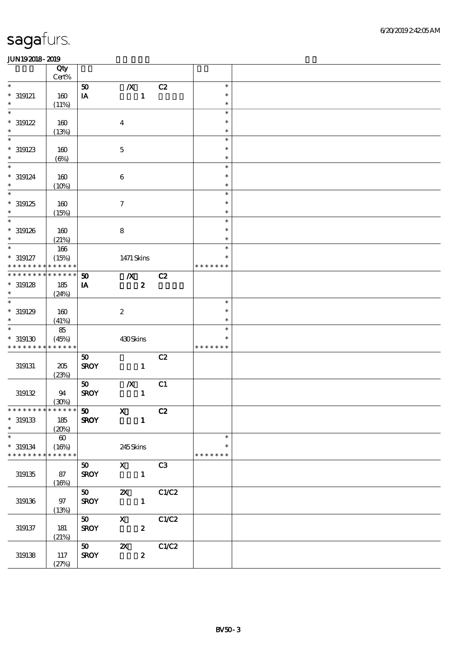|                                            | Qty<br>Cert%          |                             |                           |                  |       |               |  |
|--------------------------------------------|-----------------------|-----------------------------|---------------------------|------------------|-------|---------------|--|
| $\ast$                                     |                       |                             |                           |                  |       | $\ast$        |  |
|                                            |                       | ${\bf 50}$                  | $\boldsymbol{X}$          |                  | C2    |               |  |
| $*$ 319121                                 | 160                   | IA                          |                           | $\mathbf{1}$     |       | $\ast$        |  |
| $\ast$                                     | (11%)                 |                             |                           |                  |       | $\ast$        |  |
| $\ast$                                     |                       |                             |                           |                  |       | $\ast$        |  |
| $*319122$                                  | 160                   |                             | $\boldsymbol{4}$          |                  |       | $\ast$        |  |
| $\ast$                                     |                       |                             |                           |                  |       | $\ast$        |  |
|                                            | (13%)                 |                             |                           |                  |       |               |  |
| $\ast$                                     |                       |                             |                           |                  |       | $\ast$        |  |
| $*$ 319123                                 | 160                   |                             | $\mathbf 5$               |                  |       | $\ast$        |  |
| $\ast$                                     | $(\Theta)$            |                             |                           |                  |       | $\ast$        |  |
| $\overline{\ast}$                          |                       |                             |                           |                  |       | $\ast$        |  |
|                                            |                       |                             |                           |                  |       |               |  |
| $*$ 319124                                 | 160                   |                             | $\,6\,$                   |                  |       | $\ast$        |  |
| $\ast$                                     | (10%)                 |                             |                           |                  |       | $\ast$        |  |
| $\ast$                                     |                       |                             |                           |                  |       | $\ast$        |  |
| $*319125$                                  | 160                   |                             | $\boldsymbol{7}$          |                  |       | $\ast$        |  |
| $\ast$                                     | (15%)                 |                             |                           |                  |       | $\ast$        |  |
| $\ast$                                     |                       |                             |                           |                  |       | $\ast$        |  |
|                                            |                       |                             |                           |                  |       |               |  |
| $*$ 319126                                 | 160                   |                             | $\bf 8$                   |                  |       | $\ast$        |  |
| $\ast$                                     | (21%)                 |                             |                           |                  |       | $\ast$        |  |
| $\overline{\ast}$                          | 166                   |                             |                           |                  |       | $\ast$        |  |
| $* 319127$                                 | (15%)                 |                             | 1471 Skins                |                  |       | *             |  |
| * * * * * * * *                            | * * * * * *           |                             |                           |                  |       | * * * * * * * |  |
|                                            |                       |                             |                           |                  |       |               |  |
| * * * * * * *                              | * * * * * *           | 50                          | $\boldsymbol{X}$          |                  | C2    |               |  |
| $*319128$                                  | 185                   | IA                          |                           | $\boldsymbol{z}$ |       |               |  |
| $\ast$                                     | (24%)                 |                             |                           |                  |       |               |  |
| $\overline{\ast}$                          |                       |                             |                           |                  |       | $\ast$        |  |
|                                            |                       |                             |                           |                  |       | $\ast$        |  |
| $*319129$                                  | 160                   |                             | $\boldsymbol{2}$          |                  |       |               |  |
| $\ast$                                     | (41%)                 |                             |                           |                  |       | $\ast$        |  |
| $\overline{\ast}$                          | 85                    |                             |                           |                  |       | $\ast$        |  |
| $^\ast$ 319130                             | (45%)                 |                             | 430Skins                  |                  |       | $\ast$        |  |
| * * * * * * * *                            | * * * * * *           |                             |                           |                  |       | * * * * * * * |  |
|                                            |                       | 50                          |                           |                  | C2    |               |  |
|                                            |                       |                             |                           |                  |       |               |  |
| 319131                                     | $205\,$               | <b>SROY</b>                 |                           | $\mathbf{1}$     |       |               |  |
|                                            | (23%)                 |                             |                           |                  |       |               |  |
|                                            |                       | 50                          | $\boldsymbol{X}$          |                  | C1    |               |  |
| 319132                                     | 94                    | <b>SROY</b>                 |                           | $\mathbf{1}$     |       |               |  |
|                                            | (30%)                 |                             |                           |                  |       |               |  |
|                                            |                       |                             |                           |                  |       |               |  |
| * * * * * * * * <mark>* * * * * *</mark> * |                       | $\boldsymbol{\mathfrak{D}}$ | $\mathbf{x}$              |                  | C2    |               |  |
| $^\ast$ 319133                             | 185                   | <b>SROY</b>                 |                           | $\mathbf{1}$     |       |               |  |
| $\ast$                                     | (20%)                 |                             |                           |                  |       |               |  |
| $\ast$                                     | $\boldsymbol{\omega}$ |                             |                           |                  |       | $\ast$        |  |
| $^*$ 319134 $\,$                           | (16%)                 |                             | 245Skins                  |                  |       | $\ast$        |  |
| * * * * * * * * * * * * * *                |                       |                             |                           |                  |       | * * * * * * * |  |
|                                            |                       |                             |                           |                  |       |               |  |
|                                            |                       | 50                          | $\mathbf X$               |                  | C3    |               |  |
| 319135                                     | 87                    | <b>SROY</b>                 |                           | $\mathbf{1}$     |       |               |  |
|                                            | (16%)                 |                             |                           |                  |       |               |  |
|                                            |                       | 50                          | $\boldsymbol{\mathsf{z}}$ |                  | C1/C2 |               |  |
| 319136                                     | $97\,$                | <b>SROY</b>                 |                           | $\mathbf{1}$     |       |               |  |
|                                            |                       |                             |                           |                  |       |               |  |
|                                            | (13%)                 |                             |                           |                  |       |               |  |
|                                            |                       | 50                          | $\mathbf X$               |                  | C1/C2 |               |  |
| 319137                                     | 181                   | <b>SROY</b>                 |                           | $\boldsymbol{z}$ |       |               |  |
|                                            | (21%)                 |                             |                           |                  |       |               |  |
|                                            |                       | 50                          | $\boldsymbol{\mathsf{z}}$ |                  | C1/C2 |               |  |
|                                            |                       |                             |                           |                  |       |               |  |
| $319138\,$                                 | 117                   | <b>SROY</b>                 |                           | $\boldsymbol{z}$ |       |               |  |
|                                            | (27%)                 |                             |                           |                  |       |               |  |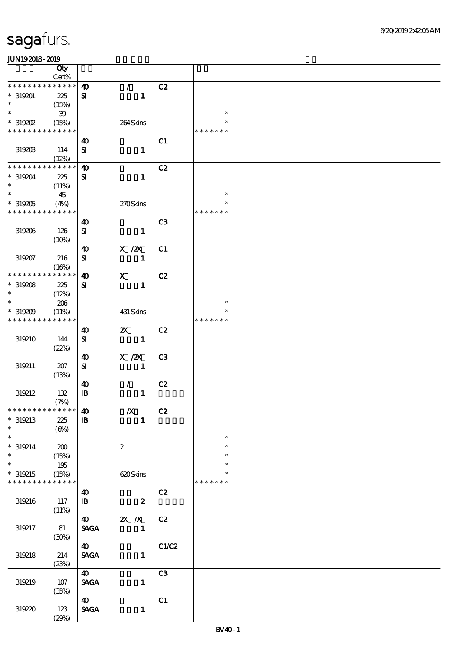|                                          | Qty                  |                              |                                   |                |                         |  |
|------------------------------------------|----------------------|------------------------------|-----------------------------------|----------------|-------------------------|--|
|                                          | $Cert\%$             |                              |                                   |                |                         |  |
| * * * * * * *                            | ******               | $\boldsymbol{\omega}$        | $\mathbb{Z}^+$                    | C2             |                         |  |
| $* 319201$<br>$\ast$                     | 225<br>(15%)         | ${\bf s}$                    | $\mathbf{1}$                      |                |                         |  |
| $\overline{\ast}$                        | 39                   |                              |                                   |                | $\ast$                  |  |
| $*$ 319202<br>* * * * * * * *            | (15%)<br>* * * * * * |                              | 264Skins                          |                | *<br>* * * * * * *      |  |
|                                          |                      | $\boldsymbol{\omega}$        |                                   | C1             |                         |  |
| 319203                                   | 114<br>(12%)         | ${\bf S}$                    | $\mathbf{1}$                      |                |                         |  |
| *******                                  | * * * * * *          | $\boldsymbol{\omega}$        |                                   | C2             |                         |  |
| $*319204$<br>$\ast$                      | 225<br>(11%)         | ${\bf z}$                    | $\mathbf{1}$                      |                |                         |  |
| $\overline{\ast}$                        | 45                   |                              |                                   |                | $\ast$                  |  |
| $*319205$<br>* * * * * * * * * * * * * * | (4%)                 |                              | 270Skins                          |                | *<br>* * * * * * *      |  |
|                                          |                      | $\boldsymbol{\omega}$        |                                   | C <sub>3</sub> |                         |  |
| 319206                                   | 126<br>(10%)         | ${\bf s}$                    | $\mathbf{1}$                      |                |                         |  |
|                                          |                      | $\boldsymbol{\omega}$        | X / ZX                            | C1             |                         |  |
| 319207                                   | 216<br>(16%)         | $\bf S\!I$                   | $\mathbf{1}$                      |                |                         |  |
| * * * * * * * *                          | * * * * * *          | $\boldsymbol{\omega}$        | $\mathbf{x}$                      | C2             |                         |  |
| $^*$ 319208 $\,$<br>$\ast$               | 225<br>(12%)         | ${\bf s}$                    | $\mathbf{1}$                      |                |                         |  |
| $\ast$                                   | 206                  |                              |                                   |                | $\ast$                  |  |
| $*319209$<br>* * * * * * * *             | (11%)<br>* * * * * * |                              | 431 Skins                         |                | $\ast$<br>* * * * * * * |  |
|                                          |                      | 40                           | $\mathbf{x}$                      | C2             |                         |  |
| 319210                                   | 144<br>(22%)         | ${\bf s}$                    | $\mathbf{1}$                      |                |                         |  |
|                                          |                      | $\boldsymbol{\omega}$        | X / ZX                            | C <sub>3</sub> |                         |  |
| 319211                                   | 207<br>(13%)         | ${\bf s}$                    | $\mathbf{1}$                      |                |                         |  |
|                                          |                      | $\boldsymbol{\omega}$        | $\mathcal{L}$                     | C2             |                         |  |
| 319212                                   | 132                  | $\mathbf{I}$                 | $\mathbf{1}$                      |                |                         |  |
| * * * * * * * * * * * * * * *            | (7%)                 | $\boldsymbol{\omega}$        | $\boldsymbol{X}$                  | C2             |                         |  |
| $*319213$                                | 225                  | ${\bf I\!B}$                 | $\mathbf{1}$                      |                |                         |  |
| $\ast$                                   | $(\Theta)$           |                              |                                   |                |                         |  |
| $\overline{\ast}$                        |                      |                              |                                   |                | $\ast$<br>$\ast$        |  |
| $* 319214$<br>$\ast$                     | 200<br>(15%)         |                              | $\boldsymbol{2}$                  |                | $\ast$                  |  |
| $\ast$                                   | 195                  |                              |                                   |                | $\ast$                  |  |
| $*319215$<br>* * * * * * * *             | (15%)<br>* * * * * * |                              | 620Skins                          |                | * * * * * * *           |  |
|                                          |                      | $\boldsymbol{\omega}$        |                                   | C2             |                         |  |
| 319216                                   | 117<br>(11%)         | $\mathbf{B}$                 | $\overline{\mathbf{2}}$           |                |                         |  |
|                                          |                      |                              | 40 $\mathbb{Z} \times \mathbb{Z}$ | C2             |                         |  |
| 319217                                   | 81<br>(30%)          | <b>SAGA</b>                  | $\mathbf{1}$                      |                |                         |  |
|                                          |                      | <b>40</b>                    |                                   | C1/C2          |                         |  |
| 319218                                   | 214<br>(23%)         | $\ensuremath{\mathsf{SAGA}}$ | $\mathbf{1}$                      |                |                         |  |
|                                          |                      | 40                           |                                   | C3             |                         |  |
| 319219                                   | 107<br>(35%)         | $\pmb{\text{SAGA}}$          | $\mathbf{1}$                      |                |                         |  |
|                                          |                      | $\boldsymbol{\omega}$        |                                   | C1             |                         |  |
| 319220                                   | 123<br>(29%)         | $\pmb{\text{SAGA}}$          | $\mathbf{1}$                      |                |                         |  |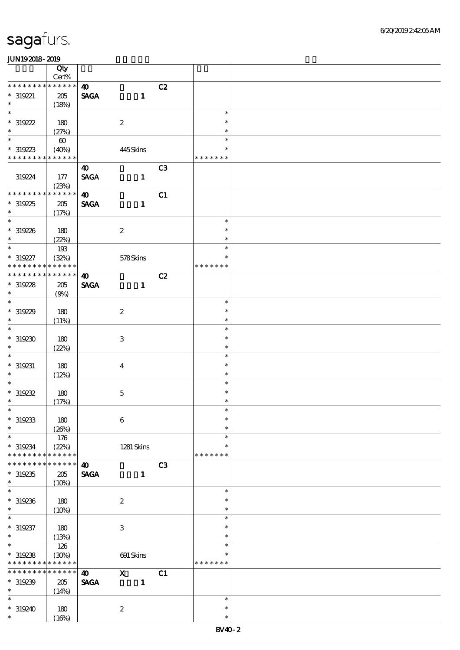|                          | Qty                            |                       |                           |                |                  |  |
|--------------------------|--------------------------------|-----------------------|---------------------------|----------------|------------------|--|
| * * * * * * *            | $\mbox{Cert}\%$<br>* * * * * * |                       |                           |                |                  |  |
|                          |                                | $\boldsymbol{\omega}$ |                           | C2             |                  |  |
| $* 319221$               | 205                            | <b>SAGA</b>           | $\mathbf{1}$              |                |                  |  |
| $\ast$<br>$\ast$         | (18%)                          |                       |                           |                |                  |  |
|                          |                                |                       |                           |                | $\ast$           |  |
| $*319222$                | 180                            |                       | $\boldsymbol{2}$          |                | $\ast$           |  |
| $\ast$                   | (27%)                          |                       |                           |                | $\ast$           |  |
| $\overline{\ast}$        | $\boldsymbol{\omega}$          |                       |                           |                | $\ast$           |  |
| $*319223$                | (40%)                          |                       | 445Skins                  |                | $\ast$           |  |
| * * * * * * * *          | * * * * * *                    |                       |                           |                | * * * * * * *    |  |
|                          |                                | $\boldsymbol{\omega}$ |                           | C <sub>3</sub> |                  |  |
| 319224                   | 177                            | <b>SAGA</b>           | $\mathbf{1}$              |                |                  |  |
|                          | (23%)                          |                       |                           |                |                  |  |
| * * * * * * *            | * * * * * *                    | $\boldsymbol{\omega}$ |                           | C1             |                  |  |
| $*319225$                | $205\,$                        | <b>SAGA</b>           | $\mathbf{1}$              |                |                  |  |
| $\ast$                   | (17%)                          |                       |                           |                |                  |  |
| $\overline{\phantom{0}}$ |                                |                       |                           |                | $\ast$           |  |
| $*319226$                | 180                            |                       | $\boldsymbol{2}$          |                | $\ast$           |  |
| $\ast$                   |                                |                       |                           |                | $\ast$           |  |
| $\overline{\phantom{0}}$ | (22%)                          |                       |                           |                | $\ast$           |  |
|                          | 193                            |                       |                           |                | $\ast$           |  |
| $* 319227$               | (32%)                          |                       | $578S\!$                  |                |                  |  |
| * * * * * * * *          | * * * * * *                    |                       |                           |                | * * * * * * *    |  |
| * * * * * * *            | * * * * * *                    | $\boldsymbol{\omega}$ |                           | C2             |                  |  |
| $*319228$                | 205                            | <b>SAGA</b>           | $\mathbf{1}$              |                |                  |  |
| $\ast$                   | (9%)                           |                       |                           |                |                  |  |
| $\overline{\ast}$        |                                |                       |                           |                | $\ast$           |  |
| $*319229$                | 180                            |                       | $\boldsymbol{2}$          |                | $\ast$           |  |
| $\ast$                   | (11%)                          |                       |                           |                | $\ast$           |  |
| $\overline{\phantom{0}}$ |                                |                       |                           |                | $\ast$           |  |
| $*319230$                | 180                            |                       | $\ensuremath{\mathsf{3}}$ |                | $\ast$           |  |
| $\ast$                   | (22%)                          |                       |                           |                | $\ast$           |  |
| $\ast$                   |                                |                       |                           |                | $\ast$           |  |
| $* 319231$               | 180                            |                       | $\boldsymbol{4}$          |                | $\ast$           |  |
| $\ast$                   |                                |                       |                           |                | $\ast$           |  |
| $\ast$                   | (12%)                          |                       |                           |                | $\ast$           |  |
|                          |                                |                       |                           |                | $\ast$           |  |
| $*319232$<br>$\ast$      | 180                            |                       | $\mathbf 5$               |                |                  |  |
|                          | (17%)                          |                       |                           |                | $\ast$<br>$\ast$ |  |
| $*$                      |                                |                       |                           |                |                  |  |
| $*319233$                | 180                            |                       | $\bf 6$                   |                | $\ast$           |  |
| $\ast$                   | (20%)                          |                       |                           |                | $\ast$           |  |
| $\ast$                   | 176                            |                       |                           |                | $\ast$           |  |
| * 319234                 | (22%)                          |                       | 1281 Skins                |                | $\ast$           |  |
| * * * * * * *            | * * * * * *                    |                       |                           |                | * * * * * * *    |  |
| * * * * * * *            | * * * * * *                    | $\boldsymbol{\omega}$ |                           | C3             |                  |  |
| $*319235$                | 205                            | <b>SAGA</b>           | $\mathbf{1}$              |                |                  |  |
| $\ast$                   | (10%)                          |                       |                           |                |                  |  |
| $\overline{\phantom{0}}$ |                                |                       |                           |                | $\ast$           |  |
| $*319236$                | 180                            |                       | $\boldsymbol{2}$          |                | $\ast$           |  |
| $\ast$                   | (10%)                          |                       |                           |                | $\ast$           |  |
| $\ast$                   |                                |                       |                           |                | $\ast$           |  |
| $* 319237$               | 180                            |                       | 3                         |                | $\ast$           |  |
| $\ast$                   | (13%)                          |                       |                           |                | $\ast$           |  |
| $\ast$                   | 126                            |                       |                           |                | $\ast$           |  |
| $*319238$                |                                |                       |                           |                | $\ast$           |  |
| * * * * * * * *          | (30%)<br>* * * * * *           |                       | 691 Skins                 |                | * * * * * * *    |  |
| * * * * * * *            | * * * * * *                    |                       |                           |                |                  |  |
|                          |                                | $\boldsymbol{\omega}$ | $\mathbf{X}$              | C1             |                  |  |
| $*319239$                | 205                            | <b>SAGA</b>           | $\mathbf{1}$              |                |                  |  |
| $\ast$                   | (14%)                          |                       |                           |                |                  |  |
| $\ast$                   |                                |                       |                           |                | $\ast$           |  |
| $*319240$                | 180                            |                       | $\boldsymbol{2}$          |                | $\ast$           |  |
| $\ast$                   | (16%)                          |                       |                           |                | $\ast$           |  |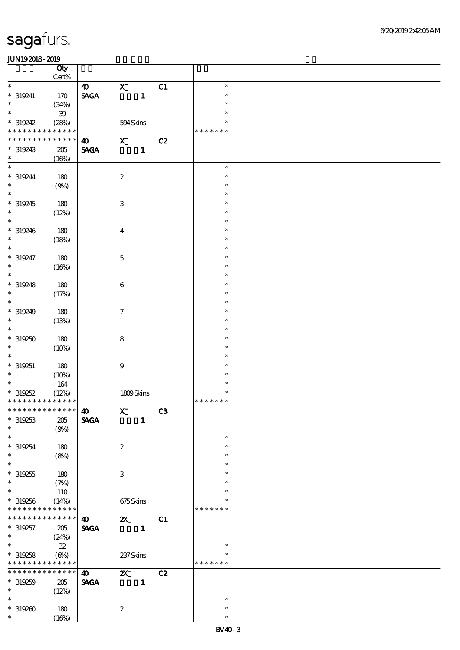|                               | Qty                 |                              |                     |              |    |                  |  |
|-------------------------------|---------------------|------------------------------|---------------------|--------------|----|------------------|--|
| $\overline{\phantom{0}}$      | Cert%               |                              |                     |              |    |                  |  |
|                               |                     | $\boldsymbol{40}$            | $\mathbf{x}$        |              | C1 | $\ast$<br>$\ast$ |  |
| $* 319241$<br>$\ast$          | 170<br>(34%)        | $\ensuremath{\mathsf{SAGA}}$ |                     | $\mathbf{1}$ |    | $\ast$           |  |
| $\overline{\phantom{0}}$      | ${\bf 39}$          |                              |                     |              |    | $\ast$           |  |
| $*319242$                     | (28%)               |                              | 594Skins            |              |    | $\ast$           |  |
| * * * * * * * *               | * * * * * *         |                              |                     |              |    | * * * * * * *    |  |
| * * * * * * *                 | * * * * * *         | $\boldsymbol{\omega}$        | $\mathbf{x}$        |              | C2 |                  |  |
| * 319243                      | $205\,$             | <b>SAGA</b>                  |                     | $\mathbf{1}$ |    |                  |  |
| $\ast$                        | (16%)               |                              |                     |              |    |                  |  |
| $\overline{\phantom{0}}$      |                     |                              |                     |              |    | $\ast$           |  |
| $*319244$<br>$\ast$           | 180                 |                              | $\boldsymbol{2}$    |              |    | $\ast$           |  |
| $\overline{\phantom{0}}$      | (9%)                |                              |                     |              |    | $\ast$<br>$\ast$ |  |
| * 319245                      | 180                 |                              | $\,3$               |              |    | $\ast$           |  |
| $\ast$                        | (12%)               |                              |                     |              |    | $\ast$           |  |
| $\ast$                        |                     |                              |                     |              |    | $\ast$           |  |
| $*319246$                     | 180                 |                              | $\boldsymbol{4}$    |              |    | $\ast$           |  |
| $\ast$                        | (18%)               |                              |                     |              |    | $\ast$           |  |
| $\overline{\ast}$             |                     |                              |                     |              |    | $\ast$           |  |
| $* 319247$                    | 180                 |                              | $\mathbf 5$         |              |    | $\ast$           |  |
| $\ast$                        | (16%)               |                              |                     |              |    | $\ast$           |  |
| $\ast$                        |                     |                              |                     |              |    | $\ast$           |  |
| $*319248$                     | 180                 |                              | $\,6\,$             |              |    | $\ast$           |  |
| $\ast$<br>$\ast$              | (17%)               |                              |                     |              |    | $\ast$<br>$\ast$ |  |
| * 319249                      | 180                 |                              | $\boldsymbol{\tau}$ |              |    | $\ast$           |  |
| $\ast$                        | (13%)               |                              |                     |              |    | $\ast$           |  |
| $\ast$                        |                     |                              |                     |              |    | $\ast$           |  |
| $*319250$                     | 180                 |                              | $\bf8$              |              |    | $\ast$           |  |
| $\ast$                        | (10%)               |                              |                     |              |    | $\ast$           |  |
| $\ast$                        |                     |                              |                     |              |    | $\ast$           |  |
| $* 319251$                    | 180                 |                              | $\boldsymbol{9}$    |              |    | $\ast$           |  |
| $\ast$                        | (10%)               |                              |                     |              |    | $\ast$           |  |
| $\ast$                        | 164                 |                              |                     |              |    | $\ast$           |  |
| $*319252$                     | (12%)               |                              | 1809Skins           |              |    | $\ast$           |  |
| * * * * * * * * * * * * * *   |                     |                              |                     |              |    | * * * * * * *    |  |
| * * * * * * * * * * * * * * * |                     | $\boldsymbol{\omega}$        |                     | $X$ C3       |    |                  |  |
| $*319253$<br>$\ast$           | $205\,$             | <b>SAGA</b>                  |                     | $\mathbf{1}$ |    |                  |  |
| $\overline{\ast}$             | (9%)                |                              |                     |              |    | $\ast$           |  |
| $*319254$                     | 180                 |                              | $\boldsymbol{2}$    |              |    | $\ast$           |  |
| $\ast$                        | (8%)                |                              |                     |              |    | $\ast$           |  |
| $\overline{\ast}$             |                     |                              |                     |              |    | $\ast$           |  |
| $*319255$                     | 180                 |                              | $\,3$               |              |    | $\ast$           |  |
| $\ast$                        | (7%)                |                              |                     |              |    | $\ast$           |  |
| $\ast$                        | 110                 |                              |                     |              |    | $\ast$           |  |
| $* 319256$                    | (14%)               |                              | 675Skins            |              |    | $\ast$           |  |
| * * * * * * * *               | * * * * * *         |                              |                     |              |    | * * * * * * *    |  |
| * * * * * * *                 | * * * * * *         | $\boldsymbol{\omega}$        | $\mathbf{x}$        |              | C1 |                  |  |
| $* 319257$<br>$\ast$          | 205                 | <b>SAGA</b>                  |                     | $\mathbf{1}$ |    |                  |  |
| $\overline{\ast}$             | (24%)<br>${\bf 32}$ |                              |                     |              |    | $\ast$           |  |
| $*319258$                     | $(\Theta\%)$        |                              | 237 Skins           |              |    | $\ast$           |  |
| * * * * * * * *               | * * * * * *         |                              |                     |              |    | * * * * * * *    |  |
| * * * * * * * *               | * * * * * *         | $\boldsymbol{\omega}$        | $\mathbf{x}$        |              | C2 |                  |  |
| $*319259$                     | 205                 | $\pmb{\text{SAGA}}$          |                     | $\mathbf{1}$ |    |                  |  |
| $\ast$                        | (12%)               |                              |                     |              |    |                  |  |
| $\ast$                        |                     |                              |                     |              |    | $\ast$           |  |
| $*319200$                     | 180                 |                              | $\boldsymbol{2}$    |              |    | $\ast$           |  |
| $\ast$                        | (16%)               |                              |                     |              |    | $\ast$           |  |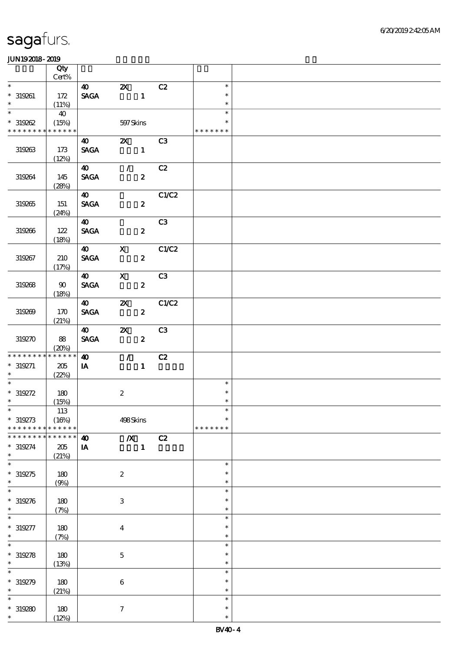|                            |                 | Qty                         |                          |                                                   |                  |               |                  |  |
|----------------------------|-----------------|-----------------------------|--------------------------|---------------------------------------------------|------------------|---------------|------------------|--|
| $\overline{\phantom{a}^*}$ |                 | Cert%                       |                          |                                                   |                  |               |                  |  |
|                            |                 |                             | $\boldsymbol{40}$        | $Z\!X$                                            |                  | C2            | $\ast$           |  |
| $\ast$                     | $* 319261$      | 172                         | <b>SAGA</b>              | $\overline{\phantom{a}}$ $\overline{\phantom{a}}$ |                  |               | $\ast$<br>$\ast$ |  |
| $\overline{\phantom{0}}$   |                 | (11%)<br>40                 |                          |                                                   |                  |               | $\ast$           |  |
|                            | $*319262$       | (15%)                       |                          | 597Skins                                          |                  |               | $\ast$           |  |
|                            |                 | * * * * * * * * * * * * * * |                          |                                                   |                  |               | * * * * * * *    |  |
|                            |                 |                             | <b>40</b>                | $\mathbf{X}$                                      |                  | C3            |                  |  |
|                            | 319263          | 173                         | <b>SAGA</b>              | $\blacksquare$                                    |                  |               |                  |  |
|                            |                 | (12%)                       |                          |                                                   |                  |               |                  |  |
|                            |                 |                             | $\boldsymbol{40}$        | $\mathcal{F}$ and $\mathcal{F}$                   |                  | C2            |                  |  |
|                            | 319264          | 145                         | <b>SAGA</b>              |                                                   | $\boldsymbol{z}$ |               |                  |  |
|                            |                 | (28%)                       |                          |                                                   |                  |               |                  |  |
|                            |                 |                             | $\boldsymbol{40}$        |                                                   |                  | C1/C2         |                  |  |
|                            | 319265          | 151                         | <b>SAGA</b>              |                                                   | $\boldsymbol{2}$ |               |                  |  |
|                            |                 | (24%)                       | $\boldsymbol{\omega}$    |                                                   |                  | C3            |                  |  |
|                            | 319266          | 122                         | <b>SAGA</b>              |                                                   | $\boldsymbol{z}$ |               |                  |  |
|                            |                 | (18%)                       |                          |                                                   |                  |               |                  |  |
|                            |                 |                             | 40                       | $\mathbf{X}$                                      |                  | C1/C2         |                  |  |
|                            | 319267          | 210                         | <b>SAGA</b>              |                                                   | $\boldsymbol{z}$ |               |                  |  |
|                            |                 | (17%)                       |                          |                                                   |                  |               |                  |  |
|                            |                 |                             | $\boldsymbol{40}$        | $\mathbf{x}$                                      |                  | C3            |                  |  |
|                            | 319268          | 90                          | <b>SAGA</b>              |                                                   | $\boldsymbol{z}$ |               |                  |  |
|                            |                 | (18%)                       |                          |                                                   |                  |               |                  |  |
|                            | 319269          | 170                         | $\bullet$<br><b>SAGA</b> | $\boldsymbol{\alpha}$                             | $\boldsymbol{z}$ | $-c_{1}c_{2}$ |                  |  |
|                            |                 | (21%)                       |                          |                                                   |                  |               |                  |  |
|                            |                 |                             | $\boldsymbol{40}$        | ZX                                                |                  | C3            |                  |  |
|                            | 319270          | 88                          | <b>SAGA</b>              |                                                   | $\boldsymbol{z}$ |               |                  |  |
|                            |                 | (20%)                       |                          |                                                   |                  |               |                  |  |
|                            | * * * * * * * * | * * * * * *                 | $\boldsymbol{\omega}$    | $\mathcal{T}$                                     |                  | C2            |                  |  |
|                            | $* 319271$      | 205                         | IA                       |                                                   | $\mathbf{1}$     |               |                  |  |
| $\ast$                     |                 | (22%)                       |                          |                                                   |                  |               |                  |  |
| $\ast$                     |                 |                             |                          |                                                   |                  |               | $\ast$           |  |
| $\ast$                     | $* 319272$      | 180                         |                          | $\boldsymbol{z}$                                  |                  |               | $\ast$<br>$\ast$ |  |
| $*$                        |                 | (15%)<br>113                |                          |                                                   |                  |               | $\ast$           |  |
|                            | $* 319273$      | (16%)                       |                          | 498Skins                                          |                  |               | $\ast$           |  |
|                            | * * * * * * * * | * * * * * *                 |                          |                                                   |                  |               | * * * * * * *    |  |
|                            | * * * * * * *   | * * * * * *                 | $\boldsymbol{\omega}$    | $\overline{\mathbf{X}}$                           |                  | C2            |                  |  |
|                            | $*319274$       | 205                         | IA                       |                                                   | $\mathbf{1}$     |               |                  |  |
| $\ast$                     |                 | (21%)                       |                          |                                                   |                  |               |                  |  |
| $\ast$                     |                 |                             |                          |                                                   |                  |               | $\ast$           |  |
|                            | $*319275$       | 180                         |                          | $\boldsymbol{2}$                                  |                  |               | $\ast$           |  |
| $\ast$<br>$\ast$           |                 | (9%)                        |                          |                                                   |                  |               | $\ast$<br>$\ast$ |  |
|                            | $* 319276$      | 180                         |                          | $\,3$                                             |                  |               | $\ast$           |  |
| $\ast$                     |                 | (7%)                        |                          |                                                   |                  |               | $\ast$           |  |
| $\ast$                     |                 |                             |                          |                                                   |                  |               | $\ast$           |  |
|                            | $* 319277$      | 180                         |                          | $\boldsymbol{4}$                                  |                  |               | $\ast$           |  |
| $\ast$                     |                 | (7%)                        |                          |                                                   |                  |               | $\ast$           |  |
|                            |                 |                             |                          |                                                   |                  |               | $\ast$           |  |
|                            | $*319278$       | 180                         |                          | $\mathbf 5$                                       |                  |               | $\ast$           |  |
| $\ast$                     |                 | (13%)                       |                          |                                                   |                  |               | $\ast$           |  |
| $\ast$                     |                 |                             |                          |                                                   |                  |               | $\ast$           |  |
| $\ast$                     | $*319279$       | 180                         |                          | $\,6\,$                                           |                  |               | $\ast$<br>$\ast$ |  |
| $\ast$                     |                 | (21%)                       |                          |                                                   |                  |               | $\ast$           |  |
|                            | $*319280$       | 180                         |                          | $\boldsymbol{7}$                                  |                  |               | $\ast$           |  |
| $\ast$                     |                 | (12%)                       |                          |                                                   |                  |               | $\ast$           |  |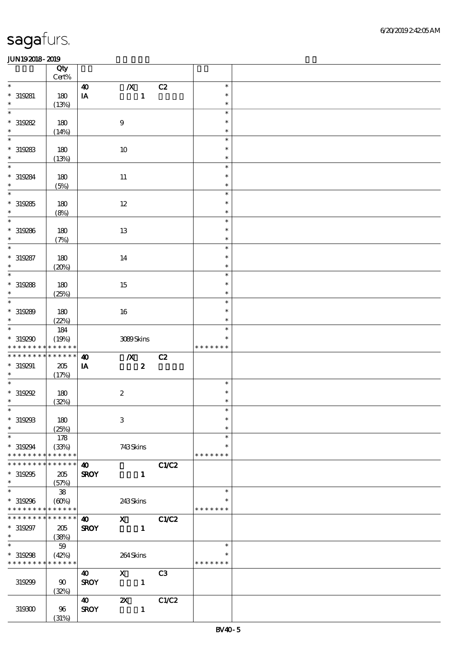|                                                         | Qty<br>$Cert\%$ |                       |                           |                |                  |  |
|---------------------------------------------------------|-----------------|-----------------------|---------------------------|----------------|------------------|--|
| $\ast$                                                  |                 | $\boldsymbol{\omega}$ | $\boldsymbol{X}$          | C2             | $\ast$           |  |
| $* 319281$                                              | 180             | IA                    | $\mathbf{1}$              |                | $\ast$           |  |
| $\ast$                                                  | (13%)           |                       |                           |                | $\ast$           |  |
| $\ast$                                                  |                 |                       |                           |                | $\ast$           |  |
| $*319282$                                               | 180             |                       | $\boldsymbol{9}$          |                | $\ast$           |  |
| $\ast$<br>$\ast$                                        | (14%)           |                       |                           |                | $\ast$<br>$\ast$ |  |
| $*319283$                                               | 180             |                       | $10\,$                    |                | $\ast$           |  |
| $\ast$                                                  | (13%)           |                       |                           |                | $\ast$           |  |
| $\ast$                                                  |                 |                       |                           |                | $\ast$           |  |
| $*319284$                                               | 180             |                       | $11\,$                    |                | $\ast$           |  |
| $\ast$                                                  | (5%)            |                       |                           |                | $\ast$           |  |
| $\overline{\ast}$                                       |                 |                       |                           |                | $\ast$           |  |
| $*319285$<br>$\ast$                                     | 180             |                       | $12\,$                    |                | $\ast$<br>$\ast$ |  |
| $\ast$                                                  | (8%)            |                       |                           |                | $\ast$           |  |
| $*319286$                                               | $180\,$         |                       | $13\,$                    |                | $\ast$           |  |
| $\ast$                                                  | (7%)            |                       |                           |                | $\ast$           |  |
| $\ast$                                                  |                 |                       |                           |                | $\ast$           |  |
| $*319287$                                               | $180$           |                       | 14                        |                | $\ast$           |  |
| $\ast$                                                  | (20%)           |                       |                           |                | $\ast$           |  |
| $\ast$                                                  |                 |                       |                           |                | $\ast$<br>$\ast$ |  |
| $*319288$<br>$\ast$                                     | 180<br>(25%)    |                       | 15                        |                | $\ast$           |  |
| $\ast$                                                  |                 |                       |                           |                | $\ast$           |  |
| $*319289$                                               | 180             |                       | 16                        |                | $\ast$           |  |
| $\ast$                                                  | (22%)           |                       |                           |                | $\ast$           |  |
| $\overline{\ast}$                                       | 184             |                       |                           |                | $\ast$           |  |
| * 319290                                                | (19%)           |                       | 3089Skins                 |                | $\ast$           |  |
|                                                         |                 |                       |                           |                | * * * * * * *    |  |
| * * * * * * * * * * * * * *                             |                 |                       |                           |                |                  |  |
| * * * * * * * *                                         | $******$        | $\boldsymbol{\omega}$ | $\boldsymbol{X}$          | C2             |                  |  |
| $* 319291$<br>$\ast$                                    | $205\,$         | IA                    | $\boldsymbol{2}$          |                |                  |  |
| $\ast$                                                  | (17%)           |                       |                           |                | $\ast$           |  |
| $*$ 319292                                              | 180             |                       | $\boldsymbol{2}$          |                | $\ast$           |  |
| $\ast$                                                  | (32%)           |                       |                           |                | $\ast$           |  |
| $*$                                                     |                 |                       |                           |                | $\ast$           |  |
| $*319293$<br>$\ast$                                     | 180             |                       | $\,3\,$                   |                | $\ast$<br>$\ast$ |  |
| $\ast$                                                  | (25%)           |                       |                           |                | $\ast$           |  |
| $*319294$                                               | 178<br>(33%)    |                       | 743Skins                  |                | ∗                |  |
| * * * * * * * *                                         | * * * * * *     |                       |                           |                | * * * * * * *    |  |
| * * * * * * * *                                         | * * * * * *     | $\boldsymbol{\omega}$ |                           | <b>C1/C2</b>   |                  |  |
| $*319295$                                               | 205             | <b>SROY</b>           | $\mathbf{1}$              |                |                  |  |
| $\ast$<br>$\overline{\ast}$                             | (57%)           |                       |                           |                | $\ast$           |  |
|                                                         | ${\bf 38}$      |                       |                           |                | ∗                |  |
| $*319296$<br>* * * * * * * * <mark>* * * * * *</mark> * | (60%)           |                       | 243Skins                  |                | * * * * * * *    |  |
| * * * * * * * * <mark>* * * * * * *</mark>              |                 | $\boldsymbol{\omega}$ | $\mathbf{x}$              | C1/C2          |                  |  |
| $* 319297$                                              | 205             | <b>SROY</b>           | $\mathbf{1}$              |                |                  |  |
| $\ast$                                                  | (38%)           |                       |                           |                |                  |  |
| $\ast$                                                  | $59\,$          |                       |                           |                | $\ast$<br>$\ast$ |  |
| $*319298$<br>* * * * * * * * * * * * * *                | (42%)           |                       | 264Skins                  |                | * * * * * * *    |  |
|                                                         |                 |                       | $\mathbf{X}$              |                |                  |  |
| 319299                                                  | 90              | 40<br><b>SROY</b>     | $\mathbf{1}$              | C <sub>3</sub> |                  |  |
|                                                         | (32%)           |                       |                           |                |                  |  |
|                                                         |                 | $\boldsymbol{\omega}$ | $\boldsymbol{\mathsf{z}}$ | C1/C2          |                  |  |
| 319300                                                  | 96<br>(31%)     | <b>SROY</b>           | $\mathbf{1}$              |                |                  |  |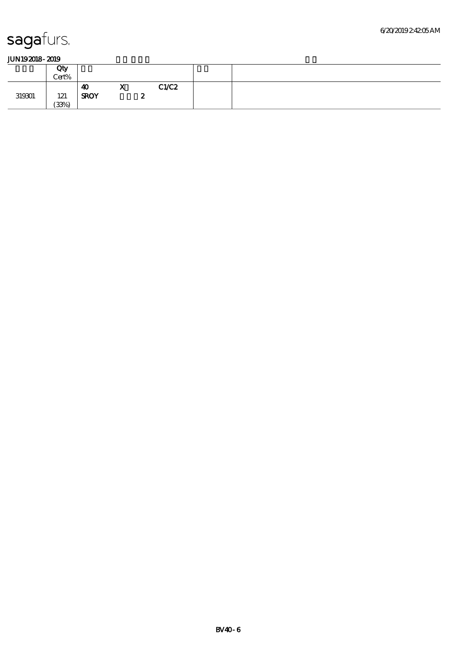|        | Qty<br>Cert% |                   |                      |           |  |
|--------|--------------|-------------------|----------------------|-----------|--|
| 319301 | 121<br>(33%) | 40<br><b>SROY</b> | 77.2<br>$\mathbf{r}$ | <br>C1/C2 |  |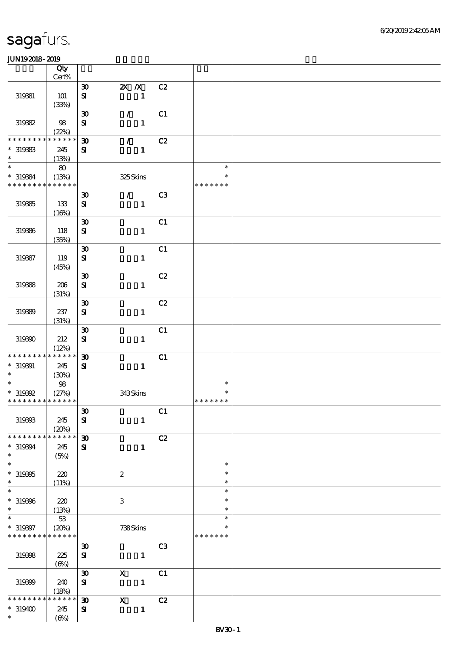|                               | Qty<br>Cert%         |                             |                           |                |                  |  |
|-------------------------------|----------------------|-----------------------------|---------------------------|----------------|------------------|--|
|                               |                      |                             | $X$ $N$                   | C2             |                  |  |
|                               |                      | $\boldsymbol{\mathfrak{D}}$ |                           |                |                  |  |
| 319381                        | <b>101</b>           | ${\bf s}$                   | $\mathbf{1}$              |                |                  |  |
|                               | (33%)                |                             |                           |                |                  |  |
|                               |                      | $\boldsymbol{\mathfrak{D}}$ | $\mathcal{L}$             | C1             |                  |  |
| 319332                        | 98                   | ${\bf S}$                   | $\mathbf{1}$              |                |                  |  |
| * * * * * * *                 | (22%)<br>* * * * * * | $\boldsymbol{\mathfrak{D}}$ | $\mathcal{T}_\mathrm{c}$  | C2             |                  |  |
| $*$ 319383                    | 245                  | ${\bf s}$                   | $\mathbf{1}$              |                |                  |  |
| $\ast$                        | (13%)                |                             |                           |                |                  |  |
| $\ast$                        | 80                   |                             |                           |                | $\ast$           |  |
| $*319384$                     | (13%)                |                             | 325Skins                  |                | $\ast$           |  |
| * * * * * * * *               | * * * * * *          |                             |                           |                | * * * * * * *    |  |
|                               |                      | $\boldsymbol{\mathfrak{D}}$ | $\sqrt{C3}$               |                |                  |  |
| 319385                        | 133                  | ${\bf s}$                   | $\mathbf{1}$              |                |                  |  |
|                               | (16%)                |                             |                           |                |                  |  |
|                               |                      | $\boldsymbol{\mathfrak{D}}$ |                           | C1             |                  |  |
| 319386                        | 118                  | ${\bf s}$                   | $\mathbf{1}$              |                |                  |  |
|                               | (35%)                |                             |                           |                |                  |  |
|                               |                      | $\boldsymbol{\mathfrak{D}}$ |                           | C1             |                  |  |
| 319387                        | 119                  | $\bf S$                     | $\mathbf{1}$              |                |                  |  |
|                               | (45%)                |                             |                           |                |                  |  |
|                               |                      | $\boldsymbol{\mathfrak{D}}$ |                           | C2             |                  |  |
| 319388                        | 206                  | ${\bf s}$                   | $\mathbf{1}$              |                |                  |  |
|                               | (31%)                |                             |                           |                |                  |  |
|                               |                      | $\boldsymbol{\mathfrak{D}}$ |                           | C2             |                  |  |
| 319339                        | 237                  | ${\bf s}$                   | $\mathbf{1}$              |                |                  |  |
|                               | (31%)                |                             |                           |                |                  |  |
|                               |                      | $\boldsymbol{\mathfrak{D}}$ |                           | C1             |                  |  |
| 319390                        | 212                  | ${\bf s}$                   | $\mathbf{1}$              |                |                  |  |
| * * * * * * * *               | (12%)<br>* * * * * * |                             |                           |                |                  |  |
|                               |                      | $\boldsymbol{\mathfrak{D}}$ |                           | C1             |                  |  |
| $* 319391$<br>$\ast$          | 245<br>(30%)         | ${\bf s}$                   | $\mathbf{1}$              |                |                  |  |
| $\ast$                        | 98                   |                             |                           |                | $\ast$           |  |
| $*$ 319392                    | (27%)                |                             | 343Skins                  |                |                  |  |
| * * * * * * * * * * * * * *   |                      |                             |                           |                | * * * * * * *    |  |
|                               |                      | $\pmb{\mathfrak{D}}$        |                           | C1             |                  |  |
| 319393                        | 245                  | ${\bf S}$                   | $\mathbf{1}$              |                |                  |  |
|                               | (20%)                |                             |                           |                |                  |  |
| * * * * * * * *               | * * * * * *          | $\boldsymbol{\mathfrak{D}}$ |                           | C2             |                  |  |
| $*319394$                     | 245                  | ${\bf s}$                   | $\mathbf{1}$              |                |                  |  |
| $\ast$                        | (5%)                 |                             |                           |                |                  |  |
| $\ast$                        |                      |                             |                           |                | $\ast$           |  |
| $*319395$                     | 220                  |                             | $\boldsymbol{2}$          |                | ∗                |  |
| $\ast$                        | (11%)                |                             |                           |                | $\ast$           |  |
| $\ast$                        |                      |                             |                           |                | $\ast$           |  |
| $* 319396$                    | 220                  |                             | $\ensuremath{\mathbf{3}}$ |                | *                |  |
| $\ast$<br>$\ast$              | (13%)                |                             |                           |                | $\ast$<br>$\ast$ |  |
|                               | $53\,$               |                             |                           |                |                  |  |
| $* 319397$<br>* * * * * * * * | (20%)<br>* * * * * * |                             | 738Skins                  |                | * * * * * * *    |  |
|                               |                      | $\boldsymbol{\mathfrak{D}}$ |                           | C <sub>3</sub> |                  |  |
| 319398                        | 225                  | $\bf S$                     | $\mathbf{1}$              |                |                  |  |
|                               | $(\Theta)$           |                             |                           |                |                  |  |
|                               |                      | $\boldsymbol{\mathfrak{D}}$ | $\boldsymbol{\mathrm{X}}$ | C1             |                  |  |
| 319399                        | 240                  | $\mathbf{S}$                | $\mathbf{1}$              |                |                  |  |
|                               | (18%)                |                             |                           |                |                  |  |
| * * * * * *                   | ******               | $\boldsymbol{\mathfrak{D}}$ | $\boldsymbol{\mathrm{X}}$ | C2             |                  |  |
| $*319400$                     | 245                  | ${\bf s}$                   | $\mathbf{1}$              |                |                  |  |
| $\ast$                        | $(\Theta_0)$         |                             |                           |                |                  |  |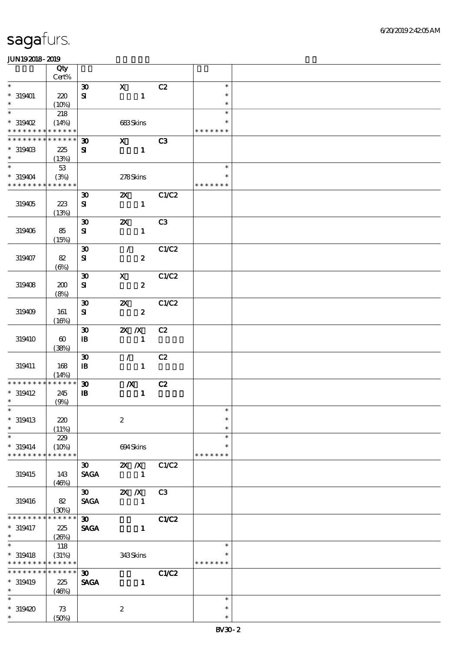|                                          | Qty                        |                                            |                                               |                |                  |  |
|------------------------------------------|----------------------------|--------------------------------------------|-----------------------------------------------|----------------|------------------|--|
| $\overline{\ast}$                        | Cert%                      |                                            |                                               |                |                  |  |
| $* 319401$                               | 220                        | $\boldsymbol{\mathfrak{D}}$<br>${\bf s}$   | $\mathbf X$<br>$\mathbf{1}$                   | C2             | $\ast$<br>$\ast$ |  |
| $\ast$                                   | (10%)                      |                                            |                                               |                | $\ast$           |  |
| $\ast$                                   | 218                        |                                            |                                               |                | $\ast$           |  |
| $*319402$                                | (14%)                      |                                            | 683Skins                                      |                | $\ast$           |  |
| * * * * * * * * <mark>* * * * * *</mark> |                            |                                            |                                               |                | * * * * * * *    |  |
| * * * * * * * *<br>$*319403$             | * * * * * *<br>225         | $\boldsymbol{\mathfrak{D}}$<br>${\bf s}$   | $\mathbf{x}$<br>$\mathbf{1}$                  | C3             |                  |  |
| $\ast$                                   | (13%)                      |                                            |                                               |                |                  |  |
| $\overline{\ast}$                        | 53                         |                                            |                                               |                | $\ast$           |  |
| $*319404$                                | (3%)                       |                                            | 278Skins                                      |                | $\ast$           |  |
| * * * * * * * * * * * * * *              |                            |                                            |                                               |                | * * * * * * *    |  |
|                                          |                            | $\boldsymbol{\mathfrak{D}}$                | $\boldsymbol{\mathsf{Z}}$                     | C1/C2          |                  |  |
| 319405                                   | 223<br>(13%)               | ${\bf s}$                                  | $\mathbf{1}$                                  |                |                  |  |
|                                          |                            | $\boldsymbol{\mathfrak{D}}$                | $\boldsymbol{\mathsf{X}}$                     | C3             |                  |  |
| 319406                                   | 85                         | ${\bf s}$                                  | $\mathbf{1}$                                  |                |                  |  |
|                                          | (15%)                      |                                            |                                               |                |                  |  |
| 319407                                   | 82                         | $\boldsymbol{\mathfrak{D}}$                | $\mathcal{L}$                                 | C1/C2          |                  |  |
|                                          | $(\Theta)$                 | ${\bf s}$                                  | $\boldsymbol{z}$                              |                |                  |  |
|                                          |                            | $\boldsymbol{\mathfrak{D}}$                | $\boldsymbol{\mathsf{X}}$                     | C1/C2          |                  |  |
| 319408                                   | 200                        | ${\bf s}$                                  | $\boldsymbol{z}$                              |                |                  |  |
|                                          | (8%)                       |                                            |                                               |                |                  |  |
| 319409                                   | 161                        | $\boldsymbol{\mathfrak{D}}$<br>${\bf s}$   | $\boldsymbol{\mathsf{Z}}$<br>$\boldsymbol{z}$ | C1/C2          |                  |  |
|                                          | (16%)                      |                                            |                                               |                |                  |  |
|                                          |                            | $\boldsymbol{\mathfrak{D}}$                | $X$ $N$                                       | C2             |                  |  |
| 319410                                   | $\boldsymbol{\omega}$      | $\, {\bf I} \! {\bf B} \,$                 | $\mathbf{1}$                                  |                |                  |  |
|                                          | (38%)                      |                                            |                                               |                |                  |  |
|                                          | 168                        | $\boldsymbol{\mathfrak{D}}$                | $\mathcal{F}^{\mathcal{F}}$<br>$\mathbf{1}$   | C2             |                  |  |
| 319411                                   | (14%)                      | $\mathbf{B}$                               |                                               |                |                  |  |
| * * * * * * * *                          | * * * * * *                | $\boldsymbol{\mathfrak{D}}$                | $\boldsymbol{X}$                              | C2             |                  |  |
| $*$ 319412                               | 245                        | $\, {\bf B}$                               | $\mathbf{1}$                                  |                |                  |  |
| $\ast$                                   | (9%)                       |                                            |                                               |                | $*$              |  |
| $* 319413$                               | 220                        |                                            | $\boldsymbol{2}$                              |                | $\ast$           |  |
| $\ast$                                   | (11%)                      |                                            |                                               |                | $\ast$           |  |
| $\ast$                                   | 229                        |                                            |                                               |                | $\ast$           |  |
| $* 319414$                               | (10%)                      |                                            | 694Skins                                      |                | $\ast$           |  |
| * * * * * * * *                          | * * * * * *                |                                            |                                               |                | * * * * * * *    |  |
| 319415                                   | 143                        | $\boldsymbol{\mathfrak{D}}$<br><b>SAGA</b> | $X$ $X$<br>$\blacksquare$                     | C1/C2          |                  |  |
|                                          | (46%)                      |                                            |                                               |                |                  |  |
|                                          |                            | $\boldsymbol{\mathfrak{D}}$                | $X$ $X$                                       | C <sub>3</sub> |                  |  |
| 319416                                   | 82                         | <b>SAGA</b>                                | $\mathbf{1}$                                  |                |                  |  |
| * * * * * * *                            | (30%)<br>* * * * * *       |                                            |                                               |                |                  |  |
| $* 319417$                               | 225                        | $\boldsymbol{\mathfrak{D}}$<br><b>SAGA</b> | $\mathbf{1}$                                  | <b>C1/C2</b>   |                  |  |
| $\ast$                                   | (20%)                      |                                            |                                               |                |                  |  |
| $\ast$                                   | 118                        |                                            |                                               |                | $\ast$           |  |
| $* 319418$                               | (31%)                      |                                            | 343Skins                                      |                | $\ast$           |  |
| * * * * * * * *<br>* * * * * * *         | * * * * * *<br>* * * * * * |                                            |                                               |                | * * * * * * *    |  |
| $*319419$                                | 225                        | $\boldsymbol{\mathfrak{D}}$<br><b>SAGA</b> | $\mathbf{1}$                                  | C1/C2          |                  |  |
| $*$                                      | (46%)                      |                                            |                                               |                |                  |  |
| $\ast$                                   |                            |                                            |                                               |                | $\ast$           |  |
| $*319420$                                | 73                         |                                            | $\boldsymbol{2}$                              |                | $\ast$           |  |
| $\ast$                                   | (50%)                      |                                            |                                               |                | $\ast$           |  |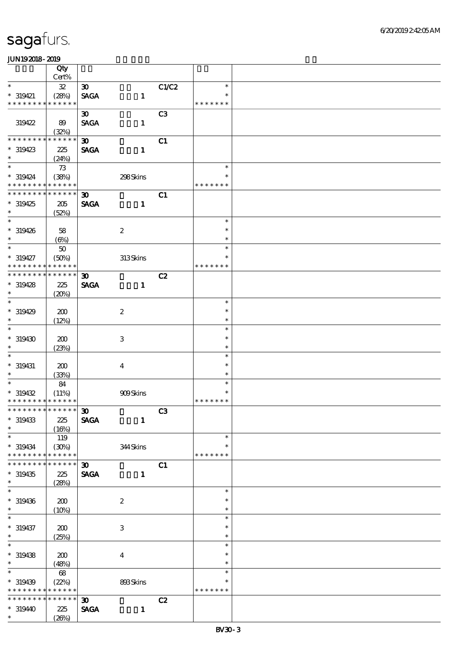|                                                         | Qty                        |                                            |                  |                |                         |  |
|---------------------------------------------------------|----------------------------|--------------------------------------------|------------------|----------------|-------------------------|--|
|                                                         | $Cert\%$                   |                                            |                  |                |                         |  |
| $\ast$                                                  | ${\bf 3\!}$                | $\boldsymbol{\mathfrak{D}}$                |                  | C1/C2          | $\ast$<br>$\ast$        |  |
| $* 319421$<br>* * * * * * * *                           | (28%)<br>* * * * * *       | <b>SAGA</b>                                | $\mathbf{1}$     |                | * * * * * * *           |  |
|                                                         |                            | $\boldsymbol{\mathfrak{D}}$                |                  | C <sub>3</sub> |                         |  |
| 319422                                                  | 89                         | <b>SAGA</b>                                | $\mathbf{1}$     |                |                         |  |
|                                                         | (32%)                      |                                            |                  |                |                         |  |
| * * * * * * * *                                         | * * * * * *                | $\boldsymbol{\mathfrak{D}}$                |                  | C1             |                         |  |
| $*319423$                                               | 225                        | <b>SAGA</b>                                | $\mathbf{1}$     |                |                         |  |
| $\ast$                                                  | (24%)                      |                                            |                  |                |                         |  |
| $\overline{\ast}$                                       | $73$                       |                                            |                  |                | $\ast$                  |  |
| $* 319424$                                              | (38%)                      |                                            | 298Skins         |                | ∗                       |  |
| * * * * * * * * * * * * * *                             |                            |                                            |                  |                | * * * * * * *           |  |
| * * * * * * * * * * * * * *                             |                            | $\boldsymbol{\mathfrak{D}}$                |                  | C1             |                         |  |
| $*319425$<br>$\ast$                                     | 205                        | <b>SAGA</b>                                | $\mathbf{1}$     |                |                         |  |
| $\overline{\phantom{0}}$                                | (52%)                      |                                            |                  |                | $\ast$                  |  |
| $* 319426$                                              | 58                         |                                            | $\boldsymbol{2}$ |                | $\ast$                  |  |
| $\ast$                                                  | (6%)                       |                                            |                  |                | $\ast$                  |  |
| $\ast$                                                  | $5\!\mathrm{O}$            |                                            |                  |                | $\ast$                  |  |
| $* 319427$                                              | (50%)                      |                                            | 313Skins         |                | $\ast$                  |  |
| * * * * * * * *                                         | * * * * * *                |                                            |                  |                | * * * * * * *           |  |
| * * * * * * * *                                         | * * * * * *                | $\boldsymbol{\mathfrak{D}}$                |                  | C2             |                         |  |
| $*319428$                                               | 225                        | <b>SAGA</b>                                | $\mathbf{1}$     |                |                         |  |
| $\ast$                                                  | (20%)                      |                                            |                  |                |                         |  |
| $\overline{\phantom{0}}$                                |                            |                                            |                  |                | $\ast$                  |  |
| $*319429$                                               | 200                        |                                            | $\boldsymbol{2}$ |                | $\ast$                  |  |
| $\ast$                                                  | (12%)                      |                                            |                  |                | $\ast$                  |  |
| $\ast$                                                  |                            |                                            |                  |                | $\ast$                  |  |
| $*319430$<br>$\ast$                                     | 200                        |                                            | $\,3$            |                | $\ast$                  |  |
| $\ast$                                                  | (23%)                      |                                            |                  |                | $\ast$<br>$\ast$        |  |
| $*$ 319431                                              | 200                        |                                            | $\boldsymbol{4}$ |                | $\ast$                  |  |
| $*$                                                     | (33%)                      |                                            |                  |                | $\ast$                  |  |
| $\overline{\ast}$                                       | 84                         |                                            |                  |                | $\ast$                  |  |
| $*319432$                                               | (11%)                      |                                            | 909Skins         |                |                         |  |
| * * * * * * * * * * * * * *                             |                            |                                            |                  |                | * * * * * * *           |  |
| *************** 30                                      |                            |                                            |                  | C3             |                         |  |
| $*319433$                                               | 225                        | <b>SAGA</b>                                | $\mathbf{1}$     |                |                         |  |
| $\ast$                                                  | (16%)                      |                                            |                  |                |                         |  |
| $\ast$                                                  | 119                        |                                            |                  |                | $\ast$                  |  |
| $* 319434$                                              | (30%)                      |                                            | 344Skins         |                | $\ast$                  |  |
| * * * * * * * *<br>* * * * * * *                        | * * * * * *<br>* * * * * * |                                            |                  |                | * * * * * * *           |  |
| $*319435$                                               | 225                        | $\boldsymbol{\mathfrak{D}}$<br><b>SAGA</b> | $\mathbf{1}$     | C1             |                         |  |
| $\ast$                                                  | (28%)                      |                                            |                  |                |                         |  |
| $\overline{\ast}$                                       |                            |                                            |                  |                | $\ast$                  |  |
| $* 319436$                                              | 200                        |                                            | $\boldsymbol{2}$ |                | $\ast$                  |  |
| $\ast$                                                  | (10%)                      |                                            |                  |                | $\ast$                  |  |
| $\ast$                                                  |                            |                                            |                  |                | $\ast$                  |  |
| $* 319437$                                              | 200                        |                                            | 3                |                | $\ast$                  |  |
| $\ast$                                                  | (25%)                      |                                            |                  |                | $\ast$                  |  |
| $\overline{\phantom{a}^*}$                              |                            |                                            |                  |                | $\ast$                  |  |
| $*319438$                                               | 200                        |                                            | $\bf{4}$         |                | $\ast$                  |  |
| $\ast$<br>$\overline{\phantom{0}}$                      | (48%)                      |                                            |                  |                | $\ast$                  |  |
|                                                         | $68\,$                     |                                            |                  |                | $\ast$                  |  |
| $*319439$<br>* * * * * * * * <mark>* * * * * * *</mark> | (22%)                      |                                            | 893Skins         |                | $\ast$<br>* * * * * * * |  |
| * * * * * * * *                                         | * * * * * *                | $\boldsymbol{\mathfrak{D}}$                |                  | C2             |                         |  |
| $*31940$                                                | 225                        | <b>SAGA</b>                                | $\mathbf{1}$     |                |                         |  |
| $\ast$                                                  | (20%)                      |                                            |                  |                |                         |  |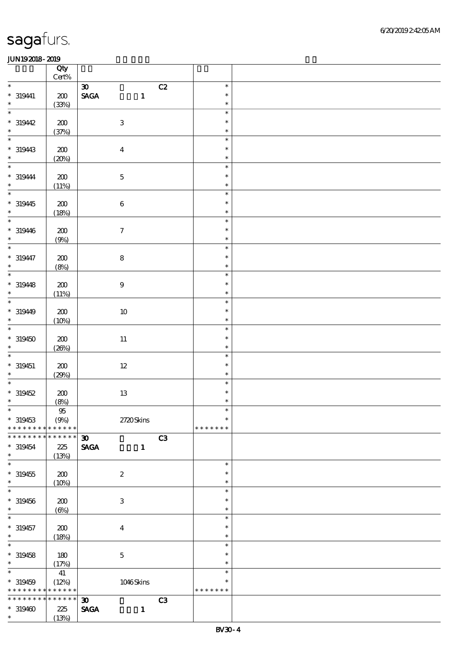|                                                  | Qty<br>$\mbox{Cert}\%$ |                                              |    |                            |  |
|--------------------------------------------------|------------------------|----------------------------------------------|----|----------------------------|--|
| $\ast$                                           |                        | $\boldsymbol{\mathfrak{D}}$                  | C2 | $\ast$                     |  |
| $* 319441$                                       | $200\,$                | $\ensuremath{\mathsf{SAGA}}$<br>$\mathbf{1}$ |    | $\ast$                     |  |
| $\ast$<br>$\ast$                                 | (33%)                  |                                              |    | $\ast$                     |  |
| $*31942$                                         | $200\,$                | $\,3$                                        |    | $\ast$<br>$\ast$           |  |
| $\ast$<br>$\overline{\phantom{0}}$               | (37%)                  |                                              |    | $\ast$                     |  |
| $* 319443$<br>$\ast$                             | $200\,$<br>(20%)       | $\boldsymbol{4}$                             |    | $\ast$<br>$\ast$<br>$\ast$ |  |
| $\ast$                                           |                        |                                              |    | $\ast$                     |  |
| $* 319444$<br>$\ast$                             | $200\,$<br>(11%)       | $\mathbf 5$                                  |    | $\ast$<br>$\ast$           |  |
| $\overline{\phantom{0}}$                         |                        |                                              |    | $\ast$                     |  |
| $*319445$<br>$\ast$                              | 200<br>(18%)           | $\,6\,$                                      |    | $\ast$<br>$\ast$           |  |
| $\overline{\ast}$                                |                        |                                              |    | $\ast$                     |  |
| $* 319446$<br>$\ast$                             | 200<br>(9%)            | $\boldsymbol{7}$                             |    | $\ast$<br>$\ast$           |  |
| $\overline{\ast}$                                |                        |                                              |    | $\ast$                     |  |
| $* 319447$<br>$\ast$                             | $200\,$<br>(8%)        | $\bf 8$                                      |    | $\ast$<br>$\ast$           |  |
| $\ast$                                           |                        |                                              |    | $\ast$                     |  |
| $* 319448$<br>$\ast$<br>$\overline{\phantom{0}}$ | 200<br>(11%)           | $\boldsymbol{9}$                             |    | $\ast$<br>$\ast$           |  |
|                                                  |                        |                                              |    | $\ast$                     |  |
| $* 31949$<br>$\ast$                              | 200<br>(10%)           | $10\,$                                       |    | $\ast$<br>$\ast$           |  |
| $\overline{\ast}$                                |                        |                                              |    | $\ast$                     |  |
| $*319450$<br>$\ast$                              | $200\,$<br>(20%)       | $11\,$                                       |    | $\ast$<br>$\ast$           |  |
| $\ast$                                           |                        |                                              |    | $\ast$                     |  |
| $* 319451$<br>$\ast$                             | 200<br>(29%)           | $12\,$                                       |    | $\ast$<br>$\ast$           |  |
| $\ast$                                           |                        |                                              |    | $\ast$                     |  |
| $* 319452$                                       | $200\,$                | $13\,$                                       |    | $\ast$                     |  |
| $\ast$                                           | (8%)                   |                                              |    | $\ast$                     |  |
| $*$                                              | $9\!5$                 |                                              |    | $\ast$                     |  |
| $* 319453$<br>* * * * * * * *                    | (9%)<br>$******$       | 2720Skins                                    |    | $\ast$<br>* * * * * * *    |  |
| * * * * * * * *                                  | * * * * * *            | $\boldsymbol{\mathfrak{D}}$                  | C3 |                            |  |
| $*319454$<br>$\ast$                              | 225<br>(13%)           | <b>SAGA</b><br>$\mathbf{1}$                  |    |                            |  |
| $\overline{\ast}$                                |                        |                                              |    | $\ast$                     |  |
| $* 319455$                                       | 200                    | $\boldsymbol{2}$                             |    | $\ast$                     |  |
| $\ast$                                           | (10%)                  |                                              |    | $\ast$                     |  |
| $\ast$                                           |                        |                                              |    | $\ast$                     |  |
| $* 319456$<br>$\ast$                             | 200<br>$(\Theta)$      | $\,3\,$                                      |    | $\ast$<br>$\ast$           |  |
| $\ast$                                           |                        |                                              |    | $\ast$                     |  |
| $* 319457$                                       | 200                    | $\boldsymbol{4}$                             |    | $\ast$                     |  |
| $\ast$                                           | (18%)                  |                                              |    | $\ast$                     |  |
| $\overline{\ast}$                                |                        |                                              |    | $\ast$                     |  |
| $* 319458$                                       | 180                    | $\mathbf 5$                                  |    | $\ast$                     |  |
| $\ast$                                           | (17%)                  |                                              |    | $\ast$                     |  |
| $\overline{\phantom{0}}$                         | 41                     |                                              |    | $\ast$                     |  |
| $* 319459$                                       | (12%)                  | $1046$ Skins                                 |    | $\ast$                     |  |
| * * * * * * * * <mark>* * * * * *</mark> *       |                        |                                              |    | * * * * * * *              |  |
| * * * * * * * *                                  | * * * * * *            | $\boldsymbol{\mathfrak{D}}$                  | C3 |                            |  |
| $*319400$                                        | 225                    | <b>SAGA</b><br>$\mathbf{1}$                  |    |                            |  |
| $\ast$                                           | (13%)                  |                                              |    |                            |  |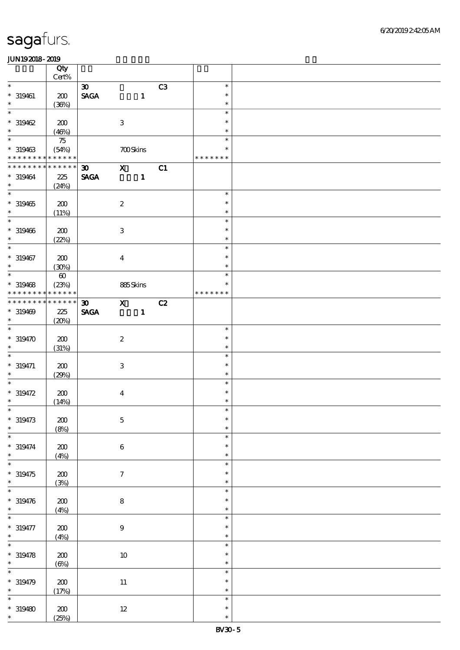|                                          | Qty<br>$\mbox{Cert}\%$   |                                |                           |              |    |                         |  |
|------------------------------------------|--------------------------|--------------------------------|---------------------------|--------------|----|-------------------------|--|
| $\ast$                                   |                          | $\boldsymbol{\mathfrak{D}}$    |                           |              | C3 | $\ast$                  |  |
| $* 319461$<br>$\ast$                     | 200<br>(36%)             | $\operatorname{\mathsf{SAGA}}$ |                           | $\mathbf{1}$ |    | $\ast$<br>$\ast$        |  |
| $\ast$                                   |                          |                                |                           |              |    | $\ast$                  |  |
| $*319462$<br>$\ast$                      | 200<br>(46%)             |                                | $\ensuremath{\mathbf{3}}$ |              |    | $\ast$<br>$\ast$        |  |
| $\overline{\phantom{0}}$                 | $75\,$                   |                                |                           |              |    | $\ast$                  |  |
| $*319463$<br>* * * * * * * * * * * * * * | (54%)                    |                                | <b>700Skins</b>           |              |    | $\ast$<br>* * * * * * * |  |
| * * * * * * * *                          | * * * * * *              | $\boldsymbol{\mathfrak{D}}$    | $\mathbf x$               |              | C1 |                         |  |
| $* 319464$<br>$\ast$                     | 225<br>(24%)             | <b>SAGA</b>                    |                           | $\mathbf{1}$ |    |                         |  |
| $\overline{\phantom{0}}$                 |                          |                                |                           |              |    | $\ast$                  |  |
| $*319465$<br>$\ast$                      | 200<br>(11%)             |                                | $\boldsymbol{2}$          |              |    | $\ast$<br>$\ast$        |  |
| $\overline{\phantom{0}}$                 |                          |                                |                           |              |    | $\ast$                  |  |
| $* 319466$<br>$\ast$                     | 200<br>(22%)             |                                | $\,3\,$                   |              |    | $\ast$<br>$\ast$        |  |
| $\overline{\ast}$                        |                          |                                |                           |              |    | $\ast$                  |  |
| $* 319467$<br>$\ast$                     | 200<br>(30%)             |                                | $\bf{4}$                  |              |    | $\ast$<br>$\ast$        |  |
| $\ast$                                   | $\boldsymbol{\omega}$    |                                |                           |              |    | $\ast$                  |  |
| $*319468$<br>* * * * * * * *             | (23%)<br>* * * * * *     |                                | 885Skins                  |              |    | $\ast$<br>* * * * * * * |  |
| * * * * * * * *                          | $******$                 | 30 <sub>o</sub>                | $\mathbf{x}$              |              | C2 |                         |  |
| $* 319469$<br>$\ast$                     | 225<br>(20%)             | <b>SAGA</b>                    |                           | $\mathbf{1}$ |    |                         |  |
| $\overline{\phantom{0}}$                 |                          |                                |                           |              |    | $\ast$                  |  |
| $* 319470$<br>$\ast$                     | 200<br>(31%)             |                                | $\boldsymbol{2}$          |              |    | $\ast$<br>$\ast$        |  |
| $\ast$                                   |                          |                                |                           |              |    | $\ast$                  |  |
| $* 319471$<br>$\ast$                     | 200<br>(29%)             |                                | $\,3\,$                   |              |    | $\ast$<br>$\ast$        |  |
| $\overline{\ast}$                        |                          |                                |                           |              |    | $\ast$                  |  |
| $* 319472$<br>$\ast$                     | 200<br>(14%)             |                                | $\boldsymbol{4}$          |              |    | $\ast$<br>$\ast$        |  |
| $*$                                      |                          |                                |                           |              |    | $\ast$                  |  |
| $* 319473$<br>$\ast$                     | $\pmb{30}$<br>(8%)       |                                | $\mathbf 5$               |              |    | $\ast$<br>$\ast$        |  |
| $\ast$                                   |                          |                                |                           |              |    | $\ast$                  |  |
| $* 319474$<br>$\ast$                     | $200\,$<br>(4%)          |                                | $\,6\,$                   |              |    | $\ast$<br>$\ast$        |  |
| $\ast$                                   |                          |                                |                           |              |    | $\ast$                  |  |
| $* 319475$<br>$\ast$                     | $200\,$<br>(3%)          |                                | $\boldsymbol{\tau}$       |              |    | $\ast$<br>$\ast$        |  |
| $\ast$                                   |                          |                                |                           |              |    | $\ast$                  |  |
| $* 319476$<br>$\ast$                     | $200\,$<br>(4%)          |                                | $\bf 8$                   |              |    | $\ast$<br>$\ast$        |  |
| $\ast$                                   |                          |                                |                           |              |    | $\ast$                  |  |
| $* 319477$<br>$\ast$                     | $\pmb{30}$<br>(4%)       |                                | $\boldsymbol{9}$          |              |    | $\ast$<br>$\ast$        |  |
| $\ast$                                   |                          |                                |                           |              |    | $\ast$                  |  |
| $* 319478$<br>$\ast$                     | $\pmb{30}$<br>$(\Theta)$ |                                | $10\,$                    |              |    | $\ast$<br>$\ast$        |  |
| $\ast$                                   |                          |                                |                           |              |    | $\ast$                  |  |
| $*319479$<br>$\ast$                      | 200<br>(17%)             |                                | $11\,$                    |              |    | $\ast$<br>$\ast$        |  |
| $\ast$                                   |                          |                                |                           |              |    | $\ast$                  |  |
| $*319480$<br>$\ast$                      | 200<br>(25%)             |                                | $12\,$                    |              |    | $\ast$<br>$\ast$        |  |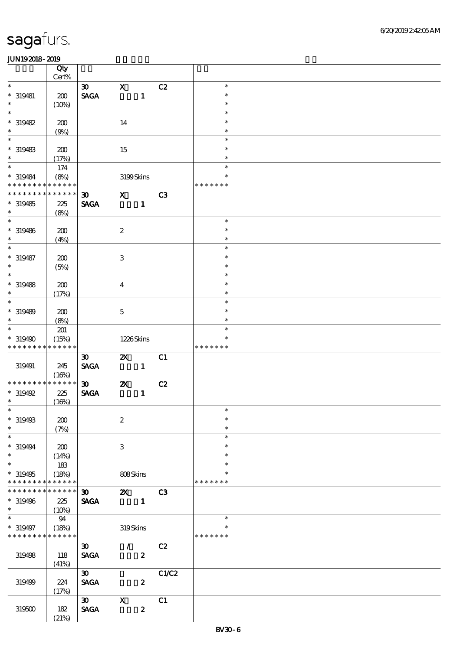|                             | Qty<br>$Cert\%$      |                                |                           |                  |                |               |  |
|-----------------------------|----------------------|--------------------------------|---------------------------|------------------|----------------|---------------|--|
| $\ast$                      |                      | $\boldsymbol{\mathfrak{D}}$    | $\mathbf X$               |                  | C2             | $\ast$        |  |
| $* 319481$                  | 200                  | $\operatorname{\mathsf{SAGA}}$ |                           | $\mathbf{1}$     |                | $\ast$        |  |
| $\ast$                      | (10%)                |                                |                           |                  |                | $\ast$        |  |
| $\ast$                      |                      |                                |                           |                  |                | $\ast$        |  |
|                             |                      |                                |                           |                  |                | $\ast$        |  |
| * 319482                    | 200                  |                                | 14                        |                  |                |               |  |
| $\ast$                      | (9%)                 |                                |                           |                  |                | $\ast$        |  |
| $\ast$                      |                      |                                |                           |                  |                | $\ast$        |  |
| $*$ 319483                  | 200                  |                                | 15                        |                  |                | $\ast$        |  |
| $\ast$                      | (17%)                |                                |                           |                  |                | $\ast$        |  |
| $\overline{\ast}$           | 174                  |                                |                           |                  |                | $\ast$        |  |
| $*319484$                   | (8%)                 |                                | 3199Skins                 |                  |                | $\ast$        |  |
| * * * * * * * * * * * * * * |                      |                                |                           |                  |                | * * * * * * * |  |
| * * * * * * * *             | * * * * * *          | $\boldsymbol{\mathfrak{D}}$    | $\mathbf{x}$              |                  | C3             |               |  |
| $*319485$                   | 225                  | <b>SAGA</b>                    |                           | $\mathbf{1}$     |                |               |  |
| $\ast$                      | (8%)                 |                                |                           |                  |                |               |  |
| $\overline{\ast}$           |                      |                                |                           |                  |                | $\ast$        |  |
| $* 319486$                  | 200                  |                                | $\boldsymbol{2}$          |                  |                | $\ast$        |  |
| $\ast$                      | (4%)                 |                                |                           |                  |                | $\ast$        |  |
| $\ast$                      |                      |                                |                           |                  |                | $\ast$        |  |
|                             |                      |                                |                           |                  |                | $\ast$        |  |
| $* 319487$<br>$\ast$        | 200                  |                                | $\ensuremath{\mathbf{3}}$ |                  |                | $\ast$        |  |
| $\ast$                      | (5%)                 |                                |                           |                  |                |               |  |
|                             |                      |                                |                           |                  |                | $\ast$        |  |
| $* 319488$                  | 200                  |                                | $\overline{\mathbf{4}}$   |                  |                | $\ast$        |  |
| $\ast$                      | (17%)                |                                |                           |                  |                | $\ast$        |  |
| $\ast$                      |                      |                                |                           |                  |                | $\ast$        |  |
| $* 319489$                  | 200                  |                                | $\mathbf 5$               |                  |                | $\ast$        |  |
| $\ast$                      | (8%)                 |                                |                           |                  |                | $\ast$        |  |
| $\ast$                      | 201                  |                                |                           |                  |                | $\ast$        |  |
| * 319490                    | (15%)                |                                | 1226Skins                 |                  |                | $\ast$        |  |
| * * * * * * * *             | * * * * * *          |                                |                           |                  |                | * * * * * * * |  |
|                             |                      | $\boldsymbol{\mathfrak{D}}$    | $\mathbf{z}$              |                  | C1             |               |  |
| 319491                      | 245                  | <b>SAGA</b>                    | $\sim$ $\sim$ 1           |                  |                |               |  |
|                             | (16%)                |                                |                           |                  |                |               |  |
| * * * * * * * *             | * * * * * *          | $\boldsymbol{\mathfrak{D}}$    | $\boldsymbol{\mathsf{z}}$ |                  | C2             |               |  |
| * 319492                    | 225                  | <b>SAGA</b>                    |                           | $\mathbf{1}$     |                |               |  |
| $*$                         | (16%)                |                                |                           |                  |                |               |  |
| $*$                         |                      |                                |                           |                  |                | $\ast$        |  |
| $* 319493$                  | 200                  |                                | $\boldsymbol{2}$          |                  |                | $\ast$        |  |
| $\ast$                      | (7%)                 |                                |                           |                  |                | $\ast$        |  |
| $\ast$                      |                      |                                |                           |                  |                | $\ast$        |  |
| $*319494$                   | 200                  |                                | 3                         |                  |                | $\ast$        |  |
| $\ast$                      |                      |                                |                           |                  |                | $\ast$        |  |
| $\ast$                      | (14%)                |                                |                           |                  |                | $\ast$        |  |
| $*319495$                   | 183                  |                                |                           |                  |                | $\ast$        |  |
| * * * * * * * *             | (18%)<br>* * * * * * |                                | 808Skins                  |                  |                |               |  |
| * * * * * * * * * * * * * * |                      |                                |                           |                  |                | * * * * * * * |  |
|                             |                      | $\boldsymbol{\mathfrak{D}}$    | $\mathbf{X}$              |                  | C <sub>3</sub> |               |  |
| * 319496                    | 225                  | <b>SAGA</b>                    |                           | $\blacksquare$   |                |               |  |
| $\ast$                      | $(10\%)$             |                                |                           |                  |                |               |  |
| $\ast$                      | - 94                 |                                |                           |                  |                | $\ast$        |  |
| $* 319497$                  | (18%)                |                                | 319Skins                  |                  |                | *             |  |
| * * * * * * * * * * * * * * |                      |                                |                           |                  |                | * * * * * * * |  |
|                             |                      | $\boldsymbol{\mathfrak{D}}$    | $\mathcal{L}$             |                  | C2             |               |  |
| 319498                      | 118                  | <b>SAGA</b>                    |                           | $\boldsymbol{z}$ |                |               |  |
|                             | (41%)                |                                |                           |                  |                |               |  |
|                             |                      | $\boldsymbol{\mathfrak{D}}$    |                           |                  | C1/C2          |               |  |
| 319499                      | 224                  | <b>SAGA</b>                    |                           | $\boldsymbol{z}$ |                |               |  |
|                             | (17%)                |                                |                           |                  |                |               |  |
|                             |                      | $\boldsymbol{\mathfrak{D}}$    | $\mathbf{x}$              |                  | C1             |               |  |
| 319500                      | 182                  | <b>SAGA</b>                    |                           | $\boldsymbol{z}$ |                |               |  |
|                             | (21%)                |                                |                           |                  |                |               |  |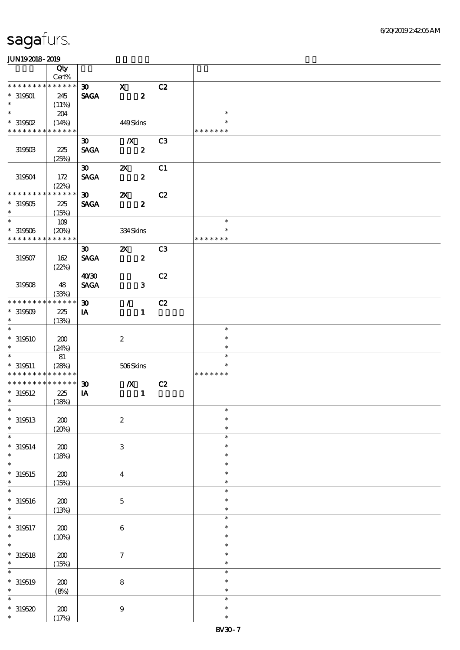|                               | Qty<br>$Cert\%$      |                                            |                           |                  |                |                         |  |
|-------------------------------|----------------------|--------------------------------------------|---------------------------|------------------|----------------|-------------------------|--|
| * * * * * * * *               | * * * * * *          | $\boldsymbol{\mathfrak{D}}$                | $\mathbf x$               |                  | C2             |                         |  |
| $* 319501$<br>$\ast$          | 245<br>(11%)         | <b>SAGA</b>                                |                           | $\boldsymbol{z}$ |                |                         |  |
| $\ast$                        | 204                  |                                            |                           |                  |                | $\ast$                  |  |
| $*$ 319502                    |                      |                                            |                           |                  |                | $\ast$                  |  |
| * * * * * * * *               | (14%)<br>* * * * * * |                                            | 449Skins                  |                  |                | * * * * * * *           |  |
|                               |                      |                                            |                           |                  |                |                         |  |
| 319503                        | 225<br>(25%)         | $\boldsymbol{\mathfrak{D}}$<br><b>SAGA</b> | $\boldsymbol{X}$          | $\boldsymbol{z}$ | C <sub>3</sub> |                         |  |
| 319504                        | 172<br>(22%)         | $\boldsymbol{\mathfrak{D}}$<br><b>SAGA</b> | $\boldsymbol{\mathsf{z}}$ | $\boldsymbol{z}$ | C1             |                         |  |
| * * * * * * * *               | * * * * * *          | $\boldsymbol{\mathfrak{D}}$                | $\boldsymbol{\mathsf{z}}$ |                  | C2             |                         |  |
| $*319505$<br>$\ast$           | $225\,$<br>(15%)     | <b>SAGA</b>                                |                           | $\boldsymbol{z}$ |                |                         |  |
| $\overline{\phantom{0}}$      | $109$                |                                            |                           |                  |                | $\ast$                  |  |
| $* 319506$<br>* * * * * * * * | (20%)<br>* * * * * * |                                            | 334Skins                  |                  |                | $\ast$<br>* * * * * * * |  |
|                               |                      | $\boldsymbol{\mathfrak{D}}$                | $\boldsymbol{\mathsf{z}}$ |                  | C <sub>3</sub> |                         |  |
| 319507                        | 162<br>(22%)         | <b>SAGA</b>                                |                           | $\boldsymbol{z}$ |                |                         |  |
|                               |                      | 40'30                                      |                           |                  | C2             |                         |  |
| 319508                        | 48<br>(33%)          | <b>SAGA</b>                                |                           | $\mathbf{3}$     |                |                         |  |
| * * * * * * *                 | * * * * * *          | $\boldsymbol{\mathfrak{D}}$                | $\mathcal{L}$             |                  | C2             |                         |  |
| $*319509$<br>$\ast$           | 225<br>(13%)         | IA                                         |                           | $\mathbf{1}$     |                |                         |  |
| $\overline{\ast}$             |                      |                                            |                           |                  |                | $\ast$                  |  |
| $*319510$<br>$\ast$           | 200<br>(24%)         |                                            | $\boldsymbol{2}$          |                  |                | $\ast$<br>$\ast$        |  |
| $\ast$                        | 81                   |                                            |                           |                  |                | $\ast$                  |  |
| $* 319511$<br>* * * * * * * * | (28%)<br>* * * * * * |                                            | 506Skins                  |                  |                | $\ast$<br>* * * * * * * |  |
| * * * * * * *                 | * * * * * *          | $\boldsymbol{\mathfrak{D}}$                | $\boldsymbol{X}$          |                  | C2             |                         |  |
| $* 319512$<br>$\ast$          | 225<br>(18%)         | IA                                         |                           | $\mathbf{1}$     |                |                         |  |
| $*$                           |                      |                                            |                           |                  |                | $\ast$                  |  |
| $*319513$<br>$\ast$           | 200<br>(20%)         |                                            | $\boldsymbol{2}$          |                  |                | $\ast$<br>$\ast$        |  |
| $\ast$                        |                      |                                            |                           |                  |                | $\ast$                  |  |
| $* 319514$<br>$\ast$          | $200\,$<br>(18%)     |                                            | $\ensuremath{\mathbf{3}}$ |                  |                | $\ast$<br>$\ast$        |  |
| $\ast$                        |                      |                                            |                           |                  |                | $\ast$                  |  |
| $*319515$<br>$\ast$           | $200\,$<br>(15%)     |                                            | $\boldsymbol{4}$          |                  |                | $\ast$<br>$\ast$        |  |
| $\ast$                        |                      |                                            |                           |                  |                | $\ast$                  |  |
| $* 319516$<br>$\ast$          | 200<br>(13%)         |                                            | $\mathbf 5$               |                  |                | $\ast$<br>$\ast$        |  |
| $\ast$                        |                      |                                            |                           |                  |                | $\ast$                  |  |
| $* 319517$<br>$\ast$          | $\pmb{30}$<br>(10%)  |                                            | $\,6\,$                   |                  |                | $\ast$<br>$\ast$        |  |
| $\ast$                        |                      |                                            |                           |                  |                | $\ast$                  |  |
| $* 319518$<br>$\ast$          | $\pmb{30}$<br>(15%)  |                                            | $\boldsymbol{7}$          |                  |                | $\ast$<br>$\ast$        |  |
| $\ast$                        |                      |                                            |                           |                  |                | $\ast$                  |  |
| $* 319519$<br>$\ast$          | 200<br>(8%)          |                                            | $\bf 8$                   |                  |                | $\ast$<br>$\ast$        |  |
| $\ast$                        |                      |                                            |                           |                  |                | $\ast$                  |  |
| $*319520$<br>$\ast$           | $200$<br>(17%)       |                                            | $\boldsymbol{9}$          |                  |                | $\ast$<br>$\ast$        |  |
|                               |                      |                                            |                           |                  |                |                         |  |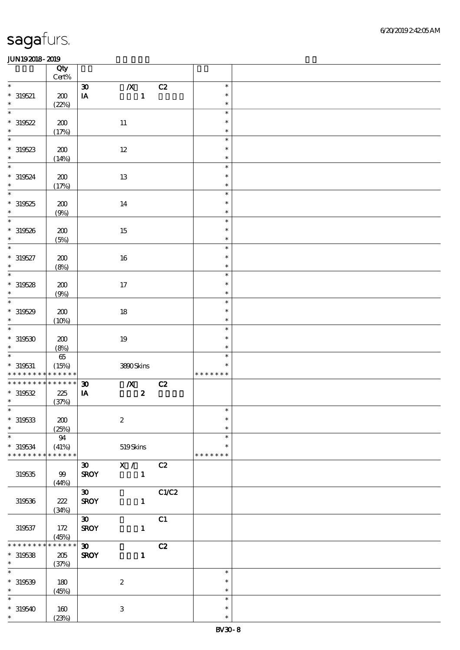|                                            | Qty<br>Cert% |                             |                           |       |               |  |
|--------------------------------------------|--------------|-----------------------------|---------------------------|-------|---------------|--|
| $\ast$                                     |              | $\boldsymbol{\mathfrak{D}}$ | $\mathbf{X}$              | C2    | $\ast$        |  |
|                                            |              |                             |                           |       | $\ast$        |  |
| $* 319521$                                 | ${\bf Z0}$   | $\mathbf{I}\mathbf{A}$      | $\mathbf{1}$              |       |               |  |
| $\ast$                                     | (22%)        |                             |                           |       | $\ast$        |  |
| $\ast$                                     |              |                             |                           |       | $\ast$        |  |
| $*319522$                                  | $200\,$      |                             | $11\,$                    |       | $\ast$        |  |
| $\ast$                                     | (17%)        |                             |                           |       | $\ast$        |  |
| $\overline{\phantom{0}}$                   |              |                             |                           |       | $\ast$        |  |
| $*319523$                                  | 200          |                             | $12 \,$                   |       | $\ast$        |  |
| $\ast$                                     |              |                             |                           |       | $\ast$        |  |
|                                            | (14%)        |                             |                           |       |               |  |
| $\ast$                                     |              |                             |                           |       | $\ast$        |  |
| $* 319524$                                 | $\pmb{30}$   |                             | $13\,$                    |       | $\ast$        |  |
| $\ast$                                     | (17%)        |                             |                           |       | $\ast$        |  |
| $\overline{\phantom{0}}$                   |              |                             |                           |       | $\ast$        |  |
| $*319525$                                  | 200          |                             | $14\,$                    |       | $\ast$        |  |
| $\ast$                                     | (9%)         |                             |                           |       | $\ast$        |  |
| $\overline{\ast}$                          |              |                             |                           |       | $\ast$        |  |
|                                            |              |                             |                           |       | $\ast$        |  |
| $*319526$                                  | 200          |                             | $15\,$                    |       |               |  |
| $\ast$                                     | (5%)         |                             |                           |       | $\ast$        |  |
| $\ast$                                     |              |                             |                           |       | $\ast$        |  |
| $* 319527$                                 | 200          |                             | $16\,$                    |       | $\ast$        |  |
| $\ast$                                     | (8%)         |                             |                           |       | $\ast$        |  |
| $\overline{\ast}$                          |              |                             |                           |       | $\ast$        |  |
| $*319528$                                  | 200          |                             | 17                        |       | $\ast$        |  |
| $\ast$                                     | (9%)         |                             |                           |       | $\ast$        |  |
| $\overline{\phantom{0}}$                   |              |                             |                           |       | $\ast$        |  |
|                                            |              |                             |                           |       | $\ast$        |  |
| $*319529$<br>$\ast$                        | 200          |                             | $18\,$                    |       |               |  |
|                                            | (10%)        |                             |                           |       | $\ast$        |  |
| $\ast$                                     |              |                             |                           |       | $\ast$        |  |
| $*319530$                                  | 200          |                             | $19\,$                    |       | $\ast$        |  |
| $\ast$                                     | (8%)         |                             |                           |       | $\ast$        |  |
| $\overline{\phantom{0}}$                   | $65\,$       |                             |                           |       | $\ast$        |  |
| $*$ 319531                                 | (15%)        |                             | 3800Skins                 |       | $\ast$        |  |
| * * * * * * * * <mark>* * * * * * *</mark> |              |                             |                           |       | * * * * * * * |  |
| * * * * * * * * * * * * * *                |              | $\boldsymbol{\mathfrak{D}}$ | $\boldsymbol{X}$          | C2    |               |  |
|                                            |              |                             | $\overline{\mathbf{z}}$   |       |               |  |
| $*319532$<br>$\ast$                        | $2\!2$       | $\mathbf{I} \mathbf{A}$     |                           |       |               |  |
|                                            | (37%)        |                             |                           |       |               |  |
| $*$                                        |              |                             |                           |       | $\ast$        |  |
| $* 319533$                                 | 200          |                             | $\boldsymbol{2}$          |       | $\ast$        |  |
| $\ast$                                     | (25%)        |                             |                           |       | $\ast$        |  |
| $\ast$                                     | 94           |                             |                           |       | $\ast$        |  |
| $* 319534$                                 | (41%)        |                             | 519Skins                  |       | $\ast$        |  |
| * * * * * * * *                            | * * * * * *  |                             |                           |       | * * * * * * * |  |
|                                            |              | $\boldsymbol{\mathfrak{D}}$ | X /                       | C2    |               |  |
| $319535\,$                                 | 99           | <b>SROY</b>                 | $\mathbf{1}$              |       |               |  |
|                                            |              |                             |                           |       |               |  |
|                                            | (44%)        |                             |                           |       |               |  |
|                                            |              | 30                          |                           | C1/C2 |               |  |
| 319536                                     | 222          | <b>SROY</b>                 | $\mathbf{1}$              |       |               |  |
|                                            | (34%)        |                             |                           |       |               |  |
|                                            |              | $\boldsymbol{\mathfrak{D}}$ |                           | C1    |               |  |
| 319537                                     | 172          | <b>SROY</b>                 | $\mathbf{1}$              |       |               |  |
|                                            | (45%)        |                             |                           |       |               |  |
| * * * * * * *                              | * * * * * *  | $\boldsymbol{\mathfrak{D}}$ |                           | C2    |               |  |
| $*319538$                                  | $205\,$      | <b>SROY</b>                 | $\mathbf{1}$              |       |               |  |
| $*$                                        | (37%)        |                             |                           |       |               |  |
| $\ast$                                     |              |                             |                           |       | $\ast$        |  |
|                                            |              |                             |                           |       |               |  |
| $*319539$                                  | 180          |                             | $\boldsymbol{2}$          |       | $\ast$        |  |
| $\ast$                                     | (45%)        |                             |                           |       | $\ast$        |  |
| $\ast$                                     |              |                             |                           |       | $\ast$        |  |
| $*319540$                                  | 160          |                             | $\ensuremath{\mathbf{3}}$ |       | $\ast$        |  |
| $\ast$                                     | (23%)        |                             |                           |       | $\ast$        |  |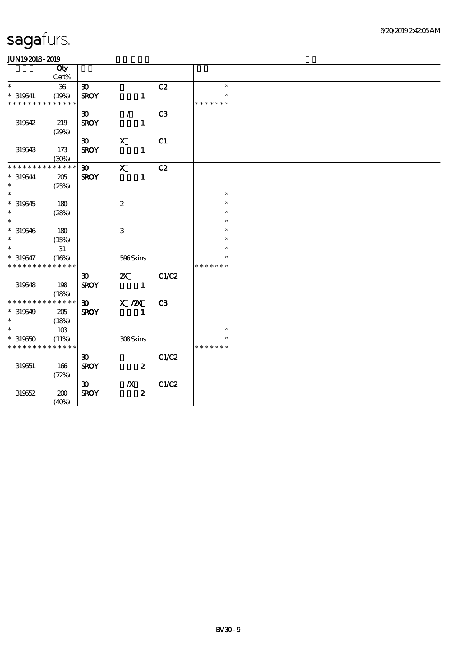|                             | Qty<br>Cert% |                             |                  |                  |                |               |  |
|-----------------------------|--------------|-----------------------------|------------------|------------------|----------------|---------------|--|
| $\ast$                      | $36\,$       | $\boldsymbol{\mathfrak{D}}$ |                  |                  | C2             | $\ast$        |  |
| $* 319541$                  | (19%)        | <b>SROY</b>                 |                  | $\mathbf{1}$     |                | $\ast$        |  |
| * * * * * * * * * * * * * * |              |                             |                  |                  |                | * * * * * * * |  |
|                             |              | $\boldsymbol{\mathfrak{D}}$ | $\mathcal{T}$    |                  | C <sub>3</sub> |               |  |
| 319542                      | 219          | <b>SROY</b>                 |                  | $\mathbf{1}$     |                |               |  |
|                             | (29%)        |                             |                  |                  |                |               |  |
|                             |              | $\infty$                    | $\mathbf X$      |                  | C1             |               |  |
| 319543                      | 173          | <b>SROY</b>                 |                  | $\mathbf{1}$     |                |               |  |
|                             | (30%)        |                             |                  |                  |                |               |  |
| * * * * * * * *             | * * * * * *  | $\infty$                    | $\mathbf x$      |                  | C2             |               |  |
| $*319544$                   | 205          | <b>SROY</b>                 |                  | $\mathbf{1}$     |                |               |  |
| $\ast$                      | (25%)        |                             |                  |                  |                |               |  |
| $\ast$                      |              |                             |                  |                  |                | $\ast$        |  |
| $*319545$                   | 180          |                             | $\boldsymbol{2}$ |                  |                | $\ast$        |  |
| $\ast$                      | (28%)        |                             |                  |                  |                | $\ast$        |  |
| $\ast$                      |              |                             |                  |                  |                | $\ast$        |  |
| $*319546$                   | 180          |                             | $\,3$            |                  |                | $\ast$        |  |
| $\ast$                      | (15%)        |                             |                  |                  |                | $\ast$        |  |
| $\overline{\phantom{0}}$    | 31           |                             |                  |                  |                | $\ast$        |  |
| $*319547$                   | (16%)        |                             | 596Skins         |                  |                | $\ast$        |  |
| * * * * * * * * * * * * * * |              |                             |                  |                  |                | * * * * * * * |  |
|                             |              | $\boldsymbol{\mathfrak{D}}$ | $\mathbf{x}$     |                  | C1/C2          |               |  |
| 319548                      | 198          | <b>SROY</b>                 | $\sim$ 1         |                  |                |               |  |
| * * * * * * * * * * * * * * | (18%)        |                             |                  |                  |                |               |  |
|                             |              | $\boldsymbol{\mathfrak{D}}$ | $X$ / $ZX$       |                  | C3             |               |  |
| $*319549$<br>$\ast$         | 205          | <b>SROY</b>                 |                  | $\mathbf{1}$     |                |               |  |
| $\ast$                      | (18%)<br>10B |                             |                  |                  |                | $\ast$        |  |
| $*319550$                   | (11%)        |                             | 308Skins         |                  |                | $\ast$        |  |
| * * * * * * * * * * * * * * |              |                             |                  |                  |                | * * * * * * * |  |
|                             |              | $\boldsymbol{\mathfrak{D}}$ |                  |                  | C1/C2          |               |  |
| 319551                      | 166          | <b>SROY</b>                 |                  | $\boldsymbol{2}$ |                |               |  |
|                             | (72%)        |                             |                  |                  |                |               |  |
|                             |              | $\infty$                    | $\mathbf{X}$     |                  | C1/C2          |               |  |
| 319552                      | 200          | <b>SROY</b>                 |                  | $\boldsymbol{z}$ |                |               |  |
|                             | (40%)        |                             |                  |                  |                |               |  |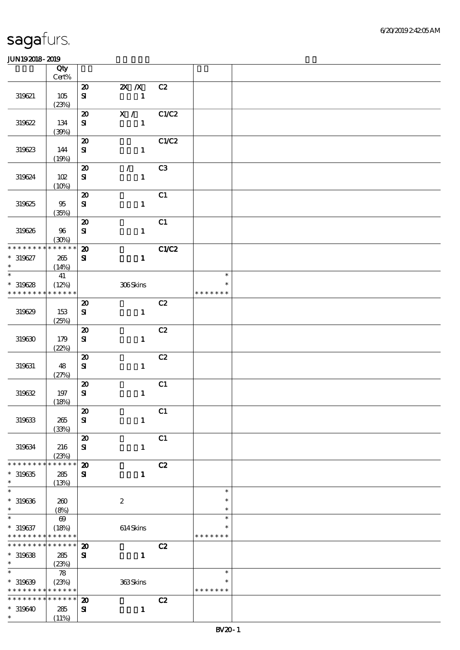|                                            | Qty<br>$Cert\%$       |                                          |                           |       |               |  |
|--------------------------------------------|-----------------------|------------------------------------------|---------------------------|-------|---------------|--|
|                                            |                       |                                          |                           |       |               |  |
| 319621                                     | 105<br>(23%)          | $\boldsymbol{\mathfrak{D}}$<br>${\bf s}$ | 2X / X C2<br>$\sim$ 1     |       |               |  |
|                                            |                       |                                          |                           |       |               |  |
| 319622                                     | 134<br>(30%)          | $\boldsymbol{\mathfrak{D}}$<br>${\bf s}$ | X / C1/C2<br>$\mathbf{1}$ |       |               |  |
|                                            |                       | $\boldsymbol{\mathbf{z}}$                |                           | C1/C2 |               |  |
| 319623                                     | 144<br>(19%)          | ${\bf s}$                                | $\mathbf{1}$              |       |               |  |
|                                            |                       | $\boldsymbol{\mathfrak{D}}$              | $\mathcal{L}$             | C3    |               |  |
| 319624                                     | 102<br>(10%)          | ${\bf s}$                                | $\mathbf 1$               |       |               |  |
|                                            |                       | $\boldsymbol{\mathfrak{D}}$              |                           | C1    |               |  |
| 319625                                     | 95<br>(35%)           | ${\bf s}$                                | $\mathbf{1}$              |       |               |  |
|                                            |                       | $\boldsymbol{\mathfrak{D}}$              |                           | C1    |               |  |
| 319626                                     | 96<br>(30%)           | ${\bf S\!I}$                             | $\mathbf{1}$              |       |               |  |
| * * * * * * * * * * * * * * *              |                       | $\boldsymbol{\mathfrak{D}}$              |                           | C1/C2 |               |  |
| $* 319627$<br>$\ast$                       | 265<br>(14%)          | ${\bf s}$                                | $\mathbf{1}$              |       |               |  |
| $\overline{\phantom{0}}$                   | 41                    |                                          |                           |       | $\ast$        |  |
| $*319628$                                  | (12%)                 |                                          | 306Skins                  |       | $\ast$        |  |
| * * * * * * * *                            | * * * * * *           |                                          |                           |       | * * * * * * * |  |
| 319629                                     | 153                   | $\boldsymbol{\mathfrak{D}}$<br>${\bf s}$ | $\mathbf{1}$              | C2    |               |  |
|                                            | (25%)                 |                                          |                           |       |               |  |
|                                            |                       | $\boldsymbol{\mathfrak{D}}$              |                           | C2    |               |  |
| 319630                                     | 179<br>(22%)          | ${\bf s}$                                | $\mathbf{1}$              |       |               |  |
|                                            |                       | $\boldsymbol{\mathfrak{D}}$              |                           | C2    |               |  |
| 319631                                     | 48<br>(27%)           | ${\bf s}$                                | $\mathbf{1}$              |       |               |  |
|                                            |                       | $\boldsymbol{\mathbf{z}}$                |                           | C1    |               |  |
| $319632\,$                                 | 197<br>(18%)          | ${\bf S}$                                | $\mathbf{1}$              |       |               |  |
|                                            |                       | $\vert x$                                |                           | C1    |               |  |
| 319633                                     | 265<br>(33%)          | ${\bf s}$                                | $\mathbf{1}$              |       |               |  |
|                                            |                       | $\boldsymbol{\mathbf{z}}$                |                           | C1    |               |  |
| 319634                                     | 216<br>(23%)          | ${\bf S}$                                | $\mathbf{1}$              |       |               |  |
| * * * * * * * *                            | * * * * * *           | $\boldsymbol{\mathsf{20}}$               |                           | C2    |               |  |
| $*319635$                                  | 285                   | $\mathbf{S}$                             | $\mathbf{1}$              |       |               |  |
| $\ast$                                     | (13%)                 |                                          |                           |       |               |  |
| $\ast$                                     |                       |                                          |                           |       | $\ast$        |  |
| $* 319636$                                 | 260                   |                                          | $\boldsymbol{2}$          |       | $\ast$        |  |
| $\ast$                                     | (8%)                  |                                          |                           |       | $\ast$        |  |
| $\ast$                                     | $\boldsymbol{\omega}$ |                                          |                           |       | $\ast$        |  |
| $* 319637$                                 | (18%)                 |                                          | $614$ Skins               |       | ∗             |  |
| * * * * * * * *                            | * * * * * *           |                                          |                           |       | * * * * * * * |  |
| * * * * * * * *                            | * * * * * *           | $\boldsymbol{\mathbf{z}}$                |                           | C2    |               |  |
| $*319638$                                  | 285                   | $\mathbf{S}$                             | $\mathbf{1}$              |       |               |  |
| $\ast$                                     | (23%)                 |                                          |                           |       |               |  |
| $\ast$                                     | ${\bf 78}$            |                                          |                           |       | $\ast$        |  |
| $*319639$                                  | (23%)                 |                                          | 363Skins                  |       |               |  |
| * * * * * * * * <mark>* * * * * *</mark> * |                       |                                          |                           |       | * * * * * * * |  |
| * * * * * * * * <mark>* * * * * * *</mark> |                       | $\boldsymbol{\mathbf{z}}$                |                           | C2    |               |  |
|                                            | 285                   |                                          |                           |       |               |  |
| $* 319640$<br>$\ast$                       | (11%)                 | $\mathbf{S}$                             | $\mathbf{1}$              |       |               |  |
|                                            |                       |                                          |                           |       |               |  |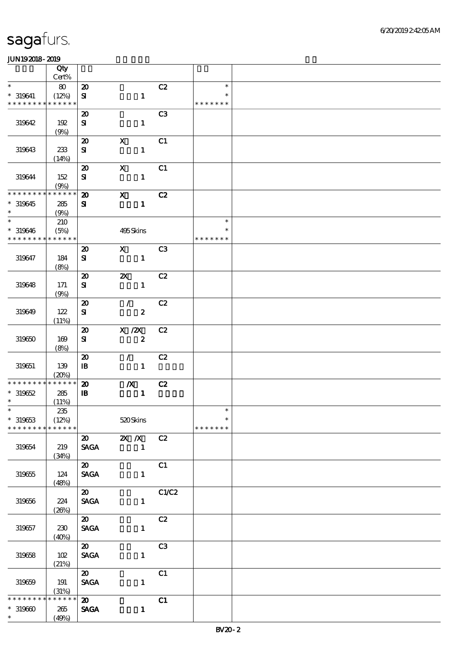|                              | Qty          |                                                         |                                           |                |               |  |
|------------------------------|--------------|---------------------------------------------------------|-------------------------------------------|----------------|---------------|--|
| $\ast$                       | $Cert\%$     |                                                         |                                           |                | $\ast$        |  |
| $* 319641$                   | 80<br>(12%)  | $\boldsymbol{\mathsf{20}}$<br>${\bf s}$                 | $\mathbf{1}$                              | C2             | $\ast$        |  |
| * * * * * * * *              | * * * * * *  |                                                         |                                           |                | * * * * * * * |  |
|                              |              | $\boldsymbol{\mathfrak{D}}$                             |                                           | C <sub>3</sub> |               |  |
| 319642                       | 192          | ${\bf S}$                                               | $\mathbf{1}$                              |                |               |  |
|                              | (9%)         |                                                         |                                           |                |               |  |
| 319643                       | 233          | $\boldsymbol{\mathbf{z}}$<br>${\bf s}$                  | $\boldsymbol{\mathrm{X}}$<br>$\mathbf{1}$ | C1             |               |  |
|                              | (14%)        |                                                         |                                           |                |               |  |
|                              |              | $\boldsymbol{\mathbf{z}}$                               | $\mathbf X$                               | C1             |               |  |
| 319644                       | 152          | $\bf S$                                                 | $\mathbf{1}$                              |                |               |  |
|                              | (9%)         |                                                         |                                           |                |               |  |
| * * * * * * * *<br>$*319645$ | * * * * * *  | $\boldsymbol{\mathbf{z}}$<br>${\bf s}$                  | $\mathbf x$<br>$\mathbf{1}$               | C2             |               |  |
| $\ast$                       | 285<br>(9%)  |                                                         |                                           |                |               |  |
| $*$                          | 210          |                                                         |                                           |                | $\ast$        |  |
| $* 319646$                   | (5%)         |                                                         | 495Skins                                  |                | $\ast$        |  |
| * * * * * * * *              | * * * * * *  |                                                         |                                           |                | * * * * * * * |  |
|                              | 184          | $\boldsymbol{\mathbf{z}}$                               | $\mathbf{x}$                              | C <sub>3</sub> |               |  |
| 319647                       | (8%)         | $\bf S$                                                 | $\mathbf{1}$                              |                |               |  |
|                              |              | $\boldsymbol{\mathfrak{D}}$                             | $\boldsymbol{\mathsf{z}}$                 | C2             |               |  |
| 319648                       | 171          | ${\bf S}$                                               | $\mathbf{1}$                              |                |               |  |
|                              | (9%)         |                                                         |                                           |                |               |  |
|                              | 122          | $\boldsymbol{\mathsf{20}}$<br>${\bf s}$                 | $\mathcal{L}$                             | C2             |               |  |
| 319649                       | (11%)        |                                                         | $\boldsymbol{z}$                          |                |               |  |
|                              |              | $\boldsymbol{\mathsf{20}}$                              | $X$ / $ZX$                                | C2             |               |  |
| 319650                       | 169          | ${\bf s}$                                               | $\boldsymbol{z}$                          |                |               |  |
|                              | (8%)         |                                                         |                                           |                |               |  |
| 319651                       | 139          | $\boldsymbol{\mathbf{z}}$<br>$\, {\bf I} \! {\bf B} \,$ | $\mathcal{L}$<br>$\mathbf{1}$             | C2             |               |  |
|                              | (20%)        |                                                         |                                           |                |               |  |
| * * * * * * * *              | * * * * * *  | $\boldsymbol{\mathfrak{D}}$                             | $\boldsymbol{X}$                          | C2             |               |  |
| $*319652$                    | 285          | ${\bf I\!B}$                                            | $\mathbf{1}$                              |                |               |  |
| $\ast$<br>$*$                | (11%)        |                                                         |                                           |                | $\ast$        |  |
| $* 319653$                   | 235<br>(12%) |                                                         | 520Skins                                  |                | $\ast$        |  |
| * * * * * * * *              | * * * * * *  |                                                         |                                           |                | * * * * * * * |  |
|                              |              | $\boldsymbol{\omega}$                                   | $\overline{X}$ X                          | C2             |               |  |
| 319654                       | 219          | <b>SAGA</b>                                             | $\sim$ 1                                  |                |               |  |
|                              | (34%)        | $\overline{\mathbf{a}}$                                 |                                           |                |               |  |
| 319655                       | 124          | <b>SAGA</b>                                             | $\mathbf{1}$                              | C1             |               |  |
|                              | (48%)        |                                                         |                                           |                |               |  |
|                              |              | $\overline{\mathbf{a}}$                                 |                                           | C1/C2          |               |  |
| 319656                       | 224          | <b>SAGA</b>                                             | $\mathbf{1}$                              |                |               |  |
|                              | (20%)        | $\boldsymbol{\mathsf{20}}$                              |                                           |                |               |  |
| 319657                       | 230          | <b>SAGA</b>                                             | $\mathbf{1}$                              | C2             |               |  |
|                              | (40%)        |                                                         |                                           |                |               |  |
|                              |              | $\boldsymbol{\omega}$                                   |                                           | C3             |               |  |
| 319658                       | 102          | $\ensuremath{\mathsf{SAGA}}$                            | $\mathbf{1}$                              |                |               |  |
|                              | (21%)        | $\boldsymbol{\omega}$                                   |                                           |                |               |  |
| 319659                       | 191          | <b>SAGA</b>                                             | $\mathbf{1}$                              | C1             |               |  |
|                              | (31%)        |                                                         |                                           |                |               |  |
| * * * * * * *                | * * * * * *  | $\boldsymbol{\omega}$                                   |                                           | C1             |               |  |
| $*319600$                    | 265          | <b>SAGA</b>                                             | $\mathbf{1}$                              |                |               |  |
| $\ast$                       | (49%)        |                                                         |                                           |                |               |  |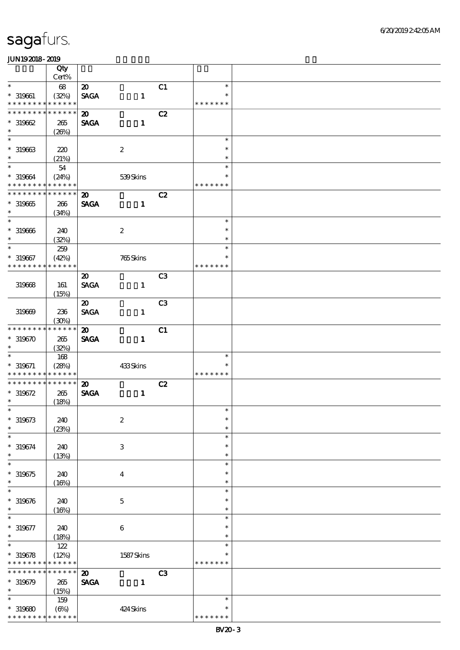|                                           | Qty                  |                                            |                           |                |                         |  |
|-------------------------------------------|----------------------|--------------------------------------------|---------------------------|----------------|-------------------------|--|
|                                           | Cert%                |                                            |                           |                |                         |  |
| $\ast$                                    | 68                   | $\boldsymbol{\mathfrak{D}}$                |                           | C1             | $\ast$                  |  |
| $* 319661$<br>* * * * * * * *             | (32%)<br>* * * * * * | <b>SAGA</b>                                | $\mathbf{1}$              |                | $\ast$<br>* * * * * * * |  |
| * * * * * * *<br>∗                        | * * * * * *          | $\boldsymbol{\mathfrak{D}}$                |                           | C2             |                         |  |
| $*319662$                                 | 265                  | <b>SAGA</b>                                | $\mathbf{1}$              |                |                         |  |
| $\ast$                                    | (20%)                |                                            |                           |                |                         |  |
| $\ast$                                    |                      |                                            |                           |                | $\ast$                  |  |
| $* 319663$                                | 220                  |                                            | $\boldsymbol{2}$          |                | $\ast$                  |  |
| $\ast$                                    | (21%)                |                                            |                           |                | $\ast$                  |  |
| $\ast$                                    | $54\,$               |                                            |                           |                | $\ast$                  |  |
| $* 319664$                                | (24%)                |                                            | 539Skins                  |                | $\ast$                  |  |
| * * * * * * * * * * * * * *               |                      |                                            |                           |                | * * * * * * *           |  |
| * * * * * * * * * * * * * *               |                      | $\boldsymbol{\mathfrak{D}}$                |                           | C2             |                         |  |
| $*319665$                                 | 266                  | <b>SAGA</b>                                | $\mathbf{1}$              |                |                         |  |
| $\ast$                                    | (34%)                |                                            |                           |                |                         |  |
| $\ast$                                    |                      |                                            |                           |                | $\ast$                  |  |
| $* 319666$                                | 240                  |                                            | $\boldsymbol{2}$          |                | $\ast$                  |  |
| $\ast$                                    | (32%)                |                                            |                           |                | $\ast$                  |  |
| $\ast$                                    | 259                  |                                            |                           |                | $\ast$                  |  |
| $* 319667$                                | (42%)                |                                            | 765Skins                  |                | $\ast$                  |  |
| * * * * * * * *                           | * * * * * *          |                                            |                           |                | * * * * * * *           |  |
|                                           |                      | $\boldsymbol{\mathfrak{D}}$                |                           | C <sub>3</sub> |                         |  |
| 319668                                    | 161                  | <b>SAGA</b>                                | $\mathbf{1}$              |                |                         |  |
|                                           | (15%)                |                                            |                           |                |                         |  |
|                                           |                      | $\boldsymbol{\mathfrak{D}}$                |                           | C <sub>3</sub> |                         |  |
| 319669                                    | 236                  | <b>SAGA</b>                                | $\mathbf{1}$              |                |                         |  |
|                                           | (30%)                |                                            |                           |                |                         |  |
| * * * * * * * *                           | $***$ * * * *        | $\boldsymbol{\mathfrak{D}}$                |                           | C1             |                         |  |
| $*319670$                                 | $265\,$              | <b>SAGA</b>                                | $\mathbf{1}$              |                |                         |  |
| $\ast$                                    | (32%)                |                                            |                           |                |                         |  |
| $\ast$                                    | 168                  |                                            |                           |                | $\ast$                  |  |
| $* 319671$<br>* * * * * * * * * * * * * * | (28%)                |                                            | 433Skins                  |                | $\ast$                  |  |
| * * * * * * * * * * * * * *               |                      |                                            |                           |                | * * * * * * *           |  |
| $* 319672$                                | 265                  | $\boldsymbol{\mathfrak{D}}$<br><b>SAGA</b> | $\mathbf{1}$              | C2             |                         |  |
| $\ast$                                    | (18%)                |                                            |                           |                |                         |  |
| $*$                                       |                      |                                            |                           |                | $\ast$                  |  |
| $* 319673$                                | 240                  |                                            | $\boldsymbol{2}$          |                | $\ast$                  |  |
| $\ast$                                    | (23%)                |                                            |                           |                | $\ast$                  |  |
| $\ast$                                    |                      |                                            |                           |                | $\ast$                  |  |
| $* 319674$                                | 240                  |                                            | $\ensuremath{\mathbf{3}}$ |                | $\ast$                  |  |
| $\ast$                                    | (13%)                |                                            |                           |                | $\ast$                  |  |
| $\ast$                                    |                      |                                            |                           |                | $\ast$                  |  |
| $*319675$                                 | 240                  |                                            | $\boldsymbol{4}$          |                | $\ast$                  |  |
| $\ast$                                    | (16%)                |                                            |                           |                | $\ast$                  |  |
| $\ast$                                    |                      |                                            |                           |                | $\ast$                  |  |
| $* 319676$                                | 240                  |                                            | $\mathbf 5$               |                | $\ast$                  |  |
| $\ast$                                    | (16%)                |                                            |                           |                | $\ast$                  |  |
| $\ast$                                    |                      |                                            |                           |                | $\ast$                  |  |
| $* 319677$                                | 240                  |                                            | $\boldsymbol{6}$          |                | $\ast$                  |  |
| $\ast$                                    | (18%)                |                                            |                           |                | $\ast$                  |  |
| $\ast$                                    | 122                  |                                            |                           |                | $\ast$                  |  |
| $* 319678$                                | (12%)                |                                            | 1587Skins                 |                | $\ast$                  |  |
| * * * * * * * * * * * * * *               |                      |                                            |                           |                | * * * * * * *           |  |
| * * * * * * *                             | * * * * * *          | $\boldsymbol{\mathfrak{D}}$                |                           | C3             |                         |  |
| $*319679$                                 | 265                  | <b>SAGA</b>                                | $\mathbf{1}$              |                |                         |  |
| $\ast$                                    | (15%)                |                                            |                           |                |                         |  |
| $\ast$                                    | 159                  |                                            |                           |                | $\ast$                  |  |
| $*319680$                                 | $(\Theta)$           |                                            | 424Skins                  |                | $\ast$                  |  |
| * * * * * * * *                           | * * * * * *          |                                            |                           |                | * * * * * * *           |  |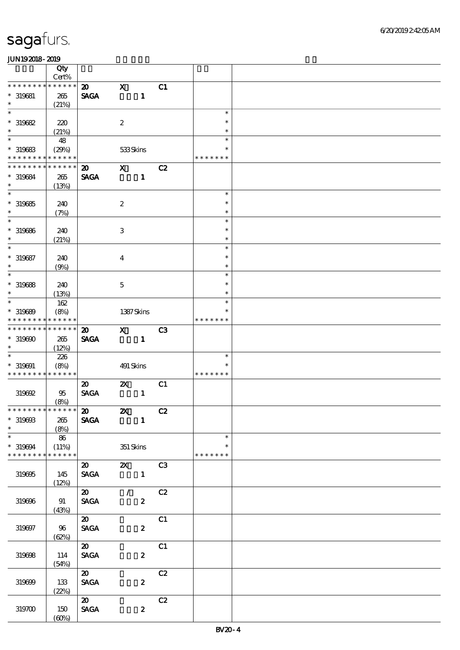|                             | Qty<br>Cert%    |                                |                           |                             |                |               |  |
|-----------------------------|-----------------|--------------------------------|---------------------------|-----------------------------|----------------|---------------|--|
| * * * * * * *               | * * * * * *     | $\boldsymbol{\mathfrak{D}}$    | $\mathbf x$               |                             | C1             |               |  |
| $*$ 319681                  | 265             | <b>SAGA</b>                    |                           | $\mathbf{1}$                |                |               |  |
| $\ast$                      | (21%)           |                                |                           |                             |                |               |  |
| $\ast$                      |                 |                                |                           |                             |                | $\ast$        |  |
| $*319682$                   | 220             |                                | $\boldsymbol{2}$          |                             |                | $\ast$        |  |
| $\ast$                      | (21%)           |                                |                           |                             |                | $\ast$        |  |
| $\ast$                      |                 |                                |                           |                             |                | $\ast$        |  |
|                             | 48              |                                |                           |                             |                |               |  |
| $*$ 319683                  | (29%)           |                                | 533Skins                  |                             |                | *             |  |
| * * * * * * * * * * * * * * |                 |                                |                           |                             |                | * * * * * * * |  |
| * * * * * * * *             | * * * * * *     | $\boldsymbol{\mathfrak{D}}$    | $\mathbf{x}$              |                             | C2             |               |  |
| * 319684                    | 265             | <b>SAGA</b>                    |                           | $\mathbf{1}$                |                |               |  |
| $\ast$                      | (13%)           |                                |                           |                             |                |               |  |
| $\overline{\phantom{0}}$    |                 |                                |                           |                             |                | $\ast$        |  |
|                             |                 |                                |                           |                             |                |               |  |
| $* 319685$                  | 240             |                                | $\boldsymbol{2}$          |                             |                | $\ast$        |  |
| $\ast$                      | (7%)            |                                |                           |                             |                | $\ast$        |  |
| $\ast$                      |                 |                                |                           |                             |                | $\ast$        |  |
| $* 319686$                  | 240             |                                | $\,3$                     |                             |                | $\ast$        |  |
| $\ast$                      | (21%)           |                                |                           |                             |                | $\ast$        |  |
| $\ast$                      |                 |                                |                           |                             |                | $\ast$        |  |
|                             |                 |                                |                           |                             |                | $\ast$        |  |
| $* 319687$                  | 240             |                                | $\overline{4}$            |                             |                |               |  |
| $\ast$                      | (9%)            |                                |                           |                             |                | $\ast$        |  |
| $\ast$                      |                 |                                |                           |                             |                | $\ast$        |  |
| $* 319688$                  | 240             |                                | $\mathbf 5$               |                             |                | $\ast$        |  |
| $\ast$                      | (13%)           |                                |                           |                             |                | $\ast$        |  |
| $\ast$                      | 162             |                                |                           |                             |                | $\ast$        |  |
|                             |                 |                                |                           |                             |                |               |  |
| $* 319689$                  | (8%)            |                                |                           | 1387Skins                   |                |               |  |
| * * * * * * * * * * * * * * |                 |                                |                           |                             |                | * * * * * * * |  |
| * * * * * * * *             | $* * * * * * *$ | $\boldsymbol{\mathfrak{D}}$    | $\mathbf{x}$              |                             | C <sub>3</sub> |               |  |
| $*319600$                   | 265             | <b>SAGA</b>                    |                           | $\mathbf{1}$                |                |               |  |
| $\ast$                      | (12%)           |                                |                           |                             |                |               |  |
| $\ast$                      | 226             |                                |                           |                             |                | $\ast$        |  |
|                             |                 |                                |                           |                             |                | $\ast$        |  |
| $* 319691$                  | (8%)            |                                | 491 Skins                 |                             |                |               |  |
| * * * * * * * * * * * * * * |                 |                                |                           |                             |                | * * * * * * * |  |
|                             |                 | $\boldsymbol{\mathsf{20}}$     | $\boldsymbol{\mathsf{Z}}$ |                             | C1             |               |  |
| 319692                      | 95              | <b>SAGA</b>                    |                           | $\mathbf{1}$                |                |               |  |
|                             | (8%)            |                                |                           |                             |                |               |  |
| * * * * * * * * * * * * * * |                 | $\boldsymbol{\omega}$          | $\mathbf{x}$              |                             | C2             |               |  |
| $* 31960B$                  | $265\,$         | <b>SAGA</b>                    |                           | $\blacksquare$              |                |               |  |
| $\ast$                      |                 |                                |                           |                             |                |               |  |
|                             | (8%)            |                                |                           |                             |                |               |  |
| $\ast$                      | 86              |                                |                           |                             |                | $\ast$        |  |
| $*319694$                   | (11%)           |                                | $351$ Skins               |                             |                | $\ast$        |  |
| * * * * * * * *             | * * * * * *     |                                |                           |                             |                | * * * * * * * |  |
|                             |                 | $\boldsymbol{\mathsf{20}}$     |                           | <b>2X</b> C3                |                |               |  |
| 319695                      | 145             | <b>SAGA</b>                    |                           | $\blacksquare$              |                |               |  |
|                             | (12%)           |                                |                           |                             |                |               |  |
|                             |                 | $\boldsymbol{\mathsf{20}}$     |                           |                             |                |               |  |
|                             |                 |                                |                           | $\mathcal{T} = \mathcal{I}$ | C2             |               |  |
| 319696                      | 91              | <b>SAGA</b>                    |                           | $\boldsymbol{2}$            |                |               |  |
|                             | (43%)           |                                |                           |                             |                |               |  |
|                             |                 | $\boldsymbol{\omega}$          |                           |                             | C1             |               |  |
| 319697                      | 96              | $\operatorname{\mathbf{SAGA}}$ |                           | $\boldsymbol{z}$            |                |               |  |
|                             | (62%)           |                                |                           |                             |                |               |  |
|                             |                 | $\boldsymbol{\mathfrak{D}}$    |                           |                             |                |               |  |
|                             |                 |                                |                           |                             | C1             |               |  |
| 319698                      | 114             | $\ensuremath{\mathsf{SAGA}}$   |                           | $\boldsymbol{z}$            |                |               |  |
|                             | (54%)           |                                |                           |                             |                |               |  |
|                             |                 | $\boldsymbol{\mathfrak{D}}$    |                           |                             | C2             |               |  |
| 319699                      | 133             | $\pmb{\text{SAGA}}$            |                           | $\boldsymbol{z}$            |                |               |  |
|                             | (22%)           |                                |                           |                             |                |               |  |
|                             |                 | $\boldsymbol{\mathfrak{D}}$    |                           |                             | C2             |               |  |
|                             |                 |                                |                           |                             |                |               |  |
| 319700                      | 150             | $\operatorname{\mathsf{SAGA}}$ |                           | $\boldsymbol{z}$            |                |               |  |
|                             | (60%)           |                                |                           |                             |                |               |  |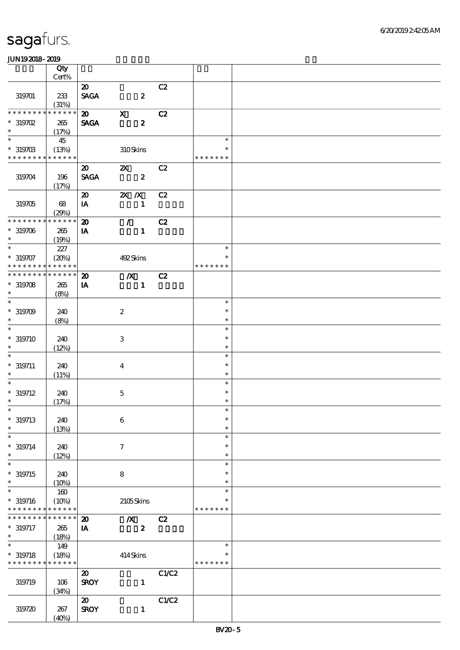|                                            | Qty                  |                                            |                         |                  |       |                  |  |
|--------------------------------------------|----------------------|--------------------------------------------|-------------------------|------------------|-------|------------------|--|
|                                            | Cert%                |                                            |                         |                  |       |                  |  |
| 319701                                     | 233                  | $\boldsymbol{\mathfrak{D}}$<br><b>SAGA</b> |                         | $\boldsymbol{z}$ | C2    |                  |  |
|                                            | (31%)                |                                            |                         |                  |       |                  |  |
| * * * * * * *<br>$*$ 319702                | * * * * * *          | $\boldsymbol{\mathfrak{D}}$                | $\mathbf X$             |                  | C2    |                  |  |
| $\ast$                                     | 265<br>(17%)         | <b>SAGA</b>                                |                         | $\boldsymbol{z}$ |       |                  |  |
| $\ast$                                     | 45                   |                                            |                         |                  |       | $\ast$           |  |
| $*319703$                                  | (13%)                |                                            | 310Skins                |                  |       | $\ast$           |  |
| * * * * * * * * <mark>* * * * * *</mark> * |                      |                                            |                         |                  |       | * * * * * * *    |  |
| 319704                                     | 196                  | $\boldsymbol{\mathfrak{D}}$<br><b>SAGA</b> | $\mathbf{x}$            | $\boldsymbol{z}$ | C2    |                  |  |
|                                            | (17%)                |                                            |                         |                  |       |                  |  |
|                                            |                      | $\boldsymbol{\mathfrak{D}}$                | $X$ $X$                 |                  | C2    |                  |  |
| 319705                                     | 68                   | IA                                         |                         | $\mathbf{1}$     |       |                  |  |
| * * * * * * * *                            | (29%)<br>* * * * * * | $\boldsymbol{\mathbf{z}}$                  | $\mathcal{L}$           |                  | C2    |                  |  |
|                                            |                      |                                            |                         |                  |       |                  |  |
| $*319706$<br>$\ast$                        | 265<br>(19%)         | IA                                         |                         | $\mathbf{1}$     |       |                  |  |
| $\overline{\phantom{0}}$                   | 227                  |                                            |                         |                  |       | $\ast$           |  |
| $* 319707$                                 | (20%)                |                                            | 492Skins                |                  |       | $\ast$           |  |
| * * * * * * * *                            | * * * * * *          |                                            |                         |                  |       | * * * * * * *    |  |
| * * * * * * * *                            | * * * * * *          | $\boldsymbol{\mathfrak{D}}$                | $\overline{X}$          |                  | C2    |                  |  |
| $*319708$<br>$\ast$                        | 265                  | IA                                         |                         | $\mathbf{1}$     |       |                  |  |
| $\ast$                                     | (8%)                 |                                            |                         |                  |       | $\ast$           |  |
| $*319709$                                  | 240                  |                                            | $\boldsymbol{2}$        |                  |       | $\ast$           |  |
| $\ast$                                     | (8%)                 |                                            |                         |                  |       | $\ast$           |  |
| $\ast$                                     |                      |                                            |                         |                  |       | $\ast$           |  |
| $* 319710$                                 | 240                  |                                            | $\,3$                   |                  |       | $\ast$           |  |
| $\ast$                                     | (12%)                |                                            |                         |                  |       | $\ast$           |  |
| $\ast$                                     |                      |                                            |                         |                  |       | $\ast$           |  |
| $* 319711$                                 | 240                  |                                            | $\overline{\mathbf{4}}$ |                  |       | $\ast$           |  |
| $\ast$                                     | (11%)                |                                            |                         |                  |       | $\ast$           |  |
|                                            |                      |                                            |                         |                  |       | $\ast$           |  |
| $* 319712$<br>$\ast$                       | 240                  |                                            | $\mathbf 5$             |                  |       | $\ast$<br>$\ast$ |  |
| $*$                                        | (17%)                |                                            |                         |                  |       | $\ast$           |  |
| $*319713$                                  | 240                  |                                            | $\bf 6$                 |                  |       | $\ast$           |  |
| $\ast$                                     | (13%)                |                                            |                         |                  |       | $\ast$           |  |
| $\ast$                                     |                      |                                            |                         |                  |       | $\ast$           |  |
| $* 319714$                                 | 240                  |                                            | $\boldsymbol{\tau}$     |                  |       | $\ast$           |  |
| $\ast$                                     | (12%)                |                                            |                         |                  |       | $\ast$           |  |
| $\ast$                                     |                      |                                            |                         |                  |       | $\ast$           |  |
| $* 319715$<br>$\ast$                       | 240                  |                                            | 8                       |                  |       | $\ast$<br>$\ast$ |  |
| $\ast$                                     | (10%)                |                                            |                         |                  |       | $\ast$           |  |
| $* 319716$                                 | 160<br>(10%)         |                                            | 2105Skins               |                  |       |                  |  |
| * * * * * * * *                            | * * * * * *          |                                            |                         |                  |       | * * * * * * *    |  |
| * * * * * * *                              | * * * * * *          | $\boldsymbol{\mathbf{Z}}$                  | $\boldsymbol{X}$        |                  | C2    |                  |  |
| $* 319717$                                 | 265                  | IA                                         |                         | $\boldsymbol{z}$ |       |                  |  |
| $\ast$                                     | (18%)                |                                            |                         |                  |       |                  |  |
|                                            | 149                  |                                            |                         |                  |       | $\ast$           |  |
| $* 319718$                                 | (18%)                |                                            | 414Skins                |                  |       |                  |  |
| * * * * * * * * * * * * * *                |                      |                                            |                         |                  |       | * * * * * * *    |  |
|                                            |                      | $\boldsymbol{\mathfrak{D}}$                |                         |                  | C1/C2 |                  |  |
| 319719                                     | 106                  | <b>SROY</b>                                |                         | $\mathbf{1}$     |       |                  |  |
|                                            | (34%)                |                                            |                         |                  |       |                  |  |
|                                            |                      | $\boldsymbol{\mathfrak{D}}$                |                         |                  | C1/C2 |                  |  |
| 319720                                     | 267<br>(40%)         | <b>SROY</b>                                |                         | $\mathbf{1}$     |       |                  |  |
|                                            |                      |                                            |                         |                  |       |                  |  |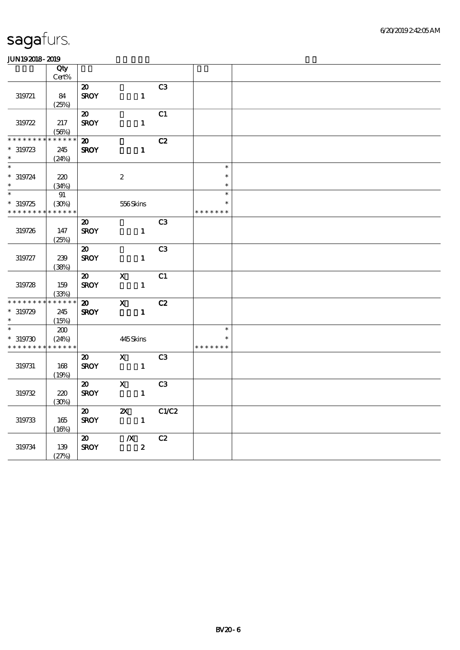| .                                        |              |                             |                           |                |               |  |
|------------------------------------------|--------------|-----------------------------|---------------------------|----------------|---------------|--|
|                                          | Qty<br>Cert% |                             |                           |                |               |  |
|                                          |              |                             |                           |                |               |  |
|                                          |              | $\boldsymbol{\mathsf{20}}$  |                           | C3             |               |  |
| 319721                                   | 84           | <b>SROY</b>                 | $\mathbf{1}$              |                |               |  |
|                                          | (25%)        |                             |                           |                |               |  |
|                                          |              | $\boldsymbol{\mathfrak{D}}$ |                           | C1             |               |  |
| 319722                                   | 217          | <b>SROY</b>                 | $\mathbf{1}$              |                |               |  |
|                                          | (56%)        |                             |                           |                |               |  |
| * * * * * * *                            | * * * * * *  | $\boldsymbol{\omega}$       |                           | C2             |               |  |
| $*319723$                                | 245          | <b>SROY</b>                 | $\mathbf{1}$              |                |               |  |
| $\ast$                                   | (24%)        |                             |                           |                |               |  |
| $\overline{\phantom{a}^*}$               |              |                             |                           |                | $\ast$        |  |
| $* 319724$                               | 220          |                             | $\boldsymbol{2}$          |                | $\ast$        |  |
| $\ast$                                   | (34%)        |                             |                           |                | $\ast$        |  |
| $\ast$                                   |              |                             |                           |                | $\ast$        |  |
|                                          | 91           |                             |                           |                | $\ast$        |  |
| $*319725$                                | (30%)        |                             | 556Skins                  |                |               |  |
| * * * * * * * *                          | * * * * * *  |                             |                           |                | * * * * * * * |  |
|                                          |              | $\boldsymbol{\mathfrak{D}}$ |                           | C <sub>3</sub> |               |  |
| 319726                                   | 147          | <b>SROY</b>                 | $\mathbf{1}$              |                |               |  |
|                                          | (25%)        |                             |                           |                |               |  |
|                                          |              | $\boldsymbol{\mathfrak{D}}$ |                           | C <sub>3</sub> |               |  |
| 319727                                   | 239          | <b>SROY</b>                 | $\mathbf{1}$              |                |               |  |
|                                          | (38%)        |                             |                           |                |               |  |
|                                          |              | $\boldsymbol{\mathfrak{D}}$ | $\boldsymbol{\mathrm{X}}$ | C1             |               |  |
| 319728                                   | 159          | <b>SROY</b>                 | $\mathbf{1}$              |                |               |  |
|                                          | (33%)        |                             |                           |                |               |  |
| * * * * * * * *                          | $******$     | $\boldsymbol{\mathsf{20}}$  | $\mathbf{x}$              | C2             |               |  |
| $*319729$                                | 245          | <b>SROY</b>                 | $\mathbf{1}$              |                |               |  |
| $\ast$                                   |              |                             |                           |                |               |  |
| $\ast$                                   | (15%)        |                             |                           |                | $\ast$        |  |
|                                          | 200          |                             |                           |                |               |  |
| $*319730$                                | (24%)        |                             | 445Skins                  |                | $\ast$        |  |
| * * * * * * * * <mark>* * * * * *</mark> |              |                             |                           |                | * * * * * * * |  |
|                                          |              | $\boldsymbol{\mathfrak{D}}$ | $\mathbf{X}$              | C <sub>3</sub> |               |  |
| 319731                                   | 168          | <b>SROY</b>                 | $\mathbf{1}$              |                |               |  |
|                                          | (19%)        |                             |                           |                |               |  |
|                                          |              | $\boldsymbol{\mathfrak{D}}$ | $\mathbf x$               | C <sub>3</sub> |               |  |
| 319732                                   | 220          | <b>SROY</b>                 | $\mathbf{1}$              |                |               |  |
|                                          | (30%)        |                             |                           |                |               |  |
|                                          |              | $\boldsymbol{\mathfrak{D}}$ | $\boldsymbol{\mathsf{Z}}$ | C1/C2          |               |  |
| 319733                                   | 165          | <b>SROY</b>                 | $\mathbf{1}$              |                |               |  |
|                                          | (16%)        |                             |                           |                |               |  |
|                                          |              | $\boldsymbol{\omega}$       | $\boldsymbol{X}$          | C2             |               |  |
| 319734                                   | 139          | <b>SROY</b>                 | $\boldsymbol{2}$          |                |               |  |
|                                          |              |                             |                           |                |               |  |
|                                          | (27%)        |                             |                           |                |               |  |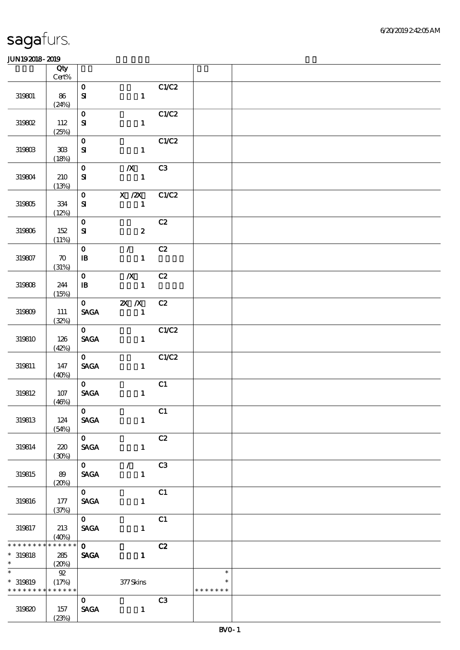|                      | Qty<br>$Cert\%$             |                                |                                  |       |               |  |
|----------------------|-----------------------------|--------------------------------|----------------------------------|-------|---------------|--|
|                      |                             |                                |                                  |       |               |  |
| 319801               | 86                          | $\mathbf{O}$<br>$\mathbf{S}$   | $\mathbf{1}$                     | C1/C2 |               |  |
|                      | (24%)                       |                                |                                  |       |               |  |
| 319802               | 112                         | $\mathbf{O}$<br>${\bf S}$      | $\mathbf{1}$                     | C1/C2 |               |  |
|                      | (25%)                       |                                |                                  |       |               |  |
| 319803               | $30\!\!\!\;\mathrm{B}$      | $\mathbf{o}$<br>${\bf s}$      | $\mathbf{1}$                     | C1/C2 |               |  |
|                      | (18%)                       |                                |                                  |       |               |  |
| 319804               | 210                         | $\mathbf{O}$<br>${\bf s}$      | $\mathbf{X}$<br>$\mathbf{1}$     | C3    |               |  |
|                      | (13%)                       |                                |                                  |       |               |  |
| 319805               | $334\,$                     | $\mathbf{O}$<br>${\bf s}$      | $X / ZX$ $C1/C2$<br>$\mathbf{1}$ |       |               |  |
|                      | (12%)                       | $\mathbf{o}$                   |                                  | C2    |               |  |
| 319806               | 152<br>(11%)                | ${\bf S\!I}$                   | $\boldsymbol{z}$                 |       |               |  |
|                      |                             | $\mathbf{O}$                   | $\mathcal{T} = \mathcal{I}$      | C2    |               |  |
| 319807               | $\boldsymbol{\pi}$<br>(31%) | $\, {\bf I} \! {\bf B} \,$     | $\mathbf{1}$                     |       |               |  |
|                      |                             | $\mathbf{O}$                   | $\boldsymbol{X}$                 | C2    |               |  |
| 319808               | 244<br>(15%)                | $\mathbf{B}$                   | $\mathbf{1}$                     |       |               |  |
|                      |                             |                                | $0$ 2X $\chi$                    | C2    |               |  |
| 319809               | 111<br>(32%)                | <b>SAGA</b>                    | $\mathbf{1}$                     |       |               |  |
|                      |                             | $\mathbf{0}$                   |                                  | C1/C2 |               |  |
| 319810               | 126<br>(42%)                | <b>SAGA</b>                    | $\mathbf{1}$                     |       |               |  |
|                      |                             | $\mathbf{0}$                   |                                  | C1/C2 |               |  |
| 319811               | 147<br>(40%)                | $\operatorname{\mathbf{SAGA}}$ | $\mathbf{1}$                     |       |               |  |
|                      |                             | $\mathbf{O}$                   |                                  | C1    |               |  |
| 319812               | $107$<br>(46%)              | <b>SAGA</b>                    | $\mathbf{1}$                     |       |               |  |
|                      |                             | $\mathbf{O}$                   |                                  | C1    |               |  |
| 319813               | 124<br>(54%)                | <b>SAGA</b>                    | $\mathbf{1}$                     |       |               |  |
|                      |                             | $\overline{\mathbf{o}}$        |                                  | C2    |               |  |
| 319814               | 220<br>(30%)                | <b>SAGA</b>                    | $\mathbf{1}$                     |       |               |  |
|                      |                             | $\overline{\mathbf{0}}$        | $\mathcal{T}=\mathcal{I}$        | C3    |               |  |
| 319815               | 89<br>(20%)                 | <b>SAGA</b>                    | $\mathbf{1}$                     |       |               |  |
|                      |                             | $\mathbf{O}$                   |                                  | C1    |               |  |
| 319816               | 177<br>(37%)                | <b>SAGA</b>                    | $\mathbf{1}$                     |       |               |  |
|                      |                             | $\mathbf{O}$                   |                                  | C1    |               |  |
| 319817               | 213<br>(40%)                | <b>SAGA</b>                    | $\mathbf{1}$                     |       |               |  |
| * * * * * * * *      | * * * * * *                 | $\mathbf{O}$                   |                                  | C2    |               |  |
| $*$ 319818<br>$\ast$ | 285<br>(20%)                | <b>SAGA</b>                    | $\mathbf{1}$                     |       |               |  |
| $\overline{\ast}$    | 92                          |                                |                                  |       | $\ast$        |  |
| $*$ 319819           | (17%)                       |                                | 377Skins                         |       | $\ast$        |  |
| * * * * * * * *      | * * * * * *                 |                                |                                  |       | * * * * * * * |  |
|                      |                             | $\mathbf{O}$                   |                                  | C3    |               |  |
| 319820               | 157<br>(23%)                | <b>SAGA</b>                    | $\mathbf{1}$                     |       |               |  |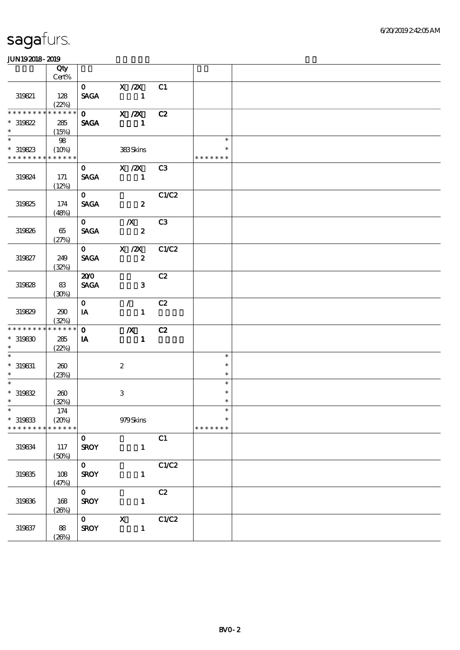#### 6/20/2019 2:42:05 AM

# sagafurs.

|                                    | Qty<br>Cert% |              |                           |       |               |  |
|------------------------------------|--------------|--------------|---------------------------|-------|---------------|--|
|                                    |              |              | 0 X /2X C1                |       |               |  |
|                                    |              |              |                           |       |               |  |
| 319821                             | 128          |              | SAGA 1                    |       |               |  |
| * * * * * * * * * * * * * *        | (22%)        |              |                           |       |               |  |
|                                    |              |              | 0 X /2X C2                |       |               |  |
| $*319822$                          | 285          | <b>SAGA</b>  |                           |       |               |  |
| $\ast$<br>$\overline{\phantom{0}}$ | (15%)        |              |                           |       |               |  |
|                                    | 98           |              |                           |       | $\ast$        |  |
| $*319823$                          | (10%)        |              | 383Skins                  |       | $\ast$        |  |
| * * * * * * * * * * * * * *        |              |              |                           |       | * * * * * * * |  |
|                                    |              | $\mathbf{0}$ | $X / ZX$ C3               |       |               |  |
| 319824                             | 171          | <b>SAGA</b>  |                           |       |               |  |
|                                    | (12%)        |              |                           |       |               |  |
|                                    |              | $\mathbf{0}$ |                           | C1/C2 |               |  |
| 319825                             | 174          | <b>SAGA</b>  | $\overline{\mathbf{2}}$   |       |               |  |
|                                    | (48%)        |              |                           |       |               |  |
|                                    |              |              | $0$ $/$                   | C3    |               |  |
| 319826                             | 65           | <b>SAGA</b>  | $\overline{\mathbf{z}}$   |       |               |  |
|                                    | (27%)        |              |                           |       |               |  |
|                                    |              |              | 0 X /2X C1/C2             |       |               |  |
| 319827                             | 249          | <b>SACA</b>  | $\overline{\mathbf{z}}$   |       |               |  |
|                                    | (32%)        |              |                           |       |               |  |
|                                    |              | 200          |                           | C2    |               |  |
| 319828                             | 83           | <b>SAGA</b>  | $\sim$ 3                  |       |               |  |
|                                    |              |              |                           |       |               |  |
|                                    | (30%)        | $\mathbf{0}$ | $\sqrt{C^2}$              |       |               |  |
|                                    |              |              |                           |       |               |  |
| 319829                             | 290          | IA           | $\mathbf{1}$              |       |               |  |
| * * * * * * * * * * * * * *        | (32%)        | $\mathbf{O}$ |                           |       |               |  |
|                                    |              |              | $\mathbf{X}$              | C2    |               |  |
| $^*$ 319830 $\,$<br>$\ast$         | 285          | <b>IA</b>    | $\blacksquare$            |       |               |  |
| $\ast$                             | (22%)        |              |                           |       |               |  |
|                                    |              |              |                           |       | $\ast$        |  |
| $*$ 319831                         | 260          |              | $\boldsymbol{2}$          |       | $\ast$        |  |
| $\ast$                             | (23%)        |              |                           |       | $\ast$        |  |
| $\ast$                             |              |              |                           |       | $\ast$        |  |
| $*319832$                          | 260          |              | 3                         |       | $\ast$        |  |
| $\ast$                             | (32%)        |              |                           |       | $\ast$        |  |
| $\ast$                             | 174          |              |                           |       | $\ast$        |  |
| $*$ 319833                         | (20%)        |              | 979Skins                  |       | $\ast$        |  |
| * * * * * * * *                    | * * * * * *  |              |                           |       | * * * * * * * |  |
|                                    |              | $\mathbf{o}$ |                           | C1    |               |  |
| 319834                             | 117          | <b>SROY</b>  | $\mathbf{1}$              |       |               |  |
|                                    | (50%)        |              |                           |       |               |  |
|                                    |              | $\mathbf{o}$ |                           | C1/C2 |               |  |
| 319835                             | 108          | <b>SROY</b>  | $\mathbf{1}$              |       |               |  |
|                                    | (47%)        |              |                           |       |               |  |
|                                    |              | $\mathbf{O}$ |                           | C2    |               |  |
| 319836                             | 168          | <b>SROY</b>  | $\mathbf{1}$              |       |               |  |
|                                    | (20%)        |              |                           |       |               |  |
|                                    |              | $\mathbf{O}$ | $\boldsymbol{\mathrm{X}}$ | C1/C2 |               |  |
| 319837                             | 88           | <b>SROY</b>  | $\mathbf{1}$              |       |               |  |
|                                    | (20%)        |              |                           |       |               |  |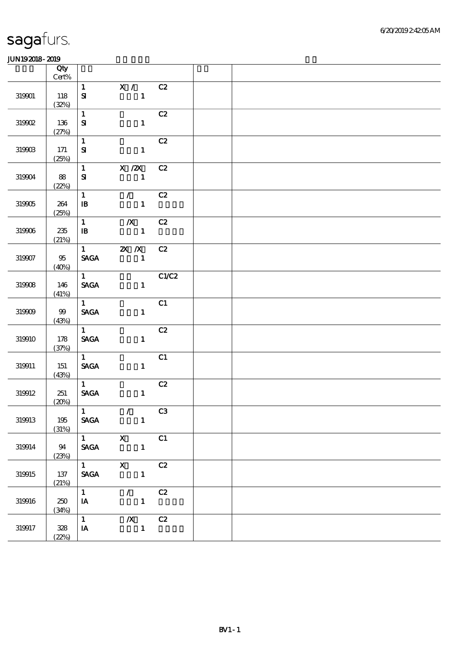|            | Qty<br>$\mbox{Cert}\%$ |                                                          |                                                                     |                |  |
|------------|------------------------|----------------------------------------------------------|---------------------------------------------------------------------|----------------|--|
| 319901     | 118<br>(32%)           | $\mathbf{1}$<br>${\bf S}$                                | X / C2<br>$\mathbf{1}$                                              |                |  |
| 319902     | 136<br>(27%)           | $\mathbf{1}$<br>${\bf S}$                                | $\mathbf{1}$                                                        | C2             |  |
| $319903\,$ | $171$<br>(25%)         | $\mathbf{1}$<br>${\bf S\!I}$                             | $\mathbf{1}$                                                        | C2             |  |
| 319904     | 88<br>(22%)            | $\mathbf{1}$<br>$\boldsymbol{\mathrm{S}}$                | $X$ / $ZX$<br>$\blacksquare$                                        | C2             |  |
| 319905     | 264<br>(25%)           | $\mathbf{1}$<br>$\, {\bf I} \! {\bf B} \,$               | $\mathcal{L}$<br>$\mathbf{1}$                                       | C2             |  |
| 319906     | 235<br>(21%)           | $\mathbf{1}$<br>$\, {\bf I} \! {\bf B} \,$               | $\boldsymbol{X}$<br>$\mathbf{1}$                                    | C2             |  |
| 319907     | $95\,$<br>(40%)        | $\mathbf{1}$<br><b>SAGA</b>                              | $\mathbb{Z}$ $\mathbb{Z}$ $\mathbb{Z}$ $\mathbb{Z}$<br>$\mathbf{1}$ | C2             |  |
| 319908     | 146<br>(41%)           | $1 -$<br><b>SAGA</b>                                     | $\mathbf{1}$                                                        | C1/C2          |  |
| $319909\,$ | $99$<br>(43%)          | 1<br><b>SAGA</b>                                         | $\mathbf{1}$                                                        | C1             |  |
| 319910     | 178<br>(37%)           | $\mathbf{1}$<br><b>SAGA</b>                              | $\mathbf{1}$                                                        | C2             |  |
| 319911     | 151<br>(43%)           | $1 -$<br>$\operatorname{\mathbf{SAGA}}$                  | $\mathbf{1}$                                                        | C1             |  |
| 319912     | 251<br>(20%)           | $1 \quad \blacksquare$<br>$\operatorname{\mathsf{SAGA}}$ | $\mathbf{1}$                                                        | C2             |  |
| 319913     | $195\,$<br>(31%)       | $\mathbf{1}$<br>$\ensuremath{\mathsf{SAGA}}$             | $\mathcal{F}$<br>$\mathbf{1}$                                       | C <sub>3</sub> |  |
| 319914     | 94<br>(23%)            | $\mathbf{1}$<br>$\operatorname{\mathsf{SAGA}}$           | $\boldsymbol{\mathrm{X}}$<br>$\mathbf{1}$                           | C1             |  |
| 319915     | $137\,$<br>(21%)       | 1<br>$\operatorname{\mathsf{SAGA}}$                      | $\mathbf X$<br>$\mathbf{1}$                                         | C2             |  |
| 319916     | 250<br>(34%)           | $\mathbf{1}$<br>$\mathbf{I} \mathbf{A}$                  | $\mathcal{L}$<br>$\mathbf{1}$                                       | C2             |  |
| 319917     | 328<br>(22%)           | $\mathbf{1}$<br>$\,$ IA                                  | $\mathbf{X}$<br>$\mathbf{1}$                                        | C2             |  |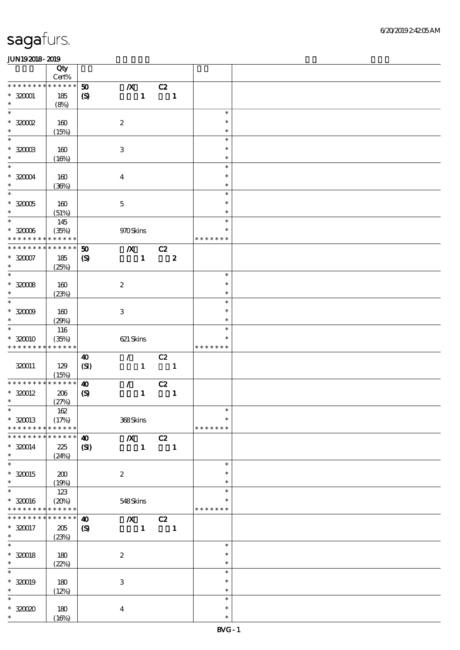|                               | Qty                  |                            |                           |              |                          |                  |                  |  |
|-------------------------------|----------------------|----------------------------|---------------------------|--------------|--------------------------|------------------|------------------|--|
|                               | $Cert\%$             |                            |                           |              |                          |                  |                  |  |
| * * * * * * * *               | * * * * * *          | 50                         | $\pmb{X}$                 |              | C2                       |                  |                  |  |
| $* 320001$<br>$\ast$          | 185<br>(8%)          | $\boldsymbol{\mathcal{S}}$ |                           | $\mathbf{1}$ |                          | $\blacksquare$   |                  |  |
| $\ast$                        |                      |                            |                           |              |                          |                  | $\ast$           |  |
| $*30002$                      | 160                  |                            | $\boldsymbol{2}$          |              |                          |                  | $\ast$           |  |
| $\ast$                        | (15%)                |                            |                           |              |                          |                  | $\ast$           |  |
| $\ast$                        |                      |                            |                           |              |                          |                  | $\ast$           |  |
| $^\ast$ 320003                | 160                  |                            | $\ensuremath{\mathbf{3}}$ |              |                          |                  | $\ast$           |  |
| $\ast$                        | (16%)                |                            |                           |              |                          |                  | $\ast$           |  |
| $\ast$                        |                      |                            |                           |              |                          |                  | $\ast$           |  |
| $*32004$                      | 160                  |                            | $\boldsymbol{4}$          |              |                          |                  | $\ast$           |  |
| $\ast$                        | (36%)                |                            |                           |              |                          |                  | $\ast$           |  |
| $\overline{\phantom{0}}$      |                      |                            |                           |              |                          |                  | $\ast$           |  |
| $*32005$                      | 160                  |                            | $\mathbf 5$               |              |                          |                  | $\ast$           |  |
| $\ast$                        | (51%)                |                            |                           |              |                          |                  | $\ast$           |  |
| $\overline{\phantom{0}}$      | 145                  |                            |                           |              |                          |                  | $\ast$           |  |
| $^\ast$ 32006                 | (35%)                |                            | 970Skins                  |              |                          |                  | $\ast$           |  |
| * * * * * * * *               | * * * * * *          |                            |                           |              |                          |                  | * * * * * * *    |  |
| * * * * * * * *               | * * * * * *          | 50                         | $\boldsymbol{X}$          |              | $\overline{c}z$          |                  |                  |  |
| $^\ast$ 320007<br>$\ast$      | 185                  | $\boldsymbol{\mathcal{S}}$ |                           | $\mathbf{1}$ |                          | $\boldsymbol{z}$ |                  |  |
| $\ast$                        | (25%)                |                            |                           |              |                          |                  | $\ast$           |  |
| $^\ast$ 32008                 | 160                  |                            |                           |              |                          |                  | $\ast$           |  |
| $\ast$                        | (23%)                |                            | $\boldsymbol{2}$          |              |                          |                  | $\ast$           |  |
| $\ast$                        |                      |                            |                           |              |                          |                  | $\ast$           |  |
| $^\ast$ 32009                 | 160                  |                            | $\ensuremath{\mathbf{3}}$ |              |                          |                  | $\ast$           |  |
| $\ast$                        | (29%)                |                            |                           |              |                          |                  | $\ast$           |  |
| $\ast$                        | 116                  |                            |                           |              |                          |                  | $\ast$           |  |
| $*320010$                     | (35%)                |                            | 621 Skins                 |              |                          |                  | *                |  |
| * * * * * * * *               | * * * * * *          |                            |                           |              |                          |                  | * * * * * * *    |  |
|                               |                      | $\boldsymbol{\omega}$      | $\mathcal{L}$             |              | C2                       |                  |                  |  |
| 320011                        | 129                  | (SI)                       |                           | $\mathbf{1}$ | $\overline{\phantom{a}}$ |                  |                  |  |
|                               | (15%)                |                            |                           |              |                          |                  |                  |  |
| * * * * * * * * * * * * * *   |                      | $\boldsymbol{\omega}$      | $\mathcal{L}$             |              | C2                       |                  |                  |  |
| $*320012$<br>$\ast$           | $206\,$              | $\pmb{\infty}$             |                           | $\mathbf{1}$ |                          | $\mathbf{1}$     |                  |  |
| $*$                           | (27%)                |                            |                           |              |                          |                  | $\ast$           |  |
|                               | $162$                |                            |                           |              |                          |                  | $\ast$           |  |
| $* 320013$<br>* * * * * * * * | (17%)<br>* * * * * * |                            | 368Skins                  |              |                          |                  | * * * * * * *    |  |
| * * * * * * *                 | * * * * * *          | $\boldsymbol{\omega}$      | $\boldsymbol{X}$          |              | C2                       |                  |                  |  |
| $*320014$                     | 225                  | $\mathbf{C}$               |                           | $\mathbf{1}$ |                          | $\mathbf{1}$     |                  |  |
| $\ast$                        | (24%)                |                            |                           |              |                          |                  |                  |  |
| $\ast$                        |                      |                            |                           |              |                          |                  | $\ast$           |  |
| $*320015$                     | 200                  |                            | $\boldsymbol{2}$          |              |                          |                  | $\ast$           |  |
| $\ast$                        | (19%)                |                            |                           |              |                          |                  | $\ast$           |  |
| $\ast$                        | 123                  |                            |                           |              |                          |                  | $\ast$           |  |
| $*320016$                     | (20%)                |                            | 548Skins                  |              |                          |                  | ∗                |  |
| * * * * * * * *               | * * * * * *          |                            |                           |              |                          |                  | * * * * * * *    |  |
| * * * * * * *                 | * * * * * *          | $\boldsymbol{\omega}$      | $\boldsymbol{X}$          |              | C2                       |                  |                  |  |
| * 320017                      | 205                  | $\boldsymbol{\mathcal{S}}$ |                           | $\mathbf{1}$ |                          | $\mathbf{1}$     |                  |  |
| $\ast$<br>$\overline{\ast}$   | (23%)                |                            |                           |              |                          |                  |                  |  |
|                               |                      |                            |                           |              |                          |                  | $\ast$           |  |
| $* 320018$<br>$\ast$          | 180                  |                            | $\boldsymbol{2}$          |              |                          |                  | $\ast$<br>$\ast$ |  |
| $\ast$                        | (22%)                |                            |                           |              |                          |                  | $\ast$           |  |
| $* 320019$                    |                      |                            |                           |              |                          |                  | $\ast$           |  |
|                               |                      |                            |                           |              |                          |                  |                  |  |
|                               | 180                  |                            | $\,3$                     |              |                          |                  |                  |  |
| $\ast$<br>$\ast$              | (12%)                |                            |                           |              |                          |                  | $\ast$<br>$\ast$ |  |
| $\hspace{0.1cm}^*$ 330020     | 180                  |                            | $\boldsymbol{4}$          |              |                          |                  | $\ast$           |  |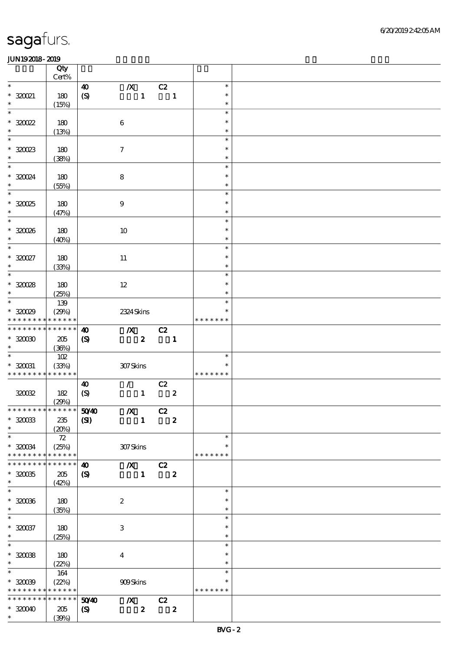|                                    | Qty<br>Cert% |                             |                               |                  |                          |                         |               |  |
|------------------------------------|--------------|-----------------------------|-------------------------------|------------------|--------------------------|-------------------------|---------------|--|
| $\ast$                             |              |                             |                               |                  |                          |                         |               |  |
|                                    |              | 40                          | $\boldsymbol{X}$              |                  | C2                       |                         | $\ast$        |  |
| $*32021$                           | 180          | $\boldsymbol{S}$            |                               | $\mathbf 1$      | $\overline{\mathbf{1}}$  |                         | $\ast$        |  |
| $\ast$                             | (15%)        |                             |                               |                  |                          |                         | $\ast$        |  |
| $\overline{\ast}$                  |              |                             |                               |                  |                          |                         | $\ast$        |  |
| $*320022$                          | 180          |                             | $\,6\,$                       |                  |                          |                         | $\ast$        |  |
| $\ast$                             | (13%)        |                             |                               |                  |                          |                         | $\ast$        |  |
| $\ast$                             |              |                             |                               |                  |                          |                         | $\ast$        |  |
|                                    |              |                             |                               |                  |                          |                         |               |  |
| $*32023$                           | 180          |                             | $\boldsymbol{\tau}$           |                  |                          |                         | $\ast$        |  |
| $\ast$                             | (38%)        |                             |                               |                  |                          |                         | $\ast$        |  |
| $\ast$                             |              |                             |                               |                  |                          |                         | $\ast$        |  |
| $*320024$                          | 180          |                             | $\bf8$                        |                  |                          |                         | $\ast$        |  |
| $\ast$                             | (55%)        |                             |                               |                  |                          |                         | $\ast$        |  |
| $\overline{\phantom{0}}$           |              |                             |                               |                  |                          |                         | $\ast$        |  |
| $*30025$                           |              |                             |                               |                  |                          |                         | $\ast$        |  |
|                                    | 180          |                             | $\boldsymbol{9}$              |                  |                          |                         |               |  |
| $\ast$                             | (47%)        |                             |                               |                  |                          |                         | $\ast$        |  |
| $\overline{\ast}$                  |              |                             |                               |                  |                          |                         | $\ast$        |  |
| $*30006$                           | 180          |                             | 10                            |                  |                          |                         | $\ast$        |  |
| $\ast$                             | (40%)        |                             |                               |                  |                          |                         | $\ast$        |  |
| $\ast$                             |              |                             |                               |                  |                          |                         | $\ast$        |  |
| $*30027$                           | 180          |                             | $11\,$                        |                  |                          |                         | $\ast$        |  |
| $\ast$                             | (33%)        |                             |                               |                  |                          |                         | $\ast$        |  |
| $\overline{\phantom{0}}$           |              |                             |                               |                  |                          |                         | $\ast$        |  |
|                                    |              |                             |                               |                  |                          |                         |               |  |
| $*30028$                           | 180          |                             | $12\,$                        |                  |                          |                         | $\ast$        |  |
| $\ast$                             | (25%)        |                             |                               |                  |                          |                         | $\ast$        |  |
| $\ast$                             | 139          |                             |                               |                  |                          |                         | $\ast$        |  |
| $*30029$                           | (29%)        |                             | 2324 Skins                    |                  |                          |                         | ∗             |  |
| * * * * * * * *                    | * * * * * *  |                             |                               |                  |                          |                         | * * * * * * * |  |
| * * * * * * * *                    | * * * * * *  | $\boldsymbol{\omega}$       | $\boldsymbol{X}$              |                  | $-cz$                    |                         |               |  |
| $*3000$                            | 205          |                             |                               | $\boldsymbol{z}$ | $\overline{\phantom{a}}$ |                         |               |  |
| $\ast$                             |              | $\boldsymbol{\mathrm{(S)}}$ |                               |                  |                          |                         |               |  |
| $\overline{\phantom{0}}$           | (36%)        |                             |                               |                  |                          |                         |               |  |
|                                    | 102          |                             |                               |                  |                          |                         | $\ast$        |  |
| $* 320031$                         | (33%)        |                             | 307Skins                      |                  |                          |                         | $\ast$        |  |
| * * * * * * * * * * * * * *        |              |                             |                               |                  |                          |                         | * * * * * * * |  |
|                                    |              | 40                          | $\mathcal{T}^{\text{max}}$    |                  | C2                       |                         |               |  |
| 320032                             | 182          | $\boldsymbol{\mathrm{(S)}}$ |                               | $\mathbf{1}$     |                          | $\boldsymbol{z}$        |               |  |
|                                    | (29%)        |                             |                               |                  |                          |                         |               |  |
| * * * * * * * * * * * * * * *      |              | 5040                        | $\boldsymbol{X}$              |                  | C2                       |                         |               |  |
| $^\ast$ 320033                     | 235          |                             |                               | $\mathbf{1}$     | $\overline{\mathbf{2}}$  |                         |               |  |
|                                    |              | $\mathbf{C}$                |                               |                  |                          |                         |               |  |
| $\ast$                             | (20%)        |                             |                               |                  |                          |                         |               |  |
| $\ast$                             | 72           |                             |                               |                  |                          |                         | $\ast$        |  |
| $*320034$                          | (25%)        |                             | 307Skins                      |                  |                          |                         | $\ast$        |  |
| * * * * * * * *                    | * * * * * *  |                             |                               |                  |                          |                         | * * * * * * * |  |
| * * * * * * *                      | * * * * * *  | $\boldsymbol{\omega}$       | $\overline{X}$ C <sub>2</sub> |                  |                          |                         |               |  |
| $*320035$                          | 205          | $\boldsymbol{\mathrm{(S)}}$ |                               | $\mathbf{1}$     | $\overline{\mathbf{2}}$  |                         |               |  |
| $\ast$                             | (42%)        |                             |                               |                  |                          |                         |               |  |
| $\ast$                             |              |                             |                               |                  |                          |                         | $\ast$        |  |
| $*32006$                           |              |                             |                               |                  |                          |                         | $\ast$        |  |
|                                    | 180          |                             | $\boldsymbol{2}$              |                  |                          |                         |               |  |
| $\ast$<br>$\overline{\phantom{0}}$ | (35%)        |                             |                               |                  |                          |                         | $\ast$        |  |
|                                    |              |                             |                               |                  |                          |                         | $\ast$        |  |
| $*320037$                          | 180          |                             | $\ensuremath{\mathsf{3}}$     |                  |                          |                         | $\ast$        |  |
| $\ast$                             | (25%)        |                             |                               |                  |                          |                         | $\ast$        |  |
| $\overline{\ast}$                  |              |                             |                               |                  |                          |                         | $\ast$        |  |
| $*320038$                          | 180          |                             | $\bf{4}$                      |                  |                          |                         | $\ast$        |  |
| $\ast$                             | (22%)        |                             |                               |                  |                          |                         | $\ast$        |  |
| $\ast$                             | 164          |                             |                               |                  |                          |                         | $\ast$        |  |
|                                    |              |                             |                               |                  |                          |                         | $\ast$        |  |
| $*3009$                            | (22%)        |                             | 909Skins                      |                  |                          |                         |               |  |
| * * * * * * * *                    | * * * * * *  |                             |                               |                  |                          |                         | * * * * * * * |  |
| * * * * * * *                      | * * * * * *  | 5040                        | $\boldsymbol{X}$              |                  | C2                       |                         |               |  |
| $*30040$                           | 205          | $\boldsymbol{\mathrm{(S)}}$ |                               | $\boldsymbol{z}$ |                          | $\overline{\mathbf{2}}$ |               |  |
| $*$                                | (39%)        |                             |                               |                  |                          |                         |               |  |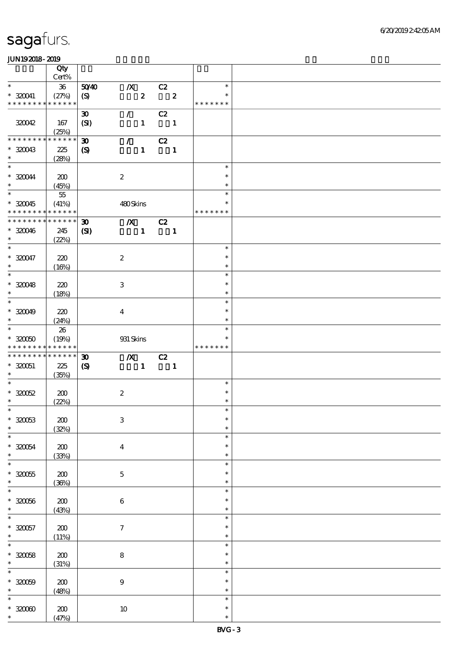|                                                                  | Qty<br>Cert%        |                                             |                           |                  |                            |                         |                         |  |
|------------------------------------------------------------------|---------------------|---------------------------------------------|---------------------------|------------------|----------------------------|-------------------------|-------------------------|--|
| $\ast$                                                           |                     |                                             |                           |                  |                            |                         | $\ast$                  |  |
| $* 320041$                                                       | $36\,$<br>(27%)     | 5040<br>(S)                                 | $\boldsymbol{X}$          | $\boldsymbol{z}$ | C2                         | $\overline{\mathbf{2}}$ | $\ast$                  |  |
| * * * * * * * *                                                  | * * * * * *         |                                             |                           |                  |                            |                         | * * * * * * *           |  |
| 320042                                                           | 167                 | $\boldsymbol{\mathfrak{D}}$<br>(SI)         | $\mathcal{L}$             | $\mathbf{1}$     | C2<br>$\blacksquare$       |                         |                         |  |
|                                                                  | (25%)               |                                             |                           |                  |                            |                         |                         |  |
| * * * * * * * *                                                  | * * * * * *         | $\boldsymbol{\mathfrak{D}}$                 | $\mathcal{L}$             |                  | C2                         |                         |                         |  |
| $*30043$<br>$\ast$                                               | 225<br>(28%)        | $\boldsymbol{\mathcal{S}}$                  |                           | $\mathbf{1}$     | $\overline{\phantom{a}}$   |                         |                         |  |
| $\overline{\ast}$                                                |                     |                                             |                           |                  |                            |                         | $\ast$                  |  |
| $* 320044$<br>$\ast$                                             | 200<br>(45%)        |                                             | $\boldsymbol{2}$          |                  |                            |                         | $\ast$<br>$\ast$        |  |
| $\overline{\ast}$                                                | $5\!$               |                                             |                           |                  |                            |                         | $\ast$                  |  |
| $*320045$<br>* * * * * * * *                                     | (41%)<br>******     |                                             | 480Skins                  |                  |                            |                         | $\ast$<br>* * * * * * * |  |
| * * * * * * * *                                                  | * * * * * *         |                                             |                           |                  |                            |                         |                         |  |
| $*320046$<br>$\ast$                                              | 245<br>(22%)        | $\boldsymbol{\mathfrak{D}}$<br>$\mathbf{C}$ | $\boldsymbol{X}$          | $\mathbf{1}$     | C2<br>$\blacksquare$       |                         |                         |  |
| $\overline{\ast}$                                                |                     |                                             |                           |                  |                            |                         | $\ast$                  |  |
| $* 320047$<br>$\ast$                                             | 220<br>(16%)        |                                             | $\boldsymbol{2}$          |                  |                            |                         | $\ast$<br>$\ast$        |  |
| $\overline{\phantom{0}}$                                         |                     |                                             |                           |                  |                            |                         | $\ast$                  |  |
|                                                                  |                     |                                             |                           |                  |                            |                         |                         |  |
| $*320048$                                                        | 220                 |                                             | $\ensuremath{\mathbf{3}}$ |                  |                            |                         | $\ast$                  |  |
| $\ast$                                                           | (18%)               |                                             |                           |                  |                            |                         | $\ast$                  |  |
| $\overline{\ast}$                                                |                     |                                             |                           |                  |                            |                         | $\ast$                  |  |
| $* 320049$                                                       | 220                 |                                             | $\boldsymbol{4}$          |                  |                            |                         | $\ast$                  |  |
| $\ast$                                                           |                     |                                             |                           |                  |                            |                         |                         |  |
|                                                                  | (24%)               |                                             |                           |                  |                            |                         | $\ast$                  |  |
| $\overline{\ast}$                                                | 26                  |                                             |                           |                  |                            |                         | $\ast$                  |  |
| $^\ast$ 320050                                                   | (19%)               |                                             | 931 Skins                 |                  |                            |                         | $\ast$                  |  |
|                                                                  |                     |                                             |                           |                  |                            |                         | * * * * * * *           |  |
|                                                                  |                     |                                             |                           |                  |                            |                         |                         |  |
| * * * * * * * *                                                  | * * * * * *         |                                             |                           |                  |                            |                         |                         |  |
|                                                                  | * * * * * *         | $\boldsymbol{\mathfrak{D}}$                 | $\boldsymbol{X}$          |                  | $\overline{C}$             |                         |                         |  |
| * * * * * * * *<br>$* 320051$                                    | 225                 | $\boldsymbol{\mathcal{S}}$                  |                           | $\mathbf{1}$     | $\overline{\phantom{a}}$ 1 |                         |                         |  |
| $*$                                                              | (35%)               |                                             |                           |                  |                            |                         |                         |  |
| $\ast$                                                           |                     |                                             |                           |                  |                            |                         | $\ast$                  |  |
|                                                                  |                     |                                             |                           |                  |                            |                         | $\ast$                  |  |
| $*32052$                                                         | 200                 |                                             | $\boldsymbol{2}$          |                  |                            |                         |                         |  |
| $\ast$                                                           | (22%)               |                                             |                           |                  |                            |                         | $\ast$                  |  |
| $*$                                                              |                     |                                             |                           |                  |                            |                         | $\ast$                  |  |
| $* 320053$                                                       | 200                 |                                             | $\ensuremath{\mathbf{3}}$ |                  |                            |                         | $\ast$                  |  |
| $\ast$                                                           |                     |                                             |                           |                  |                            |                         | $\ast$                  |  |
|                                                                  | (32%)               |                                             |                           |                  |                            |                         | $\ast$                  |  |
|                                                                  |                     |                                             |                           |                  |                            |                         | $\ast$                  |  |
|                                                                  | $\pmb{30}$          |                                             | $\boldsymbol{4}$          |                  |                            |                         |                         |  |
| $\ast$                                                           | (33%)               |                                             |                           |                  |                            |                         | $\ast$                  |  |
| $\ast$<br>$* 320054$<br>$\ast$                                   |                     |                                             |                           |                  |                            |                         | $\ast$                  |  |
| $^\ast$ 320055                                                   | 200                 |                                             | $\mathbf 5$               |                  |                            |                         | $\ast$                  |  |
|                                                                  |                     |                                             |                           |                  |                            |                         | $\ast$                  |  |
| $\ast$<br>$\ast$                                                 | (36%)               |                                             |                           |                  |                            |                         | $\ast$                  |  |
|                                                                  |                     |                                             |                           |                  |                            |                         |                         |  |
| $* 320056$                                                       | $200\,$             |                                             | $\bf 6$                   |                  |                            |                         | $\ast$                  |  |
|                                                                  | (43%)               |                                             |                           |                  |                            |                         | $\ast$                  |  |
| $\ast$<br>$\ast$                                                 |                     |                                             |                           |                  |                            |                         | $\ast$                  |  |
|                                                                  |                     |                                             |                           |                  |                            |                         | $\ast$                  |  |
|                                                                  | ${\bf Z0}$          |                                             | $\boldsymbol{7}$          |                  |                            |                         |                         |  |
|                                                                  | (11%)               |                                             |                           |                  |                            |                         | $\ast$                  |  |
|                                                                  |                     |                                             |                           |                  |                            |                         | $\ast$                  |  |
|                                                                  | 200                 |                                             | $\bf 8$                   |                  |                            |                         | $\ast$                  |  |
|                                                                  |                     |                                             |                           |                  |                            |                         | $\ast$                  |  |
| $* 320057$<br>$\ast$<br>$\ast$<br>$* 320058$<br>$\ast$<br>$\ast$ | (31%)               |                                             |                           |                  |                            |                         | $\ast$                  |  |
|                                                                  |                     |                                             |                           |                  |                            |                         |                         |  |
|                                                                  | 200                 |                                             | $\boldsymbol{9}$          |                  |                            |                         | $\ast$                  |  |
| $\ast$                                                           | (48%)               |                                             |                           |                  |                            |                         | $\ast$                  |  |
| $\ast$                                                           |                     |                                             |                           |                  |                            |                         | $\ast$                  |  |
| $* 320009$                                                       |                     |                                             |                           |                  |                            |                         | $\ast$                  |  |
| $*3000$<br>$\ast$                                                | $\pmb{30}$<br>(47%) |                                             | $10\,$                    |                  |                            |                         | $\ast$                  |  |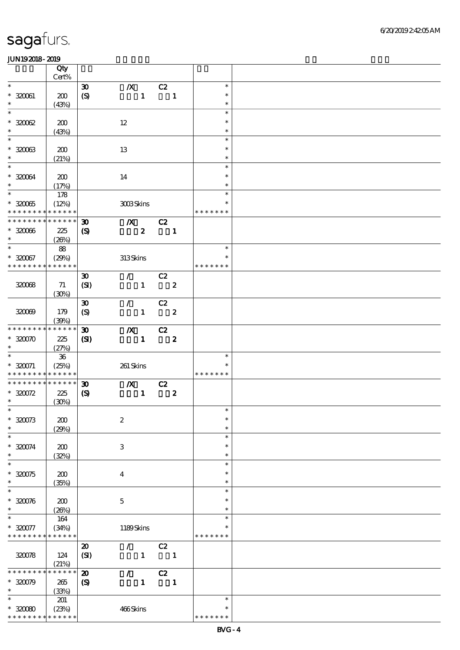|                                                | Qty                        |                             |                  |                  |                |                  |                         |  |
|------------------------------------------------|----------------------------|-----------------------------|------------------|------------------|----------------|------------------|-------------------------|--|
| $\ast$                                         | Cert%                      |                             |                  |                  |                |                  | $\ast$                  |  |
|                                                |                            | $\boldsymbol{\mathfrak{D}}$ | $\boldsymbol{X}$ |                  | C2             |                  | $\ast$                  |  |
| $^\ast$ 320061<br>$\ast$                       | 200                        | $\boldsymbol{S}$            |                  | $\mathbf{1}$     |                | $\blacksquare$   | $\ast$                  |  |
| $\ast$                                         | (43%)                      |                             |                  |                  |                |                  | $\ast$                  |  |
|                                                |                            |                             |                  |                  |                |                  | $\ast$                  |  |
| $*30062$                                       | 200                        |                             | $12\,$           |                  |                |                  |                         |  |
| $\ast$<br>$\ast$                               | (43%)                      |                             |                  |                  |                |                  | $\ast$                  |  |
|                                                |                            |                             |                  |                  |                |                  | $\ast$                  |  |
| $*32003$                                       | 200                        |                             | 13               |                  |                |                  | $\ast$                  |  |
| $\ast$<br>$\ast$                               | (21%)                      |                             |                  |                  |                |                  | $\ast$                  |  |
|                                                |                            |                             |                  |                  |                |                  | $\ast$                  |  |
| $*320064$<br>$\ast$                            | 200                        |                             | $14\,$           |                  |                |                  | $\ast$                  |  |
| $\ast$                                         | (17%)                      |                             |                  |                  |                |                  | $\ast$                  |  |
|                                                | 178                        |                             |                  |                  |                |                  | $\ast$                  |  |
| $*32005$                                       | (12%)                      |                             |                  | 3003Skins        |                |                  | $\ast$<br>* * * * * * * |  |
| * * * * * * * * * * * * * *<br>* * * * * * * * | $\ast\ast\ast\ast\ast\ast$ |                             |                  |                  |                |                  |                         |  |
|                                                |                            | $\boldsymbol{\mathfrak{D}}$ |                  | $\boldsymbol{X}$ | C2             |                  |                         |  |
| $*32006$<br>$\ast$                             | 225                        | $\boldsymbol{\mathcal{S}}$  |                  | $\boldsymbol{z}$ |                | $\mathbf{1}$     |                         |  |
| $\overline{\ast}$                              | (20%)                      |                             |                  |                  |                |                  | $\ast$                  |  |
|                                                | 88                         |                             |                  |                  |                |                  | $\ast$                  |  |
| $*320067$<br>* * * * * * * *                   | (29%)<br>* * * * * *       |                             | 313Skins         |                  |                |                  | * * * * * * *           |  |
|                                                |                            |                             |                  |                  |                |                  |                         |  |
|                                                |                            | $\boldsymbol{\mathfrak{D}}$ |                  | $\mathcal{L}$    | C2             |                  |                         |  |
| 32008                                          | 71                         | (SI)                        |                  | $\mathbf{1}$     |                | $\boldsymbol{z}$ |                         |  |
|                                                | (30%)                      |                             |                  |                  |                |                  |                         |  |
|                                                |                            | $\boldsymbol{\mathfrak{D}}$ | $\mathcal{L}$    |                  | C2             |                  |                         |  |
| 320099                                         | 179                        | $\boldsymbol{S}$            |                  | $\mathbf{1}$     |                | $\boldsymbol{z}$ |                         |  |
| * * * * * * * *                                | (39%)<br>$******$          | $\boldsymbol{\mathfrak{D}}$ |                  |                  | C2             |                  |                         |  |
| $*30070$                                       | 225                        |                             | $\boldsymbol{X}$ | $\mathbf{1}$     |                | $\boldsymbol{z}$ |                         |  |
| $\ast$                                         | (27%)                      | $\mathbf{S}$                |                  |                  |                |                  |                         |  |
| $\ast$                                         | ${\bf 36}$                 |                             |                  |                  |                |                  | $\ast$                  |  |
| $* 320071$                                     | (25%)                      |                             | 261 Skins        |                  |                |                  | ∗                       |  |
| * * * * * * * * <mark>* * * * * * *</mark>     |                            |                             |                  |                  |                |                  | * * * * * * *           |  |
| * * * * * * * *                                | $* * * * * * *$            | $\boldsymbol{\mathfrak{D}}$ |                  | $\boldsymbol{X}$ | $\overline{c}$ |                  |                         |  |
| $* 320072$                                     | 225                        | $\boldsymbol{\mathrm{(S)}}$ |                  | $\mathbf{1}$     |                | $\boldsymbol{z}$ |                         |  |
| $\ast$                                         | (30%)                      |                             |                  |                  |                |                  |                         |  |
| $*$                                            |                            |                             |                  |                  |                |                  | $\ast$                  |  |
| $* 320073$                                     | 200                        |                             | $\boldsymbol{2}$ |                  |                |                  | $\ast$                  |  |
| $\ast$                                         | (29%)                      |                             |                  |                  |                |                  | $\ast$                  |  |
| $\ast$                                         |                            |                             |                  |                  |                |                  | $\ast$                  |  |
| $* 320074$                                     | 200                        |                             | $\,3$            |                  |                |                  | $\ast$                  |  |
| $\ast$                                         | (32%)                      |                             |                  |                  |                |                  | $\ast$                  |  |
| $\ast$                                         |                            |                             |                  |                  |                |                  | $\ast$                  |  |
| $*30075$                                       | 200                        |                             | $\overline{4}$   |                  |                |                  | $\ast$                  |  |
| $\ast$                                         | (35%)                      |                             |                  |                  |                |                  | $\ast$                  |  |
| $\ast$                                         |                            |                             |                  |                  |                |                  | $\ast$                  |  |
| $* 320076$                                     | 200                        |                             | $\mathbf 5$      |                  |                |                  | $\ast$                  |  |
| $\ast$                                         | (20%)                      |                             |                  |                  |                |                  | *                       |  |
| $\ast$                                         | 164                        |                             |                  |                  |                |                  | $\ast$                  |  |
| $*320077$                                      | (34%)                      |                             |                  | 1189Skins        |                |                  | ∗                       |  |
| * * * * * * * *                                | * * * * * *                |                             |                  |                  |                |                  | * * * * * * *           |  |
|                                                |                            | $\boldsymbol{\mathsf{20}}$  |                  | $\mathcal{L}$    | C2             |                  |                         |  |
| 320078                                         | 124                        | (SI)                        |                  | $\mathbf{1}$     |                | $\blacksquare$   |                         |  |
|                                                | (21%)                      |                             |                  |                  |                |                  |                         |  |
| * * * * * * * *                                | * * * * * *                | $\boldsymbol{\mathbf{z}}$   | $\mathcal{L}$    |                  | C2             |                  |                         |  |
| $*30079$                                       | 265                        | $\boldsymbol{\mathcal{S}}$  |                  | $\mathbf{1}$     |                | $\mathbf{1}$     |                         |  |
| $\ast$                                         | (33%)                      |                             |                  |                  |                |                  |                         |  |
| $\ast$                                         | 201                        |                             |                  |                  |                |                  | $\ast$                  |  |
| $*32080$                                       | (23%)                      |                             | 466Skins         |                  |                |                  | *                       |  |
| * * * * * * * * * * * * * *                    |                            |                             |                  |                  |                |                  | * * * * * * *           |  |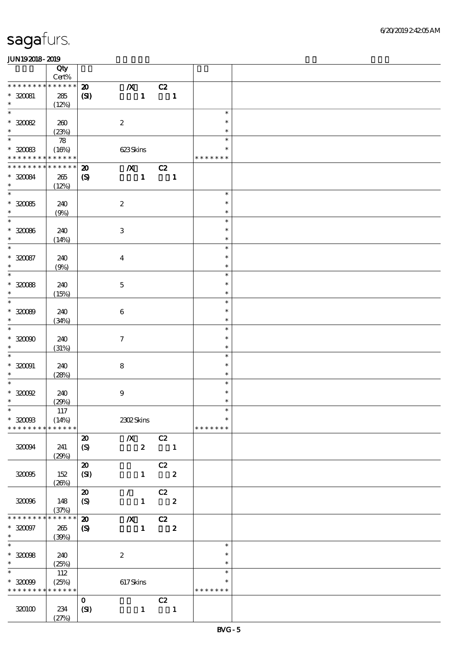|                                            | Qty<br>$Cert\%$            |                             |                                 |                               |               |        |  |
|--------------------------------------------|----------------------------|-----------------------------|---------------------------------|-------------------------------|---------------|--------|--|
| * * * * * * * *                            | * * * * * *                |                             |                                 |                               |               |        |  |
|                                            |                            | $\boldsymbol{\mathfrak{D}}$ | $\boldsymbol{X}$                | C2                            |               |        |  |
| $*320081$                                  | 285                        | (S)                         | $\mathbf{1}$                    | $\overline{\phantom{a}}$      |               |        |  |
| $\ast$                                     | (12%)                      |                             |                                 |                               |               |        |  |
| $\ast$                                     |                            |                             |                                 |                               |               | $\ast$ |  |
| $^\ast$ 320082                             | 260                        |                             | $\boldsymbol{2}$                |                               |               | $\ast$ |  |
| $\ast$                                     | (23%)                      |                             |                                 |                               |               | $\ast$ |  |
| $\ast$                                     | $\boldsymbol{\mathcal{R}}$ |                             |                                 |                               |               | $\ast$ |  |
| $*30083$                                   | (16%)                      |                             | 623Skins                        |                               |               | $\ast$ |  |
| * * * * * * * * <mark>* * * * * * *</mark> |                            |                             |                                 |                               | * * * * * * * |        |  |
| * * * * * * * *                            | $* * * * * * *$            | $\boldsymbol{\mathfrak{D}}$ | $\overline{X}$ C <sub>2</sub>   |                               |               |        |  |
| $*320084$                                  | $265\,$                    | $\boldsymbol{\mathrm{(S)}}$ | $\mathbf{1}$                    | $\overline{\phantom{a}}$      |               |        |  |
| $\ast$                                     |                            |                             |                                 |                               |               |        |  |
| $\overline{\phantom{0}}$                   | (12%)                      |                             |                                 |                               |               | $\ast$ |  |
|                                            |                            |                             |                                 |                               |               |        |  |
| $^\ast$ 320085                             | 240                        |                             | $\boldsymbol{2}$                |                               |               | $\ast$ |  |
| $\ast$                                     | (9%)                       |                             |                                 |                               |               | $\ast$ |  |
| $\overline{\phantom{0}}$                   |                            |                             |                                 |                               |               | $\ast$ |  |
| $*320066$                                  | 240                        |                             | $\ensuremath{\mathbf{3}}$       |                               |               | $\ast$ |  |
| $\ast$                                     | (14%)                      |                             |                                 |                               |               | $\ast$ |  |
| $\overline{\ast}$                          |                            |                             |                                 |                               |               | $\ast$ |  |
| $*30087$                                   | 240                        |                             | $\overline{\mathbf{4}}$         |                               |               | $\ast$ |  |
| $\ast$                                     | (9%)                       |                             |                                 |                               |               | $\ast$ |  |
| $\overline{\ast}$                          |                            |                             |                                 |                               |               | $\ast$ |  |
| $*30088$                                   | 240                        |                             |                                 |                               |               | $\ast$ |  |
| $\ast$                                     |                            |                             | $\mathbf 5$                     |                               |               | $\ast$ |  |
| $\ast$                                     | (15%)                      |                             |                                 |                               |               | $\ast$ |  |
|                                            |                            |                             |                                 |                               |               |        |  |
| $*30009$                                   | 240                        |                             | $\boldsymbol{6}$                |                               |               | $\ast$ |  |
| $\ast$                                     | (34%)                      |                             |                                 |                               |               | $\ast$ |  |
| $\ast$                                     |                            |                             |                                 |                               |               | $\ast$ |  |
| $*30000$                                   | 240                        |                             | $\boldsymbol{7}$                |                               |               | $\ast$ |  |
| $\ast$                                     | (31%)                      |                             |                                 |                               |               | $\ast$ |  |
| $\ast$                                     |                            |                             |                                 |                               |               | $\ast$ |  |
| $* 320001$                                 | 240                        |                             | $\bf 8$                         |                               |               | $\ast$ |  |
| $\ast$                                     | (28%)                      |                             |                                 |                               |               | $\ast$ |  |
| $\ast$                                     |                            |                             |                                 |                               |               | $\ast$ |  |
| $*30092$                                   | 240                        |                             | $\boldsymbol{9}$                |                               |               | $\ast$ |  |
| $\ast$                                     | (29%)                      |                             |                                 |                               |               | $\ast$ |  |
| $*$                                        | 117                        |                             |                                 |                               |               | $\ast$ |  |
| $*3200B$                                   | (14%)                      |                             | 2302Skins                       |                               |               | $\ast$ |  |
| * * * * * * * *                            | * * * * * *                |                             |                                 |                               | * * * * * * * |        |  |
|                                            |                            |                             | $X$ C <sub>2</sub>              |                               |               |        |  |
|                                            |                            | $\boldsymbol{\mathsf{20}}$  |                                 |                               |               |        |  |
| 320094                                     | 241                        | $\boldsymbol{S}$            | $\boldsymbol{z}$                | $\overline{\mathbf{1}}$       |               |        |  |
|                                            | (29%)                      |                             |                                 |                               |               |        |  |
|                                            |                            | $\boldsymbol{\mathsf{20}}$  |                                 | C2                            |               |        |  |
| 320095                                     | 152                        | (SI)                        | $\mathbf{1}$                    | $\overline{\phantom{a}}$ 2    |               |        |  |
|                                            | (20%)                      |                             |                                 |                               |               |        |  |
|                                            |                            | $\boldsymbol{\mathfrak{D}}$ | $\mathcal{L}$ and $\mathcal{L}$ | C2                            |               |        |  |
| 32006                                      | 148                        | (S)                         |                                 | $1 \t 2$                      |               |        |  |
|                                            | (37%)                      |                             |                                 |                               |               |        |  |
| * * * * * * * *                            | * * * * * *                | $\boldsymbol{\mathbf{z}}$   |                                 | $\overline{X}$ C <sub>2</sub> |               |        |  |
| $* 320097$                                 | 265                        | $\boldsymbol{\mathcal{S}}$  | $\mathbf{1}$                    | $\overline{\mathbf{2}}$       |               |        |  |
| $\ast$                                     | (30%)                      |                             |                                 |                               |               |        |  |
| $\ast$                                     |                            |                             |                                 |                               |               | $\ast$ |  |
| $*32008$                                   | 240                        |                             | $\boldsymbol{z}$                |                               |               | $\ast$ |  |
| $\ast$                                     |                            |                             |                                 |                               |               | $\ast$ |  |
| $\overline{\ast}$                          | (25%)                      |                             |                                 |                               |               | $\ast$ |  |
|                                            | 112                        |                             |                                 |                               |               |        |  |
| $*30099$                                   | (25%)                      |                             | $617$ Skins                     |                               |               | $\ast$ |  |
| * * * * * * * * * * * * * *                |                            |                             |                                 |                               | * * * * * * * |        |  |
|                                            |                            | $\mathbf{O}$                |                                 | C2                            |               |        |  |
| 320100                                     | 234                        | (SI)                        | $\mathbf{1}$                    | $\overline{\mathbf{1}}$       |               |        |  |
|                                            | (27%)                      |                             |                                 |                               |               |        |  |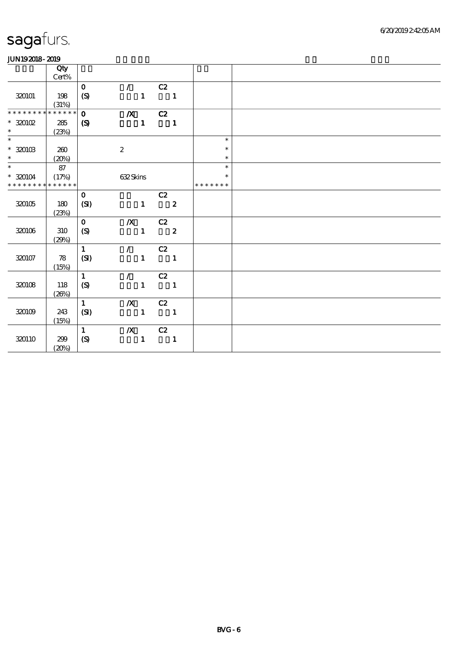|                          | Qty         |                             |                                 |                |                                                   |               |  |  |  |
|--------------------------|-------------|-----------------------------|---------------------------------|----------------|---------------------------------------------------|---------------|--|--|--|
|                          | Cert%       |                             |                                 |                |                                                   |               |  |  |  |
|                          |             | $\mathbf{o}$                | $\mathcal{L}$ and $\mathcal{L}$ |                | C2                                                |               |  |  |  |
| 320101                   | 198         | $\boldsymbol{S}$            |                                 | $\mathbf{1}$   | $\blacksquare$                                    |               |  |  |  |
|                          | (31%)       |                             |                                 |                |                                                   |               |  |  |  |
| * * * * * * *            | * * * * * * | $\mathbf{o}$                | $\chi$ C <sub>2</sub>           |                |                                                   |               |  |  |  |
| $*320102$                | 285         | $\boldsymbol{\mathrm{(S)}}$ |                                 | $\mathbf{1}$   | $\overline{\phantom{a}}$                          |               |  |  |  |
| $\ast$                   | (23%)       |                             |                                 |                |                                                   |               |  |  |  |
| $\overline{\phantom{0}}$ |             |                             |                                 |                |                                                   | $\ast$        |  |  |  |
| $^\ast$ 320103           | 260         |                             | $\boldsymbol{2}$                |                |                                                   | $\ast$        |  |  |  |
| $\ast$                   | (20%)       |                             |                                 |                |                                                   | $\ast$        |  |  |  |
| $\overline{\phantom{0}}$ | 87          |                             |                                 |                |                                                   | $\ast$        |  |  |  |
| $* 320104$               | (17%)       |                             | 632Skins                        |                |                                                   | $\ast$        |  |  |  |
| * * * * * * * *          | * * * * * * |                             |                                 |                |                                                   | * * * * * * * |  |  |  |
|                          |             | $\mathbf 0$                 |                                 |                | C2                                                |               |  |  |  |
| 320105                   | 180         | (SI)                        |                                 | $\mathbf{1}$   | $\overline{\phantom{a}}$ 2                        |               |  |  |  |
|                          |             |                             |                                 |                |                                                   |               |  |  |  |
|                          | (23%)       | $\mathbf{O}$                |                                 |                |                                                   |               |  |  |  |
|                          |             |                             | $/X$ $C2$                       |                |                                                   |               |  |  |  |
| 320106                   | 310         | (S)                         |                                 | $1 \t 2$       |                                                   |               |  |  |  |
|                          | (29%)       |                             |                                 |                |                                                   |               |  |  |  |
|                          |             | $\mathbf{1}$                | $\sqrt{C^2}$                    |                |                                                   |               |  |  |  |
| 320107                   | 78          | (SI)                        |                                 | $\mathbf{1}^-$ | $\sim$ 1                                          |               |  |  |  |
|                          | (15%)       |                             |                                 |                |                                                   |               |  |  |  |
|                          |             | $\mathbf{1}$                | $\mathcal{L}$                   |                | C2                                                |               |  |  |  |
| 320108                   | 118         | (S)                         |                                 | $\mathbf{1}$   | $\overline{\phantom{a}}$ $\overline{\phantom{a}}$ |               |  |  |  |
|                          | (20%)       |                             |                                 |                |                                                   |               |  |  |  |
|                          |             | $\mathbf{1}$                | $\boldsymbol{X}$                |                | C2                                                |               |  |  |  |
| $320109$                 | 243         | (SI)                        |                                 | $\mathbf{1}$   | $\overline{\phantom{a}}$                          |               |  |  |  |
|                          | (15%)       |                             |                                 |                |                                                   |               |  |  |  |
|                          |             | $\mathbf{1}$                | $/X$ $C2$                       |                |                                                   |               |  |  |  |
| 320110                   | 299         | (S)                         |                                 | $\mathbf{1}$   | $\blacksquare$                                    |               |  |  |  |
|                          | (20%)       |                             |                                 |                |                                                   |               |  |  |  |
|                          |             |                             |                                 |                |                                                   |               |  |  |  |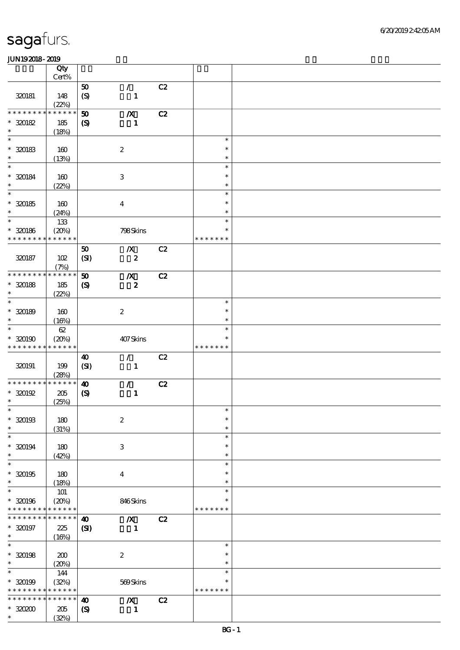|                      | Qty                  |                             |                                  |    |                  |  |
|----------------------|----------------------|-----------------------------|----------------------------------|----|------------------|--|
|                      | Cert%                |                             |                                  |    |                  |  |
|                      |                      | 50                          | $\mathcal{L}$                    | C2 |                  |  |
| 320181               | 148                  | (S)                         | $\mathbf{1}$                     |    |                  |  |
| * * * * * * *        | (22%)<br>* * * * * * | 50                          |                                  | C2 |                  |  |
| $* 320182$           | 185                  | $\boldsymbol{S}$            | $\boldsymbol{X}$<br>$\mathbf{1}$ |    |                  |  |
| $\ast$               | (18%)                |                             |                                  |    |                  |  |
| $\ast$               |                      |                             |                                  |    | $\ast$           |  |
| $*320183$            | 160                  |                             | $\boldsymbol{2}$                 |    | $\ast$           |  |
| $\ast$               | (13%)                |                             |                                  |    | $\ast$           |  |
| $\ast$               |                      |                             |                                  |    | $\ast$           |  |
| $* 320184$           | $160$                |                             | $\ensuremath{\mathbf{3}}$        |    | $\ast$           |  |
| $\ast$               | (22%)                |                             |                                  |    | $\ast$           |  |
| $\ast$               |                      |                             |                                  |    | $\ast$           |  |
| $* 320185$           | 160                  |                             | $\boldsymbol{4}$                 |    | $\ast$           |  |
| $\ast$               | (24%)                |                             |                                  |    | $\ast$           |  |
| $\ast$               | 133                  |                             |                                  |    | $\ast$           |  |
| $* 320186$           | (20%)                |                             | 798Skins                         |    | $\ast$           |  |
| * * * * * * * *      | * * * * * *          |                             |                                  |    | * * * * * * *    |  |
|                      |                      | 50                          | $\boldsymbol{X}$                 | C2 |                  |  |
| 320187               | 102                  | (SI)                        | $\pmb{2}$                        |    |                  |  |
| * * * * * * *        | (7%)<br>* * * * * *  |                             |                                  |    |                  |  |
|                      |                      | $\boldsymbol{\mathfrak{D}}$ | $\boldsymbol{X}$                 | C2 |                  |  |
| $*30188$<br>$\ast$   | 185                  | $\boldsymbol{\mathcal{S}}$  | $\pmb{2}$                        |    |                  |  |
| $\ast$               | (22%)                |                             |                                  |    | $\ast$           |  |
| $* 320189$           | 160                  |                             | $\boldsymbol{2}$                 |    | $\ast$           |  |
| $\ast$               | (16%)                |                             |                                  |    | $\ast$           |  |
| $\ast$               | $62\,$               |                             |                                  |    | $\ast$           |  |
| $*320190$            | (20%)                |                             | 407Skins                         |    | ∗                |  |
| * * * * * * * *      | * * * * * *          |                             |                                  |    | * * * * * * *    |  |
|                      |                      | $\boldsymbol{\omega}$       | $\mathcal{L}$                    | C2 |                  |  |
| 320191               | 199                  | (SI)                        | $\mathbf{1}$                     |    |                  |  |
|                      | (28%)                |                             |                                  |    |                  |  |
| * * * * * * *        | * * * * * *          | $\boldsymbol{\omega}$       | $\mathcal{L}$                    | C2 |                  |  |
| $*320192$            | 205                  | $\boldsymbol{\mathrm{(S)}}$ | $\mathbf{1}$                     |    |                  |  |
| $\ast$               | (25%)                |                             |                                  |    |                  |  |
| $*$                  |                      |                             |                                  |    | $\ast$           |  |
| $* 320193$           | 180                  |                             | $\boldsymbol{2}$                 |    | $\ast$           |  |
| $\ast$               | (31%)                |                             |                                  |    | $\ast$           |  |
| $\ast$               |                      |                             |                                  |    | $\ast$<br>$\ast$ |  |
| $* 320194$<br>$\ast$ | 180                  |                             | 3                                |    | $\ast$           |  |
| $\ast$               | (42%)                |                             |                                  |    | $\ast$           |  |
| $*320195$            | 180                  |                             | $\boldsymbol{4}$                 |    | $\ast$           |  |
| $\ast$               | (18%)                |                             |                                  |    | $\ast$           |  |
| $\ast$               | <b>101</b>           |                             |                                  |    | $\ast$           |  |
| $* 320196$           | (20%)                |                             | 846Skins                         |    | *                |  |
| * * * * * * * *      | * * * * * *          |                             |                                  |    | * * * * * * *    |  |
| * * * * * * *        | * * * * * *          | $\boldsymbol{\omega}$       | $\boldsymbol{X}$                 | C2 |                  |  |
| $* 320197$           | 225                  | $\mathbf{C}$                | $\mathbf{1}$                     |    |                  |  |
| $\ast$               | (16%)                |                             |                                  |    |                  |  |
| $\ast$               |                      |                             |                                  |    | $\ast$           |  |
| $*$ 320198           | 200                  |                             | $\boldsymbol{2}$                 |    | $\ast$           |  |
| $\ast$               | (20%)                |                             |                                  |    | $\ast$           |  |
| $\ast$               | 144                  |                             |                                  |    | $\ast$           |  |
| $* 320199$           | (32%)                |                             | 569Skins                         |    | $\ast$           |  |
| * * * * * * * *      | * * * * * *          |                             |                                  |    | * * * * * * *    |  |
| * * * * * * *        | * * * * * *          | $\boldsymbol{\omega}$       | $\boldsymbol{X}$                 | C2 |                  |  |
| $*3000$<br>$\ast$    | 205                  | $\boldsymbol{\mathrm{(S)}}$ | 1                                |    |                  |  |
|                      | (32%)                |                             |                                  |    |                  |  |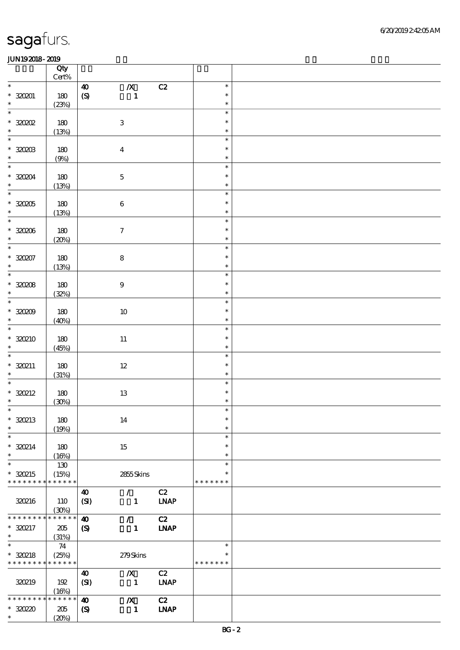|                                                       | Qty<br>$\mbox{Cert}\%$ |                                           |                |                   |                    |  |
|-------------------------------------------------------|------------------------|-------------------------------------------|----------------|-------------------|--------------------|--|
| $\ast$                                                |                        | $\pmb{X}$<br>$\boldsymbol{40}$            |                | C2                | $\ast$             |  |
| $*320201$                                             | 180                    | $\pmb{\in}$                               | $\blacksquare$ |                   | $\ast$             |  |
| $\ast$                                                | (23%)                  |                                           |                |                   | $\ast$             |  |
| $\ast$                                                |                        |                                           |                |                   | $\ast$             |  |
| $*30002$                                              | 180                    | $\,3$                                     |                |                   | $\ast$             |  |
| $\ast$                                                | (13%)                  |                                           |                |                   | $\ast$             |  |
| $\overline{\phantom{0}}$                              |                        |                                           |                |                   | $\ast$             |  |
| $*30003$                                              | 180                    | $\boldsymbol{4}$                          |                |                   | $\ast$             |  |
| $\ast$                                                | (9%)                   |                                           |                |                   | $\ast$             |  |
| $\ast$                                                |                        |                                           |                |                   | $\ast$             |  |
| $*320204$                                             | 180                    | $\mathbf 5$                               |                |                   | $\ast$             |  |
| $\ast$<br>$\overline{\phantom{0}}$                    | (13%)                  |                                           |                |                   | $\ast$             |  |
|                                                       |                        |                                           |                |                   | $\ast$             |  |
| $^\ast$ 320205<br>$\ast$                              | $180\,$                | $\bf 6$                                   |                |                   | $\ast$<br>$\ast$   |  |
| $\overline{\ast}$                                     | (13%)                  |                                           |                |                   | $\ast$             |  |
| $^\ast$ 320206                                        | 180                    | $\boldsymbol{\tau}$                       |                |                   | $\ast$             |  |
| $\ast$                                                | (20%)                  |                                           |                |                   | $\ast$             |  |
| $\overline{\ast}$                                     |                        |                                           |                |                   | $\ast$             |  |
| $*30007$                                              | 180                    | ${\bf 8}$                                 |                |                   | $\ast$             |  |
| $\ast$                                                | (13%)                  |                                           |                |                   | $\ast$             |  |
| $\overline{\phantom{0}}$                              |                        |                                           |                |                   | $\ast$             |  |
| $*30008$                                              | 180                    | $\boldsymbol{9}$                          |                |                   | $\ast$             |  |
| $\ast$                                                | (32%)                  |                                           |                |                   | $\ast$             |  |
| $\overline{\ast}$                                     |                        |                                           |                |                   | $\ast$             |  |
| $*30009$                                              | $180$                  | $10\,$                                    |                |                   | $\ast$             |  |
| $\ast$                                                | (40%)                  |                                           |                |                   | $\ast$             |  |
| $\ast$                                                |                        |                                           |                |                   | $\ast$             |  |
| $*30210$                                              | 180                    | $11\,$                                    |                |                   | $\ast$             |  |
| $\ast$<br>$\ast$                                      | (45%)                  |                                           |                |                   | $\ast$<br>$\ast$   |  |
| $*320211$                                             |                        |                                           |                |                   | $\ast$             |  |
| $\ast$                                                | 180<br>(31%)           | $12\,$                                    |                |                   | $\ast$             |  |
| $\ast$                                                |                        |                                           |                |                   | $\ast$             |  |
| $*320212$                                             | 180                    | $13\,$                                    |                |                   | $\ast$             |  |
| $\ast$                                                | (30%)                  |                                           |                |                   | $\ast$             |  |
| $\ast$                                                |                        |                                           |                |                   | $\ast$             |  |
| $*30213$                                              | 180                    | 14                                        |                |                   | $\ast$             |  |
| $\ast$                                                | (19%)                  |                                           |                |                   | $\ast$             |  |
| $\ast$                                                |                        |                                           |                |                   | $\ast$             |  |
| $*30214$                                              | 180                    | 15                                        |                |                   | $\ast$             |  |
| $\ast$                                                | (16%)                  |                                           |                |                   | $\ast$             |  |
| $\ast$                                                | 130                    |                                           |                |                   | $\ast$             |  |
| $*320215$<br>* * * * * * * * <mark>* * * * * *</mark> | (15%)                  |                                           | 2855Skins      |                   | *<br>* * * * * * * |  |
|                                                       |                        |                                           |                |                   |                    |  |
| 320216                                                | 110                    | 40<br>$\mathcal{L}$<br>(SI)               | $\mathbf{1}$   | C2<br><b>INAP</b> |                    |  |
|                                                       | (30%)                  |                                           |                |                   |                    |  |
| * * * * * * *                                         | * * * * * *            | $\boldsymbol{\omega}$<br>$\mathcal{L}$    |                | C2                |                    |  |
| * 320217                                              | 205                    | $\boldsymbol{\mathcal{S}}$                | $\mathbf{1}$   | <b>LNAP</b>       |                    |  |
| $\ast$                                                | (31%)                  |                                           |                |                   |                    |  |
| $\ast$                                                | 74                     |                                           |                |                   | $\ast$             |  |
| $*320218$                                             | (25%)                  |                                           | 279Skins       |                   | $\ast$             |  |
| * * * * * * * * * * * * * *                           |                        |                                           |                |                   | * * * * * * *      |  |
|                                                       |                        | $\boldsymbol{X}$<br>$\boldsymbol{\omega}$ |                | C2                |                    |  |
| 320219                                                | 192                    | (SI)                                      | $\mathbf{1}$   | <b>LNAP</b>       |                    |  |
|                                                       | (16%)                  |                                           |                |                   |                    |  |
| * * * * * * * *                                       | * * * * * *            | $\boldsymbol{X}$<br>$\boldsymbol{\omega}$ |                | C2                |                    |  |
| $*3020$<br>$\ast$                                     | 205                    | $\boldsymbol{\mathcal{S}}$                | $\mathbf{1}$   | <b>LNAP</b>       |                    |  |
|                                                       | (20%)                  |                                           |                |                   |                    |  |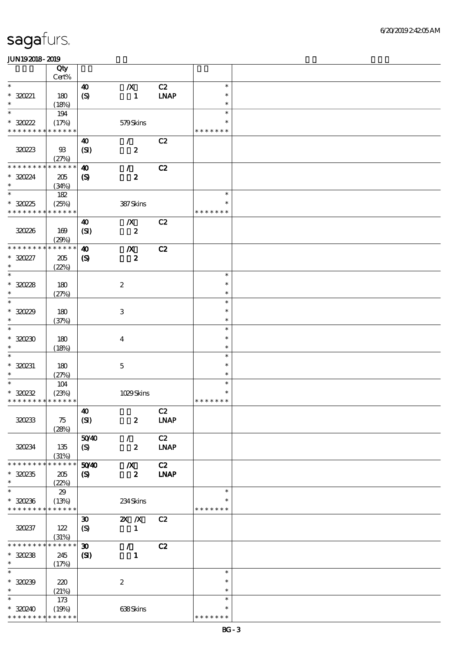|                                        | Qty             |                               |                               |             |                  |  |
|----------------------------------------|-----------------|-------------------------------|-------------------------------|-------------|------------------|--|
|                                        | $\mbox{Cert}\%$ |                               |                               |             |                  |  |
| $\ast$                                 |                 | $\boldsymbol{\omega}$         | $\boldsymbol{X}$              | C2          | $\ast$<br>$\ast$ |  |
| $*320221$<br>$\ast$                    | 180<br>(18%)    | $\boldsymbol{S}$              | $\blacksquare$                | <b>LNAP</b> | $\ast$           |  |
| $\ast$                                 | 194             |                               |                               |             | $\ast$           |  |
| $*30222$                               | (17%)           |                               | 579Skins                      |             | $\ast$           |  |
| * * * * * * * * * * * * * *            |                 |                               |                               |             | * * * * * * *    |  |
|                                        |                 | $\boldsymbol{\omega}$         | $\mathcal{L}$                 | C2          |                  |  |
| 320223                                 | $\mathfrak{B}$  | (SI)                          | $\boldsymbol{z}$              |             |                  |  |
|                                        | (27%)           |                               |                               |             |                  |  |
| * * * * * * * * * * * * * *            |                 | $\boldsymbol{\omega}$         | $\mathcal{L}$                 | C2          |                  |  |
| * 32024                                | 205             | $\boldsymbol{\mathrm{(S)}}$   | $\boldsymbol{z}$              |             |                  |  |
| $\ast$                                 | (34%)           |                               |                               |             |                  |  |
| $\ast$                                 | 182             |                               |                               |             | $\ast$           |  |
| $*3025$<br>* * * * * * * * * * * * * * | (25%)           |                               | 387Skins                      |             | $\ast$           |  |
|                                        |                 |                               |                               |             | * * * * * * *    |  |
| 320226                                 | 169             | $\boldsymbol{\omega}$<br>(SI) | $\boldsymbol{X}$<br>$\pmb{2}$ | C2          |                  |  |
|                                        | (29%)           |                               |                               |             |                  |  |
| * * * * * * * *                        | * * * * * *     | $\boldsymbol{\omega}$         | $\boldsymbol{X}$              | C2          |                  |  |
| $*30227$                               | 205             | $\boldsymbol{\mathrm{(S)}}$   | $\pmb{2}$                     |             |                  |  |
| $\ast$                                 | (22%)           |                               |                               |             |                  |  |
| $\ast$                                 |                 |                               |                               |             | $\ast$           |  |
| $*30228$                               | 180             |                               | $\boldsymbol{2}$              |             | $\ast$           |  |
| $\ast$                                 | (27%)           |                               |                               |             | $\ast$           |  |
| $\ast$                                 |                 |                               |                               |             | $\ast$           |  |
| $*3029$                                | 180             |                               | $\,3$                         |             | $\ast$           |  |
| $\ast$<br>$\ast$                       | (37%)           |                               |                               |             | $\ast$<br>$\ast$ |  |
| $*30230$                               | 180             |                               |                               |             | $\ast$           |  |
| $\ast$                                 | (18%)           |                               | $\overline{4}$                |             | $\ast$           |  |
| $\ast$                                 |                 |                               |                               |             | $\ast$           |  |
| $*320231$                              | 180             |                               | $\mathbf 5$                   |             | $\ast$           |  |
| $\ast$                                 | (27%)           |                               |                               |             | $\ast$           |  |
| $\ast$                                 | 104             |                               |                               |             | $\ast$           |  |
| $*30232$                               | (23%)           |                               | 1029Skins                     |             | $\ast$           |  |
| * * * * * * * * * * * * * *            |                 |                               |                               |             | * * * * * * *    |  |
|                                        |                 | $\boldsymbol{\omega}$         |                               | C2          |                  |  |
| 320233                                 | 75              | (SI)                          | $\boldsymbol{z}$              | <b>LNAP</b> |                  |  |
|                                        | (28%)           |                               |                               |             |                  |  |
|                                        |                 | 5040                          | $\mathcal{L}$                 | C2          |                  |  |
| 320234                                 | 135<br>(31%)    | $\boldsymbol{S}$              | $\boldsymbol{z}$              | <b>LNAP</b> |                  |  |
| * * * * * * * *                        | * * * * * *     | 5040                          | $\boldsymbol{X}$              | C2          |                  |  |
| $*30235$                               | 205             | $\boldsymbol{\mathsf{(S)}}$   | $\boldsymbol{z}$              | <b>INAP</b> |                  |  |
| $\ast$                                 | (22%)           |                               |                               |             |                  |  |
| $\ast$                                 | 29              |                               |                               |             | $\ast$           |  |
| $*30236$                               | (13%)           |                               | 234Skins                      |             | ∗                |  |
| * * * * * * * * * * * * * *            |                 |                               |                               |             | * * * * * * *    |  |
|                                        |                 | $\boldsymbol{\mathfrak{D}}$   | $X$ $X$                       | C2          |                  |  |
| 320237                                 | 122             | $\boldsymbol{S}$              | $\mathbf{1}$                  |             |                  |  |
|                                        | (31%)           |                               |                               |             |                  |  |
| * * * * * * * *                        | * * * * * *     | $\boldsymbol{\mathfrak{D}}$   | $\mathcal{L}$                 | C2          |                  |  |
| $*30238$<br>$\ast$                     | 245             | (S)                           | $\mathbf{1}$                  |             |                  |  |
| $\ast$                                 | (17%)           |                               |                               |             | $\ast$           |  |
| $*30239$                               | 220             |                               | $\boldsymbol{2}$              |             | $\ast$           |  |
| $\ast$                                 | (21%)           |                               |                               |             | $\ast$           |  |
| $\ast$                                 | 173             |                               |                               |             | $\ast$           |  |
| $*30240$                               | (19%)           |                               | 638Skins                      |             | $\ast$           |  |
| * * * * * * * * * * * * * *            |                 |                               |                               |             | * * * * * * *    |  |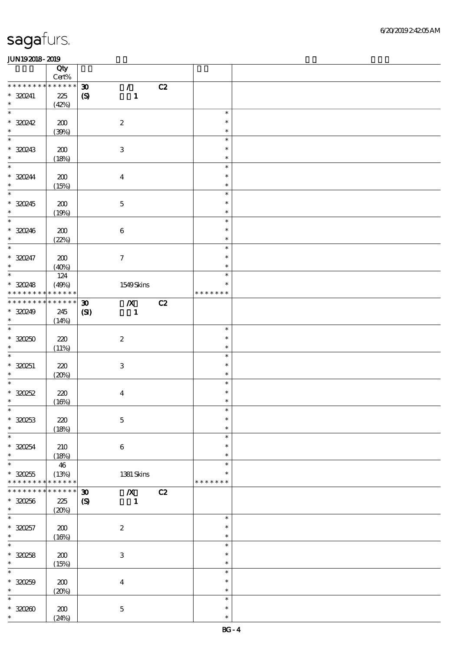|                               | Qty<br>$Cert\%$      |                             |                           |    |               |  |
|-------------------------------|----------------------|-----------------------------|---------------------------|----|---------------|--|
| * * * * * * *                 | * * * * * *          | $\boldsymbol{\mathfrak{D}}$ | $\mathcal{L}$             | C2 |               |  |
| $*30241$                      | 225                  | $\boldsymbol{\mathrm{(S)}}$ | $\mathbf{1}$              |    |               |  |
| $\ast$                        | (42%)                |                             |                           |    |               |  |
| $\ast$                        |                      |                             |                           |    | $\ast$        |  |
| $*30242$                      | 200                  |                             | $\boldsymbol{2}$          |    | $\ast$        |  |
| $\ast$                        | (30%)                |                             |                           |    | $\ast$        |  |
| $\ast$                        |                      |                             |                           |    | $\ast$        |  |
| * 320243                      | 200                  |                             | $\ensuremath{\mathbf{3}}$ |    | $\ast$        |  |
| $\ast$                        | (18%)                |                             |                           |    | $\ast$        |  |
| $\ast$                        |                      |                             |                           |    | $\ast$        |  |
| * 320244                      | 200                  |                             | $\boldsymbol{4}$          |    | $\ast$        |  |
| $\ast$                        | (15%)                |                             |                           |    | $\ast$        |  |
| $\overline{\ast}$             |                      |                             |                           |    | $\ast$        |  |
| $*30245$                      | 200                  |                             | $\mathbf 5$               |    | $\ast$        |  |
| $\ast$                        | (19%)                |                             |                           |    | $\ast$        |  |
| $\overline{\phantom{0}}$      |                      |                             |                           |    | $\ast$        |  |
| $*320246$                     | 200                  |                             | $\bf 6$                   |    | $\ast$        |  |
| $\ast$                        | (22%)                |                             |                           |    | $\ast$        |  |
| $\ast$                        |                      |                             |                           |    | $\ast$        |  |
| $* 320247$                    | 200                  |                             | $\tau$                    |    | $\ast$        |  |
| $\ast$                        |                      |                             |                           |    | $\ast$        |  |
| $\overline{\phantom{0}}$      | (40%)<br>124         |                             |                           |    | $\ast$        |  |
|                               |                      |                             |                           |    | $\ast$        |  |
| $* 320248$<br>* * * * * * * * | (49%)<br>* * * * * * |                             | 1549Skins                 |    | * * * * * * * |  |
| * * * * * * * *               | * * * * * *          |                             |                           |    |               |  |
|                               |                      | $\boldsymbol{\mathfrak{D}}$ | $\overline{\mathbf{X}}$   | C2 |               |  |
| $*30249$<br>$\ast$            | 245                  | (S)                         | $\blacksquare$            |    |               |  |
| $\ast$                        | (14%)                |                             |                           |    |               |  |
|                               |                      |                             |                           |    | $\ast$        |  |
| $*320250$                     | 220                  |                             | $\boldsymbol{2}$          |    | $\ast$        |  |
| $\ast$                        | (11%)                |                             |                           |    | $\ast$        |  |
| $\ast$                        |                      |                             |                           |    | $\ast$        |  |
| $*320251$                     | 220                  |                             | $\ensuremath{\mathbf{3}}$ |    | $\ast$        |  |
| $\ast$                        | (20%)                |                             |                           |    | $\ast$        |  |
| $\ast$                        |                      |                             |                           |    | $\ast$        |  |
| $*30252$                      | 220                  |                             | $\boldsymbol{4}$          |    | $\ast$        |  |
| $\ast$                        | (16%)                |                             |                           |    | $\ast$        |  |
| $\ast$                        |                      |                             |                           |    | $\ast$        |  |
| $*30253$                      | 220                  |                             | $\mathbf 5$               |    | $\ast$        |  |
| $\ast$                        | (18%)                |                             |                           |    | $\ast$        |  |
| $\ast$                        |                      |                             |                           |    | $\ast$        |  |
| $*30254$                      | 210                  |                             | $\boldsymbol{6}$          |    | $\ast$        |  |
| $\ast$                        | (18%)                |                             |                           |    | $\ast$        |  |
| $\ast$                        | 46                   |                             |                           |    | $\ast$        |  |
| $*30255$                      | (13%)                |                             | 1381 Skins                |    | *             |  |
| * * * * * * * *               | * * * * * *          |                             |                           |    | * * * * * * * |  |
| * * * * * * *                 | * * * * * *          | $\boldsymbol{\mathfrak{D}}$ | $\boldsymbol{X}$          | C2 |               |  |
| $*30256$                      | 225                  | $\boldsymbol{S}$            | $\blacksquare$            |    |               |  |
| $\ast$                        | (20%)                |                             |                           |    |               |  |
| $\ast$                        |                      |                             |                           |    | $\ast$        |  |
| $* 320257$                    | 200                  |                             | $\boldsymbol{2}$          |    | $\ast$        |  |
| $\ast$                        | (16%)                |                             |                           |    | $\ast$        |  |
| $\ast$                        |                      |                             |                           |    |               |  |
| $*30258$                      |                      |                             |                           |    | $\ast$        |  |
| $\ast$                        | 200                  |                             | $\ensuremath{\mathbf{3}}$ |    | $\ast$        |  |
|                               | (15%)                |                             |                           |    | $\ast$        |  |
| $\ast$                        |                      |                             |                           |    | $\ast$        |  |
|                               |                      |                             |                           |    | $\ast$        |  |
| $* 30259$<br>$\ast$           | 200                  |                             | $\boldsymbol{4}$          |    | $\ast$        |  |
| $\ast$                        | (20%)                |                             |                           |    | $\ast$        |  |
|                               |                      |                             |                           |    | $\ast$        |  |
| $*3000$<br>$\ast$             | 200<br>(24%)         |                             | $\mathbf 5$               |    | $\ast$        |  |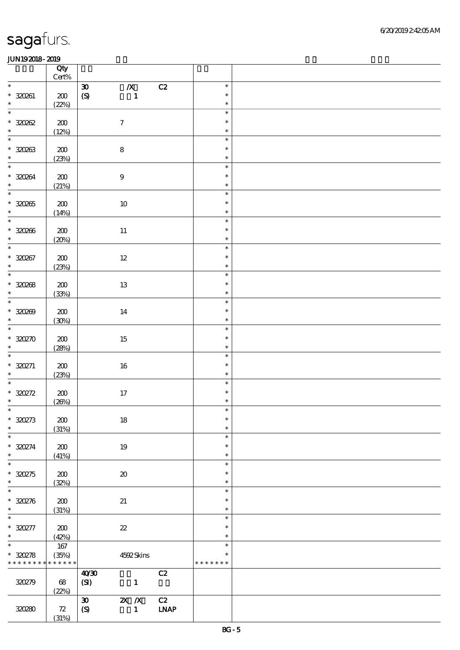|                                            | Qty<br>$\mbox{Cert}\%$ |                                                                  |                  |  |
|--------------------------------------------|------------------------|------------------------------------------------------------------|------------------|--|
| $\ast$                                     |                        | $\pmb{X}$<br>$\mathbf{C2}$<br>$\pmb{\mathfrak{D}}$               | $\ast$           |  |
| $* 320261$                                 | $200\,$                | $\pmb{\in}$<br>$\mathbf{1}$                                      | $\ast$           |  |
| $\ast$                                     | (22%)                  |                                                                  | $\ast$           |  |
| $\overline{\phantom{0}}$                   |                        |                                                                  | $\ast$           |  |
| $*30002$                                   | $200\,$                | $\boldsymbol{7}$                                                 | $\ast$           |  |
| $\overline{\phantom{0}}$                   | (12%)                  |                                                                  | $\ast$           |  |
|                                            |                        |                                                                  | $\ast$           |  |
| $* 320263$<br>$\ast$                       | 200                    | $\bf 8$                                                          | $\ast$           |  |
| $\overline{\ast}$                          | (23%)                  |                                                                  | $\ast$<br>$\ast$ |  |
|                                            |                        |                                                                  | $\ast$           |  |
| $* 320264$<br>$\ast$                       | ${\bf Z0}$             | $\boldsymbol{9}$                                                 | $\ast$           |  |
| $\overline{\phantom{0}}$                   | (21%)                  |                                                                  | $\ast$           |  |
| $* 320265$                                 | ${\bf Z0}$             | $10\,$                                                           | $\ast$           |  |
| $\ast$                                     | (14%)                  |                                                                  | $\ast$           |  |
| $\overline{\phantom{0}}$                   |                        |                                                                  | $\ast$           |  |
| $* 320266$                                 | $200\,$                | $11\,$                                                           | $\ast$           |  |
| $\ast$                                     | (20%)                  |                                                                  | $\ast$           |  |
| $\overline{\ast}$                          |                        |                                                                  | $\ast$           |  |
| $* 320267$                                 | $200\,$                | $12\,$                                                           | $\ast$           |  |
| $\ast$                                     | (23%)                  |                                                                  | $\ast$           |  |
| $\overline{\phantom{0}}$                   |                        |                                                                  | $\ast$           |  |
| $* 320268$                                 | $\pmb{30}$             | 13                                                               | $\ast$           |  |
| $\ast$                                     | (33%)                  |                                                                  | $\ast$           |  |
| $\overline{\phantom{0}}$                   |                        |                                                                  | $\ast$           |  |
| $*30000$                                   | 200                    | 14                                                               | $\ast$           |  |
| $\ast$                                     | (30%)                  |                                                                  | $\ast$           |  |
| $\ast$                                     |                        |                                                                  | $\ast$           |  |
| $*30270$<br>$\ast$                         | 200                    | $15\,$                                                           | $\ast$           |  |
| $\ast$                                     | (28%)                  |                                                                  | $\ast$<br>$\ast$ |  |
| $*320271$                                  |                        |                                                                  | $\ast$           |  |
| $\ast$                                     | $200\,$<br>(23%)       | $16\,$                                                           | $\ast$           |  |
| $\ast$                                     |                        |                                                                  | $\ast$           |  |
| $\hspace{0.1cm}^*$ 330272                  | $200\,$                | $17\,$                                                           | $\ast$           |  |
| $\ast$                                     | (20%)                  |                                                                  | $\ast$           |  |
| $\ast$                                     |                        |                                                                  | $\ast$           |  |
| $* 320273$                                 | 200                    | 18                                                               | $\ast$           |  |
| $\ast$                                     | (31%)                  |                                                                  | $\ast$           |  |
| $\ast$                                     |                        |                                                                  | $\ast$           |  |
| $* 320274$                                 | $\pmb{30}$             | 19                                                               | $\ast$           |  |
| $\ast$                                     | (41%)                  |                                                                  | $\ast$           |  |
| $\ast$                                     |                        |                                                                  | $\ast$           |  |
| $*30275$<br>$\ast$                         | 200                    | $\boldsymbol{\boldsymbol{\lambda}}$                              | $\ast$           |  |
| $\ast$                                     | (32%)                  |                                                                  | $\ast$<br>$\ast$ |  |
|                                            |                        |                                                                  | $\ast$           |  |
| $* 320276$<br>$\ast$                       | 200<br>(31%)           | 21                                                               | $\ast$           |  |
| $\overline{\phantom{0}}$                   |                        |                                                                  | $\ast$           |  |
| $* 320277$                                 | 200                    | $\boldsymbol{\mathcal{Z}}$                                       | $\ast$           |  |
| $\ast$                                     | (42%)                  |                                                                  | $\ast$           |  |
| $\overline{\ast}$                          | 167                    |                                                                  | $\ast$           |  |
| $*30278$                                   | (35%)                  | 4592Skins                                                        | $\ast$           |  |
| * * * * * * * * <mark>* * * * * * *</mark> |                        |                                                                  | * * * * * * *    |  |
|                                            |                        | C2<br>40'30                                                      |                  |  |
| 320279                                     | 68                     | (SI)<br>$\mathbf{1}$                                             |                  |  |
|                                            | (22%)                  |                                                                  |                  |  |
|                                            |                        | $\mathbf{X}$ $\mathbf{X}$<br>C2<br>$\boldsymbol{\mathfrak{D}}$   |                  |  |
| 320280                                     | 72                     | $\ensuremath{\mathbf{INAP}}$<br>$\boldsymbol{S}$<br>$\mathbf{1}$ |                  |  |
|                                            | (31%)                  |                                                                  |                  |  |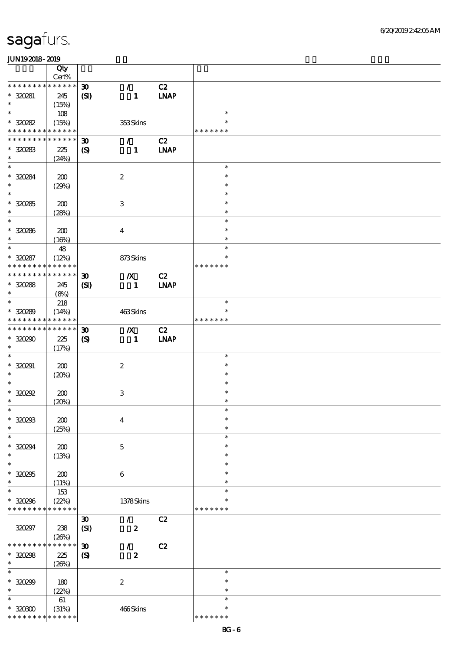|                                            | Qty                  |                             |                           |             |               |  |
|--------------------------------------------|----------------------|-----------------------------|---------------------------|-------------|---------------|--|
| * * * * * * * *                            | Cert%<br>$******$    |                             |                           |             |               |  |
|                                            |                      | $\boldsymbol{\mathfrak{D}}$ | $\mathcal{L}$             | C2          |               |  |
| $*30281$<br>$\ast$                         | 245                  | (S)                         | $\mathbf{1}$              | <b>LNAP</b> |               |  |
| $\ast$                                     | (15%)                |                             |                           |             |               |  |
|                                            | 108                  |                             |                           |             | $\ast$        |  |
| $*30282$                                   | (15%)                |                             | 353Skins                  |             | $\ast$        |  |
| * * * * * * * * <mark>* * * * * * *</mark> |                      |                             |                           |             | * * * * * * * |  |
| * * * * * * * * * * * * * *                |                      | $\boldsymbol{\mathfrak{D}}$ | $\mathcal{L}$             | C2          |               |  |
| $*30283$                                   | 225                  | $\boldsymbol{\mathcal{S}}$  | $\mathbf{1}$              | <b>LNAP</b> |               |  |
| $\ast$                                     | (24%)                |                             |                           |             |               |  |
| $\ast$                                     |                      |                             |                           |             | $\ast$        |  |
| * 320284                                   | 200                  |                             | $\boldsymbol{2}$          |             | $\ast$        |  |
| $\ast$                                     | (29%)                |                             |                           |             | $\ast$        |  |
| $\overline{\phantom{1}}$                   |                      |                             |                           |             | $\ast$        |  |
| $*30285$                                   | 200                  |                             | $\ensuremath{\mathbf{3}}$ |             | $\ast$        |  |
| $\ast$                                     | (28%)                |                             |                           |             | $\ast$        |  |
| $\ast$                                     |                      |                             |                           |             | $\ast$        |  |
| $* 320286$                                 | 200                  |                             | $\overline{\mathbf{4}}$   |             | $\ast$        |  |
| $\ast$                                     | (16%)                |                             |                           |             | $\ast$        |  |
| $\ast$                                     | 48                   |                             |                           |             | $\ast$        |  |
| $*30287$                                   | (12%)                |                             | 873Skins                  |             | $\ast$        |  |
| * * * * * * * *                            | * * * * * *          |                             |                           |             | * * * * * * * |  |
| * * * * * * * * * * * * * *                |                      |                             |                           |             |               |  |
|                                            |                      | $\boldsymbol{\mathfrak{D}}$ | $\mathbf{X}$              | C2          |               |  |
| $* 30288$                                  | 245                  | (S)                         | $\blacksquare$            | <b>INAP</b> |               |  |
| $\ast$                                     | (8%)                 |                             |                           |             |               |  |
| $\ast$                                     | 218                  |                             |                           |             | $\ast$        |  |
| $*30289$                                   | (14%)                |                             | 463Skins                  |             | *             |  |
| * * * * * * * * * * * * * *                |                      |                             |                           |             | * * * * * * * |  |
| * * * * * * * * * * * * * *                |                      | $\boldsymbol{\mathfrak{D}}$ | $\boldsymbol{X}$          | C2          |               |  |
| $*30290$                                   | 225                  | $\boldsymbol{\mathcal{S}}$  | $\blacksquare$            | <b>LNAP</b> |               |  |
| $\ast$                                     | (17%)                |                             |                           |             |               |  |
| $\ast$                                     |                      |                             |                           |             | $\ast$        |  |
| $*320291$                                  | 200                  |                             | $\boldsymbol{2}$          |             | $\ast$        |  |
| $\ast$                                     | (20%)                |                             |                           |             | $\ast$        |  |
| $\ast$                                     |                      |                             |                           |             | $\ast$        |  |
| $*30292$                                   | 200                  |                             | $\ensuremath{\mathbf{3}}$ |             | $\ast$        |  |
| $\ast$                                     | (20%)                |                             |                           |             | $\ast$        |  |
| $\ast$                                     |                      |                             |                           |             | $\ast$        |  |
| $*30293$                                   | 200                  |                             | $\boldsymbol{4}$          |             | $\ast$        |  |
| $\ast$                                     | (25%)                |                             |                           |             | $\ast$        |  |
| $\ast$                                     |                      |                             |                           |             | $\ast$        |  |
| $*30294$                                   | 200                  |                             | $\mathbf 5$               |             | $\ast$        |  |
| $\ast$                                     | (13%)                |                             |                           |             | $\ast$        |  |
| $\ast$                                     |                      |                             |                           |             | $\ast$        |  |
| $*30295$                                   | 200                  |                             | $\boldsymbol{6}$          |             | $\ast$        |  |
| $\ast$                                     | (11%)                |                             |                           |             | $\ast$        |  |
| $\ast$                                     | 153                  |                             |                           |             | $\ast$        |  |
|                                            |                      |                             |                           |             | $\ast$        |  |
| $* 320296$<br>* * * * * * * *              | (22%)<br>* * * * * * |                             | 1378Skins                 |             | * * * * * * * |  |
|                                            |                      |                             |                           |             |               |  |
|                                            |                      | $\boldsymbol{\mathfrak{D}}$ | $\mathcal{F}$             | C2          |               |  |
| 320297                                     | 238                  | (SI)                        | $\boldsymbol{z}$          |             |               |  |
|                                            | (20%)                |                             |                           |             |               |  |
| * * * * * * * *                            | * * * * * *          | $\boldsymbol{\mathfrak{D}}$ | $\mathcal{L}$             | C2          |               |  |
| $*30298$                                   | 225                  | $\boldsymbol{S}$            | $\boldsymbol{z}$          |             |               |  |
| $\ast$                                     | (20%)                |                             |                           |             |               |  |
| $\ast$                                     |                      |                             |                           |             | $\ast$        |  |
| $* 320299$                                 | 180                  |                             | $\boldsymbol{2}$          |             | $\ast$        |  |
| $\ast$                                     | (22%)                |                             |                           |             | $\ast$        |  |
| $\ast$                                     | 61                   |                             |                           |             | $\ast$        |  |
| $*3000$                                    | (31%)                |                             | 466Skins                  |             | $\ast$        |  |
| * * * * * * * *                            | * * * * * *          |                             |                           |             | * * * * * * * |  |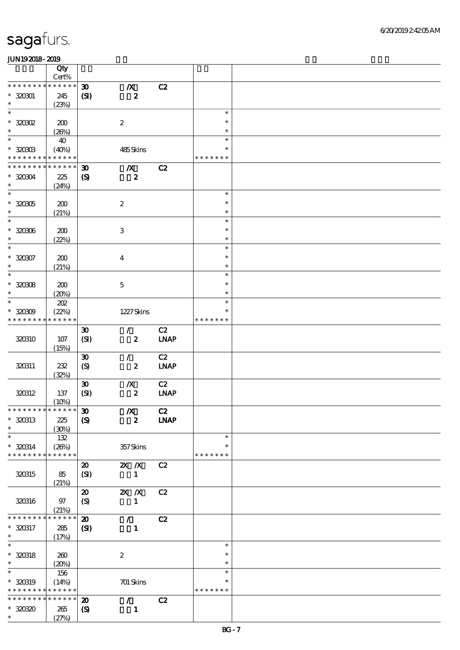|                                          | Qty<br>Cert%         |                             |                  |             |                         |  |
|------------------------------------------|----------------------|-----------------------------|------------------|-------------|-------------------------|--|
| * * * * * * * *                          | * * * * * *          | $\boldsymbol{\mathfrak{D}}$ | $\boldsymbol{X}$ | C2          |                         |  |
| $*32001$                                 | 245                  | $\bf{(S)}$                  | $\pmb{2}$        |             |                         |  |
| $\ast$                                   | (23%)                |                             |                  |             |                         |  |
| $\ast$                                   |                      |                             |                  |             | $\ast$                  |  |
| $*30002$                                 | 200                  |                             | $\boldsymbol{2}$ |             | $\ast$                  |  |
| $\ast$                                   | (20%)                |                             |                  |             | $\ast$                  |  |
| $\ast$                                   | 40                   |                             |                  |             | $\ast$                  |  |
| $*30003$                                 | (40%)                |                             | 485Skins         |             | $\ast$                  |  |
| * * * * * * * *                          | * * * * * *          |                             |                  |             | * * * * * * *           |  |
| * * * * * * * *                          | * * * * * *          | $\boldsymbol{\mathfrak{D}}$ | $\boldsymbol{X}$ | C2          |                         |  |
| $*320304$                                | 225                  | $\boldsymbol{S}$            | $\boldsymbol{z}$ |             |                         |  |
| $\ast$                                   | (24%)                |                             |                  |             |                         |  |
| $\ast$                                   |                      |                             |                  |             | $\ast$                  |  |
| $^\ast$ 320305                           | 200                  |                             | $\boldsymbol{2}$ |             | $\ast$                  |  |
| $\ast$                                   | (21%)                |                             |                  |             | $\ast$                  |  |
| $\overline{\ast}$                        |                      |                             |                  |             | $\ast$                  |  |
| $* 320306$                               | 200                  |                             | $\,3\,$          |             | $\ast$                  |  |
| $\ast$                                   | (22%)                |                             |                  |             | $\ast$                  |  |
| $\ast$                                   |                      |                             |                  |             | $\ast$                  |  |
| $* 320307$                               | 200                  |                             | $\boldsymbol{4}$ |             | $\ast$                  |  |
| $\ast$                                   | (21%)                |                             |                  |             | $\ast$                  |  |
| $\ast$                                   |                      |                             |                  |             | $\ast$                  |  |
| $* 320308$                               | 200                  |                             | $\bf 5$          |             | $\ast$                  |  |
| $\ast$                                   | (20%)                |                             |                  |             | $\ast$                  |  |
| $\ast$                                   | $202\,$              |                             |                  |             | $\ast$                  |  |
| $*30009$                                 | (22%)                |                             | 1227Skins        |             | $\ast$                  |  |
| * * * * * * * *                          | * * * * * *          |                             |                  |             | * * * * * * *           |  |
|                                          |                      | $\boldsymbol{\mathfrak{D}}$ | $\mathcal{F}$    | C2          |                         |  |
| 320310                                   | $107$                | (SI)                        | $\boldsymbol{z}$ | <b>LNAP</b> |                         |  |
|                                          | (15%)                |                             |                  |             |                         |  |
|                                          |                      | $\boldsymbol{\mathfrak{D}}$ | $\mathcal{L}$    | C2          |                         |  |
| 320311                                   | 232                  | $\boldsymbol{\mathrm{(S)}}$ | $\boldsymbol{z}$ | <b>LNAP</b> |                         |  |
|                                          | (32%)                |                             |                  |             |                         |  |
|                                          |                      | $\boldsymbol{\mathfrak{D}}$ | $\boldsymbol{X}$ | C2          |                         |  |
| 320312                                   | 137                  | (SI)                        | $\pmb{2}$        | <b>LNAP</b> |                         |  |
|                                          | (10%)                |                             |                  |             |                         |  |
| * * * * * * * * * * * * * * *            |                      | $\pmb{\mathfrak{D}}$        | $\boldsymbol{X}$ | C2          |                         |  |
| $* 320313$                               | 225                  | $\boldsymbol{S}$            | $\boldsymbol{z}$ | <b>LNAP</b> |                         |  |
| $\ast$                                   | (30%)                |                             |                  |             |                         |  |
| $\ast$                                   | 132                  |                             |                  |             | $\ast$                  |  |
| * 320314<br>* * * * * * * *              | (20%)<br>* * * * * * |                             | 357Skins         |             | $\ast$<br>* * * * * * * |  |
|                                          |                      |                             |                  |             |                         |  |
|                                          |                      | $\boldsymbol{\mathfrak{D}}$ | $X$ $N$          | C2          |                         |  |
| 320315                                   | 85                   | (SI)                        | $\mathbf{1}$     |             |                         |  |
|                                          | (21%)                | $\boldsymbol{\mathfrak{D}}$ | $X$ $X$          | C2          |                         |  |
| 320316                                   | 97                   | $\mathcal{S}$               | $\mathbf{1}$     |             |                         |  |
|                                          | (21%)                |                             |                  |             |                         |  |
| * * * * * * * *                          | * * * * * *          | $\boldsymbol{\mathbf{z}}$   | $\mathcal{F}$    | C2          |                         |  |
| * 320317                                 | 285                  | $\mathbf{C}$                | $\mathbf{1}$     |             |                         |  |
| $*$                                      | (17%)                |                             |                  |             |                         |  |
| $\overline{\ast}$                        |                      |                             |                  |             | $\ast$                  |  |
| $* 320318$                               | 260                  |                             | $\boldsymbol{2}$ |             | $\ast$                  |  |
| $\ast$                                   | (20%)                |                             |                  |             | $\ast$                  |  |
| $\ast$                                   | 156                  |                             |                  |             | $\ast$                  |  |
| $* 320319$                               | (14%)                |                             | 701 Skins        |             | $\ast$                  |  |
| * * * * * * * * <mark>* * * * * *</mark> |                      |                             |                  |             | * * * * * * *           |  |
| * * * * * * * *                          | * * * * * *          | $\boldsymbol{\mathbf{z}}$   | $\mathcal{L}$    | C2          |                         |  |
| $*3030$                                  | 265                  | $\boldsymbol{\mathcal{S}}$  | $\mathbf{1}$     |             |                         |  |
| $\ast$                                   | (27%)                |                             |                  |             |                         |  |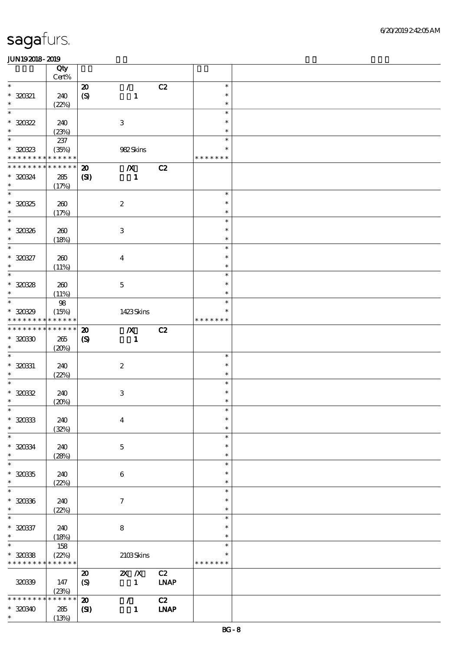|                                                        | Qty<br>$Cert\%$      |                                                 |                                    |             |                    |  |
|--------------------------------------------------------|----------------------|-------------------------------------------------|------------------------------------|-------------|--------------------|--|
| $\ast$                                                 |                      |                                                 | $\mathcal{L}$                      | C2          | $\ast$             |  |
| $* 320321$<br>$\ast$                                   | 240<br>(22%)         | $\boldsymbol{\mathfrak{D}}$<br>$\boldsymbol{S}$ | $\mathbf{1}$                       |             | $\ast$<br>$\ast$   |  |
| $\ast$                                                 |                      |                                                 |                                    |             | $\ast$             |  |
| $*30022$<br>$\ast$                                     | 240<br>(23%)         |                                                 | $\,3$                              |             | $\ast$<br>$\ast$   |  |
| $\overline{\ast}$                                      |                      |                                                 |                                    |             | $\ast$             |  |
| $*30823$<br>* * * * * * * * <mark>* * * * * *</mark>   | 237<br>(35%)         |                                                 | 982Skins                           |             | *<br>* * * * * * * |  |
| * * * * * * * *                                        | * * * * * *          | $\boldsymbol{\mathfrak{D}}$                     | $\boldsymbol{X}$                   | C2          |                    |  |
| * 320324<br>$\ast$                                     | 285<br>(17%)         | (S)                                             | $\blacksquare$                     |             |                    |  |
| $\overline{\phantom{0}}$                               |                      |                                                 |                                    |             | $\ast$             |  |
| $* 320325$<br>$\ast$                                   | 260<br>(17%)         |                                                 | $\boldsymbol{2}$                   |             | $\ast$<br>$\ast$   |  |
| $\overline{\ast}$                                      |                      |                                                 |                                    |             | $\ast$             |  |
| $* 320336$<br>$\ast$                                   | 260<br>(18%)         |                                                 | $\,3\,$                            |             | $\ast$<br>$\ast$   |  |
| $\ast$                                                 |                      |                                                 |                                    |             | $\ast$             |  |
| $* 320327$<br>$\ast$                                   | 260<br>(11%)         |                                                 | $\boldsymbol{4}$                   |             | $\ast$<br>$\ast$   |  |
| $\overline{\ast}$                                      |                      |                                                 |                                    |             | $\ast$             |  |
| $* 320328$<br>$\ast$                                   | 260<br>(11%)         |                                                 | $\mathbf 5$                        |             | $\ast$<br>$\ast$   |  |
| $\ast$                                                 | 98                   |                                                 |                                    |             | $\ast$             |  |
| $*3089$<br>* * * * * * * *                             | (15%)<br>* * * * * * |                                                 | 1423Skins                          |             | *<br>* * * * * * * |  |
| * * * * * * * *                                        | * * * * * *          |                                                 |                                    |             |                    |  |
| $*30030$<br>$\ast$                                     | $265\,$<br>(20%)     | $\boldsymbol{\mathfrak{D}}$<br>$\boldsymbol{S}$ | $\boldsymbol{X}$<br>$\blacksquare$ | C2          |                    |  |
| $\ast$                                                 |                      |                                                 |                                    |             | $\ast$             |  |
| $* 320331$<br>$\ast$                                   | 240<br>(22%)         |                                                 | $\boldsymbol{2}$                   |             | $\ast$<br>$\ast$   |  |
| $\ast$                                                 |                      |                                                 |                                    |             | $\ast$             |  |
| $* 32032$<br>$\ast$                                    | 240<br>(20%)         |                                                 | $\,3$                              |             | $\ast$<br>$\ast$   |  |
| $\ast$                                                 |                      |                                                 |                                    |             | $\ast$             |  |
| $* 30033$<br>$\ast$                                    | 240<br>(32%)         |                                                 | $\boldsymbol{4}$                   |             | $\ast$<br>$\ast$   |  |
| $\ast$                                                 |                      |                                                 |                                    |             | $\ast$             |  |
| $* 320334$<br>$\ast$                                   | 240<br>(28%)         |                                                 | $\mathbf 5$                        |             | $\ast$<br>$\ast$   |  |
| $\ast$                                                 |                      |                                                 |                                    |             | $\ast$             |  |
| $* 32035$<br>$\ast$                                    | 240<br>(22%)         |                                                 | 6                                  |             | $\ast$<br>$\ast$   |  |
| $\ast$                                                 |                      |                                                 |                                    |             | $\ast$             |  |
| $* 320336$<br>$\ast$                                   | 240<br>(22%)         |                                                 | $\boldsymbol{\tau}$                |             | $\ast$<br>$\ast$   |  |
| $\ast$                                                 |                      |                                                 |                                    |             | $\ast$             |  |
| $* 320337$<br>$\ast$                                   | 240<br>(18%)         |                                                 | $\bf 8$                            |             | $\ast$<br>$\ast$   |  |
| $\overline{\ast}$                                      | 158                  |                                                 |                                    |             | $\ast$             |  |
| $*30038$<br>* * * * * * * * <mark>* * * * * * *</mark> | (22%)                |                                                 | 2103Skins                          |             | *<br>* * * * * * * |  |
|                                                        |                      | $\boldsymbol{\mathfrak{D}}$                     | $X$ $N$                            | C2          |                    |  |
| 320339                                                 | 147<br>(23%)         | (S)                                             | $\mathbf{1}$                       | <b>LNAP</b> |                    |  |
| * * * * * * * *                                        | * * * * * *          | $\boldsymbol{\mathbf{z}}$                       | $\mathcal{F}$                      | C2          |                    |  |
| $*3030$<br>$\ast$                                      | 285<br>(13%)         | $\mathbf{C}$                                    | $\mathbf{1}$                       | <b>LNAP</b> |                    |  |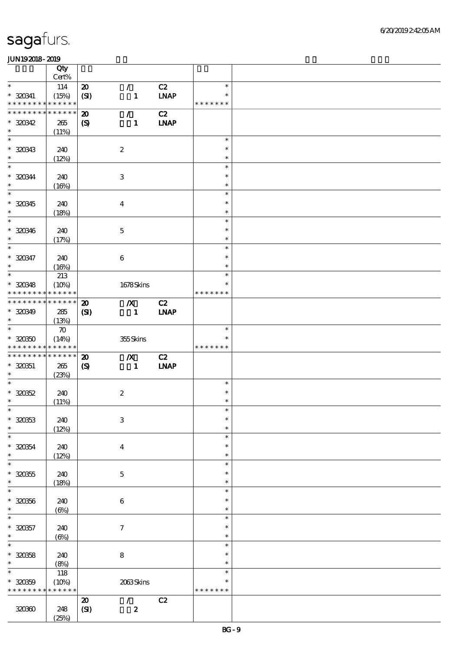|                                            | Qty<br>Cert%       |                                         |                               |                   |               |  |
|--------------------------------------------|--------------------|-----------------------------------------|-------------------------------|-------------------|---------------|--|
| $\ast$                                     |                    |                                         |                               |                   | $\ast$        |  |
| $*320341$                                  | 114<br>(15%)       | $\boldsymbol{\mathfrak{D}}$<br>(SI)     | $\mathcal{L}$<br>$\mathbf{1}$ | C2<br><b>LNAP</b> | $\ast$        |  |
| * * * * * * * * <mark>* * * * * *</mark> * |                    |                                         |                               |                   | * * * * * * * |  |
| * * * * * * * * <mark>* * * * * *</mark>   |                    | $\boldsymbol{\mathbf{z}}$               | $\mathcal{L}$                 | C2                |               |  |
| $*30342$                                   | 265                | $\boldsymbol{\mathrm{(S)}}$             | $\mathbf{1}$                  | <b>LNAP</b>       |               |  |
| $\ast$                                     | (11%)              |                                         |                               |                   |               |  |
| $\ast$                                     |                    |                                         |                               |                   |               |  |
|                                            |                    |                                         |                               |                   | $\ast$        |  |
| $* 320343$                                 | 240                |                                         | $\boldsymbol{2}$              |                   | $\ast$        |  |
| $\ast$                                     | (12%)              |                                         |                               |                   | $\ast$        |  |
| $\ast$                                     |                    |                                         |                               |                   | $\ast$        |  |
|                                            |                    |                                         |                               |                   | $\ast$        |  |
| $* 320344$                                 | 240                |                                         | $\,3$                         |                   |               |  |
| $\ast$                                     | (16%)              |                                         |                               |                   | $\ast$        |  |
| $\overline{\ast}$                          |                    |                                         |                               |                   | $\ast$        |  |
| $* 320345$                                 | 240                |                                         | $\boldsymbol{4}$              |                   | $\ast$        |  |
| $\ast$                                     | (18%)              |                                         |                               |                   | $\ast$        |  |
| $\ast$                                     |                    |                                         |                               |                   | $\ast$        |  |
|                                            |                    |                                         |                               |                   |               |  |
| $* 320346$                                 | 240                |                                         | $\mathbf 5$                   |                   | $\ast$        |  |
| $\ast$                                     | (17%)              |                                         |                               |                   | $\ast$        |  |
| $\ast$                                     |                    |                                         |                               |                   | $\ast$        |  |
| $* 320347$                                 | 240                |                                         | $\boldsymbol{6}$              |                   | $\ast$        |  |
| $\ast$                                     | (16%)              |                                         |                               |                   | $\ast$        |  |
| $\ast$                                     |                    |                                         |                               |                   | $\ast$        |  |
|                                            | 213                |                                         |                               |                   |               |  |
| $* 320348$                                 | (10%)              |                                         | 1678Skins                     |                   | $\ast$        |  |
| * * * * * * * * <mark>* * * * * *</mark> * |                    |                                         |                               |                   | * * * * * * * |  |
| * * * * * * * * * * * * * *                |                    | $\boldsymbol{\mathfrak{D}}$             | $\boldsymbol{X}$              | C2                |               |  |
| * 320349                                   | 285                | (S)                                     | $\blacksquare$                | <b>INAP</b>       |               |  |
| $\ast$                                     | (13%)              |                                         |                               |                   |               |  |
| $\ast$                                     |                    |                                         |                               |                   |               |  |
|                                            | $\boldsymbol{\pi}$ |                                         |                               |                   | $\ast$        |  |
| $* 32030$                                  | (14%)              |                                         | 355Skins                      |                   | $\ast$        |  |
| * * * * * * * * <mark>* * * * * *</mark> * |                    |                                         |                               |                   | * * * * * * * |  |
| * * * * * * * * * * * * * *                |                    | $\boldsymbol{\mathbf{z}}$               | $\boldsymbol{X}$              | C2                |               |  |
| $* 320351$                                 | 265                | $\boldsymbol{S}$                        | $\blacksquare$                | <b>INAP</b>       |               |  |
| $*$                                        | (23%)              |                                         |                               |                   |               |  |
| $\ast$                                     |                    |                                         |                               |                   |               |  |
|                                            |                    |                                         |                               |                   |               |  |
| $* 32052$                                  |                    |                                         |                               |                   | $\ast$        |  |
|                                            | 240                |                                         | $\boldsymbol{2}$              |                   | $\ast$        |  |
| $\ast$                                     |                    |                                         |                               |                   | $\ast$        |  |
| $*$                                        | (11%)              |                                         |                               |                   | $\ast$        |  |
|                                            |                    |                                         |                               |                   | $\ast$        |  |
| $* 320353$                                 | 240                |                                         | $\ensuremath{\mathbf{3}}$     |                   |               |  |
| $\ast$                                     | (12%)              |                                         |                               |                   | $\ast$        |  |
| $\ast$                                     |                    |                                         |                               |                   | $\ast$        |  |
| $* 320354$                                 | 240                |                                         | $\boldsymbol{4}$              |                   | $\ast$        |  |
| $\ast$                                     | (12%)              |                                         |                               |                   | $\ast$        |  |
| $\ast$                                     |                    |                                         |                               |                   | $\ast$        |  |
|                                            |                    |                                         |                               |                   | $\ast$        |  |
| $* 320355$                                 | 240                |                                         | $\mathbf 5$                   |                   |               |  |
| $\ast$                                     | (18%)              |                                         |                               |                   | $\ast$        |  |
| $\ast$                                     |                    |                                         |                               |                   | $\ast$        |  |
| $* 320356$                                 | 240                |                                         | $\,6\,$                       |                   | $\ast$        |  |
| $\ast$                                     |                    |                                         |                               |                   | $\ast$        |  |
| $\ast$                                     | $(\Theta)$         |                                         |                               |                   | $\ast$        |  |
|                                            |                    |                                         |                               |                   |               |  |
| $* 320357$                                 | 240                |                                         | $\boldsymbol{7}$              |                   | $\ast$        |  |
| $\ast$                                     | $(\Theta\% )$      |                                         |                               |                   | $\ast$        |  |
| $\ast$                                     |                    |                                         |                               |                   | $\ast$        |  |
|                                            | 240                |                                         |                               |                   | $\ast$        |  |
| $* 320358$<br>$\ast$                       |                    |                                         | $\bf 8$                       |                   | $\ast$        |  |
| $\ast$                                     | (8%)               |                                         |                               |                   | $\ast$        |  |
|                                            | 118                |                                         |                               |                   |               |  |
| $* 320359$                                 | (10%)              |                                         | 2063Skins                     |                   | $\ast$        |  |
| * * * * * * * *                            | * * * * * *        |                                         |                               |                   | * * * * * * * |  |
|                                            |                    | $\boldsymbol{\boldsymbol{\mathrm{20}}}$ | $\mathcal{L}$                 | C2                |               |  |
| 320360                                     | 248                | (SI)                                    | $\boldsymbol{z}$              |                   |               |  |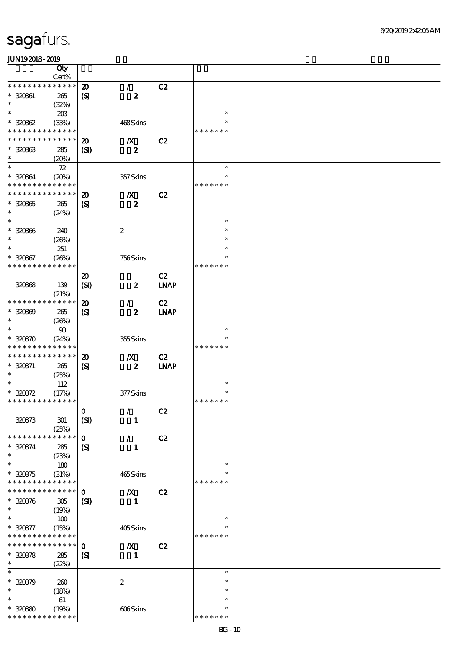|                             | Qty                  |                             |                  |             |               |  |
|-----------------------------|----------------------|-----------------------------|------------------|-------------|---------------|--|
|                             | $Cert\%$             |                             |                  |             |               |  |
| * * * * * * * *             | * * * * * *          | $\boldsymbol{\mathfrak{D}}$ | $\mathcal{L}$    | C2          |               |  |
| $* 320301$                  | 265                  | $\boldsymbol{\mathsf{(S)}}$ | $\boldsymbol{z}$ |             |               |  |
| $\ast$<br>$\ast$            | (32%)                |                             |                  |             | $\ast$        |  |
|                             | 20B                  |                             |                  |             | $\ast$        |  |
| $*30002$<br>* * * * * * * * | (33%)<br>* * * * * * |                             | 468Skins         |             | * * * * * * * |  |
| * * * * * * * *             | * * * * * *          | $\boldsymbol{\mathbf{z}}$   | $\boldsymbol{X}$ | C2          |               |  |
| $*30063$                    | 285                  | $\mathbf{C}$                | $\boldsymbol{2}$ |             |               |  |
| $\ast$                      | (20%)                |                             |                  |             |               |  |
| $\ast$                      | 72                   |                             |                  |             | $\ast$        |  |
| * 320364                    | (20%)                |                             | 357Skins         |             | *             |  |
| * * * * * * * *             | ******               |                             |                  |             | * * * * * * * |  |
| * * * * * * * *             | * * * * * *          | $\boldsymbol{\mathfrak{D}}$ | $\boldsymbol{X}$ | C2          |               |  |
| $* 32035$                   | 265                  | $\boldsymbol{S}$            | $\boldsymbol{z}$ |             |               |  |
| $\ast$                      | (24%)                |                             |                  |             |               |  |
| $\ast$                      |                      |                             |                  |             | $\ast$        |  |
| $* 320366$                  | 240                  |                             | $\boldsymbol{2}$ |             | $\ast$        |  |
| $\ast$                      | (20%)                |                             |                  |             | $\ast$        |  |
| $\ast$                      | 251                  |                             |                  |             | $\ast$        |  |
| $* 320367$                  | (20%)                |                             | 756Skins         |             | $\ast$        |  |
| * * * * * * * *             | * * * * * *          |                             |                  |             | * * * * * * * |  |
|                             |                      | $\boldsymbol{\mathfrak{D}}$ |                  | C2          |               |  |
| 320368                      | 139                  | (SI)                        | $\boldsymbol{z}$ | <b>LNAP</b> |               |  |
| * * * * * * * *             | (21%)<br>* * * * * * | $\boldsymbol{\mathbf{z}}$   | $\mathcal{L}$    | C2          |               |  |
| $* 30000$                   | 265                  | (S)                         | $\boldsymbol{z}$ | <b>LNAP</b> |               |  |
| $\ast$                      | (20%)                |                             |                  |             |               |  |
| $\ast$                      | $90\,$               |                             |                  |             | $\ast$        |  |
| $* 320370$                  | (24%)                |                             | 355Skins         |             | *             |  |
| * * * * * * * *             | * * * * * *          |                             |                  |             | * * * * * * * |  |
| * * * * * * * *             | * * * * * *          | $\boldsymbol{\mathfrak{D}}$ | $\boldsymbol{X}$ | C2          |               |  |
| $* 320371$                  | 265                  | $\boldsymbol{\mathcal{S}}$  | $\boldsymbol{z}$ | <b>LNAP</b> |               |  |
| $\ast$                      | (25%)                |                             |                  |             |               |  |
| $\ast$                      | 112                  |                             |                  |             | $\ast$        |  |
| $* 320372$                  | (17%)                |                             | 377Skins         |             | $\ast$        |  |
| * * * * * * * * * * * * * * |                      |                             |                  |             | * * * * * * * |  |
|                             |                      | $\mathbf 0$                 | $\mathcal{T}$    | C2          |               |  |
| 320373                      | 301                  | (SI)                        | $\mathbf{1}$     |             |               |  |
| * * * * * * * *             | (25%)<br>* * * * * * |                             |                  |             |               |  |
|                             |                      | $\mathbf{o}$                | $\mathcal{T}$    | C2          |               |  |
| $* 320374$<br>$\ast$        | 285<br>(23%)         | $\boldsymbol{\mathcal{S}}$  | $\mathbf{1}$     |             |               |  |
| $\ast$                      | 180                  |                             |                  |             | $\ast$        |  |
| $* 320375$                  | (31%)                |                             | 465Skins         |             | $\ast$        |  |
| * * * * * * *               | * * * * * *          |                             |                  |             | * * * * * * * |  |
| * * * * * *                 | * * * * * *          | $\mathbf 0$                 | $\boldsymbol{X}$ | C2          |               |  |
| $* 320376$                  | 305                  | $\mathbf{S}$                | $\mathbf{1}$     |             |               |  |
| $\ast$                      | (19%)                |                             |                  |             |               |  |
| $\ast$                      | 100                  |                             |                  |             | $\ast$        |  |
| $* 320377$                  | (15%)                |                             | 405Skins         |             | ∗             |  |
| * * * * * * * *             | * * * * * *          |                             |                  |             | * * * * * * * |  |
| * * * * * * *               | * * * * * *          | $\mathbf{o}$                | $\boldsymbol{X}$ | C2          |               |  |
| $* 300378$                  | 285                  | $\boldsymbol{S}$            | $\mathbf{1}$     |             |               |  |
| $\ast$<br>$\ast$            | (22%)                |                             |                  |             | $\ast$        |  |
|                             |                      |                             |                  |             | $\ast$        |  |
| $* 320379$<br>$\ast$        | 260                  |                             | $\boldsymbol{2}$ |             | $\ast$        |  |
| $\ast$                      | (18%)<br>61          |                             |                  |             | $\ast$        |  |
| $*30080$                    | (19%)                |                             | 606Skins         |             | $\ast$        |  |
| * * * * * * * *             | * * * * * *          |                             |                  |             | * * * * * * * |  |
|                             |                      |                             |                  |             |               |  |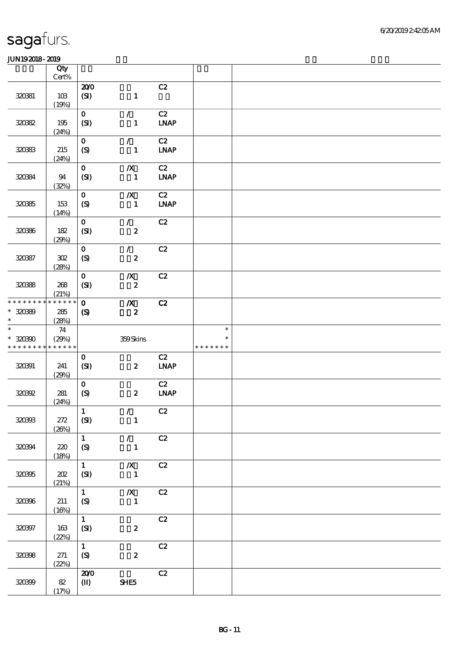|                  | Qty<br>$Cert\%$      |                                  |                                  |                                    |               |  |
|------------------|----------------------|----------------------------------|----------------------------------|------------------------------------|---------------|--|
|                  |                      | 200                              |                                  | C2                                 |               |  |
| 320381           | 10B<br>(19%)         | (SI)                             | $\mathbf{1}$                     |                                    |               |  |
| 320322           | 195                  | $\mathbf{o}$                     | $\mathcal{L}$                    | C2<br><b>LNAP</b>                  |               |  |
|                  | (24%)                | (SI)                             | $\mathbf{1}$                     |                                    |               |  |
| 320333           | $215\,$              | $\mathbf{o}$<br>$\boldsymbol{S}$ | $\mathcal{L}$<br>$\mathbf{1}$    | C2<br><b>LNAP</b>                  |               |  |
|                  | (24%)                |                                  |                                  |                                    |               |  |
| 320384           | 94                   | $\mathbf{o}$<br>(SI)             | $\pmb{X}$<br>$\mathbf{1}$        | C2<br>$\ensuremath{\text{INAP}}$   |               |  |
|                  | (32%)                |                                  |                                  |                                    |               |  |
| 320365           | 153                  | $\mathbf{o}$<br>(S)              | $\boldsymbol{X}$<br>$\mathbf{1}$ | C2<br>$\ensuremath{\text{INAP}}$   |               |  |
|                  | (14%)                |                                  |                                  |                                    |               |  |
| 320366           | 182                  | $\mathbf{o}$<br>(SI)             | $\mathcal{L}$<br>$\pmb{2}$       | C2                                 |               |  |
|                  | (29%)                | $\mathbf{o}$                     | $\mathcal{F}$                    | C2                                 |               |  |
| 320387           | 302                  | $\boldsymbol{S}$                 | $\boldsymbol{z}$                 |                                    |               |  |
|                  | (28%)                | $\mathbf{o}$                     | $\boldsymbol{X}$                 | C2                                 |               |  |
| 320388           | 268                  | (SI)                             | $\boldsymbol{z}$                 |                                    |               |  |
| * * * * * * * *  | (21%)<br>* * * * * * | $\mathbf{o}$                     | $\boldsymbol{X}$                 | C2                                 |               |  |
| * 320899         | 285                  | $\boldsymbol{\mathrm{(S)}}$      | $\boldsymbol{z}$                 |                                    |               |  |
| $\ast$<br>$\ast$ | (28%)                |                                  |                                  |                                    | $\ast$        |  |
|                  |                      |                                  |                                  |                                    |               |  |
| $*30000$         | 74<br>(29%)          |                                  | 359Skins                         |                                    | $\ast$        |  |
| * * * * * * * *  | * * * * * *          |                                  |                                  |                                    | * * * * * * * |  |
| 320391           | 241                  | $\mathbf{o}$<br>(SI)             | $\boldsymbol{z}$                 | C2<br>$\ensuremath{\mathbf{INAP}}$ |               |  |
|                  | (29%)                | $\mathbf{o}$                     |                                  | C2                                 |               |  |
| 320392           | 281                  | (S)                              | $\boldsymbol{z}$                 | $\ensuremath{\mathbf{INAP}}$       |               |  |
|                  | (24%)                | $\mathbf{1}$                     | $\mathcal{F}^{\mathcal{A}}$      | C2                                 |               |  |
| 320333           | 272<br>(20%)         | (SI)                             | $\mathbf{1}$                     |                                    |               |  |
|                  |                      | $\mathbf{1}$                     | $\mathcal{L}$                    | C2                                 |               |  |
| 320394           | 220<br>(18%)         | $\boldsymbol{S}$                 | $\mathbf{1}$                     |                                    |               |  |
|                  |                      | $\mathbf{1}$                     | $\pmb{X}$                        | C2                                 |               |  |
| 320395           | 202<br>(21%)         | (SI)                             | $\mathbf{1}$                     |                                    |               |  |
|                  |                      | $\mathbf{1}$                     | $\pmb{X}$                        | C2                                 |               |  |
| 320396           | 211<br>(16%)         | (S)                              | $\mathbf{1}$                     |                                    |               |  |
|                  |                      | $\mathbf{1}$                     |                                  | C2                                 |               |  |
| 320397           | $163$<br>(22%)       | (SI)                             | $\boldsymbol{2}$                 |                                    |               |  |
| 320398           | 271                  | $\mathbf{1}$                     | $\pmb{2}$                        | $\mathbf{C2}$                      |               |  |
|                  | (22%)                | $\boldsymbol{\mathrm{(S)}}$      |                                  |                                    |               |  |
| 320399           | $82\,$               | 200<br>$\bf (I\!I\!I)$           | SHE5                             | C2                                 |               |  |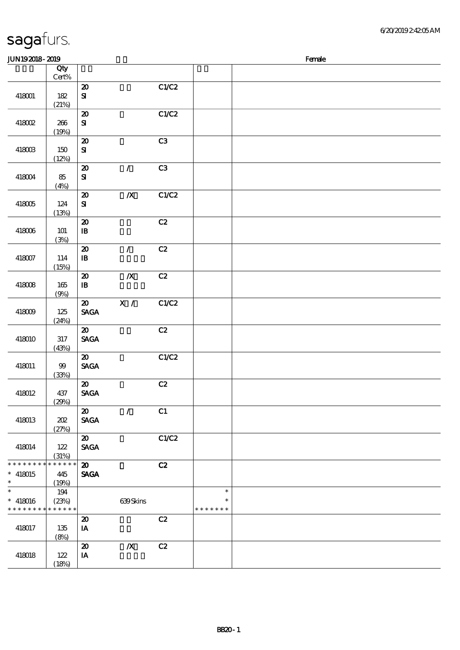| JUN192018-2019       |                 |                                            |                  |       |               | Female |
|----------------------|-----------------|--------------------------------------------|------------------|-------|---------------|--------|
|                      | Qty             |                                            |                  |       |               |        |
|                      | $\mbox{Cert}\%$ |                                            |                  |       |               |        |
| 418001               | 182             | $\pmb{\mathcal{Z}}$<br>$\mathbf{S}$        |                  | C1/C2 |               |        |
|                      | (21%)           |                                            |                  |       |               |        |
|                      |                 | $\pmb{\mathcal{Z}}$                        |                  | C1/C2 |               |        |
| 418002               | 266             | ${\bf S}$                                  |                  |       |               |        |
|                      | (19%)           |                                            |                  |       |               |        |
|                      |                 | $\pmb{\mathcal{X}}$                        |                  | C3    |               |        |
| 418003               | 150             | ${\bf S\hspace{-.075ex}I}$                 |                  |       |               |        |
|                      | (12%)           | $\boldsymbol{\mathsf{20}}$                 | $\mathcal{L}$    | C3    |               |        |
| 418004               | 85              | $\mathbf{S}$                               |                  |       |               |        |
|                      | (4%)            |                                            |                  |       |               |        |
|                      |                 | $\boldsymbol{\mathfrak{D}}$                | $\boldsymbol{X}$ | C1/C2 |               |        |
| 418005               | 124             | ${\bf S}$                                  |                  |       |               |        |
|                      | (13%)           |                                            |                  |       |               |        |
| 418006               | 101             | $\boldsymbol{\mathsf{20}}$<br>${\bf I\!B}$ |                  | C2    |               |        |
|                      | (3%)            |                                            |                  |       |               |        |
|                      |                 | $\boldsymbol{\mathsf{20}}$                 | $\mathcal{L}$    | C2    |               |        |
| 418007               | 114             | $\, {\bf I} \! {\bf B} \,$                 |                  |       |               |        |
|                      | (15%)           |                                            |                  |       |               |        |
|                      |                 | $\boldsymbol{\mathfrak{D}}$                | $\boldsymbol{X}$ | C2    |               |        |
| 418008               | 165             | $\, {\bf I} \! {\bf B} \,$                 |                  |       |               |        |
|                      | (9%)            | $\boldsymbol{\mathfrak{D}}$                | X /              | C1/C2 |               |        |
| 418009               | 125             | $\operatorname{\mathsf{SAGA}}$             |                  |       |               |        |
|                      | (24%)           |                                            |                  |       |               |        |
|                      |                 | $\boldsymbol{\mathfrak{D}}$                |                  | C2    |               |        |
| 418010               | $317\,$         | <b>SAGA</b>                                |                  |       |               |        |
|                      | (43%)           | $\boldsymbol{\mathfrak{D}}$                |                  | C1/C2 |               |        |
| 418011               | 99              | $\operatorname{\mathsf{SAGA}}$             |                  |       |               |        |
|                      | (33%)           |                                            |                  |       |               |        |
|                      |                 | $\boldsymbol{\mathfrak{D}}$                |                  | C2    |               |        |
| 418012               | 437             | <b>SAGA</b>                                |                  |       |               |        |
|                      | (29%)           |                                            |                  |       |               |        |
| 418013               | 202             | $\boldsymbol{\mathfrak{D}}$<br><b>SAGA</b> | $\sqrt{2}$       | C1    |               |        |
|                      | (27%)           |                                            |                  |       |               |        |
|                      |                 | $\boldsymbol{\mathfrak{D}}$                |                  | C1/C2 |               |        |
| 418014               | 122             | <b>SAGA</b>                                |                  |       |               |        |
|                      | (31%)           |                                            |                  |       |               |        |
| * * * * * * * *      | * * * * * *     | $\boldsymbol{\mathfrak{D}}$                |                  | C2    |               |        |
| $*$ 418015<br>$\ast$ | 445<br>(19%)    | <b>SAGA</b>                                |                  |       |               |        |
| $\ast$               | 194             |                                            |                  |       | $\ast$        |        |
| $* 418016$           | (23%)           |                                            | 639Skins         |       | $\ast$        |        |
| * * * * * * * *      | * * * * * *     |                                            |                  |       | * * * * * * * |        |
|                      |                 | $\boldsymbol{\mathbf{z}}$                  |                  | C2    |               |        |
| 418017               | 135<br>(8%)     | IA                                         |                  |       |               |        |
|                      |                 | $\boldsymbol{\mathsf{20}}$                 | $\pmb{X}$        | C2    |               |        |
| 418018               | 122             | IA                                         |                  |       |               |        |
|                      | (18%)           |                                            |                  |       |               |        |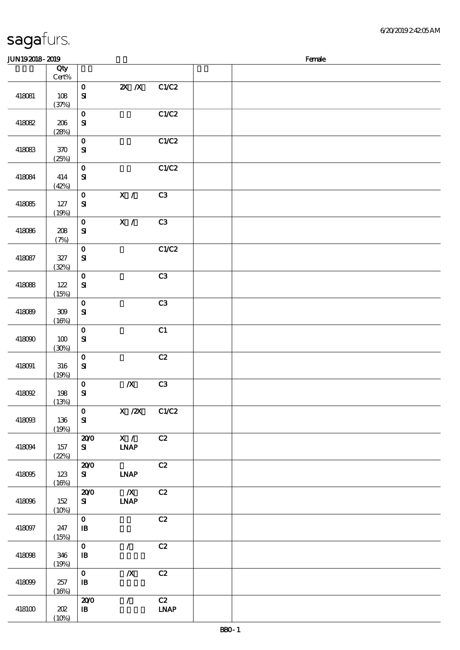| <b>JUN192018-2019</b> |                  |                                           |                                 |                                    | Female |  |  |  |
|-----------------------|------------------|-------------------------------------------|---------------------------------|------------------------------------|--------|--|--|--|
|                       | Qty<br>Cert%     |                                           |                                 |                                    |        |  |  |  |
| 418081                | 108<br>(37%)     | $\mathbf O$<br>$\mathbf{S}$               | $X$ $N$                         | C1/C2                              |        |  |  |  |
| 418082                | $206\,$<br>(28%) | $\mathbf 0$<br>${\bf S}$                  |                                 | C1/C2                              |        |  |  |  |
| 418083                | $300$<br>(25%)   | $\mathbf 0$<br>${\bf S\!I}$               |                                 | C1/C2                              |        |  |  |  |
| 418084                | 414<br>(42%)     | $\mathbf 0$<br>$\mathbf{S}$               |                                 | C1/C2                              |        |  |  |  |
| 418085                | $127$<br>(19%)   | $\mathbf 0$<br>${\bf S}$                  | $\mathbf{X}$ /                  | C <sub>3</sub>                     |        |  |  |  |
| 418086                | 208<br>(7%)      | $\mathbf O$<br>${\bf S\!I}$               | $\overline{\mathbf{x}}$ /       | C3                                 |        |  |  |  |
| 418087                | $327\,$<br>(32%) | $\mathbf O$<br>$\mathbf{S}$               |                                 | C1/C2                              |        |  |  |  |
| 418088                | $122$<br>(15%)   | $\mathbf O$<br>${\bf S}$                  |                                 | C <sub>3</sub>                     |        |  |  |  |
| 418089                | $309\,$<br>(16%) | $\mathbf O$<br>${\bf S\!I}$               |                                 | C3                                 |        |  |  |  |
| 418090                | 100<br>(30%)     | $\mathbf 0$<br>${\bf S}$                  |                                 | C1                                 |        |  |  |  |
| 418091                | 316<br>(19%)     | $\mathbf 0$<br>${\bf S}$                  |                                 | C2                                 |        |  |  |  |
| 418092                | $198$<br>(13%)   | $\mathbf 0$<br>$\mathbf{S}$               | $\boldsymbol{X}$                | C3                                 |        |  |  |  |
| 418093                | 136<br>(19%)     | $\mathbf 0$<br>${\bf S}$                  | X / ZX                          | C1/C2                              |        |  |  |  |
| 418094                | 157<br>(22%)     | 200<br>${\bf s}$                          | X /<br><b>LNAP</b>              | C2                                 |        |  |  |  |
| 418095                | $123$<br>(16%)   | 200<br>${\bf s}$                          | <b>LNAP</b>                     | C2                                 |        |  |  |  |
| 418096                | 152<br>(10%)     | 200<br>${\bf s}$                          | $\boldsymbol{X}$<br><b>LNAP</b> | C2                                 |        |  |  |  |
| 418097                | 247<br>(15%)     | $\mathbf 0$<br>$\, {\bf I} \! {\bf B} \,$ |                                 | C2                                 |        |  |  |  |
| 418098                | 346<br>(19%)     | $\mathbf 0$<br>${\bf I\!B}$               | $\mathcal{T}$                   | C2                                 |        |  |  |  |
| 418099                | 257<br>(16%)     | $\mathbf O$<br>$\, {\bf B}$               | $\boldsymbol{X}$                | C2                                 |        |  |  |  |
| $418100$              | $202\,$<br>(10%) | 200<br>${\bf I\!B}$                       | $\sqrt{2}$                      | C2<br>$\ensuremath{\mathbf{INAP}}$ |        |  |  |  |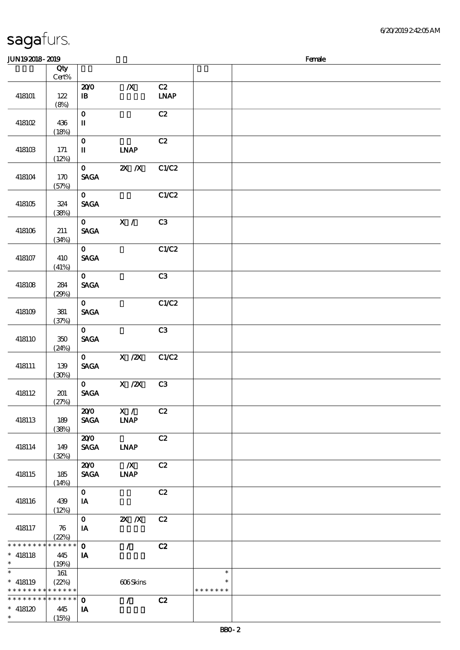| JUN192018-2019                |                                    |                                |                                 |                                    |                         | Female |
|-------------------------------|------------------------------------|--------------------------------|---------------------------------|------------------------------------|-------------------------|--------|
|                               | Qty                                |                                |                                 |                                    |                         |        |
|                               | $Cert\%$                           |                                |                                 |                                    |                         |        |
| 418101                        | 122                                | 200<br>$\mathbf{B}$            | $\boldsymbol{X}$                | C2<br>$\ensuremath{\mathbf{INAP}}$ |                         |        |
|                               | (8%)                               |                                |                                 |                                    |                         |        |
|                               |                                    | $\mathbf O$                    |                                 | C2                                 |                         |        |
| 418102                        | 436<br>(18%)                       | $\mathbf I$                    |                                 |                                    |                         |        |
|                               |                                    | $\mathbf 0$                    |                                 | C2                                 |                         |        |
| 418103                        | 171                                | $\mathbf{I}$                   | <b>INAP</b>                     |                                    |                         |        |
|                               | (12%)                              | $\mathbf{O}$                   | $X$ $X$                         | C1/C2                              |                         |        |
| 418104                        | 170                                | <b>SAGA</b>                    |                                 |                                    |                         |        |
|                               | (57%)                              | $\mathbf{0}$                   |                                 | C1/C2                              |                         |        |
| 418105                        | 324                                | <b>SAGA</b>                    |                                 |                                    |                         |        |
|                               | (38%)                              |                                |                                 |                                    |                         |        |
|                               |                                    | $\mathbf{O}$                   | X /                             | C3                                 |                         |        |
| 418106                        | 211<br>(34%)                       | <b>SAGA</b>                    |                                 |                                    |                         |        |
|                               |                                    | $\mathbf{O}$                   |                                 | C1/C2                              |                         |        |
| 418107                        | 410                                | <b>SAGA</b>                    |                                 |                                    |                         |        |
|                               | (41%)                              | $\mathbf{O}$                   |                                 | C3                                 |                         |        |
| 418108                        | 284                                | <b>SAGA</b>                    |                                 |                                    |                         |        |
|                               | (29%)                              |                                |                                 |                                    |                         |        |
| 418109                        | 381                                | $\mathbf{O}$<br><b>SAGA</b>    |                                 | C1/C2                              |                         |        |
|                               | (37%)                              |                                |                                 |                                    |                         |        |
|                               |                                    | $\mathbf{O}$                   |                                 | C3                                 |                         |        |
| 418110                        | 350<br>(24%)                       | <b>SAGA</b>                    |                                 |                                    |                         |        |
|                               |                                    | $\mathbf{O}$                   | $X$ / $ZX$                      | C1/C2                              |                         |        |
| 418111                        | 139                                | $\operatorname{\mathsf{SAGA}}$ |                                 |                                    |                         |        |
|                               | (30%)                              | $\mathbf{O}$                   | $X$ / $ZX$                      | C3                                 |                         |        |
| 418112                        | 201                                | <b>SAGA</b>                    |                                 |                                    |                         |        |
|                               | (27%)                              | 200                            | X /                             | C2                                 |                         |        |
| 418113                        | 189                                | <b>SAGA</b>                    | <b>LNAP</b>                     |                                    |                         |        |
|                               | (38%)                              |                                |                                 |                                    |                         |        |
|                               |                                    | 200                            |                                 | C2                                 |                         |        |
| 418114                        | 149<br>(32%)                       | <b>SAGA</b>                    | <b>LNAP</b>                     |                                    |                         |        |
|                               |                                    | 200                            | $\mathbb{X}$                    | C2                                 |                         |        |
| 418115                        | 185<br>(14%)                       | <b>SAGA</b>                    | <b>INAP</b>                     |                                    |                         |        |
|                               |                                    | $\mathbf{0}$                   |                                 | C2                                 |                         |        |
| 418116                        | 439                                | IA                             |                                 |                                    |                         |        |
|                               | (12%)                              | $\mathbf{O}$                   | $X$ $X$                         | C2                                 |                         |        |
| 418117                        | $\boldsymbol{\pi}$                 | IA                             |                                 |                                    |                         |        |
|                               | (22%)<br>* * * * * * $\frac{1}{1}$ |                                |                                 |                                    |                         |        |
| * * * * * * * *<br>$* 418118$ | 445                                | $\mathbf{o}$<br>IA             | $\mathcal{L}$                   | C2                                 |                         |        |
| $\ast$                        | (19%)                              |                                |                                 |                                    |                         |        |
| $\ast$                        | 161                                |                                |                                 |                                    | $\ast$                  |        |
| $* 418119$<br>* * * * * * * * | (22%)<br>$* * * * * * *$           |                                | 606Skins                        |                                    | $\ast$<br>* * * * * * * |        |
| * * * * * * * *               | $* * * * * * *$                    | $\mathbf{o}$                   | $\mathcal{L}$ and $\mathcal{L}$ | C2                                 |                         |        |
| $* 418120$                    | 445                                | IA                             |                                 |                                    |                         |        |
| $\ast$                        | (15%)                              |                                |                                 |                                    |                         |        |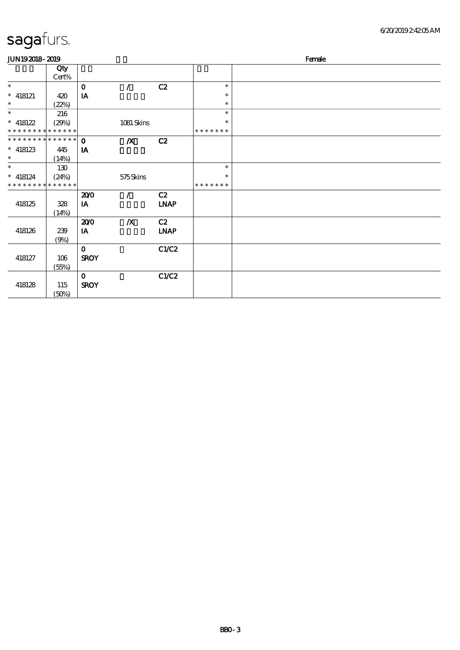| <b>JUN192018-2019</b>       |       |              |                  |             |               | Female |
|-----------------------------|-------|--------------|------------------|-------------|---------------|--------|
|                             | Qty   |              |                  |             |               |        |
|                             | Cert% |              |                  |             |               |        |
| $\ast$                      |       | $\mathbf{o}$ | $\prime$         | C2          | $\ast$        |        |
| $*$ 418121                  | 420   | IA           |                  |             | $\ast$        |        |
| $\ast$                      | (22%) |              |                  |             | $\ast$        |        |
| $\ast$                      | 216   |              |                  |             | $\ast$        |        |
| $* 418122$                  | (29%) |              | 1081 Skins       |             | $\ast$        |        |
| * * * * * * * * * * * * * * |       |              |                  |             | * * * * * * * |        |
| **************              |       | $\Omega$     | $\boldsymbol{X}$ | C2          |               |        |
| $^*$ 418123 $\,$            | 445   | IA           |                  |             |               |        |
| $\ast$                      | (14%) |              |                  |             |               |        |
| $\ast$                      | 130   |              |                  |             | $\ast$        |        |
| $*$ 418124                  | (24%) |              | 575Skins         |             | $\ast$        |        |
| * * * * * * * * * * * * * * |       |              |                  |             | * * * * * * * |        |
|                             |       | 200          | $\prime$         | C2          |               |        |
| 418125                      | 328   | IA           |                  | <b>LNAP</b> |               |        |
|                             | (14%) |              |                  |             |               |        |
|                             |       | 200          | $\boldsymbol{X}$ | C2          |               |        |
| 418126                      | 239   | IA           |                  | <b>LNAP</b> |               |        |
|                             | (9%)  |              |                  |             |               |        |
|                             |       | $\mathbf 0$  |                  | C1/C2       |               |        |
| 418127                      | 106   | <b>SROY</b>  |                  |             |               |        |
|                             | (55%) |              |                  |             |               |        |
|                             |       | $\mathbf 0$  |                  | C1/C2       |               |        |
| 418128                      | 115   | <b>SROY</b>  |                  |             |               |        |
|                             | (50%) |              |                  |             |               |        |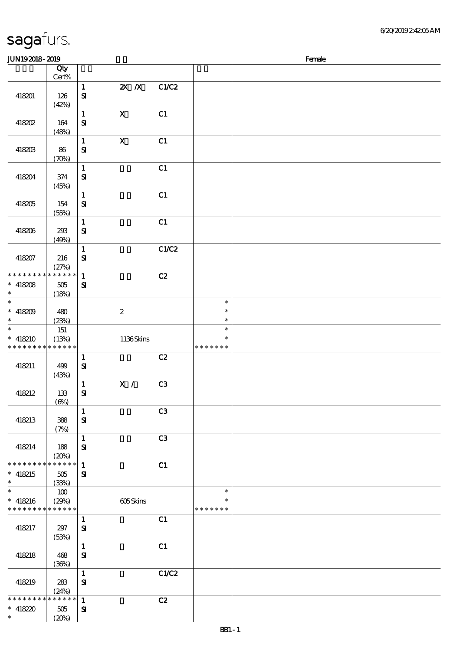|  | sagafurs. |  |
|--|-----------|--|
|  |           |  |

| JUN192018-2019                          |                                  |                                       |                           |                |                                   | Female |
|-----------------------------------------|----------------------------------|---------------------------------------|---------------------------|----------------|-----------------------------------|--------|
|                                         | Qty<br>Cert%                     |                                       |                           |                |                                   |        |
| 418201                                  | 126<br>(42%)                     | $\mathbf{1}$<br>$\mathbf{S}$          | $X$ $X$                   | C1/C2          |                                   |        |
| 418202                                  | 164<br>(48%)                     | $\mathbf 1$<br>$\mathbf{S}$           | $\mathbf X$               | C1             |                                   |        |
| 418203                                  | 86<br>$(\mathcal{X}\mathcal{Y})$ | $\mathbf{1}$<br>$\mathbf{S}$          | $\boldsymbol{\mathrm{X}}$ | C1             |                                   |        |
| 418204                                  | 374<br>(45%)                     | $\mathbf 1$<br>$\mathbf{S}$           |                           | C1             |                                   |        |
| 418205                                  | 154<br>(55%)                     | $\mathbf{1}$<br>$\mathbf{S}$          |                           | C1             |                                   |        |
| 418206                                  | 293<br>(49%)                     | $\mathbf 1$<br>$\mathbf{S}\mathbf{I}$ |                           | C1             |                                   |        |
| 418207                                  | 216<br>(27%)                     | $\mathbf{1}$<br>$\mathbf{S}$          |                           | C1/C2          |                                   |        |
| * * * * * * * *<br>$* 418208$<br>$\ast$ | * * * * * *<br>$505\,$<br>(18%)  | $\mathbf{1}$<br>${\bf s}$             |                           | C2             |                                   |        |
| $\ast$<br>$* 418209$<br>$\ast$          | 480<br>(23%)                     |                                       | $\boldsymbol{2}$          |                | $\ast$<br>$\ast$<br>$\ast$        |        |
| $\ast$<br>$* 418210$<br>* * * * * * * * | 151<br>(13%)<br>* * * * * *      |                                       | 1136Skins                 |                | $\ast$<br>$\ast$<br>* * * * * * * |        |
| 418211                                  | 499<br>(43%)                     | $\mathbf 1$<br>$\mathbf{S}$           |                           | C2             |                                   |        |
| 418212                                  | 133<br>$(\Theta)$                | $\mathbf 1$<br>$\mathbf{S}$           | X /                       | C <sub>3</sub> |                                   |        |
| 418213                                  | 388<br>(7%)                      | $\mathbf{1}$<br>${\bf S}$             |                           | C <sub>3</sub> |                                   |        |
| 418214                                  | 188<br>(20%)                     | $\mathbf{1}$<br>${\bf S}$             |                           | C <sub>3</sub> |                                   |        |
| * * * * * * * *<br>$* 418215$<br>$\ast$ | * * * * * *<br>$505\,$<br>(33%)  | $\mathbf{1}$<br>$\mathbf{S}$          |                           | C1             |                                   |        |
| $\ast$<br>$* 418216$<br>* * * * * * * * | 100<br>(29%)<br>* * * * * *      |                                       | 605Skins                  |                | $\ast$<br>$\ast$<br>* * * * * * * |        |
| 418217                                  | 297<br>(53%)                     | $\mathbf{1}$<br>$\mathbf{S}$          |                           | C1             |                                   |        |
| 418218                                  | 468<br>(36%)                     | $\mathbf{1}$<br>$\mathbf{S}$          |                           | C1             |                                   |        |
| 418219                                  | 283<br>(24%)                     | $\mathbf{1}$<br>$\mathbf{S}$          |                           | C1/C2          |                                   |        |
| * * * * * * * *<br>$* 418220$<br>$\ast$ | * * * * * *<br>$505\,$<br>(20%)  | $\mathbf{1}$<br>$\mathbf{S}$          |                           | C2             |                                   |        |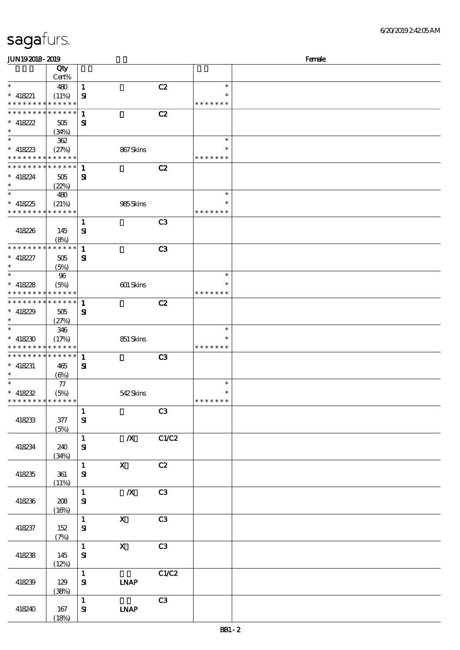| <b>JUN192018-2019</b>                                  |                 |                           |                  |                |                         | Female |
|--------------------------------------------------------|-----------------|---------------------------|------------------|----------------|-------------------------|--------|
|                                                        | Qty<br>Cert%    |                           |                  |                |                         |        |
| $\ast$                                                 | 480             | $\mathbf{1}$              |                  | C2             | $\ast$                  |        |
| $*$ 418221                                             | (11%)           | ${\bf s}$                 |                  |                | $\ast$                  |        |
| * * * * * * * * <mark>* * * * * * *</mark>             |                 |                           |                  |                | * * * * * * *           |        |
| * * * * * * * *                                        | $* * * * * * *$ | $\mathbf{1}$              |                  | C2             |                         |        |
| $* 418222$<br>$\ast$                                   | 505             | ${\bf s}$                 |                  |                |                         |        |
| $\ast$                                                 | (34%)<br>362    |                           |                  |                | $\ast$                  |        |
| $* 418223$                                             | (27%)           |                           | 867Skins         |                | $\ast$                  |        |
| * * * * * * * * * * * * * *                            |                 |                           |                  |                | * * * * * * *           |        |
| * * * * * * * * * * * * * * *                          |                 | 1                         |                  | C2             |                         |        |
| $* 418224$                                             | 505             | ${\bf s}$                 |                  |                |                         |        |
| $\ast$<br>$\ast$                                       | (22%)           |                           |                  |                | $\ast$                  |        |
| $* 418225$                                             | 480<br>(21%)    |                           | 985Skins         |                | ∗                       |        |
| * * * * * * * * * * * * * *                            |                 |                           |                  |                | * * * * * * *           |        |
|                                                        |                 | $\mathbf{1}$              |                  | C <sub>3</sub> |                         |        |
| 418226                                                 | 145             | ${\bf s}$                 |                  |                |                         |        |
|                                                        | (8%)            |                           |                  |                |                         |        |
| * * * * * * * * * * * * * * *                          |                 | $\mathbf{1}$              |                  | C <sub>3</sub> |                         |        |
| $* 418227$                                             | 505             | ${\bf s}$                 |                  |                |                         |        |
| $\ast$                                                 | (5%)            |                           |                  |                | $\ast$                  |        |
| $* 418228$                                             | 96<br>(5%)      |                           | 601 Skins        |                | $\ast$                  |        |
| * * * * * * * * <mark>* * * * * *</mark>               |                 |                           |                  |                | * * * * * * *           |        |
| * * * * * * * * * * * * * *                            |                 | $\mathbf{1}$              |                  | C2             |                         |        |
| $* 418229$                                             | 505             | ${\bf s}$                 |                  |                |                         |        |
| $\ast$                                                 | (27%)           |                           |                  |                |                         |        |
| $\ast$                                                 | 346             |                           |                  |                | $\ast$                  |        |
| $* 418230$<br>* * * * * * * * <mark>* * * * * *</mark> | (17%)           |                           | 851 Skins        |                | $\ast$<br>* * * * * * * |        |
| * * * * * * * * * * * * * * *                          |                 | $\mathbf{1}$              |                  | C <sub>3</sub> |                         |        |
| $*$ 418231                                             | 465             | ${\bf s}$                 |                  |                |                         |        |
| $\ast$                                                 | (6%)            |                           |                  |                |                         |        |
| $\ast$                                                 | 77              |                           |                  |                | $\ast$                  |        |
| $* 418232$                                             | (5%)            |                           | 542Skins         |                | $\ast$                  |        |
| * * * * * * * *                                        | * * * * * *     | $\mathbf{1}$              |                  | C3             | * * * * * * *           |        |
| 418233                                                 | 377             | ${\bf s}$                 |                  |                |                         |        |
|                                                        | (5%)            |                           |                  |                |                         |        |
|                                                        |                 | 1                         | $\boldsymbol{X}$ | C1/C2          |                         |        |
| 418234                                                 | 240             | ${\bf s}$                 |                  |                |                         |        |
|                                                        | (34%)           |                           |                  |                |                         |        |
|                                                        |                 | 1                         | $\mathbf{X}$     | C2             |                         |        |
| 418235                                                 | 361<br>(11%)    | ${\bf s}$                 |                  |                |                         |        |
|                                                        |                 | 1                         | $\mathbb{X}$     | C3             |                         |        |
| 418236                                                 | 208             | ${\bf s}$                 |                  |                |                         |        |
|                                                        | (16%)           |                           |                  |                |                         |        |
|                                                        |                 | $\mathbf{1}$              | $\mathbf{X}$     | C3             |                         |        |
| 418237                                                 | 152             | ${\bf s}$                 |                  |                |                         |        |
|                                                        | (7%)            | $\mathbf{1}$              | $\mathbf{X}$     | C3             |                         |        |
| 418238                                                 | 145             | ${\bf s}$                 |                  |                |                         |        |
|                                                        | (12%)           |                           |                  |                |                         |        |
|                                                        |                 | 1                         |                  | C1/C2          |                         |        |
| 418239                                                 | 129             | $S_{\!I}$                 | <b>LNAP</b>      |                |                         |        |
|                                                        | (38%)           |                           |                  |                |                         |        |
| 418240                                                 | 167             | $\mathbf{1}$<br>${\bf s}$ | <b>LNAP</b>      | C3             |                         |        |
|                                                        | (18%)           |                           |                  |                |                         |        |
|                                                        |                 |                           |                  |                |                         |        |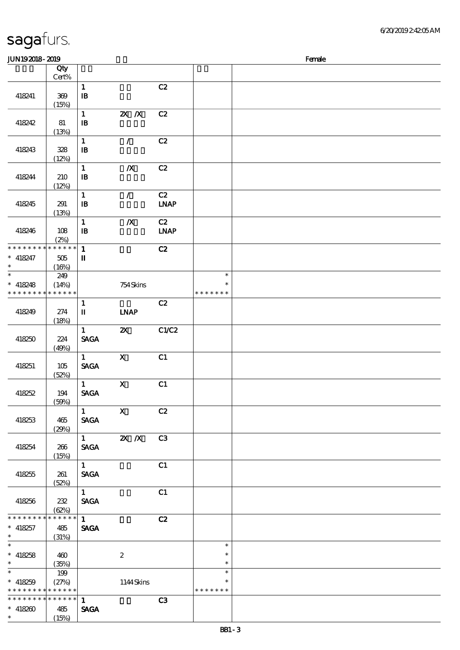| <b>JUN192018-2019</b><br>Female                           |                               |                                            |                           |                                    |                                   |  |  |  |
|-----------------------------------------------------------|-------------------------------|--------------------------------------------|---------------------------|------------------------------------|-----------------------------------|--|--|--|
|                                                           | Qty<br>$\mbox{Cert}\%$        |                                            |                           |                                    |                                   |  |  |  |
| 418241                                                    | $309\,$<br>(15%)              | $\mathbf{1}$<br>$\, {\bf I} \! {\bf B} \,$ |                           | C2                                 |                                   |  |  |  |
| 418242                                                    | 81<br>(13%)                   | $\mathbf 1$<br>$\, {\bf B}$                | $X$ $X$                   | C2                                 |                                   |  |  |  |
| 418243                                                    | 328<br>(12%)                  | $\mathbf{1}$<br>$\mathbf{B}$               | $\mathcal{L}$             | C2                                 |                                   |  |  |  |
| 418244                                                    | 210<br>(12%)                  | $\mathbf{1}$<br>$\, {\bf I} \! {\bf B} \,$ | $\pmb{X}$                 | C2                                 |                                   |  |  |  |
| 418245                                                    | 291<br>(13%)                  | $\mathbf 1$<br>$\, {\bf B}$                | $\mathcal{L}$             | C2<br>$\ensuremath{\mathbf{INAP}}$ |                                   |  |  |  |
| 418246                                                    | $108$<br>(2%)                 | $\mathbf{1}$<br>$\mathbf{B}$               | $\pmb{X}$                 | C2<br><b>LNAP</b>                  |                                   |  |  |  |
| * * * * * * * *<br>$* 418247$<br>$\ast$                   | * * * * * *<br>505<br>(16%)   | $\mathbf{1}$<br>$\mathbf{I}\mathbf{I}$     |                           | C2                                 |                                   |  |  |  |
| $\ast$<br>$* 418248$<br>* * * * * * * *                   | 249<br>(14%)<br>* * * * * *   |                                            | 754Skins                  |                                    | $\ast$<br>$\ast$<br>* * * * * * * |  |  |  |
| 418249                                                    | 274<br>(18%)                  | $\mathbf{1}$<br>$\mathbf I$                | <b>INAP</b>               | C2                                 |                                   |  |  |  |
| 418250                                                    | 224<br>(49%)                  | $\mathbf{1}$<br><b>SAGA</b>                | $\boldsymbol{\mathsf{z}}$ | C1/C2                              |                                   |  |  |  |
| 418251                                                    | 105<br>(52%)                  | $\mathbf{1}$<br><b>SAGA</b>                | $\mathbf{X}$              | C1                                 |                                   |  |  |  |
| 418252                                                    | 194<br>(50%)                  | $\mathbf{1}$<br><b>SAGA</b>                | $\mathbf X$               | C1                                 |                                   |  |  |  |
| 418253                                                    | 465<br>(29%)                  | $\mathbf{1}$<br><b>SAGA</b>                | $\boldsymbol{\mathrm{X}}$ | C2                                 |                                   |  |  |  |
| 418254                                                    | 266<br>(15%)                  | $1 \quad \blacksquare$<br><b>SAGA</b>      | $X$ $N$                   | C <sub>3</sub>                     |                                   |  |  |  |
| 418255                                                    | 261<br>(52%)                  | $\mathbf{1}$<br><b>SAGA</b>                |                           | C1                                 |                                   |  |  |  |
| 418256                                                    | 232<br>(62%)                  | $\mathbf{1}$<br><b>SAGA</b>                |                           | C1                                 |                                   |  |  |  |
| * * * * * * * *<br>$* 418257$<br>$\ast$                   | * * * * * *<br>485<br>(31%)   | $\mathbf{1}$<br><b>SAGA</b>                |                           | C2                                 |                                   |  |  |  |
| $\overline{\ast}$<br>$* 418258$<br>$\ast$                 | 460<br>(35%)                  |                                            | $\boldsymbol{2}$          |                                    | $\ast$<br>$\ast$<br>$\ast$        |  |  |  |
| $\overline{\phantom{0}}$<br>$* 418259$<br>* * * * * * * * | $199$<br>(27%)<br>* * * * * * |                                            | 1144Skins                 |                                    | $\ast$<br>$\ast$<br>* * * * * * * |  |  |  |
| * * * * * * * *<br>$* 418200$<br>$\ast$                   | * * * * * *<br>485<br>(15%)   | $\mathbf{1}$<br><b>SAGA</b>                |                           | C3                                 |                                   |  |  |  |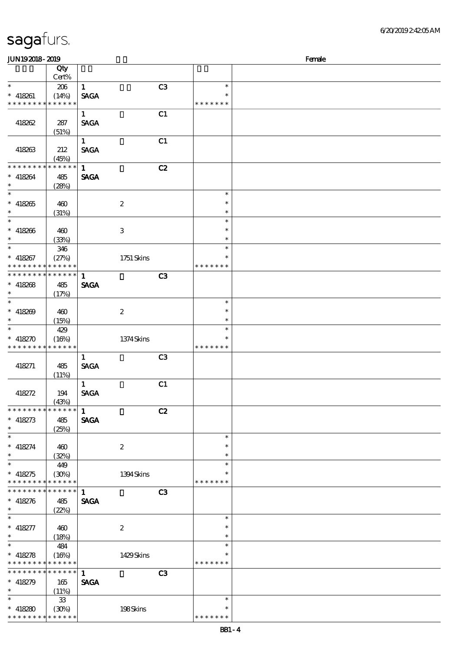| sagafurs. |
|-----------|
|-----------|

\* \* \* \* \* \* \* \* \* \* \* \*

| <b>JUN192018-2019</b>                     |                            |              |                  |                |                  | Female |
|-------------------------------------------|----------------------------|--------------|------------------|----------------|------------------|--------|
|                                           | Qty<br>Cert%               |              |                  |                |                  |        |
| $\ast$                                    | 206                        | $\mathbf{1}$ |                  | C <sub>3</sub> | $\ast$           |        |
| $* 418261$                                | (14%)                      | <b>SAGA</b>  |                  |                | $\ast$           |        |
| * * * * * * * * * * * * * *               |                            |              |                  |                | * * * * * * *    |        |
|                                           |                            | $\mathbf{1}$ |                  | C1             |                  |        |
| 418262                                    | 287                        | <b>SAGA</b>  |                  |                |                  |        |
|                                           | (51%)                      |              |                  |                |                  |        |
|                                           |                            | 1            |                  | C1             |                  |        |
| 418263                                    | 212<br>(45%)               | <b>SAGA</b>  |                  |                |                  |        |
| * * * * * * * *                           | * * * * * *                | $\mathbf{1}$ |                  | C2             |                  |        |
| $* 418264$                                | 485                        | <b>SAGA</b>  |                  |                |                  |        |
| $\ast$                                    | (28%)                      |              |                  |                |                  |        |
| $\ast$                                    |                            |              |                  |                | $\ast$           |        |
| $* 418265$                                | 460                        |              | $\boldsymbol{2}$ |                | $\ast$           |        |
| $\ast$                                    | (31%)                      |              |                  |                | $\ast$           |        |
| $\ast$                                    |                            |              |                  |                | $\ast$           |        |
| $* 418266$                                | 460                        |              | $\,3$            |                | $\ast$           |        |
| $\ast$<br>$\overline{\ast}$               | (33%)                      |              |                  |                | $\ast$           |        |
|                                           | 346                        |              |                  |                | $\ast$<br>$\ast$ |        |
| $* 418267$<br>* * * * * * * * * * * * * * | (27%)                      |              | $1751$ Skins     |                | * * * * * * *    |        |
| * * * * * * * *                           | * * * * * *                | $\mathbf{1}$ |                  | C <sub>3</sub> |                  |        |
| $* 418268$                                | 485                        | <b>SAGA</b>  |                  |                |                  |        |
| $\ast$                                    | (17%)                      |              |                  |                |                  |        |
| $\ast$                                    |                            |              |                  |                | $\ast$           |        |
| $* 418209$                                | 460                        |              | $\boldsymbol{2}$ |                | $\ast$           |        |
| $\ast$                                    | (15%)                      |              |                  |                | $\ast$           |        |
| $\ast$                                    | 429                        |              |                  |                | $\ast$           |        |
| $* 418270$                                | (16%)                      |              | 1374Skins        |                | $\ast$           |        |
| * * * * * * * *                           | * * * * * *                |              |                  |                | * * * * * * *    |        |
|                                           |                            | $\mathbf{1}$ |                  | C <sub>3</sub> |                  |        |
| 418271                                    | 485                        | <b>SAGA</b>  |                  |                |                  |        |
|                                           | (11%)                      |              |                  |                |                  |        |
|                                           |                            | $\mathbf{1}$ |                  | C1             |                  |        |
| 418272                                    | 194<br>(43%)               | <b>SAGA</b>  |                  |                |                  |        |
| * * * * * * * *                           | * * * * * *                | $\mathbf{1}$ |                  | C2             |                  |        |
| $* 418273$                                | 485                        | <b>SAGA</b>  |                  |                |                  |        |
| $\ast$                                    | (25%)                      |              |                  |                |                  |        |
| $\ast$                                    |                            |              |                  |                | $\ast$           |        |
| $* 418274$                                | 460                        |              | $\boldsymbol{2}$ |                | $\ast$           |        |
| $\ast$                                    | (32%)                      |              |                  |                | $\ast$           |        |
| $\ast$                                    | 449                        |              |                  |                | $\ast$           |        |
| $* 418275$                                | (30%)                      |              | 1394Skins        |                | $\ast$           |        |
| * * * * * * * *<br>* * * * * * * *        | * * * * * *<br>* * * * * * |              |                  |                | * * * * * * *    |        |
|                                           |                            | $\mathbf{1}$ |                  | C <sub>3</sub> |                  |        |
| $* 418276$<br>$\ast$                      | 485                        | <b>SAGA</b>  |                  |                |                  |        |
| $\ast$                                    | (22%)                      |              |                  |                | $\ast$           |        |
| $* 418277$                                | 460                        |              | $\boldsymbol{2}$ |                | $\ast$           |        |
| $\ast$                                    | (18%)                      |              |                  |                | $\ast$           |        |
| $\ast$                                    | 484                        |              |                  |                | $\ast$           |        |
| $* 418278$                                | (16%)                      |              | 1429Skins        |                | $\ast$           |        |
| * * * * * * * *                           | * * * * * *                |              |                  |                | * * * * * * *    |        |
| * * * * * * * *                           | * * * * * *                | $\mathbf{1}$ |                  | C3             |                  |        |
| $* 418279$                                | 165                        | <b>SAGA</b>  |                  |                |                  |        |
| $\ast$                                    | (11%)                      |              |                  |                |                  |        |
| $\ast$                                    | ${\bf 33}$                 |              |                  |                | $\ast$           |        |
| $* 418280$                                | (30%)                      |              | 198Skins         |                | $\ast$           |        |

\* \* \* \* \* \*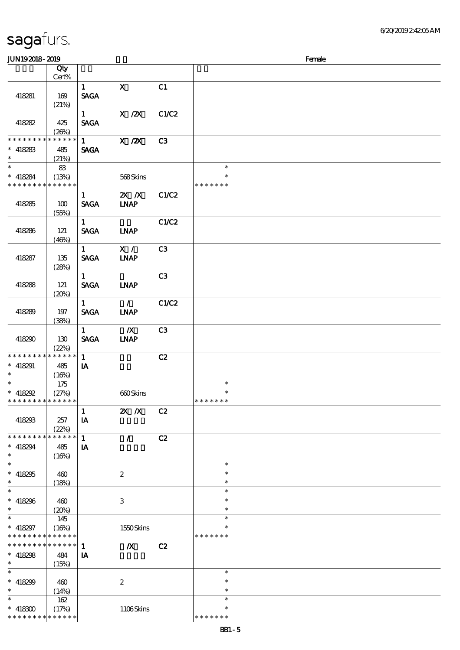\*\*

 $\ast$ 

\*\*

\*\*

\*\*\*

\*\*\*

 $\ast$ 

 $\ast$ 

\*\*

 $\overline{\phantom{0}}$ 

 $\ast$ 

\*\*\*

\* \* \* \* \* \*

\* \* \* \* \* \* \*

(17%) 1106 Skins

### 顺序号 Qty 说明 价格 Cert% 1 X C1 418281 169 SAGA  $(21%)$  $1$  X  $\frac{1}{2}$  C1/C2 SAGA 418282 425  $(26%)$ \* \* \* \* \* \* \* \* \* \* \* \* \*  $1$  X  $\frac{X}{2}$  C3 SAGA 418283 485 (21%) \*  $*$  418284  $\overline{\phantom{a}}$ 83 \*\* (13%) 568 Skins \* \* \* \* \* \* \* \* \* \* \* \* \* \* \* \* \* \* \* 1 2X /X C1/C2  $418285$  100 SAGA LNAP (55%) 1 C1/C2 418286 121 SAGA LNAP  $(46%)$ 1 X / C3 418287 135 SAGA LNAP  $(28%)$ 1  $\qquad \qquad \text{C3}$ SAGA LNAP 418288 121  $(20%)$  $1 / \sqrt{C1/C2}$ 418289 197 SAGA LNAP (38%)  $1$   $\overline{X}$  C3 418290 130 SAGA LNAP (22%) \* \* \* \* \* \* \* \* \* \* \* \* \* 1 **C2** 418291 485 **IA**  $(16%)$ \*  $418292$  $\overline{\phantom{0}}$ 175 \*\*  $(27%)$  660 Skins \* \* \* \* \* \* \* \* \* \* \* \* \* \* \* \* \* \* \*  $1$  2X X C2 418293 257  $I$ A (22%) 1 / C2 \* \* \* \* \* \* \* \* \* \* \* \* \*  $\overline{I}$ 418294 485  $(16%)$  $\overline{\phantom{a}}$ \*\*\*  $\ast$  $* 418295 \mid 400$ 2  $\ast$ (18%)  $\overline{\phantom{a}}$ \*\*\*  $418296$   $400$ 3  $\ddot{\phantom{0}}$  $(20%)$  $\ast$ \*  $* 418297$  $\overline{\phantom{a}}$ 145 \*\*  $\ast$  $(16%)$  1550 Skins \* \* \* \* \* \* \* \* \* \* \* \* \* \* \* \* \* \* \*  $1$   $\chi$  C<sub>2</sub> \* \* \* \* \* \* \* \* \* \* \* \*  $IA$ 418298 484  $(15%)$  $\overline{\ast}$ \*\*\*  $\ast$  $\ast$ 418299 460 2  $\ast$ (14%) \*<br>\* 418300  $\overline{\phantom{0}}$ 162 \*\*

JUN192018-2019 Female

 $\ast$ 

\* \* \* \* \* \*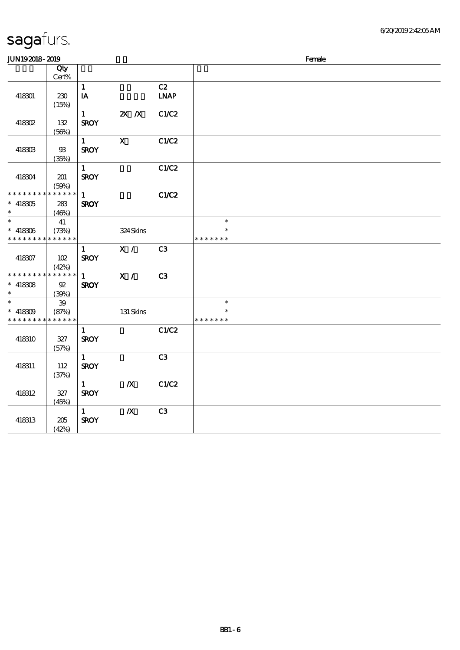| JUN192018-2019       |                |              |                                                 |                              |               | Female |
|----------------------|----------------|--------------|-------------------------------------------------|------------------------------|---------------|--------|
|                      | Qty            |              |                                                 |                              |               |        |
|                      | $Cert\%$       |              |                                                 |                              |               |        |
|                      |                | $\mathbf{1}$ |                                                 | C2                           |               |        |
| 418301               | 230            | IA           |                                                 | $\ensuremath{\mathbf{INAP}}$ |               |        |
|                      | (15%)          |              |                                                 |                              |               |        |
|                      |                | $\mathbf{1}$ | $\overline{\mathbf{X}}$ $\overline{\mathbf{X}}$ | C1/C2                        |               |        |
| 418302               | 132            | <b>SROY</b>  |                                                 |                              |               |        |
|                      | (56%)          |              |                                                 |                              |               |        |
|                      |                | $\mathbf{1}$ | $\mathbf X$                                     | C1/C2                        |               |        |
| 418303               | $93\,$         | <b>SROY</b>  |                                                 |                              |               |        |
|                      | (35%)          |              |                                                 |                              |               |        |
|                      |                | $\mathbf{1}$ |                                                 | C1/C2                        |               |        |
| 418304               | 201            | <b>SROY</b>  |                                                 |                              |               |        |
|                      | (50%)          |              |                                                 |                              |               |        |
| * * * * * * * *      | * * * * * *    | $\mathbf{1}$ |                                                 | C1/C2                        |               |        |
|                      |                |              |                                                 |                              |               |        |
| $* 418305$<br>$\ast$ | 283            | <b>SROY</b>  |                                                 |                              |               |        |
| $\ast$               | (46%)          |              |                                                 |                              | $\ast$        |        |
|                      | 41             |              |                                                 |                              | $\ast$        |        |
| $* 418306$           | (73%)          |              | 324Skins                                        |                              |               |        |
| * * * * * * * *      | * * * * * *    |              |                                                 |                              | * * * * * * * |        |
|                      |                | $\mathbf{1}$ | X /                                             | C <sub>3</sub>               |               |        |
| 418307               | 102            | <b>SROY</b>  |                                                 |                              |               |        |
|                      | (42%)          |              |                                                 |                              |               |        |
| * * * * * * * *      | * * * * * *    | $\mathbf{1}$ | X /                                             | C3                           |               |        |
| $* 418308$           | $\mathfrak{P}$ | <b>SROY</b>  |                                                 |                              |               |        |
| $\ast$               | (39%)          |              |                                                 |                              |               |        |
| $\ast$               | ${\bf 39}$     |              |                                                 |                              | $\ast$        |        |
| $* 418309$           | (87%)          |              | 131 Skins                                       |                              |               |        |
| * * * * * * * *      | * * * * * *    |              |                                                 |                              | * * * * * * * |        |
|                      |                | $\mathbf{1}$ |                                                 | C1/C2                        |               |        |
| 418310               | 327            | <b>SROY</b>  |                                                 |                              |               |        |
|                      | (57%)          |              |                                                 |                              |               |        |
|                      |                | $\mathbf{1}$ |                                                 | C3                           |               |        |
| 418311               | 112            | <b>SROY</b>  |                                                 |                              |               |        |
|                      | (37%)          |              |                                                 |                              |               |        |
|                      |                | $\mathbf{1}$ | $\boldsymbol{X}$                                | C1/C2                        |               |        |
| 418312               | 327            | <b>SROY</b>  |                                                 |                              |               |        |
|                      | (45%)          |              |                                                 |                              |               |        |
|                      |                | $\mathbf{1}$ | $\boldsymbol{X}$                                | C3                           |               |        |
| 418313               | 205            | <b>SROY</b>  |                                                 |                              |               |        |
|                      | (42%)          |              |                                                 |                              |               |        |
|                      |                |              |                                                 |                              |               |        |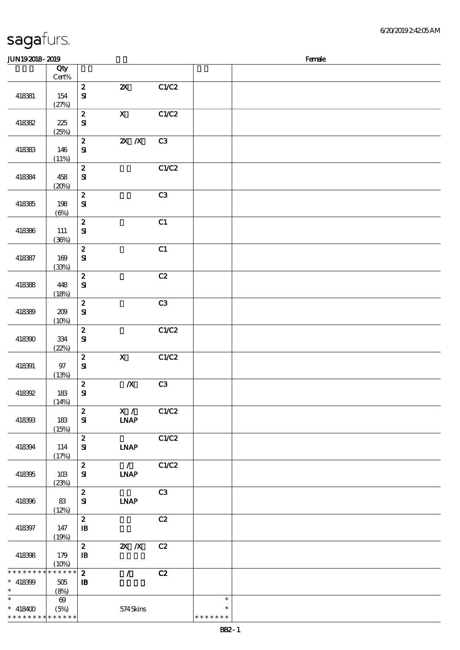6/20/2019 2:42:05 AM

| <b>JUN192018-2019</b>                                          |                               |                                  |                              |       |                                   | Female |
|----------------------------------------------------------------|-------------------------------|----------------------------------|------------------------------|-------|-----------------------------------|--------|
|                                                                | Qty                           |                                  |                              |       |                                   |        |
|                                                                | Cert%                         |                                  |                              |       |                                   |        |
| 418381                                                         | 154<br>(27%)                  | $\boldsymbol{2}$<br>$\mathbf{S}$ | $\boldsymbol{\mathsf{z}}$    | C1/C2 |                                   |        |
| 418382                                                         | 225<br>(25%)                  | $\pmb{2}$<br>$\mathbf{S}$        | $\boldsymbol{\mathrm{X}}$    | C1/C2 |                                   |        |
| 418383                                                         | 146<br>(11%)                  | $\boldsymbol{2}$<br>$\mathbf{S}$ | $\mathbf{X}$ $\mathbf{X}$    | C3    |                                   |        |
| 418384                                                         | 458<br>(20%)                  | $\pmb{2}$<br>$\mathbf{S}$        |                              | C1/C2 |                                   |        |
| 418385                                                         | 198<br>$(\Theta)$             | $\pmb{2}$<br>${\bf S}$           |                              | C3    |                                   |        |
| 418386                                                         | 111<br>(36%)                  | $\boldsymbol{2}$<br>$\bf S\!I$   |                              | C1    |                                   |        |
| 418387                                                         | 169<br>(33%)                  | $\pmb{2}$<br>$\mathbf{S}$        |                              | C1    |                                   |        |
| 418388                                                         | 448<br>(18%)                  | $\boldsymbol{2}$<br>$\mathbf{S}$ |                              | C2    |                                   |        |
| 418389                                                         | 209<br>(10%)                  | $\pmb{2}$<br>$\mathbf{S}$        |                              | C3    |                                   |        |
| 418390                                                         | 334<br>(22%)                  | $\pmb{2}$<br>$\mathbf{S}$        |                              | C1/C2 |                                   |        |
| 418391                                                         | 97<br>(13%)                   | $\boldsymbol{2}$<br>$\bf S\!I$   | $\mathbf{X}$                 | C1/C2 |                                   |        |
| 418392                                                         | 183<br>(14%)                  | $\boldsymbol{2}$<br>${\bf S}$    | $\pmb{X}$                    | C3    |                                   |        |
| 418393                                                         | 183<br>(15%)                  | $\boldsymbol{z}$<br>${\bf s}$    | X / C1/C2<br><b>INAP</b>     |       |                                   |        |
| 418394                                                         | 114<br>(17%)                  | $\mathbf{2}$<br>${\bf s}$        | <b>INAP</b>                  | C1/C2 |                                   |        |
| 418395                                                         | 10 <sup>3</sup><br>(23%)      | $\mathbf{2}$<br>${\bf s}$        | $\mathcal{L}$<br><b>INAP</b> | C1/C2 |                                   |        |
| 418396                                                         | 83<br>(12%)                   | $\boldsymbol{z}$<br>${\bf s}$    | <b>INAP</b>                  | C3    |                                   |        |
| 418397                                                         | 147<br>(19%)                  | $\mathbf{z}$<br>$\mathbf{B}$     |                              | C2    |                                   |        |
| 418398                                                         | 179<br>(10%)                  | $\mathbf{2}$<br>$\mathbf{B}$     | $X$ $X$                      | C2    |                                   |        |
| * * * * * * * *<br>$* 418399$<br>$\ast$                        | * * * * * *<br>505<br>(8%)    | $\mathbf{z}$<br>$\mathbf{B}$     | $\mathcal{L}$                | C2    |                                   |        |
| $\overline{\ast}$<br>$* 418400$<br>* * * * * * * * * * * * * * | $\boldsymbol{\omega}$<br>(5%) |                                  | 574Skins                     |       | $\ast$<br>$\ast$<br>* * * * * * * |        |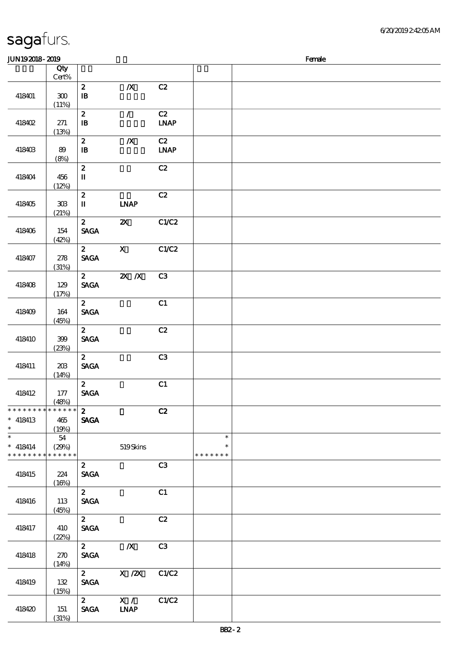(31%)

### JUN192018-2019 Female 顺序号 Qty 说明 价格 Cert% 2 浅/X浅 C2 418401 300  $\mathbf{B}$  $(11%)$ 2 / C2 IB 身体咬伤 LNAP 418402 271 (13%) 2 浅/X浅 C2  $418403$   $89$ IB 身体咬伤 LNAP (8%)  $\overline{c}$   $\overline{c}$   $\overline{c}$   $\overline{c}$   $\overline{c}$   $\overline{c}$   $\overline{c}$   $\overline{c}$   $\overline{c}$   $\overline{c}$   $\overline{c}$   $\overline{c}$   $\overline{c}$   $\overline{c}$   $\overline{c}$   $\overline{c}$   $\overline{c}$   $\overline{c}$   $\overline{c}$   $\overline{c}$   $\overline{c}$   $\overline{c}$   $\overline{c}$   $\overline{c}$   $\overline{$ 418404 456 II (12%) 2 全部 C2 418405 | 303 II LNAP (21%) 2 2X C1/C2 418406 154 SAGA (42%)  $2$  X C1/C2 418407 278 **SAGA** (31%)  $\overline{\text{2}}$   $\overline{\text{2} \times \text{2}}$   $\overline{\text{C3}}$ 418408 129 SAGA (17%)  $\overline{c}$   $\overline{c}$   $\overline{c}$   $\overline{c}$   $\overline{c}$   $\overline{c}$   $\overline{c}$   $\overline{c}$   $\overline{c}$   $\overline{c}$   $\overline{c}$   $\overline{c}$   $\overline{c}$   $\overline{c}$   $\overline{c}$   $\overline{c}$   $\overline{c}$   $\overline{c}$   $\overline{c}$   $\overline{c}$   $\overline{c}$   $\overline{c}$   $\overline{c}$   $\overline{c}$   $\overline{$ 418409 164 **SAGA** (45%)  $2$  C<sub>2</sub> 418410 399 SAGA (23%)  $2 \hspace{1.5cm} C3$ 418411 203 SAGA  $(14%)$  $\overline{c}$  2 c1 418412 177 SAGA (48%)  $\overline{c}$   $\overline{c}$   $\overline{c}$   $\overline{c}$   $\overline{c}$   $\overline{c}$   $\overline{c}$   $\overline{c}$   $\overline{c}$   $\overline{c}$   $\overline{c}$   $\overline{c}$   $\overline{c}$   $\overline{c}$   $\overline{c}$   $\overline{c}$   $\overline{c}$   $\overline{c}$   $\overline{c}$   $\overline{c}$   $\overline{c}$   $\overline{c}$   $\overline{c}$   $\overline{c}$   $\overline{$ \* \* \* \* \* \* \* \* \* \* \* \* \* 418413 465  $\ast$ SAGA \*\* (19%)  $*$ <br> $*$  418414 54  $\ast$ \*\* (29%) 519 Skins \* \* \* \* \* \* \* \* \* \* \* \* \* \* \* \* \* \* 2 C3 418415 224 SAGA  $(16%)$  $2$  C1 418416 113 SAGA  $(45%)$  $\overline{c}$   $\overline{c}$   $\overline{c}$   $\overline{c}$   $\overline{c}$   $\overline{c}$   $\overline{c}$   $\overline{c}$   $\overline{c}$   $\overline{c}$   $\overline{c}$   $\overline{c}$   $\overline{c}$   $\overline{c}$   $\overline{c}$   $\overline{c}$   $\overline{c}$   $\overline{c}$   $\overline{c}$   $\overline{c}$   $\overline{c}$   $\overline{c}$   $\overline{c}$   $\overline{c}$   $\overline{$ SAGA 418417 410 (22%)  $\overline{2}$   $\overline{X}$  C3 418418 270 **SAGA**  $(14%)$  $2$  X  $\cancel{2}$  C1/C2 SAGA 418419 132 (15%)  $2$  X / C1/C2 418420 151 SAGA LNAP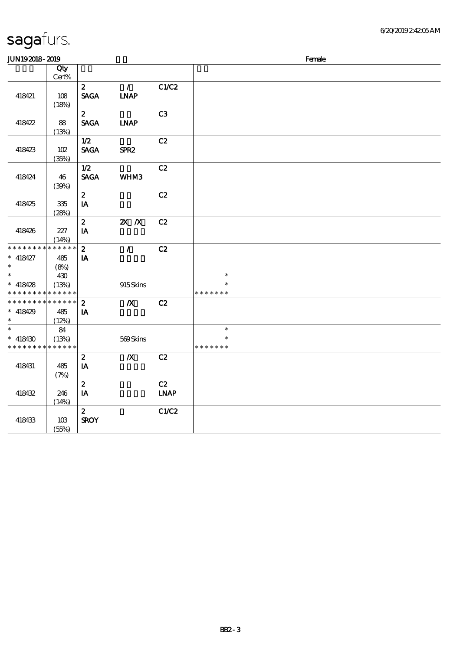| JUN192018-2019                          |                               |                                             |                              |                   | Female                            |  |  |  |  |
|-----------------------------------------|-------------------------------|---------------------------------------------|------------------------------|-------------------|-----------------------------------|--|--|--|--|
|                                         | Qty<br>$Cert\%$               |                                             |                              |                   |                                   |  |  |  |  |
| 418421                                  | 108<br>(18%)                  | $\boldsymbol{z}$<br><b>SAGA</b>             | $\mathcal{L}$<br><b>INAP</b> | C1/C2             |                                   |  |  |  |  |
| 418422                                  | 88<br>(13%)                   | $\mathbf{z}$<br><b>SAGA</b>                 | <b>LNAP</b>                  | C3                |                                   |  |  |  |  |
| 418423                                  | 102<br>(35%)                  | 1/2<br>$\operatorname{\mathsf{SAGA}}$       | SPR <sub>2</sub>             | C2                |                                   |  |  |  |  |
| 418424                                  | 46<br>(39%)                   | 1/2<br><b>SAGA</b>                          | <b>WHM3</b>                  | C2                |                                   |  |  |  |  |
| 418425                                  | $335\,$<br>(28%)              | $\boldsymbol{2}$<br>$\mathbf{IA}$           |                              | C2                |                                   |  |  |  |  |
| 418426                                  | 227<br>(14%)                  | $\boldsymbol{2}$<br>IA                      | $2X$ $X$                     | C2                |                                   |  |  |  |  |
| * * * * * * *<br>$*$ 418427<br>$\ast$   | * * * * * *<br>485<br>(8%)    | $\boldsymbol{2}$<br>IA                      | $\mathcal{L}$                | C2                |                                   |  |  |  |  |
| $\ast$<br>$* 418428$<br>* * * * * * * * | 430<br>(13%)<br>* * * * * *   |                                             | 915Skins                     |                   | $\ast$<br>$\ast$<br>* * * * * * * |  |  |  |  |
| * * * * * * * *<br>$* 418429$<br>$\ast$ | * * * * * * *<br>485<br>(12%) | $\boldsymbol{z}$<br>IA                      | $\boldsymbol{X}$             | C2                |                                   |  |  |  |  |
| $\ast$<br>$* 418430$<br>* * * * * * * * | 84<br>(13%)<br>* * * * * *    |                                             | 569Skins                     |                   | $\ast$<br>$\ast$<br>* * * * * * * |  |  |  |  |
| 418431                                  | 485<br>(7%)                   | $\boldsymbol{z}$<br>$\mathbf{IA}$           | $\pmb{X}$                    | C2                |                                   |  |  |  |  |
| 418432                                  | 246<br>(14%)                  | $\boldsymbol{z}$<br>$\mathbf{I} \mathbf{A}$ |                              | C2<br><b>LNAP</b> |                                   |  |  |  |  |
| 418433                                  | 10B<br>(55%)                  | $\boldsymbol{2}$<br><b>SROY</b>             |                              | C1/C2             |                                   |  |  |  |  |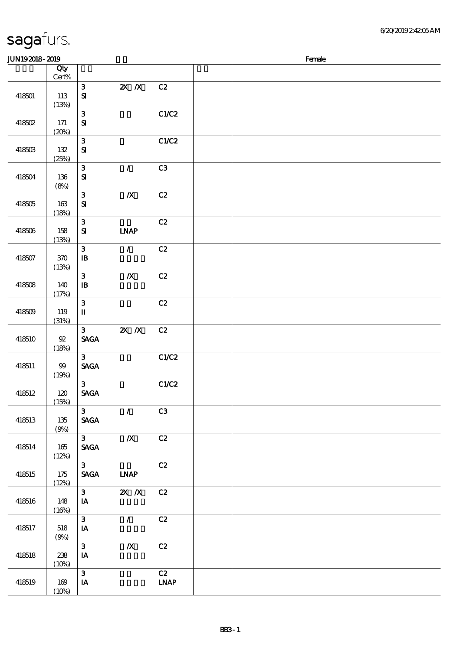| <b>JUN192018-2019</b> |                 |                                                  |                  |                                    | Female |
|-----------------------|-----------------|--------------------------------------------------|------------------|------------------------------------|--------|
|                       | Qty<br>$Cert\%$ |                                                  |                  |                                    |        |
| 418501                | 113<br>(13%)    | ${\bf 3}$<br>$\bf S\!I$                          | $X$ $N$          | C2                                 |        |
| 418502                | 171<br>(20%)    | ${\bf 3}$<br>${\bf S}$                           |                  | C1/C2                              |        |
| 418503                | 132<br>(25%)    | ${\bf 3}$<br>${\bf s}$                           |                  | C1/C2                              |        |
| 418504                | 136<br>(8%)     | ${\bf 3}$<br>$\mathbf{S}$                        | $\mathcal{L}$    | C <sub>3</sub>                     |        |
| 418505                | 163<br>(18%)    | ${\bf 3}$<br>${\bf S\!I}$                        | $\boldsymbol{X}$ | C2                                 |        |
| 418506                | 158<br>(13%)    | $\mathbf{3}$<br>${\bf S\!I}$                     | <b>LNAP</b>      | C2                                 |        |
| 418507                | 370<br>(13%)    | ${\bf 3}$<br>$\, {\bf I} \! {\bf B} \,$          | $\mathcal{L}$    | C2                                 |        |
| 418508                | 140<br>(17%)    | $\mathbf{3}$<br>$\mathbf{B}$                     | $\boldsymbol{X}$ | C2                                 |        |
| 418509                | 119<br>(31%)    | ${\bf 3}$<br>$\mathbf I$                         |                  | C2                                 |        |
| 418510                | 92<br>(18%)     | $\mathbf{3}$<br><b>SAGA</b>                      | $X$ $X$          | C2                                 |        |
| 418511                | $99$<br>(19%)   | 3 <sup>1</sup><br>$\operatorname{\mathsf{SAGA}}$ |                  | C1/C2                              |        |
| 418512                | 120<br>(15%)    | $\mathbf{3}$<br>$\ensuremath{\mathsf{SAGA}}$     |                  | C1/C2                              |        |
| 418513                | 135<br>(9%)     | 3 <sup>1</sup><br>$\ensuremath{\mathsf{SAGA}}$   | $\mathcal{L}$    | C3                                 |        |
| 418514                | 165<br>(12%)    | $3^{\circ}$<br>$\operatorname{\mathsf{SAGA}}$    | $\boldsymbol{X}$ | C2                                 |        |
| 418515                | 175<br>(12%)    | 3 <sup>7</sup><br><b>SAGA</b>                    | <b>INAP</b>      | C2                                 |        |
| 418516                | 148<br>(16%)    | $3^{\circ}$<br>IA                                | $X$ $X$          | C2                                 |        |
| 418517                | 518<br>(9%)     | $\mathbf{3}$<br>IA                               | $\mathcal{L}$    | C2                                 |        |
| 418518                | 238<br>(10%)    | $\mathbf{3}$<br>IA                               | $\pmb{X}$        | C2                                 |        |
| 418519                | 169<br>(10%)    | $\mathbf{3}$<br>IA                               |                  | C2<br>$\ensuremath{\mathbf{INAP}}$ |        |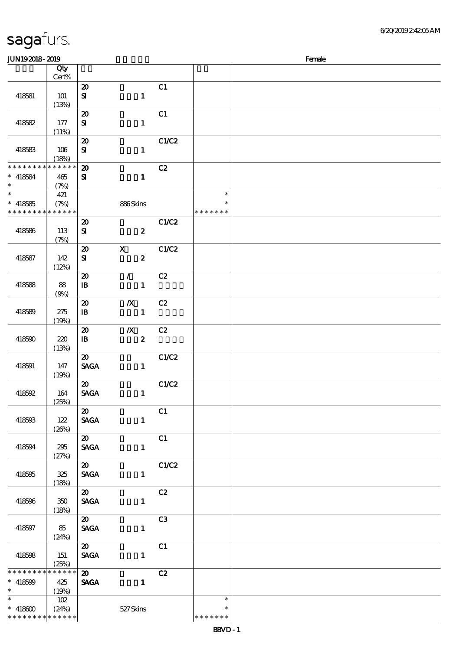\* \* \* \* \* \* \* \* \* \* \* \*

| <b>JUN192018-2019</b>                                                       |                          |                                                           |                                      |                |                                   | Female |
|-----------------------------------------------------------------------------|--------------------------|-----------------------------------------------------------|--------------------------------------|----------------|-----------------------------------|--------|
|                                                                             | Qty<br>Cert%             |                                                           |                                      |                |                                   |        |
| 418581                                                                      | <b>101</b>               | $\boldsymbol{\mathsf{20}}$<br>${\bf s}$                   | $\mathbf{1}$                         | C1             |                                   |        |
| 418582                                                                      | (13%)<br>177<br>(11%)    | $\boldsymbol{\mathsf{20}}$<br>${\bf s}$                   | $\mathbf{1}$                         | C1             |                                   |        |
| 418583                                                                      | 106<br>(18%)             | $\boldsymbol{\mathbf{z}}$<br>${\bf S\!I}$                 | $\mathbf{1}$                         | C1/C2          |                                   |        |
| * * * * * * * * <mark>* * * * * * *</mark><br>$* 418584$<br>$\ast$          | 465<br>(7%)              | $\boldsymbol{\mathbf{z}}$<br>${\bf s}$                    | $\mathbf{1}$                         | C2             |                                   |        |
| $\overline{\ast}$<br>$* 418585$<br>* * * * * * * * <mark>* * * * * *</mark> | 421<br>(7%)              |                                                           | 886Skins                             |                | $\ast$<br>$\ast$<br>* * * * * * * |        |
| 418586                                                                      | 113<br>(7%)              | $\boldsymbol{\mathbf{z}}$<br>${\bf s}$                    | $\boldsymbol{z}$                     | C1/C2          |                                   |        |
| 418587                                                                      | 142<br>(12%)             | $\boldsymbol{\mathsf{20}}$<br>${\bf s}$                   | $\mathbf X$<br>$\boldsymbol{z}$      | C1/C2          |                                   |        |
| 418588                                                                      | 88<br>(9%)               | $\boldsymbol{\mathfrak{D}}$<br>$\, {\bf I} \! {\bf B} \,$ | $\mathcal{L}$<br>$\mathbf{1}$        | C2             |                                   |        |
| 418589                                                                      | 275<br>(19%)             | $\boldsymbol{\mathsf{20}}$<br>$\mathbf{B}$                | $\boldsymbol{X}$<br>$\mathbf{1}$     | C2             |                                   |        |
| 418590                                                                      | 220<br>(13%)             | $\boldsymbol{\mathsf{20}}$<br>$\, {\bf I} \! {\bf B} \,$  | $\boldsymbol{X}$<br>$\boldsymbol{2}$ | C2             |                                   |        |
| 418591                                                                      | 147<br>(19%)             | $\boldsymbol{\mathfrak{D}}$<br><b>SAGA</b>                | $\mathbf{1}$                         | C1/C2          |                                   |        |
| 418592                                                                      | 164<br>(25%)             | $\boldsymbol{\mathfrak{D}}$<br><b>SAGA</b>                | $\mathbf{1}$                         | C1/C2          |                                   |        |
| 418593                                                                      | 122<br>(20%)             | $\boldsymbol{\mathfrak{D}}$<br><b>SAGA</b>                | $\mathbf{1}$                         | C1             |                                   |        |
| 418594                                                                      | 295<br>(27%)             | $\boldsymbol{\mathfrak{D}}$<br><b>SAGA</b>                | $\mathbf{1}$                         | C1             |                                   |        |
| 418595                                                                      | 325<br>(18%)             | $\boldsymbol{\omega}$<br><b>SAGA</b>                      | $\mathbf{1}$                         | C1/C2          |                                   |        |
| 418596                                                                      | $350\,$<br>(18%)         | $\boldsymbol{\mathfrak{D}}$<br><b>SAGA</b>                | $\mathbf{1}$                         | C2             |                                   |        |
| 418597                                                                      | 85<br>(24%)              | $\boldsymbol{\mathfrak{D}}$<br><b>SAGA</b>                | $\mathbf{1}$                         | C <sub>3</sub> |                                   |        |
| 418598                                                                      | 151<br>(25%)             | $\boldsymbol{\mathfrak{D}}$<br><b>SAGA</b>                | $\mathbf{1}$                         | C1             |                                   |        |
| * * * * * * * *<br>$* 418599$<br>$\ast$                                     | $******$<br>425<br>(19%) | $\boldsymbol{\mathsf{20}}$<br><b>SAGA</b>                 | $\mathbf{1}$                         | C2             |                                   |        |
| $\overline{\phantom{0}}$<br>$* 418600$                                      | $102$<br>(24%)           |                                                           | 527Skins                             |                | $\ast$<br>$\ast$                  |        |

\* \* \* \* \* \*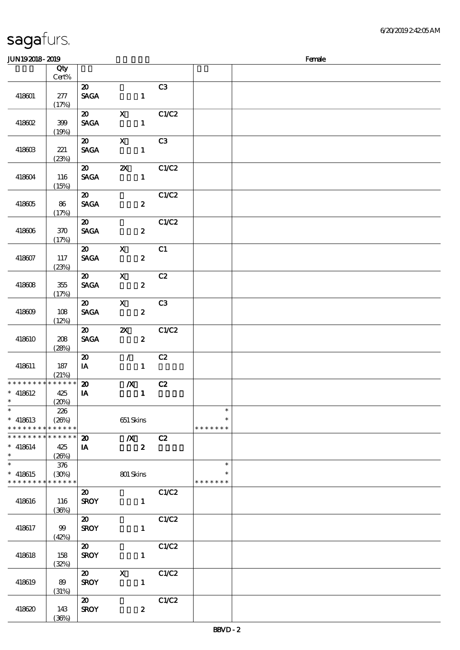| JUN192018-2019                                 |                      |                             |                           |                  |       |                  | Female |
|------------------------------------------------|----------------------|-----------------------------|---------------------------|------------------|-------|------------------|--------|
|                                                | Qty                  |                             |                           |                  |       |                  |        |
|                                                | $Cert\%$             |                             |                           |                  |       |                  |        |
|                                                |                      | $\boldsymbol{\mathfrak{D}}$ |                           |                  | C3    |                  |        |
| 418601                                         | $277$                | <b>SAGA</b>                 |                           | $\mathbf{1}$     |       |                  |        |
|                                                | (17%)                |                             |                           |                  |       |                  |        |
|                                                |                      | $\boldsymbol{\mathfrak{D}}$ | $\boldsymbol{\mathrm{X}}$ |                  | C1/C2 |                  |        |
| 418602                                         | 399                  | <b>SAGA</b>                 |                           | $\mathbf{1}$     |       |                  |        |
|                                                | (19%)                | $\boldsymbol{\mathfrak{D}}$ | $\mathbf{x}$              |                  | C3    |                  |        |
| 418603                                         | 221                  | <b>SAGA</b>                 |                           | $\mathbf{1}$     |       |                  |        |
|                                                | (23%)                |                             |                           |                  |       |                  |        |
|                                                |                      | $\boldsymbol{\mathfrak{D}}$ | $\boldsymbol{\mathsf{Z}}$ |                  | C1/C2 |                  |        |
| 418604                                         | 116                  | <b>SAGA</b>                 |                           | $\mathbf{1}$     |       |                  |        |
|                                                | (15%)                |                             |                           |                  |       |                  |        |
|                                                |                      | $\boldsymbol{\mathfrak{D}}$ |                           |                  | C1/C2 |                  |        |
| 418605                                         | 86                   | <b>SAGA</b>                 |                           | $\boldsymbol{z}$ |       |                  |        |
|                                                | (17%)                |                             |                           |                  |       |                  |        |
|                                                |                      | $\boldsymbol{\mathfrak{D}}$ |                           |                  | C1/C2 |                  |        |
| 418606                                         | 370                  | <b>SAGA</b>                 |                           | $\boldsymbol{z}$ |       |                  |        |
|                                                | (17%)                |                             |                           |                  |       |                  |        |
|                                                |                      | $\boldsymbol{\mathfrak{D}}$ | $\mathbf X$               |                  | C1    |                  |        |
| 418607                                         | 117                  | <b>SAGA</b>                 |                           | $\boldsymbol{z}$ |       |                  |        |
|                                                | (23%)                |                             |                           |                  |       |                  |        |
|                                                |                      | $\boldsymbol{\mathfrak{D}}$ | $\mathbf{X}$              |                  | C2    |                  |        |
| 418608                                         | 355                  | <b>SAGA</b>                 |                           | $\boldsymbol{z}$ |       |                  |        |
|                                                | (17%)                | $\boldsymbol{\mathfrak{D}}$ | $\mathbf{x}$              |                  | C3    |                  |        |
| 418609                                         | 108                  | <b>SAGA</b>                 |                           | $\boldsymbol{z}$ |       |                  |        |
|                                                | (12%)                |                             |                           |                  |       |                  |        |
|                                                |                      | $\boldsymbol{\omega}$       | $\mathbf{x}$              |                  | C1/C2 |                  |        |
| 418610                                         | 208                  | <b>SAGA</b>                 |                           | $\boldsymbol{z}$ |       |                  |        |
|                                                | (28%)                |                             |                           |                  |       |                  |        |
|                                                |                      | $\boldsymbol{\mathfrak{D}}$ | $\mathcal{L}$             |                  | C2    |                  |        |
| 418611                                         | 187                  | $I$ A                       |                           | $\mathbf{1}$     |       |                  |        |
|                                                | (21%)                |                             |                           |                  |       |                  |        |
| * * * * * * * *                                | * * * * * *          | $\boldsymbol{\mathfrak{D}}$ | $\boldsymbol{X}$          |                  | C2    |                  |        |
| $* 418612$                                     | 425                  | $\mathbf{I}$                |                           | $\mathbf 1$      |       |                  |        |
| $\ast$                                         | (20%)                |                             |                           |                  |       |                  |        |
| $\ast$                                         | 226                  |                             |                           |                  |       | $\ast$<br>$\ast$ |        |
| $*$ 418613                                     | (20%)<br>* * * * * * |                             | 651 Skins                 |                  |       |                  |        |
| * * * * * * * *<br>* * * * * * * * * * * * * * |                      |                             |                           |                  |       | * * * * * * *    |        |
| $* 418614$                                     |                      | $\boldsymbol{\mathbf{z}}$   | $\mathbb{X}$              | $\boldsymbol{z}$ | C2    |                  |        |
| $\ast$                                         | 425<br>(26%)         | IA                          |                           |                  |       |                  |        |
| $\overline{\ast}$                              | 376                  |                             |                           |                  |       | $\ast$           |        |
| $* 418615$                                     | (30%)                |                             | 801 Skins                 |                  |       |                  |        |
| * * * * * * * * <mark>*</mark>                 | $* * * * * * *$      |                             |                           |                  |       | * * * * * * *    |        |
|                                                |                      | $\boldsymbol{\mathfrak{D}}$ |                           |                  | C1/C2 |                  |        |
| 418616                                         | 116                  | <b>SROY</b>                 |                           | $\mathbf{1}$     |       |                  |        |
|                                                | (36%)                |                             |                           |                  |       |                  |        |
|                                                |                      | $\boldsymbol{\omega}$       |                           |                  | C1/C2 |                  |        |
| 418617                                         | 99                   | <b>SROY</b>                 |                           | $\mathbf{1}$     |       |                  |        |
|                                                | (42%)                |                             |                           |                  |       |                  |        |
|                                                |                      | $\boldsymbol{\mathfrak{D}}$ |                           |                  | C1/C2 |                  |        |
| 418618                                         | 158                  | <b>SROY</b>                 |                           | $\mathbf{1}$     |       |                  |        |
|                                                | (32%)                |                             |                           |                  |       |                  |        |
|                                                |                      | $\boldsymbol{\mathfrak{D}}$ | $\boldsymbol{\mathrm{X}}$ |                  | C1/C2 |                  |        |
| 418619                                         | 89                   | <b>SROY</b>                 |                           | $\mathbf{1}$     |       |                  |        |
|                                                | (31%)                | $\boldsymbol{\mathfrak{D}}$ |                           |                  | C1/C2 |                  |        |
| 418620                                         | 143                  | <b>SROY</b>                 |                           | $\boldsymbol{z}$ |       |                  |        |
|                                                | (36%)                |                             |                           |                  |       |                  |        |
|                                                |                      |                             |                           |                  |       |                  |        |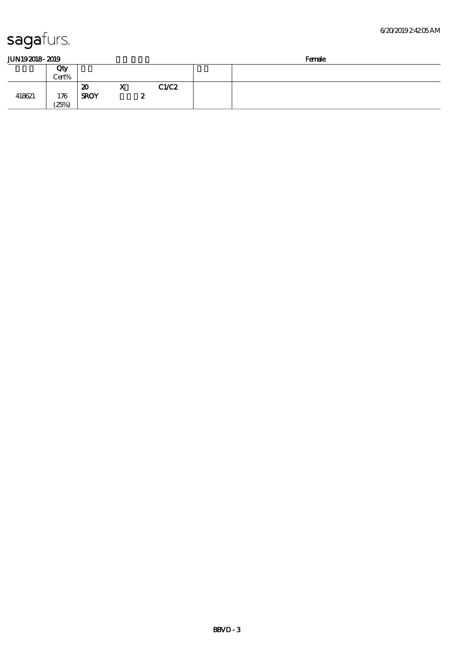418621 176

Cert%

 $\overline{\text{20}}$  X C1/C2

SROY 2

 $(25%)$ 

| JUN192018-2019 |  |
|----------------|--|
|                |  |

| 2019<br><b>JUN192018-</b><br>ം പിറ്    | Female |
|----------------------------------------|--------|
| Qty<br>∕ ∩ב…י<br>$\tilde{\phantom{a}}$ |        |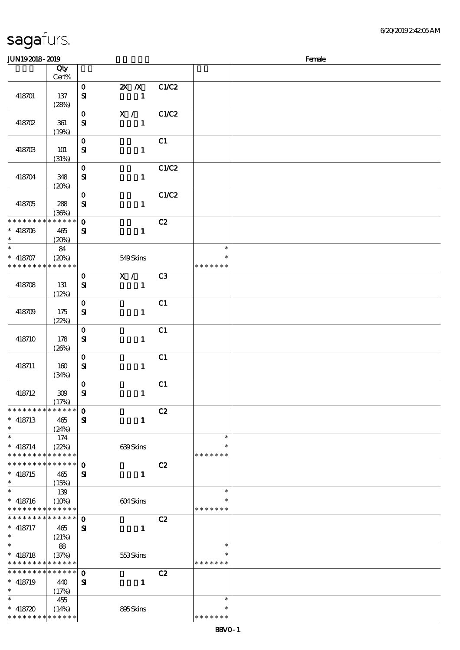| JUN192018-2019                                      |                             |                              |                                           |                |                                   | Female |
|-----------------------------------------------------|-----------------------------|------------------------------|-------------------------------------------|----------------|-----------------------------------|--------|
|                                                     | Qty<br>Cert%                |                              |                                           |                |                                   |        |
| 418701                                              | 137<br>(28%)                | $\mathbf{o}$<br>$\mathbf{S}$ | $\mathbf{X}$ $\mathbf{X}$<br>$\mathbf{1}$ | C1/C2          |                                   |        |
| 418702                                              | 361<br>(19%)                | $\mathbf{o}$<br>${\bf s}$    | X / C1/C2<br>$\mathbf{1}$                 |                |                                   |        |
| 418703                                              | 101<br>(31%)                | $\mathbf{o}$<br>${\bf S\!I}$ | $\mathbf{1}$                              | C1             |                                   |        |
| 418704                                              | 348<br>(20%)                | $\mathbf{o}$<br>$\mathbf{S}$ | $\mathbf{1}$                              | C1/C2          |                                   |        |
| 418705                                              | 288<br>(36%)                | $\mathbf 0$<br>${\bf s}$     | $\mathbf{1}$                              | C1/C2          |                                   |        |
| * * * * * * * *<br>$* 418706$<br>$\ast$             | * * * * * *<br>465<br>(20%) | $\mathbf{o}$<br>${\bf s}$    | $\mathbf{1}$                              | C2             |                                   |        |
| $\ast$<br>$* 418707$<br>* * * * * * * * * * * * * * | 84<br>(20%)                 |                              | 549Skins                                  |                | $\ast$<br>$\ast$<br>* * * * * * * |        |
| 418708                                              | 131<br>(12%)                | $\mathbf 0$<br>${\bf s}$     | X /<br>$\mathbf{1}$                       | C <sub>3</sub> |                                   |        |
| 418709                                              | 175<br>(22%)                | $\mathbf{o}$<br>$\mathbf{S}$ | $\mathbf{1}$                              | C1             |                                   |        |
| 418710                                              | 178<br>(20%)                | $\mathbf{o}$<br>$\mathbf{S}$ | $\mathbf{1}$                              | C1             |                                   |        |
| 418711                                              | 160<br>(34%)                | $\mathbf{o}$<br>$\mathbf{S}$ | $\mathbf{1}$                              | C1             |                                   |        |
| 418712                                              | $309\,$<br>(17%)            | $\mathbf{o}$<br>$\mathbf{S}$ | $\mathbf{1}$                              | C1             |                                   |        |
| * * * * * * * * * * * * * *<br>$*$ 418713<br>$\ast$ | 465<br>(24%)                | $\mathbf 0$<br>${\bf s}$     | $\mathbf{1}$                              | C2             |                                   |        |
| $\ast$<br>$*$ 418714<br>* * * * * * * *             | 174<br>(22%)<br>* * * * * * |                              | 639Skins                                  |                | $\ast$<br>$\ast$<br>* * * * * * * |        |
| * * * * * * * *<br>$*$ 418715<br>$\ast$             | * * * * * *<br>465<br>(15%) | $\mathbf 0$<br>${\bf s}$     | $\mathbf{1}$                              | C2             |                                   |        |
| $\ast$<br>$* 418716$<br>* * * * * * * *             | 139<br>(10%)<br>* * * * * * |                              | 604Skins                                  |                | $\ast$<br>$\ast$<br>* * * * * * * |        |
| * * * * * * * *<br>$*$ 418717<br>$\ast$             | * * * * * *<br>465<br>(21%) | $\mathbf 0$<br>${\bf s}$     | $\mathbf{1}$                              | C2             |                                   |        |
| $\ast$<br>$*$ 418718<br>* * * * * * * *             | 88<br>(37%)<br>* * * * * *  |                              | 553Skins                                  |                | $\ast$<br>$\ast$<br>* * * * * * * |        |
| * * * * * * * * * * * * * *<br>$*$ 418719<br>$\ast$ | 440<br>(17%)                | $\bf{0}$<br>${\bf s}$        | $\mathbf{1}$                              | C2             |                                   |        |
| $\ast$<br>$* 418720$<br>* * * * * * * *             | 455<br>(14%)<br>* * * * * * |                              | 895Skins                                  |                | $\ast$<br>$\ast$<br>* * * * * * * |        |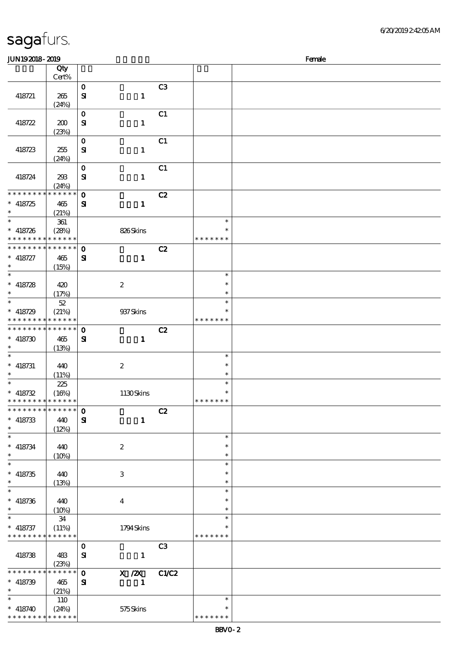| <b>JUN192018-2019</b>                                            |                                     |                             |                            |                |                                   | Female |
|------------------------------------------------------------------|-------------------------------------|-----------------------------|----------------------------|----------------|-----------------------------------|--------|
|                                                                  | Qty<br>Cert%                        |                             |                            |                |                                   |        |
| 418721                                                           | 265<br>(24%)                        | $\mathbf O$<br>${\bf s}$    | $\mathbf{1}$               | C <sub>3</sub> |                                   |        |
| 418722                                                           | 200                                 | $\bf{0}$<br>${\bf s}$       | $\mathbf{1}$               | C1             |                                   |        |
| 418723                                                           | (23%)<br>255                        | $\mathbf O$<br>${\bf S\!I}$ | $\mathbf{1}$               | C1             |                                   |        |
| 418724                                                           | (24%)<br>293<br>(24%)               | $\mathbf O$<br>$\mathbf{S}$ | $\mathbf 1$                | C1             |                                   |        |
| * * * * * * *<br>$* 418725$<br>$\ast$                            | * * * * * *<br>465<br>(21%)         | $\mathbf 0$<br>${\bf s}$    | $\mathbf{1}$               | C2             |                                   |        |
| $\ast$<br>$* 418726$<br>* * * * * * * *                          | $361\,$<br>(28%)<br>$* * * * * * *$ |                             | 826Skins                   |                | $\ast$<br>∗<br>* * * * * * *      |        |
| * * * * * * *<br>$* 418727$<br>$\ast$                            | * * * * * *<br>465<br>(15%)         | $\mathbf 0$<br>${\bf s}$    | $\mathbf{1}$               | C2             |                                   |        |
| $\overline{\ast}$<br>$* 418728$<br>$\ast$                        | 420<br>(17%)                        |                             | $\boldsymbol{2}$           |                | $\ast$<br>$\ast$<br>$\ast$        |        |
| $\overline{\ast}$<br>$* 418729$<br>* * * * * * * *               | $5\!2$<br>(21%)<br>* * * * * *      |                             | 937 Skins                  |                | $\ast$<br>$\ast$<br>* * * * * * * |        |
| * * * * * * * *<br>$* 418730$<br>$\ast$                          | $******$<br>465<br>(13%)            | $\mathbf 0$<br>${\bf s}$    | $\mathbf{1}$               | C2             |                                   |        |
| $\ast$<br>$*$ 418731<br>$\ast$                                   | 440<br>(11%)                        |                             | $\boldsymbol{2}$           |                | $\ast$<br>$\ast$<br>$\ast$        |        |
| $\ast$<br>$* 418732$<br>* * * * * * * * <mark>* * * * * *</mark> | 225<br>(16%)                        |                             | 1130Skins                  |                | $\ast$<br>$\ast$<br>* * * * * * * |        |
| * * * * * * * * * * * * * * *<br>$* 418733$<br>$\ast$            | 440<br>(12%)                        | $\mathbf 0$<br>${\bf s}$    | $\mathbf{1}$               | C2             |                                   |        |
| $\overline{\phantom{0}}$<br>$* 418734$<br>$\ast$                 | 440<br>(10%)                        |                             | $\boldsymbol{2}$           |                | $\ast$<br>$\ast$<br>$\ast$        |        |
| $\overline{\ast}$<br>$* 418735$<br>$\ast$                        | 440<br>(13%)                        |                             | $\,3$                      |                | $\ast$<br>$\ast$<br>$\ast$        |        |
| $\overline{\ast}$<br>$* 418736$<br>$\ast$                        | 440<br>(10%)                        |                             | $\boldsymbol{4}$           |                | $\ast$<br>$\ast$<br>$\ast$        |        |
| $\ast$<br>$* 418737$<br>* * * * * * * *                          | 34<br>(11%)<br>* * * * * *          |                             | 1794Skins                  |                | $\ast$<br>$\ast$<br>* * * * * * * |        |
| 418738                                                           | 483<br>(23%)                        | $\mathbf 0$<br>${\bf s}$    | $\mathbf{1}$               | C <sub>3</sub> |                                   |        |
| * * * * * * * *<br>$* 418739$<br>$\ast$                          | $* * * * * * *$<br>465<br>(21%)     | $\mathbf 0$<br>${\bf s}$    | $X$ / $ZX$<br>$\mathbf{1}$ | <b>C1/C2</b>   |                                   |        |
| $\ast$<br>$* 418740$<br>* * * * * * * *                          | 110<br>(24%)<br>* * * * * *         |                             | 575Skins                   |                | $\ast$<br>∗<br>* * * * * * *      |        |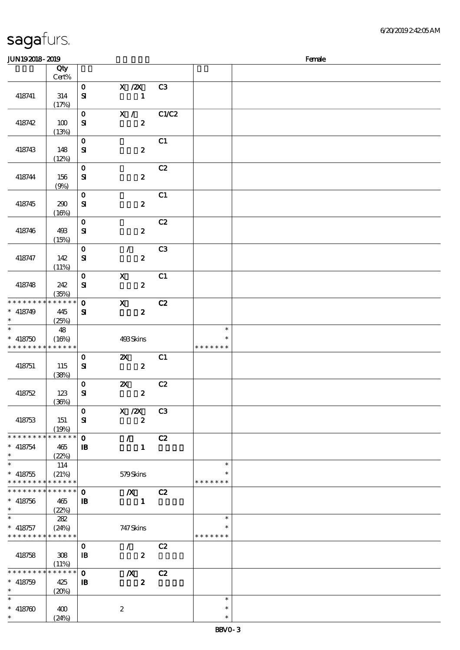(24%)

### JUN192018-2019 Female 顺序号 Qty 说明 价格 Cert% 0 X /2X C3 418741 314  $S\!I$  1  $(17%)$ 0 X / C1/C2  $S1$   $2$ 418742 100 (13%)  $\mathbf{0}$  C1 418743 148  $S1$  2  $(12%)$  $\overline{0}$  C<sub>2</sub> 418744 156 SI 2 (9%)  $\mathbf{0}$  C1 418745 | 290  $S1$  2  $(16%)$ 0 C2 418746 493  $S1$  2 (15%) 0 / C3 418747 142  $S1$  2 (11%)  $\overline{0}$  X C1  $S1$  2 418748 242 (35%)  $\overline{0}$  X  $\overline{C}$   $\overline{z}$ \* \* \* \* \* \* \* \* \* \* \* \*  $\ast$ 418749 445  $S1$   $2$ \*\*  $(25%)$  $\overline{\ast}$ \*\* <sup>418750</sup> 48 \*\* (16%) 493 Skins  $\ast$ \* \* \* \* \* \* \* \* \* \* \* \* \* \* \* \* \* \*  $0$   $2X$   $C1$ 418751 115  $S$ **SI**  $2$ (38%)  $\overline{0}$  2X  $\overline{C2}$ 418752 123  $S1$  2 (36%) 0 X /2X C3 418753 151  $S1$  2 (19%) 0 / C2 \* \* \* \* \* \* \* \* <mark>\* \* \* \* \*</mark> \* 418754 465 \*\*  $\overline{B}$  1 and 1 and 1 and 1 and 1 and 1 and 1 and 1 and 1 and 1 and 1 and 1 and 1 and 1 and 1 and 1 and 1 and 1 and 1 and 1 and 1 and 1 and 1 and 1 and 1 and 1 and 1 and 1 and 1 and 1 and 1 and 1 and 1 and 1 and 1 and 1 (22%) \*  $* 418755$  $\overline{\phantom{a}}$ \*\* 114  $\ast$ (21%) 579 Skins \* \* \* \* \* \* \* \* \* \* \* \* \* \* \* \* \* \* \* \* \* \* \* \* \* \* \* \* \* \* 0 浅/X浅 C2  $\ast$ 418756 465 \*\*  $\mathbf{I}$  **B**  $\mathbf{I}$   $\mathbf{I}$  $(22%)$ \*  $* 418757$  $\overline{\phantom{a}}$ 282 \*\*  $\ast$ (24%) 747 Skins \* \* \* \* \* \* \* \* \* \* \* \* \* \* \* \* \* \* \* 0 / C2 418758 308  $\overline{\mathbf{B}}$   $\overline{\mathbf{C}}$   $\overline{\mathbf{C}}$   $\overline{\mathbf{C}}$   $\overline{\mathbf{C}}$  $(11%)$ 0 浅/X浅 C2 \* \* \* \* \* \* \* \* \* \* \* \* \* \*  $\ast$ 418759 425 \*\*  $\overline{\mathbf{B}}$   $\overline{\mathbf{C}}$   $\overline{\mathbf{C}}$   $\overline{\mathbf{C}}$   $\overline{\mathbf{C}}$ (20%)  $\overline{\phantom{0}}$  $\ast$ \*\*\* \*\*\* $* 418760$  400 2  $\ast$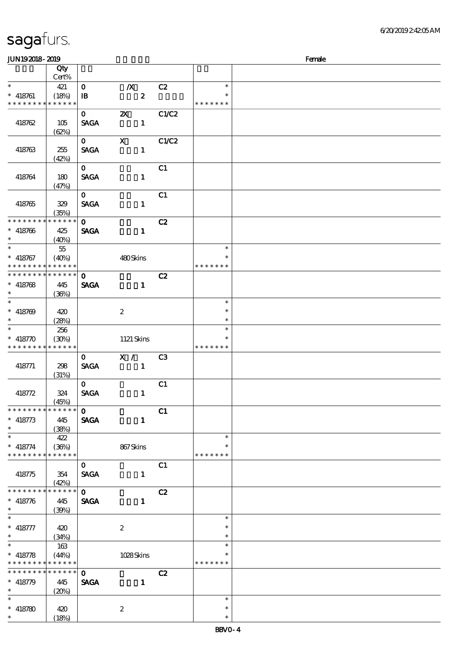| <b>JUN192018-2019</b>                     |                          |                             |                           |                |                         | Female |
|-------------------------------------------|--------------------------|-----------------------------|---------------------------|----------------|-------------------------|--------|
|                                           | Qty                      |                             |                           |                |                         |        |
|                                           | Cert%                    |                             |                           |                |                         |        |
| $\ast$                                    | 421                      | $\mathbf{O}$                | $\boldsymbol{X}$          | C2             | $\ast$                  |        |
| $* 418761$                                | (18%)                    | $\, {\bf I} \! {\bf B} \,$  | $\boldsymbol{z}$          |                |                         |        |
| * * * * * * * *                           | * * * * * *              |                             |                           |                | * * * * * * *           |        |
|                                           |                          | $\mathbf{o}$                | $\boldsymbol{\mathsf{Z}}$ | C1/C2          |                         |        |
| 418762                                    | 105                      | <b>SAGA</b>                 | $\mathbf{1}$              |                |                         |        |
|                                           | (62%)                    |                             |                           |                |                         |        |
|                                           |                          | $\mathbf{O}$                | $\boldsymbol{\mathrm{X}}$ | C1/C2          |                         |        |
| 418763                                    | 255                      | <b>SAGA</b>                 | $\mathbf{1}$              |                |                         |        |
|                                           | (42%)                    |                             |                           |                |                         |        |
|                                           |                          | $\mathbf{O}$                |                           | C1             |                         |        |
| 418764                                    | 180                      | <b>SACA</b>                 | $\mathbf{1}$              |                |                         |        |
|                                           | (47%)                    |                             |                           |                |                         |        |
|                                           |                          | $\mathbf{0}$                |                           | C1             |                         |        |
| 418765                                    | 329                      | <b>SAGA</b>                 | $\mathbf{1}$              |                |                         |        |
| * * * * * * * *                           | (35%)<br>$* * * * * * *$ | $\mathbf{O}$                |                           | C2             |                         |        |
| $* 418766$                                | 425                      | <b>SAGA</b>                 | $\mathbf{1}$              |                |                         |        |
| $\ast$                                    | (40%)                    |                             |                           |                |                         |        |
| $\overline{\ast}$                         | 55                       |                             |                           |                | $\ast$                  |        |
| $* 418767$                                | (40%)                    |                             | 480Skins                  |                | $\ast$                  |        |
| * * * * * * * * * * * * * *               |                          |                             |                           |                | * * * * * * *           |        |
| * * * * * * * * * * * * * *               |                          | $\mathbf{o}$                |                           | C2             |                         |        |
| $* 418768$                                | 445                      | <b>SAGA</b>                 | $\mathbf{1}$              |                |                         |        |
| $\ast$                                    | (36%)                    |                             |                           |                |                         |        |
|                                           |                          |                             |                           |                | $\ast$                  |        |
| $* 418769$                                | 420                      |                             | $\boldsymbol{2}$          |                | $\ast$                  |        |
| $\ast$                                    | (28%)                    |                             |                           |                | $\ast$                  |        |
| $\overline{\ast}$                         | 256                      |                             |                           |                | $\ast$                  |        |
| $* 418770$                                | (30%)                    |                             | 1121 Skins                |                | $\ast$                  |        |
| * * * * * * * *                           | * * * * * *              |                             |                           |                | * * * * * * *           |        |
| 418771                                    | 298                      | $\mathbf{O}$<br><b>SAGA</b> | X /<br>$\blacksquare$     | C <sub>3</sub> |                         |        |
|                                           | (31%)                    |                             |                           |                |                         |        |
|                                           |                          | $\mathbf{O}$                |                           | C1             |                         |        |
| 418772                                    | 324                      | <b>SAGA</b>                 | $\mathbf{1}$              |                |                         |        |
|                                           | (45%)                    |                             |                           |                |                         |        |
| * * * * * * * * * * * * * * *             |                          | $\mathbf{o}$                |                           | C1             |                         |        |
| $* 418773$                                | 445                      | <b>SAGA</b>                 | $\mathbf{1}$              |                |                         |        |
| $\ast$                                    | (38%)                    |                             |                           |                |                         |        |
| $\ast$                                    | 422                      |                             |                           |                | $\ast$                  |        |
| $* 418774$<br>* * * * * * * *             | (36%)<br>* * * * * *     |                             | 867Skins                  |                | *<br>* * * * * * *      |        |
|                                           |                          |                             |                           |                |                         |        |
| 418775                                    | 354                      | $\mathbf{O}$<br><b>SAGA</b> | $\mathbf{1}$              | C1             |                         |        |
|                                           | (42%)                    |                             |                           |                |                         |        |
| * * * * * * * *                           | $******$                 | $\mathbf{O}$                |                           | C2             |                         |        |
| $* 418776$                                | 445                      | <b>SAGA</b>                 | $\mathbf{1}$              |                |                         |        |
| $*$                                       | (39%)                    |                             |                           |                |                         |        |
| $\overline{\phantom{0}}$                  |                          |                             |                           |                | $\ast$                  |        |
| $* 418777$                                | 420                      |                             | $\boldsymbol{z}$          |                | $\ast$                  |        |
| $\ast$                                    | (34%)                    |                             |                           |                | $\ast$                  |        |
|                                           | 163                      |                             |                           |                | $\ast$                  |        |
| $* 418778$<br>* * * * * * * * * * * * * * | (44%)                    |                             | 1028Skins                 |                | $\ast$<br>* * * * * * * |        |
| ********                                  | $******$                 | $\mathbf{O}$                |                           | C2             |                         |        |
| $* 418779$                                | 445                      | <b>SAGA</b>                 | $\mathbf{1}$              |                |                         |        |
| $\ast$                                    | (20%)                    |                             |                           |                |                         |        |
| $\ast$                                    |                          |                             |                           |                | $\ast$                  |        |
| $* 418780$                                | 420                      |                             | $\boldsymbol{2}$          |                | $\ast$                  |        |
| $\ast$                                    | (18%)                    |                             |                           |                | $\ast$                  |        |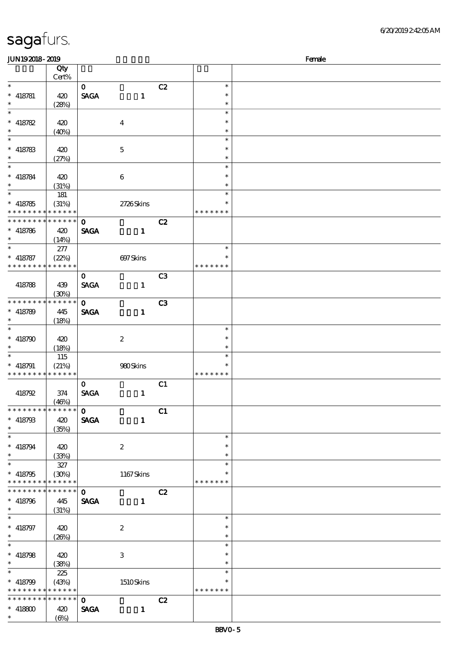| <b>JUN192018-2019</b>                      |                 |              |                           |                |               | Female |
|--------------------------------------------|-----------------|--------------|---------------------------|----------------|---------------|--------|
|                                            | Qty             |              |                           |                |               |        |
|                                            | $\mbox{Cert}\%$ |              |                           |                |               |        |
| $\ast$                                     |                 | $\mathbf{O}$ |                           | C2             | $\ast$        |        |
| $* 418781$                                 | 420             | <b>SAGA</b>  | $\mathbf{1}$              |                | $\ast$        |        |
| $\ast$                                     | (28%)           |              |                           |                | $\ast$        |        |
| $\ast$                                     |                 |              |                           |                | $\ast$        |        |
| $* 418782$                                 | 420             |              | $\boldsymbol{4}$          |                | $\ast$        |        |
| $\ast$                                     | (40%)           |              |                           |                | $\ast$        |        |
| $\ast$                                     |                 |              |                           |                | $\ast$        |        |
|                                            |                 |              |                           |                | $\ast$        |        |
| $* 418783$                                 | 420             |              | $\mathbf 5$               |                |               |        |
| $\ast$                                     | (27%)           |              |                           |                | $\ast$        |        |
| $\ast$                                     |                 |              |                           |                | $\ast$        |        |
| $* 418784$                                 | 420             |              | $\bf 6$                   |                | $\ast$        |        |
| $\ast$                                     | (31%)           |              |                           |                | $\ast$        |        |
| $\overline{\ast}$                          | 181             |              |                           |                | $\ast$        |        |
| $* 418785$                                 | (31%)           |              | 2726Skins                 |                | $\ast$        |        |
| * * * * * * * * <mark>* * * * * *</mark> * |                 |              |                           |                | * * * * * * * |        |
| * * * * * * * * * * * * * *                |                 | $\mathbf{o}$ |                           | C2             |               |        |
| $* 418786$                                 | 420             | <b>SAGA</b>  | $\mathbf{1}$              |                |               |        |
| $\ast$                                     |                 |              |                           |                |               |        |
| $\ast$                                     | (14%)           |              |                           |                | $\ast$        |        |
|                                            | 277             |              |                           |                | $\ast$        |        |
| $* 418787$                                 | (22%)           |              | 697Skins                  |                |               |        |
| * * * * * * * *                            | * * * * * *     |              |                           |                | * * * * * * * |        |
|                                            |                 | $\mathbf{O}$ |                           | C <sub>3</sub> |               |        |
| 418788                                     | 439             | <b>SAGA</b>  | $\mathbf{1}$              |                |               |        |
|                                            | (30%)           |              |                           |                |               |        |
| * * * * * * * *                            | * * * * * *     | $\mathbf 0$  |                           | C <sub>3</sub> |               |        |
| $* 418789$                                 | 445             | <b>SAGA</b>  | $\mathbf{1}$              |                |               |        |
| $\ast$                                     | (18%)           |              |                           |                |               |        |
| $\ast$                                     |                 |              |                           |                | $\ast$        |        |
| $* 418790$                                 | 420             |              | $\boldsymbol{2}$          |                | $\ast$        |        |
| $\ast$                                     |                 |              |                           |                | $\ast$        |        |
| $\ast$                                     | (18%)           |              |                           |                | $\ast$        |        |
|                                            | 115             |              |                           |                |               |        |
| $* 418791$                                 | (21%)           |              | 980Skins                  |                | $\ast$        |        |
| * * * * * * * * * * * * * *                |                 |              |                           |                | * * * * * * * |        |
|                                            |                 | $\mathbf{O}$ |                           | C1             |               |        |
| 418792                                     | 374             | <b>SAGA</b>  | $\mathbf{1}$              |                |               |        |
|                                            | (46%)           |              |                           |                |               |        |
| * * * * * * * * * * * * * *                |                 | $\mathbf{O}$ |                           | C1             |               |        |
| $* 418793$                                 | 420             | <b>SAGA</b>  | $\mathbf{1}$              |                |               |        |
| $\ast$                                     | (35%)           |              |                           |                |               |        |
| $\ast$                                     |                 |              |                           |                | $\ast$        |        |
| $* 418794$                                 | 420             |              | $\boldsymbol{2}$          |                | *             |        |
| $\ast$                                     | (33%)           |              |                           |                | $\ast$        |        |
| $\ast$                                     |                 |              |                           |                | $\ast$        |        |
|                                            | 327             |              |                           |                |               |        |
| $* 418795$                                 | (30%)           |              | 1167Skins                 |                |               |        |
| * * * * * * * * * * * * * *                |                 |              |                           |                | * * * * * * * |        |
| * * * * * * * * * * * * * * *              |                 | $\mathbf{0}$ |                           | C2             |               |        |
| $* 418796$                                 | 445             | <b>SAGA</b>  | $\mathbf{1}$              |                |               |        |
| $\ast$                                     | (31%)           |              |                           |                |               |        |
| $\ast$                                     |                 |              |                           |                | $\ast$        |        |
| $* 418797$                                 | 420             |              | $\boldsymbol{2}$          |                | $\ast$        |        |
| $\ast$                                     | (20%)           |              |                           |                | $\ast$        |        |
| $\ast$                                     |                 |              |                           |                | $\ast$        |        |
| $* 418798$                                 | 420             |              | $\ensuremath{\mathbf{3}}$ |                | $\ast$        |        |
| $\ast$                                     |                 |              |                           |                | $\ast$        |        |
| $\ast$                                     | (38%)           |              |                           |                | $\ast$        |        |
|                                            | 225             |              |                           |                |               |        |
| $* 418799$                                 | (43%)           |              | 1510Skins                 |                | $\ast$        |        |
| * * * * * * * * * * * * * *                |                 |              |                           |                | * * * * * * * |        |
| * * * * * * * * * * * * * *                |                 | $\mathbf{O}$ |                           | C2             |               |        |
| $* 418800$                                 | 420             | <b>SAGA</b>  | $\mathbf{1}$              |                |               |        |
| $\ast$                                     | $(\Theta)$      |              |                           |                |               |        |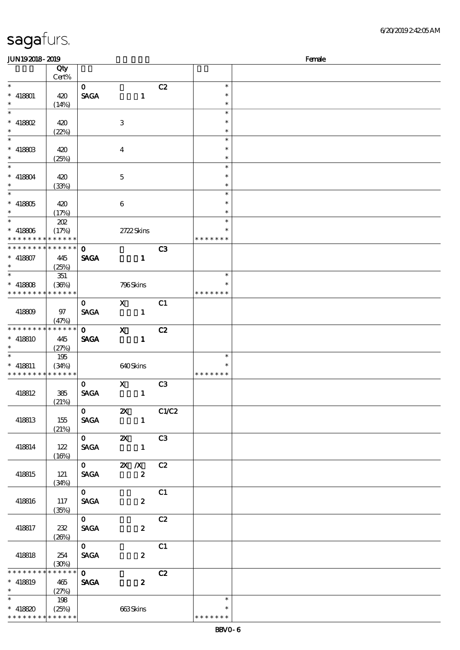| <b>JUN192018-2019</b>                      |             |              |                                                                                                                                                                                                                                                                                                                                           |                  |                |               | Female |
|--------------------------------------------|-------------|--------------|-------------------------------------------------------------------------------------------------------------------------------------------------------------------------------------------------------------------------------------------------------------------------------------------------------------------------------------------|------------------|----------------|---------------|--------|
|                                            | Qty         |              |                                                                                                                                                                                                                                                                                                                                           |                  |                |               |        |
|                                            | Cert%       |              |                                                                                                                                                                                                                                                                                                                                           |                  |                |               |        |
| $\ast$                                     |             | $\mathbf{O}$ |                                                                                                                                                                                                                                                                                                                                           |                  | C2             | $\ast$        |        |
| $*$ 418801                                 | 420         | <b>SAGA</b>  |                                                                                                                                                                                                                                                                                                                                           | $\mathbf{1}$     |                | $\ast$        |        |
| $\ast$                                     |             |              |                                                                                                                                                                                                                                                                                                                                           |                  |                | $\ast$        |        |
| $\ast$                                     | (14%)       |              |                                                                                                                                                                                                                                                                                                                                           |                  |                | $\ast$        |        |
|                                            |             |              |                                                                                                                                                                                                                                                                                                                                           |                  |                |               |        |
| $* 418802$                                 | 420         |              | 3                                                                                                                                                                                                                                                                                                                                         |                  |                | $\ast$        |        |
| $\ast$                                     | (22%)       |              |                                                                                                                                                                                                                                                                                                                                           |                  |                | $\ast$        |        |
| $\ast$                                     |             |              |                                                                                                                                                                                                                                                                                                                                           |                  |                | $\ast$        |        |
| $* 41880B$                                 | 420         |              | $\bf{4}$                                                                                                                                                                                                                                                                                                                                  |                  |                | $\ast$        |        |
| $\ast$                                     | (25%)       |              |                                                                                                                                                                                                                                                                                                                                           |                  |                | $\ast$        |        |
| $\ast$                                     |             |              |                                                                                                                                                                                                                                                                                                                                           |                  |                | $\ast$        |        |
| $* 418804$                                 | 420         |              | $\mathbf{5}$                                                                                                                                                                                                                                                                                                                              |                  |                | $\ast$        |        |
| $\ast$                                     | (33%)       |              |                                                                                                                                                                                                                                                                                                                                           |                  |                | $\ast$        |        |
| $\overline{\phantom{0}}$                   |             |              |                                                                                                                                                                                                                                                                                                                                           |                  |                | $\ast$        |        |
|                                            |             |              |                                                                                                                                                                                                                                                                                                                                           |                  |                | $\ast$        |        |
| $^*$ 418805 $\,$                           | 420         |              | 6                                                                                                                                                                                                                                                                                                                                         |                  |                |               |        |
| $\ast$                                     | (17%)       |              |                                                                                                                                                                                                                                                                                                                                           |                  |                | $\ast$        |        |
| $\ast$                                     | 202         |              |                                                                                                                                                                                                                                                                                                                                           |                  |                | $\ast$        |        |
| $* 418806$                                 | (17%)       |              | 2722Skins                                                                                                                                                                                                                                                                                                                                 |                  |                | $\ast$        |        |
| * * * * * * * * * * * * * *                |             |              |                                                                                                                                                                                                                                                                                                                                           |                  |                | * * * * * * * |        |
| * * * * * * * * * * * * * *                |             | $\mathbf{o}$ |                                                                                                                                                                                                                                                                                                                                           |                  | C3             |               |        |
| $* 418807$                                 | 445         | <b>SAGA</b>  |                                                                                                                                                                                                                                                                                                                                           | $\mathbf{1}$     |                |               |        |
| $\ast$                                     | (25%)       |              |                                                                                                                                                                                                                                                                                                                                           |                  |                |               |        |
| $\ast$                                     | 351         |              |                                                                                                                                                                                                                                                                                                                                           |                  |                | $\ast$        |        |
| $* 418808$                                 |             |              |                                                                                                                                                                                                                                                                                                                                           |                  |                | $\ast$        |        |
| * * * * * * * * * * * * * *                | (36%)       |              | 796Skins                                                                                                                                                                                                                                                                                                                                  |                  |                | * * * * * * * |        |
|                                            |             |              |                                                                                                                                                                                                                                                                                                                                           |                  |                |               |        |
|                                            |             | $\mathbf{O}$ | $\mathbf{x}$                                                                                                                                                                                                                                                                                                                              |                  | C1             |               |        |
| 418809                                     | 97          | <b>SAGA</b>  |                                                                                                                                                                                                                                                                                                                                           | $\mathbf{1}$     |                |               |        |
|                                            | (47%)       |              |                                                                                                                                                                                                                                                                                                                                           |                  |                |               |        |
| * * * * * * * * * * * * * *                |             | $\mathbf{O}$ | $\mathbf{x}$                                                                                                                                                                                                                                                                                                                              |                  | C2             |               |        |
| $* 418810$                                 | 445         | <b>SAGA</b>  |                                                                                                                                                                                                                                                                                                                                           | $\mathbf{1}$     |                |               |        |
| $\ast$                                     | (27%)       |              |                                                                                                                                                                                                                                                                                                                                           |                  |                |               |        |
| $\ast$                                     | 195         |              |                                                                                                                                                                                                                                                                                                                                           |                  |                | $\ast$        |        |
| $*$ 418811                                 | (34%)       |              | 640Skins                                                                                                                                                                                                                                                                                                                                  |                  |                | $\ast$        |        |
| * * * * * * * * <mark>* * * * * *</mark> * |             |              |                                                                                                                                                                                                                                                                                                                                           |                  |                | * * * * * * * |        |
|                                            |             | $\mathbf{o}$ | $\mathbf{X}$                                                                                                                                                                                                                                                                                                                              |                  | C <sub>3</sub> |               |        |
| 418812                                     | 385         | <b>SAGA</b>  |                                                                                                                                                                                                                                                                                                                                           | $\mathbf{1}$     |                |               |        |
|                                            | (21%)       |              |                                                                                                                                                                                                                                                                                                                                           |                  |                |               |        |
|                                            |             |              | $\overline{0}$ $\overline{z}$ $\overline{z}$ $\overline{z}$ $\overline{z}$ $\overline{z}$ $\overline{z}$ $\overline{z}$ $\overline{z}$ $\overline{z}$ $\overline{z}$ $\overline{z}$ $\overline{z}$ $\overline{z}$ $\overline{z}$ $\overline{z}$ $\overline{z}$ $\overline{z}$ $\overline{z}$ $\overline{z}$ $\overline{z}$ $\overline{z}$ |                  |                |               |        |
|                                            |             |              |                                                                                                                                                                                                                                                                                                                                           |                  |                |               |        |
| 418813                                     | 155         | <b>SAGA</b>  |                                                                                                                                                                                                                                                                                                                                           | $\blacksquare$   |                |               |        |
|                                            | (21%)       |              |                                                                                                                                                                                                                                                                                                                                           |                  |                |               |        |
|                                            |             |              |                                                                                                                                                                                                                                                                                                                                           |                  |                |               |        |
| 418814                                     | 122         |              | SAGA 1                                                                                                                                                                                                                                                                                                                                    |                  |                |               |        |
|                                            | (16%)       |              |                                                                                                                                                                                                                                                                                                                                           |                  |                |               |        |
|                                            |             |              | $\overline{0}$ 2X X C2                                                                                                                                                                                                                                                                                                                    |                  |                |               |        |
| 418815                                     | 121         |              | SAGA 2                                                                                                                                                                                                                                                                                                                                    |                  |                |               |        |
|                                            | (34%)       |              |                                                                                                                                                                                                                                                                                                                                           |                  |                |               |        |
|                                            |             | $\mathbf{O}$ |                                                                                                                                                                                                                                                                                                                                           |                  | C1             |               |        |
| 418816                                     | 117         | <b>SAGA</b>  |                                                                                                                                                                                                                                                                                                                                           | $\boldsymbol{z}$ |                |               |        |
|                                            | (35%)       |              |                                                                                                                                                                                                                                                                                                                                           |                  |                |               |        |
|                                            |             | $\mathbf{O}$ |                                                                                                                                                                                                                                                                                                                                           |                  | C2             |               |        |
| 418817                                     | 232         | <b>SAGA</b>  |                                                                                                                                                                                                                                                                                                                                           | $\boldsymbol{z}$ |                |               |        |
|                                            |             |              |                                                                                                                                                                                                                                                                                                                                           |                  |                |               |        |
|                                            | (26%)       |              |                                                                                                                                                                                                                                                                                                                                           |                  |                |               |        |
|                                            |             | $\mathbf{O}$ |                                                                                                                                                                                                                                                                                                                                           |                  | C1             |               |        |
| 418818                                     | 254         | <b>SAGA</b>  |                                                                                                                                                                                                                                                                                                                                           | $\boldsymbol{z}$ |                |               |        |
|                                            | (30%)       |              |                                                                                                                                                                                                                                                                                                                                           |                  |                |               |        |
| * * * * * * * *                            | * * * * * * | $\mathbf{O}$ |                                                                                                                                                                                                                                                                                                                                           |                  | C2             |               |        |
| $* 418819$                                 | 465         | <b>SAGA</b>  |                                                                                                                                                                                                                                                                                                                                           | $\boldsymbol{z}$ |                |               |        |
| $\ast$                                     | (27%)       |              |                                                                                                                                                                                                                                                                                                                                           |                  |                |               |        |
| $\ast$                                     | 198         |              |                                                                                                                                                                                                                                                                                                                                           |                  |                | $\ast$        |        |
| * 418820 (25%)                             |             |              | 663Skins                                                                                                                                                                                                                                                                                                                                  |                  |                | $\ast$        |        |
| * * * * * * * * * * * * * *                |             |              |                                                                                                                                                                                                                                                                                                                                           |                  |                | * * * * * * * |        |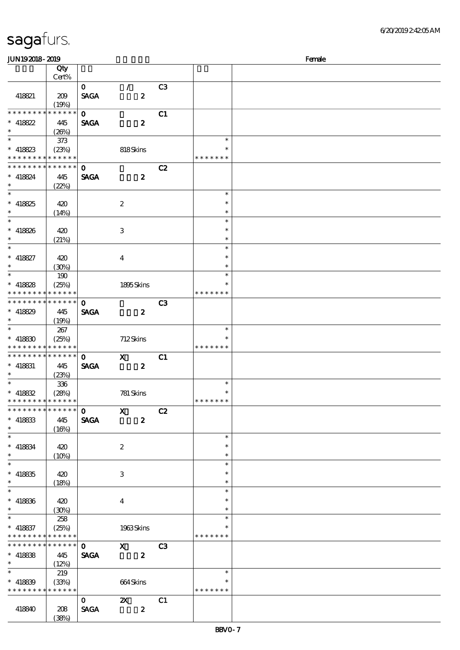### 6/20/2019 2:42:05 AM

| JUN192018-2019                             |       |              |                         |                |               | Female |
|--------------------------------------------|-------|--------------|-------------------------|----------------|---------------|--------|
|                                            | Qty   |              |                         |                |               |        |
|                                            | Cert% |              |                         |                |               |        |
|                                            |       |              |                         |                |               |        |
|                                            |       | $\mathbf{O}$ | $\mathcal{L}$           | C3             |               |        |
| 418821                                     | 209   | <b>SAGA</b>  | $\boldsymbol{z}$        |                |               |        |
|                                            | (19%) |              |                         |                |               |        |
| * * * * * * * * * * * * * *                |       | $\mathbf{O}$ |                         | C1             |               |        |
| $*$ 418822                                 | 445   | <b>SAGA</b>  | $\boldsymbol{z}$        |                |               |        |
| $\ast$                                     |       |              |                         |                |               |        |
|                                            | (20%) |              |                         |                |               |        |
| $\ast$                                     | 373   |              |                         |                | $\ast$        |        |
| $* 418823$                                 | (23%) |              | 818Skins                |                | $\ast$        |        |
| * * * * * * * * * * * * * *                |       |              |                         |                | * * * * * * * |        |
| * * * * * * * * * * * * * *                |       | $\mathbf{o}$ |                         | C2             |               |        |
| $* 418824$                                 | 445   | <b>SAGA</b>  | $\boldsymbol{z}$        |                |               |        |
|                                            |       |              |                         |                |               |        |
| $\ast$                                     | (22%) |              |                         |                |               |        |
| $\ast$                                     |       |              |                         |                | $\ast$        |        |
| $* 418825$                                 | 420   |              | $\boldsymbol{2}$        |                | $\ast$        |        |
| $\ast$                                     | (14%) |              |                         |                | $\ast$        |        |
| $\ast$                                     |       |              |                         |                | $\ast$        |        |
|                                            |       |              |                         |                | $\ast$        |        |
| $* 418826$                                 | 420   |              | $\,3\,$                 |                |               |        |
| $\ast$                                     | (21%) |              |                         |                | $\ast$        |        |
| $\ast$                                     |       |              |                         |                | $\ast$        |        |
| $* 418827$                                 | 420   |              | $\overline{\mathbf{4}}$ |                | $\ast$        |        |
| $\ast$                                     | (30%) |              |                         |                | $\ast$        |        |
| $\ast$                                     | 190   |              |                         |                | $\ast$        |        |
|                                            |       |              |                         |                |               |        |
| $* 418828$                                 | (25%) |              | 1895Skins               |                | $\ast$        |        |
| * * * * * * * * * * * * * *                |       |              |                         |                | * * * * * * * |        |
| * * * * * * * * * * * * * *                |       | $\mathbf{o}$ |                         | C3             |               |        |
| $* 418829$                                 | 445   | <b>SAGA</b>  | $\boldsymbol{z}$        |                |               |        |
| $\ast$                                     | (19%) |              |                         |                |               |        |
| $\ast$                                     |       |              |                         |                | $\ast$        |        |
|                                            | 267   |              |                         |                |               |        |
| $* 418830$                                 | (25%) |              | 712Skins                |                |               |        |
| * * * * * * * * <mark>* * * * * *</mark>   |       |              |                         |                | * * * * * * * |        |
| * * * * * * * * * * * * * *                |       | $\mathbf{O}$ | $\mathbf{x}$            | C1             |               |        |
| $*$ 418831                                 | 445   | <b>SAGA</b>  | $\boldsymbol{z}$        |                |               |        |
| $\ast$                                     |       |              |                         |                |               |        |
| $\ast$                                     | (23%) |              |                         |                | $\ast$        |        |
|                                            | 336   |              |                         |                |               |        |
| $* 418832$                                 | (28%) |              | 781 Skins               |                | $\ast$        |        |
| * * * * * * * * * * * * * *                |       |              |                         |                | *******       |        |
| * * * * * * * * <mark>* * * * * * *</mark> |       | $\mathbf{O}$ | $\mathbf{x}$            | C2             |               |        |
| $* 418833$                                 | 445   | <b>SAGA</b>  | $\boldsymbol{z}$        |                |               |        |
| $\ast$                                     |       |              |                         |                |               |        |
|                                            | (16%) |              |                         |                |               |        |
| $\ast$                                     |       |              |                         |                | $\ast$        |        |
| $* 418834$                                 | 420   |              | $\boldsymbol{2}$        |                | $\ast$        |        |
| $\ast$                                     | (10%) |              |                         |                | $\ast$        |        |
| $\ast$                                     |       |              |                         |                | $\ast$        |        |
| $*$ 418835                                 | 420   |              | 3                       |                | ∗             |        |
| $\ast$                                     |       |              |                         |                | $\ast$        |        |
| $\ast$                                     | (18%) |              |                         |                | $\ast$        |        |
|                                            |       |              |                         |                |               |        |
| $* 418836$                                 | 420   |              | $\overline{4}$          |                | $\ast$        |        |
| $\ast$                                     | (30%) |              |                         |                | $\ast$        |        |
| $\ast$                                     | 258   |              |                         |                | $\ast$        |        |
| $*$ 418837                                 | (25%) |              | 1963Skins               |                |               |        |
| * * * * * * * * <mark>* * * * * *</mark>   |       |              |                         |                | * * * * * * * |        |
|                                            |       |              |                         |                |               |        |
| * * * * * * * * <mark>* * * * * * *</mark> |       | $\mathbf{o}$ | $\mathbf{x}$            | C <sub>3</sub> |               |        |
| $* 418888$                                 | 445   | <b>SAGA</b>  | $\boldsymbol{z}$        |                |               |        |
| $\ast$                                     | (12%) |              |                         |                |               |        |
| $\ast$                                     | 219   |              |                         |                | $\ast$        |        |
| $* 418839$                                 | (33%) |              | 664Skins                |                | $\ast$        |        |
|                                            |       |              |                         |                |               |        |
| * * * * * * * * <mark>* * * * * *</mark>   |       |              |                         |                | * * * * * * * |        |
|                                            |       | $\mathbf{O}$ | $\mathbf{x}$            | C1             |               |        |
| 418840                                     | 208   | <b>SAGA</b>  | $\boldsymbol{z}$        |                |               |        |
|                                            | (38%) |              |                         |                |               |        |
|                                            |       |              |                         |                |               |        |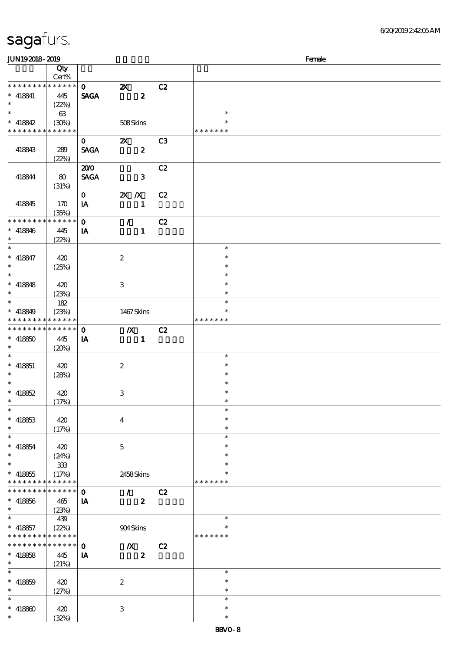| JUN192018-2019                           |               |              |                           |    |               | Female |
|------------------------------------------|---------------|--------------|---------------------------|----|---------------|--------|
|                                          | Qty           |              |                           |    |               |        |
|                                          | Cert%         |              |                           |    |               |        |
| * * * * * * * *                          | $******$      | $\mathbf{O}$ | $\boldsymbol{\mathsf{Z}}$ | C2 |               |        |
| $* 418841$                               | 445           | <b>SAGA</b>  | $\boldsymbol{z}$          |    |               |        |
| $\ast$                                   | (22%)         |              |                           |    |               |        |
| $\overline{\phantom{0}}$                 | 63            |              |                           |    | $\ast$        |        |
| $* 418842$                               | (30%)         |              | 508Skins                  |    | $\ast$        |        |
| * * * * * * * * <mark>* * * * * *</mark> |               |              |                           |    | * * * * * * * |        |
|                                          |               |              |                           |    |               |        |
|                                          |               | $\mathbf{o}$ | $\boldsymbol{\alpha}$     | C3 |               |        |
| 418843                                   | 289           | <b>SAGA</b>  | $\boldsymbol{z}$          |    |               |        |
|                                          | (22%)         |              |                           |    |               |        |
|                                          |               | 200          |                           | C2 |               |        |
| 418844                                   | 80            | <b>SAGA</b>  | $\mathbf{3}$              |    |               |        |
|                                          | (31%)         |              |                           |    |               |        |
|                                          |               | $\mathbf{O}$ | $X$ $X$                   | C2 |               |        |
| 418845                                   | 170           | IA           | $\mathbf{1}$              |    |               |        |
|                                          | (35%)         |              |                           |    |               |        |
| * * * * * * * *                          | * * * * * *   | $\mathbf 0$  | $\mathcal{L}$             | C2 |               |        |
| $* 418846$                               | 445           | IA           | $\mathbf{1}$              |    |               |        |
| $\ast$                                   | (22%)         |              |                           |    |               |        |
| $\ast$                                   |               |              |                           |    | $\ast$        |        |
| $* 418847$                               |               |              |                           |    | $\ast$        |        |
| $\ast$                                   | 420           |              | $\boldsymbol{2}$          |    | $\ast$        |        |
| $\overline{\ast}$                        | (25%)         |              |                           |    |               |        |
|                                          |               |              |                           |    | $\ast$        |        |
| $* 418848$                               | 420           |              | 3                         |    | $\ast$        |        |
| $\ast$                                   | (23%)         |              |                           |    | $\ast$        |        |
| $\overline{\phantom{0}}$                 | 182           |              |                           |    | $\ast$        |        |
| $* 418849$                               | (23%)         |              | 1467Skins                 |    | *             |        |
| * * * * * * * *                          | * * * * * *   |              |                           |    | * * * * * * * |        |
| * * * * * * * *                          | ******        | $\mathbf 0$  | $\boldsymbol{X}$          | C2 |               |        |
| $* 418850$                               | 445           | IA           | $\mathbf{1}$              |    |               |        |
| $\ast$                                   | (20%)         |              |                           |    |               |        |
| $\ast$                                   |               |              |                           |    | $\ast$        |        |
| $* 418851$                               |               |              |                           |    | $\ast$        |        |
| $\ast$                                   | 420           |              | $\boldsymbol{2}$          |    | $\ast$        |        |
| $\ast$                                   | (28%)         |              |                           |    | $\ast$        |        |
|                                          |               |              |                           |    |               |        |
| $* 418852$                               | 420           |              | 3                         |    | $\ast$        |        |
| $\ast$                                   | (17%)         |              |                           |    | $\ast$        |        |
| $\ast$                                   |               |              |                           |    | $\ast$        |        |
| $* 418853$                               | 420           |              | $\overline{4}$            |    | $\ast$        |        |
| $\ast$                                   | (17%)         |              |                           |    | $\ast$        |        |
| $\ast$                                   |               |              |                           |    | $\ast$        |        |
| $* 418854$                               | 420           |              | $\mathbf{5}$              |    | $\ast$        |        |
| $\ast$                                   | (24%)         |              |                           |    | $\ast$        |        |
| $\ast$                                   | $333\,$       |              |                           |    | $\ast$        |        |
| $* 418855$                               | (17%)         |              | 2458Skins                 |    | *             |        |
| * * * * * * * *                          | * * * * * *   |              |                           |    | * * * * * * * |        |
| * * * * * * * *                          | ******        | $\mathbf 0$  | $\mathcal{L}$             | C2 |               |        |
| $* 418856$                               | 465           | IA           | $\boldsymbol{z}$          |    |               |        |
| $\ast$                                   |               |              |                           |    |               |        |
| $\ast$                                   | (23%)         |              |                           |    |               |        |
|                                          | 439           |              |                           |    | $\ast$        |        |
| $* 418857$                               | (22%)         |              | 904Skins                  |    | $\ast$        |        |
| * * * * * * * *                          | * * * * * *   |              |                           |    | * * * * * * * |        |
| * * * * * * * *                          | * * * * * * * | $\mathbf 0$  | $\boldsymbol{X}$          | C2 |               |        |
| $* 418858$                               | 445           | IA           | $\boldsymbol{2}$          |    |               |        |
| $\ast$                                   | (21%)         |              |                           |    |               |        |
| $\ast$                                   |               |              |                           |    | $\ast$        |        |
| $* 418859$                               | 420           |              | $\boldsymbol{2}$          |    | $\ast$        |        |
| $\ast$                                   | (27%)         |              |                           |    | $\ast$        |        |
| $\ast$                                   |               |              |                           |    | $\ast$        |        |
| $* 418800$                               | 420           |              | 3                         |    | $\ast$        |        |
| $\ast$                                   |               |              |                           |    | $\ast$        |        |
|                                          | (32%)         |              |                           |    |               |        |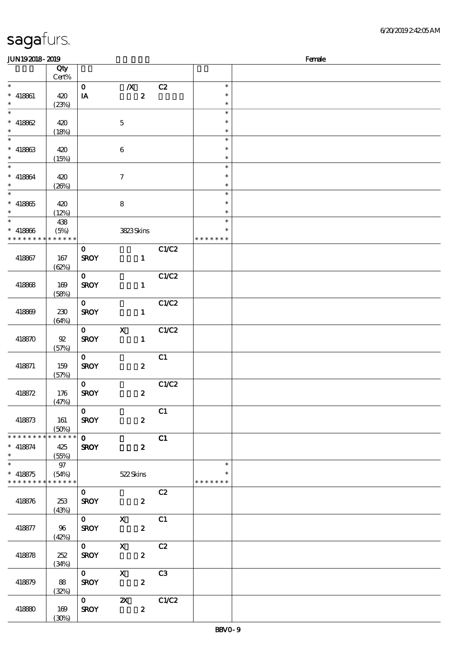| <b>JUN192018-2019</b>              |        |                         |                     |       |               | Female |
|------------------------------------|--------|-------------------------|---------------------|-------|---------------|--------|
|                                    | Qty    |                         |                     |       |               |        |
|                                    | Cert%  |                         |                     |       |               |        |
| $\ast$                             |        | $\mathbf{O}$            | $\boldsymbol{X}$    | C2    | $\ast$        |        |
| $* 418861$                         | 420    | IA                      | $\boldsymbol{z}$    |       | $\ast$        |        |
| $\ast$                             | (23%)  |                         |                     |       | $\ast$        |        |
| $\ast$                             |        |                         |                     |       | $\ast$        |        |
| $* 418862$                         | 420    |                         | $\mathbf 5$         |       | $\ast$        |        |
| $\ast$                             | (18%)  |                         |                     |       | $\ast$        |        |
| $\overline{\phantom{a}^*}$         |        |                         |                     |       | $\ast$        |        |
|                                    |        |                         |                     |       | $\ast$        |        |
| $* 418863$<br>$\ast$               | 420    |                         | $\bf 6$             |       | $\ast$        |        |
| $_{*}$                             | (15%)  |                         |                     |       |               |        |
|                                    |        |                         |                     |       | $\ast$        |        |
| $* 418864$                         | 420    |                         | $\tau$              |       | $\ast$        |        |
| $\ast$<br>$\overline{\phantom{0}}$ | (20%)  |                         |                     |       | $\ast$        |        |
|                                    |        |                         |                     |       | $\ast$        |        |
| $* 418865$                         | 420    |                         | 8                   |       | $\ast$        |        |
| $\ast$                             | (12%)  |                         |                     |       | $\ast$        |        |
| $\overline{\ast}$                  | 438    |                         |                     |       | $\ast$        |        |
| $* 418866$                         | (5%)   |                         | 3823Skins           |       | $\ast$        |        |
| * * * * * * * * * * * * * *        |        |                         |                     |       | * * * * * * * |        |
|                                    |        | $\mathbf{O}$            |                     | C1/C2 |               |        |
| 418867                             | 167    | <b>SROY</b>             | $\mathbf{1}$        |       |               |        |
|                                    | (62%)  |                         |                     |       |               |        |
|                                    |        | $\mathbf{O}$            |                     | C1/C2 |               |        |
| 418868                             | 169    | <b>SROY</b>             | $\mathbf{1}$        |       |               |        |
|                                    | (58%)  |                         |                     |       |               |        |
|                                    |        | $\mathbf{o}$            |                     | C1/C2 |               |        |
| 418869                             | 230    | <b>SROY</b>             | $\mathbf{1}$        |       |               |        |
|                                    |        |                         |                     |       |               |        |
|                                    | (64%)  |                         |                     |       |               |        |
|                                    |        | $\mathbf{O}$            | $\mathbf X$         | C1/C2 |               |        |
| 418870                             | $92\,$ | <b>SROY</b>             | $\mathbf{1}$        |       |               |        |
|                                    | (57%)  |                         |                     |       |               |        |
|                                    |        | $\mathbf{0}$            |                     | C1    |               |        |
| 418871                             | 159    | <b>SROY</b>             | $\boldsymbol{z}$    |       |               |        |
|                                    | (57%)  |                         |                     |       |               |        |
|                                    |        | $\mathbf{O}$            |                     | C1/C2 |               |        |
| 418872                             | 176    | <b>SROY</b>             | $\boldsymbol{z}$    |       |               |        |
|                                    | (47%)  |                         |                     |       |               |        |
|                                    |        | $\mathbf{O}$            |                     | C1    |               |        |
| 418873                             | 161    | <b>SROY</b>             | $\boldsymbol{2}$    |       |               |        |
|                                    | (50%)  |                         |                     |       |               |        |
| * * * * * * * * * * * * * *        |        | $\mathbf{O}$            |                     | C1    |               |        |
| $* 418874$                         | 425    | <b>SROY</b>             | $\boldsymbol{z}$    |       |               |        |
| $\ast$                             | (55%)  |                         |                     |       |               |        |
| $\overline{\phantom{a}^*}$         | 97     |                         |                     |       | $\ast$        |        |
| $* 418875$                         | (54%)  |                         | 522Skins            |       |               |        |
| * * * * * * * * * * * * * *        |        |                         |                     |       | * * * * * * * |        |
|                                    |        | $\mathbf{O}$            |                     | C2    |               |        |
|                                    | 253    | <b>SROY</b>             | $\sim$ 2            |       |               |        |
| 418876                             |        |                         |                     |       |               |        |
|                                    | (43%)  |                         |                     |       |               |        |
|                                    |        |                         | $\overline{0}$ X C1 |       |               |        |
| 418877                             | 96     | <b>SROY</b>             | $\mathbf{2}$        |       |               |        |
|                                    | (42%)  |                         |                     |       |               |        |
|                                    |        | $0^{-}$                 | $\mathbf{X}$        | C2    |               |        |
| 418878                             | 252    | <b>SROY</b>             | $\boldsymbol{z}$    |       |               |        |
|                                    | (34%)  |                         |                     |       |               |        |
|                                    |        | $0^{\circ}$             | $\mathbf{X}$        | C3    |               |        |
| 418879                             | 88     | <b>SROY</b>             | $\boldsymbol{2}$    |       |               |        |
|                                    | (32%)  |                         |                     |       |               |        |
|                                    |        | $\overline{\mathbf{0}}$ | $\mathbf{z}$        | C1/C2 |               |        |
| 418880                             | 169    | <b>SROY</b>             | $\boldsymbol{z}$    |       |               |        |
|                                    | (30%)  |                         |                     |       |               |        |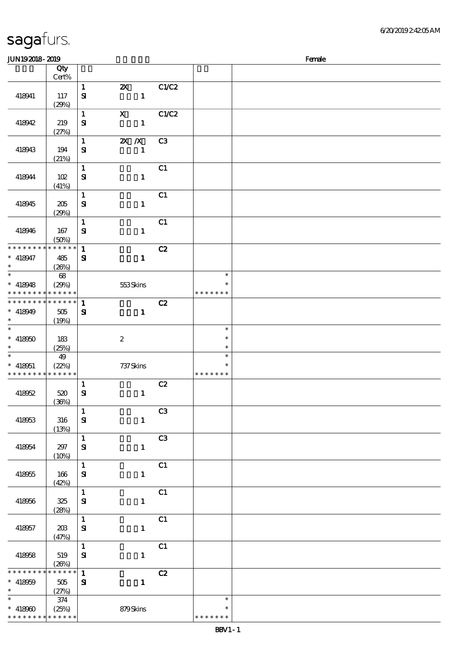| JUN192018-2019                                                   |                                        |                                                                           |                |                                   | Female |
|------------------------------------------------------------------|----------------------------------------|---------------------------------------------------------------------------|----------------|-----------------------------------|--------|
|                                                                  | Qty<br>Cert%                           |                                                                           |                |                                   |        |
| 418941                                                           | 117<br>(29%)                           | $\mathbf{1}$<br>$\boldsymbol{\mathsf{Z}}$<br>$\mathbf{S}$<br>$\mathbf{1}$ | C1/C2          |                                   |        |
| 418942                                                           | 219<br>(27%)                           | $\boldsymbol{\mathrm{X}}$<br>$\mathbf{1}$<br>${\bf s}$<br>$\mathbf{1}$    | C1/C2          |                                   |        |
| 418943                                                           | 194<br>(21%)                           | $\mathbf 1$<br>$X$ $N$<br>$\mathbf{1}$<br>$\mathbf{S}$                    | C <sub>3</sub> |                                   |        |
| 418944                                                           | 102<br>(41%)                           | $\mathbf{1}$<br>$\mathbf{S}$<br>$\mathbf{1}$                              | C1             |                                   |        |
| 418945                                                           | 205<br>(29%)                           | $\mathbf 1$<br>${\bf s}$<br>$\mathbf{1}$                                  | C1             |                                   |        |
| 418946                                                           | 167<br>(50%)                           | $\mathbf{1}$<br>${\bf s}$<br>$\mathbf{1}$                                 | C1             |                                   |        |
| * * * * * * * *<br>$* 418947$<br>$\ast$                          | * * * * * *<br>485<br>(20%)            | $\mathbf{1}$<br>$\mathbf{S}$<br>$\mathbf{1}$                              | C2             |                                   |        |
| $\ast$<br>$* 418948$                                             | $68\,$<br>(29%)<br>* * * * * * * * * * | 553Skins                                                                  |                | $\ast$<br>$\ast$<br>* * * * * * * |        |
| * * * * * * * *<br>$* 418949$<br>$\ast$                          | * * * * * *<br>505<br>(19%)            | $\mathbf{1}$<br>$\mathbf{S}$<br>$\mathbf{1}$                              | C2             |                                   |        |
| $\ast$<br>$* 418000$<br>$\ast$                                   | 183<br>(25%)                           | $\boldsymbol{2}$                                                          |                | $\ast$<br>$\ast$<br>$\ast$        |        |
| $\ast$<br>$* 418051$<br>* * * * * * * *                          | 49<br>(22%)<br>* * * * * *             | 737 Skins                                                                 |                | $\ast$<br>$\ast$<br>* * * * * * * |        |
| 418952                                                           | 520<br>(36%)                           | 1<br>$\bf S\!I$<br>$\mathbf{1}$                                           | C2             |                                   |        |
| 418953                                                           | 316<br>(13%)                           | $\mathbf{1}$<br>${\bf S}$<br>$\mathbf{1}$                                 | C3             |                                   |        |
| 418954                                                           | 297<br>(10%)                           | $\mathbf 1$<br>${\bf s}$<br>$\mathbf{1}$                                  | C3             |                                   |        |
| 418955                                                           | 166<br>(42%)                           | $\mathbf{1}$<br>$\bf S\!I$<br>$\mathbf{1}$                                | C1             |                                   |        |
| 418956                                                           | 325<br>(28%)                           | $\mathbf{1}$<br>$\mathbf{S}$<br>$\mathbf{1}$                              | C1             |                                   |        |
| 418957                                                           | 20B<br>(47%)                           | $\mathbf{1}$<br>${\bf s}$<br>$\mathbf{1}$                                 | C1             |                                   |        |
| 418958                                                           | 519<br>(20%)                           | $\mathbf{1}$<br>${\bf s}$<br>$\mathbf{1}$                                 | C1             |                                   |        |
| * * * * * * * *<br>$* 418059$<br>$\ast$                          | * * * * * *<br>505<br>(27%)            | $\mathbf{1}$<br>${\bf s}$<br>$\mathbf{1}$                                 | C2             |                                   |        |
| $\ast$<br>$* 418900$<br>* * * * * * * * <mark>* * * * * *</mark> | $374\,$<br>(25%)                       | 879Skins                                                                  |                | $\ast$<br>$\ast$<br>* * * * * * * |        |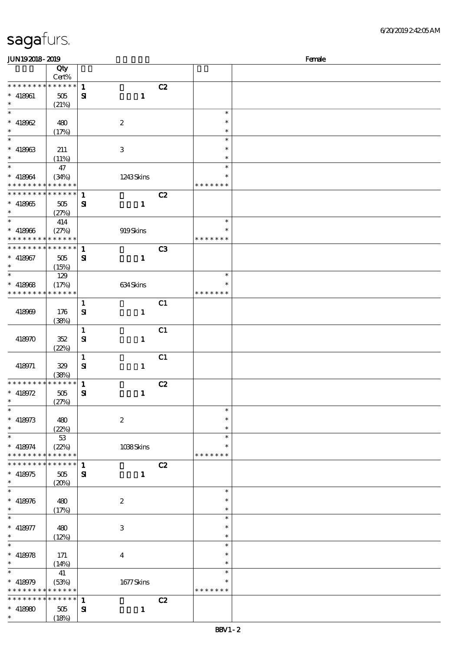| JUN192018-2019                |                      |              |                  |    |               | Female |
|-------------------------------|----------------------|--------------|------------------|----|---------------|--------|
|                               | Qty                  |              |                  |    |               |        |
|                               | Cert%                |              |                  |    |               |        |
| * * * * * * * *               | $******$             | $\mathbf{1}$ |                  | C2 |               |        |
| $* 418961$                    | 505                  | ${\bf s}$    | $\mathbf{1}$     |    |               |        |
| $\ast$                        |                      |              |                  |    |               |        |
| $\overline{\ast}$             | (21%)                |              |                  |    | $\ast$        |        |
|                               |                      |              |                  |    |               |        |
| $* 418062$                    | 480                  |              | $\boldsymbol{2}$ |    | $\ast$        |        |
| $\ast$                        | (17%)                |              |                  |    | $\ast$        |        |
|                               |                      |              |                  |    | $\ast$        |        |
| $* 418963$                    | 211                  |              | 3                |    | $\ast$        |        |
| $\ast$                        | (11%)                |              |                  |    | $\ast$        |        |
| $\overline{\ast}$             | 47                   |              |                  |    | $\ast$        |        |
|                               |                      |              |                  |    | $\ast$        |        |
| $* 418064$                    | (34%)                |              | 1243Skins        |    |               |        |
| * * * * * * * *               | * * * * * *          |              |                  |    | * * * * * * * |        |
| * * * * * * * *               | $* * * * * * *$      | $\mathbf{1}$ |                  | C2 |               |        |
| $* 418965$                    | 505                  | ${\bf s}$    | $\mathbf{1}$     |    |               |        |
| $\ast$                        | (27%)                |              |                  |    |               |        |
| $\ast$                        | 414                  |              |                  |    | $\ast$        |        |
| $* 418966$                    | (27%)                |              | 919Skins         |    | $\ast$        |        |
| * * * * * * * *               | * * * * * *          |              |                  |    | * * * * * * * |        |
| * * * * * * * *               | ******               |              |                  |    |               |        |
|                               |                      | $\mathbf{1}$ |                  | C3 |               |        |
| $* 418067$                    | 505                  | ${\bf s}$    | $\mathbf{1}$     |    |               |        |
| $\ast$                        | (15%)                |              |                  |    |               |        |
| $\ast$                        | 129                  |              |                  |    | $\ast$        |        |
| $* 418068$                    | (17%)                |              | 634Skins         |    | $\ast$        |        |
| * * * * * * * *               | * * * * * *          |              |                  |    | * * * * * * * |        |
|                               |                      | $\mathbf{1}$ |                  | C1 |               |        |
|                               |                      |              |                  |    |               |        |
| 418969                        | 176                  | $\mathbf{S}$ | $\mathbf{1}$     |    |               |        |
|                               | (38%)                |              |                  |    |               |        |
|                               |                      | $\mathbf{1}$ |                  | C1 |               |        |
| 418970                        | 352                  | $\mathbf{S}$ | $\mathbf{1}$     |    |               |        |
|                               | (22%)                |              |                  |    |               |        |
|                               |                      | $\mathbf{1}$ |                  | C1 |               |        |
| 418971                        | 329                  | ${\bf s}$    | $\mathbf{1}$     |    |               |        |
|                               |                      |              |                  |    |               |        |
| * * * * * * * *               | (38%)<br>******      |              |                  |    |               |        |
|                               |                      | $\mathbf{1}$ |                  | C2 |               |        |
| * $418972$                    | 505                  | ${\bf s}$    | $\mathbf{1}$     |    |               |        |
| $\ast$                        | (27%)                |              |                  |    |               |        |
| $\ast$                        |                      |              |                  |    | $\ast$        |        |
| $* 418973$                    | 480                  |              | $\boldsymbol{2}$ |    | $\ast$        |        |
| $\ast$                        | (22%)                |              |                  |    | $\ast$        |        |
| $\ast$                        | 53                   |              |                  |    | $\ast$        |        |
|                               |                      |              |                  |    | ∗             |        |
| $* 418974$<br>* * * * * * * * | (22%)<br>* * * * * * |              | 1038Skins        |    | * * * * * * * |        |
|                               |                      |              |                  |    |               |        |
| * * * * * * *                 | * * * * * *          | $\mathbf{1}$ |                  | C2 |               |        |
| $* 418975$                    | 505                  | ${\bf s}$    | $\mathbf{1}$     |    |               |        |
| $\ast$                        | (20%)                |              |                  |    |               |        |
| $\ast$                        |                      |              |                  |    | $\ast$        |        |
| $* 418976$                    | 480                  |              | $\boldsymbol{2}$ |    | $\ast$        |        |
| $\ast$                        | (17%)                |              |                  |    | $\ast$        |        |
| $\ast$                        |                      |              |                  |    | $\ast$        |        |
|                               |                      |              |                  |    | $\ast$        |        |
| $* 418977$                    | 480                  |              | 3                |    |               |        |
| $\ast$                        | (12%)                |              |                  |    | $\ast$        |        |
| $\ast$                        |                      |              |                  |    | $\ast$        |        |
| $* 418978$                    | 171                  |              | $\bf{4}$         |    | $\ast$        |        |
| $\ast$                        | (14%)                |              |                  |    | $\ast$        |        |
| $\ast$                        | 41                   |              |                  |    | $\ast$        |        |
| * 418979                      | (53%)                |              | $1677$ Skins     |    | $\ast$        |        |
| * * * * * * * *               | * * * * * *          |              |                  |    | * * * * * * * |        |
| * * * * * * * *               | ******               |              |                  |    |               |        |
|                               |                      | $\mathbf{1}$ |                  | C2 |               |        |
| $* 418980$                    | 505                  | ${\bf s}$    | $\mathbf{1}$     |    |               |        |
| $\ast$                        | (18%)                |              |                  |    |               |        |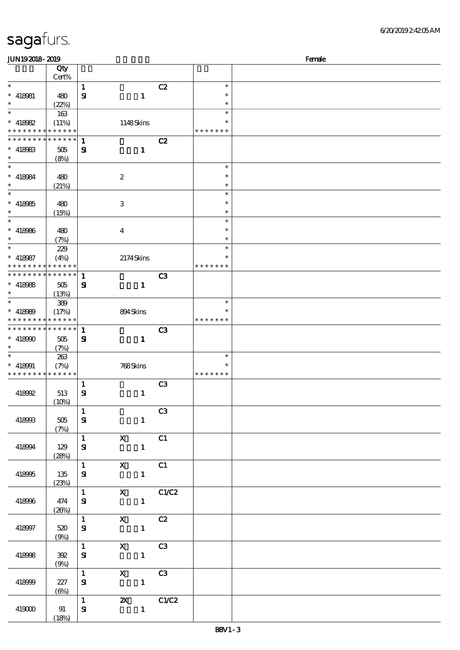| <b>saga</b> furs. |  |
|-------------------|--|
|                   |  |

| <b>JUN192018-2019</b><br>Female                        |                   |              |                                                             |                |                  |  |  |  |
|--------------------------------------------------------|-------------------|--------------|-------------------------------------------------------------|----------------|------------------|--|--|--|
|                                                        | Qty               |              |                                                             |                |                  |  |  |  |
|                                                        | Cert%             |              |                                                             |                |                  |  |  |  |
| $\ast$                                                 |                   | $\mathbf{1}$ |                                                             | C2             | $\ast$           |  |  |  |
| $*$ 418981                                             | 480               | ${\bf s}$    | $\mathbf{1}$                                                |                | $\ast$           |  |  |  |
| $\ast$                                                 | (22%)             |              |                                                             |                | $\ast$           |  |  |  |
| $\ast$                                                 | 163               |              |                                                             |                | $\ast$           |  |  |  |
| $* 418082$                                             | (11%)             |              | 1148Skins                                                   |                | $\ast$           |  |  |  |
| * * * * * * * * * * * * * *                            |                   |              |                                                             |                | * * * * * * *    |  |  |  |
| * * * * * * * * * * * * * *                            |                   | $\mathbf{1}$ |                                                             | C2             |                  |  |  |  |
| $*$ 418983                                             | 505               | ${\bf s}$    | $\mathbf{1}$                                                |                |                  |  |  |  |
| $\ast$                                                 | (8%)              |              |                                                             |                |                  |  |  |  |
| $\ast$                                                 |                   |              |                                                             |                | $\ast$           |  |  |  |
| $* 418084$                                             | 480               |              | $\boldsymbol{2}$                                            |                | $\ast$           |  |  |  |
| $\ast$<br>$\ast$                                       | (21%)             |              |                                                             |                | $\ast$           |  |  |  |
|                                                        |                   |              |                                                             |                | $\ast$           |  |  |  |
| $* 418985$<br>$\ast$                                   | 480               |              | 3                                                           |                | $\ast$           |  |  |  |
| $\ast$                                                 | (15%)             |              |                                                             |                | $\ast$<br>$\ast$ |  |  |  |
|                                                        |                   |              |                                                             |                | $\ast$           |  |  |  |
| $* 418986$<br>$\ast$                                   | 480               |              | $\bf{4}$                                                    |                | $\ast$           |  |  |  |
| $\ast$                                                 | (7%)              |              |                                                             |                | $\ast$           |  |  |  |
|                                                        | 229               |              |                                                             |                | $\ast$           |  |  |  |
| $* 418087$<br>* * * * * * * * <mark>* * * * * *</mark> | (4%)              |              | 2174Skins                                                   |                | * * * * * * *    |  |  |  |
| * * * * * * * * * * * * * * *                          |                   | $\mathbf{1}$ |                                                             | C <sub>3</sub> |                  |  |  |  |
| $*$ 418988                                             | 505               | ${\bf s}$    | $\mathbf{1}$                                                |                |                  |  |  |  |
| $\ast$                                                 | (13%)             |              |                                                             |                |                  |  |  |  |
| $\ast$                                                 | 389               |              |                                                             |                | $\ast$           |  |  |  |
| $* 418080$                                             | (17%)             |              | 894Skins                                                    |                | $\ast$           |  |  |  |
|                                                        | * * * * * * * * * |              |                                                             |                | * * * * * * *    |  |  |  |
| * * * * * * * * * * * * * *                            |                   | $\mathbf{1}$ |                                                             | C <sub>3</sub> |                  |  |  |  |
| $* 418900$                                             | 505               | ${\bf s}$    | $\mathbf 1$                                                 |                |                  |  |  |  |
| $\ast$                                                 | (7%)              |              |                                                             |                |                  |  |  |  |
| $\ast$                                                 | 263               |              |                                                             |                | $\ast$           |  |  |  |
| $* 418001$                                             | (7%)              |              | 768Skins                                                    |                | $\ast$           |  |  |  |
| * * * * * * * * * * * * * *                            |                   |              |                                                             |                | * * * * * * *    |  |  |  |
|                                                        |                   | 1            |                                                             | C <sub>3</sub> |                  |  |  |  |
| 418992                                                 | 513               | ${\bf s}$    | $\mathbf{1}$                                                |                |                  |  |  |  |
|                                                        | (10%)             |              |                                                             |                |                  |  |  |  |
|                                                        |                   | $\mathbf{1}$ |                                                             | C <sub>3</sub> |                  |  |  |  |
| 418993                                                 | 505               | ${\bf s}$    | $\mathbf{1}$                                                |                |                  |  |  |  |
|                                                        | (7%)              |              |                                                             |                |                  |  |  |  |
|                                                        |                   | $1 -$        | $\boldsymbol{\mathrm{X}}$                                   | C1             |                  |  |  |  |
| 418994                                                 | 129               | ${\bf s}$    | $\mathbf{1}$                                                |                |                  |  |  |  |
|                                                        | (28%)             |              |                                                             |                |                  |  |  |  |
|                                                        |                   | 1            | $\mathbf{X}$                                                | C1             |                  |  |  |  |
| 418995                                                 | 135               | ${\bf s}$    | $\mathbf{1}$                                                |                |                  |  |  |  |
|                                                        | (23%)             |              |                                                             |                |                  |  |  |  |
|                                                        |                   | 1            | $\mathbf{x}$                                                | C1/C2          |                  |  |  |  |
| 418996                                                 | 474               | ${\bf s}$    | $1 -$                                                       |                |                  |  |  |  |
|                                                        | (20%)             |              |                                                             |                |                  |  |  |  |
|                                                        |                   |              | $\overline{1}$ $\overline{1}$<br>$\mathbf{x}$<br>C2         |                |                  |  |  |  |
| 418997                                                 | 520               | ${\bf s}$    | $\mathbf{1}$                                                |                |                  |  |  |  |
|                                                        | (9%)              |              | $1 \qquad \qquad$<br>$\mathbf{x}$<br>$\overline{\text{C3}}$ |                |                  |  |  |  |
| 418998                                                 | 392               |              |                                                             |                |                  |  |  |  |
|                                                        | (9%)              | ${\bf s}$    | $\mathbf{1}$                                                |                |                  |  |  |  |
|                                                        |                   |              | $1$ and $1$<br>$X$ $C3$                                     |                |                  |  |  |  |
| 418999                                                 | 227               | ${\bf s}$    | $\mathbf{1}$                                                |                |                  |  |  |  |
|                                                        | (6%)              |              |                                                             |                |                  |  |  |  |
|                                                        |                   | $\mathbf{1}$ | <b>2X</b> C1/C2                                             |                |                  |  |  |  |
| 419000                                                 | 91                | ${\bf s}$    | $\mathbf{1}$                                                |                |                  |  |  |  |
|                                                        | (18%)             |              |                                                             |                |                  |  |  |  |
|                                                        |                   |              |                                                             |                |                  |  |  |  |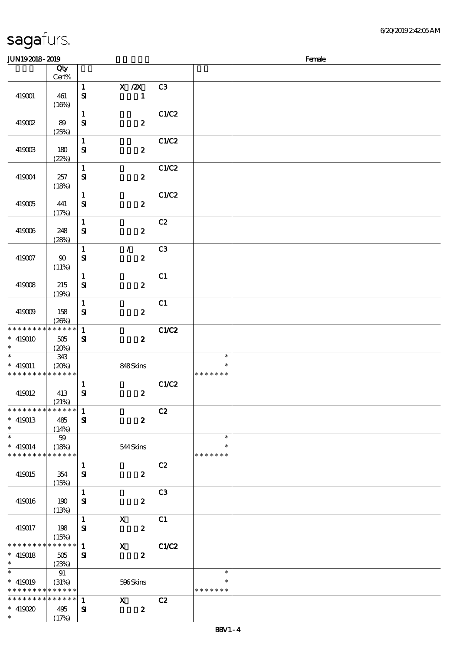| JUN192018-2019                                                     |                                 |                            |                                  |                |                                   | Female |
|--------------------------------------------------------------------|---------------------------------|----------------------------|----------------------------------|----------------|-----------------------------------|--------|
|                                                                    | Qty                             |                            |                                  |                |                                   |        |
|                                                                    | Cert%                           |                            |                                  |                |                                   |        |
| 419001                                                             | 461<br>(16%)                    | $\mathbf 1$<br>$\bf S\!I$  | $X$ / $ZX$<br>$\mathbf{1}$       | C3             |                                   |        |
| 419002                                                             | 89<br>(25%)                     | $\mathbf{1}$<br>${\bf s}$  | $\boldsymbol{2}$                 | C1/C2          |                                   |        |
| 419003                                                             | 180<br>(22%)                    | $\mathbf{1}$<br>${\bf s}$  | $\boldsymbol{z}$                 | C1/C2          |                                   |        |
| 419004                                                             | 257<br>(18%)                    | $\mathbf{1}$<br>$\bf S$    | $\pmb{2}$                        | C1/C2          |                                   |        |
| 419005                                                             | 441<br>(17%)                    | $\mathbf 1$<br>${\bf s}$   | $\boldsymbol{2}$                 | C1/C2          |                                   |        |
| 419006                                                             | 248<br>(28%)                    | $\mathbf{1}$<br>${\bf s}$  | $\pmb{2}$                        | C2             |                                   |        |
| 419007                                                             | 90<br>(11%)                     | $\mathbf{1}$<br>$\bf S$    | $\mathcal{L}$<br>$\pmb{2}$       | C3             |                                   |        |
| 419008                                                             | 215<br>(19%)                    | $\mathbf{1}$<br>${\bf s}$  | $\pmb{2}$                        | C1             |                                   |        |
| 419009                                                             | 158<br>(20%)                    | $\mathbf{1}$<br>$\bf S\!I$ | $\boldsymbol{z}$                 | C1             |                                   |        |
| * * * * * * * *<br>$* 419010$<br>$\ast$                            | * * * * * *<br>505<br>(20%)     | $\mathbf{1}$<br>${\bf s}$  | $\boldsymbol{2}$                 | <b>C1/C2</b>   |                                   |        |
| $\ast$<br>$* 419011$<br>* * * * * * * * <mark>* * * * * * *</mark> | 343<br>(20%)                    |                            | 848Skins                         |                | $\ast$<br>$\ast$<br>* * * * * * * |        |
| 419012                                                             | 413<br>(21%)                    | $\mathbf{1}$<br>${\bf S}$  | $\boldsymbol{2}$                 | C1/C2          |                                   |        |
| * * * * * * * *<br>$* 419013$<br>$\ast$                            | $* * * * * * *$<br>485<br>(14%) | $\mathbf{1}$<br>${\bf s}$  | $\boldsymbol{z}$                 | C2             |                                   |        |
| $\ast$<br>$* 419014$<br>* * * * * * * *                            | 59<br>(18%)<br>******           |                            | 544Skins                         |                | $\ast$<br>$\ast$<br>* * * * * * * |        |
| 419015                                                             | 354<br>(15%)                    | $\mathbf{1}$<br>${\bf s}$  | $\boldsymbol{z}$                 | C2             |                                   |        |
| 419016                                                             | 190<br>(13%)                    | $\mathbf{1}$<br>${\bf s}$  | $\boldsymbol{z}$                 | C <sub>3</sub> |                                   |        |
| 419017                                                             | 198<br>(15%)                    | $\mathbf{1}$<br>${\bf s}$  | $\mathbf{X}$<br>$\boldsymbol{z}$ | C1             |                                   |        |
| * * * * * * * *<br>$* 419018$<br>$\ast$                            | * * * * * *<br>505<br>(23%)     | $\mathbf{1}$<br>${\bf s}$  | $\mathbf{X}$<br>$\boldsymbol{z}$ | C1/C2          |                                   |        |
| $\ast$<br>$* 419019$<br>* * * * * * * *                            | 91<br>(31%)<br>$* * * * * * *$  |                            | 596Skins                         |                | $\ast$<br>$\ast$<br>* * * * * * * |        |
| * * * * * * * *<br>$*$ 419020<br>$\ast$                            | * * * * * *<br>495<br>(17%)     | $\mathbf{1}$<br>${\bf s}$  | $\mathbf{x}$<br>$\mathbf{2}$     | C2             |                                   |        |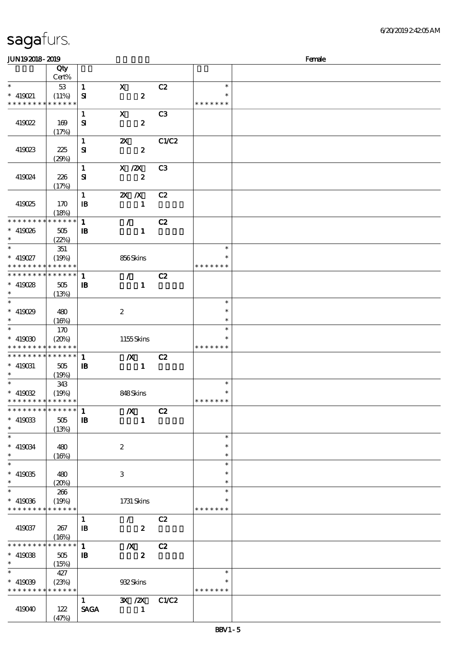| <b>JUN192018-2019</b>                      |                      |                              |                                             |                |                         | Female |
|--------------------------------------------|----------------------|------------------------------|---------------------------------------------|----------------|-------------------------|--------|
|                                            | Qty                  |                              |                                             |                |                         |        |
| $\ast$                                     | Cert%<br>$53\,$      | $\mathbf{1}$                 | $\mathbf{x}$                                | C2             | $\ast$                  |        |
| $* 419021$                                 | (11%)                | ${\bf s}$                    | $\boldsymbol{z}$                            |                | $\ast$                  |        |
| * * * * * * * * * * * * * *                |                      |                              |                                             |                | * * * * * * *           |        |
| 419022                                     | 169                  | $\mathbf{1}$<br>${\bf s}$    | $\mathbf X$<br>$\boldsymbol{z}$             | C3             |                         |        |
|                                            | (17%)                |                              |                                             |                |                         |        |
|                                            |                      | $\mathbf{1}$                 | $\boldsymbol{\mathsf{X}}$                   | C1/C2          |                         |        |
| 419023                                     | 225<br>(29%)         | ${\bf S\!I}$                 | $\boldsymbol{z}$                            |                |                         |        |
|                                            |                      | $\mathbf{1}$                 | X / ZX                                      | C <sub>3</sub> |                         |        |
| 419024                                     | 226                  | ${\bf s}$                    | $\boldsymbol{z}$                            |                |                         |        |
|                                            | (17%)                | $\mathbf{1}$                 | $X$ $N$                                     | C2             |                         |        |
| 419025                                     | 170                  | $\mathbf{B}$                 | $\mathbf{1}$                                |                |                         |        |
|                                            | (18%)                |                              |                                             |                |                         |        |
| * * * * * * * *<br>$* 419026$              | $******$<br>505      | $\mathbf{1}$<br>$\mathbf{B}$ | $\mathcal{F}^{\mathcal{F}}$<br>$\mathbf{1}$ | C2             |                         |        |
| $\ast$                                     | (22%)                |                              |                                             |                |                         |        |
| $\ast$                                     | 351                  |                              |                                             |                | $\ast$                  |        |
| $* 419027$<br>* * * * * * * * * * * * * *  | (19%)                |                              | 856Skins                                    |                | *<br>* * * * * * *      |        |
| * * * * * * * * * * * * * * *              |                      | $\mathbf{1}$                 | $\mathcal{L} =$                             | C2             |                         |        |
| $* 419028$                                 | $505\,$              | $\mathbf{B}$                 | $\mathbf{1}$                                |                |                         |        |
| $\ast$<br>$\ast$                           | (13%)                |                              |                                             |                | $\ast$                  |        |
| $* 419029$                                 | 480                  |                              | $\boldsymbol{2}$                            |                | $\ast$                  |        |
| $\ast$                                     | (16%)                |                              |                                             |                | $\ast$                  |        |
| $\ast$<br>$* 419030$                       | 170<br>(20%)         |                              | 1155Skins                                   |                | $\ast$<br>$\ast$        |        |
| * * * * * * * * <mark>* * * * * * *</mark> |                      |                              |                                             |                | * * * * * * *           |        |
| * * * * * * * * * * * * * * *              |                      | $\mathbf 1$                  | $\boldsymbol{X}$                            | C2             |                         |        |
| $* 419031$<br>$\ast$                       | 505<br>(19%)         | $\mathbf{B}$                 | $\mathbf{1}$                                |                |                         |        |
| $\ast$                                     | 343                  |                              |                                             |                | $\ast$                  |        |
| $* 419032$                                 | (19%)                |                              | 848Skins                                    |                | $\ast$                  |        |
| * * * * * * * * <mark>* * * * * * *</mark> | * * * * *            | 1                            | $\boldsymbol{X}$                            | C2             | * * * * * * *           |        |
| $*$ 419033                                 | 505                  | $\mathbf{B}$                 | $\mathbf{1}$                                |                |                         |        |
| $\ast$<br>$\ast$                           | (13%)                |                              |                                             |                |                         |        |
| $* 419034$                                 | 480                  |                              | $\boldsymbol{2}$                            |                | $\ast$<br>$\ast$        |        |
| $\ast$                                     | (16%)                |                              |                                             |                | $\ast$                  |        |
| $\ast$                                     |                      |                              |                                             |                | $\ast$<br>$\ast$        |        |
| $^*$ 419035<br>$\ast$                      | 480<br>(20%)         |                              | 3                                           |                | $\ast$                  |        |
| $\ast$                                     | 266                  |                              |                                             |                | $\ast$                  |        |
| $*$ 419036<br>* * * * * * * *              | (19%)<br>* * * * * * |                              | 1731 Skins                                  |                | $\ast$<br>* * * * * * * |        |
|                                            |                      | $\mathbf{1}$                 | $\mathcal{L} =$                             | C2             |                         |        |
| 419037                                     | 267                  | $\mathbf{B}$                 | $\boldsymbol{z}$                            |                |                         |        |
| * * * * * * * *                            | (16%)<br>******      | $\mathbf{1}$                 | $\boldsymbol{X}$                            | C2             |                         |        |
| $* 419038$                                 | 505                  | $\mathbf{B}$                 | $\boldsymbol{z}$                            |                |                         |        |
| $\ast$                                     | (15%)                |                              |                                             |                |                         |        |
| $\ast$<br>$* 419039$                       | 427<br>(23%)         |                              | 932Skins                                    |                | $\ast$<br>$\ast$        |        |
| * * * * * * * *                            | * * * * * *          |                              |                                             |                | * * * * * * *           |        |
|                                            |                      | $\mathbf{1}$                 | $\mathbf{X}$ / $\mathbf{X}$                 | C1/C2          |                         |        |
| 419040                                     | 122<br>(47%)         | <b>SAGA</b>                  | $\mathbf{1}$                                |                |                         |        |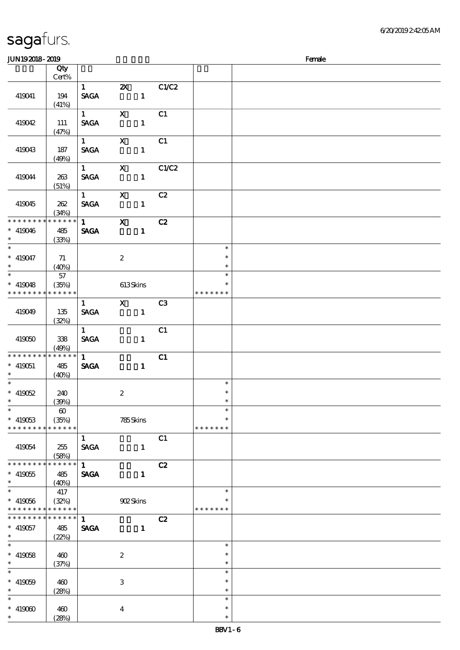| <b>JUN192018-2019</b>    |                       |                                |                                                                                                                                                                                                                                                                                                                                 |       |               | Female |
|--------------------------|-----------------------|--------------------------------|---------------------------------------------------------------------------------------------------------------------------------------------------------------------------------------------------------------------------------------------------------------------------------------------------------------------------------|-------|---------------|--------|
|                          | Qty                   |                                |                                                                                                                                                                                                                                                                                                                                 |       |               |        |
|                          | $Cert\%$              |                                |                                                                                                                                                                                                                                                                                                                                 |       |               |        |
|                          |                       | $1 \quad \blacksquare$         | $\mathbf{Z}$                                                                                                                                                                                                                                                                                                                    | C1/C2 |               |        |
| 419041                   | 194                   | $\operatorname{\mathsf{SAGA}}$ | $\sim$ $\sim$ 1                                                                                                                                                                                                                                                                                                                 |       |               |        |
|                          | (41%)                 |                                |                                                                                                                                                                                                                                                                                                                                 |       |               |        |
|                          |                       | $1 \quad \blacksquare$         | $\mathbf X$                                                                                                                                                                                                                                                                                                                     | C1    |               |        |
| 419042                   | 111                   | <b>SAGA</b>                    | $\mathbf{1}$                                                                                                                                                                                                                                                                                                                    |       |               |        |
|                          | (47%)                 |                                |                                                                                                                                                                                                                                                                                                                                 |       |               |        |
|                          |                       | $1 \qquad \qquad$              | $\mathbf{X}$                                                                                                                                                                                                                                                                                                                    | C1    |               |        |
| 419043                   | 187                   | <b>SAGA</b>                    | $\mathbf{1}$                                                                                                                                                                                                                                                                                                                    |       |               |        |
|                          | (49%)                 |                                |                                                                                                                                                                                                                                                                                                                                 |       |               |        |
|                          |                       | $1 \quad \blacksquare$         | $\mathbf{X}$                                                                                                                                                                                                                                                                                                                    | C1/C2 |               |        |
| 419044                   | 263                   | <b>SAGA</b>                    | $\mathbf{1}$                                                                                                                                                                                                                                                                                                                    |       |               |        |
|                          | (51%)                 |                                |                                                                                                                                                                                                                                                                                                                                 |       |               |        |
|                          |                       | $1 \quad \blacksquare$         | $\mathbf{x}$                                                                                                                                                                                                                                                                                                                    | C2    |               |        |
| 419045                   | 262                   | <b>SAGA</b>                    | $\mathbf{1}$                                                                                                                                                                                                                                                                                                                    |       |               |        |
|                          | (34%)                 |                                |                                                                                                                                                                                                                                                                                                                                 |       |               |        |
| * * * * * * * *          | * * * * * *           | $1 \quad \blacksquare$         | $\mathbf{x}$                                                                                                                                                                                                                                                                                                                    | C2    |               |        |
| $* 419046$               | 485                   | <b>SAGA</b>                    | $\mathbf{1}$                                                                                                                                                                                                                                                                                                                    |       |               |        |
| $\ast$                   | (33%)                 |                                |                                                                                                                                                                                                                                                                                                                                 |       |               |        |
| $\overline{\phantom{0}}$ |                       |                                |                                                                                                                                                                                                                                                                                                                                 |       | $\ast$        |        |
| $* 419047$               | 71                    |                                | $\boldsymbol{2}$                                                                                                                                                                                                                                                                                                                |       | $\ast$        |        |
| $\ast$                   | (40%)                 |                                |                                                                                                                                                                                                                                                                                                                                 |       | $\ast$        |        |
| $\overline{\phantom{0}}$ | 57                    |                                |                                                                                                                                                                                                                                                                                                                                 |       | $\ast$        |        |
| $* 419048$               | (35%)                 |                                | 613Skins                                                                                                                                                                                                                                                                                                                        |       | $\ast$        |        |
| * * * * * * * *          | * * * * * *           |                                |                                                                                                                                                                                                                                                                                                                                 |       | * * * * * * * |        |
|                          |                       | $\mathbf{1}$                   | $\mathbf X$ and $\mathbf X$ and $\mathbf X$ and $\mathbf X$ and $\mathbf X$ and $\mathbf X$ and $\mathbf X$ and $\mathbf X$ and $\mathbf X$ and $\mathbf X$ and $\mathbf X$ and $\mathbf X$ and $\mathbf X$ and $\mathbf X$ and $\mathbf X$ and $\mathbf X$ and $\mathbf X$ and $\mathbf X$ and $\mathbf X$ and $\mathbf X$ and | C3    |               |        |
| 419049                   | 135                   | <b>SAGA</b>                    | $\mathbf{1}$                                                                                                                                                                                                                                                                                                                    |       |               |        |
|                          | (32%)                 |                                |                                                                                                                                                                                                                                                                                                                                 |       |               |        |
|                          |                       | 1                              |                                                                                                                                                                                                                                                                                                                                 | C1    |               |        |
| 419050                   | 338                   | <b>SAGA</b>                    | $\mathbf{1}$                                                                                                                                                                                                                                                                                                                    |       |               |        |
| * * * * * * * *          | (49%)                 |                                |                                                                                                                                                                                                                                                                                                                                 |       |               |        |
|                          | * * * * * *           | $1 -$                          |                                                                                                                                                                                                                                                                                                                                 | C1    |               |        |
| $* 419051$               | 485                   | <b>SAGA</b>                    | $\mathbf{1}$                                                                                                                                                                                                                                                                                                                    |       |               |        |
| $\ast$                   | (40%)                 |                                |                                                                                                                                                                                                                                                                                                                                 |       | $\ast$        |        |
| $* 419052$               |                       |                                |                                                                                                                                                                                                                                                                                                                                 |       | $\ast$        |        |
| $*$ $*$                  | 240<br>(30%)          |                                | $\boldsymbol{2}$                                                                                                                                                                                                                                                                                                                |       | $\ast$        |        |
| $\ast$                   | $\boldsymbol{\omega}$ |                                |                                                                                                                                                                                                                                                                                                                                 |       | $\ast$        |        |
| $* 419053$               | (35%)                 |                                | 785Skins                                                                                                                                                                                                                                                                                                                        |       | $\ast$        |        |
| * * * * * * * *          | * * * * * *           |                                |                                                                                                                                                                                                                                                                                                                                 |       | * * * * * * * |        |
|                          |                       | $\mathbf{1}$                   |                                                                                                                                                                                                                                                                                                                                 | C1    |               |        |
| 419054                   | 255                   | <b>SAGA</b>                    | $\mathbf{1}$                                                                                                                                                                                                                                                                                                                    |       |               |        |
|                          | (58%)                 |                                |                                                                                                                                                                                                                                                                                                                                 |       |               |        |
| * * * * * * * *          | * * * * * *           | $\mathbf{1}$                   |                                                                                                                                                                                                                                                                                                                                 | C2    |               |        |
| $* 419055$               | 485                   | <b>SAGA</b>                    | $\mathbf{1}$                                                                                                                                                                                                                                                                                                                    |       |               |        |
| $\ast$                   | (40%)                 |                                |                                                                                                                                                                                                                                                                                                                                 |       |               |        |
| $\overline{\phantom{0}}$ | 417                   |                                |                                                                                                                                                                                                                                                                                                                                 |       | $\ast$        |        |
| $* 419066$               | (32%)                 |                                | 902Skins                                                                                                                                                                                                                                                                                                                        |       | ∗             |        |
| * * * * * * * *          | * * * * * *           |                                |                                                                                                                                                                                                                                                                                                                                 |       | * * * * * * * |        |
| * * * * * * * *          | * * * * * *           | $\mathbf{1}$                   |                                                                                                                                                                                                                                                                                                                                 | C2    |               |        |
| $* 419057$               | 485                   | <b>SAGA</b>                    | $\mathbf{1}$                                                                                                                                                                                                                                                                                                                    |       |               |        |
| $*$                      | (22%)                 |                                |                                                                                                                                                                                                                                                                                                                                 |       |               |        |
| $\overline{\ast}$        |                       |                                |                                                                                                                                                                                                                                                                                                                                 |       | $\ast$        |        |
| $* 419058$               | 460                   |                                | $\boldsymbol{2}$                                                                                                                                                                                                                                                                                                                |       | $\ast$        |        |
| $\ast$                   | (37%)                 |                                |                                                                                                                                                                                                                                                                                                                                 |       | $\ast$        |        |
| $\ast$                   |                       |                                |                                                                                                                                                                                                                                                                                                                                 |       | $\ast$        |        |
| $* 419059$               | 460                   |                                | $\ensuremath{\mathbf{3}}$                                                                                                                                                                                                                                                                                                       |       | $\ast$        |        |
| $\ast$                   | (28%)                 |                                |                                                                                                                                                                                                                                                                                                                                 |       | $\ast$        |        |
| $\ast$                   |                       |                                |                                                                                                                                                                                                                                                                                                                                 |       | $\ast$        |        |
| $* 419000$               | 460                   |                                | $\overline{4}$                                                                                                                                                                                                                                                                                                                  |       | $\ast$        |        |
| $\ast$                   | (28%)                 |                                |                                                                                                                                                                                                                                                                                                                                 |       | $\ast$        |        |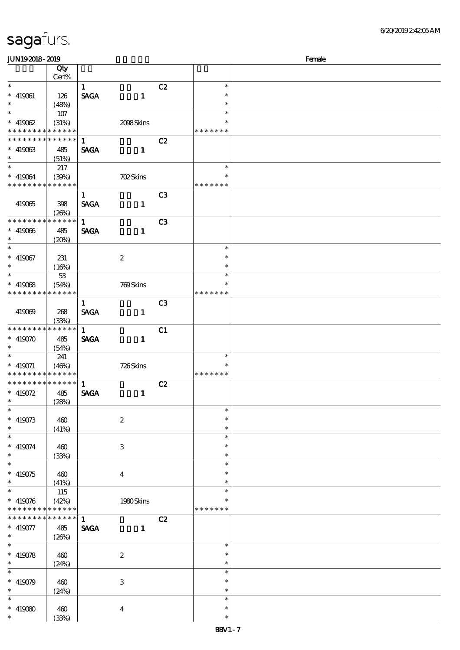| <b>JUN192018-2019</b>                          |                 |              |                         |                |               | Female |
|------------------------------------------------|-----------------|--------------|-------------------------|----------------|---------------|--------|
|                                                | Qty             |              |                         |                |               |        |
|                                                | Cert%           |              |                         |                |               |        |
| $\ast$                                         |                 | $\mathbf{1}$ |                         | C2             | $\ast$        |        |
| $* 419061$                                     | 126             | <b>SAGA</b>  | $\mathbf{1}$            |                | $\ast$        |        |
| $\ast$                                         | (48%)           |              |                         |                | $\ast$        |        |
| $\ast$                                         | 107             |              |                         |                | $\ast$        |        |
| $* 419062$                                     | (31%)           |              | 2008Skins               |                | $\ast$        |        |
| * * * * * * * * * * * * * *                    |                 |              |                         |                | * * * * * * * |        |
| * * * * * * * *                                | $* * * * * * *$ | $\mathbf{1}$ |                         |                |               |        |
|                                                |                 |              |                         | C2             |               |        |
| $* 419063$                                     | 485             | <b>SAGA</b>  | $\mathbf{1}$            |                |               |        |
| $\ast$                                         | (51%)           |              |                         |                |               |        |
| $\ast$                                         | 217             |              |                         |                | $\ast$        |        |
| $* 419064$                                     | (30%)           |              | <b>702Skins</b>         |                | ∗             |        |
| * * * * * * * *                                | * * * * * *     |              |                         |                | * * * * * * * |        |
|                                                |                 | $\mathbf{1}$ |                         | C <sub>3</sub> |               |        |
| 419065                                         | 398             | <b>SAGA</b>  | $\mathbf{1}$            |                |               |        |
|                                                | (20%)           |              |                         |                |               |        |
| * * * * * * * *                                | * * * * * *     | $\mathbf{1}$ |                         | C <sub>3</sub> |               |        |
| $* 419066$                                     | 485             | <b>SAGA</b>  | $\mathbf{1}$            |                |               |        |
| $\ast$                                         |                 |              |                         |                |               |        |
| $\overline{\ast}$                              | (20%)           |              |                         |                | $\ast$        |        |
|                                                |                 |              |                         |                |               |        |
| $* 419067$                                     | 231             |              | $\boldsymbol{2}$        |                | $\ast$        |        |
| $\ast$                                         | (16%)           |              |                         |                | $\ast$        |        |
| $\ast$                                         | $53\,$          |              |                         |                | $\ast$        |        |
| $*$ 419068                                     | (54%)           |              | 769Skins                |                | $\ast$        |        |
| * * * * * * * *                                | * * * * * *     |              |                         |                | * * * * * * * |        |
|                                                |                 | $\mathbf{1}$ |                         | C <sub>3</sub> |               |        |
| 419069                                         | 268             | <b>SAGA</b>  | $\mathbf{1}$            |                |               |        |
|                                                | (33%)           |              |                         |                |               |        |
| * * * * * * * *                                | * * * * * *     | $\mathbf{1}$ |                         | C1             |               |        |
| $* 419070$                                     |                 |              |                         |                |               |        |
| $\ast$                                         | 485             | <b>SAGA</b>  | $\mathbf{1}$            |                |               |        |
| $\ast$                                         | (54%)           |              |                         |                |               |        |
|                                                | 241             |              |                         |                | $\ast$        |        |
| $*$ 419071                                     | (46%)           |              | $726S$ kins             |                | $\ast$        |        |
| * * * * * * * *<br>* * * * * * * * * * * * * * | * * * * * *     |              |                         |                | * * * * * * * |        |
|                                                |                 | 1            |                         | C2             |               |        |
| $* 419072$                                     | 485             | <b>SAGA</b>  | $\mathbf{1}$            |                |               |        |
|                                                | (28%)           |              |                         |                |               |        |
|                                                |                 |              |                         |                | $\ast$        |        |
| $*$ 419073                                     | 460             |              | $\boldsymbol{2}$        |                | $\ast$        |        |
| $\ast$                                         | (41%)           |              |                         |                | $\ast$        |        |
| $\ast$                                         |                 |              |                         |                | $\ast$        |        |
| $* 419074$                                     | 460             |              | 3                       |                | $\ast$        |        |
| $\ast$                                         | (33%)           |              |                         |                | $\ast$        |        |
| $\overline{\ast}$                              |                 |              |                         |                | $\ast$        |        |
| $* 419075$                                     | 460             |              | $\overline{\mathbf{4}}$ |                | $\ast$        |        |
| $\ast$                                         | (41%)           |              |                         |                | $\ast$        |        |
| $\ast$                                         | 115             |              |                         |                | $\ast$        |        |
|                                                |                 |              |                         |                | ∗             |        |
| $* 419076$                                     | (42%)           |              | 1980Skins               |                |               |        |
| * * * * * * * *                                | * * * * * *     |              |                         |                | * * * * * * * |        |
| * * * * * * * *                                | $******$        | $\mathbf{1}$ |                         | C2             |               |        |
| $* 419077$                                     | 485             | <b>SAGA</b>  | $\mathbf{1}$            |                |               |        |
| $\ast$                                         | (20%)           |              |                         |                |               |        |
| $\ast$                                         |                 |              |                         |                | $\ast$        |        |
| $* 419078$                                     | 460             |              | $\boldsymbol{2}$        |                | $\ast$        |        |
| $\ast$                                         | (24%)           |              |                         |                | $\ast$        |        |
|                                                |                 |              |                         |                | $\ast$        |        |
| $* 419079$                                     | 460             |              | 3                       |                | $\ast$        |        |
| $\ast$                                         | (24%)           |              |                         |                | $\ast$        |        |
|                                                |                 |              |                         |                | $\ast$        |        |
|                                                |                 |              |                         |                | $\ast$        |        |
| $* 419080$                                     | 460             |              | $\boldsymbol{4}$        |                |               |        |
|                                                | (33%)           |              |                         |                | $\ast$        |        |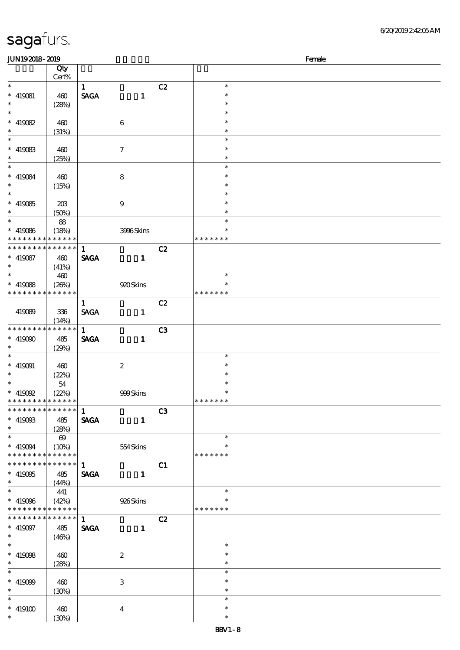| <b>JUN192018-2019</b>                    |                 |              |                  |    |               | Female |
|------------------------------------------|-----------------|--------------|------------------|----|---------------|--------|
|                                          | Qty             |              |                  |    |               |        |
|                                          | Cert%           |              |                  |    |               |        |
| $\ast$                                   |                 | $\mathbf{1}$ |                  | C2 | $\ast$        |        |
| $* 419081$                               | 460             | <b>SAGA</b>  | $\mathbf{1}$     |    | $\ast$        |        |
| $\ast$                                   | (28%)           |              |                  |    | $\ast$        |        |
| $\overline{\phantom{0}}$                 |                 |              |                  |    | $\ast$        |        |
|                                          |                 |              |                  |    | $\ast$        |        |
| $* 419082$                               | 460             |              | 6                |    |               |        |
| $\ast$<br>$\overline{\phantom{a}^*}$     | (31%)           |              |                  |    | $\ast$        |        |
|                                          |                 |              |                  |    | $\ast$        |        |
| $*$ 419083                               | 460             |              | $\tau$           |    | $\ast$        |        |
| $\ast$                                   | (25%)           |              |                  |    | $\ast$        |        |
| $\overline{\phantom{a}^*}$               |                 |              |                  |    | $\ast$        |        |
| $* 419084$                               | 460             |              | 8                |    | $\ast$        |        |
| $\ast$                                   | (15%)           |              |                  |    | $\ast$        |        |
| $\overline{\phantom{0}}$                 |                 |              |                  |    | $\ast$        |        |
| $* 419085$                               | 203             |              | $\boldsymbol{9}$ |    | $\ast$        |        |
| $\ast$                                   | (50%)           |              |                  |    | $\ast$        |        |
| $\overline{\ast}$                        |                 |              |                  |    | $\ast$        |        |
|                                          | 88              |              |                  |    | $\ast$        |        |
| $* 419086$                               | (18%)           |              | 3996Skins        |    |               |        |
| * * * * * * * * * * * * * *              |                 |              |                  |    | * * * * * * * |        |
| * * * * * * * * * * * * * *              |                 | $\mathbf{1}$ |                  | C2 |               |        |
| $* 419087$                               | 460             | <b>SAGA</b>  | $\mathbf{1}$     |    |               |        |
| $\ast$                                   | (41%)           |              |                  |    |               |        |
| $\overline{\ast}$                        | 460             |              |                  |    | $\ast$        |        |
| $*$ 419088                               | (20%)           |              | 920 Skins        |    | $\ast$        |        |
| * * * * * * * *                          | * * * * * *     |              |                  |    | * * * * * * * |        |
|                                          |                 | $\mathbf{1}$ |                  | C2 |               |        |
| 419089                                   | 336             | <b>SAGA</b>  | $\mathbf{1}$     |    |               |        |
|                                          | (14%)           |              |                  |    |               |        |
| * * * * * * * *                          | * * * * * *     | $\mathbf{1}$ |                  | C3 |               |        |
|                                          |                 |              |                  |    |               |        |
| $* 419090$                               | 485             | <b>SAGA</b>  | $\mathbf{1}$     |    |               |        |
| $\ast$                                   | (29%)           |              |                  |    |               |        |
| $\ast$                                   |                 |              |                  |    | $\ast$        |        |
| $* 419091$                               | 460             |              | $\boldsymbol{2}$ |    | $\ast$        |        |
| $\ast$                                   | (22%)           |              |                  |    | $\ast$        |        |
| $\ast$                                   | 54              |              |                  |    | $\ast$        |        |
| $*$ 419092                               | (22%)           |              | 999Skins         |    | $\ast$        |        |
| * * * * * * * * * * * * * *              |                 |              |                  |    | *******       |        |
| * * * * * * * * * * * * * * *            |                 | $\mathbf{1}$ |                  | C3 |               |        |
| $* 41900B$                               | 485             | <b>SAGA</b>  | $\mathbf{1}$     |    |               |        |
| $\ast$                                   | (28%)           |              |                  |    |               |        |
| $\overline{\phantom{0}}$                 |                 |              |                  |    | $\ast$        |        |
|                                          | $\Theta$        |              |                  |    | $\ast$        |        |
| $* 419094$                               | (10%)           |              | $554$ Skins      |    |               |        |
| * * * * * * * *                          | $* * * * * * *$ |              |                  |    | * * * * * * * |        |
| * * * * * * * * <mark>* * * * * *</mark> |                 | $\mathbf{1}$ |                  | C1 |               |        |
| $* 419005$                               | 485             | <b>SAGA</b>  | $\mathbf{1}$     |    |               |        |
| $\ast$                                   | (44%)           |              |                  |    |               |        |
| $\overline{\phantom{0}}$                 | 441             |              |                  |    | $\ast$        |        |
| $* 419096$                               | (42%)           |              | 926Skins         |    |               |        |
| * * * * * * * * * * * * * *              |                 |              |                  |    | * * * * * * * |        |
| * * * * * * * * * * * * * * *            |                 | 1            |                  | C2 |               |        |
| $* 419097$                               | 485             | <b>SAGA</b>  | $\mathbf{1}$     |    |               |        |
| $\ast$                                   | (46%)           |              |                  |    |               |        |
| $\overline{\ast}$                        |                 |              |                  |    | $\ast$        |        |
|                                          |                 |              |                  |    | $\ast$        |        |
| $* 419008$<br>$\ast$                     | 460             |              | $\boldsymbol{2}$ |    |               |        |
|                                          | (28%)           |              |                  |    | $\ast$        |        |
| $\ast$                                   |                 |              |                  |    | $\ast$        |        |
| $* 419099$                               | 460             |              | 3                |    | $\ast$        |        |
| $\ast$                                   | (30%)           |              |                  |    | $\ast$        |        |
| $\overline{\phantom{a}}$                 |                 |              |                  |    | $\ast$        |        |
| $* 419100$                               | 460             |              | $\bf{4}$         |    | $\ast$        |        |
| $\ast$                                   | (30%)           |              |                  |    | $\ast$        |        |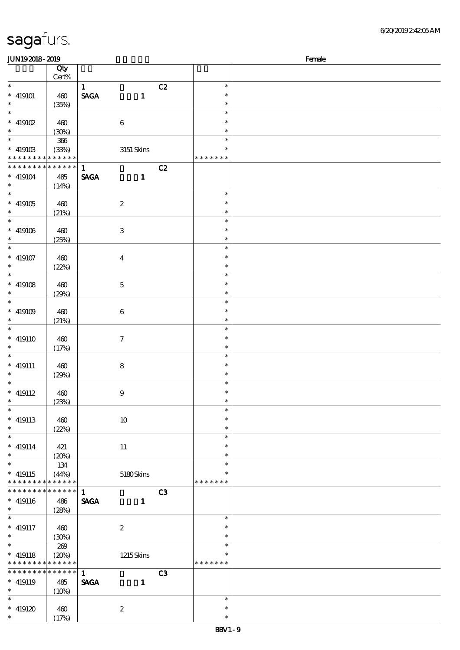| JUN192018-2019                      |                                |                                |                  |    |                         | Female |
|-------------------------------------|--------------------------------|--------------------------------|------------------|----|-------------------------|--------|
|                                     | Qty                            |                                |                  |    |                         |        |
| $\ast$                              | Cert%                          | $\mathbf{1}$                   |                  | C2 | $\ast$                  |        |
| $\hspace{0.1cm}^*$ 419101           | 460                            | $\operatorname{\mathsf{SAGA}}$ | $\mathbf{1}$     |    | $\ast$                  |        |
| $\ast$                              | (35%)                          |                                |                  |    | $\ast$                  |        |
| $\ast$                              |                                |                                |                  |    | $\ast$                  |        |
| $*$ 419102<br>$\ast$                | 460                            |                                | $\,6\,$          |    | $\ast$                  |        |
| $\overline{\phantom{0}}$            | (30%)<br>$366\,$               |                                |                  |    | $\ast$<br>$\ast$        |        |
| $^*$ 419103 $\,$                    | (33%)                          |                                | $3151\,$ Skins   |    | $\ast$                  |        |
| * * * * * * * * * * * * * *         |                                |                                |                  |    | * * * * * * *           |        |
| * * * * * * * *                     | $* * * * * * *$                | $\mathbf{1}$                   |                  | C2 |                         |        |
| $\hspace{0.1cm}^*$ 419104<br>$\ast$ | 485                            | <b>SAGA</b>                    | $\mathbf{1}$     |    |                         |        |
| $\ast$                              | (14%)                          |                                |                  |    | $\ast$                  |        |
| $^*$ 419105 $\,$                    | 460                            |                                | $\boldsymbol{2}$ |    | $\ast$                  |        |
| $\ast$                              | (21%)                          |                                |                  |    | $\ast$                  |        |
| $\ast$                              |                                |                                |                  |    | $\ast$                  |        |
| $^*$ 419106 $\,$<br>$\ast$          | 460<br>(25%)                   |                                | $\,3\,$          |    | $\ast$<br>$\ast$        |        |
| $\overline{\ast}$                   |                                |                                |                  |    | $\ast$                  |        |
| $* 419107$                          | 460                            |                                | $\boldsymbol{4}$ |    | $\ast$                  |        |
| $\ast$                              | (22%)                          |                                |                  |    | $\ast$                  |        |
| $\ast$                              |                                |                                |                  |    | $\ast$<br>$\ast$        |        |
| $* 419108$<br>$\ast$                | 460<br>(29%)                   |                                | $\mathbf 5$      |    | $\ast$                  |        |
| $*$                                 |                                |                                |                  |    | $\ast$                  |        |
| $^*$ 419109 $\,$                    | 460                            |                                | $\,6\,$          |    | $\ast$                  |        |
| $\ast$<br>$\overline{\ast}$         | (21%)                          |                                |                  |    | $\ast$                  |        |
| $* 419110$                          | 460                            |                                | $\boldsymbol{7}$ |    | $\ast$<br>$\ast$        |        |
| $\ast$                              | (17%)                          |                                |                  |    | $\ast$                  |        |
| $\ast$                              |                                |                                |                  |    | $\ast$                  |        |
| $*$ 419111                          | 460                            |                                | $\bf 8$          |    | $\ast$                  |        |
| $\ast$<br>$\ast$                    | (29%)                          |                                |                  |    | $\ast$<br>$\ast$        |        |
| $* 419112$                          | 460                            |                                | $\boldsymbol{9}$ |    | $\ast$                  |        |
| $\ast$                              | (23%)                          |                                |                  |    | $\ast$                  |        |
| $\ast$                              |                                |                                |                  |    | $\ast$                  |        |
| $*$ 419113<br>$\ast$                | 460                            |                                | 10               |    | $\ast$                  |        |
| $\overline{\phantom{0}}$            | (22%)                          |                                |                  |    | $\ast$<br>$\ast$        |        |
| $* 419114$                          | 421                            |                                | $11\,$           |    | $\ast$                  |        |
| $\ast$                              | (20%)                          |                                |                  |    | $\ast$                  |        |
| $\overline{\ast}$                   | 134                            |                                |                  |    | $\ast$                  |        |
| $* 419115$<br>* * * * * * * *       | (44%)<br>* * * * * *           |                                | $5180$ Skins     |    | $\ast$<br>* * * * * * * |        |
| * * * * * * * *                     | * * * * * *                    | $\mathbf{1}$                   |                  | C3 |                         |        |
| $* 419116$                          | 486                            | <b>SAGA</b>                    | $\mathbf{1}$     |    |                         |        |
| $\ast$                              | (28%)                          |                                |                  |    |                         |        |
| $\ast$<br>$* 419117$                |                                |                                | $\boldsymbol{2}$ |    | $\ast$<br>$\ast$        |        |
| $\ast$                              | 460<br>(30%)                   |                                |                  |    | $\ast$                  |        |
| $\ast$                              | 269                            |                                |                  |    | $\ast$                  |        |
| $* 419118$                          | (20%)                          |                                | 1215Skins        |    | $\ast$                  |        |
| * * * * * * * *<br>* * * * * * *    | * * * * * *<br>$* * * * * * *$ |                                |                  |    | * * * * * * *           |        |
| $* 419119$                          | 485                            | $\mathbf{1}$<br><b>SAGA</b>    | $\mathbf{1}$     | C3 |                         |        |
| $\ast$                              | (10%)                          |                                |                  |    |                         |        |
| $\ast$                              |                                |                                |                  |    | $\ast$                  |        |
| $* 419120$                          | 460                            |                                | $\boldsymbol{2}$ |    | $\ast$                  |        |
| $\ast$                              | (17%)                          |                                |                  |    | $\ast$                  |        |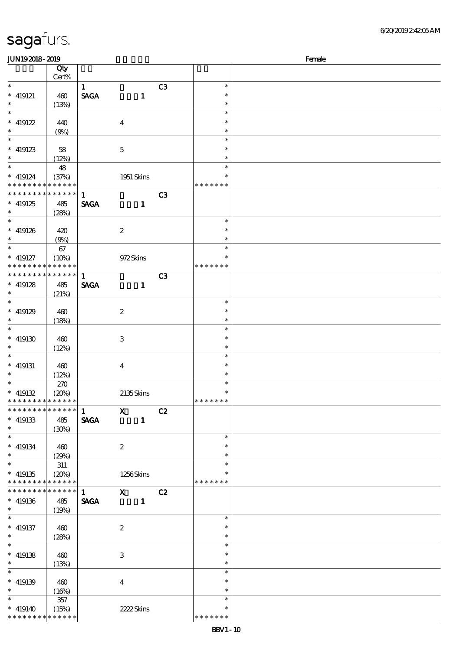| <b>JUN192018-2019</b>         |                 |              |                           |    |               | Female |
|-------------------------------|-----------------|--------------|---------------------------|----|---------------|--------|
|                               | Qty             |              |                           |    |               |        |
|                               | Cert%           |              |                           |    |               |        |
| $\ast$                        |                 | $\mathbf{1}$ |                           | C3 | $\ast$        |        |
| $*$ 419121                    | 460             | <b>SAGA</b>  | $\mathbf{1}$              |    | $\ast$        |        |
| $\ast$                        | (13%)           |              |                           |    | $\ast$        |        |
| $\overline{\phantom{0}}$      |                 |              |                           |    | $\ast$        |        |
| $* 419122$                    | 440             |              | $\boldsymbol{4}$          |    | $\ast$        |        |
| $\ast$                        | (9%)            |              |                           |    | $\ast$        |        |
| $\overline{\phantom{a}^*}$    |                 |              |                           |    | $\ast$        |        |
|                               |                 |              |                           |    |               |        |
| $*$ 419123                    | 58              |              | $\mathbf{5}$              |    | $\ast$        |        |
| $\ast$<br>$\overline{\ast}$   | (12%)           |              |                           |    | $\ast$        |        |
|                               | 48              |              |                           |    | $\ast$        |        |
| $* 419124$                    | (37%)           |              | 1951 Skins                |    | $\ast$        |        |
| * * * * * * * * * * * * * *   |                 |              |                           |    | * * * * * * * |        |
| ******** <mark>******</mark>  |                 | $\mathbf{1}$ |                           | C3 |               |        |
| $* 419125$                    | 485             | <b>SAGA</b>  | $\mathbf{1}$              |    |               |        |
| $\ast$                        | (28%)           |              |                           |    |               |        |
| $\overline{\ast}$             |                 |              |                           |    | $\ast$        |        |
| $* 419126$                    | 420             |              | $\boldsymbol{2}$          |    | $\ast$        |        |
| $\ast$                        |                 |              |                           |    | $\ast$        |        |
| $\ast$                        | (9%)            |              |                           |    | $\ast$        |        |
|                               | 67              |              |                           |    |               |        |
| $* 419127$                    | (10%)           |              | 972Skins                  |    | $\ast$        |        |
| * * * * * * * * * * * * * *   |                 |              |                           |    | * * * * * * * |        |
| ******** <mark>*******</mark> |                 | $\mathbf{1}$ |                           | C3 |               |        |
| $* 419128$                    | 485             | <b>SAGA</b>  | $\mathbf{1}$              |    |               |        |
| $\ast$                        | (21%)           |              |                           |    |               |        |
| $\ast$                        |                 |              |                           |    | $\ast$        |        |
| $* 419129$                    | 460             |              | $\boldsymbol{2}$          |    | $\ast$        |        |
| $\ast$                        | (18%)           |              |                           |    | $\ast$        |        |
| $\ast$                        |                 |              |                           |    | $\ast$        |        |
|                               |                 |              |                           |    | *             |        |
| $^*$ 419130 $\,$              | 460             |              | $\ensuremath{\mathbf{3}}$ |    |               |        |
| $\ast$                        | (12%)           |              |                           |    | *             |        |
| $\ast$                        |                 |              |                           |    | $\ast$        |        |
| $*$ 419131                    | 460             |              | $\bf{4}$                  |    | $\ast$        |        |
| $\ast$                        | (12%)           |              |                           |    | $\ast$        |        |
| $\ast$                        | 270             |              |                           |    | $\ast$        |        |
| $* 419132$                    | (20%)           |              | 2135Skins                 |    | $\ast$        |        |
| * * * * * * * * * * * * * *   |                 |              |                           |    | *******       |        |
| ******** <mark>*******</mark> |                 | 1            | $\mathbf{x}$              | C2 |               |        |
| $* 419133$                    | 485             | <b>SAGA</b>  | $\mathbf{1}$              |    |               |        |
| $\ast$                        | (30%)           |              |                           |    |               |        |
| $\ast$                        |                 |              |                           |    | $\ast$        |        |
|                               |                 |              |                           |    |               |        |
| $* 419134$                    | 460             |              | $\boldsymbol{2}$          |    | $\ast$        |        |
| $\ast$                        | (29%)           |              |                           |    | $\ast$        |        |
| $\ast$                        | 311             |              |                           |    | $\ast$        |        |
| $* 419135$                    | (20%)           |              | 1256Skins                 |    |               |        |
| * * * * * * * * * * * * * *   |                 |              |                           |    | * * * * * * * |        |
| * * * * * * * *               | $* * * * * * *$ | 1            | $X$ $C2$                  |    |               |        |
| $* 419136$                    | 485             | <b>SAGA</b>  | $\blacksquare$            |    |               |        |
| $\ast$                        | (19%)           |              |                           |    |               |        |
| $\ast$                        |                 |              |                           |    | $\ast$        |        |
| $*$ 419137                    | 460             |              | $\boldsymbol{z}$          |    | $\ast$        |        |
| $\ast$                        |                 |              |                           |    | $\ast$        |        |
| $\ast$                        | (28%)           |              |                           |    | $\ast$        |        |
|                               |                 |              |                           |    |               |        |
| $* 419138$                    | 460             |              | 3                         |    | $\ast$        |        |
| $\ast$                        | (13%)           |              |                           |    | $\ast$        |        |
| $\ast$                        |                 |              |                           |    | $\ast$        |        |
| $* 419139$                    | 460             |              | $\bf{4}$                  |    | $\ast$        |        |
| $\ast$                        | (16%)           |              |                           |    | $\ast$        |        |
| $\overline{\phantom{a}}$      | 357             |              |                           |    | $\ast$        |        |
| $* 419140$                    | (15%)           |              | 2222Skins                 |    | $\ast$        |        |
| * * * * * * * * * * * * * *   |                 |              |                           |    | * * * * * * * |        |
|                               |                 |              |                           |    |               |        |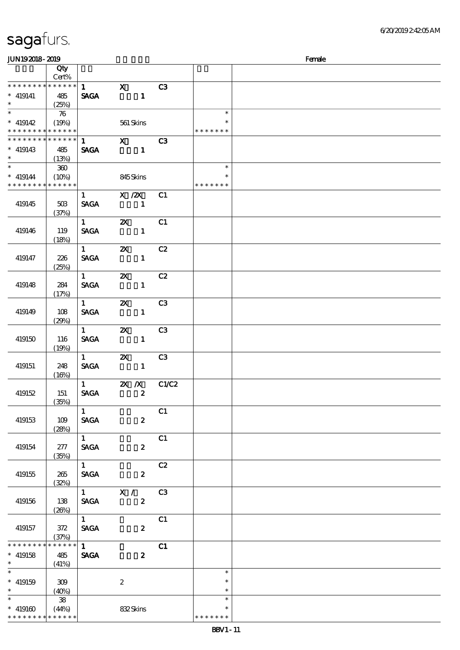| JUN192018-2019                                         |                      |                              |                                                   |       |                         | Female |
|--------------------------------------------------------|----------------------|------------------------------|---------------------------------------------------|-------|-------------------------|--------|
|                                                        | Qty                  |                              |                                                   |       |                         |        |
|                                                        | Cert%                |                              |                                                   |       |                         |        |
| ************** 1                                       |                      |                              | $\mathbf{x}$                                      | C3    |                         |        |
| $* 419141$                                             | 485                  | <b>SAGA</b>                  | $\sim$ $\sim$ 1                                   |       |                         |        |
| $\ast$                                                 | (25%)                |                              |                                                   |       |                         |        |
|                                                        | 76                   |                              |                                                   |       | $\ast$                  |        |
| $*$ 419142                                             | (19%)                |                              | 561 Skins                                         |       | $\ast$                  |        |
| * * * * * * * * <mark>* * * * * *</mark>               |                      |                              |                                                   |       | * * * * * * *           |        |
| * * * * * * * *                                        | ******               |                              | $1$ X                                             | C3    |                         |        |
| $*$ 419143                                             | 485                  | <b>SAGA</b>                  |                                                   |       |                         |        |
| $\ast$                                                 | (13%)                |                              |                                                   |       |                         |        |
| $*$                                                    | 360                  |                              |                                                   |       | $\ast$                  |        |
| $* 419144$<br>* * * * * * * * <mark>* * * * * *</mark> | (10%)                |                              | 845Skins                                          |       | $\ast$<br>* * * * * * * |        |
|                                                        |                      |                              |                                                   |       |                         |        |
|                                                        |                      | $1 \quad$                    | $X \, /ZX$                                        | C1    |                         |        |
| 419145                                                 | 50B                  | <b>SAGA</b>                  | $\sim$ 1                                          |       |                         |        |
|                                                        | (37%)                | $1 \qquad \qquad$            | $\mathbf{x}$                                      | C1    |                         |        |
| 419146                                                 | 119                  | <b>SAGA</b>                  | $\overline{\phantom{a}}$ $\overline{\phantom{a}}$ |       |                         |        |
|                                                        | (18%)                |                              |                                                   |       |                         |        |
|                                                        |                      | $1 \quad \blacksquare$       | $\mathbf{X}$                                      | C2    |                         |        |
| 419147                                                 | 226                  | <b>SACA</b>                  | $\mathbf{1}$                                      |       |                         |        |
|                                                        | (25%)                |                              |                                                   |       |                         |        |
|                                                        |                      | $1 \qquad \qquad$            | $\boldsymbol{\alpha}$                             | C2    |                         |        |
| 419148                                                 | 284                  | <b>SAGA</b>                  | $\mathbf{1}$                                      |       |                         |        |
|                                                        | (17%)                |                              |                                                   |       |                         |        |
|                                                        |                      | $1 \quad \blacksquare$       | $\mathbf{X}$                                      | C3    |                         |        |
| 419149                                                 | 108                  | <b>SAGA</b>                  | $\mathbf{1}$                                      |       |                         |        |
|                                                        | (29%)                |                              |                                                   |       |                         |        |
|                                                        |                      | $1 \quad \blacksquare$       | $\mathbf{x}$                                      | C3    |                         |        |
| 419150                                                 | 116                  | <b>SAGA</b>                  | $\sim$ $\sim$ 1                                   |       |                         |        |
|                                                        | (19%)                |                              |                                                   |       |                         |        |
|                                                        |                      | $1 \quad \blacksquare$       | $\mathbf{x}$                                      | C3    |                         |        |
| 419151                                                 | 248                  | <b>SAGA</b>                  | $\sim$ $-1$                                       |       |                         |        |
|                                                        | (16%)                |                              |                                                   |       |                         |        |
|                                                        |                      | $1 \quad \blacksquare$       | $2X$ /X                                           | C1/C2 |                         |        |
| 419152                                                 | 151                  | $\ensuremath{\mathsf{SAGA}}$ | $\overline{\mathbf{2}}$                           |       |                         |        |
|                                                        | (35%)                |                              |                                                   |       |                         |        |
|                                                        |                      | $\mathbf{1}$                 |                                                   | C1    |                         |        |
| 419153                                                 | 109                  | <b>SAGA</b>                  | $\boldsymbol{z}$                                  |       |                         |        |
|                                                        | (28%)                | $\overline{1}$               |                                                   | C1    |                         |        |
|                                                        | 277                  | SAGA                         |                                                   |       |                         |        |
| 419154                                                 | (35%)                |                              | $\boldsymbol{z}$                                  |       |                         |        |
|                                                        |                      | $1$ $\overline{\phantom{0}}$ |                                                   | C2    |                         |        |
| 419155                                                 | 265                  | <b>SAGA</b>                  | $\boldsymbol{z}$                                  |       |                         |        |
|                                                        | (32%)                |                              |                                                   |       |                         |        |
|                                                        |                      |                              | $1$ $X /$ C3                                      |       |                         |        |
| 419156                                                 | 138                  | <b>SAGA</b>                  | $\boldsymbol{z}$                                  |       |                         |        |
|                                                        | (20%)                |                              |                                                   |       |                         |        |
|                                                        |                      | $1 \quad \blacksquare$       |                                                   | C1    |                         |        |
| 419157                                                 | 372                  | <b>SAGA</b>                  | $\boldsymbol{z}$                                  |       |                         |        |
|                                                        | (37%)                |                              |                                                   |       |                         |        |
| * * * * * * * *                                        | $******$             | $\overline{1}$               |                                                   | C1    |                         |        |
| $*$ 419158                                             | 485                  | <b>SAGA</b>                  | $\boldsymbol{z}$                                  |       |                         |        |
| $\ast$ and $\ast$                                      | (41%)                |                              |                                                   |       |                         |        |
|                                                        |                      |                              |                                                   |       | $\ast$                  |        |
| $* 419159$                                             | 309                  |                              | $\boldsymbol{2}$                                  |       | $\ast$                  |        |
| $\ast$                                                 | (40%)                |                              |                                                   |       | $\ast$<br>$\ast$        |        |
|                                                        | 38                   |                              |                                                   |       | $\ast$                  |        |
| $* 419160$<br>* * * * * * * *                          | (44%)<br>* * * * * * |                              | 832Skins                                          |       | * * * * * * *           |        |
|                                                        |                      |                              |                                                   |       |                         |        |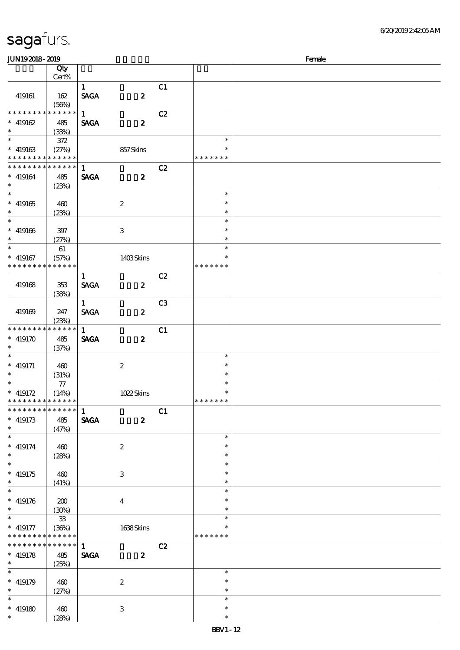| sagafurs.                                                          |                             |                             |                  |    |                                   |        |
|--------------------------------------------------------------------|-----------------------------|-----------------------------|------------------|----|-----------------------------------|--------|
| JUN192018-2019                                                     |                             |                             |                  |    |                                   | Female |
|                                                                    | Qty<br>Cert%                |                             |                  |    |                                   |        |
| 419161                                                             | 162<br>(56%)                | $\mathbf{1}$<br><b>SAGA</b> | $\boldsymbol{2}$ | C1 |                                   |        |
| * * * * * * * *<br>$* 419162$<br>$\ast$                            | * * * * * *<br>485<br>(33%) | $\mathbf{1}$<br><b>SAGA</b> | $\boldsymbol{2}$ | C2 |                                   |        |
| $* 419163$<br>* * * * * * * * * * * * * *                          | 372<br>(27%)                |                             | 857Skins         |    | $\ast$<br>$\ast$<br>* * * * * * * |        |
| * * * * * * * * <mark>* * * * * * *</mark><br>$* 419164$<br>$\ast$ | 485<br>(23%)                | $\mathbf{1}$<br><b>SAGA</b> | $\boldsymbol{2}$ | C2 |                                   |        |
| $\ast$<br>$* 419165$<br>$\ast$                                     | 460<br>(23%)                |                             | $\boldsymbol{2}$ |    | $\ast$<br>$\ast$<br>$\ast$        |        |
| $\ast$<br>$* 419166$<br>$\ast$                                     | 397<br>(27%)                |                             | 3                |    | $\ast$<br>$\ast$<br>$\ast$        |        |
| $\overline{\ast}$<br>$* 419167$<br>* * * * * * * * * * * * * *     | 61<br>(57%)                 |                             | 1403Skins        |    | $\ast$<br>$\ast$<br>* * * * * * * |        |

6/20/2019 2:42:05 AM

| $\ast$                                                   |                      |              |                           |                |                         |  |
|----------------------------------------------------------|----------------------|--------------|---------------------------|----------------|-------------------------|--|
|                                                          |                      |              |                           |                | $\ast$                  |  |
| $* 419165$<br>$\ast$                                     | 460<br>(23%)         |              | $\boldsymbol{2}$          |                | $\ast$<br>$\ast$        |  |
| $\ast$                                                   |                      |              |                           |                | $\ast$                  |  |
| $* 419166$                                               | 397                  |              | $\,3$                     |                | $\ast$                  |  |
| $\ast$                                                   | (27%)                |              |                           |                | $\ast$                  |  |
| $\overline{\phantom{0}}$                                 | 61                   |              |                           |                | $\ast$                  |  |
| $* 419167$<br>* * * * * * * *                            | (57%)<br>* * * * * * |              | 1403Skins                 |                | $\ast$<br>* * * * * * * |  |
|                                                          |                      | $\mathbf{1}$ |                           | C2             |                         |  |
| 419168                                                   | $353\,$              | <b>SAGA</b>  | $\boldsymbol{z}$          |                |                         |  |
|                                                          | (38%)                |              |                           |                |                         |  |
|                                                          |                      | $\mathbf{1}$ |                           | C <sub>3</sub> |                         |  |
| 419169                                                   | 247                  | <b>SAGA</b>  | $\boldsymbol{z}$          |                |                         |  |
|                                                          | (23%)                |              |                           |                |                         |  |
| * * * * * * *                                            | * * * * * *          | $\mathbf{1}$ |                           | C1             |                         |  |
| $* 419170$<br>$\ast$                                     | 485                  | <b>SAGA</b>  | $\boldsymbol{z}$          |                |                         |  |
| $\ast$                                                   | (37%)                |              |                           |                | $\ast$                  |  |
| $* 419171$                                               | 460                  |              | $\boldsymbol{2}$          |                | $\ast$                  |  |
| $\ast$                                                   | (31%)                |              |                           |                | $\ast$                  |  |
| $\overline{\ast}$                                        | ${\bf 77}$           |              |                           |                | $\ast$                  |  |
| $* 419172$                                               | (14%)                |              | 1022Skins                 |                | $\ast$                  |  |
| * * * * * * * *                                          | * * * * * *          |              |                           |                | * * * * * *<br>$\ast$   |  |
| * * * * * * * *                                          | * * * * * *          | $\mathbf{1}$ |                           | C1             |                         |  |
| $\hspace{0.1cm}^*$ 419173<br>$\ast$                      | 485                  | <b>SAGA</b>  | $\boldsymbol{z}$          |                |                         |  |
|                                                          | (47%)                |              |                           |                | $\ast$                  |  |
|                                                          |                      |              |                           |                |                         |  |
| $\ast$                                                   |                      |              |                           |                | $\ast$                  |  |
| $* 419174$<br>$\ast$                                     | 460                  |              | $\boldsymbol{2}$          |                | $\ast$                  |  |
| $\ast$                                                   | (28%)                |              |                           |                | $\ast$                  |  |
| $* 419175$                                               | 460                  |              | $\,3$                     |                | $\ast$                  |  |
| $\ast$                                                   | (41%)                |              |                           |                | $\ast$                  |  |
| $\ast$                                                   |                      |              |                           |                | $\ast$                  |  |
| $* 419176$                                               | 200                  |              | $\boldsymbol{4}$          |                | $\ast$                  |  |
| $\ast$<br>$\ast$                                         | (30%)                |              |                           |                | $\ast$                  |  |
|                                                          | ${\bf 3}$            |              |                           |                | $\ast$<br>$\ast$        |  |
| $* 419177$<br>* * * * * * * * <mark>* * * * * * *</mark> | (36%)                |              | 1638Skins                 |                | * * * * * * *           |  |
| * * * * * * * * * * * * * *                              |                      | $\mathbf{1}$ |                           | C2             |                         |  |
| $* 419178$                                               | $485\,$              | <b>SAGA</b>  | $\boldsymbol{z}$          |                |                         |  |
|                                                          | (25%)                |              |                           |                |                         |  |
|                                                          |                      |              |                           |                | $\ast$                  |  |
|                                                          | 460                  |              | $\boldsymbol{2}$          |                | $\ast$<br>$\ast$        |  |
| $\ast$<br>$\ast$<br>$* 419179$<br>$\ast$<br>$\ast$       | (27%)                |              |                           |                | $\ast$                  |  |
|                                                          | 460                  |              |                           |                | $\ast$                  |  |
| $* 419180$<br>$\ast$                                     | (28%)                |              | $\ensuremath{\mathbf{3}}$ |                | $\ast$                  |  |

#### sagaf

\*

\*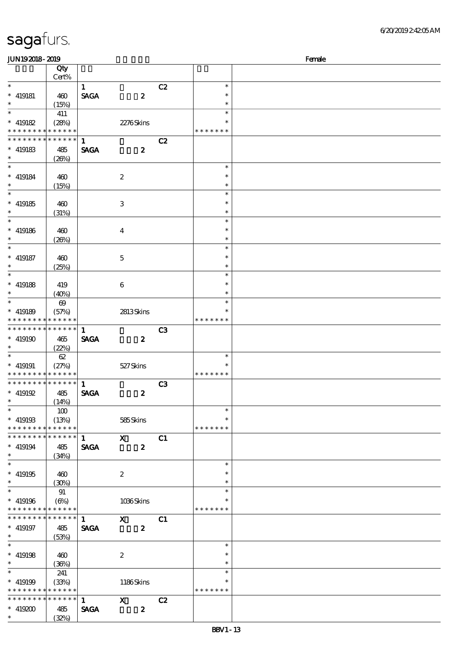| <b>JUN192018-2019</b>                                    |                       |              |                  |                |               | Female |
|----------------------------------------------------------|-----------------------|--------------|------------------|----------------|---------------|--------|
|                                                          | Qty                   |              |                  |                |               |        |
|                                                          | Cert%                 |              |                  |                |               |        |
| $\ast$                                                   |                       | $\mathbf{1}$ |                  | C2             | $\ast$        |        |
| $*$ 419181                                               | 460                   | <b>SAGA</b>  | $\boldsymbol{z}$ |                | $\ast$        |        |
| $\ast$                                                   | (15%)                 |              |                  |                | $\ast$        |        |
|                                                          |                       |              |                  |                | $\ast$        |        |
|                                                          | 411                   |              |                  |                | $\ast$        |        |
| $* 419182$                                               | (28%)                 |              | 2276Skins        |                |               |        |
| * * * * * * * *                                          | * * * * * *           |              |                  |                | * * * * * * * |        |
| * * * * * * * *                                          | * * * * * *           | $\mathbf{1}$ |                  | C2             |               |        |
| $*$ 419183                                               | 485                   | <b>SAGA</b>  | $\boldsymbol{z}$ |                |               |        |
| $\ast$                                                   | (20%)                 |              |                  |                |               |        |
| $\overline{\phantom{0}}$                                 |                       |              |                  |                | $\ast$        |        |
| $* 419184$                                               | 460                   |              | $\boldsymbol{2}$ |                | $\ast$        |        |
| $\ast$                                                   | (15%)                 |              |                  |                | $\ast$        |        |
|                                                          |                       |              |                  |                | $\ast$        |        |
| $* 419185$                                               |                       |              |                  |                | $\ast$        |        |
|                                                          | 460                   |              | 3                |                |               |        |
| $\ast$                                                   | (31%)                 |              |                  |                | $\ast$        |        |
| $\overline{\phantom{0}}$                                 |                       |              |                  |                | $\ast$        |        |
| $*$ 419186                                               | 460                   |              | $\bf{4}$         |                | $\ast$        |        |
| $\ast$                                                   | (20%)                 |              |                  |                | $\ast$        |        |
| $\ast$                                                   |                       |              |                  |                | $\ast$        |        |
| $*$ 419187                                               | 460                   |              | $\mathbf{5}$     |                | $\ast$        |        |
| $\ast$                                                   | (25%)                 |              |                  |                | $\ast$        |        |
| $\overline{\ast}$                                        |                       |              |                  |                | $\ast$        |        |
|                                                          |                       |              |                  |                | $\ast$        |        |
| $*$ 419188                                               | 419                   |              | 6                |                |               |        |
| $\ast$                                                   | (40%)                 |              |                  |                | $\ast$        |        |
| $*$                                                      | $\boldsymbol{\omega}$ |              |                  |                | $\ast$        |        |
| $* 419189$                                               | (57%)                 |              | 2813Skins        |                |               |        |
| * * * * * * * *                                          | * * * * * *           |              |                  |                | * * * * * * * |        |
| * * * * * * * *                                          | ******                | $\mathbf{1}$ |                  | C <sub>3</sub> |               |        |
| $* 419190$                                               | 465                   | <b>SAGA</b>  | $\boldsymbol{z}$ |                |               |        |
| $\ast$                                                   | (22%)                 |              |                  |                |               |        |
| $\ast$                                                   | 62                    |              |                  |                | $\ast$        |        |
|                                                          |                       |              |                  |                | $\ast$        |        |
| $* 419191$<br>* * * * * * * * <mark>* * * * * * *</mark> | (27%)                 |              | 527Skins         |                | * * * * * * * |        |
|                                                          |                       |              |                  |                |               |        |
| * * * * * * * *                                          | $******$              | $\mathbf{1}$ |                  | C <sub>3</sub> |               |        |
| $*$ 419192                                               | 485                   | <b>SAGA</b>  | $\boldsymbol{z}$ |                |               |        |
| $*$ and $*$                                              | (14%)                 |              |                  |                |               |        |
| $\ast$                                                   | 100                   |              |                  |                | $\ast$        |        |
| $* 419193$                                               | (13%)                 |              | 585Skins         |                | $\ast$        |        |
| * * * * * * * *                                          | * * * * * *           |              |                  |                | * * * * * * * |        |
| * * * * * * * *                                          | ******                | $\mathbf{1}$ | $\mathbf X$      | C1             |               |        |
| $* 419194$                                               | 485                   | <b>SAGA</b>  | $\boldsymbol{z}$ |                |               |        |
| $\ast$                                                   | (34%)                 |              |                  |                |               |        |
| $\overline{\ast}$                                        |                       |              |                  |                | $\ast$        |        |
|                                                          |                       |              |                  |                |               |        |
| $* 419195$<br>$\ast$                                     | 460                   |              | $\boldsymbol{2}$ |                |               |        |
|                                                          | (30%)                 |              |                  |                | $\ast$        |        |
| $\ast$                                                   | 91                    |              |                  |                | $\ast$        |        |
| $* 419196$                                               | $(\Theta_0)$          |              | 1036Skins        |                | $\ast$        |        |
| * * * * * * * *                                          | * * * * * *           |              |                  |                | * * * * * * * |        |
| * * * * * * * *                                          | * * * * * *           | $\mathbf{1}$ | $\mathbf{X}$     | C1             |               |        |
| $* 419197$                                               | 485                   | <b>SAGA</b>  | $\boldsymbol{z}$ |                |               |        |
| $*$ and $*$                                              | (53%)                 |              |                  |                |               |        |
| $\overline{\phantom{0}}$                                 |                       |              |                  |                | $\ast$        |        |
| $* 419198$                                               | 460                   |              | $\boldsymbol{2}$ |                | $\ast$        |        |
| $\ast$                                                   |                       |              |                  |                | $\ast$        |        |
| $\ast$                                                   | (36%)                 |              |                  |                | $\ast$        |        |
|                                                          | 241                   |              |                  |                |               |        |
| $* 419199$                                               | (33%)                 |              | 1186Skins        |                | $\ast$        |        |
| * * * * * * * *                                          | * * * * * *           |              |                  |                | * * * * * * * |        |
| * * * * * * * *                                          | * * * * * *           | $\mathbf{1}$ | $\mathbf{x}$     | C2             |               |        |
| $* 419200$                                               | 485                   | <b>SAGA</b>  | $\boldsymbol{z}$ |                |               |        |
| $\ast$                                                   | (32%)                 |              |                  |                |               |        |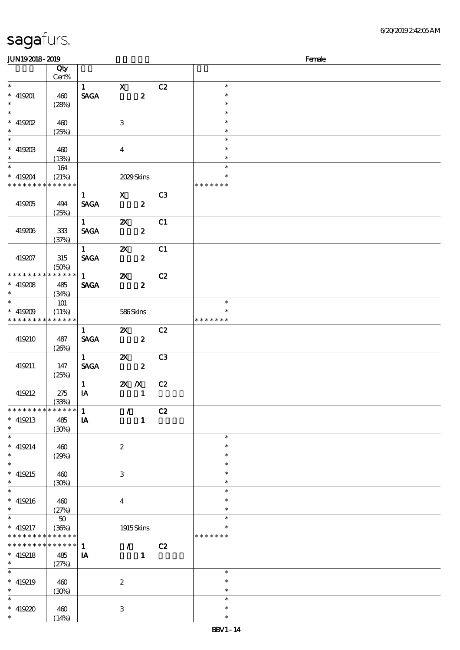\*\*\*

 $\ast$ 

\*\*\*

 $\overline{\phantom{0}}$ 

\*\*\*

 $\overline{\phantom{0}}$ 

\*\*

 $\ast$ 

\*\*

 $\overline{\phantom{0}}$ 

 $\ast$ 

\*\*\*

 $\ast$ 

\*\*\*

 $\overline{\phantom{0}}$ 

\*\*\*

 $\ast$ 

\*\*

 $\overline{\phantom{0}}$ 

\*\*\*

\*\*\*

 $\ast$ 

 $\overline{\phantom{0}}$ 

(30%)

(14%)

3

419220 460

#### 顺序号 Qty 说明 价格 Cert% 1 X C2  $\ast$ \*\*\* SAGA 2  $\ast$ 419201 460  $\ast$  $(28%)$  $\ast$  $\overline{\ast}$ \*\*\*  $\ast$  $\ast$ 419202 460 3  $\ast$ (25%)  $\overline{\phantom{a}}$ \*\*\*  $\ast$  $\ast$  $419203$   $400$ 4  $\ast$ (13%) \*  $*$  419204 164  $\overline{\phantom{0}}$ \*\* (21%) 2029 Skins \* \* \* \* \* \* \* \* \* \* \* \* \* \* \* \* \* \* \* 1 X C3 419205 494 SAGA 2 (25%) 1 **2X** C1 419206 333 SAGA 2 (37%) 1 **2X** C1 419207 315  $SAGA$  2 (50%) \*  $\overline{1}$   $\overline{2}$   $\overline{2}$   $\overline{2}$ \* \* \* \* \* \* \* \* \* \* \* \* SAGA 2 419208 485 (34%) \*\* <sup>419209</sup> 101  $\ast$ \*\*  $(11%)$  586 Skins  $\ast$ \* \* \* \* \* \* \* \* \* \* \* \* \* \* \* \* \* \* \*  $\overline{1}$   $\overline{2}$   $\overline{C}$   $\overline{C}$   $\overline{C}$   $\overline{C}$   $\overline{C}$   $\overline{C}$   $\overline{C}$   $\overline{C}$   $\overline{C}$   $\overline{C}$   $\overline{C}$   $\overline{C}$   $\overline{C}$   $\overline{C}$   $\overline{C}$   $\overline{C}$   $\overline{C}$   $\overline{C}$   $\overline{C}$   $\overline{C}$   $\overline{C}$   $\overline{C}$   $\overline{$ 419210 487  $SAGA$  2 (26%) 1 **2X** C3 419211 147 SAGA 2 (25%) 1 2X X C2 419212 275  $I$ A  $I$ (33%)  $1$  / C2 \* \* \* \* \* \* \* \* \* \* \* \* \* 419213 485  $I$  and  $I$  and  $I$  and  $I$  and  $I$  and  $I$  and  $I$  and  $I$  and  $I$  and  $I$  and  $I$  and  $I$  and  $I$  and  $I$  and  $I$  and  $I$  and  $I$  and  $I$  and  $I$  and  $I$  and  $I$  and  $I$  and  $I$  and  $I$  and  $I$  and  $I$  and  $I$  and  $I$  a (30%)  $\ast$ \*\*\*  $419214$   $460$  $\ast$ 2  $\ast$ (29%)  $\overline{\phantom{a}}$ \*\*\*  $\ast$  $\ast$ 419215 460 3  $\ast$ (30%)  $\overline{\ast}$  $\ast$ \*\*\*  $419216$   $400$ 4  $\ast$  $(27%)$  $\ast$ \*  $*$  419217  $\overline{\phantom{0}}$ 50 \*\*  $\ast$ (36%) 1915 Skins \* \* \* \* \* \* \* \* \* \* \* \* \* \* \* \* \* \* \* \* \* \* \* \* \* \* \* \* \* \* \* 1 / C2  $\ast$ 419218 485  $\mathbf{I}$  **I** (27%)  $\overline{\ast}$ \*\*\*  $\ast$  $\ast$ 419219 460 2

 $JUN192018-2019$  Female

\*\*\*

 $\ast$ 

 $\ast$ 

 $\overline{\phantom{0}}$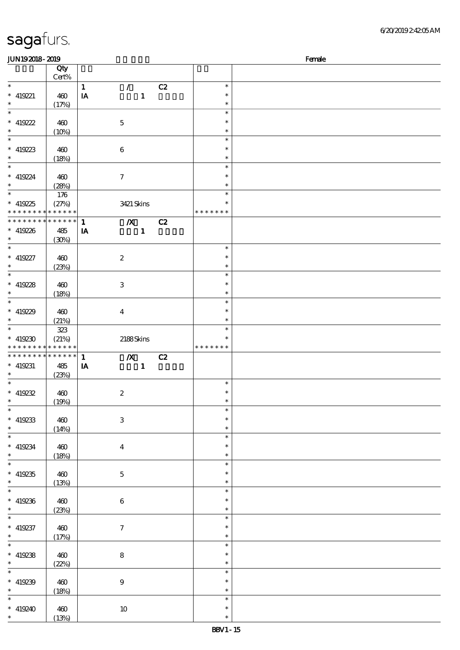| <b>JUN192018-2019</b>       |              |                                  |    |               | Female |
|-----------------------------|--------------|----------------------------------|----|---------------|--------|
|                             | Qty          |                                  |    |               |        |
|                             | Cert%        |                                  |    |               |        |
| $\ast$                      |              | $\mathbf{1}$<br>$\mathcal{L}$    | C2 | $\ast$        |        |
| $* 419221$                  | 460          | IA<br>$\mathbf{1}$               |    | $\ast$        |        |
| $\ast$                      |              |                                  |    | $\ast$        |        |
| $\overline{\phantom{0}}$    | (17%)        |                                  |    | $\ast$        |        |
|                             |              |                                  |    |               |        |
| $* 419222$                  | 460          | $\mathbf 5$                      |    | $\ast$        |        |
| $\ast$                      | (10%)        |                                  |    | $\ast$        |        |
| $\overline{\phantom{0}}$    |              |                                  |    | $\ast$        |        |
| $* 419223$                  | 460          | $\boldsymbol{6}$                 |    | $\ast$        |        |
| $\ast$                      | (18%)        |                                  |    | $\ast$        |        |
| $\overline{\ast}$           |              |                                  |    | $\ast$        |        |
| $* 419224$                  | 460          | $\boldsymbol{\tau}$              |    | $\ast$        |        |
| $\ast$                      |              |                                  |    | $\ast$        |        |
| $\overline{\phantom{0}}$    | (28%)        |                                  |    | $\ast$        |        |
|                             | 176          |                                  |    |               |        |
| $* 419225$                  | (27%)        | 3421 Skins                       |    | $\ast$        |        |
| * * * * * * * * * * * * * * |              |                                  |    | * * * * * * * |        |
| * * * * * * * *             | ******       | $\boldsymbol{X}$<br>$\mathbf{1}$ | C2 |               |        |
| $* 419226$                  | 485          | $\mathbf{1}$<br>IA               |    |               |        |
| $\ast$                      | (30%)        |                                  |    |               |        |
| $\overline{\ast}$           |              |                                  |    | $\ast$        |        |
| $* 419227$                  | 460          | $\boldsymbol{2}$                 |    | $\ast$        |        |
| $\ast$                      |              |                                  |    | $\ast$        |        |
| $\overline{\ast}$           | (23%)        |                                  |    |               |        |
|                             |              |                                  |    | $\ast$        |        |
| $* 419228$                  | 460          | 3                                |    | $\ast$        |        |
| $\ast$                      | (18%)        |                                  |    | $\ast$        |        |
| $\overline{\ast}$           |              |                                  |    | $\ast$        |        |
| $* 419229$                  | 460          | $\boldsymbol{4}$                 |    | $\ast$        |        |
| $\ast$                      | (21%)        |                                  |    | $\ast$        |        |
| $\ast$                      | 323          |                                  |    | $\ast$        |        |
| $* 419230$                  |              |                                  |    |               |        |
| * * * * * * * * * * * * * * | (21%)        | 2188Skins                        |    | * * * * * * * |        |
|                             |              |                                  |    |               |        |
| * * * * * * * *             | $******$     | $\mathbf{1}$<br>$\boldsymbol{X}$ | C2 |               |        |
| $* 419231$                  | 485          | $\mathbf{1}$<br>IA               |    |               |        |
| $\ast$                      | (23%)        |                                  |    |               |        |
| $\ast$                      |              |                                  |    | $\ast$        |        |
| $* 419232$                  | 460          | $\boldsymbol{2}$                 |    | $\ast$        |        |
| $*$ $*$                     | (19%)        |                                  |    | $\ast$        |        |
| $\ast$                      |              |                                  |    | $\ast$        |        |
| $* 419233$                  | 460          | $\mathbf{3}$                     |    | $\ast$        |        |
| $\ast$                      |              |                                  |    | $\ast$        |        |
| $\overline{\phantom{a}^*}$  | (14%)        |                                  |    | $\ast$        |        |
|                             |              |                                  |    |               |        |
| $* 419234$                  | 460          | $\bf{4}$                         |    | $\ast$        |        |
| $\ast$                      | (18%)        |                                  |    | $\ast$        |        |
| $\overline{\ast}$           |              |                                  |    | $\ast$        |        |
| $* 419235$                  | 460          | $\mathbf{5}$                     |    | $\ast$        |        |
| $\ast$                      | (13%)        |                                  |    | $\ast$        |        |
| $\overline{\phantom{a}^*}$  |              |                                  |    | $\ast$        |        |
| $* 419236$                  | 460          | $\bf 6$                          |    | $\ast$        |        |
| $\ast$                      | (23%)        |                                  |    | $\ast$        |        |
| $\overline{\phantom{a}^*}$  |              |                                  |    | $\ast$        |        |
| $* 419237$                  | 460          | $\boldsymbol{\tau}$              |    | $\ast$        |        |
| $\ast$                      |              |                                  |    | $\ast$        |        |
| $\overline{\ast}$           | (17%)        |                                  |    | $\ast$        |        |
|                             |              |                                  |    |               |        |
| $* 419238$                  | 460          | ${\bf 8}$                        |    | $\ast$        |        |
|                             |              |                                  |    | $\ast$        |        |
| $*$                         | (22%)        |                                  |    |               |        |
| $\ast$                      |              |                                  |    | $\ast$        |        |
| $* 419239$                  | 460          |                                  |    | $\ast$        |        |
| $*$                         |              | $\boldsymbol{9}$                 |    | $\ast$        |        |
| $\ast$                      | (18%)        |                                  |    | $\ast$        |        |
|                             |              |                                  |    | $\ast$        |        |
| $* 419240$<br>$\ast$        | 460<br>(13%) | $10\,$                           |    | $\ast$        |        |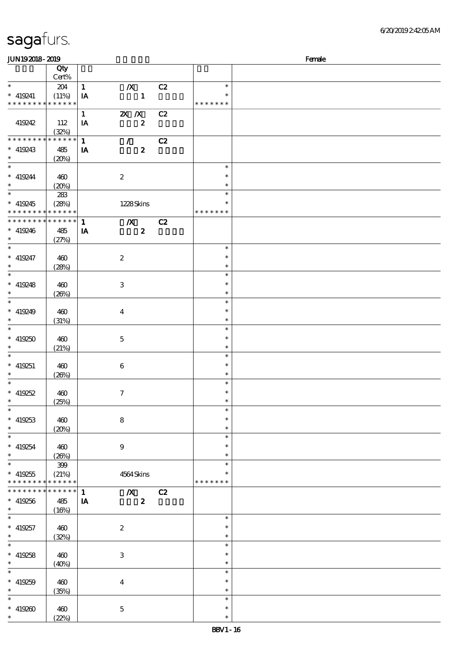\* \* \*

| <b>JUN192018-2019</b>         |       |    |         |                |         | Female |
|-------------------------------|-------|----|---------|----------------|---------|--------|
|                               | Qty   |    |         |                |         |        |
|                               | Cert% |    |         |                |         |        |
| $\ast$                        | 204   |    | /X      | C <sub>2</sub> | $\ast$  |        |
| 419241<br>$\ast$              | (11%) | IA |         |                | $\ast$  |        |
| * * * * * * * * * * * * * * * |       |    |         |                | ******* |        |
|                               |       |    | $X$ $N$ | C2             |         |        |
| 419242                        | 12    | IΑ |         |                |         |        |

| * * * * * * * * <mark>* * * * * *</mark>   |             |                                           | * * * * * * * |  |
|--------------------------------------------|-------------|-------------------------------------------|---------------|--|
|                                            |             | $X$ $X$<br>C2<br>$\mathbf{1}$             |               |  |
| 419242                                     |             |                                           |               |  |
|                                            | 112         | $\boldsymbol{2}$<br>IA                    |               |  |
|                                            | (32%)       |                                           |               |  |
| * * * * * * * *                            | * * * * * * | C2<br>$\mathbf{1}$<br>$\mathcal{T}^{\pm}$ |               |  |
| $* 419243$                                 | 485         | $\boldsymbol{z}$<br>IA                    |               |  |
| $\ast$                                     |             |                                           |               |  |
|                                            | (20%)       |                                           |               |  |
| $\ast$                                     |             |                                           | $\ast$        |  |
| $* 419244$                                 | 460         | $\boldsymbol{2}$                          | $\ast$        |  |
| $\ast$                                     | (20%)       |                                           | $\ast$        |  |
| $\overline{\phantom{0}}$                   |             |                                           | $\ast$        |  |
|                                            | 283         |                                           |               |  |
| $* 419245$                                 | (28%)       | 1228Skins                                 | *             |  |
| * * * * * * * * <mark>* * * * * * *</mark> |             |                                           | * * * * * * * |  |
| ******** <mark>*******</mark> 1            |             | C2<br>$\boldsymbol{X}$                    |               |  |
|                                            |             |                                           |               |  |
| $* 419246$                                 | 485         | $\boldsymbol{2}$<br>IA                    |               |  |
| $\ast$                                     | (27%)       |                                           |               |  |
| $\ast$                                     |             |                                           | $\ast$        |  |
| $* 419247$                                 | 460         | $\boldsymbol{2}$                          | $\ast$        |  |
| $\ast$                                     |             |                                           | $\ast$        |  |
|                                            | (28%)       |                                           |               |  |
| $\ast$                                     |             |                                           | $\ast$        |  |
| $* 419248$                                 | 460         | $\,3\,$                                   | $\ast$        |  |
| $\ast$                                     | (20%)       |                                           | $\ast$        |  |
| $\ast$                                     |             |                                           | $\ast$        |  |
|                                            |             |                                           |               |  |
| $* 419249$                                 | 460         | $\boldsymbol{4}$                          | $\ast$        |  |
| $\ast$                                     | (31%)       |                                           | $\ast$        |  |
| $\overline{\ast}$                          |             |                                           | $\ast$        |  |
| $* 419250$                                 | 460         | $\mathbf 5$                               | $\ast$        |  |
|                                            |             |                                           |               |  |
| $\ast$                                     | (21%)       |                                           | $\ast$        |  |
| $\ast$                                     |             |                                           | $\ast$        |  |
| $* 419251$                                 | 460         | $\bf 6$                                   | $\ast$        |  |
| $\ast$                                     | (20%)       |                                           | $\ast$        |  |
| $\ast$                                     |             |                                           | $\ast$        |  |
|                                            |             |                                           |               |  |
| $* 419252$                                 | 460         | $\boldsymbol{\tau}$                       | $\ast$        |  |
| $\ast$                                     | (25%)       |                                           | $\ast$        |  |
| $\ast$                                     |             |                                           | $\ast$        |  |
| $* 419253$                                 | 460         | ${\bf 8}$                                 | $\ast$        |  |
|                                            |             |                                           |               |  |
| $\ast$                                     | (20%)       |                                           | $\ast$        |  |
| $\ast$                                     |             |                                           | $\ast$        |  |
| $* 419254$                                 | 460         | 9                                         | $\ast$        |  |
| $\ast$                                     | (20%)       |                                           | $\ast$        |  |
| $\ast$                                     |             |                                           | $\ast$        |  |
|                                            | 399         |                                           |               |  |
| $* 419255$                                 | (21%)       | 4564 Skins                                |               |  |
| * * * * * * * *                            | * * * * * * |                                           | * * * * * * * |  |
| * * * * * * * *                            | ****** 1    | $\boldsymbol{X}$<br>C2                    |               |  |
| $* 419256$                                 | 485         | $\boldsymbol{z}$<br>IA                    |               |  |
|                                            |             |                                           |               |  |
| $\ast$                                     | (16%)       |                                           |               |  |
| $\ast$                                     |             |                                           | $\ast$        |  |
| $* 419257$                                 | 460         | $\boldsymbol{2}$                          | $\ast$        |  |
| $\ast$                                     | (32%)       |                                           | $\ast$        |  |
| $\ast$                                     |             |                                           | $\ast$        |  |
|                                            |             |                                           |               |  |
| $* 419258$                                 | 460         | $\,3\,$                                   | $\ast$        |  |
| $\ast$                                     | (40%)       |                                           | $\ast$        |  |
| $\overline{\ast}$                          |             |                                           | $\ast$        |  |
|                                            |             |                                           | $\ast$        |  |
| $* 419259$                                 | 460         | $\boldsymbol{4}$                          |               |  |
| $\ast$                                     | (35%)       |                                           | $\ast$        |  |
| $\ast$                                     |             |                                           | $\ast$        |  |
| $* 419260$                                 | 460         | $\mathbf 5$                               | $\ast$        |  |
| $\ast$                                     | (22%)       |                                           | $\ast$        |  |
|                                            |             |                                           |               |  |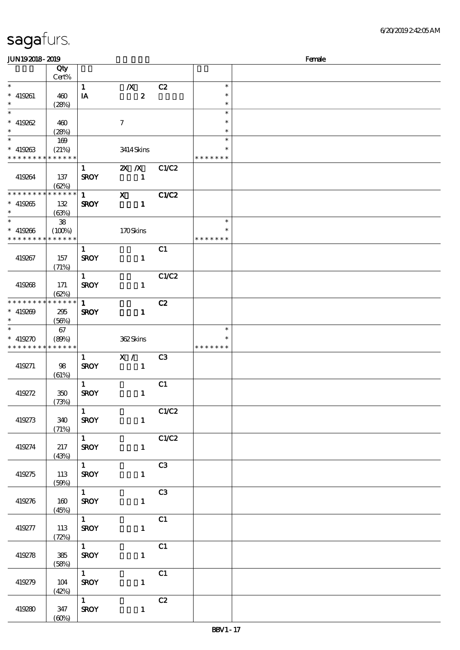| <b>JUN192018-2019</b>                              |                                |                                       |                                           |                |                                   | Female |
|----------------------------------------------------|--------------------------------|---------------------------------------|-------------------------------------------|----------------|-----------------------------------|--------|
|                                                    | Qty<br>Cert%                   |                                       |                                           |                |                                   |        |
| $\ast$<br>$* 419261$<br>$\ast$                     | 460<br>(28%)                   | $\mathbf{1}$<br>IA                    | $\boldsymbol{X}$<br>$\boldsymbol{z}$      | C2             | $\ast$<br>$\ast$<br>$\ast$        |        |
| $\ast$<br>$* 419262$<br>$\ast$                     | 460<br>(28%)                   |                                       | $\boldsymbol{7}$                          |                | $\ast$<br>$\ast$<br>$\ast$        |        |
| $\overline{\ast}$<br>$* 419263$<br>* * * * * * * * | 169<br>(21%)<br>* * * * * *    |                                       | 3414Skins                                 |                | $\ast$<br>* * * * * * *           |        |
| 419264                                             | 137<br>(62%)                   | $\mathbf{1}$<br><b>SROY</b>           | $\mathbf{X}$ $\mathbf{X}$<br>$\mathbf{1}$ | C1/C2          |                                   |        |
| * * * * * * * *<br>$* 419265$<br>$\ast$            | * * * * * *<br>132<br>(63%)    | $\mathbf{1}$<br><b>SROY</b>           | $\mathbf{x}$<br>$\mathbf{1}$              | <b>C1/C2</b>   |                                   |        |
| $\ast$<br>$* 419266$<br>* * * * * * * *            | 38<br>$(100\%)$<br>* * * * * * |                                       | 170Skins                                  |                | $\ast$<br>* * * * * * *           |        |
| 419267                                             | 157<br>(71%)                   | $\mathbf{1}$<br><b>SROY</b>           | $\mathbf{1}$                              | C1             |                                   |        |
| 419268                                             | 171<br>(62%)                   | $\mathbf{1}$<br><b>SROY</b>           | $\mathbf{1}$                              | C1/C2          |                                   |        |
| * * * * * * * *<br>$* 419209$<br>$\ast$            | * * * * * *<br>295<br>(56%)    | $\mathbf{1}$<br><b>SROY</b>           | $\mathbf{1}$                              | C2             |                                   |        |
| $\ast$<br>$* 419270$<br>* * * * * * * *            | 67<br>(80%)<br>* * * * * *     |                                       | 362Skins                                  |                | $\ast$<br>$\ast$<br>* * * * * * * |        |
| 419271                                             | 98<br>(61%)                    | $\mathbf{1}$<br><b>SROY</b>           | X /<br>$\mathbf{1}$                       | C <sub>3</sub> |                                   |        |
| 419272                                             | 350<br>(73%)                   | $\mathbf{1}$<br><b>SROY</b>           | $\mathbf{1}$                              | C1             |                                   |        |
| 419273                                             | 340<br>(71%)                   | $\mathbf{1}$<br><b>SROY</b>           | $\mathbf{1}$                              | C1/C2          |                                   |        |
| 419274                                             | 217<br>(43%)                   | $1 \quad \bar{1}$<br><b>SROY</b>      | $\mathbf{1}$                              | C1/C2          |                                   |        |
| 419275                                             | 113<br>(50%)                   | $1$ <sup>-1</sup><br><b>SROY</b>      | $\mathbf{1}$                              | C3             |                                   |        |
| 419276                                             | 160<br>(45%)                   | $1 \quad$<br><b>SROY</b>              | $\mathbf{1}$                              | C3             |                                   |        |
| 419277                                             | 113<br>(72%)                   | $\overline{1}$<br><b>SROY</b>         | $\mathbf{1}$                              | C1             |                                   |        |
| 419278                                             | ${\bf 385}$<br>(58%)           | $1 \quad$<br><b>SROY</b>              | $\mathbf{1}$                              | C1             |                                   |        |
| 419279                                             | 104<br>(42%)                   | $1 -$<br><b>SROY</b>                  | $\mathbf{1}$                              | C1             |                                   |        |
| 419280                                             | 347<br>(60%)                   | $1 \quad \blacksquare$<br><b>SROY</b> | $\mathbf{1}$                              | C2             |                                   |        |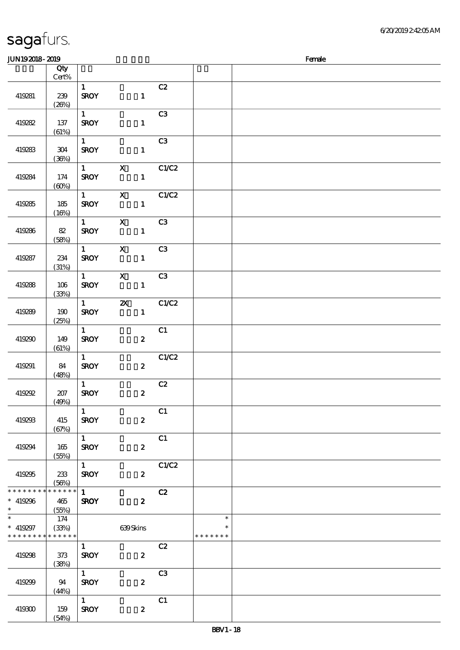| sagafurs. |
|-----------|
|           |

| JUN192018-2019              |                 |                        |                           |                |               | Female |
|-----------------------------|-----------------|------------------------|---------------------------|----------------|---------------|--------|
|                             | Qty             |                        |                           |                |               |        |
|                             | $Cert\%$        |                        |                           |                |               |        |
|                             |                 | $\mathbf{1}$           |                           | C2             |               |        |
| 419281                      | 239             | <b>SROY</b>            | $\mathbf{1}$              |                |               |        |
|                             | (20%)           |                        |                           |                |               |        |
|                             |                 | $\mathbf{1}$           |                           | C3             |               |        |
| 419282                      | 137             | <b>SROY</b>            | $\mathbf{1}$              |                |               |        |
|                             | (61%)           |                        |                           |                |               |        |
|                             |                 | $1 \quad$              |                           | C3             |               |        |
| 419283                      | 304             | <b>SROY</b>            | $\mathbf{1}$              |                |               |        |
|                             | (36%)           |                        |                           |                |               |        |
|                             |                 | $1 \quad \blacksquare$ | $\mathbf{x}$              | C1/C2          |               |        |
| 419284                      | 174             | <b>SROY</b>            | $\mathbf{1}$              |                |               |        |
|                             | (60%)           |                        |                           |                |               |        |
|                             |                 | $1 \qquad \qquad$      | $\mathbf{X}$              | C1/C2          |               |        |
| 419285                      | 185             | <b>SROY</b>            | $\mathbf{1}$              |                |               |        |
|                             | (16%)           |                        |                           |                |               |        |
|                             |                 | $1 \quad \blacksquare$ | $\boldsymbol{\mathsf{X}}$ | C3             |               |        |
| 419286                      | 82              | <b>SROY</b>            | $\mathbf{1}$              |                |               |        |
|                             | (58%)           |                        |                           |                |               |        |
|                             |                 | $1 \quad \blacksquare$ | $\mathbf{x}$              | C <sub>3</sub> |               |        |
| 419287                      | 234             | <b>SROY</b>            | $\mathbf{1}$              |                |               |        |
|                             | (31%)           |                        |                           |                |               |        |
|                             |                 | $1 \qquad \qquad$      | $\mathbf{X}$              | C3             |               |        |
| 419288                      | 106             | <b>SROY</b>            | $\mathbf{1}$              |                |               |        |
|                             | (33%)           |                        |                           |                |               |        |
|                             |                 | $1 \qquad \qquad$      | $\boldsymbol{\alpha}$     | C1/C2          |               |        |
| 419289                      | 190             | <b>SROY</b>            | $\mathbf{1}$              |                |               |        |
|                             | (25%)           |                        |                           |                |               |        |
|                             |                 | $\mathbf{1}$           |                           | C1             |               |        |
| 419290                      | 149             | <b>SROY</b>            | $\boldsymbol{z}$          |                |               |        |
|                             | (61%)           |                        |                           |                |               |        |
|                             |                 | $1 -$                  |                           | C1/C2          |               |        |
| 419291                      | 84              | <b>SROY</b>            | $\mathbf{z}$              |                |               |        |
|                             | (48%)           | $\mathbf{1}$           |                           | C2             |               |        |
| 419292                      | 207             | <b>SROY</b>            | $\boldsymbol{z}$          |                |               |        |
|                             | (49%)           |                        |                           |                |               |        |
|                             |                 | $\mathbf{1}$           |                           | C1             |               |        |
| 419293                      | 415             | <b>SROY</b>            | $\boldsymbol{z}$          |                |               |        |
|                             | (67%)           |                        |                           |                |               |        |
|                             |                 | $1 \quad \blacksquare$ |                           | C1             |               |        |
| 419294                      | 165             | <b>SROY</b>            | $\boldsymbol{2}$          |                |               |        |
|                             | (55%)           |                        |                           |                |               |        |
|                             |                 | $1 \quad \blacksquare$ |                           | C1/C2          |               |        |
| 419295                      | 233             | <b>SROY</b>            | $\boldsymbol{z}$          |                |               |        |
|                             | (56%)           |                        |                           |                |               |        |
| * * * * * * * *             | $* * * * * * *$ | $\mathbf{1}$           |                           | C2             |               |        |
| $* 419296$                  | 465             | <b>SROY</b>            | $\boldsymbol{2}$          |                |               |        |
| $*$                         | (55%)           |                        |                           |                |               |        |
| $\ast$                      | 174             |                        |                           |                | $\ast$        |        |
| $* 419297$                  | (33%)           |                        | 639Skins                  |                | ∗             |        |
| * * * * * * * * * * * * * * |                 |                        |                           |                | * * * * * * * |        |
|                             |                 | 1                      |                           | C2             |               |        |
| 419298                      | 373             | <b>SROY</b>            | $\boldsymbol{z}$          |                |               |        |
|                             | (38%)           |                        |                           |                |               |        |
|                             |                 | $\overline{1}$         |                           | C3             |               |        |
| 419299                      | 94              | <b>SROY</b>            | $\boldsymbol{z}$          |                |               |        |
|                             | (44%)           |                        |                           |                |               |        |
|                             |                 | $1 \quad \square$      |                           | C1             |               |        |
| 419300                      | 159             | <b>SROY</b>            | $\boldsymbol{z}$          |                |               |        |
|                             | (54%)           |                        |                           |                |               |        |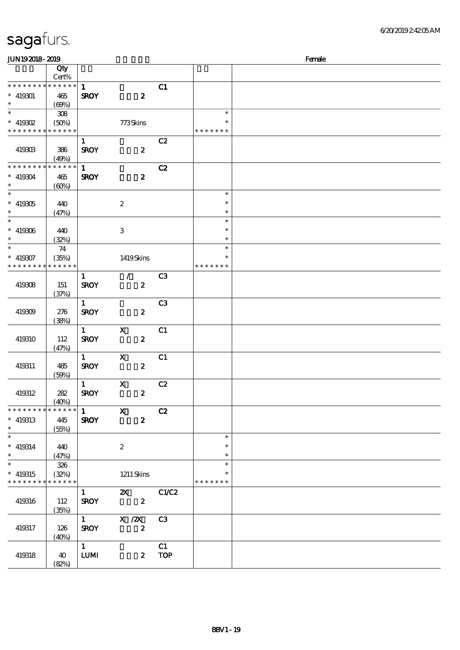| Female<br><b>JUN192018-2019</b>          |             |                        |                           |                |               |  |  |
|------------------------------------------|-------------|------------------------|---------------------------|----------------|---------------|--|--|
|                                          | Qty         |                        |                           |                |               |  |  |
|                                          | Cert%       |                        |                           |                |               |  |  |
| * * * * * * * * * * * * * *              |             | $\mathbf{1}$           |                           | C1             |               |  |  |
| $* 419301$                               | 465         | <b>SROY</b>            | $\boldsymbol{z}$          |                |               |  |  |
| $\ast$                                   | (69%)       |                        |                           |                |               |  |  |
| $\overline{\ast}$                        | 308         |                        |                           |                | $\ast$        |  |  |
| $*$ 419302                               | (50%)       |                        | 773Skins                  |                |               |  |  |
| * * * * * * * * <mark>* * * * * *</mark> |             |                        |                           |                | * * * * * * * |  |  |
|                                          |             | $\mathbf{1}$           |                           | C2             |               |  |  |
| 419303                                   | 386         | <b>SROY</b>            | $\boldsymbol{z}$          |                |               |  |  |
|                                          | (49%)       |                        |                           |                |               |  |  |
| * * * * * * * *                          | * * * * * * | $\mathbf{1}$           |                           | C2             |               |  |  |
| $* 419304$                               | 465         | <b>SROY</b>            | $\boldsymbol{z}$          |                |               |  |  |
| $\ast$                                   | (60%)       |                        |                           |                |               |  |  |
| $\ast$                                   |             |                        |                           |                | $\ast$        |  |  |
| $* 419305$                               | 440         |                        | $\boldsymbol{2}$          |                | $\ast$        |  |  |
| $\ast$                                   | (47%)       |                        |                           |                | $\ast$        |  |  |
| $\overline{\phantom{a}^*}$               |             |                        |                           |                | $\ast$        |  |  |
| $* 419306$                               | 440         |                        | $\ensuremath{\mathbf{3}}$ |                | $\ast$        |  |  |
| $\ast$<br>$\overline{\phantom{a}^*}$     | (32%)       |                        |                           |                | $\ast$        |  |  |
|                                          | 74          |                        |                           |                | $\ast$        |  |  |
| $* 419307$                               | (35%)       |                        | 1419Skins                 |                | $\ast$        |  |  |
| * * * * * * * * * * * * * *              |             |                        |                           |                | * * * * * * * |  |  |
|                                          |             | $\mathbf{1}$           | $\mathcal{L}$             | C <sub>3</sub> |               |  |  |
| 419308                                   | 151         | <b>SROY</b>            | $\boldsymbol{z}$          |                |               |  |  |
|                                          | (37%)       |                        |                           |                |               |  |  |
|                                          |             | $\mathbf{1}$           |                           | C <sub>3</sub> |               |  |  |
| 419309                                   | 276         | <b>SROY</b>            | $\boldsymbol{z}$          |                |               |  |  |
|                                          | (38%)       |                        |                           |                |               |  |  |
|                                          |             | $\mathbf{1}$           | $\mathbf X$               | C1             |               |  |  |
| 419310                                   | 112         | <b>SROY</b>            | $\boldsymbol{z}$          |                |               |  |  |
|                                          | (47%)       |                        |                           |                |               |  |  |
|                                          |             | $\mathbf{1}$           | $\boldsymbol{\mathsf{X}}$ | C1             |               |  |  |
| 419311                                   | 485         | <b>SROY</b>            | $\boldsymbol{z}$          |                |               |  |  |
|                                          | (50%)       | $\mathbf{1}$           | $\mathbf x$               | C2             |               |  |  |
| 419312                                   | 282         | <b>SROY</b>            | $\boldsymbol{z}$          |                |               |  |  |
|                                          | (40%)       |                        |                           |                |               |  |  |
| * * * * * * * *                          | * * * * * * | $\mathbf{1}$           | $\mathbf X$               | C2             |               |  |  |
| $*$ 419313                               | 445         | <b>SROY</b>            | $\boldsymbol{z}$          |                |               |  |  |
| $\ast$                                   | (55%)       |                        |                           |                |               |  |  |
| $\overline{\phantom{a}^*}$               |             |                        |                           |                | $\ast$        |  |  |
| $* 419314$                               | 440         |                        | $\boldsymbol{2}$          |                | $\ast$        |  |  |
| $\ast$                                   | (47%)       |                        |                           |                | $\ast$        |  |  |
| $\ast$                                   | 326         |                        |                           |                | $\ast$        |  |  |
| $* 419315$                               | (32%)       |                        | $1211$ Skins              |                | $\ast$        |  |  |
| * * * * * * * *                          | * * * * * * |                        |                           |                | * * * * * * * |  |  |
|                                          |             | $\mathbf{1}$           | $\mathbf{x}$              | C1/C2          |               |  |  |
| 419316                                   | 112         | <b>SROY</b>            | $\boldsymbol{z}$          |                |               |  |  |
|                                          | (35%)       |                        |                           |                |               |  |  |
|                                          |             | $1 \quad \blacksquare$ | $X$ / $ZX$                | C3             |               |  |  |
| 419317                                   | 126         | <b>SROY</b>            | $\boldsymbol{z}$          |                |               |  |  |
|                                          | (40%)       |                        |                           |                |               |  |  |
|                                          |             | 1                      |                           | C1             |               |  |  |
| 419318                                   | 40          | ${\bf LUM}$            | $\boldsymbol{z}$          | <b>TOP</b>     |               |  |  |
|                                          | (82%)       |                        |                           |                |               |  |  |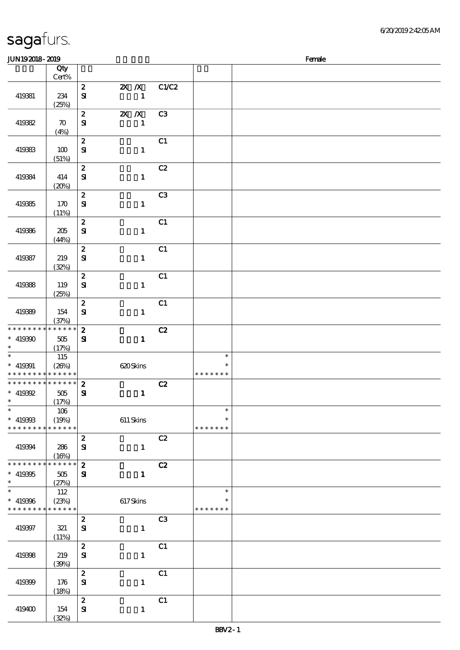|                                                                                      | Qty                         |                                  |                                |                                                 |  |
|--------------------------------------------------------------------------------------|-----------------------------|----------------------------------|--------------------------------|-------------------------------------------------|--|
|                                                                                      | Cert%                       |                                  |                                |                                                 |  |
| 419381                                                                               | 234<br>(25%)                | $\mathbf{z}$<br>${\bf s}$        | 2X / X C1/C2<br>$\mathbf{1}$   |                                                 |  |
| 419382                                                                               | $\boldsymbol{\pi}$          | $\mathbf{z}$<br>${\bf s}$        | <b>2X X</b> C3<br>$\mathbf{1}$ |                                                 |  |
|                                                                                      | (4%)                        | $\boldsymbol{z}$                 | C1                             |                                                 |  |
| 419383                                                                               | 100<br>(51%)                | ${\bf S\!I}$                     | $\mathbf{1}$                   |                                                 |  |
| 419384                                                                               | 414<br>(20%)                | $\boldsymbol{2}$<br>$\mathbf{S}$ | C2<br>$\mathbf{1}$             |                                                 |  |
| 419385                                                                               | 170<br>(11%)                | $\boldsymbol{z}$<br>${\bf s}$    | C <sub>3</sub><br>$\mathbf{1}$ |                                                 |  |
| 419386                                                                               | 205<br>(44%)                | $\boldsymbol{z}$<br>${\bf S}$    | C1<br>$\mathbf{1}$             |                                                 |  |
|                                                                                      |                             | $\boldsymbol{2}$                 | C1                             |                                                 |  |
| 419387                                                                               | 219<br>(32%)                | $\mathbf{S}$                     | $\mathbf{1}$                   |                                                 |  |
|                                                                                      |                             | $\boldsymbol{z}$                 | C1                             |                                                 |  |
| 419388                                                                               | 119<br>(25%)                | $\mathbf{S}$                     | $\mathbf{1}$                   |                                                 |  |
| 419389                                                                               | 154<br>(37%)                | $\boldsymbol{z}$<br>$\mathbf{S}$ | C1<br>$\mathbf{1}$             |                                                 |  |
| * * * * * * * * * * * * * *                                                          |                             | $\boldsymbol{2}$                 | C2                             |                                                 |  |
| $* 419300$<br>$\ast$                                                                 | 505<br>(17%)                | ${\bf s}$                        | $\mathbf{1}$                   |                                                 |  |
| $\overline{\phantom{1}}$<br>$* 419391$<br>* * * * * * * * <mark>* * * * * * *</mark> | 115<br>(20%)                | 620 Skins                        |                                | $\ast$<br>* * * * * * *                         |  |
| *************** 2                                                                    |                             |                                  | C2                             |                                                 |  |
| $* 419392$<br>$\ast$                                                                 | 505<br>(17%)                | ${\bf s}$                        | $\mathbf{1}$                   |                                                 |  |
| ∗<br>$* 419303$<br>* * * * * * * *                                                   | 106<br>(19%)<br>* * * * * * | $611$ Skins                      |                                | $\ddot{\phantom{1}}$<br>$\ast$<br>* * * * * * * |  |
|                                                                                      |                             | $\boldsymbol{2}$                 | C2                             |                                                 |  |
| 419394                                                                               | 286<br>(16%)                | $\bf S\!I$                       | $\mathbf{1}$                   |                                                 |  |
| * * * * * * * *<br>$* 419395$<br>$\ast$                                              | * * * * * *<br>505<br>(27%) | $\boldsymbol{2}$<br>$\mathbf{S}$ | C2<br>$\mathbf{1}$             |                                                 |  |
| $\ast$                                                                               | 112                         |                                  |                                | $\ast$                                          |  |
| $* 419366$<br>* * * * * * * *                                                        | (23%)<br>* * * * * *        | 617Skins                         |                                | $\ast$<br>* * * * * * *                         |  |
| 419397                                                                               | 321<br>(11%)                | $\boldsymbol{2}$<br>$\mathbf{S}$ | C <sub>3</sub><br>$\mathbf{1}$ |                                                 |  |
| 419398                                                                               | 219<br>(30%)                | $\pmb{2}$<br>$\mathbf{S}$        | C1<br>$\mathbf{1}$             |                                                 |  |
| 419399                                                                               | 176<br>(18%)                | $\pmb{2}$<br>${\bf s}$           | C1<br>$\mathbf{1}$             |                                                 |  |
| 419400                                                                               | 154<br>(32%)                | $\boldsymbol{2}$<br>$\bf S\!I$   | C1<br>$\mathbf{1}$             |                                                 |  |

 $JUN192018 - 2019$  Female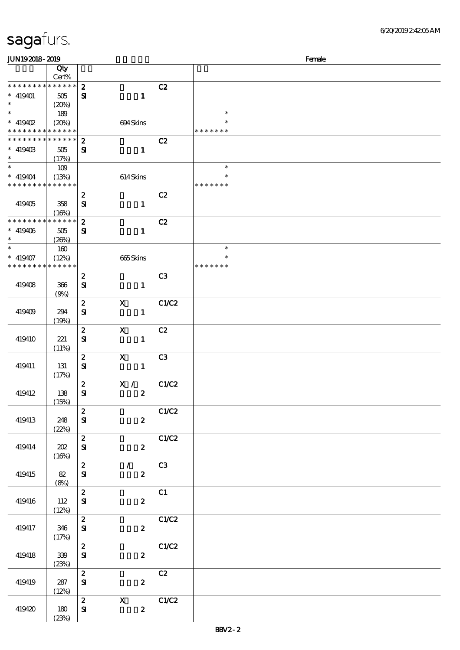| sagafurs. |  |  |
|-----------|--|--|
|           |  |  |

| Female<br><b>JUN192018-2019</b>                                  |                                 |                                  |                                           |                   |                                   |  |  |
|------------------------------------------------------------------|---------------------------------|----------------------------------|-------------------------------------------|-------------------|-----------------------------------|--|--|
|                                                                  | Qty<br>Cert%                    |                                  |                                           |                   |                                   |  |  |
| * * * * * * * *<br>$* 419401$<br>$\ast$                          | * * * * * *<br>505<br>(20%)     | $\boldsymbol{z}$<br>$\mathbf{S}$ | $\mathbf{1}$                              | C2                |                                   |  |  |
| $\ast$<br>$*$ 419402<br>* * * * * * * * <mark>* * * * * *</mark> | 189<br>(20%)                    |                                  | 694Skins                                  |                   | $\ast$<br>$\ast$<br>* * * * * * * |  |  |
| * * * * * * * *<br>$* 41940B$<br>$\ast$                          | * * * * * *<br>$505\,$<br>(17%) | $\boldsymbol{z}$<br>$\mathbf{S}$ | $\mathbf{1}$                              | C2                |                                   |  |  |
| $\overline{\ast}$<br>$* 419404$<br>* * * * * * * * * * * * * *   | 109<br>(13%)                    |                                  | 614Skins                                  |                   | $\ast$<br>$\ast$<br>* * * * * * * |  |  |
| 419405                                                           | 358<br>(16%)                    | $\boldsymbol{z}$<br>${\bf s}$    | $\mathbf{1}$                              | C2                |                                   |  |  |
| * * * * * * * *<br>$* 419406$<br>$\ast$                          | * * * * * *<br>$505\,$<br>(20%) | $\boldsymbol{z}$<br>${\bf s}$    | $\mathbf{1}$                              | C2                |                                   |  |  |
| $\overline{\phantom{a}^*}$<br>$* 419407$<br>* * * * * * * *      | 160<br>(12%)<br>* * * * * *     |                                  | 665Skins                                  |                   | $\ast$<br>$\ast$<br>* * * * * * * |  |  |
| 419408                                                           | 366<br>(9%)                     | $\boldsymbol{2}$<br>${\bf s}$    | $\mathbf{1}$                              | C <sub>3</sub>    |                                   |  |  |
| 419409                                                           | 294<br>(19%)                    | $\boldsymbol{z}$<br>$\mathbf{S}$ | $\mathbf X$<br>$\mathbf{1}$               | C1/C2             |                                   |  |  |
| 419410                                                           | 221<br>(11%)                    | $\boldsymbol{z}$<br>$\mathbf{S}$ | $\mathbf X$<br>$\mathbf{1}$               | C2                |                                   |  |  |
| 419411                                                           | 131<br>(17%)                    | $\boldsymbol{z}$<br>${\bf s}$    | $\boldsymbol{\mathsf{X}}$<br>$\mathbf{1}$ | C <sub>3</sub>    |                                   |  |  |
| 419412                                                           | 138<br>(15%)                    | $\boldsymbol{2}$<br>$\mathbf{S}$ | X /<br>$\boldsymbol{z}$                   | C1/C2             |                                   |  |  |
| 419413                                                           | 248<br>(22%)                    | $\boldsymbol{z}$<br>${\bf S}$    | $\boldsymbol{z}$                          | C1/C2             |                                   |  |  |
| 419414                                                           | 202<br>(16%)                    | $\boldsymbol{z}$<br>${\bf s}$    | $\mathbf{2}$                              | C1/C2             |                                   |  |  |
| 419415                                                           | 82<br>(8%)                      | $\boldsymbol{z}$<br>$\mathbf{S}$ | $\mathcal{L}$<br>$\boldsymbol{z}$         | C3                |                                   |  |  |
| 419416                                                           | 112<br>(12%)                    | $\boldsymbol{z}$<br>${\bf S}$    | $\boldsymbol{z}$                          | C1                |                                   |  |  |
| 419417                                                           | 346<br>(17%)                    | $\boldsymbol{z}$<br>${\bf s}$    | $\mathbf{z}$                              | C1/C2             |                                   |  |  |
| 419418                                                           | 339<br>(23%)                    | $\boldsymbol{z}$<br>${\bf s}$    | $\mathbf{z}$                              | C1/C2             |                                   |  |  |
| 419419                                                           | 287<br>(12%)                    | $\boldsymbol{z}$<br>${\bf s}$    | $\mathbf{2}$                              | C2                |                                   |  |  |
| 419420                                                           | 180<br>(23%)                    | $\boldsymbol{z}$<br>${\bf s}$    | $\mathbf{x}$<br>$\boldsymbol{z}$          | $\overline{C1}C2$ |                                   |  |  |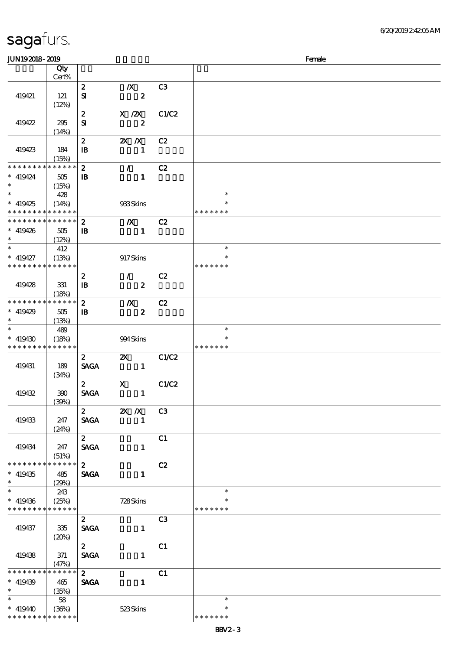| JUN192018-2019           |                 |                  |                                                |                |               | Female |
|--------------------------|-----------------|------------------|------------------------------------------------|----------------|---------------|--------|
|                          | Qty             |                  |                                                |                |               |        |
|                          | Cert%           |                  |                                                |                |               |        |
|                          |                 | $\boldsymbol{z}$ | $\boldsymbol{X}$                               | C <sub>3</sub> |               |        |
| 419421                   | 121             | ${\bf s}$        | $\boldsymbol{z}$                               |                |               |        |
|                          | (12%)           |                  |                                                |                |               |        |
|                          |                 | $\boldsymbol{z}$ | X / ZX                                         | C1/C2          |               |        |
| 419422                   | 295             | ${\bf s}$        | $\boldsymbol{z}$                               |                |               |        |
|                          | (14%)           |                  |                                                |                |               |        |
|                          |                 | $\boldsymbol{z}$ | $X$ $N$                                        | C2             |               |        |
| 419423                   | 184             | $\mathbf{B}$     | $\mathbf{1}$                                   |                |               |        |
|                          | (15%)           |                  |                                                |                |               |        |
| * * * * * * * *          | $******$        | $\boldsymbol{z}$ | $\mathcal{L}$                                  | C2             |               |        |
| $* 419424$               | 505             | $\mathbf{B}$     | $\mathbf{1}$                                   |                |               |        |
| $\ast$                   | (15%)           |                  |                                                |                |               |        |
| $\overline{\phantom{0}}$ | 428             |                  |                                                |                | $\ast$        |        |
| $*$ 419425               | (14%)           |                  | 933Skins                                       |                | $\ast$        |        |
| * * * * * * * *          | $* * * * * * *$ |                  |                                                |                | * * * * * * * |        |
| * * * * * * * *          | $* * * * * * *$ | $\boldsymbol{z}$ | $\boldsymbol{X}$                               | C2             |               |        |
| $* 419426$               | 505             | $\mathbf{B}$     | $\mathbf{1}$                                   |                |               |        |
| $\ast$                   | (12%)           |                  |                                                |                |               |        |
| $\ast$                   | 412             |                  |                                                |                | $\ast$        |        |
| $* 419427$               | (13%)           |                  | 917Skins                                       |                | $\ast$        |        |
| * * * * * * * *          | $* * * * * * *$ |                  |                                                |                | * * * * * * * |        |
|                          |                 | $\boldsymbol{z}$ | $\mathcal{F}$                                  | C2             |               |        |
| 419428                   | 331             | $\mathbf{B}$     | $\boldsymbol{z}$                               |                |               |        |
|                          | (18%)           |                  |                                                |                |               |        |
| * * * * * * * *          | $***$ * * * * * | $\boldsymbol{z}$ | $\boldsymbol{X}$                               | C2             |               |        |
| $*$ 419429               | 505             | $\mathbf{B}$     | $\boldsymbol{z}$                               |                |               |        |
| $\ast$                   | (13%)           |                  |                                                |                |               |        |
| $\ast$                   | 489             |                  |                                                |                | $\ast$        |        |
| $* 419430$               | (18%)           |                  | 994Skins                                       |                |               |        |
| * * * * * * * *          | * * * * * *     |                  |                                                |                | * * * * * * * |        |
|                          |                 | $\boldsymbol{2}$ | $\mathbf{x}$                                   | C1/C2          |               |        |
| 419431                   | 189             | <b>SAGA</b>      | $\blacksquare$                                 |                |               |        |
|                          | (34%)           |                  |                                                |                |               |        |
|                          |                 | $\mathbf{2}$     | $\mathbf X$                                    | C1/C2          |               |        |
| 419432                   | 390             | <b>SAGA</b>      | $\mathbf{1}$                                   |                |               |        |
|                          | (30%)           |                  |                                                |                |               |        |
|                          |                 |                  | 2 $\overline{2}$ $\overline{2}$ $\overline{X}$ | C3             |               |        |
| 419433                   | 247             | <b>SAGA</b>      | $\mathbf{1}$                                   |                |               |        |
|                          | (24%)           |                  |                                                |                |               |        |
|                          |                 | $2^{-}$          |                                                | C1             |               |        |
| 419434                   | 247             | SAGA             | $\mathbf{1}$                                   |                |               |        |
|                          | (51%)           |                  |                                                |                |               |        |
| * * * * * * * *          | * * * * * *     | $\mathbf{z}$     |                                                | C2             |               |        |
| $* 419435$               | 485             | <b>SAGA</b>      | $\mathbf{1}$                                   |                |               |        |
| $\ast$                   | (29%)           |                  |                                                |                |               |        |
| $\overline{\ast}$        | 243             |                  |                                                |                | $\ast$        |        |
| $* 419436$               | (25%)           |                  | 728Skins                                       |                | $\ast$        |        |
| * * * * * * * *          | * * * * * *     |                  |                                                |                | * * * * * * * |        |
|                          |                 | $\mathbf{2}$     |                                                | C <sub>3</sub> |               |        |
| 419437                   | 335             | <b>SAGA</b>      | $\mathbf{1}$                                   |                |               |        |
|                          | (20%)           |                  |                                                |                |               |        |
|                          |                 | $\mathbf{2}$     |                                                | C1             |               |        |
| 419438                   | 371             | <b>SAGA</b>      | $\mathbf{1}$                                   |                |               |        |
|                          | (47%)           |                  |                                                |                |               |        |
| * * * * * * * *          | * * * * * *     | $\mathbf{2}$     |                                                | C1             |               |        |
| $* 419439$               | 465             | <b>SAGA</b>      | $\mathbf{1}$                                   |                |               |        |
| $\ast$                   | (35%)           |                  |                                                |                |               |        |
| $\ast$                   | 58              |                  |                                                |                | $\ast$        |        |
| $* 419440$               | (36%)           |                  | 523Skins                                       |                | $\ast$        |        |
| * * * * * * * *          | * * * * * *     |                  |                                                |                | * * * * * * * |        |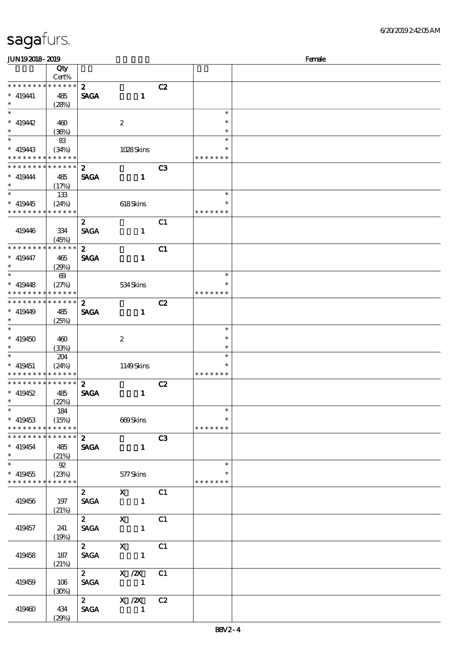| JUN192018-2019                |                       |                  |                                                           |                |               | Female |
|-------------------------------|-----------------------|------------------|-----------------------------------------------------------|----------------|---------------|--------|
|                               | Qty                   |                  |                                                           |                |               |        |
|                               | Cert%                 |                  |                                                           |                |               |        |
| * * * * * * * *               | * * * * * *           | $\mathbf{z}$     |                                                           | C2             |               |        |
| $* 419441$                    | 485                   | <b>SAGA</b>      | $\mathbf{1}$                                              |                |               |        |
| $\ast$                        | (28%)                 |                  |                                                           |                |               |        |
|                               |                       |                  |                                                           |                | $\ast$        |        |
| $* 419442$                    | 460                   |                  | $\boldsymbol{2}$                                          |                | $\ast$        |        |
| $\ast$                        |                       |                  |                                                           |                | $\ast$        |        |
|                               | (36%)                 |                  |                                                           |                | $\ast$        |        |
|                               | 83                    |                  |                                                           |                |               |        |
| $* 419443$                    | (34%)                 |                  | 1028Skins                                                 |                |               |        |
| * * * * * * * *               | * * * * * *           |                  |                                                           |                | * * * * * * * |        |
| * * * * * * * *               | * * * * * *           | $\boldsymbol{z}$ |                                                           | C3             |               |        |
| $*$ 419444                    | 485                   | <b>SAGA</b>      | $\mathbf{1}$                                              |                |               |        |
| $\ast$                        | (17%)                 |                  |                                                           |                |               |        |
|                               | 133                   |                  |                                                           |                | $\ast$        |        |
| $* 419445$                    | (24%)                 |                  | 618Skins                                                  |                | $\ast$        |        |
| * * * * * * * *               | * * * * * *           |                  |                                                           |                | * * * * * * * |        |
|                               |                       | $\mathbf{2}$     |                                                           | C <sub>1</sub> |               |        |
| 419446                        | 334                   | <b>SAGA</b>      | $\mathbf{1}$                                              |                |               |        |
|                               | (45%)                 |                  |                                                           |                |               |        |
| * * * * * * * *               | * * * * * *           | $\mathbf{z}$     |                                                           | C1             |               |        |
|                               |                       |                  |                                                           |                |               |        |
| $* 419447$<br>$\ast$          | 465                   | <b>SAGA</b>      | $\mathbf{1}$                                              |                |               |        |
| $\ast$                        | (29%)                 |                  |                                                           |                |               |        |
|                               | $\boldsymbol{\omega}$ |                  |                                                           |                | $\ast$        |        |
| $* 419448$                    | (27%)                 |                  | 534Skins                                                  |                | $\ast$        |        |
| * * * * * * * *               | * * * * * *           |                  |                                                           |                | * * * * * * * |        |
| * * * * * * * *               | * * * * * *           | $\boldsymbol{z}$ |                                                           | C2             |               |        |
| $* 419449$                    | 485                   | <b>SAGA</b>      | $\mathbf{1}$                                              |                |               |        |
| $\ast$                        | (25%)                 |                  |                                                           |                |               |        |
| $\ast$                        |                       |                  |                                                           |                | $\ast$        |        |
| $* 419450$                    | 460                   |                  | $\boldsymbol{2}$                                          |                | $\ast$        |        |
| $\ast$                        | (33%)                 |                  |                                                           |                | $\ast$        |        |
| $\ast$                        | 204                   |                  |                                                           |                | $\ast$        |        |
| $* 419451$                    | (24%)                 |                  | 1149Skins                                                 |                | $\ast$        |        |
| * * * * * * * *               | * * * * * *           |                  |                                                           |                | * * * * * * * |        |
| * * * * * * * *               | * * * * * *           |                  |                                                           |                |               |        |
|                               |                       | $\boldsymbol{z}$ |                                                           | C2             |               |        |
| $* 419452$                    | 485                   | <b>SAGA</b>      | $\mathbf{1}$                                              |                |               |        |
| $\ast$ $\qquad$               | (22%)                 |                  |                                                           |                |               |        |
| $\ast$                        | 184                   |                  |                                                           |                | $\ast$        |        |
| $* 419453$                    | (15%)                 |                  | 669Skins                                                  |                |               |        |
| * * * * * * * *               | $***$ * * * * *       |                  |                                                           |                | * * * * * * * |        |
| * * * * * * * * * * * * * * * |                       | $\mathbf{2}$     |                                                           | C3             |               |        |
| $* 419454$                    | 485                   |                  | SAGA 1                                                    |                |               |        |
| $\ddot{x}$                    | (21%)                 |                  |                                                           |                |               |        |
|                               | $\mathfrak{D}$        |                  |                                                           |                | $\ast$        |        |
| $* 419455$                    | (23%)                 |                  | 577 Skins                                                 |                |               |        |
| * * * * * * * *               | $* * * * * * *$       |                  |                                                           |                | * * * * * * * |        |
|                               |                       |                  | 2 X C1                                                    |                |               |        |
|                               |                       |                  | SAGA 1                                                    |                |               |        |
| 419456                        | 197                   |                  |                                                           |                |               |        |
|                               | (21%)                 |                  |                                                           |                |               |        |
|                               |                       |                  | 2 X C1                                                    |                |               |        |
| 419457                        | 241                   |                  | SAGA 1                                                    |                |               |        |
|                               | (19%)                 |                  |                                                           |                |               |        |
|                               |                       |                  | $\begin{array}{ccc} 2 & X & C1 \\ SAGA & 1 & \end{array}$ |                |               |        |
| 419458                        | 187                   |                  |                                                           |                |               |        |
|                               | (21%)                 |                  |                                                           |                |               |        |
|                               |                       |                  | $\overline{z}$ X $\overline{z}$                           | C1             |               |        |
| 419459                        | 106                   |                  | SAGA 1                                                    |                |               |        |
|                               | (30%)                 |                  |                                                           |                |               |        |
|                               |                       |                  | 2 $X / 2X$                                                | C2             |               |        |
|                               |                       | <b>SAGA</b>      |                                                           |                |               |        |
| 419460                        | 434                   |                  |                                                           |                |               |        |
|                               | (29%)                 |                  |                                                           |                |               |        |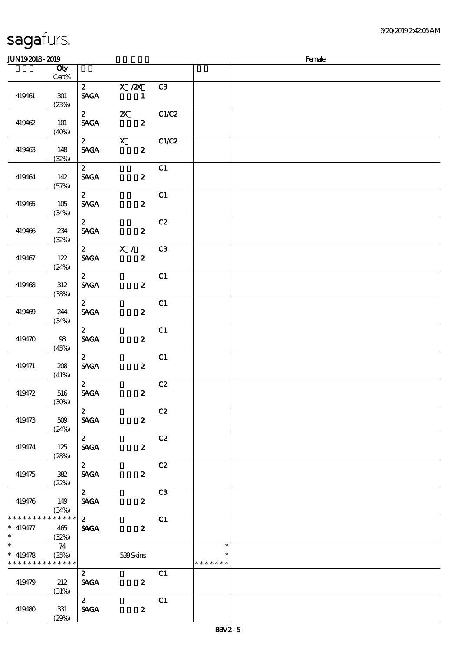| <b>saga</b> furs. |  |
|-------------------|--|
|                   |  |

419480 331

(29%)

SAGA 2

顺序号 Qty

#### Cert%  $\overline{2}$  X  $\overline{2}$  C3 419461 301 SAGA 1  $(23%)$ 2 2X C1/C2 SAGA 2 419462 101  $(40%)$ 2  $X$  C1/C2 SAGA 2 419463 148 (32%)  $\overline{2}$  C1 SAGA 2 419464 142 (57%)  $2$  C1 419465 105  $SAGA$  2 (34%)  $2$  C2 419466 234  $SAGA$  2 (32%)  $2$  X / C3 419467 122  $SAGA$  2 (24%)  $\overline{c}$   $\overline{c}$   $\overline{c}$   $\overline{c}$   $\overline{c}$   $\overline{c}$   $\overline{c}$   $\overline{c}$   $\overline{c}$   $\overline{c}$   $\overline{c}$   $\overline{c}$   $\overline{c}$   $\overline{c}$   $\overline{c}$   $\overline{c}$   $\overline{c}$   $\overline{c}$   $\overline{c}$   $\overline{c}$   $\overline{c}$   $\overline{c}$   $\overline{c}$   $\overline{c}$   $\overline{$ 419468 312 SAGA 2 (38%)  $\overline{c}$  2 c1 419469 244  $SAGA$  2 (34%)  $2$  C1  $SAGA$  2 419470 98 (45%)  $2$  C1 419471 208 SAGA 2  $(41%)$  $\overline{c}$   $\overline{c}$   $\overline{c}$   $\overline{c}$   $\overline{c}$   $\overline{c}$   $\overline{c}$   $\overline{c}$   $\overline{c}$   $\overline{c}$   $\overline{c}$   $\overline{c}$   $\overline{c}$   $\overline{c}$   $\overline{c}$   $\overline{c}$   $\overline{c}$   $\overline{c}$   $\overline{c}$   $\overline{c}$   $\overline{c}$   $\overline{c}$   $\overline{c}$   $\overline{c}$   $\overline{$ 419472 516  $SAGA$  2 (30%)  $\overline{c}$   $\overline{c}$   $\overline{c}$   $\overline{c}$   $\overline{c}$   $\overline{c}$   $\overline{c}$   $\overline{c}$   $\overline{c}$   $\overline{c}$   $\overline{c}$   $\overline{c}$   $\overline{c}$   $\overline{c}$   $\overline{c}$   $\overline{c}$   $\overline{c}$   $\overline{c}$   $\overline{c}$   $\overline{c}$   $\overline{c}$   $\overline{c}$   $\overline{c}$   $\overline{c}$   $\overline{$  $SAGA$  2 419473 509 (24%)  $2$  C<sub>2</sub>  $SAGA$  2 419474 125 (28%) 2 C2  $SAGA$  2 419475 382 (22%)  $2 \hspace{1.5cm} C3$ 419476 149 SAGA 2 (34%)  $\overline{2}$  C1 \* \* \* \* \* \* \* \* \* \* \* \* \*  $\ast$ 419477 465  $SAGA$  2 \*\* (32%) \*  $*$  419478 74  $\ast$ \*\* (35%) 539 Skins  $\ast$ \* \* \* \* \* \* \* \* \* \* \* \* \* \* \* \* \* \* \*  $\overline{c}$   $\overline{c}$   $\overline{c}$   $\overline{c}$   $\overline{c}$   $\overline{c}$   $\overline{c}$   $\overline{c}$   $\overline{c}$   $\overline{c}$   $\overline{c}$   $\overline{c}$   $\overline{c}$   $\overline{c}$   $\overline{c}$   $\overline{c}$   $\overline{c}$   $\overline{c}$   $\overline{c}$   $\overline{c}$   $\overline{c}$   $\overline{c}$   $\overline{c}$   $\overline{c}$   $\overline{$  $SAGA$  2 419479 212 (31%)  $2 \hspace{1.5cm} C1$

JUN192018-2019 Female

说明 价格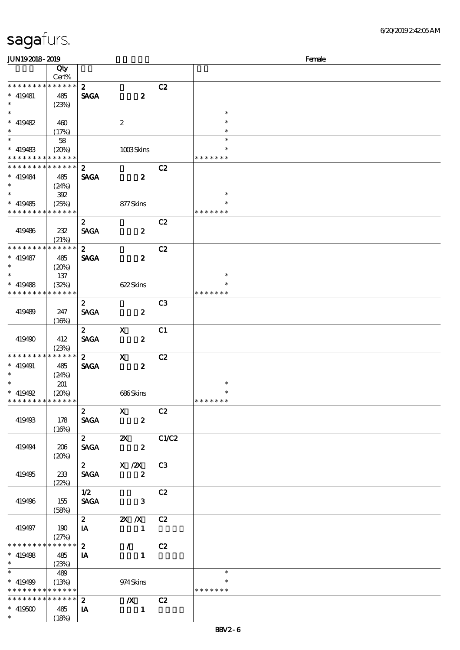| <b>JUN192018-2019</b>                                               |                                 |                                 |                                               |                |                                   | Female |
|---------------------------------------------------------------------|---------------------------------|---------------------------------|-----------------------------------------------|----------------|-----------------------------------|--------|
|                                                                     | Qty<br>Cert%                    |                                 |                                               |                |                                   |        |
| * * * * * * * * * * * * * *<br>$*$ 419481<br>$\ast$                 | 485<br>(23%)                    | $\mathbf{z}$<br><b>SAGA</b>     | $\boldsymbol{z}$                              | C2             |                                   |        |
| $\ast$<br>$* 419482$<br>$\ast$                                      | 460<br>(17%)                    |                                 | $\boldsymbol{2}$                              |                | $\ast$<br>$\ast$<br>$\ast$        |        |
| $\overline{\ast}$<br>$* 419483$<br>* * * * * * * * * * * * * *      | 58<br>(20%)                     |                                 | $1008$ Skins                                  |                | $\ast$<br>* * * * * * *           |        |
| * * * * * * * *<br>$* 419484$<br>$\ast$                             | $* * * * * * *$<br>485<br>(24%) | $\boldsymbol{z}$<br><b>SAGA</b> | $\boldsymbol{z}$                              | C2             |                                   |        |
| $\ast$<br>$* 419485$<br>* * * * * * * * * * * * * *                 | 392<br>(25%)                    |                                 | 877Skins                                      |                | $\ast$<br>∗<br>* * * * * * *      |        |
| 419486                                                              | 232<br>(21%)                    | $\boldsymbol{z}$<br><b>SAGA</b> | $\boldsymbol{z}$                              | C2             |                                   |        |
| * * * * * * * * * * * * * *<br>$*$ 419487<br>$\ast$<br>$\ast$       | 485<br>(20%)                    | $\boldsymbol{z}$<br><b>SAGA</b> | $\boldsymbol{z}$                              | C2             |                                   |        |
| $*$ 419488<br>* * * * * * * *                                       | 137<br>(32%)<br>* * * * * *     |                                 | 622Skins                                      |                | $\ast$<br>$\ast$<br>* * * * * * * |        |
| 419489                                                              | 247<br>(16%)                    | $\mathbf{z}$<br><b>SAGA</b>     | $\boldsymbol{z}$                              | C <sub>3</sub> |                                   |        |
| 419490                                                              | 412<br>(23%)                    | $\mathbf{z}$<br><b>SAGA</b>     | $\mathbf X$<br>$\boldsymbol{z}$               | C1             |                                   |        |
| * * * * * * * *<br>$* 419491$<br>$\ast$                             | * * * * * *<br>485<br>(24%)     | $\mathbf{2}$<br><b>SAGA</b>     | $\boldsymbol{\mathsf{X}}$<br>$\boldsymbol{z}$ | C2             |                                   |        |
| $\ast$<br>$* 419492$<br>* * * * * * * * * * * * * * *               | 201<br>(20%)                    |                                 | 686Skins                                      |                | $\ast$<br>$\ast$<br>* * * * * * * |        |
| 419493                                                              | 178<br>(16%)                    | $\boldsymbol{2}$<br><b>SAGA</b> | $\mathbf{x}$<br>$\boldsymbol{z}$              | C2             |                                   |        |
| 419494                                                              | 206<br>(20%)                    | $\mathbf{2}$<br><b>SAGA</b>     | $\boldsymbol{\mathsf{X}}$<br>$\boldsymbol{2}$ | C1/C2          |                                   |        |
| 419495                                                              | 233<br>(22%)                    | $\mathbf{2}$<br><b>SAGA</b>     | X / ZX<br>$\boldsymbol{z}$                    | C3             |                                   |        |
| 419496                                                              | 155<br>(58%)                    | 1/2<br><b>SAGA</b>              | $\mathbf{3}$                                  | C2             |                                   |        |
| 419497                                                              | 190<br>(27%)                    | $\mathbf{2}$<br>IA              | 2X / X<br>$\overline{\phantom{a}}$            | C2             |                                   |        |
| * * * * * * * *<br>$* 419498$<br>$\ast$<br>$\overline{\phantom{0}}$ | * * * * * *<br>485<br>(23%)     | $\mathbf{2}$<br>IA              | $\mathcal{L} = \mathcal{L}$<br>$\mathbf{1}$   | C2             |                                   |        |
| $* 419499$<br>* * * * * * * * * * * * * *                           | 489<br>(13%)                    |                                 | 974 Skins                                     |                | $\ast$<br>∗<br>* * * * * * *      |        |
| * * * * * * * * * * * * * * *<br>$* 419500$<br>$\ast$               | 485<br>(18%)                    | $\mathbf{z}$<br>IA              | $\boldsymbol{X}$<br>$\blacksquare$            | C2             |                                   |        |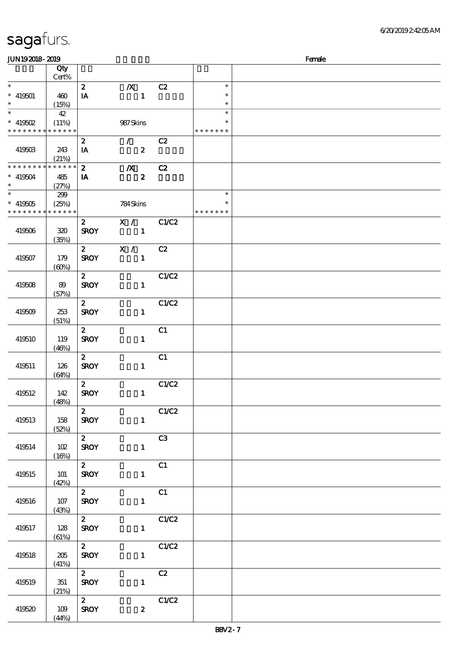| JUN192018-2019                             |                 |                         |                             |       |               | Female |
|--------------------------------------------|-----------------|-------------------------|-----------------------------|-------|---------------|--------|
|                                            | Qty             |                         |                             |       |               |        |
|                                            | Cert%           |                         |                             |       |               |        |
| $\ast$                                     |                 | $\mathbf{z}$            | $\boldsymbol{X}$            | C2    | $\ast$        |        |
| $* 419501$                                 | 460             | IA                      | $\mathbf{1}$                |       | $\ast$        |        |
| $\ast$                                     | (15%)           |                         |                             |       | $\ast$        |        |
| $\overline{\ast}$                          | 42              |                         |                             |       | $\ast$        |        |
| $*$ 419502                                 | (11%)           |                         | 987Skins                    |       | $\ast$        |        |
| * * * * * * * * * * * * * * *              |                 |                         |                             |       | * * * * * * * |        |
|                                            |                 | $\boldsymbol{z}$        | $\mathcal{F}^{\mathcal{F}}$ | C2    |               |        |
| 419503                                     | 243             | IA                      | $\boldsymbol{z}$            |       |               |        |
|                                            | (21%)           |                         |                             |       |               |        |
| * * * * * * * *                            | $* * * * * * *$ | $\boldsymbol{z}$        | $\boldsymbol{X}$            | C2    |               |        |
| $* 419504$                                 | 485             | IA                      | $\boldsymbol{z}$            |       |               |        |
| $\ast$                                     | (27%)           |                         |                             |       |               |        |
|                                            | 239             |                         |                             |       | $\ast$        |        |
| $* 419505$                                 | (25%)           |                         | 784Skins                    |       | $\ast$        |        |
| * * * * * * * * <mark>* * * * * * *</mark> |                 |                         |                             |       | * * * * * * * |        |
|                                            |                 | $\mathbf{2}$            | X /                         | C1/C2 |               |        |
| 419506                                     | 320             | <b>SROY</b>             | $\overline{\phantom{a}}$    |       |               |        |
|                                            | (35%)           |                         |                             |       |               |        |
|                                            |                 | $\mathbf{z}$            | X /                         | C2    |               |        |
| 419507                                     | 179             | <b>SROY</b>             | $\mathbf{1}$                |       |               |        |
|                                            | (60%)           |                         |                             |       |               |        |
|                                            |                 | $\mathbf{2}$            |                             | C1/C2 |               |        |
| 419508                                     | 89              | <b>SROY</b>             | $\mathbf{1}$                |       |               |        |
|                                            | (57%)           |                         |                             |       |               |        |
|                                            |                 | $\mathbf{2}$            |                             | C1/C2 |               |        |
| 419509                                     | 253             | <b>SROY</b>             | $\mathbf{1}$                |       |               |        |
|                                            | (51%)           |                         |                             |       |               |        |
|                                            |                 | $\boldsymbol{z}$        |                             | C1    |               |        |
| 419510                                     | 119             | <b>SROY</b>             | $\mathbf{1}$                |       |               |        |
|                                            | (46%)           |                         |                             |       |               |        |
|                                            |                 | $\mathbf{2}$            |                             | C1    |               |        |
| 419511                                     | 126             | <b>SROY</b>             | $\mathbf{1}$                |       |               |        |
|                                            | (64%)           |                         |                             |       |               |        |
|                                            |                 | $\mathbf{2}$            |                             | C1/C2 |               |        |
| 419512                                     | 142             | <b>SROY</b>             | $\mathbf{1}$                |       |               |        |
|                                            | (48%)           |                         |                             |       |               |        |
|                                            |                 | $\overline{z}$          |                             | C1/C2 |               |        |
| 419513                                     | 158             | <b>SROY</b>             | $\mathbf{1}$                |       |               |        |
|                                            | (52%)           |                         |                             |       |               |        |
|                                            |                 | $\mathbf{2}$            |                             | C3    |               |        |
| 419514                                     | 102             | <b>SROY</b>             | $\mathbf{1}$                |       |               |        |
|                                            | (16%)           |                         |                             |       |               |        |
|                                            |                 | $\overline{\mathbf{z}}$ |                             | C1    |               |        |
| 419515                                     | 101             | <b>SROY</b>             | $\mathbf{1}$                |       |               |        |
|                                            | (42%)           |                         |                             | C1    |               |        |
|                                            | 107             | $\mathbf{2}$            | $\mathbf{1}$                |       |               |        |
| 419516                                     | (43%)           | <b>SROY</b>             |                             |       |               |        |
|                                            |                 | $\mathbf{2}$            |                             | C1/C2 |               |        |
| 419517                                     | 128             | <b>SROY</b>             | $\mathbf{1}$                |       |               |        |
|                                            | (61%)           |                         |                             |       |               |        |
|                                            |                 | $\overline{2}$          |                             | C1/C2 |               |        |
| 419518                                     | 205             | <b>SROY</b>             | $\mathbf{1}$                |       |               |        |
|                                            | (41%)           |                         |                             |       |               |        |
|                                            |                 | $2^{\sim}$              |                             | C2    |               |        |
| 419519                                     | 351             | <b>SROY</b>             | $\mathbf{1}$                |       |               |        |
|                                            | (21%)           |                         |                             |       |               |        |
|                                            |                 | $\mathbf{2}$            |                             | C1/C2 |               |        |
| 419520                                     | 109             | <b>SROY</b>             | $\boldsymbol{2}$            |       |               |        |
|                                            | (44%)           |                         |                             |       |               |        |
|                                            |                 |                         |                             |       |               |        |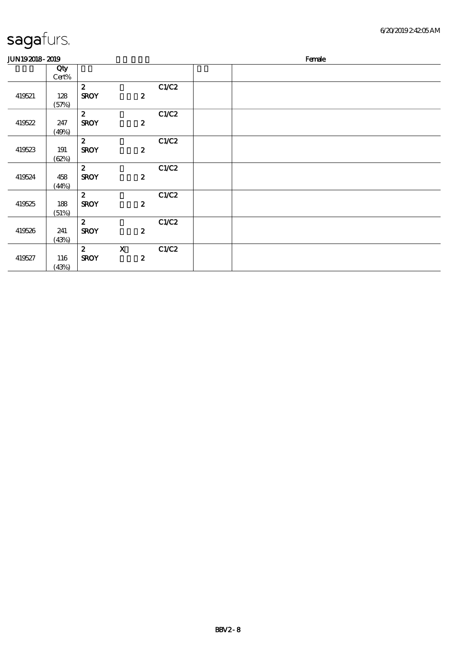| <b>JUN192018-2019</b> |       |                  |                  |       |  | Female |  |
|-----------------------|-------|------------------|------------------|-------|--|--------|--|
|                       | Qty   |                  |                  |       |  |        |  |
|                       | Cert% |                  |                  |       |  |        |  |
|                       |       | $\boldsymbol{z}$ |                  | C1/C2 |  |        |  |
| 419521                | 128   | <b>SROY</b>      | $\boldsymbol{z}$ |       |  |        |  |
|                       | (57%) |                  |                  |       |  |        |  |
|                       |       | $\boldsymbol{z}$ |                  | C1/C2 |  |        |  |
| 419522                | 247   | <b>SROY</b>      | $\boldsymbol{z}$ |       |  |        |  |
|                       | (49%) |                  |                  |       |  |        |  |
|                       |       | $\boldsymbol{z}$ |                  | C1/C2 |  |        |  |
| 419523                | 191   | <b>SROY</b>      | $\boldsymbol{z}$ |       |  |        |  |
|                       | (62%) |                  |                  |       |  |        |  |
|                       |       | $\boldsymbol{z}$ |                  | C1/C2 |  |        |  |
| 419524                | 458   | <b>SROY</b>      | $\boldsymbol{z}$ |       |  |        |  |
|                       | (44%) |                  |                  |       |  |        |  |
|                       |       | $\boldsymbol{z}$ |                  | C1/C2 |  |        |  |
| 419525                | 188   | <b>SROY</b>      | $\boldsymbol{z}$ |       |  |        |  |
|                       | (51%) |                  |                  |       |  |        |  |
|                       |       | $\mathbf{z}$     |                  | C1/C2 |  |        |  |
| 419526                | 241   | <b>SROY</b>      | $\boldsymbol{z}$ |       |  |        |  |
|                       | (43%) |                  |                  |       |  |        |  |
|                       |       | $\boldsymbol{z}$ | $\mathbf X$      | C1/C2 |  |        |  |
| 419527                | 116   | <b>SROY</b>      | $\boldsymbol{z}$ |       |  |        |  |
|                       | (43%) |                  |                  |       |  |        |  |
|                       |       |                  |                  |       |  |        |  |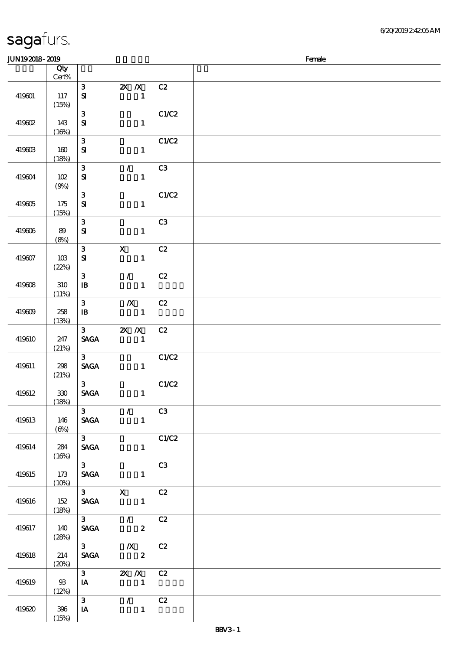| <b>JUN192018-2019</b> |                  |                                            |                                                                              |                       | Female |
|-----------------------|------------------|--------------------------------------------|------------------------------------------------------------------------------|-----------------------|--------|
|                       | Qty<br>$Cert\%$  |                                            |                                                                              |                       |        |
| 419601                | 117<br>(15%)     | $\mathbf{3}$<br>$\bf S\!I$                 | $\mathbf{X}$ $\mathbf{X}$<br>$\mathbf{1}$                                    | C2                    |        |
| 419602                | 143<br>(16%)     | 3<br>$\mathbf{S}$                          | $\mathbf{1}$                                                                 | C1/C2                 |        |
| 419603                | 160<br>(18%)     | $\mathbf{3}$<br>$\mathbf{S}$               | $\mathbf{1}$                                                                 | C1/C2                 |        |
| 419604                | 102<br>(9%)      | $\mathbf{3}$<br>$\bf S\!I$                 | $\mathcal{L}$<br>$\mathbf{1}$                                                | C3                    |        |
| 419605                | 175<br>(15%)     | $\mathbf{3}$<br>${\bf s}$                  | $\mathbf{1}$                                                                 | C1/C2                 |        |
| 419606                | 89<br>(8%)       | ${\bf 3}$<br>$\mathbf{S}$                  | $\mathbf{1}$                                                                 | C3                    |        |
| 419607                | 10B<br>(22%)     | ${\bf 3}$<br>$\mathbf{S}$                  | $\mathbf X$<br>$\mathbf{1}$                                                  | C2                    |        |
| 419608                | 310<br>(11%)     | 3<br>$\, {\bf I} \! {\bf B} \,$            | $\mathcal{L}$<br>$\mathbf{1}$                                                | C2                    |        |
| 419609                | 258<br>(13%)     | $\mathbf{3}$<br>$\, {\bf I} \! {\bf B} \,$ | $\boldsymbol{X}$<br>$\mathbf{1}$                                             | C2                    |        |
| 419610                | 247<br>(21%)     | $3 -$<br><b>SAGA</b>                       | $X$ $X$<br>$\mathbf{1}$                                                      | C2                    |        |
| 419611                | 298<br>(21%)     | $3 -$<br><b>SAGA</b>                       | $\mathbf{1}$                                                                 | C1/C2                 |        |
| 419612                | $330\,$<br>(18%) | 3 <sub>1</sub><br><b>SAGA</b>              | $\mathbf{1}$                                                                 | C1/C2                 |        |
| 419613                | 146<br>(6%)      | 3 <sup>7</sup>                             | $\sqrt{C3}$<br><b>SAGA</b><br>$\mathbf{1}$                                   |                       |        |
| 419614                | 284<br>(16%)     | $\overline{3}$<br><b>SAGA</b>              |                                                                              | C1/C2<br>$\mathbf{1}$ |        |
| 419615                | 173<br>(10%)     | $\overline{\mathbf{3}}$<br><b>SAGA</b>     | $\mathbf{1}$                                                                 | C3                    |        |
| 419616                | 152<br>(18%)     |                                            | $\overline{3}$ $\overline{X}$ $\overline{C}$<br><b>SAGA</b><br>$\mathbf{1}$  |                       |        |
| 419617                | 140<br>(28%)     |                                            | $\overline{3}$ / $\overline{C2}$<br>SAGA 2                                   |                       |        |
| 419618                | 214<br>(20%)     |                                            | $\overline{\text{3}}$ $\overline{\text{X}}$ $\overline{\text{C2}}$<br>SAGA 2 |                       |        |
| 419619                | 93<br>(12%)      | $I$ <b>A</b>                               | 3 <b>2X</b> <i>X</i> C <sub>2</sub><br>$\sim$ $\sim$ 1                       |                       |        |
| 419620                | 396<br>(15%)     | 3 <sup>7</sup><br>IA                       | $\sqrt{C^2}$<br>$\blacksquare$                                               |                       |        |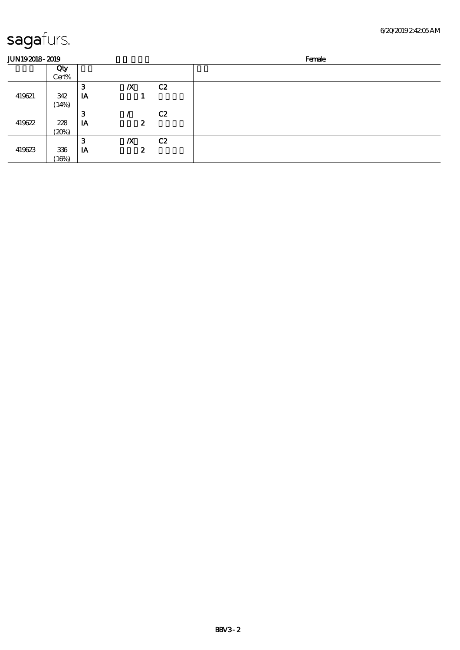| <b>JUN192018-2019</b> |       |    |                  |    | Female |
|-----------------------|-------|----|------------------|----|--------|
|                       | Qty   |    |                  |    |        |
|                       | Cert% |    |                  |    |        |
|                       |       | 3  | $\boldsymbol{X}$ | C2 |        |
| 419621                | 342   | IA |                  |    |        |
|                       | (14%) |    |                  |    |        |
|                       |       | З  |                  | C2 |        |
| 419622                | 228   | IA |                  | 2  |        |
|                       | (20%) |    |                  |    |        |
|                       |       | З  | $\boldsymbol{X}$ | C2 |        |
| 419623                | 336   | IA |                  | 2  |        |
|                       | (16%) |    |                  |    |        |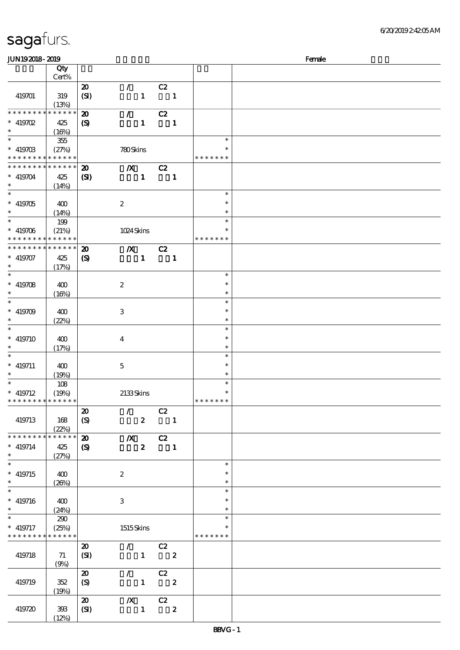| <b>JUN192018-2019</b>       |                      |                             |                                 |                            |                         |               | Female |
|-----------------------------|----------------------|-----------------------------|---------------------------------|----------------------------|-------------------------|---------------|--------|
|                             | Qty                  |                             |                                 |                            |                         |               |        |
|                             | Cert%                |                             |                                 |                            |                         |               |        |
|                             |                      | $\boldsymbol{\mathbf{z}}$   | $\mathcal{L}$                   | C2                         |                         |               |        |
| 419701                      | 319                  | (SI)                        | $\mathbf{1}$                    |                            | $\blacksquare$          |               |        |
|                             |                      |                             |                                 |                            |                         |               |        |
| * * * * * * * *             | (13%)<br>* * * * * * |                             |                                 |                            |                         |               |        |
|                             |                      | $\boldsymbol{\mathfrak{D}}$ | $\mathcal{L}$                   | C2                         |                         |               |        |
| $* 419702$                  | 425                  | $\boldsymbol{S}$            | $\mathbf{1}$                    |                            | $\mathbf{1}$            |               |        |
| $\ast$                      | (16%)                |                             |                                 |                            |                         |               |        |
|                             | 355                  |                             |                                 |                            |                         | $\ast$        |        |
| $* 41970B$                  | (27%)                |                             | 780Skins                        |                            |                         | *             |        |
| * * * * * * * *             | * * * * * *          |                             |                                 |                            |                         | * * * * * * * |        |
| * * * * * * * *             | * * * * * *          | $\boldsymbol{\mathfrak{D}}$ | $\boldsymbol{X}$                | C2                         |                         |               |        |
| $* 419704$                  | 425                  | (S)                         | $\mathbf{1}$                    |                            | $\blacksquare$          |               |        |
| $\ast$                      | (14%)                |                             |                                 |                            |                         |               |        |
| $\overline{\phantom{0}}$    |                      |                             |                                 |                            |                         | $\ast$        |        |
|                             |                      |                             |                                 |                            |                         | $\ast$        |        |
| $* 419705$                  | 400                  |                             | $\boldsymbol{2}$                |                            |                         | $\ast$        |        |
| $\ast$<br>$*$               | (14%)                |                             |                                 |                            |                         |               |        |
|                             | 199                  |                             |                                 |                            |                         | $\ast$        |        |
| $* 419706$                  | (21%)                |                             | 1024 Skins                      |                            |                         | $\ast$        |        |
| * * * * * * * *             | * * * * * *          |                             |                                 |                            |                         | * * * * * * * |        |
| * * * * * * * *             | * * * * * *          | $\boldsymbol{\mathbf{z}}$   | $\boldsymbol{X}$                | C2                         |                         |               |        |
| $* 419707$                  | 425                  | $\boldsymbol{\mathrm{(S)}}$ | $\mathbf{1}$                    |                            | $\mathbf{1}$            |               |        |
| $\ast$                      | (17%)                |                             |                                 |                            |                         |               |        |
| $\overline{\ast}$           |                      |                             |                                 |                            |                         | $\ast$        |        |
| $* 419708$                  | 400                  |                             | $\boldsymbol{z}$                |                            |                         | $\ast$        |        |
| $\ast$                      | (16%)                |                             |                                 |                            |                         | $\ast$        |        |
| $\overline{\phantom{0}}$    |                      |                             |                                 |                            |                         | $\ast$        |        |
| $* 419709$                  |                      |                             |                                 |                            |                         | $\ast$        |        |
| $\ast$                      | 400                  |                             | $\,3\,$                         |                            |                         | $\ast$        |        |
| $\ast$                      | (22%)                |                             |                                 |                            |                         |               |        |
|                             |                      |                             |                                 |                            |                         | $\ast$        |        |
| $* 419710$                  | 400                  |                             | $\bf{4}$                        |                            |                         | $\ast$        |        |
| $\ast$                      | (17%)                |                             |                                 |                            |                         | $\ast$        |        |
| $\ast$                      |                      |                             |                                 |                            |                         | $\ast$        |        |
| $* 419711$                  | 400                  |                             | $\mathbf 5$                     |                            |                         | $\ast$        |        |
| $\ast$                      | (19%)                |                             |                                 |                            |                         | $\ast$        |        |
| $\ast$                      | 108                  |                             |                                 |                            |                         | $\ast$        |        |
| $*$ 419712                  | (19%)                |                             | 2133Skins                       |                            |                         | $\ast$        |        |
| * * * * * * * * * * * * * * |                      |                             |                                 |                            |                         | *******       |        |
|                             |                      | $\boldsymbol{\mathfrak{D}}$ | $\mathcal{F}$                   | C2                         |                         |               |        |
| 419713                      | 168                  | (S)                         | $\boldsymbol{z}$                |                            | $\blacksquare$          |               |        |
|                             |                      |                             |                                 |                            |                         |               |        |
| * * * * * * * *             | (22%)<br>* * * * * * |                             |                                 |                            |                         |               |        |
|                             |                      | $\boldsymbol{\mathbf{z}}$   | $\chi$ C <sub>2</sub>           |                            |                         |               |        |
| $* 419714$                  | 425                  | $\boldsymbol{\mathcal{S}}$  | $\mathbf{z}$                    | $\overline{\phantom{a}}$   |                         |               |        |
| $\ast$                      | (27%)                |                             |                                 |                            |                         |               |        |
| $\overline{\phantom{0}}$    |                      |                             |                                 |                            |                         | $\ast$        |        |
| $* 419715$                  | 400                  |                             | $\boldsymbol{2}$                |                            |                         | $\ast$        |        |
| $\ast$                      | (20%)                |                             |                                 |                            |                         | $\ast$        |        |
| $\ast$                      |                      |                             |                                 |                            |                         | $\ast$        |        |
| $* 419716$                  | 400                  |                             | 3                               |                            |                         | $\ast$        |        |
| $\ast$                      | (24%)                |                             |                                 |                            |                         | $\ast$        |        |
| $\ast$                      | 290                  |                             |                                 |                            |                         | $\ast$        |        |
| $*$ 419717                  | (25%)                |                             | 1515Skins                       |                            |                         | $\ast$        |        |
| * * * * * * * *             | * * * * * *          |                             |                                 |                            |                         | * * * * * * * |        |
|                             |                      | $\boldsymbol{\mathbf{z}}$   | $\mathcal{L}$ and $\mathcal{L}$ | C2                         |                         |               |        |
|                             |                      |                             | $1 -$                           |                            | $\overline{\mathbf{2}}$ |               |        |
| 419718                      | 71                   | (SI)                        |                                 |                            |                         |               |        |
|                             | (9%)                 |                             |                                 |                            |                         |               |        |
|                             |                      | $\boldsymbol{\mathfrak{D}}$ | $\mathcal{L}$                   | C2                         |                         |               |        |
| 419719                      | 352                  | (S)                         | $\mathbf{1}$                    |                            | $\overline{\mathbf{2}}$ |               |        |
|                             | (19%)                |                             |                                 |                            |                         |               |        |
|                             |                      | $\boldsymbol{\mathbf{z}}$   | $\boldsymbol{X}$                | C2                         |                         |               |        |
| 419720                      | 308                  | (SI)                        | $\mathbf{1}$                    | $\overline{\phantom{a}}$ 2 |                         |               |        |
|                             | (12%)                |                             |                                 |                            |                         |               |        |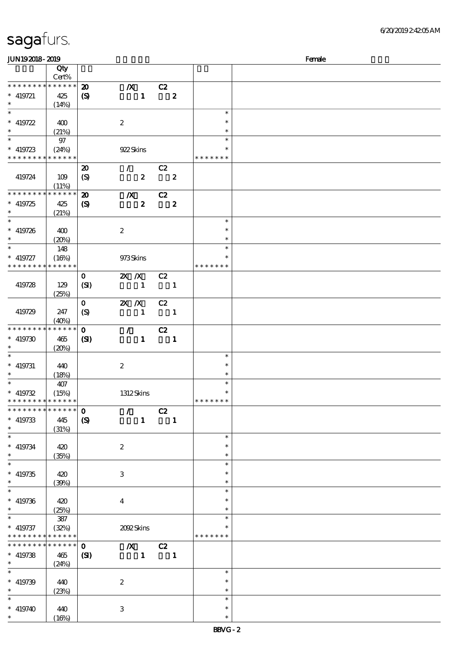| JUN192018-2019                 |                 |                             |                  |                          |               | Female |
|--------------------------------|-----------------|-----------------------------|------------------|--------------------------|---------------|--------|
|                                | Qty             |                             |                  |                          |               |        |
|                                | Cert%           |                             |                  |                          |               |        |
| * * * * * * * *                | * * * * * *     | $\boldsymbol{\mathbf{z}}$   | $\boldsymbol{X}$ | C2                       |               |        |
| $* 419721$                     | 425             | $\boldsymbol{S}$            | $\mathbf{1}$     | $\boldsymbol{z}$         |               |        |
| $\ast$                         |                 |                             |                  |                          |               |        |
| $\overline{\ast}$              | (14%)           |                             |                  |                          | $\ast$        |        |
|                                |                 |                             |                  |                          |               |        |
| * $419722$                     | 400             |                             | $\boldsymbol{2}$ |                          | $\ast$        |        |
| $\ast$                         | (21%)           |                             |                  |                          | $\ast$        |        |
|                                | $97\,$          |                             |                  |                          | $\ast$        |        |
| $* 419723$                     | (24%)           |                             | 922 Skins        |                          | *             |        |
| * * * * * * * * <mark>*</mark> | * * * * * *     |                             |                  |                          | * * * * * * * |        |
|                                |                 |                             | $\mathcal{L}$    | C2                       |               |        |
|                                |                 | $\boldsymbol{\mathsf{20}}$  |                  |                          |               |        |
| 419724                         | 109             | $\boldsymbol{\mathrm{(S)}}$ | $\boldsymbol{z}$ | $\boldsymbol{z}$         |               |        |
|                                | (11%)           |                             |                  |                          |               |        |
| * * * * * * * *                | * * * * * *     | $\boldsymbol{\mathbf{z}}$   | $\boldsymbol{X}$ | C2                       |               |        |
| $* 419725$                     | 425             | $\boldsymbol{\mathrm{(S)}}$ | $\pmb{2}$        | $\boldsymbol{z}$         |               |        |
| $\ast$                         | (21%)           |                             |                  |                          |               |        |
| $\ast$                         |                 |                             |                  |                          | $\ast$        |        |
| $* 419726$                     | 400             |                             | $\boldsymbol{2}$ |                          | $\ast$        |        |
| $\ast$                         |                 |                             |                  |                          | $\ast$        |        |
| $\ast$                         | (20%)           |                             |                  |                          | $\ast$        |        |
|                                | 148             |                             |                  |                          |               |        |
| $* 419727$                     | (16%)           |                             | 973Skins         |                          | $\ast$        |        |
| * * * * * * * *                | * * * * * *     |                             |                  |                          | * * * * * * * |        |
|                                |                 | $\mathbf{O}$                | $X$ $X$          | C2                       |               |        |
| 419728                         | 129             | (SI)                        | $\mathbf{1}$     | $\blacksquare$           |               |        |
|                                | (25%)           |                             |                  |                          |               |        |
|                                |                 | $\mathbf{O}$                | $X$ $N$          | C2                       |               |        |
|                                |                 |                             |                  |                          |               |        |
| 419729                         | 247             | (S)                         | $\mathbf{1}$     | $\blacksquare$           |               |        |
|                                | (40%)           |                             |                  |                          |               |        |
| * * * * * * * *                | * * * * * *     | $\mathbf{o}$                | $\mathcal{L}$    | C2                       |               |        |
| $* 419730$                     | 465             | (S)                         | $\mathbf{1}$     | $\blacksquare$           |               |        |
| $\ast$                         | (20%)           |                             |                  |                          |               |        |
| $\ast$                         |                 |                             |                  |                          | $\ast$        |        |
| $* 419731$                     | 440             |                             | $\boldsymbol{2}$ |                          | $\ast$        |        |
| $\ast$                         |                 |                             |                  |                          | $\ast$        |        |
| $*$                            | (18%)           |                             |                  |                          |               |        |
|                                | 407             |                             |                  |                          | $\ast$        |        |
| $* 419732$                     | (15%)           |                             | 1312Skins        |                          | $\ast$        |        |
| * * * * * * * * * * * * * *    |                 |                             |                  |                          | *******       |        |
| * * * * * * * *                | $* * * * * * *$ | $\mathbf 0$                 | $\mathcal{L}$    | C2                       |               |        |
| $* 419733$                     | 445             | $\boldsymbol{\mathrm{(S)}}$ | $\mathbf{1}$     | $\blacksquare$           |               |        |
| $\ast$                         | (31%)           |                             |                  |                          |               |        |
| $\ast$                         |                 |                             |                  |                          | $\ast$        |        |
|                                |                 |                             |                  |                          |               |        |
| $* 419734$                     | 420             |                             | $\boldsymbol{z}$ |                          | $\ast$        |        |
| $\ast$                         | (35%)           |                             |                  |                          | $\ast$        |        |
| $\overline{\ast}$              |                 |                             |                  |                          | $\ast$        |        |
| $* 419735$                     | 420             |                             | 3                |                          | $\ast$        |        |
| $\ast$                         | (30%)           |                             |                  |                          | $\ast$        |        |
| $\ast$                         |                 |                             |                  |                          | $\ast$        |        |
| $* 419736$                     | 420             |                             | $\boldsymbol{4}$ |                          | $\ast$        |        |
| $\ast$                         |                 |                             |                  |                          | $\ast$        |        |
| $\ast$                         | (25%)           |                             |                  |                          |               |        |
|                                | 387             |                             |                  |                          | $\ast$        |        |
| $* 419737$                     | (32%)           |                             | 2002Skins        |                          | *             |        |
| * * * * * * * *                | * * * * * *     |                             |                  |                          | * * * * * * * |        |
| * * * * * * * *                | $******$        | $\mathbf{o}$                | $\mathbf{X}$     | C2                       |               |        |
| $* 419738$                     | 465             | (S)                         | $\blacksquare$   | $\overline{\phantom{a}}$ |               |        |
| $\ast$                         | (24%)           |                             |                  |                          |               |        |
| $\ast$                         |                 |                             |                  |                          | $\ast$        |        |
|                                |                 |                             |                  |                          | $\ast$        |        |
| $* 419739$                     | 440             |                             | $\boldsymbol{2}$ |                          |               |        |
| $\ast$                         | (23%)           |                             |                  |                          | $\ast$        |        |
| $\ast$                         |                 |                             |                  |                          | $\ast$        |        |
| $* 419740$                     | 440             |                             | 3                |                          | $\ast$        |        |
| $\ast$                         | (16%)           |                             |                  |                          | $\ast$        |        |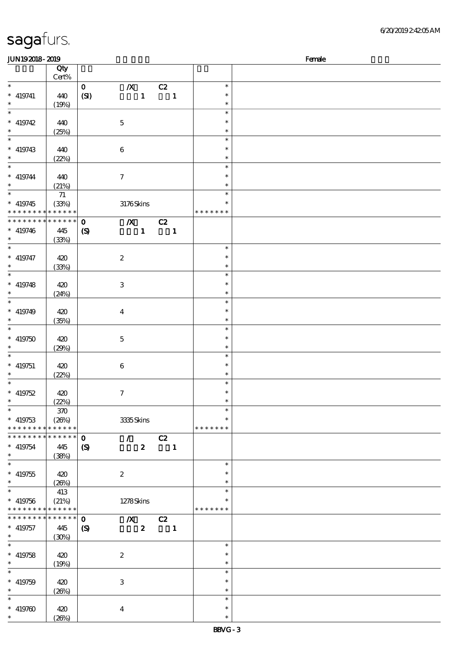| <b>JUN192018-2019</b>       |                 |                            |                               |                         |               | Female |
|-----------------------------|-----------------|----------------------------|-------------------------------|-------------------------|---------------|--------|
|                             | Qty             |                            |                               |                         |               |        |
|                             | $Cert\%$        |                            |                               |                         |               |        |
| $\ast$                      |                 | $\mathbf{O}$               | $\boldsymbol{X}$              | C2                      | $\ast$        |        |
| $*$ 419741                  | 440             |                            | $\pmb{1}$                     | $\overline{\mathbf{1}}$ | $\ast$        |        |
|                             |                 | (SI)                       |                               |                         |               |        |
| $\ast$<br>$\overline{\ast}$ | (19%)           |                            |                               |                         | $\ast$        |        |
|                             |                 |                            |                               |                         | $\ast$        |        |
| $* 419742$                  | 440             |                            | $\bf 5$                       |                         | $\ast$        |        |
| $\ast$                      | (25%)           |                            |                               |                         | $\ast$        |        |
| $\overline{\phantom{0}}$    |                 |                            |                               |                         | $\ast$        |        |
| $* 419743$                  | 440             |                            | $\bf 6$                       |                         | $\ast$        |        |
| $\ast$                      |                 |                            |                               |                         |               |        |
|                             | (22%)           |                            |                               |                         | $\ast$        |        |
| $\overline{\ast}$           |                 |                            |                               |                         | $\ast$        |        |
| $* 419744$                  | 440             |                            | $\boldsymbol{7}$              |                         | $\ast$        |        |
| $\ast$                      | (21%)           |                            |                               |                         | $\ast$        |        |
| $\overline{\phantom{0}}$    | $71\,$          |                            |                               |                         | $\ast$        |        |
| $* 419745$                  | (33%)           |                            | 3176Skins                     |                         | $\ast$        |        |
| * * * * * * * * * * * * * * |                 |                            |                               |                         | * * * * * * * |        |
|                             |                 |                            |                               |                         |               |        |
| ********                    | * * * * * *     | $\mathbf{o}$               | $\overline{X}$ C <sub>2</sub> |                         |               |        |
| $* 419746$                  | 445             | $\boldsymbol{\mathcal{S}}$ | $\mathbf{1}$                  | $\overline{\mathbf{1}}$ |               |        |
| $\ast$                      | (33%)           |                            |                               |                         |               |        |
| $\ast$                      |                 |                            |                               |                         | $\ast$        |        |
| $* 419747$                  | 420             |                            | $\boldsymbol{2}$              |                         | $\ast$        |        |
| $\ast$                      |                 |                            |                               |                         | $\ast$        |        |
| $\overline{\ast}$           | (33%)           |                            |                               |                         |               |        |
|                             |                 |                            |                               |                         | $\ast$        |        |
| $* 419748$                  | 420             |                            | 3                             |                         | $\ast$        |        |
| $\ast$                      | (24%)           |                            |                               |                         | $\ast$        |        |
| $\ast$                      |                 |                            |                               |                         | $\ast$        |        |
| $* 419749$                  | 420             |                            | $\bf{4}$                      |                         | $\ast$        |        |
| $\ast$                      |                 |                            |                               |                         | $\ast$        |        |
|                             | (35%)           |                            |                               |                         |               |        |
| $\ast$                      |                 |                            |                               |                         | $\ast$        |        |
| $* 419750$                  | 420             |                            | $\mathbf 5$                   |                         | $\ast$        |        |
| $\ast$                      | (29%)           |                            |                               |                         | $\ast$        |        |
| $\ast$                      |                 |                            |                               |                         | $\ast$        |        |
| $* 419751$                  | 420             |                            | $\bf 6$                       |                         | $\ast$        |        |
| $\ast$                      |                 |                            |                               |                         | $\ast$        |        |
|                             | (22%)           |                            |                               |                         |               |        |
| $\ast$                      |                 |                            |                               |                         | $\ast$        |        |
| $* 419752$                  | 420             |                            | $\boldsymbol{7}$              |                         | $\ast$        |        |
| $*$                         | (22%)           |                            |                               |                         | $\ast$        |        |
| $\ast$                      | 370             |                            |                               |                         | $\ast$        |        |
| $*$ 419753                  | (20%)           |                            | 3335Skins                     |                         | $\ast$        |        |
| * * * * * * * *             | * * * * * *     |                            |                               |                         | * * * * * * * |        |
|                             |                 |                            |                               |                         |               |        |
| * * * * * * *<br>$\ast$     | * * * * * *     | $\mathbf 0$                | $\mathcal{T} = \mathcal{I}$   | C2                      |               |        |
| $* 419754$                  | 445             | $\boldsymbol{\mathcal{S}}$ | $\boldsymbol{z}$              | $\blacksquare$          |               |        |
| $\ast$                      | (38%)           |                            |                               |                         |               |        |
| $\ast$                      |                 |                            |                               |                         | $\ast$        |        |
| $* 419755$                  | 420             |                            | $\boldsymbol{2}$              |                         | $\ast$        |        |
| $\ast$                      | (20%)           |                            |                               |                         | $\ast$        |        |
|                             |                 |                            |                               |                         |               |        |
| $\ast$                      | 413             |                            |                               |                         | $\ast$        |        |
| $* 419756$                  | (21%)           |                            | 1278Skins                     |                         | ∗             |        |
| * * * * * * * * * * * * * * |                 |                            |                               |                         | * * * * * * * |        |
| * * * * * * *               | $* * * * * * *$ | $\mathbf{o}$               | $\boldsymbol{X}$              | $\overline{c}$          |               |        |
| $*$ 419757                  | 445             | $\boldsymbol{\mathcal{S}}$ | $\boldsymbol{z}$              | $\blacksquare$          |               |        |
| $\ast$                      |                 |                            |                               |                         |               |        |
| $\ast$                      | (30%)           |                            |                               |                         |               |        |
|                             |                 |                            |                               |                         | $\ast$        |        |
| $* 419758$                  | 420             |                            | $\boldsymbol{2}$              |                         | $\ast$        |        |
| $\ast$                      | (19%)           |                            |                               |                         | $\ast$        |        |
| $\ast$                      |                 |                            |                               |                         | $\ast$        |        |
| $* 419759$                  |                 |                            |                               |                         | $\ast$        |        |
|                             | 420             |                            | $\,3$                         |                         |               |        |
| $\ast$                      | (20%)           |                            |                               |                         | $\ast$        |        |
| $\ast$                      |                 |                            |                               |                         | $\ast$        |        |
| $* 419760$                  | 420             |                            | $\bf{4}$                      |                         | $\ast$        |        |
| $\ast$                      | (20%)           |                            |                               |                         | $\ast$        |        |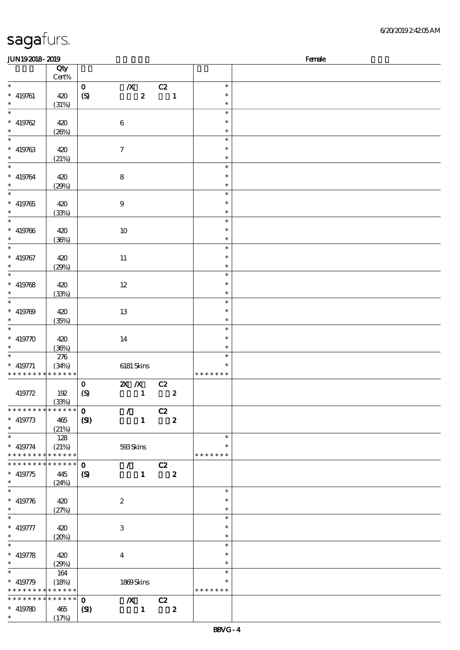| 6/20/201924205AM |
|------------------|
|------------------|

| JUN192018-2019              |             |                             |                           |          |                         |               | Female |
|-----------------------------|-------------|-----------------------------|---------------------------|----------|-------------------------|---------------|--------|
|                             | Qty         |                             |                           |          |                         |               |        |
|                             | Cert%       |                             |                           |          |                         |               |        |
| $\ast$                      |             | $\mathbf O$                 | $\boldsymbol{X}$          | C2       |                         | $\ast$        |        |
| $* 419761$                  | 420         | (S)                         | $\pmb{2}$                 |          | $\blacksquare$          | $\ast$        |        |
| $\ast$                      |             |                             |                           |          |                         | $\ast$        |        |
| $\overline{\phantom{0}}$    | (31%)       |                             |                           |          |                         | $\ast$        |        |
|                             |             |                             |                           |          |                         |               |        |
| $* 419762$                  | 420         |                             | $\bf 6$                   |          |                         | $\ast$        |        |
| $\ast$                      | (20%)       |                             |                           |          |                         | $\ast$        |        |
| $\overline{\phantom{0}}$    |             |                             |                           |          |                         | $\ast$        |        |
| $* 419763$                  | 420         |                             | $\boldsymbol{7}$          |          |                         | $\ast$        |        |
| $\ast$                      | (21%)       |                             |                           |          |                         | $\ast$        |        |
| $\ast$                      |             |                             |                           |          |                         | $\ast$        |        |
| $* 419764$                  | 420         |                             | $\bf 8$                   |          |                         | $\ast$        |        |
| $\ast$                      | (29%)       |                             |                           |          |                         | $\ast$        |        |
| $\overline{\phantom{a}^*}$  |             |                             |                           |          |                         | $\ast$        |        |
|                             |             |                             |                           |          |                         | $\ast$        |        |
| $* 419765$                  | 420         |                             | $\boldsymbol{9}$          |          |                         |               |        |
| $\ast$<br>$\overline{\ast}$ | (33%)       |                             |                           |          |                         | $\ast$        |        |
|                             |             |                             |                           |          |                         | $\ast$        |        |
| $* 419766$                  | 420         |                             | $10\,$                    |          |                         | $\ast$        |        |
| $\ast$                      | (36%)       |                             |                           |          |                         | $\ast$        |        |
| $\ast$                      |             |                             |                           |          |                         | $\ast$        |        |
| $* 419767$                  | 420         |                             | $11\,$                    |          |                         | $\ast$        |        |
| $\ast$                      | (29%)       |                             |                           |          |                         | $\ast$        |        |
| $\overline{\phantom{0}}$    |             |                             |                           |          |                         | $\ast$        |        |
| $* 419768$                  | 420         |                             | $12 \,$                   |          |                         | $\ast$        |        |
| $\ast$                      | (33%)       |                             |                           |          |                         | $\ast$        |        |
| $\overline{\ast}$           |             |                             |                           |          |                         | $\ast$        |        |
| $* 419769$                  | 420         |                             | 13                        |          |                         | $\ast$        |        |
| $\ast$                      |             |                             |                           |          |                         | $\ast$        |        |
| $\ast$                      | (35%)       |                             |                           |          |                         | $\ast$        |        |
|                             |             |                             |                           |          |                         | $\ast$        |        |
| $* 419770$                  | 420         |                             | 14                        |          |                         |               |        |
| $\ast$<br>$\ast$            | (36%)       |                             |                           |          |                         | $\ast$        |        |
|                             | 276         |                             |                           |          |                         | $\ast$        |        |
| $*$ 419771                  | (34%)       |                             | 6181 Skins                |          |                         | $\ast$        |        |
| * * * * * * * * * * * * * * |             |                             |                           |          |                         | * * * * * * * |        |
|                             |             | $\mathbf O$                 | $\mathbf{X}$ $\mathbf{X}$ | C2       |                         |               |        |
| 419772                      | 192         | $\boldsymbol{S}$            | $\mathbf{1}$              |          | $\boldsymbol{z}$        |               |        |
|                             | (33%)       |                             |                           |          |                         |               |        |
| * * * * * * * * * * * * * * |             | $\mathbf{O}$                | $\mathcal{F}^{\pm}$       | C2       |                         |               |        |
| $* 419773$                  | 465         | (SI)                        | $\mathbf{1}$              |          | $\boldsymbol{z}$        |               |        |
| $\ast$                      | (21%)       |                             |                           |          |                         |               |        |
| $\ast$                      | 128         |                             |                           |          |                         | $\ast$        |        |
| $* 419774$                  | (21%)       |                             | 593Skins                  |          |                         | $\ast$        |        |
| * * * * * * * *             | * * * * * * |                             |                           |          |                         | * * * * * * * |        |
| * * * * * * *               | * * * * * * | $\mathbf{o}$                | $\sqrt{C^2}$              |          |                         |               |        |
| $* 419775$                  | 445         | $\boldsymbol{\mathsf{(S)}}$ |                           | $1 \t 2$ |                         |               |        |
| $\ast$                      | (24%)       |                             |                           |          |                         |               |        |
| $\ast$                      |             |                             |                           |          |                         | $\ast$        |        |
|                             |             |                             |                           |          |                         | $\ast$        |        |
| $* 419776$                  | 420         |                             | $\boldsymbol{2}$          |          |                         |               |        |
| $\ast$                      | (27%)       |                             |                           |          |                         | $\ast$        |        |
| $\ast$                      |             |                             |                           |          |                         | $\ast$        |        |
| $* 419777$                  | 420         |                             | 3                         |          |                         | $\ast$        |        |
| $\ast$                      | (20%)       |                             |                           |          |                         | $\ast$        |        |
| $\ast$                      |             |                             |                           |          |                         | $\ast$        |        |
| $* 419778$                  | 420         |                             | $\boldsymbol{4}$          |          |                         | $\ast$        |        |
| $\ast$                      | (29%)       |                             |                           |          |                         | $\ast$        |        |
| $\ast$                      | 164         |                             |                           |          |                         | $\ast$        |        |
| $* 419779$                  | (18%)       |                             | 1869Skins                 |          |                         | $\ast$        |        |
| * * * * * * * * * * * * * * |             |                             |                           |          |                         | * * * * * * * |        |
| * * * * * * * *             | * * * * * * | $\mathbf{O}$                | $X$ C <sub>2</sub>        |          |                         |               |        |
| $* 419780$                  | 465         | (S)                         | $\mathbf{1}$              |          | $\overline{\mathbf{2}}$ |               |        |
| $\ast$                      | (17%)       |                             |                           |          |                         |               |        |
|                             |             |                             |                           |          |                         |               |        |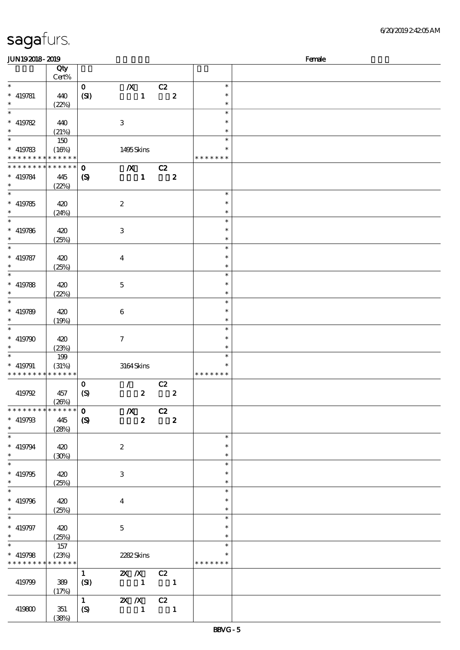| sagafurs. |  |
|-----------|--|
|           |  |

| <b>JUN192018-2019</b>         |                      |                             |                                                  |                          |                            |                         | Female |
|-------------------------------|----------------------|-----------------------------|--------------------------------------------------|--------------------------|----------------------------|-------------------------|--------|
|                               | Qty<br>Cert%         |                             |                                                  |                          |                            |                         |        |
| $\ast$                        |                      | $\mathbf{O}$                | $\boldsymbol{X}$                                 | C2                       |                            | $\ast$                  |        |
| $* 419781$<br>$\ast$          | 440<br>(22%)         | (SI)                        | $\mathbf{1}$                                     |                          | $\overline{\phantom{a}}$ 2 | $\ast$<br>$\ast$        |        |
| $\ast$                        |                      |                             |                                                  |                          |                            | $\ast$                  |        |
| $* 419782$<br>$\ast$          | 440                  |                             | $\,3$                                            |                          |                            | $\ast$                  |        |
| $\ast$                        | (21%)                |                             |                                                  |                          |                            | $\ast$<br>$\ast$        |        |
| $* 419783$                    | 150                  |                             |                                                  |                          |                            | $\ast$                  |        |
| * * * * * * * * * * * * * *   | (16%)                |                             | 1495Skins                                        |                          |                            | * * * * * * *           |        |
| * * * * * * * *               | * * * * * *          | $\mathbf 0$                 | $\boldsymbol{X}$                                 | C2                       |                            |                         |        |
| $* 419784$<br>$\ast$          | 445<br>(22%)         | $\boldsymbol{\mathrm{(S)}}$ | $\mathbf{1}$                                     |                          | $\boldsymbol{2}$           |                         |        |
| $\ast$                        |                      |                             |                                                  |                          |                            | $\ast$                  |        |
| $* 419785$<br>$\ast$          | 420<br>(24%)         |                             | $\boldsymbol{2}$                                 |                          |                            | $\ast$<br>$\ast$        |        |
| $\ast$                        |                      |                             |                                                  |                          |                            | $\ast$                  |        |
| $* 419786$<br>$\ast$          | 420<br>(25%)         |                             | $\,3$                                            |                          |                            | $\ast$<br>$\ast$        |        |
| $\ast$                        |                      |                             |                                                  |                          |                            | $\ast$                  |        |
| $* 419787$<br>$\ast$          | 420<br>(25%)         |                             | $\boldsymbol{4}$                                 |                          |                            | $\ast$<br>$\ast$        |        |
| $\ast$                        |                      |                             |                                                  |                          |                            | $\ast$                  |        |
| $* 419788$                    | 420                  |                             | $\mathbf 5$                                      |                          |                            | $\ast$                  |        |
| $\ast$<br>$\ast$              | (22%)                |                             |                                                  |                          |                            | $\ast$<br>$\ast$        |        |
| $* 419789$                    | 420                  |                             | $\bf 6$                                          |                          |                            | $\ast$                  |        |
| $\ast$<br>$\ast$              | (19%)                |                             |                                                  |                          |                            | $\ast$<br>$\ast$        |        |
| $* 419790$                    | 420                  |                             | $\boldsymbol{7}$                                 |                          |                            | $\ast$                  |        |
| $\ast$<br>$\ast$              | (23%)                |                             |                                                  |                          |                            | $\ast$<br>$\ast$        |        |
| $* 419791$                    | 199<br>(31%)         |                             | $3164$ Skins                                     |                          |                            | $\ast$                  |        |
| * * * * * * * *               | * * * * * *          |                             |                                                  |                          |                            | * * * * * * *           |        |
| 419792                        | 457                  | $\mathbf 0$<br>(S)          | $\mathcal{L}$<br>$\boldsymbol{z}$                | C2                       | $\pmb{2}$                  |                         |        |
| * * * * * * * *               | (20%)<br>* * * * * * | $\mathbf 0$                 |                                                  |                          |                            |                         |        |
| $* 419793$                    | 445                  | $\mathbf{S}$                | $\boldsymbol{X}$<br>$\boldsymbol{z}$             | C2                       | $\overline{\mathbf{2}}$    |                         |        |
| $\ast$<br>$\overline{\ast}$   | (28%)                |                             |                                                  |                          |                            |                         |        |
| $* 419794$                    | 420                  |                             |                                                  |                          |                            | $\ast$<br>$\ast$        |        |
| $\ast$                        | (30%)                |                             | $\boldsymbol{2}$                                 |                          |                            | $\ast$                  |        |
| $\overline{\ast}$             |                      |                             |                                                  |                          |                            | $\ast$                  |        |
| $* 419795$<br>$\ast$          | 420<br>(25%)         |                             | $\ensuremath{\mathbf{3}}$                        |                          |                            | $\ast$<br>$\ast$        |        |
| $\overline{\ast}$             |                      |                             |                                                  |                          |                            | $\ast$                  |        |
| $* 419796$<br>$\ast$          | 420<br>(25%)         |                             | $\boldsymbol{4}$                                 |                          |                            | $\ast$<br>$\ast$        |        |
| $\overline{\ast}$             |                      |                             |                                                  |                          |                            | $\ast$                  |        |
| $* 419797$<br>$\ast$          | 420<br>(25%)         |                             | $\mathbf 5$                                      |                          |                            | $\ast$<br>$\ast$        |        |
| $\ast$                        | 157                  |                             |                                                  |                          |                            | $\ast$                  |        |
| $* 419798$<br>* * * * * * * * | (23%)<br>* * * * * * |                             | 2282Skins                                        |                          |                            | $\ast$<br>* * * * * * * |        |
|                               |                      | $\mathbf{1}$                | 2X /X C2                                         |                          |                            |                         |        |
| 419799                        | 389<br>(17%)         | (SI)                        | $\begin{array}{cccc} 1 & 1 \\ 1 & 1 \end{array}$ |                          |                            |                         |        |
|                               |                      | $\mathbf{1}$                | <b>2X X</b> C <sub>2</sub>                       |                          |                            |                         |        |
| 419800                        | 351<br>(38%)         | (S)                         | $\mathbf{1}$                                     | $\overline{\phantom{a}}$ |                            |                         |        |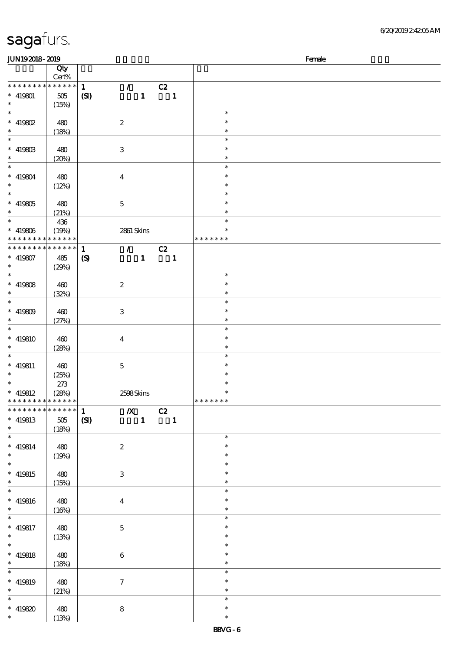| JUN192018-2019              |                 |                  |                           |                |               | Female |
|-----------------------------|-----------------|------------------|---------------------------|----------------|---------------|--------|
|                             | Qty             |                  |                           |                |               |        |
|                             | Cert%           |                  |                           |                |               |        |
| * * * * * * * *             | * * * * * *     | $\mathbf{1}$     | $\mathcal{F}^{\pm}$       | C2             |               |        |
| $* 419801$                  | $505\,$         | (S)              | $\mathbf{1}$              | $\mathbf{1}$   |               |        |
| $\ast$                      | (15%)           |                  |                           |                |               |        |
| $\overline{\ast}$           |                 |                  |                           |                | $\ast$        |        |
| $*$ 419802                  | 480             |                  | $\boldsymbol{2}$          |                | $\ast$        |        |
| $\ast$                      |                 |                  |                           |                | $\ast$        |        |
|                             | (18%)           |                  |                           |                | $\ast$        |        |
|                             |                 |                  |                           |                |               |        |
| $* 419803$                  | 480             |                  | $\ensuremath{\mathbf{3}}$ |                | $\ast$        |        |
| $\ast$                      | (20%)           |                  |                           |                | $\ast$        |        |
| $\overline{\ast}$           |                 |                  |                           |                | $\ast$        |        |
| $* 419804$                  | 480             |                  | $\overline{4}$            |                | $\ast$        |        |
| $\ast$                      | (12%)           |                  |                           |                | $\ast$        |        |
|                             |                 |                  |                           |                | $\ast$        |        |
| $* 419805$                  | 480             |                  | $\mathbf 5$               |                | $\ast$        |        |
| $\ast$                      | (21%)           |                  |                           |                | $\ast$        |        |
| $\overline{\phantom{0}}$    | 436             |                  |                           |                | $\ast$        |        |
| $* 419806$                  | (19%)           |                  | 2861 Skins                |                | $\ast$        |        |
| * * * * * * * *             | * * * * * *     |                  |                           |                | * * * * * * * |        |
| * * * * * * * *             | $* * * * * * *$ |                  |                           |                |               |        |
|                             |                 | $\mathbf{1}$     | $\mathcal{T}$             | C2             |               |        |
| $* 419807$                  | 485             | $\boldsymbol{S}$ | $\mathbf{1}$              | $\mathbf{1}$   |               |        |
| $\ast$                      | (29%)           |                  |                           |                |               |        |
| $\overline{\ast}$           |                 |                  |                           |                | $\ast$        |        |
| * $419808$                  | 460             |                  | $\boldsymbol{2}$          |                | $\ast$        |        |
| $\ast$                      | (32%)           |                  |                           |                | $\ast$        |        |
| $\overline{\ast}$           |                 |                  |                           |                | $\ast$        |        |
| * $419809$                  | 460             |                  | $\ensuremath{\mathbf{3}}$ |                | $\ast$        |        |
| $\ast$                      | (27%)           |                  |                           |                | $\ast$        |        |
| $\ast$                      |                 |                  |                           |                | $\ast$        |        |
|                             |                 |                  |                           |                | $\ast$        |        |
| $* 419810$                  | 460             |                  | $\boldsymbol{4}$          |                |               |        |
| $\ast$                      | (28%)           |                  |                           |                | $\ast$        |        |
| $\ast$                      |                 |                  |                           |                | $\ast$        |        |
| $* 419811$                  | 460             |                  | $\bf 5$                   |                | $\ast$        |        |
| $\ast$                      | (25%)           |                  |                           |                | $\ast$        |        |
| $\overline{\phantom{0}}$    | $273$           |                  |                           |                | $\ast$        |        |
| $*$ 419812                  | (28%)           |                  | 2598Skins                 |                | $\ast$        |        |
| * * * * * * * * * * * * * * |                 |                  |                           |                | *******       |        |
| * * * * * * * *             | $******$        | $\mathbf{1}$     | $\mathbb{Z}$              | C2             |               |        |
| $* 419813$                  | 505             | (SI)             | $\mathbf{1}$              | $\blacksquare$ |               |        |
| $\ast$                      |                 |                  |                           |                |               |        |
| $\ast$                      | (18%)           |                  |                           |                | $\ast$        |        |
|                             |                 |                  |                           |                |               |        |
| $* 419814$                  | 480             |                  | $\boldsymbol{z}$          |                | $\ast$        |        |
| $\ast$                      | (19%)           |                  |                           |                | $\ast$        |        |
| $\overline{\phantom{0}}$    |                 |                  |                           |                | $\ast$        |        |
| $* 419815$                  | 480             |                  | 3                         |                | $\ast$        |        |
| $\ast$                      | (15%)           |                  |                           |                | $\ast$        |        |
| $\overline{\ast}$           |                 |                  |                           |                | $\ast$        |        |
| $* 419816$                  | 480             |                  | $\boldsymbol{4}$          |                | $\ast$        |        |
| $\ast$                      | (16%)           |                  |                           |                | $\ast$        |        |
| $\ast$                      |                 |                  |                           |                | $\ast$        |        |
| $* 419817$                  | 480             |                  | $\mathbf{5}$              |                | $\ast$        |        |
| $\ast$                      |                 |                  |                           |                | $\ast$        |        |
| $\ast$                      | (13%)           |                  |                           |                | $\ast$        |        |
|                             |                 |                  |                           |                |               |        |
| $* 419818$                  | 480             |                  | $\bf 6$                   |                | $\ast$        |        |
| $\ast$                      | (18%)           |                  |                           |                | $\ast$        |        |
| $\overline{\ast}$           |                 |                  |                           |                | $\ast$        |        |
| $* 419819$                  | 480             |                  | $\boldsymbol{\tau}$       |                | $\ast$        |        |
| $\ast$                      | (21%)           |                  |                           |                | $\ast$        |        |
| $\ast$                      |                 |                  |                           |                | $\ast$        |        |
| $* 419820$                  | 480             |                  | ${\bf 8}$                 |                | $\ast$        |        |
| $\ast$                      | (13%)           |                  |                           |                | $\ast$        |        |
|                             |                 |                  |                           |                |               |        |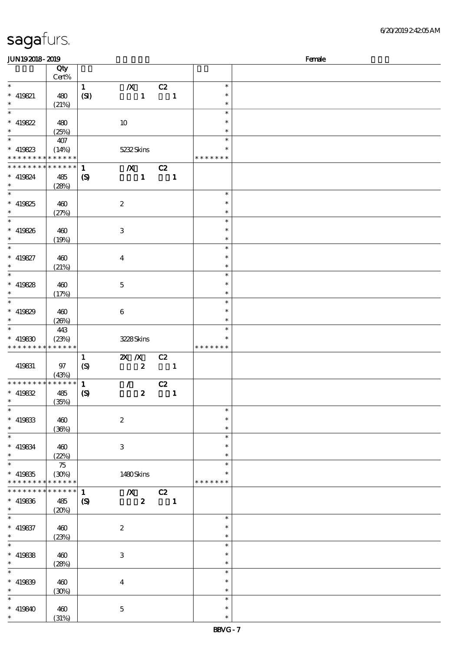| <b>JUN192018-2019</b>       |                            |                  |                           |                          |              |               | Female |
|-----------------------------|----------------------------|------------------|---------------------------|--------------------------|--------------|---------------|--------|
|                             | Qty                        |                  |                           |                          |              |               |        |
|                             | Cert%                      |                  |                           |                          |              |               |        |
| $\ast$                      |                            | $\mathbf{1}$     |                           |                          |              | $\ast$        |        |
|                             |                            |                  | $\boldsymbol{X}$          | C2                       |              |               |        |
| $* 419821$                  | 480                        | (SI)             | $\mathbf{1}$              | $\overline{\phantom{a}}$ |              | $\ast$        |        |
| $\ast$                      | (21%)                      |                  |                           |                          |              | $\ast$        |        |
| $\overline{\ast}$           |                            |                  |                           |                          |              | $\ast$        |        |
| $*$ 419822                  | 480                        |                  | 10                        |                          |              | $\ast$        |        |
| $\ast$                      |                            |                  |                           |                          |              | $\ast$        |        |
|                             | (25%)                      |                  |                           |                          |              |               |        |
|                             | 407                        |                  |                           |                          |              | $\ast$        |        |
| $* 419823$                  | (14%)                      |                  | 5232Skins                 |                          |              | $\ast$        |        |
| * * * * * * * * * * * * * * |                            |                  |                           |                          |              | * * * * * * * |        |
| * * * * * * * *             | $\ast\ast\ast\ast\ast\ast$ | $\mathbf{1}$     | $\boldsymbol{X}$          | C2                       |              |               |        |
| $* 419824$                  | 485                        |                  | $\mathbf{1}$              | $\blacksquare$           |              |               |        |
| $*$                         |                            | $\boldsymbol{S}$ |                           |                          |              |               |        |
|                             | (28%)                      |                  |                           |                          |              |               |        |
|                             |                            |                  |                           |                          |              | $\ast$        |        |
| $* 419825$                  | 460                        |                  | $\boldsymbol{2}$          |                          |              | $\ast$        |        |
| $*$                         | (27%)                      |                  |                           |                          |              | $\ast$        |        |
|                             |                            |                  |                           |                          |              | $\ast$        |        |
| $* 419826$                  | 460                        |                  | $\ensuremath{\mathsf{3}}$ |                          |              | $\ast$        |        |
|                             |                            |                  |                           |                          |              |               |        |
| $\ast$                      | (19%)                      |                  |                           |                          |              | $\ast$        |        |
| $\ast$                      |                            |                  |                           |                          |              | $\ast$        |        |
| $* 419827$                  | 460                        |                  | $\bf{4}$                  |                          |              | $\ast$        |        |
| $\ast$                      | (21%)                      |                  |                           |                          |              | $\ast$        |        |
| $\overline{\ast}$           |                            |                  |                           |                          |              | $\ast$        |        |
|                             |                            |                  |                           |                          |              | $\ast$        |        |
| $* 419828$                  | 460                        |                  | $\mathbf 5$               |                          |              |               |        |
| $\ast$                      | (17%)                      |                  |                           |                          |              | $\ast$        |        |
|                             |                            |                  |                           |                          |              | $\ast$        |        |
| * 419829                    | 460                        |                  | $\boldsymbol{6}$          |                          |              | $\ast$        |        |
| $\ast$                      | (20%)                      |                  |                           |                          |              | $\ast$        |        |
| $\ast$                      | 443                        |                  |                           |                          |              | $\ast$        |        |
|                             |                            |                  |                           |                          |              | $\ast$        |        |
| $* 419830$                  | (23%)                      |                  | 3228Skins                 |                          |              |               |        |
| * * * * * * * *             | * * * * * *                |                  |                           |                          |              | * * * * * * * |        |
|                             |                            | $\mathbf{1}$     | $\mathbf{X}$ $\mathbf{X}$ | C2                       |              |               |        |
| 419831                      | 97                         | $\boldsymbol{S}$ | $\boldsymbol{z}$          | $\overline{\phantom{a}}$ |              |               |        |
|                             | (43%)                      |                  |                           |                          |              |               |        |
| * * * * * * * *             | ******                     | $\mathbf{1}$     |                           |                          |              |               |        |
|                             |                            |                  | $\mathcal{F}$             | C2                       |              |               |        |
| $* 419832$                  | 485                        | $\boldsymbol{S}$ | $\boldsymbol{2}$          |                          | $\mathbf{1}$ |               |        |
| $*$ $*$                     | (35%)                      |                  |                           |                          |              |               |        |
| $\ast$                      |                            |                  |                           |                          |              | $\ast$        |        |
| $* 419833$                  | 460                        |                  | $\boldsymbol{z}$          |                          |              | $\ast$        |        |
| $\ast$                      | (36%)                      |                  |                           |                          |              | $\ast$        |        |
| $\ast$                      |                            |                  |                           |                          |              | $\ast$        |        |
|                             |                            |                  |                           |                          |              |               |        |
| $* 419834$                  | 460                        |                  | 3                         |                          |              | $\ast$        |        |
| $\ast$                      | (22%)                      |                  |                           |                          |              | $\ast$        |        |
| $\overline{\ast}$           | 75                         |                  |                           |                          |              | $\ast$        |        |
| $* 419835$                  | (30%)                      |                  | 1480Skins                 |                          |              |               |        |
| * * * * * * * *             | * * * * * *                |                  |                           |                          |              | * * * * * * * |        |
| * * * * * * * *             | * * * * * *                | $\mathbf{1}$     | $\boldsymbol{X}$          | C2                       |              |               |        |
|                             |                            |                  |                           |                          |              |               |        |
| $* 419836$                  | 485                        | $\boldsymbol{S}$ | $\boldsymbol{z}$          | $\blacksquare$           |              |               |        |
| $*$                         | (20%)                      |                  |                           |                          |              |               |        |
| $\ast$                      |                            |                  |                           |                          |              | $\ast$        |        |
| $* 419837$                  | 460                        |                  | $\boldsymbol{2}$          |                          |              | $\ast$        |        |
| $*$                         | (23%)                      |                  |                           |                          |              | $\ast$        |        |
| $\ast$                      |                            |                  |                           |                          |              | $\ast$        |        |
|                             |                            |                  |                           |                          |              |               |        |
| $* 419838$                  | 460                        |                  | $\,3\,$                   |                          |              | $\ast$        |        |
| $\ast$                      | (28%)                      |                  |                           |                          |              | $\ast$        |        |
| $\ast$                      |                            |                  |                           |                          |              | $\ast$        |        |
| $* 419839$                  | 460                        |                  | $\boldsymbol{4}$          |                          |              | $\ast$        |        |
| $\ast$                      | (30%)                      |                  |                           |                          |              | $\ast$        |        |
| $\ast$                      |                            |                  |                           |                          |              | $\ast$        |        |
|                             |                            |                  |                           |                          |              |               |        |
| $* 419840$                  | 460                        |                  | $\mathbf 5$               |                          |              | $\ast$        |        |
| $\ast$                      | (31%)                      |                  |                           |                          |              | $\ast$        |        |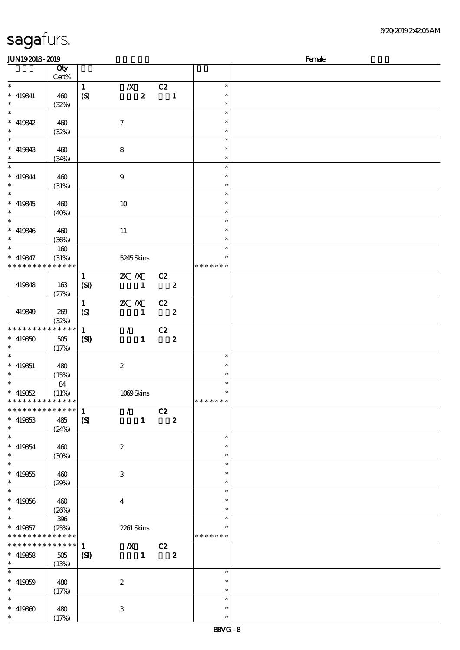| <b>JUN192018-2019</b>       |             |                             |                         |                             |                               |                  |               | Female |
|-----------------------------|-------------|-----------------------------|-------------------------|-----------------------------|-------------------------------|------------------|---------------|--------|
|                             | Qty         |                             |                         |                             |                               |                  |               |        |
|                             | Cert%       |                             |                         |                             |                               |                  |               |        |
| $\ast$                      |             | $\mathbf{1}$                | $\boldsymbol{X}$        |                             | C2                            |                  | $\ast$        |        |
|                             |             |                             |                         |                             |                               |                  | $\ast$        |        |
| $* 419841$                  | 460         | $\boldsymbol{S}$            |                         | $\boldsymbol{z}$            | $\blacksquare$                |                  |               |        |
| $\ast$                      | (32%)       |                             |                         |                             |                               |                  | $\ast$        |        |
| $\overline{\phantom{a}^*}$  |             |                             |                         |                             |                               |                  | $\ast$        |        |
| $*$ 419842                  | 460         |                             | $\boldsymbol{\tau}$     |                             |                               |                  | $\ast$        |        |
| $\ast$                      | (32%)       |                             |                         |                             |                               |                  | $\ast$        |        |
| $\overline{\ast}$           |             |                             |                         |                             |                               |                  | $\ast$        |        |
|                             |             |                             |                         |                             |                               |                  |               |        |
| $* 419843$                  | 460         |                             | $\bf8$                  |                             |                               |                  | $\ast$        |        |
| $\ast$                      | (34%)       |                             |                         |                             |                               |                  | $\ast$        |        |
| $\overline{\phantom{0}}$    |             |                             |                         |                             |                               |                  | $\ast$        |        |
| $* 419844$                  | 460         |                             | $\boldsymbol{9}$        |                             |                               |                  | $\ast$        |        |
| $\ast$                      | (31%)       |                             |                         |                             |                               |                  | $\ast$        |        |
| $_{*}^{-}$                  |             |                             |                         |                             |                               |                  | $\ast$        |        |
|                             |             |                             |                         |                             |                               |                  |               |        |
| $* 419845$                  | 460         |                             | $10\,$                  |                             |                               |                  | $\ast$        |        |
| $\ast$                      | $(40\%)$    |                             |                         |                             |                               |                  | $\ast$        |        |
| $\overline{\phantom{0}}$    |             |                             |                         |                             |                               |                  | $\ast$        |        |
| $* 419846$                  | 460         |                             | $11\,$                  |                             |                               |                  | $\ast$        |        |
| $\ast$                      |             |                             |                         |                             |                               |                  | $\ast$        |        |
|                             | (36%)       |                             |                         |                             |                               |                  |               |        |
| $\ast$                      | 160         |                             |                         |                             |                               |                  | $\ast$        |        |
| $* 419847$                  | (31%)       |                             | 5245 Skins              |                             |                               |                  | $\ast$        |        |
| * * * * * * * *             | * * * * * * |                             |                         |                             |                               |                  | * * * * * * * |        |
|                             |             | $\mathbf{1}$                | 2X /X C2                |                             |                               |                  |               |        |
| 419848                      | 163         | (SI)                        | $\sim$ 1                |                             | $\overline{\mathbf{2}}$       |                  |               |        |
|                             |             |                             |                         |                             |                               |                  |               |        |
|                             | (27%)       |                             |                         |                             |                               |                  |               |        |
|                             |             | $\mathbf{1}$                | $2X$ $X$                |                             | C2                            |                  |               |        |
| 419849                      | 269         | $\boldsymbol{S}$            |                         | $\mathbf{1}$                | $\overline{\mathbf{2}}$       |                  |               |        |
|                             | (32%)       |                             |                         |                             |                               |                  |               |        |
| * * * * * * * *             | * * * * * * | $\mathbf{1}$                |                         | $\mathcal{T} = \mathcal{I}$ | C2                            |                  |               |        |
| $* 419850$                  | $505\,$     |                             |                         | $\mathbf{1}$                | $\overline{\mathbf{2}}$       |                  |               |        |
|                             |             | (S)                         |                         |                             |                               |                  |               |        |
| $\ast$                      | (17%)       |                             |                         |                             |                               |                  |               |        |
| $\ast$                      |             |                             |                         |                             |                               |                  | $\ast$        |        |
| $* 419851$                  | 480         |                             | $\boldsymbol{z}$        |                             |                               |                  | $\ast$        |        |
| $\ast$                      | (15%)       |                             |                         |                             |                               |                  | $\ast$        |        |
| $\ast$                      | 84          |                             |                         |                             |                               |                  | $\ast$        |        |
| $* 419852$                  | (11%)       |                             | 1069Skins               |                             |                               |                  | $\ast$        |        |
| * * * * * * * * * * * * * * |             |                             |                         |                             |                               |                  | *******       |        |
|                             |             |                             |                         |                             |                               |                  |               |        |
| * * * * * * * * * * * * * * |             | $\mathbf{1}$                | $\mathcal{L}$           |                             | C2                            |                  |               |        |
| $*$ 419853                  | 485         | $\boldsymbol{\mathrm{(S)}}$ |                         | $\mathbf{1}$                |                               | $\boldsymbol{z}$ |               |        |
| $\ast$                      | (24%)       |                             |                         |                             |                               |                  |               |        |
| $\overline{\phantom{a}^*}$  |             |                             |                         |                             |                               |                  | $\ast$        |        |
| $* 419854$                  | 460         |                             | $\boldsymbol{z}$        |                             |                               |                  | $\ast$        |        |
| $\ast$                      |             |                             |                         |                             |                               |                  | $\ast$        |        |
|                             | (30%)       |                             |                         |                             |                               |                  |               |        |
| $\ast$                      |             |                             |                         |                             |                               |                  | $\ast$        |        |
| $* 419855$                  | 460         |                             | 3                       |                             |                               |                  |               |        |
| $\ast$                      | (29%)       |                             |                         |                             |                               |                  | $\ast$        |        |
| $\ast$                      |             |                             |                         |                             |                               |                  | $\ast$        |        |
| $* 419856$                  | 460         |                             |                         |                             |                               |                  | *             |        |
| $\ast$                      |             |                             | $\overline{\mathbf{4}}$ |                             |                               |                  | $\ast$        |        |
|                             | (20%)       |                             |                         |                             |                               |                  |               |        |
| $\overline{\ast}$           | $396\,$     |                             |                         |                             |                               |                  | $\ast$        |        |
| $*$ 419857                  | (25%)       |                             | 2261 Skins              |                             |                               |                  |               |        |
| * * * * * * * * * * * * * * |             |                             |                         |                             |                               |                  | * * * * * * * |        |
| * * * * * * * *             | * * * * * * | $\mathbf{1}$                |                         |                             | $\overline{X}$ C <sub>2</sub> |                  |               |        |
| $* 419858$                  | 505         | $\mathbf{C}$                |                         | $\sim 1$ .                  | $\overline{\mathbf{2}}$       |                  |               |        |
| $\ast$                      |             |                             |                         |                             |                               |                  |               |        |
|                             | (13%)       |                             |                         |                             |                               |                  |               |        |
| $\ast$                      |             |                             |                         |                             |                               |                  | $\ast$        |        |
| $* 419859$                  | 480         |                             | $\boldsymbol{2}$        |                             |                               |                  | $\ast$        |        |
| $\ast$                      | (17%)       |                             |                         |                             |                               |                  | $\ast$        |        |
| $\ast$                      |             |                             |                         |                             |                               |                  | $\ast$        |        |
|                             |             |                             |                         |                             |                               |                  | $\ast$        |        |
| $* 419800$                  | 480         |                             | 3                       |                             |                               |                  |               |        |
| $*$                         | (17%)       |                             |                         |                             |                               |                  | $\ast$        |        |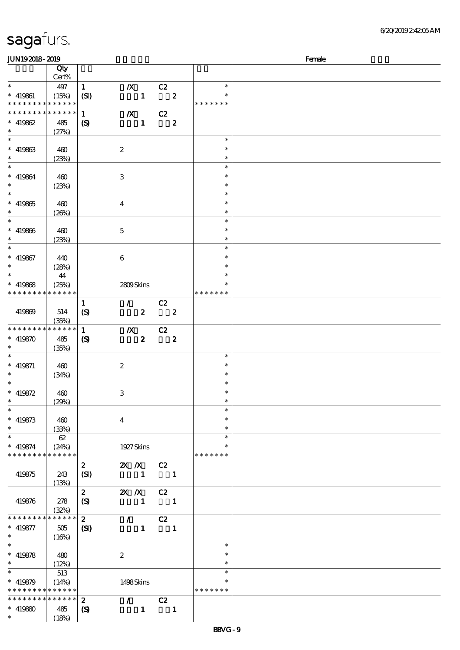|  | sagafurs. |
|--|-----------|
|  |           |

#### $JIN192018 - 2019$  Female

|                                                          | Qty                      |                                  |                           |                                                 |                                  |                         |                         |  |
|----------------------------------------------------------|--------------------------|----------------------------------|---------------------------|-------------------------------------------------|----------------------------------|-------------------------|-------------------------|--|
| $\ast$                                                   | $Cert\%$                 |                                  |                           |                                                 |                                  |                         | $\ast$                  |  |
|                                                          | 497                      | $\mathbf{1}$                     | $\boldsymbol{X}$          |                                                 | $\overline{c}z$                  |                         | $\ast$                  |  |
| $* 419861$<br>* * * * * * * * <mark>* * * * * * *</mark> | (15%)                    | (SI)                             |                           | $\mathbf{1}$                                    |                                  | $\overline{\mathbf{2}}$ | * * * * * * *           |  |
| * * * * * * * *                                          | $******$                 | $\mathbf{1}$                     | $\boldsymbol{X}$          |                                                 | C2                               |                         |                         |  |
| $* 419862$                                               | 485                      | $\boldsymbol{\mathcal{S}}$       |                           | $\mathbf{1}$                                    |                                  | $\boldsymbol{z}$        |                         |  |
| $\ast$                                                   | (27%)                    |                                  |                           |                                                 |                                  |                         |                         |  |
| $\ast$                                                   |                          |                                  |                           |                                                 |                                  |                         | $\ast$                  |  |
| $* 419863$                                               | 460                      |                                  | $\boldsymbol{2}$          |                                                 |                                  |                         | $\ast$                  |  |
| $\ast$                                                   | (23%)                    |                                  |                           |                                                 |                                  |                         | $\ast$                  |  |
|                                                          |                          |                                  |                           |                                                 |                                  |                         | $\ast$                  |  |
| $* 419864$<br>$\ast$                                     | 460                      |                                  | $\,3$                     |                                                 |                                  |                         | $\ast$                  |  |
| $\overline{\phantom{0}}$                                 | (23%)                    |                                  |                           |                                                 |                                  |                         | $\ast$<br>$\ast$        |  |
| $* 419865$                                               | 460                      |                                  | $\boldsymbol{4}$          |                                                 |                                  |                         | $\ast$                  |  |
| $\ast$                                                   | (20%)                    |                                  |                           |                                                 |                                  |                         | $\ast$                  |  |
| $\overline{\ast}$                                        |                          |                                  |                           |                                                 |                                  |                         | $\ast$                  |  |
| $* 419866$                                               | 460                      |                                  | $\mathbf 5$               |                                                 |                                  |                         | $\ast$                  |  |
| $\ast$                                                   | (23%)                    |                                  |                           |                                                 |                                  |                         | $\ast$                  |  |
| $\overline{\ast}$                                        |                          |                                  |                           |                                                 |                                  |                         | $\ast$                  |  |
| $* 419867$                                               | 440                      |                                  | $\boldsymbol{6}$          |                                                 |                                  |                         | $\ast$                  |  |
| $\ast$                                                   | (28%)                    |                                  |                           |                                                 |                                  |                         | $\ast$                  |  |
| $\ast$                                                   | 44                       |                                  |                           |                                                 |                                  |                         | $\ast$                  |  |
| $* 419868$<br>* * * * * * * * * * * * * *                | (25%)                    |                                  | 2809Skins                 |                                                 |                                  |                         | $\ast$<br>* * * * * * * |  |
|                                                          |                          |                                  |                           |                                                 |                                  |                         |                         |  |
| 419869                                                   | 514                      | $\mathbf{1}$<br>$\boldsymbol{S}$ | $\mathcal{F}$             | $\boldsymbol{z}$                                | C2<br>$\overline{\phantom{a}}$ 2 |                         |                         |  |
|                                                          | (35%)                    |                                  |                           |                                                 |                                  |                         |                         |  |
| * * * * * * * * * * * * * *                              |                          | $\mathbf{1}$                     | $\boldsymbol{X}$          |                                                 | C2                               |                         |                         |  |
| $* 419870$                                               | 485                      | $\boldsymbol{\mathcal{S}}$       |                           | $\boldsymbol{z}$                                | $\overline{\mathbf{2}}$          |                         |                         |  |
| $\ast$                                                   | (35%)                    |                                  |                           |                                                 |                                  |                         |                         |  |
| $\ast$                                                   |                          |                                  |                           |                                                 |                                  |                         | $\ast$                  |  |
| $* 419871$                                               | 460                      |                                  | $\boldsymbol{2}$          |                                                 |                                  |                         | $\ast$                  |  |
| $\ast$                                                   | (34%)                    |                                  |                           |                                                 |                                  |                         | $\ast$                  |  |
| $\ast$                                                   |                          |                                  |                           |                                                 |                                  |                         | $\ast$                  |  |
| $* 419872$<br>$\ast$                                     | 460                      |                                  | $\ensuremath{\mathbf{3}}$ |                                                 |                                  |                         | $\ast$                  |  |
| $*$                                                      | (29%)                    |                                  |                           |                                                 |                                  |                         | $\ast$<br>$\ast$        |  |
| $* 419873$                                               | 460                      |                                  | $\overline{4}$            |                                                 |                                  |                         | $\ast$                  |  |
| $\ast$                                                   | (33%)                    |                                  |                           |                                                 |                                  |                         | $\ast$                  |  |
| $\ast$                                                   | 62                       |                                  |                           |                                                 |                                  |                         | $\ast$                  |  |
| $* 419874$                                               | (24%)                    |                                  | 1927 Skins                |                                                 |                                  |                         | $\ast$                  |  |
| * * * * * * * * * * * * * *                              |                          |                                  |                           |                                                 |                                  |                         | * * * * * * *           |  |
|                                                          |                          | $\boldsymbol{z}$                 | $2X$ $\overline{X}$       |                                                 | C2                               |                         |                         |  |
| 419875                                                   | 243                      | (SI)                             |                           | $\blacksquare$                                  | $\blacksquare$                   |                         |                         |  |
|                                                          | (13%)                    |                                  |                           |                                                 |                                  |                         |                         |  |
|                                                          |                          | $\boldsymbol{z}$                 | $X \, X$                  |                                                 | C2                               |                         |                         |  |
| 419876                                                   | 278                      | (S)                              |                           | $\mathbf{1}$                                    | $\blacksquare$                   |                         |                         |  |
| * * * * * * * *                                          | (32%)<br>$* * * * * * *$ | $\mathbf{z}$                     |                           |                                                 |                                  |                         |                         |  |
| $* 419877$                                               | 505                      | $\mathbf{C}$                     |                           | $\mathcal{L}$ and $\mathcal{L}$<br>$\mathbf{1}$ | C2<br>$\blacksquare$             |                         |                         |  |
| $\ast$                                                   | (16%)                    |                                  |                           |                                                 |                                  |                         |                         |  |
| $\ast$                                                   |                          |                                  |                           |                                                 |                                  |                         | $\ast$                  |  |
| $* 419878$                                               | 480                      |                                  | $\boldsymbol{2}$          |                                                 |                                  |                         | $\ast$                  |  |
| $*$                                                      | (12%)                    |                                  |                           |                                                 |                                  |                         | $\ast$                  |  |
| $\overline{\ast}$                                        | 513                      |                                  |                           |                                                 |                                  |                         | $\ast$                  |  |
| $* 419879$                                               | (14%)                    |                                  | 1498Skins                 |                                                 |                                  |                         | $\ast$                  |  |
| * * * * * * * * <mark>* * * * * * *</mark>               |                          |                                  |                           |                                                 |                                  |                         | * * * * * * *           |  |
| * * * * * * * * * * * * * * *                            |                          | $\boldsymbol{z}$                 |                           | $\mathcal{F}^{\mathcal{F}}$                     | C2                               |                         |                         |  |
| $* 419880$                                               | 485                      | $\boldsymbol{\mathcal{S}}$       |                           | $\mathbf{1}$                                    |                                  | $\blacksquare$          |                         |  |
| $\ast$                                                   | (18%)                    |                                  |                           |                                                 |                                  |                         |                         |  |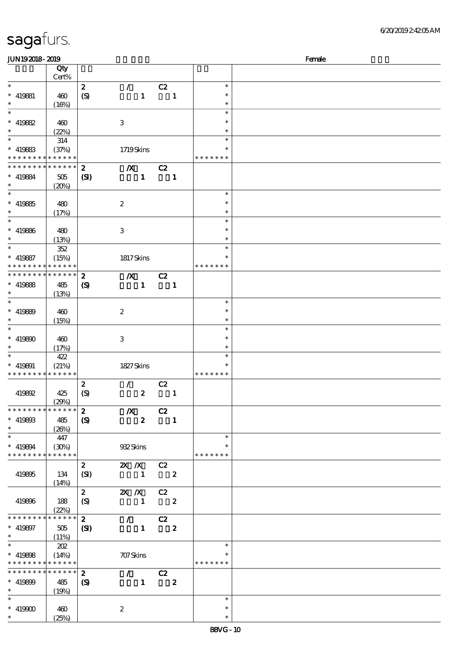| <b>JUN192018-2019</b>                      |                      |                            |                                 |                            |                         |                    | Female |
|--------------------------------------------|----------------------|----------------------------|---------------------------------|----------------------------|-------------------------|--------------------|--------|
|                                            | Qty                  |                            |                                 |                            |                         |                    |        |
|                                            | Cert%                |                            |                                 |                            |                         |                    |        |
| $\ast$                                     |                      | $\boldsymbol{z}$           | $\mathcal{L}$                   | C2                         |                         | $\ast$             |        |
| $*$ 419881<br>$\ast$                       | 460                  | (S)                        | $\mathbf{1}$                    | $\blacksquare$             |                         | *<br>$\ast$        |        |
| $\ast$                                     | (16%)                |                            |                                 |                            |                         | $\ast$             |        |
| $* 419882$                                 | 460                  |                            | $\,3$                           |                            |                         | $\ast$             |        |
| $\ast$                                     | (22%)                |                            |                                 |                            |                         | $\ast$             |        |
| $\ast$                                     | 314                  |                            |                                 |                            |                         | $\ast$             |        |
| $* 419883$                                 | (37%)                |                            | 1719Skins                       |                            |                         |                    |        |
| * * * * * * * *                            | * * * * * *          |                            |                                 |                            |                         | * * * * * * *      |        |
| * * * * * * * *                            | * * * * * *          | $\boldsymbol{z}$           | $\boldsymbol{X}$                | C2                         |                         |                    |        |
| $*$ 419884                                 | 505                  | (S)                        | $\mathbf{1}$                    |                            | $\mathbf{1}$            |                    |        |
| $\ast$<br>$\ast$                           | (20%)                |                            |                                 |                            |                         | $\ast$             |        |
| $* 419885$                                 | 480                  |                            | $\boldsymbol{z}$                |                            |                         | $\ast$             |        |
| $\ast$                                     | (17%)                |                            |                                 |                            |                         | $\ast$             |        |
| $\ast$                                     |                      |                            |                                 |                            |                         | $\ast$             |        |
| $*$ 419886                                 | 480                  |                            | $\ensuremath{\mathbf{3}}$       |                            |                         | $\ast$             |        |
| $\ast$                                     | (13%)                |                            |                                 |                            |                         | $\ast$             |        |
| $\ast$                                     | 352                  |                            |                                 |                            |                         | $\ast$             |        |
| $* 419887$                                 | (15%)                |                            | 1817Skins                       |                            |                         | $\ast$             |        |
| * * * * * * * * <mark>* * * * * * *</mark> |                      |                            |                                 |                            |                         | * * * * * * *      |        |
| * * * * * * * *                            | * * * * * *          | $\boldsymbol{z}$           | $\boldsymbol{X}$                | C2                         |                         |                    |        |
| $*$ 419888<br>$\ast$                       | 485<br>(13%)         | $\boldsymbol{\mathcal{S}}$ | $\mathbf{1}$                    |                            | $\mathbf{1}$            |                    |        |
| $\ast$                                     |                      |                            |                                 |                            |                         | $\ast$             |        |
| $* 419899$                                 | 460                  |                            | $\boldsymbol{2}$                |                            |                         | $\ast$             |        |
| $\ast$                                     | (15%)                |                            |                                 |                            |                         | $\ast$             |        |
| $\ast$                                     |                      |                            |                                 |                            |                         | $\ast$             |        |
| $* 419800$                                 | 460                  |                            | $\,3$                           |                            |                         | $\ast$             |        |
| $\ast$                                     | (17%)                |                            |                                 |                            |                         | $\ast$             |        |
| $\ast$                                     | 422                  |                            |                                 |                            |                         | $\ast$<br>$\ast$   |        |
| $*$ 419891<br>* * * * * * * *              | (21%)<br>* * * * * * |                            | 1827Skins                       |                            |                         | * * * * * * *      |        |
|                                            |                      | $\boldsymbol{z}$           | $\mathcal{L}$                   | C2                         |                         |                    |        |
| 419892                                     | 425                  | $\boldsymbol{S}$           | $\boldsymbol{z}$                | $\blacksquare$             |                         |                    |        |
|                                            | (29%)                |                            |                                 |                            |                         |                    |        |
| * * * * * * * *                            | * * * * * *          | $\boldsymbol{z}$           | $\boldsymbol{X}$                | C2                         |                         |                    |        |
| $* 419803$                                 | 485                  | $\boldsymbol{S}$           | $\boldsymbol{z}$                | $\overline{\phantom{a}}$   |                         |                    |        |
| $\ast$<br>$\overline{\phantom{0}}$         | (20%)                |                            |                                 |                            |                         |                    |        |
|                                            | 447                  |                            |                                 |                            |                         | $\ast$             |        |
| $* 419894$<br>* * * * * * * * * * * * * *  | (30%)                |                            | 932Skins                        |                            |                         | ∗<br>* * * * * * * |        |
|                                            |                      | $\mathbf{z}$               | $X$ $X$                         | C2                         |                         |                    |        |
| 419895                                     | 134                  | (SI)                       | $\mathbf{1}$                    |                            | $\overline{\mathbf{2}}$ |                    |        |
|                                            | (14%)                |                            |                                 |                            |                         |                    |        |
|                                            |                      | $\mathbf{z}$               | $X$ $X$                         | C2                         |                         |                    |        |
| 419896                                     | 188                  | (S)                        | $\mathbf{1}$                    | $\overline{\phantom{a}}$ 2 |                         |                    |        |
|                                            | (22%)                |                            |                                 |                            |                         |                    |        |
| * * * * * * * *                            | * * * * * *          | $\mathbf{z}$               | $\mathcal{L}$                   | C2                         |                         |                    |        |
| $* 419897$                                 | 505                  | $\mathbf{C}$               | $\mathbf{1}$                    |                            | $\boldsymbol{z}$        |                    |        |
| $\ast$<br>$\ast$                           | (11%)<br>202         |                            |                                 |                            |                         | $\ast$             |        |
| $* 419808$                                 | (14%)                |                            | 707 Skins                       |                            |                         | *                  |        |
| * * * * * * * *                            | * * * * * *          |                            |                                 |                            |                         | * * * * * * *      |        |
| * * * * * * * *                            | $* * * * * * *$      | $\boldsymbol{z}$           | $\mathcal{F}$ and $\mathcal{F}$ | C2                         |                         |                    |        |
| $* 419809$                                 | 485                  | $\boldsymbol{\mathcal{S}}$ |                                 | $1 \t 2$                   |                         |                    |        |
| $\ast$                                     | (19%)                |                            |                                 |                            |                         |                    |        |
|                                            |                      |                            |                                 |                            |                         | $\ast$             |        |
| $* 419900$                                 | 460                  |                            | $\boldsymbol{2}$                |                            |                         | $\ast$             |        |
| $\ast$                                     | (25%)                |                            |                                 |                            |                         | $\ast$             |        |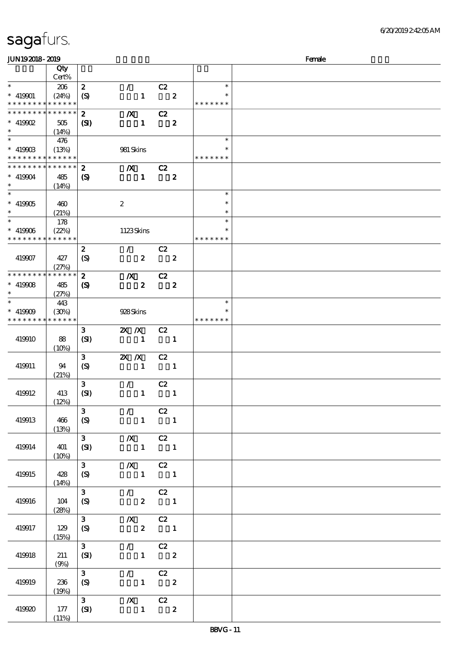|  |  | sagafurs. |
|--|--|-----------|
|--|--|-----------|

| JUN192018-2019                            |              |                             |                                                  |                          |                  |               | Female |
|-------------------------------------------|--------------|-----------------------------|--------------------------------------------------|--------------------------|------------------|---------------|--------|
|                                           | Qty          |                             |                                                  |                          |                  |               |        |
|                                           | Cert%        |                             |                                                  |                          |                  |               |        |
| $\ast$                                    | 206          | $\boldsymbol{z}$            | $\mathcal{L}$                                    | C2                       |                  | $\ast$        |        |
| $* 419901$                                | (24%)        | $\boldsymbol{\mathrm{(S)}}$ | $\mathbf{1}$                                     |                          | $\boldsymbol{z}$ |               |        |
| * * * * * * * * * * * * * *               |              |                             |                                                  |                          |                  | * * * * * * * |        |
| * * * * * * * * <mark>* * * * * *</mark>  |              | $\boldsymbol{z}$            | $\boldsymbol{X}$                                 | C2                       |                  |               |        |
| $*$ 419902                                | 505          | $\mathbf{S}$                | $\mathbf{1}$                                     |                          | $\boldsymbol{z}$ |               |        |
| $\ast$                                    | (14%)<br>476 |                             |                                                  |                          |                  | $\ast$        |        |
| $* 41990B$                                | (13%)        |                             | 981 Skins                                        |                          |                  |               |        |
| * * * * * * * * * * * * * *               |              |                             |                                                  |                          |                  | * * * * * * * |        |
| * * * * * * * *                           | * * * * * *  | $\boldsymbol{z}$            | $\boldsymbol{X}$                                 | C2                       |                  |               |        |
| $* 419904$                                | 485          | (S)                         | $\mathbf{1}$                                     |                          | $\boldsymbol{z}$ |               |        |
| $\ast$                                    | (14%)        |                             |                                                  |                          |                  |               |        |
| $\ast$                                    |              |                             |                                                  |                          |                  | $\ast$        |        |
| $* 419905$                                | 460          |                             | $\boldsymbol{2}$                                 |                          |                  | $\ast$        |        |
| $\ast$<br>$\ast$                          | (21%)        |                             |                                                  |                          |                  | $\ast$        |        |
|                                           | 178          |                             |                                                  |                          |                  | $\ast$        |        |
| $* 419906$<br>* * * * * * * * * * * * * * | (22%)        |                             | 1123Skins                                        |                          |                  | * * * * * * * |        |
|                                           |              | $\boldsymbol{z}$            | $\mathcal{L}$                                    | C2                       |                  |               |        |
| 419907                                    | 427          | $\boldsymbol{S}$            | $\boldsymbol{z}$                                 |                          | $\boldsymbol{2}$ |               |        |
|                                           | (27%)        |                             |                                                  |                          |                  |               |        |
| * * * * * * * * * * * * * *               |              | $\boldsymbol{z}$            | $\boldsymbol{X}$                                 | C2                       |                  |               |        |
| $* 419908$                                | 485          | $\boldsymbol{\mathcal{S}}$  | $\boldsymbol{z}$                                 |                          | $\boldsymbol{z}$ |               |        |
|                                           | (27%)        |                             |                                                  |                          |                  |               |        |
| $\ast$                                    | 443          |                             |                                                  |                          |                  | $\ast$        |        |
| $* 419909$                                | (30%)        |                             | 928Skins                                         |                          |                  | $\ast$        |        |
| * * * * * * * *                           | * * * * * *  |                             |                                                  |                          |                  | * * * * * * * |        |
|                                           |              | $\mathbf{3}$                | $X$ $N$                                          | C2                       |                  |               |        |
| 419910                                    | 88<br>(10%)  | (SI)                        | $\blacksquare$                                   | $\overline{\phantom{a}}$ |                  |               |        |
|                                           |              | 3                           | $X$ $N$                                          | C2                       |                  |               |        |
| 419911                                    | 94           | $\boldsymbol{S}$            | $\mathbf{1}$                                     | $\blacksquare$           |                  |               |        |
|                                           | (21%)        |                             |                                                  |                          |                  |               |        |
|                                           |              | $\mathbf{3}$                | $\sqrt{2}$                                       | C2                       |                  |               |        |
| 419912                                    | 413          | (SI)                        | $\mathbf{1}$                                     | $\overline{\phantom{a}}$ |                  |               |        |
|                                           | (12%)        |                             |                                                  |                          |                  |               |        |
|                                           |              | 3 <sup>1</sup>              | $\mathcal{L}$ and $\mathcal{L}$                  | C2                       |                  |               |        |
| 419913                                    | 466          | (S)                         | $1 \quad 1$                                      |                          |                  |               |        |
|                                           | (13%)        | 3 <sup>7</sup>              | $/X$ $C2$                                        |                          |                  |               |        |
| 419914                                    | 401          | (SI)                        | $\begin{array}{ccc} & 1 & \quad & 1 \end{array}$ |                          |                  |               |        |
|                                           | (10%)        |                             |                                                  |                          |                  |               |        |
|                                           |              | 3 <sup>7</sup>              | $\overline{X}$ C <sub>2</sub>                    |                          |                  |               |        |
| 419915                                    | 428          | (S)                         | $\begin{array}{cccc} 1 & 1 & 1 \end{array}$      |                          |                  |               |        |
|                                           | (14%)        |                             |                                                  |                          |                  |               |        |
|                                           |              | 3 <sup>7</sup>              | $\sqrt{C^2}$                                     |                          |                  |               |        |
| 419916                                    | 104          | (S)                         | $\overline{\mathbf{2}}$ 1                        |                          |                  |               |        |
|                                           | (28%)        | $3^{\circ}$                 | $\chi$ C <sub>2</sub>                            |                          |                  |               |        |
| 419917                                    | 129          | (S)                         |                                                  | $2 \t 1$                 |                  |               |        |
|                                           | (15%)        |                             |                                                  |                          |                  |               |        |
|                                           |              | 3 <sup>7</sup>              | $\sqrt{C^2}$                                     |                          |                  |               |        |
| 419918                                    | 211          | (SI)                        | $1 \t 2$                                         |                          |                  |               |        |
|                                           | (9%)         |                             |                                                  |                          |                  |               |        |
|                                           |              | 3 <sup>1</sup>              | $\sqrt{2}$ C <sub>2</sub>                        |                          |                  |               |        |
| 419919                                    | 236          | (S)                         | $1 \t 2$                                         |                          |                  |               |        |
|                                           | (19%)        |                             |                                                  |                          |                  |               |        |
| 419920                                    |              | $3 -$                       | $\overline{X}$ C <sub>2</sub>                    |                          |                  |               |        |
|                                           | 177<br>(11%) | (SI)                        | $1$ 2                                            |                          |                  |               |        |
|                                           |              |                             |                                                  |                          |                  |               |        |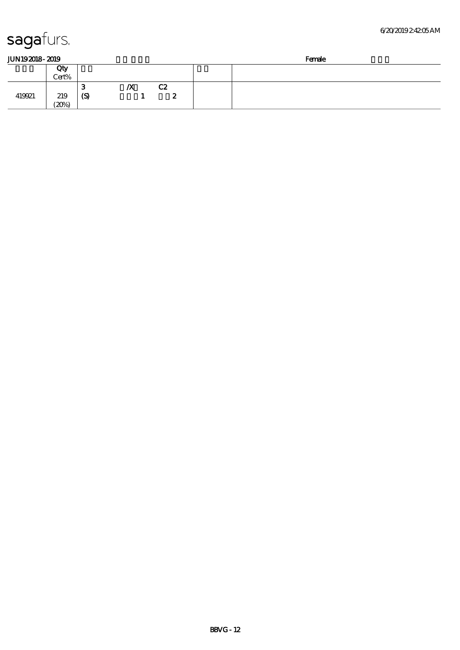| JUN192018-2019 |  |
|----------------|--|
|                |  |

| JUN192018-2019 |              |            |    |         | Female |
|----------------|--------------|------------|----|---------|--------|
|                | Qty          |            |    |         |        |
|                | Cert%        |            |    |         |        |
| 419921         | 219<br>(20%) | - 1<br>(S) | /X | C2<br>∼ |        |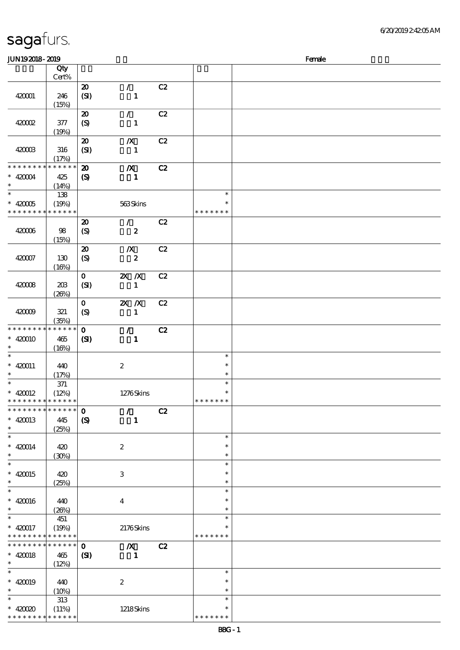\* \* \* \* \* \* \* \* \* \* \* \*

| JUN192018-2019                             |                 |                                     |                  |    |               | Female |
|--------------------------------------------|-----------------|-------------------------------------|------------------|----|---------------|--------|
|                                            | Qty             |                                     |                  |    |               |        |
|                                            | Cert%           |                                     |                  |    |               |        |
|                                            |                 | ${\bf Z}$                           | $\mathcal{L}$    | C2 |               |        |
| 420001                                     | 246             | (SI)                                | $\mathbf{1}$     |    |               |        |
|                                            | (15%)           |                                     |                  |    |               |        |
|                                            |                 | $\boldsymbol{\boldsymbol{\lambda}}$ | $\mathcal{L}$    | C2 |               |        |
| 42002                                      | 377             | $\boldsymbol{S}$                    | $\mathbf{1}$     |    |               |        |
|                                            |                 |                                     |                  |    |               |        |
|                                            | (19%)           |                                     |                  |    |               |        |
|                                            |                 | $\boldsymbol{\mathbf{z}}$           | $\boldsymbol{X}$ | C2 |               |        |
| 420003                                     | 316             | (SI)                                | $\mathbf{1}$     |    |               |        |
|                                            | (17%)           |                                     |                  |    |               |        |
| * * * * * * * *                            | * * * * * *     | $\boldsymbol{\mathfrak{D}}$         | $\boldsymbol{X}$ | C2 |               |        |
| $* 42004$                                  | 425             | $\boldsymbol{\mathrm{(S)}}$         | $\mathbf{1}$     |    |               |        |
| $\ast$                                     | (14%)           |                                     |                  |    |               |        |
| $\overline{\ast}$                          | 138             |                                     |                  |    | $\ast$        |        |
| $*$ 420005                                 | (19%)           |                                     | 563Skins         |    | $\ast$        |        |
| * * * * * * * *                            | * * * * * *     |                                     |                  |    | * * * * * * * |        |
|                                            |                 | $\boldsymbol{\mathbf{z}}$           | $\mathcal{L}$    | C2 |               |        |
| 420006                                     | 98              | $\boldsymbol{\mathrm{(S)}}$         | $\pmb{2}$        |    |               |        |
|                                            | (15%)           |                                     |                  |    |               |        |
|                                            |                 | $\boldsymbol{\mathsf{20}}$          | $\boldsymbol{X}$ | C2 |               |        |
| 420007                                     | 130             | $\boldsymbol{\mathrm{(S)}}$         | $\pmb{2}$        |    |               |        |
|                                            | (16%)           |                                     |                  |    |               |        |
|                                            |                 | $\mathbf{O}$                        | $X$ $N$          | C2 |               |        |
|                                            |                 |                                     |                  |    |               |        |
| 420008                                     | 203             | (SI)                                | $\mathbf{1}$     |    |               |        |
|                                            | (20%)           |                                     |                  |    |               |        |
|                                            |                 | $\mathbf 0$                         | $X$ $N$          | C2 |               |        |
| 420009                                     | 321             | $\boldsymbol{S}$                    | $\mathbf{1}$     |    |               |        |
|                                            | (35%)           |                                     |                  |    |               |        |
| * * * * * * * *                            | * * * * * *     | $\mathbf{o}$                        | $\mathcal{L}$    | C2 |               |        |
| $* 420010$                                 | 465             | (S)                                 | $\mathbf{1}$     |    |               |        |
| $\ast$                                     | (16%)           |                                     |                  |    |               |        |
| $\ast$                                     |                 |                                     |                  |    | $\ast$        |        |
| $* 420011$                                 | 440             |                                     | $\boldsymbol{2}$ |    | $\ast$        |        |
| $\ast$                                     | (17%)           |                                     |                  |    | $\ast$        |        |
| $\overline{\ast}$                          | $371\,$         |                                     |                  |    | $\ast$        |        |
| $* 420012$                                 | (12%)           |                                     | 1276Skins        |    | $\ast$        |        |
| * * * * * * * * * * * * * *                |                 |                                     |                  |    | *******       |        |
| * * * * * * * * <mark>* * * * * * *</mark> |                 | $\mathbf 0$                         | $\mathcal{L}$    | C2 |               |        |
| $* 420013$                                 | 445             | $\boldsymbol{\mathrm{(S)}}$         | $\mathbf{1}$     |    |               |        |
| $\ast$                                     | (25%)           |                                     |                  |    |               |        |
| $\ast$                                     |                 |                                     |                  |    | $\ast$        |        |
| $* 420014$                                 | 420             |                                     | $\boldsymbol{z}$ |    | $\ast$        |        |
| $\ast$                                     | (30%)           |                                     |                  |    | $\ast$        |        |
| $\overline{\ast}$                          |                 |                                     |                  |    | $\ast$        |        |
| $* 420015$                                 | 420             |                                     |                  |    | ∗             |        |
| $\ast$                                     |                 |                                     | $\,3$            |    | $\ast$        |        |
| $\ast$                                     | (25%)           |                                     |                  |    | $\ast$        |        |
|                                            |                 |                                     |                  |    |               |        |
| $* 420016$                                 | 440             |                                     | $\boldsymbol{4}$ |    | $\ast$        |        |
| $\ast$                                     | (20%)           |                                     |                  |    | $\ast$        |        |
| $\ast$                                     | 451             |                                     |                  |    | $\ast$        |        |
| $* 420017$                                 | (19%)           |                                     | 2176Skins        |    | ∗             |        |
| * * * * * * * *                            | * * * * * *     |                                     |                  |    | * * * * * * * |        |
| * * * * * * * *                            | $* * * * * * *$ | $\mathbf 0$                         | $\boldsymbol{X}$ | C2 |               |        |
| $* 420018$                                 | 465             | (S)                                 | $\mathbf{1}$     |    |               |        |
| $\ast$                                     | (12%)           |                                     |                  |    |               |        |
| $\ast$                                     |                 |                                     |                  |    | $\ast$        |        |
| $* 420019$                                 | 440             |                                     | $\boldsymbol{2}$ |    | $\ast$        |        |
| $\ast$                                     | (10%)           |                                     |                  |    | $\ast$        |        |
| $\ast$                                     | 313             |                                     |                  |    | $\ast$        |        |
| $* 42000$                                  | (11%)           |                                     | <b>1218Skins</b> |    | $\ast$        |        |
|                                            |                 |                                     |                  |    |               |        |

\* \* \* \* \* \*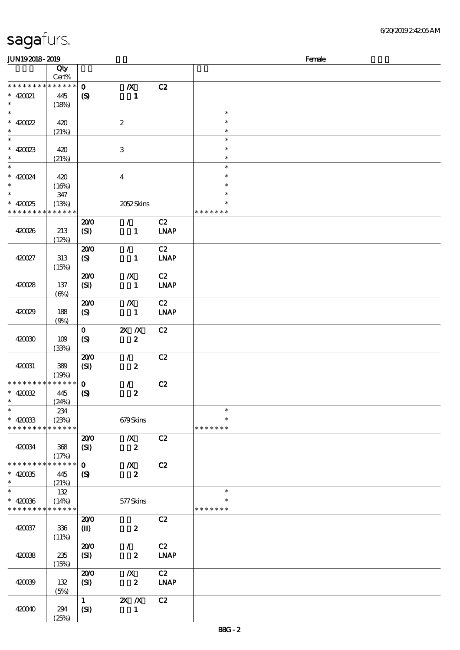| <b>JUN192018-2019</b>                     |                      |                             |                         |             |               | Female |
|-------------------------------------------|----------------------|-----------------------------|-------------------------|-------------|---------------|--------|
|                                           | Qty                  |                             |                         |             |               |        |
|                                           | Cert%                |                             |                         |             |               |        |
| * * * * * * * * * * * * * *               |                      | $\mathbf{o}$                | $\boldsymbol{X}$        | C2          |               |        |
| $* 420021$                                | 445                  | $\boldsymbol{\mathrm{(S)}}$ | $\mathbf{1}$            |             |               |        |
| $\ast$                                    | (18%)                |                             |                         |             |               |        |
| $\ast$                                    |                      |                             |                         |             | $\ast$        |        |
| $* 420022$                                | 420                  |                             | $\boldsymbol{2}$        |             | $\ast$        |        |
| $\ast$                                    | (21%)                |                             |                         |             | $\ast$        |        |
| $\overline{\phantom{0}}$                  |                      |                             |                         |             | $\ast$        |        |
| $* 420023$                                | 420                  |                             | 3                       |             | $\ast$        |        |
| $\ast$                                    | (21%)                |                             |                         |             | $\ast$        |        |
| $\ast$                                    |                      |                             |                         |             | $\ast$        |        |
| $* 420024$                                | 420                  |                             | $\overline{\mathbf{4}}$ |             | $\ast$        |        |
| $\ast$                                    | (16%)                |                             |                         |             | $\ast$        |        |
| $\overline{\phantom{1}}$                  | 347                  |                             |                         |             | $\ast$        |        |
| $* 420025$                                | (13%)                |                             | 2052Skins               |             | $\ast$        |        |
| * * * * * * * *                           | * * * * * *          |                             |                         |             | * * * * * * * |        |
|                                           |                      | 200                         | $\mathcal{L}$           | C2          |               |        |
| 420026                                    | 213                  | (SI)                        | $\mathbf{1}$            | <b>LNAP</b> |               |        |
|                                           | (12%)                |                             |                         |             |               |        |
|                                           |                      | 200                         | $\mathcal{L}$           | C2          |               |        |
| 420027                                    | 313                  | (S)                         | $\mathbf{1}$            | INAP        |               |        |
|                                           | (15%)                |                             |                         |             |               |        |
|                                           |                      | 200                         | $\boldsymbol{X}$        | C2          |               |        |
| 420028                                    | 137                  | (SI)                        | $\mathbf{1}$            | <b>LNAP</b> |               |        |
|                                           | $(\Theta)$           |                             |                         |             |               |        |
|                                           |                      | 200                         | $\boldsymbol{X}$        | C2          |               |        |
| 420029                                    | 188                  |                             | $\mathbf{1}$            | <b>LNAP</b> |               |        |
|                                           |                      | (S)                         |                         |             |               |        |
|                                           | (9%)                 |                             |                         |             |               |        |
|                                           |                      | $\mathbf{O}$                | $X$ $N$                 | C2          |               |        |
| 420030                                    | 109                  | (S)                         | $\boldsymbol{z}$        |             |               |        |
|                                           | (33%)                |                             |                         |             |               |        |
|                                           |                      | 200                         | $\mathcal{L}$           | C2          |               |        |
| 420031                                    | 389                  | (SI)                        | $\boldsymbol{z}$        |             |               |        |
| * * * * * * * *                           | (19%)<br>$******$    |                             |                         |             |               |        |
|                                           |                      | $\mathbf{o}$                | $\mathcal{L}$           | C2          |               |        |
| $* 420032$<br>$*$                         | 445                  | $\boldsymbol{\mathrm{(S)}}$ | $\boldsymbol{2}$        |             |               |        |
| $\ast$                                    | (24%)                |                             |                         |             | $\ast$        |        |
|                                           | 234                  |                             |                         |             | $\ast$        |        |
| $* 420033$<br>* * * * * * * *             | (23%)<br>* * * * * * |                             | 679Skins                |             | * * * * * * * |        |
|                                           |                      |                             |                         |             |               |        |
|                                           |                      | 200                         | $\boldsymbol{X}$        | C2          |               |        |
| 420034                                    | 368                  | (SI)                        | $\boldsymbol{z}$        |             |               |        |
|                                           | (17%)<br>* * * * * * |                             |                         |             |               |        |
| * * * * * * * *                           |                      | $\mathbf{o}$                | $\boldsymbol{X}$        | C2          |               |        |
| $* 420035$                                | 445                  | $\boldsymbol{S}$            | $\boldsymbol{z}$        |             |               |        |
| $\ast$<br>$\ast$                          | (21%)                |                             |                         |             | $\ast$        |        |
|                                           | 132                  |                             |                         |             |               |        |
| $* 420036$<br>* * * * * * * * * * * * * * | (14%)                |                             | 577Skins                |             | * * * * * * * |        |
|                                           |                      |                             |                         |             |               |        |
|                                           |                      | 200                         |                         | C2          |               |        |
| 420037                                    | 336                  | $(\mathbf{I})$              | $\boldsymbol{z}$        |             |               |        |
|                                           | (11%)                |                             |                         |             |               |        |
|                                           |                      | 200                         | $\mathcal{L}$           | C2          |               |        |
| 420038                                    | 235                  | (S)                         | $\boldsymbol{z}$        | <b>LNAP</b> |               |        |
|                                           | (15%)                |                             |                         |             |               |        |
|                                           |                      | 200                         | $\boldsymbol{X}$        | C2          |               |        |
| 420039                                    | 132                  | (SI)                        | $\boldsymbol{z}$        | <b>LNAP</b> |               |        |
|                                           | (5%)                 |                             |                         |             |               |        |
|                                           |                      | 1                           | $X$ $X$                 | C2          |               |        |
| 420040                                    | 294                  | (SI)                        | $\mathbf{1}$            |             |               |        |
|                                           | (25%)                |                             |                         |             |               |        |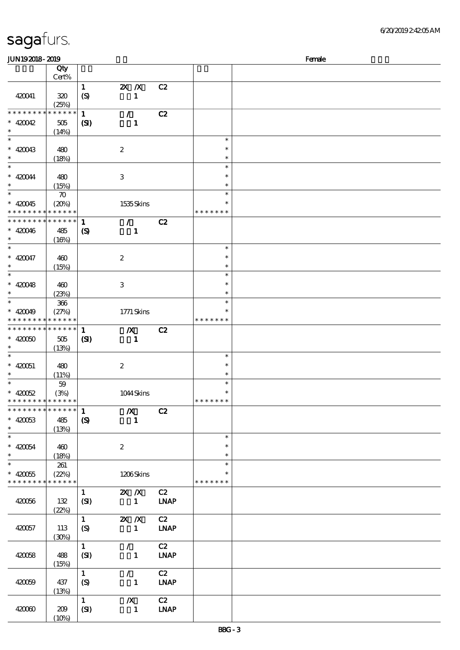| 6/20/201924205AM |
|------------------|
|------------------|

| <b>JUN192018-2019</b>       |                      |                            |                           |             |               | Female |
|-----------------------------|----------------------|----------------------------|---------------------------|-------------|---------------|--------|
|                             | Qty                  |                            |                           |             |               |        |
|                             | Cert%                |                            |                           |             |               |        |
|                             |                      | $\mathbf{1}$               | $X$ $N$                   | C2          |               |        |
| 420041                      | 320                  | (S)                        | $\mathbf{1}$              |             |               |        |
|                             |                      |                            |                           |             |               |        |
| ********                    | (25%)<br>* * * * * * |                            |                           |             |               |        |
|                             |                      | $\mathbf{1}$               | $\mathcal{L}$             | C2          |               |        |
| $* 420042$                  | 505                  | (S)                        | $\mathbf{1}$              |             |               |        |
| $\ast$                      | (14%)                |                            |                           |             |               |        |
| $\ast$                      |                      |                            |                           |             | $\ast$        |        |
| $* 420043$                  | 480                  |                            | $\boldsymbol{2}$          |             | $\ast$        |        |
| $\ast$                      | (18%)                |                            |                           |             | $\ast$        |        |
| $\ast$                      |                      |                            |                           |             | $\ast$        |        |
| $* 420044$                  | 480                  |                            | $\ensuremath{\mathbf{3}}$ |             | $\ast$        |        |
| $\ast$                      | (15%)                |                            |                           |             | $\ast$        |        |
| $\overline{\ast}$           | $\boldsymbol{\pi}$   |                            |                           |             | $\ast$        |        |
|                             |                      |                            |                           |             | $\ast$        |        |
| $* 420045$                  | (20%)                |                            | 1535Skins                 |             |               |        |
| * * * * * * * *             | * * * * * *          |                            |                           |             | * * * * * * * |        |
| * * * * * * *               | * * * * * *          | $\mathbf{1}$               | $\mathcal{L}$             | C2          |               |        |
| $* 420046$                  | 485                  | $\boldsymbol{\mathcal{S}}$ | $\mathbf{1}$              |             |               |        |
| $\ast$                      | (16%)                |                            |                           |             |               |        |
| $\ast$                      |                      |                            |                           |             | $\ast$        |        |
| $* 420047$                  | 460                  |                            | $\boldsymbol{2}$          |             | $\ast$        |        |
| $\ast$                      | (15%)                |                            |                           |             | $\ast$        |        |
| $\overline{\ast}$           |                      |                            |                           |             | $\ast$        |        |
| $* 420048$                  | 460                  |                            | $\,3\,$                   |             | $\ast$        |        |
| $\ast$                      | (23%)                |                            |                           |             | $\ast$        |        |
| $\ast$                      |                      |                            |                           |             | $\ast$        |        |
|                             | $366\,$              |                            |                           |             |               |        |
| $* 420049$                  | (27%)<br>* * * * * * |                            | 1771 Skins                |             |               |        |
| * * * * * * * *             |                      |                            |                           |             | * * * * * * * |        |
| * * * * * * * *             | * * * * * *          | $\mathbf{1}$               | $\boldsymbol{X}$          | C2          |               |        |
| $* 42000$                   | 505                  | (S)                        | $\mathbf{1}$              |             |               |        |
| $\ast$                      | (13%)                |                            |                           |             |               |        |
| $\ast$                      |                      |                            |                           |             | $\ast$        |        |
| $* 420051$                  | 480                  |                            | $\boldsymbol{2}$          |             | $\ast$        |        |
| $\ast$                      | (11%)                |                            |                           |             | $\ast$        |        |
| $\ast$                      | $59\,$               |                            |                           |             | $\ast$        |        |
| $* 420052$                  | (3%)                 |                            | 1044Skins                 |             | $\ast$        |        |
| * * * * * * * * * * * * * * |                      |                            |                           |             | * * * * * * * |        |
| * * * * * * * * * * * * * * |                      | $\mathbf{1}$               | $\boldsymbol{X}$          | C2          |               |        |
| $* 420053$                  | 485                  | $\boldsymbol{S}$           | $\mathbf 1$               |             |               |        |
| $\ast$                      |                      |                            |                           |             |               |        |
| $\overline{\phantom{0}}$    | (13%)                |                            |                           |             | $\ast$        |        |
|                             |                      |                            |                           |             |               |        |
| $* 420054$                  | 460                  |                            | $\boldsymbol{2}$          |             | $\ast$        |        |
| $\ast$                      | (18%)                |                            |                           |             | $\ast$        |        |
| $\ast$                      | 261                  |                            |                           |             | $\ast$        |        |
| $* 420055$                  | (22%)                |                            | 1206Skins                 |             |               |        |
| * * * * * * * *             | * * * * * *          |                            |                           |             | * * * * * * * |        |
|                             |                      | $\mathbf{1}$               | $X$ $X$                   | C2          |               |        |
| 420056                      | 132                  | (SI)                       | $\mathbf{1}$              | <b>LNAP</b> |               |        |
|                             | (22%)                |                            |                           |             |               |        |
|                             |                      | 1                          | $X$ $N$                   | C2          |               |        |
| 420057                      | 113                  | $\boldsymbol{S}$           | $\mathbf{1}$              | <b>LNAP</b> |               |        |
|                             | (30%)                |                            |                           |             |               |        |
|                             |                      | $\mathbf{1}$               | $\mathcal{L}$             | C2          |               |        |
|                             |                      |                            |                           |             |               |        |
| 420058                      | 488                  | (SI)                       | $\mathbf{1}$              | <b>LNAP</b> |               |        |
|                             | (15%)                |                            |                           |             |               |        |
|                             |                      | $\mathbf{1}$               | $\mathcal{L}$             | C2          |               |        |
| 420059                      | 437                  | (S)                        | $\mathbf{1}$              | <b>LNAP</b> |               |        |
|                             | (13%)                |                            |                           |             |               |        |
|                             |                      | $\mathbf{1}$               | $\boldsymbol{X}$          | C2          |               |        |
| 420060                      | 209                  | (SI)                       | $\mathbf{1}$              | <b>LNAP</b> |               |        |
|                             | (10%)                |                            |                           |             |               |        |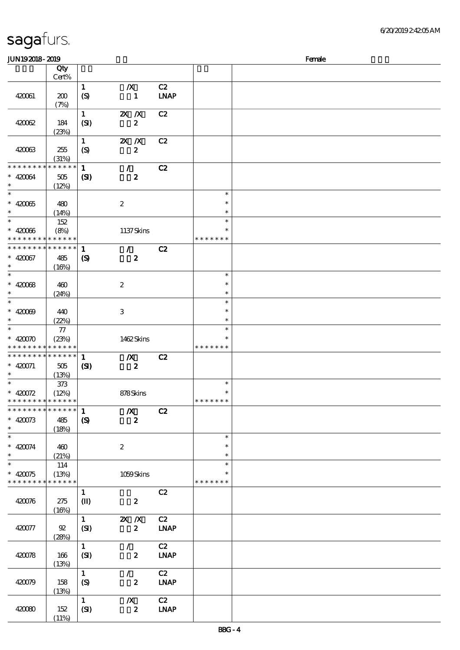| <b>JUN192018-2019</b>       |                            |                             |                  |             |               | Female |
|-----------------------------|----------------------------|-----------------------------|------------------|-------------|---------------|--------|
|                             | Qty                        |                             |                  |             |               |        |
|                             | Cert%                      |                             |                  |             |               |        |
|                             |                            | $\mathbf{1}$                | $\boldsymbol{X}$ | C2          |               |        |
| 420061                      | 200                        | $\boldsymbol{S}$            | $\mathbf{1}$     | <b>LNAP</b> |               |        |
|                             | (7%)                       |                             |                  |             |               |        |
|                             |                            | $\mathbf{1}$                | $X$ $N$          |             |               |        |
|                             |                            |                             |                  | C2          |               |        |
| 420062                      | 184                        | (SI)                        | $\boldsymbol{z}$ |             |               |        |
|                             | (23%)                      |                             |                  |             |               |        |
|                             |                            | $\mathbf{1}$                | $X$ $N$          | C2          |               |        |
| 420063                      | 255                        | $\boldsymbol{S}$            | $\boldsymbol{z}$ |             |               |        |
|                             | (31%)                      |                             |                  |             |               |        |
| * * * * * * * *             | * * * * * *                | $\mathbf{1}$                | $\mathcal{F}$    | C2          |               |        |
| $* 420064$                  | $505$                      | $\mathbf{S}$                | $\boldsymbol{z}$ |             |               |        |
| $\ast$                      | (12%)                      |                             |                  |             |               |        |
| $\overline{\phantom{0}}$    |                            |                             |                  |             | $\ast$        |        |
| $* 42005$                   |                            |                             | $\boldsymbol{z}$ |             | $\ast$        |        |
| $\ast$                      | 480                        |                             |                  |             | $\ast$        |        |
| $\overline{\ast}$           | (14%)                      |                             |                  |             | $\ast$        |        |
|                             | 152                        |                             |                  |             |               |        |
| $* 42006$                   | (8%)                       |                             | 1137Skins        |             | $\ast$        |        |
| * * * * * * * *             | * * * * * *                |                             |                  |             | * * * * * * * |        |
| * * * * * * * *             | $\ast\ast\ast\ast\ast\ast$ | $\mathbf{1}$                | $\mathcal{L}$    | C2          |               |        |
| $* 420067$                  | 485                        | $\boldsymbol{\mathrm{(S)}}$ | $\boldsymbol{z}$ |             |               |        |
| $\ast$                      | (16%)                      |                             |                  |             |               |        |
| $\overline{\phantom{0}}$    |                            |                             |                  |             | $\ast$        |        |
| $* 42008$                   | 460                        |                             | $\boldsymbol{z}$ |             | $\ast$        |        |
| $\ast$                      | (24%)                      |                             |                  |             | $\ast$        |        |
| $\overline{\phantom{0}}$    |                            |                             |                  |             | $\ast$        |        |
|                             |                            |                             |                  |             | $\ast$        |        |
| $* 42000$                   | 440                        |                             | 3                |             |               |        |
| $\ast$                      | (22%)                      |                             |                  |             | $\ast$        |        |
| $\overline{\ast}$           | 77                         |                             |                  |             | $\ast$        |        |
| $* 42000$                   | (23%)                      |                             | 1462Skins        |             |               |        |
| * * * * * * * *             | * * * * * *                |                             |                  |             | * * * * * * * |        |
| * * * * * * * *             | $* * * * * * *$            | $\mathbf{1}$                | $\boldsymbol{X}$ | C2          |               |        |
| $* 420071$                  | 505                        | $\mathbf{C}$                | $\boldsymbol{z}$ |             |               |        |
| $*$                         | (13%)                      |                             |                  |             |               |        |
|                             | 373                        |                             |                  |             | $\ast$        |        |
| * $420072$                  | (12%)                      |                             | 878Skins         |             | $\ast$        |        |
| * * * * * * * * * * * * * * |                            |                             |                  |             | *******       |        |
| * * * * * * * * * * * * * * |                            | $\mathbf{1}$                | $\boldsymbol{X}$ | C2          |               |        |
|                             |                            |                             |                  |             |               |        |
| $* 420073$                  | 485                        | $\boldsymbol{S}$            | $\boldsymbol{z}$ |             |               |        |
| $\ast$                      | (18%)                      |                             |                  |             |               |        |
| $\ast$                      |                            |                             |                  |             | $\ast$        |        |
| $* 420074$                  | 460                        |                             | $\boldsymbol{2}$ |             | $\ast$        |        |
| $\ast$                      | (21%)                      |                             |                  |             | $\ast$        |        |
| $\overline{\ast}$           | 114                        |                             |                  |             | $\ast$        |        |
| $* 420075$                  | (13%)                      |                             | 1059Skins        |             | ∗             |        |
| * * * * * * * *             | * * * * * *                |                             |                  |             | * * * * * * * |        |
|                             |                            | $\mathbf{1}$                |                  | C2          |               |        |
| 420076                      | 275                        | $\mathbf{I}$                | $\boldsymbol{z}$ |             |               |        |
|                             | (16%)                      |                             |                  |             |               |        |
|                             |                            | $\mathbf{1}$                | $X$ $N$          | C2          |               |        |
|                             |                            |                             | $\boldsymbol{z}$ |             |               |        |
| 420077                      | $92\,$                     | (SI)                        |                  | <b>LNAP</b> |               |        |
|                             | (28%)                      |                             |                  |             |               |        |
|                             |                            | $\mathbf{1}$                | $\mathcal{L}$    | C2          |               |        |
| 420078                      | 166                        | (SI)                        | $\boldsymbol{z}$ | <b>LNAP</b> |               |        |
|                             | (13%)                      |                             |                  |             |               |        |
|                             |                            | $\mathbf{1}$                | $\mathcal{L}$    | C2          |               |        |
| 420079                      | 158                        | (S)                         | $\boldsymbol{z}$ | <b>LNAP</b> |               |        |
|                             | (13%)                      |                             |                  |             |               |        |
|                             |                            | $\mathbf{1}$                | $\boldsymbol{X}$ | C2          |               |        |
| 420080                      | 152                        | (SI)                        | $\boldsymbol{z}$ | <b>LNAP</b> |               |        |
|                             | (11%)                      |                             |                  |             |               |        |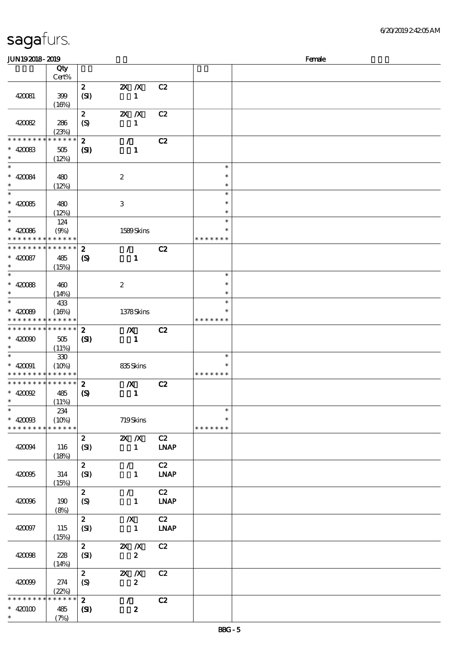| sagafurs. |  |
|-----------|--|
|           |  |

(7%)

#### 顺序号 Qty 说明 价格 Cert% 2 2X X C2 420081 399  $(SI)$  1  $(16%)$ 2 2X X C2  $(S)$  1 420082 286 (23%) \* \* \* \* \* \* \* \* \* \* \* \* \* 2 / C2  $\ast$  $420083$   $505$  $(SI)$  1 \*\*  $(12%)$  $\frac{1}{2}$  $\overline{\phantom{0}}$ \*\*\* \*\*\*  $* 42084 | 480$  $\ast$ 2  $\ast$ (12%)  $^{-}$  $\overline{\phantom{a}}$ \*\*\* \*\*\*  $\ast$ 420085 480  $\ast$ 3  $\ddot{\mathbf{r}}$  $(12%)$  $\ast$  $*$  420086 \*\* 124  $(9%)$  1589 Skins \* \* \* \* \* \* \* \* \* \* \* \* \* \* \* \* \* \* 2 / C2 \* \* \* \* \* \* \* \* \* \* \* \*  $\ast$ 420087 485  $(S)$  1 \*\* (15%)  $\overline{\phantom{a}}$ \*\*\* \*\*\*  $* 42008 + 400$ 2  $\ast$  $\ast$  $(14%)$  $\overline{\phantom{a}}$ 433 \*\* \*\* <sup>420089</sup>  $(16%)$  1378 Skins  $\ast$ \* \* \* \* \* \* \* \* \* \* \* \* \* \* \* \* \* \* 2 浅/X浅 C2 \* \* \* \* \* \* \* \* \* \* \* \* \*  $\ast$ 420090 505  $(SI)$  1 \*\* (11%)  $*$  420091  $\ast$ 330 \*\*  $(10\%)$  835 Skins  $\ast$ \* \* \* \* \* \* \* \* \* \* \* \* \* \* \* \* \* \* \* 2 浅/X浅 C2 \* \* \* \* \* \* \* \* \* \* \* \* 420092 485  $(S)$  1 \*\*  $\ast$ (11%)  $*$  420083  $\overline{\phantom{a}}$ 234 \*\*  $(10\%)$  719 Skins  $\ast$ \* \* \* \* \* \* \* \* \* \* \* \* \* \* \* \* \* \* \* 2 2X X C2  $(SI)$  1 LNAP 420094 116 (18%) 2 / C2  $(SI)$  1 LNAP 420095 314 (15%) 2  $/$  C2 420096 190  $(S)$  1 LNAP (8%)  $\overline{\text{2}}$   $\overline{\text{X}}$   $\overline{\text{C2}}$ 420097 115  $(SI)$  1 LNAP (15%)  $2$   $2X/X$  C<sub>2</sub> 420098 228  $(SI)$  2  $(14%)$  $\overline{\text{2}}$   $\overline{\text{2} \times \text{2}}$   $\overline{\text{C2}}$ 420099 274  $(S)$  2 (22%) \* \* \* \* \* \* \* \* \* \* \* \* \* 2  $/$  C2 420100 485  $(SI)$  2 \*\*

 $JUN192018 - 2019$  Female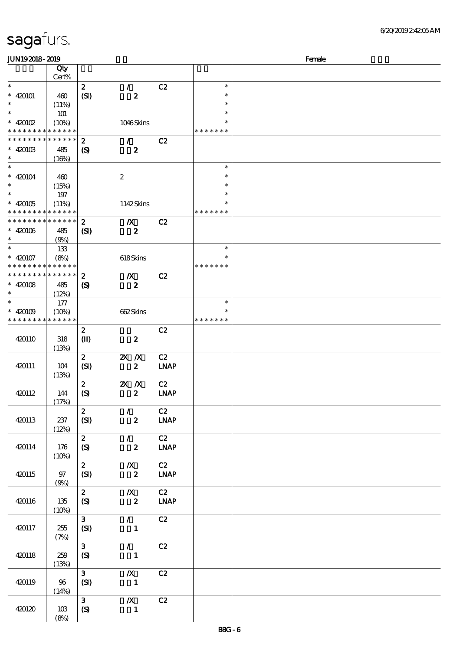#### 6/20/2019 2:42:05 AM

| <b>JUN192018-2019</b>                    |             |                            |                  |                              |               | Female |
|------------------------------------------|-------------|----------------------------|------------------|------------------------------|---------------|--------|
|                                          | Qty         |                            |                  |                              |               |        |
|                                          | Cert%       |                            |                  |                              |               |        |
| $\ast$                                   |             | $\boldsymbol{z}$           | $\mathcal{L}$    | C2                           | $\ast$        |        |
| $* 420101$                               | 460         | (SI)                       | $\boldsymbol{z}$ |                              | $\ast$        |        |
| $\ast$                                   | (11%)       |                            |                  |                              | $\ast$        |        |
| $\ast$                                   |             |                            |                  |                              | $\ast$        |        |
|                                          | <b>101</b>  |                            |                  |                              | $\ast$        |        |
| $*$ 420102                               | (10%)       |                            | 1046Skins        |                              |               |        |
| * * * * * * * * <mark>* * * * * *</mark> |             |                            |                  |                              | * * * * * * * |        |
| * * * * * * * *                          | * * * * * * | $\bf{2}$                   | $\mathcal{F}$    | C2                           |               |        |
| $* 42010B$                               | 485         | $\boldsymbol{\mathcal{S}}$ | $\boldsymbol{z}$ |                              |               |        |
| $\ast$                                   | (16%)       |                            |                  |                              |               |        |
| $\ast$                                   |             |                            |                  |                              | $\ast$        |        |
| $* 420104$                               | 460         |                            | $\boldsymbol{2}$ |                              | $\ast$        |        |
|                                          | (15%)       |                            |                  |                              | $\ast$        |        |
| $\ast$                                   | 197         |                            |                  |                              | $\ast$        |        |
| $* 420105$                               | (11%)       |                            | 1142Skins        |                              | $\ast$        |        |
| * * * * * * * * <mark>* * * * * *</mark> |             |                            |                  |                              | * * * * * * * |        |
| * * * * * * * * * * * * * *              |             |                            |                  |                              |               |        |
|                                          |             | $\boldsymbol{z}$           | $\boldsymbol{X}$ | C2                           |               |        |
| $* 420106$                               | 485         | $\mathbf{C}$               | $\boldsymbol{z}$ |                              |               |        |
| $\ast$                                   | (9%)        |                            |                  |                              |               |        |
| $\ast$                                   | 133         |                            |                  |                              | $\ast$        |        |
| $* 420107$                               | (8%)        |                            | 618Skins         |                              | $\ast$        |        |
| * * * * * * * * * * * * * *              |             |                            |                  |                              | * * * * * * * |        |
| * * * * * * * * * * * * * *              |             | $\boldsymbol{2}$           | $\boldsymbol{X}$ | C2                           |               |        |
| $* 420108$                               | 485         | $\boldsymbol{\mathcal{S}}$ | $\boldsymbol{z}$ |                              |               |        |
| $\ast$                                   | (12%)       |                            |                  |                              |               |        |
| $\ast$                                   |             |                            |                  |                              | $\ast$        |        |
|                                          | 177         |                            |                  |                              | ∗             |        |
| $* 420109$                               | (10%)       |                            | 662Skins         |                              |               |        |
| * * * * * * * * * * * * * *              |             |                            |                  |                              | * * * * * * * |        |
|                                          |             | $\boldsymbol{z}$           |                  | C2                           |               |        |
| 420110                                   | 318         | $\mathbf{I}$               | $\boldsymbol{z}$ |                              |               |        |
|                                          | (13%)       |                            |                  |                              |               |        |
|                                          |             | $\boldsymbol{z}$           | $X$ $N$          | C2                           |               |        |
| 420111                                   | 104         | (SI)                       | $\boldsymbol{z}$ | <b>LNAP</b>                  |               |        |
|                                          | (13%)       |                            |                  |                              |               |        |
|                                          |             | $\boldsymbol{z}$           | $X$ $N$          | C2                           |               |        |
| 420112                                   | 144         | $\boldsymbol{S}$           | $\boldsymbol{z}$ | <b>LNAP</b>                  |               |        |
|                                          | (17%)       |                            |                  |                              |               |        |
|                                          |             |                            | $\mathcal{L}$    |                              |               |        |
|                                          |             | $\mathbf{z}$               |                  | C2                           |               |        |
| 420113                                   | 237         | (SI)                       | $\boldsymbol{z}$ | $\ensuremath{\mathbf{INAP}}$ |               |        |
|                                          | (12%)       |                            |                  |                              |               |        |
|                                          |             | $\mathbf{2}$               | $\mathcal{L}$    | C2                           |               |        |
| 420114                                   | 176         | (S)                        | $\boldsymbol{2}$ | <b>LNAP</b>                  |               |        |
|                                          | (10%)       |                            |                  |                              |               |        |
|                                          |             | $\mathbf{2}$               | $\boldsymbol{X}$ | C2                           |               |        |
| 420115                                   | 97          | (SI)                       | $\boldsymbol{z}$ | <b>LNAP</b>                  |               |        |
|                                          | (9%)        |                            |                  |                              |               |        |
|                                          |             | $\mathbf{2}$               | $\boldsymbol{X}$ | C2                           |               |        |
| 420116                                   | 135         | (S)                        | $\mathbf{2}$     | <b>LNAP</b>                  |               |        |
|                                          |             |                            |                  |                              |               |        |
|                                          | (10%)       |                            |                  |                              |               |        |
|                                          |             | 3 <sup>7</sup>             | $\mathcal{L}$    | C2                           |               |        |
| 420117                                   | 255         | (SI)                       | $\mathbf{1}$     |                              |               |        |
|                                          | (7%)        |                            |                  |                              |               |        |
|                                          |             | 3 <sup>1</sup>             | $\mathcal{L}$    | C2                           |               |        |
| 420118                                   | 259         | (S)                        | $\mathbf{1}$     |                              |               |        |
|                                          | (13%)       |                            |                  |                              |               |        |
|                                          |             | 3 <sup>7</sup>             | $\boldsymbol{X}$ | C2                           |               |        |
| 420119                                   | 96          | (SI)                       | $\mathbf{1}$     |                              |               |        |
|                                          | (14%)       |                            |                  |                              |               |        |
|                                          |             | 3 <sup>1</sup>             | $\boldsymbol{X}$ | C2                           |               |        |
|                                          |             |                            |                  |                              |               |        |
| 420120                                   | 10B         | $\boldsymbol{S}$           | $\mathbf{1}$     |                              |               |        |
|                                          | (8%)        |                            |                  |                              |               |        |